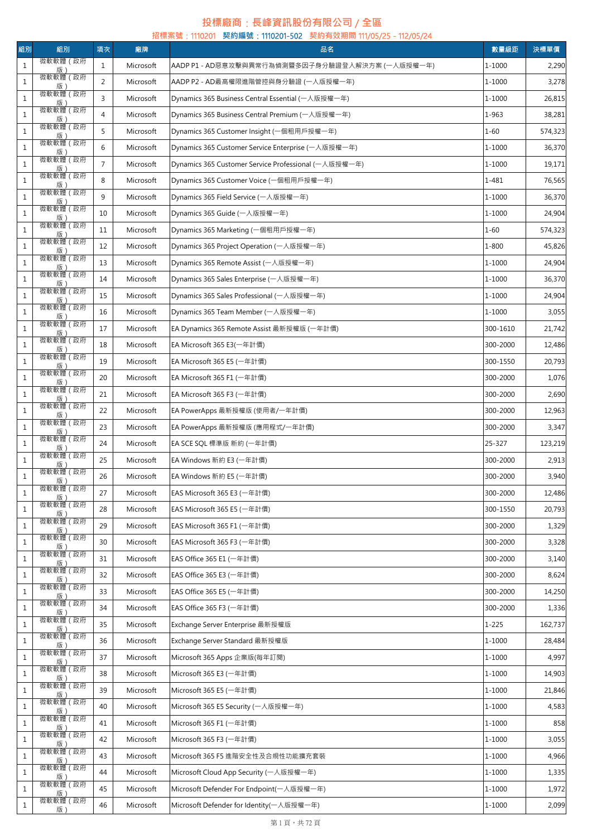## **投標廠商**:**長峰資訊股份有限公司** / **全區**

| 組別           | 組別                                 | 項次             | 廠牌        | 招標案號: 1110201 契約編號: 1110201-502 契約有效期間 111/05/25 - 112/05/24<br>品名 | 數量級距      | 決標單價    |
|--------------|------------------------------------|----------------|-----------|--------------------------------------------------------------------|-----------|---------|
| $\,1\,$      | 微軟軟體 (政府                           | $\mathbf{1}$   | Microsoft | AADP P1 - AD惡意攻擊與異常行為偵測暨多因子身分驗證登入解決方案 (一人版授權一年)                    | 1-1000    | 2,290   |
| $\mathbf{1}$ | 版)<br>微軟軟體 (政府                     | 2              | Microsoft | AADP P2 - AD最高權限進階管控與身分驗證 (一人版授權一年)                                | 1-1000    | 3,278   |
| $1\,$        | 版<br>微軟軟體 (政府                      | 3              | Microsoft | Dynamics 365 Business Central Essential (一人版授權一年)                  | 1-1000    | 26,815  |
| $\,1\,$      | 版 :<br>微軟軟體 (政府                    | $\overline{4}$ | Microsoft | Dynamics 365 Business Central Premium (一人版授權一年)                    | 1-963     | 38,281  |
| $1\,$        | 版<br>微軟軟體 (政府                      | 5              | Microsoft | Dynamics 365 Customer Insight (一個租用戶授權一年)                          | $1 - 60$  | 574,323 |
| $\mathbf{1}$ | 版)<br>微軟軟體 (政府                     | 6              | Microsoft | Dynamics 365 Customer Service Enterprise (一人版授權一年)                 | 1-1000    | 36,370  |
| $\mathbf{1}$ | 版)<br>微軟軟體 (政府                     | $\overline{7}$ | Microsoft | Dynamics 365 Customer Service Professional (一人版授權一年)               | 1-1000    | 19,171  |
| $1\,$        | 版<br>微軟軟體 (政府                      | 8              | Microsoft | Dynamics 365 Customer Voice (一個租用戶授權一年)                            | 1-481     | 76,565  |
| $1\,$        | 版 :<br>微軟軟體 (政府                    | 9              | Microsoft | Dynamics 365 Field Service (一人版授權一年)                               | 1-1000    | 36,370  |
| $\mathbf{1}$ | 版 :<br>微軟軟體 (政府                    | 10             | Microsoft | Dynamics 365 Guide (一人版授權一年)                                       | 1-1000    | 24,904  |
|              | 版)<br>微軟軟體 (政府                     |                |           |                                                                    |           |         |
| $\mathbf{1}$ | 版<br>微軟軟體 (政府                      | 11             | Microsoft | Dynamics 365 Marketing (一個租用戶授權一年)                                 | $1 - 60$  | 574,323 |
| $\mathbf{1}$ | _______ <u>版)______</u><br>微軟軟體(政府 | 12             | Microsoft | Dynamics 365 Project Operation (一人版授權一年)                           | $1 - 800$ | 45,826  |
| $\mathbf{1}$ | 版 :<br>微軟軟體(政府                     | 13             | Microsoft | Dynamics 365 Remote Assist (一人版授權一年)                               | 1-1000    | 24,904  |
| $\mathbf{1}$ | 版)<br>微軟軟體 (政府                     | 14             | Microsoft | Dynamics 365 Sales Enterprise (一人版授權一年)                            | 1-1000    | 36,370  |
| $\mathbf{1}$ | 版                                  | 15             | Microsoft | Dynamics 365 Sales Professional (一人版授權一年)                          | 1-1000    | 24,904  |
| $1\,$        | 微軟軟體 (政府<br>版)                     | 16             | Microsoft | Dynamics 365 Team Member (一人版授權一年)                                 | 1-1000    | 3,055   |
| $\,1\,$      | 微軟軟體 (政府<br>版)                     | 17             | Microsoft | EA Dynamics 365 Remote Assist 最新授權版 (一年計價)                         | 300-1610  | 21,742  |
| $1\,$        | 微軟軟體 (政府<br>版)                     | 18             | Microsoft | EA Microsoft 365 E3(一年計價)                                          | 300-2000  | 12,486  |
| $1\,$        | 微軟軟體 (政府<br>版                      | 19             | Microsoft | EA Microsoft 365 E5 (一年計價)                                         | 300-1550  | 20,793  |
| $\mathbf{1}$ | 微軟軟體 (政府<br>版)                     | 20             | Microsoft | EA Microsoft 365 F1 (一年計價)                                         | 300-2000  | 1,076   |
| $\,1\,$      | 微軟軟體 (政府<br>版                      | 21             | Microsoft | EA Microsoft 365 F3 (一年計價)                                         | 300-2000  | 2,690   |
| $\,1\,$      | 微軟軟體 (政府<br>版)                     | 22             | Microsoft | EA PowerApps 最新授權版 (使用者/一年計價)                                      | 300-2000  | 12,963  |
| $1\,$        | 微軟軟體 (政府<br>版                      | 23             | Microsoft | EA PowerApps 最新授權版 (應用程式/一年計價)                                     | 300-2000  | 3,347   |
| $1\,$        | 微軟軟體 (政府<br>版)                     | 24             | Microsoft | EA SCE SQL 標準版 新約 (一年計價)                                           | 25-327    | 123,219 |
| $\,1\,$      | 微軟軟體 (政府<br>版)                     | 25             | Microsoft | EA Windows 新約 E3 (一年計價)                                            | 300-2000  | 2,913   |
| $\mathbf{1}$ | 微軟軟體 (政府<br>版)                     | 26             | Microsoft | EA Windows 新約 E5 (一年計價)                                            | 300-2000  | 3,940   |
| $\mathbf{1}$ | 微軟軟體 (政府<br>版)                     | 27             | Microsoft | EAS Microsoft 365 E3 (一年計價)                                        | 300-2000  | 12,486  |
| $\mathbf{1}$ | 微軟軟體 (政府<br>版                      | 28             | Microsoft | EAS Microsoft 365 E5 (一年計價)                                        | 300-1550  | 20,793  |
| $\mathbf{1}$ | 微軟軟體 (政府<br>版                      | 29             | Microsoft | EAS Microsoft 365 F1 (一年計價)                                        | 300-2000  | 1,329   |
| $\mathbf{1}$ | 微軟軟體 (政府                           | 30             | Microsoft | EAS Microsoft 365 F3 (一年計價)                                        | 300-2000  | 3,328   |
| $\mathbf{1}$ | 版)<br>微軟軟體 (政府                     | 31             | Microsoft | EAS Office 365 E1 (一年計價)                                           | 300-2000  | 3,140   |
| $\mathbf{1}$ | 版)<br>微軟軟體(政府                      | 32             | Microsoft | EAS Office 365 E3 (一年計價)                                           | 300-2000  | 8,624   |
| $\mathbf{1}$ | 版<br>微軟軟體 (政府                      | 33             | Microsoft | EAS Office 365 E5 (一年計價)                                           | 300-2000  | 14,250  |
| $\mathbf{1}$ | 版 :<br>微軟軟體 (政府                    | 34             | Microsoft | EAS Office 365 F3 (一年計價)                                           | 300-2000  | 1,336   |
| $\mathbf{1}$ | 版)<br>微軟軟體 (政府                     | 35             | Microsoft | Exchange Server Enterprise 最新授權版                                   | $1 - 225$ | 162,737 |
| $\mathbf{1}$ | 版)<br>微軟軟體 (政府                     | 36             | Microsoft | Exchange Server Standard 最新授權版                                     | 1-1000    | 28,484  |
| $\mathbf{1}$ | 版<br>微軟軟體(政府                       | 37             | Microsoft | Microsoft 365 Apps 企業版(每年訂閱)                                       | 1-1000    | 4,997   |
| $1\,$        |                                    | 38             | Microsoft | Microsoft 365 E3 (一年計價)                                            | 1-1000    | 14,903  |
|              | 版)<br>微軟軟體 (政府                     |                |           |                                                                    | 1-1000    |         |
| $1\,$        | 版)<br>微軟軟體 (政府                     | 39             | Microsoft | Microsoft 365 E5 (一年計價)                                            |           | 21,846  |
| $\mathbf{1}$ | 版<br>微軟軟體 (政府                      | 40             | Microsoft | Microsoft 365 E5 Security (一人版授權一年)                                | 1-1000    | 4,583   |
| $\mathbf{1}$ | 版)<br>微軟軟體 (政府                     | 41             | Microsoft | Microsoft 365 F1 (一年計價)                                            | 1-1000    | 858     |
| $\,1\,$      | 版)<br>微軟軟體(政府                      | 42             | Microsoft | Microsoft 365 F3 (一年計價)                                            | 1-1000    | 3,055   |
| $\mathbf{1}$ | 版)<br>微軟軟體 (政府                     | 43             | Microsoft | Microsoft 365 F5 進階安全性及合規性功能擴充套裝                                   | 1-1000    | 4,966   |
| $\mathbf{1}$ | 版<br>微軟軟體 (政府                      | 44             | Microsoft | Microsoft Cloud App Security (一人版授權一年)                             | 1-1000    | 1,335   |
| $\mathbf{1}$ | 版)<br>微軟軟體 (政府                     | 45             | Microsoft | Microsoft Defender For Endpoint(一人版授權一年)                           | 1-1000    | 1,972   |
| $1\,$        | 版)                                 | 46             | Microsoft | Microsoft Defender for Identity(一人版授權一年)                           | 1-1000    | 2,099   |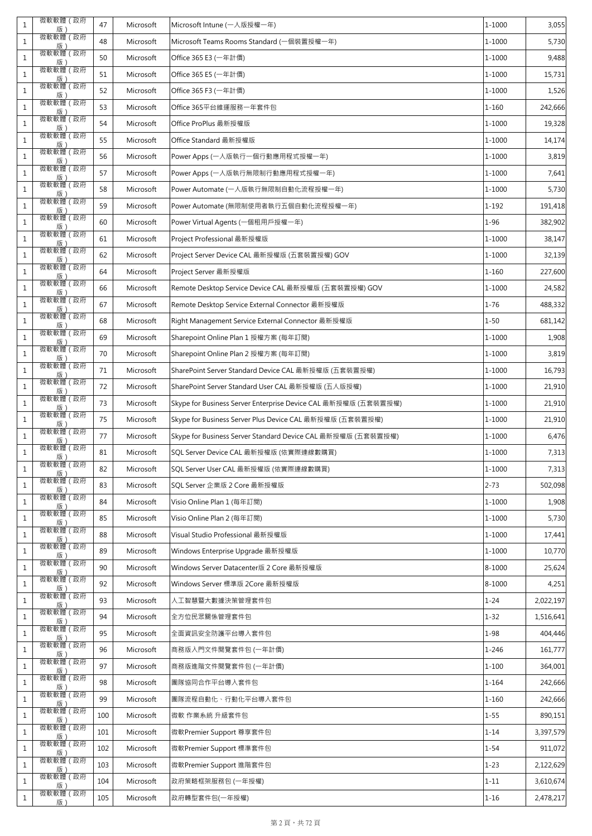| $\mathbf{1}$ | 微軟軟體 (政府<br>版                             | 47  | Microsoft | Microsoft Intune (一人版授權一年)                                     | 1-1000     | 3,055     |
|--------------|-------------------------------------------|-----|-----------|----------------------------------------------------------------|------------|-----------|
| $\mathbf{1}$ | 微軟軟體 (政府<br>版)                            | 48  | Microsoft | Microsoft Teams Rooms Standard (一個裝置授權一年)                      | 1-1000     | 5,730     |
| $\mathbf{1}$ | 微軟軟體 (政府<br>版)                            | 50  | Microsoft | Office 365 E3 (一年計價)                                           | 1-1000     | 9,488     |
| $\mathbf{1}$ | 微軟軟體 (政府<br>版)                            | 51  | Microsoft | Office 365 E5 (一年計價)                                           | 1-1000     | 15,731    |
| 1            | 微軟軟體(政府<br>版                              | 52  | Microsoft | Office 365 F3 (一年計價)                                           | 1-1000     | 1,526     |
| $\mathbf{1}$ | 微軟軟體 (政府<br>版)                            | 53  | Microsoft | Office 365平台維運服務一年套件包                                          | $1 - 160$  | 242,666   |
| $\mathbf{1}$ | 微軟軟體 (政府<br>版)                            | 54  | Microsoft | Office ProPlus 最新授權版                                           | 1-1000     | 19,328    |
| $\mathbf{1}$ | 微軟軟體 (政府<br>版)                            | 55  | Microsoft | Office Standard 最新授權版                                          | 1-1000     | 14,174    |
| $\mathbf{1}$ | 微軟軟體 (政府                                  | 56  | Microsoft | Power Apps (一人版執行一個行動應用程式授權一年)                                 | 1-1000     | 3,819     |
| $\mathbf{1}$ | 版)                                        | 57  | Microsoft | Power Apps (一人版執行無限制行動應用程式授權一年) .                              | 1-1000     | 7,641     |
| $\mathbf{1}$ | 微軟軟體 (政府<br>版)                            | 58  | Microsoft | Power Automate (一人版執行無限制自動化流程授權一年)                             | 1-1000     | 5,730     |
| $1\,$        | 微軟軟體(政府<br>版)                             | 59  | Microsoft | Power Automate (無限制使用者執行五個自動化流程授權一年)                           | $1 - 192$  | 191,418   |
| $\mathbf{1}$ | 微軟軟體 (政府<br>版)                            | 60  | Microsoft | Power Virtual Agents (一個租用戶授權一年)                               | $1 - 96$   | 382,902   |
| $\mathbf{1}$ | 微軟軟體 (政府<br>版)                            | 61  | Microsoft | Project Professional 最新授權版                                     | 1-1000     | 38,147    |
| $\mathbf{1}$ | 微軟軟體 (政府<br>版)                            | 62  | Microsoft | Project Server Device CAL 最新授權版 (五套裝置授權) GOV                   | 1-1000     | 32,139    |
| $\mathbf{1}$ | 微軟軟體 (政府<br>版)                            | 64  | Microsoft | Project Server 最新授權版                                           | $1 - 160$  | 227,600   |
| $\mathbf{1}$ | 微軟軟體 (政府<br>版)                            | 66  | Microsoft | Remote Desktop Service Device CAL 最新授權版 (五套裝置授權) GOV           | 1-1000     | 24,582    |
| $\mathbf{1}$ | 微軟軟體 (政府<br>版)                            | 67  | Microsoft | Remote Desktop Service External Connector 最新授權版                | $1 - 76$   | 488,332   |
| $\mathbf{1}$ | 微軟軟體 (政府<br>版)                            | 68  | Microsoft | Right Management Service External Connector 最新授權版              | $1 - 50$   | 681,142   |
| $\mathbf{1}$ | 微軟軟體 (政府<br>版)                            | 69  | Microsoft | Sharepoint Online Plan 1 授權方案 (每年訂閱)                           | 1-1000     | 1,908     |
| $\mathbf{1}$ | 微軟軟體 (政府<br>版)                            | 70  | Microsoft | Sharepoint Online Plan 2 授權方案 (每年訂閱)                           | $1 - 1000$ | 3,819     |
| $\mathbf{1}$ | 微軟軟體 (政府<br>版)                            | 71  | Microsoft | SharePoint Server Standard Device CAL 最新授權版 (五套裝置授權)           | 1-1000     | 16,793    |
| $\mathbf{1}$ | 微軟軟體 (政府<br>版                             | 72  | Microsoft | SharePoint Server Standard User CAL 最新授權版 (五人版授權)              | $1 - 1000$ | 21,910    |
| $\mathbf{1}$ | 微軟軟體 (政府<br>版)                            | 73  | Microsoft | Skype for Business Server Enterprise Device CAL 最新授權版 (五套裝置授權) | 1-1000     | 21,910    |
| $\mathbf{1}$ | 微軟軟體 (政府<br>版)                            | 75  | Microsoft | Skype for Business Server Plus Device CAL 最新授權版 (五套裝置授權)       | $1 - 1000$ | 21,910    |
| 1            | 微軟軟體 (政府<br>版                             | 77  | Microsoft | Skype for Business Server Standard Device CAL 最新授權版 (五套裝置授權)   | 1-1000     | 6,476     |
| $\mathbf{1}$ | 微軟軟體 (政府<br>版)                            | 81  | Microsoft | SQL Server Device CAL 最新授權版 (依實際連線數購買)                         | 1-1000     | 7,313     |
| $\mathbf{1}$ | 微軟軟體 (政府<br>版)                            | 82  | Microsoft | SQL Server User CAL 最新授權版 (依實際連線數購買)                           | $1 - 1000$ | 7,313     |
| $\mathbf{1}$ | 微軟軟體 (政府<br>版)                            | 83  | Microsoft | SOL Server 企業版 2 Core 最新授權版                                    | $2 - 73$   | 502,098   |
| 1            | 微軟軟體 (政府                                  | 84  | Microsoft | Visio Online Plan 1 (每年訂閱)                                     | 1-1000     | 1,908     |
| $\mathbf{1}$ | _______ <u>版)_______</u><br>微軟軟體(政府<br>版) | 85  | Microsoft | Visio Online Plan 2 (每年訂閱)                                     | $1 - 1000$ | 5,730     |
| 1            | 微軟軟體 (政府<br>版)                            | 88  | Microsoft | Visual Studio Professional 最新授權版                               | 1-1000     | 17,441    |
| $\mathbf{1}$ | 微軟軟體 (政府<br>版)                            | 89  | Microsoft | Windows Enterprise Upgrade 最新授權版                               | 1-1000     | 10,770    |
| $\mathbf{1}$ | 微軟軟體 (政府<br>版)                            | 90  | Microsoft | Windows Server Datacenter版 2 Core 最新授權版                        | 8-1000     | 25,624    |
| $\mathbf{1}$ | 微軟軟體(政府<br>版)                             | 92  | Microsoft | Windows Server 標準版 2Core 最新授權版                                 | 8-1000     | 4,251     |
| $\mathbf{1}$ | 微軟軟體 (政府<br>版)                            | 93  | Microsoft | 人工智慧暨大數據決策管理套件包                                                | $1 - 24$   | 2,022,197 |
| $\mathbf{1}$ | 微軟軟體 (政府<br>版)                            | 94  | Microsoft | 全方位民眾關係管理套件包                                                   | $1 - 32$   | 1,516,641 |
| $\mathbf{1}$ | 微軟軟體 (政府<br>版                             | 95  | Microsoft | 全面資訊安全防護平台導入套件包                                                | $1 - 98$   | 404,446   |
| $\mathbf{1}$ | 微軟軟體 (政府<br>版)                            | 96  | Microsoft | 商務版入門文件閱覽套件包 (一年計價)                                            | $1 - 246$  | 161,777   |
| $\mathbf{1}$ | 微軟軟體(政府<br>版)                             | 97  | Microsoft | 商務版進階文件閱覽套件包 (一年計價)                                            | $1 - 100$  | 364,001   |
| $\mathbf{1}$ | 微軟軟體 (政府<br>版)                            | 98  | Microsoft | 團隊協同合作平台導入套件包                                                  | $1 - 164$  | 242,666   |
| $\mathbf{1}$ | 微軟軟體 (政府<br>版)                            | 99  | Microsoft | 團隊流程自動化、行動化平台導入套件包                                             | $1 - 160$  | 242,666   |
| 1            | 微軟軟體 (政府<br>版)                            | 100 | Microsoft | 微軟 作業系統 升級套件包                                                  | $1 - 55$   | 890,151   |
| $\mathbf{1}$ | 微軟軟體 (政府<br>版)                            | 101 | Microsoft | 微軟Premier Support 尊享套件包                                        | $1 - 14$   | 3,397,579 |
| 1            | 微軟軟體 (政府<br>版)                            | 102 | Microsoft | 微軟Premier Support 標準套件包                                        | $1 - 54$   | 911,072   |
| $\mathbf{1}$ | 微軟軟體 (政府<br>版)                            | 103 | Microsoft | 微軟Premier Support 進階套件包                                        | $1 - 23$   | 2,122,629 |
| $\mathbf{1}$ | 微軟軟體 (政府<br>版)                            | 104 | Microsoft | 政府策略框架服務包 (一年授權)                                               | $1 - 11$   | 3,610,674 |
| $\mathbf{1}$ | 微軟軟體 (政府<br>版)                            | 105 | Microsoft | 政府轉型套件包(一年授權)                                                  | $1 - 16$   | 2,478,217 |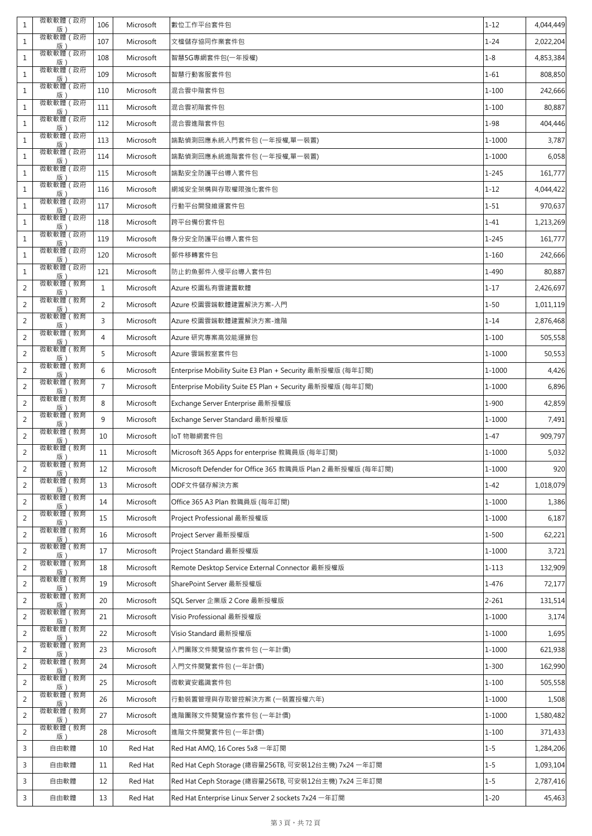| $\mathbf{1}$   | 微軟軟體 (政府                             | 106            | Microsoft | 數位工作平台套件包                                                  | $1 - 12$   | 4,044,449 |
|----------------|--------------------------------------|----------------|-----------|------------------------------------------------------------|------------|-----------|
| $\mathbf{1}$   | ________ <u>版)_______</u><br>微軟軟體(政府 | 107            | Microsoft | 文檔儲存協同作業套件包                                                | $1 - 24$   | 2,022,204 |
| $1\,$          |                                      | 108            | Microsoft | 智慧5G專網套件包(一年授權)                                            | $1 - 8$    | 4,853,384 |
| $\mathbf{1}$   |                                      | 109            | Microsoft | 智慧行動客服套件包                                                  | $1 - 61$   | 808,850   |
| $1\,$          |                                      | 110            | Microsoft | 混合雲中階套件包                                                   | $1 - 100$  | 242,666   |
| $\mathbf{1}$   | 版)                                   | 111            | Microsoft | 混合雲初階套件包                                                   | $1 - 100$  | 80,887    |
| $\,1\,$        | 微軟軟體 (政府                             | 112            | Microsoft | 混合雲進階套件包                                                   | $1 - 98$   | 404,446   |
| $\mathbf{1}$   | ______ <u>版)</u><br>微軟軟體(政府<br>版     | 113            | Microsoft | 端點偵測回應系統入門套件包 (一年授權,單一裝置)                                  | 1-1000     | 3,787     |
| $\mathbf{1}$   | 微軟軟體 (政府<br>版)                       | 114            | Microsoft | 端點偵測回應系統進階套件包 (一年授權,單一裝置)                                  | 1-1000     | 6,058     |
| $\mathbf{1}$   | 微軟軟體 (政府                             | 115            | Microsoft | 端點安全防護平台導入套件包                                              | $1 - 245$  | 161,777   |
| $1\,$          |                                      | 116            | Microsoft | 網域安全架構與存取權限強化套件包                                           | $1 - 12$   | 4,044,422 |
| $\mathbf{1}$   | _______版)<br>微軟軟體(政府<br>版)           | 117            | Microsoft | 行動平台開發維運套件包                                                | $1 - 51$   | 970,637   |
| $1\,$          | 微軟軟體 (政府<br>版)                       | 118            | Microsoft | 跨平台備份套件包                                                   | $1 - 41$   | 1,213,269 |
| $\mathbf{1}$   | 微軟軟體 (政府<br>版)                       | 119            | Microsoft | 身分安全防護平台導入套件包                                              | $1 - 245$  | 161,777   |
| $1\,$          | 微軟軟體 (政府<br>版)                       | 120            | Microsoft | 郵件移轉套件包                                                    | $1 - 160$  | 242,666   |
| $\mathbf{1}$   | 微軟軟體 (政府<br>版)                       | 121            | Microsoft | 防止釣魚郵件入侵平台導入套件包                                            | $1 - 490$  | 80,887    |
| 2              | 微軟軟體 (教育<br>版)                       | $\mathbf{1}$   | Microsoft | Azure 校園私有雲建置軟體                                            | $1 - 17$   | 2,426,697 |
| $\overline{2}$ | 微軟軟體 (教育                             | $\overline{2}$ | Microsoft | Azure 校園雲端軟體建置解決方案-入門                                      | $1 - 50$   | 1,011,119 |
| $\overline{2}$ |                                      | 3              | Microsoft | Azure 校園雲端軟體建置解決方案-進階                                      | $1 - 14$   | 2,876,468 |
| $\overline{2}$ | _______版)<br>微軟軟體(教育                 | $\overline{4}$ | Microsoft | Azure 研究專案高效能運算包                                           | $1 - 100$  | 505,558   |
| 2              | 版                                    | 5              | Microsoft | Azure 雲端教室套件包                                              | 1-1000     | 50,553    |
| $\overline{2}$ | 微軟軟體 (教育                             | 6              | Microsoft | Enterprise Mobility Suite E3 Plan + Security 最新授權版 (每年訂閱)  | $1 - 1000$ | 4,426     |
| $\overline{2}$ | 版)                                   | $\overline{7}$ | Microsoft | Enterprise Mobility Suite E5 Plan + Security 最新授權版 (每年訂閱)  | 1-1000     | 6,896     |
| $\overline{2}$ | 微軟軟體 (教育                             | 8              | Microsoft | Exchange Server Enterprise 最新授權版                           | 1-900      | 42,859    |
| $\overline{2}$ | _______版)<br>微軟軟體(教育                 | 9              | Microsoft | Exchange Server Standard 最新授權版                             | 1-1000     | 7,491     |
| $\overline{2}$ | 版.                                   | 10             | Microsoft | IoT 物聯網套件包                                                 | $1 - 47$   | 909,797   |
| $\overline{2}$ | 微軟軟體 (教育<br>版)                       | 11             | Microsoft | Microsoft 365 Apps for enterprise 教職員版 (每年訂閱)              | 1-1000     | 5,032     |
| $\overline{2}$ | 微軟軟體(教育                              | 12             | Microsoft | Microsoft Defender for Office 365 教職員版 Plan 2 最新授權版 (每年訂閱) | $1 - 1000$ | 920       |
| 2              | 版                                    | 13             | Microsoft | ODF文件儲存解決方案                                                | $1 - 42$   | 1,018,079 |
| $\overline{2}$ | 微軟軟體 (教育<br>版)                       | 14             | Microsoft | Office 365 A3 Plan 教職員版 (每年訂閱)                             | 1-1000     | 1,386     |
| $\overline{2}$ | 微軟軟體 (教育<br>版)                       | 15             | Microsoft | Project Professional 最新授權版                                 | 1-1000     | 6,187     |
| $\overline{2}$ | 微軟軟體 (教育<br>版)                       | 16             | Microsoft | Project Server 最新授權版                                       | $1 - 500$  | 62,221    |
| $\overline{2}$ | 微軟軟體 (教育<br>版                        | 17             | Microsoft | Project Standard 最新授權版                                     | 1-1000     | 3,721     |
| $\overline{2}$ | 微軟軟體(教育<br>版)                        | 18             | Microsoft | Remote Desktop Service External Connector 最新授權版            | $1 - 113$  | 132,909   |
| $\overline{2}$ | 微軟軟體(教育<br>版)                        | 19             | Microsoft | SharePoint Server 最新授權版                                    | 1-476      | 72,177    |
| $\overline{2}$ | 微軟軟體 (教育<br>版)                       | 20             | Microsoft | SQL Server 企業版 2 Core 最新授權版                                | $2 - 261$  | 131,514   |
| $\overline{2}$ | 微軟軟體 (教育<br>版)                       | 21             | Microsoft | Visio Professional 最新授權版                                   | $1 - 1000$ | 3,174     |
| $\overline{2}$ | 微軟軟體 (教育<br>版)                       | 22             | Microsoft | Visio Standard 最新授權版                                       | $1 - 1000$ | 1,695     |
| $\overline{2}$ | 微軟軟體 (教育<br>版)                       | 23             | Microsoft | 入門團隊文件閱覽協作套件包 (一年計價)                                       | $1 - 1000$ | 621,938   |
| $\overline{2}$ | 微軟軟體 (教育<br>版)                       | 24             | Microsoft | 入門文件閱覽套件包 (一年計價)                                           | $1 - 300$  | 162,990   |
| $\overline{2}$ | 微軟軟體 (教育<br>版)                       | 25             | Microsoft | 微軟資安鑑識套件包                                                  | $1 - 100$  | 505,558   |
| $\overline{2}$ | 微軟軟體 (教育<br>版                        | 26             | Microsoft | 行動裝置管理與存取管控解決方案 (一裝置授權六年)                                  | $1 - 1000$ | 1,508     |
| 2              | 微軟軟體 (教育<br>版)                       | 27             | Microsoft | 進階團隊文件閱覽協作套件包 (一年計價)                                       | 1-1000     | 1,580,482 |
| 2              | 微軟軟體 (教育<br>版)                       | 28             | Microsoft | 進階文件閱覽套件包 (一年計價)                                           | $1 - 100$  | 371,433   |
| 3              | 自由軟體                                 | 10             | Red Hat   | Red Hat AMQ, 16 Cores 5x8 一年訂閱                             | $1 - 5$    | 1,284,206 |
| 3              | 自由軟體                                 | 11             | Red Hat   | Red Hat Ceph Storage (總容量256TB, 可安裝12台主機) 7x24 一年訂閱        | $1 - 5$    | 1,093,104 |
| 3              | 自由軟體                                 | 12             | Red Hat   | Red Hat Ceph Storage (總容量256TB, 可安裝12台主機) 7x24 三年訂閱        | $1 - 5$    | 2,787,416 |
| 3              | 自由軟體                                 | 13             | Red Hat   | Red Hat Enterprise Linux Server 2 sockets 7x24 一年訂閱        | $1 - 20$   | 45,463    |
|                |                                      |                |           |                                                            |            |           |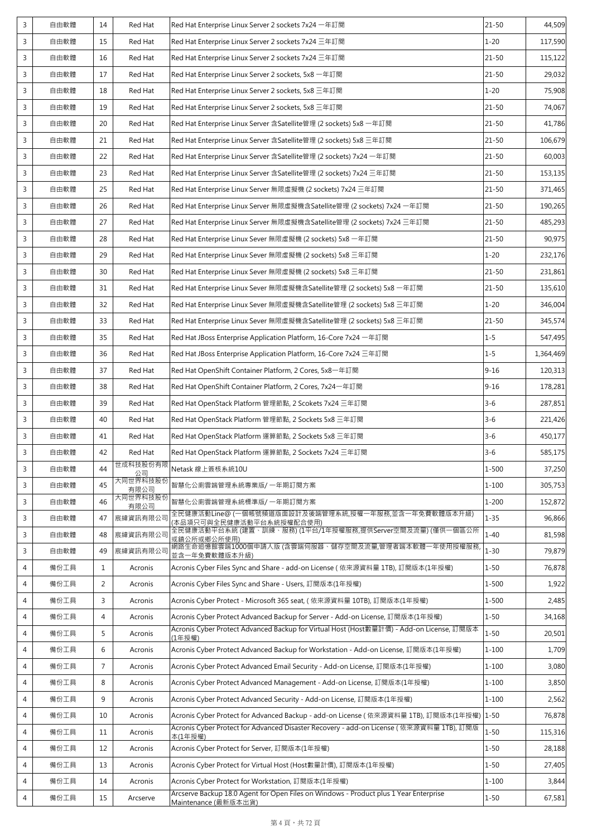| 3           | 自由軟體 | 14             | Red Hat          | Red Hat Enterprise Linux Server 2 sockets 7x24 一年訂閱                                                           | $21 - 50$ | 44,509    |
|-------------|------|----------------|------------------|---------------------------------------------------------------------------------------------------------------|-----------|-----------|
| 3           | 自由軟體 | 15             | Red Hat          | Red Hat Enterprise Linux Server 2 sockets 7x24 三年訂閱                                                           | $1 - 20$  | 117,590   |
| 3           | 自由軟體 | 16             | Red Hat          | Red Hat Enterprise Linux Server 2 sockets 7x24 三年訂閱                                                           | $21 - 50$ | 115,122   |
| 3           | 自由軟體 | 17             | Red Hat          | Red Hat Enterprise Linux Server 2 sockets, 5x8 一年訂閱                                                           | $21 - 50$ | 29,032    |
| 3           | 自由軟體 | 18             | Red Hat          | Red Hat Enterprise Linux Server 2 sockets, 5x8 三年訂閱                                                           | $1 - 20$  | 75,908    |
| 3           | 自由軟體 | 19             | Red Hat          | Red Hat Enterprise Linux Server 2 sockets, 5x8 三年訂閱                                                           | $21 - 50$ | 74,067    |
| 3           | 自由軟體 | 20             | Red Hat          | Red Hat Enterprise Linux Server 含Satellite管理 (2 sockets) 5x8 一年訂閱                                             | $21 - 50$ | 41,786    |
| 3           | 自由軟體 | 21             | Red Hat          | Red Hat Enterprise Linux Server 含Satellite管理 (2 sockets) 5x8 三年訂閱                                             | $21 - 50$ | 106,679   |
| 3           | 自由軟體 | 22             | Red Hat          | Red Hat Enterprise Linux Server 含Satellite管理 (2 sockets) 7x24 一年訂閱                                            | $21 - 50$ | 60,003    |
| 3           | 自由軟體 | 23             | Red Hat          | Red Hat Enterprise Linux Server 含Satellite管理 (2 sockets) 7x24 三年訂閱                                            | $21 - 50$ | 153,135   |
| 3           | 自由軟體 | 25             | Red Hat          | Red Hat Enterprise Linux Server 無限虛擬機 (2 sockets) 7x24 三年訂閱                                                   | $21 - 50$ | 371,465   |
| 3           | 自由軟體 | 26             | Red Hat          | Red Hat Enterprise Linux Server 無限虛擬機含Satellite管理 (2 sockets) 7x24 一年訂閱                                       | $21 - 50$ | 190,265   |
| 3           | 自由軟體 | 27             | Red Hat          | Red Hat Enterprise Linux Server 無限虛擬機含Satellite管理 (2 sockets) 7x24 三年訂閱                                       | $21 - 50$ | 485,293   |
| 3           | 自由軟體 | 28             | Red Hat          | Red Hat Enterprise Linux Sever 無限虛擬機 (2 sockets) 5x8 一年訂閱                                                     | $21 - 50$ | 90,975    |
| 3           | 自由軟體 | 29             | Red Hat          | Red Hat Enterprise Linux Sever 無限虛擬機 (2 sockets) 5x8 三年訂閱                                                     | $1 - 20$  | 232,176   |
| 3           | 自由軟體 | 30             | Red Hat          | Red Hat Enterprise Linux Sever 無限虛擬機 (2 sockets) 5x8 三年訂閱                                                     | $21 - 50$ | 231,861   |
| 3           | 自由軟體 | 31             | Red Hat          | Red Hat Enterprise Linux Sever 無限虛擬機含Satellite管理 (2 sockets) 5x8 一年訂閱                                         | $21 - 50$ | 135,610   |
| 3           | 自由軟體 | 32             | Red Hat          | Red Hat Enterprise Linux Sever 無限虛擬機含Satellite管理 (2 sockets) 5x8 三年訂閱                                         | $1 - 20$  | 346,004   |
| 3           | 自由軟體 | 33             | Red Hat          | Red Hat Enterprise Linux Sever 無限虛擬機含Satellite管理 (2 sockets) 5x8 三年訂閱                                         | $21 - 50$ | 345,574   |
| 3           | 自由軟體 | 35             | Red Hat          | Red Hat JBoss Enterprise Application Platform, 16-Core 7x24 一年訂閱                                              | $1 - 5$   | 547,495   |
| 3           | 自由軟體 | 36             | Red Hat          | Red Hat JBoss Enterprise Application Platform, 16-Core 7x24 三年訂閱                                              | $1 - 5$   | 1,364,469 |
| 3           | 自由軟體 | 37             | Red Hat          | Red Hat OpenShift Container Platform, 2 Cores, 5x8 一年訂閱                                                       | $9 - 16$  | 120,313   |
| $\mathsf 3$ | 自由軟體 | 38             | Red Hat          | Red Hat OpenShift Container Platform, 2 Cores, 7x24一年訂閱                                                       | $9 - 16$  | 178,281   |
| 3           | 自由軟體 | 39             | Red Hat          | Red Hat OpenStack Platform 管理節點, 2 Scokets 7x24 三年訂閱                                                          | $3 - 6$   | 287,851   |
| 3           | 自由軟體 | 40             | Red Hat          | Red Hat OpenStack Platform 管理節點, 2 Sockets 5x8 三年訂閱                                                           | $3 - 6$   | 221,426   |
| 3           | 自由軟體 | 41             | Red Hat          | Red Hat OpenStack Platform 運算節點, 2 Sockets 5x8 三年訂閱                                                           | $3 - 6$   | 450,177   |
| 3           | 自由軟體 | 42             | Red Hat          | Red Hat OpenStack Platform 運算節點, 2 Sockets 7x24 三年訂閱                                                          | $3 - 6$   | 585,175   |
| 3           | 自由軟體 | 44             | 世成科技股份有限<br>公司   | Netask 線上簽核系統10U                                                                                              | $1 - 500$ | 37,250    |
| 3           | 自由軟體 | 45             | 大同世界科技股份<br>有限公司 | 智慧化公廁雲端管理系統專業版/一年期訂閱方案                                                                                        | $1 - 100$ | 305,753   |
| 3           | 自由軟體 | 46             | 大同世界科技股份<br>有限公司 | 智慧化公廁雲端管理系統標準版/一年期訂閱方案                                                                                        | $1 - 200$ | 152,872   |
| 3           | 自由軟體 | 47             | 宸緯資訊有限公司         | 全民健康活動Line@ (一個帳號頻道版面設計及後端管理系統,授權一年服務,並含一年免費軟體版本升級)<br>(本品項只可與全民健康活動平台系統授權配合使用)                               | $1 - 35$  | 96,866    |
| 3           | 自由軟體 | 48             | 宸緯資訊有限公司         | 全民健康活動平台系統 (建置、訓練、服務) (1平台/1年授權服務,提供Server空間及流量) (僅供一個區公所<br>或鎮公所或鄉公所使用)                                      | $1 - 40$  | 81,598    |
| 3           | 自由軟體 | 49             | 宸緯資訊有限公司         | 網路生命追憶館雲端1000個申請人版 (含雲端伺服器、儲存空間及流量,管理者端本軟體一年使用授權服務,<br>並含一年免費軟體版本升級)                                          | $1 - 30$  | 79,879    |
| 4           | 備份工具 | 1              | Acronis          | Acronis Cyber Files Sync and Share - add-on License (依來源資料量 1TB), 訂閱版本(1年授權)                                  | $1 - 50$  | 76,878    |
| 4           | 備份工具 | 2              | Acronis          | Acronis Cyber Files Sync and Share - Users, 訂閱版本(1年授權)                                                        | $1 - 500$ | 1,922     |
| 4           | 備份工具 | 3              | Acronis          | Acronis Cyber Protect - Microsoft 365 seat, ( 依來源資料量 10TB), 訂閱版本(1年授權)                                        | $1 - 500$ | 2,485     |
| 4           | 備份工具 | 4              | Acronis          | Acronis Cyber Protect Advanced Backup for Server - Add-on License, 訂閱版本(1年授權)                                 | $1 - 50$  | 34,168    |
| 4           | 備份工具 | 5              | Acronis          | Acronis Cyber Protect Advanced Backup for Virtual Host (Host數量計價) - Add-on License, 訂閱版本<br>(1年授權)            | $1 - 50$  | 20,501    |
| 4           | 備份工具 | 6              | Acronis          | Acronis Cyber Protect Advanced Backup for Workstation - Add-on License, 訂閱版本(1年授權)                            | $1 - 100$ | 1,709     |
| 4           | 備份工具 | $\overline{7}$ | Acronis          | Acronis Cyber Protect Advanced Email Security - Add-on License, 訂閱版本(1年授權)                                    | $1 - 100$ | 3,080     |
| 4           | 備份工具 | 8              | Acronis          | Acronis Cyber Protect Advanced Management - Add-on License, 訂閱版本(1年授權)                                        | $1 - 100$ | 3,850     |
| 4           | 備份工具 | 9              | Acronis          | Acronis Cyber Protect Advanced Security - Add-on License, 訂閱版本(1年授權)                                          | $1 - 100$ | 2,562     |
| 4           | 備份工具 | 10             | Acronis          | Acronis Cyber Protect for Advanced Backup - add-on License (依來源資料量 1TB), 訂閱版本(1年授權)                           | $1 - 50$  | 76,878    |
| 4           | 備份工具 | 11             | Acronis          | Acronis Cyber Protect for Advanced Disaster Recovery - add-on License (依來源資料量 1TB), 訂閱版<br>本(1年授權)            | $1 - 50$  | 115,316   |
| 4           | 備份工具 | 12             | Acronis          | Acronis Cyber Protect for Server, 訂閱版本(1年授權)                                                                  | $1 - 50$  | 28,188    |
| 4           | 備份工具 | 13             | Acronis          | Acronis Cyber Protect for Virtual Host (Host數量計價), 訂閱版本(1年授權)                                                 | $1 - 50$  | 27,405    |
| 4           | 備份工具 | 14             | Acronis          | Acronis Cyber Protect for Workstation, 訂閱版本(1年授權)                                                             | $1 - 100$ | 3,844     |
| 4           | 備份工具 | 15             | Arcserve         | Arcserve Backup 18.0 Agent for Open Files on Windows - Product plus 1 Year Enterprise<br>Maintenance (最新版本出貨) | $1 - 50$  | 67,581    |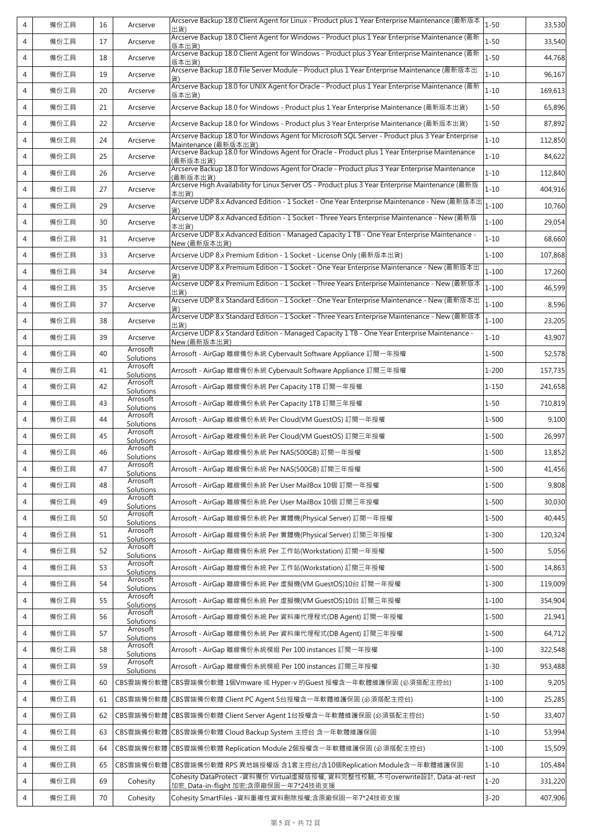| 4              | 備份工具 | 16 | Arcserve              | Arcserve Backup 18.0 Client Agent for Linux - Product plus 1 Year Enterprise Maintenance (最新版本<br>出貨)                    | $1 - 50$  | 33,530  |
|----------------|------|----|-----------------------|--------------------------------------------------------------------------------------------------------------------------|-----------|---------|
| 4              | 備份工具 | 17 | Arcserve              | Arcserve Backup 18.0 Client Agent for Windows - Product plus 1 Year Enterprise Maintenance (最新<br>版本出貨)                  | $1 - 50$  | 33,540  |
| 4              | 備份工具 | 18 | Arcserve              | Arcserve Backup 18.0 Client Agent for Windows - Product plus 3 Year Enterprise Maintenance (最新                           | $1 - 50$  | 44,768  |
| 4              | 備份工具 | 19 | Arcserve              | 版本出貨)<br>Arcserve Backup 18.0 File Server Module - Product plus 1 Year Enterprise Maintenance (最新版本出                     | $1 - 10$  | 96,167  |
| 4              | 備份工具 | 20 | Arcserve              | Arcserve Backup 18.0 for UNIX Agent for Oracle - Product plus 1 Year Enterprise Maintenance (最新<br>版本出貨)                 | $1 - 10$  | 169,613 |
| 4              | 備份工具 | 21 | Arcserve              | Arcserve Backup 18.0 for Windows - Product plus 1 Year Enterprise Maintenance (最新版本出貨)                                   | $1 - 50$  | 65,896  |
| 4              | 備份工具 | 22 | Arcserve              | Arcserve Backup 18.0 for Windows - Product plus 3 Year Enterprise Maintenance (最新版本出貨)                                   | $1 - 50$  | 87,892  |
| $\overline{4}$ | 備份工具 | 24 | Arcserve              | Arcserve Backup 18.0 for Windows Agent for Microsoft SQL Server - Product plus 3 Year Enterprise<br>Maintenance (最新版本出貨) | $1 - 10$  | 112,850 |
| 4              | 備份工具 | 25 | Arcserve              | Arcserve Backup 18.0 for Windows Agent for Oracle - Product plus 1 Year Enterprise Maintenance<br>(最新版本出貨)               | $1 - 10$  | 84,622  |
| 4              | 備份工具 | 26 | Arcserve              | Arcserve Backup 18.0 for Windows Agent for Oracle - Product plus 3 Year Enterprise Maintenance<br>(最新版本出貨)               | $1 - 10$  | 112,840 |
| 4              | 備份工具 | 27 | Arcserve              | Arcserve High Availability for Linux Server OS - Product plus 3 Year Enterprise Maintenance (最新版<br>本出貨)                 | $1 - 10$  | 404,916 |
| $\overline{4}$ | 備份工具 | 29 | Arcserve              | Arcserve UDP 8.x Advanced Edition - 1 Socket - One Year Enterprise Maintenance - New (最新版本出                              | $1 - 100$ | 10,760  |
| 4              | 備份工具 | 30 | Arcserve              | Arcserve UDP 8.x Advanced Edition - 1 Socket - Three Years Enterprise Maintenance - New (最新版<br>本出貨)                     | $1 - 100$ | 29,054  |
| 4              | 備份工具 | 31 | Arcserve              | Arcserve UDP 8.x Advanced Edition - Managed Capacity 1 TB - One Year Enterprise Maintenance -<br>New (最新版本出貨)            | $1 - 10$  | 68,660  |
| 4              | 備份工具 | 33 | Arcserve              | Arcserve UDP 8.x Premium Edition - 1 Socket - License Only (最新版本出貨)                                                      | $1 - 100$ | 107,868 |
| 4              | 備份工具 | 34 | Arcserve              | Arcserve UDP 8.x Premium Edition - 1 Socket - One Year Enterprise Maintenance - New (最新版本出                               | $1 - 100$ | 17,260  |
| 4              | 備份工具 | 35 | Arcserve              | Arcserve UDP 8.x Premium Edition - 1 Socket - Three Years Enterprise Maintenance - New (最新版本<br>出貨)                      | $1 - 100$ | 46,599  |
| 4              | 備份工具 | 37 | Arcserve              | Arcserve UDP 8.x Standard Edition - 1 Socket - One Year Enterprise Maintenance - New (最新版本出                              | $1 - 100$ | 8,596   |
| 4              | 備份工具 | 38 | Arcserve              | Arcserve UDP 8.x Standard Edition - 1 Socket - Three Years Enterprise Maintenance - New (最新版本<br>出貨)                     | $1 - 100$ | 23,205  |
| 4              | 備份工具 | 39 | Arcserve              | Arcserve UDP 8.x Standard Edition - Managed Capacity 1 TB - One Year Enterprise Maintenance -<br>New (最新版本出貨)            | $1 - 10$  | 43,907  |
| 4              | 備份工具 | 40 | Arrosoft<br>Solutions | Arrosoft - AirGap 離線備份系統 Cybervault Software Appliance 訂閱一年授權                                                            | 1-500     | 52,578  |
| 4              | 備份工具 | 41 | Arrosoft<br>Solutions | Arrosoft - AirGap 離線備份系統 Cybervault Software Appliance 訂閱三年授權                                                            | $1 - 200$ | 157,735 |
| 4              | 備份工具 | 42 | Arrosoft<br>Solutions | Arrosoft - AirGap 離線備份系統 Per Capacity 1TB 訂閱一年授權                                                                         | $1 - 150$ | 241,658 |
| 4              | 備份工具 | 43 | Arrosoft<br>Solutions | Arrosoft - AirGap 離線備份系統 Per Capacity 1TB 訂閱三年授權                                                                         | $1 - 50$  | 710,819 |
| 4              | 備份工具 | 44 | Arrosoft<br>Solutions | Arrosoft - AirGap 離線備份系統 Per Cloud(VM GuestOS) 訂閱一年授權                                                                    | 1-500     | 9,100   |
| 4              | 備份工具 | 45 | Arrosoft<br>Solutions | Arrosoft - AirGap 離線備份系統 Per Cloud(VM GuestOS) 訂閱三年授權                                                                    | 1-500     | 26,997  |
| 4              | 備份工具 | 46 | Arrosoft<br>Solutions | Arrosoft - AirGap 離線備份系統 Per NAS(500GB) 訂閱一年授權                                                                           | 1-500     | 13,852  |
| $\overline{4}$ | 備份工具 | 47 | Arrosoft<br>Solutions | Arrosoft - AirGap 離線備份系統 Per NAS(500GB) 訂閱三年授權                                                                           | 1-500     | 41,456  |
| 4              | 備份工具 | 48 | Arrosoft<br>Solutions | Arrosoft - AirGap 離線備份系統 Per User MailBox 10個 訂閱一年授權                                                                     | $1 - 500$ | 9,808   |
| 4              | 備份工具 | 49 | Arrosoft<br>Solutions | Arrosoft - AirGap 離線備份系統 Per User MailBox 10個 訂閱三年授權                                                                     | $1 - 500$ | 30,030  |
| 4              | 備份工具 | 50 | Arrosoft<br>Solutions | Arrosoft - AirGap 離線備份系統 Per 實體機(Physical Server) 訂閱一年授權                                                                 | $1 - 500$ | 40,445  |
| 4              | 備份工具 | 51 | Arrosoft<br>Solutions | Arrosoft - AirGap 離線備份系統 Per 實體機(Physical Server) 訂閱三年授權                                                                 | $1 - 300$ | 120,324 |
| 4              | 備份工具 | 52 | Arrosoft<br>Solutions | Arrosoft - AirGap 離線備份系統 Per 工作站(Workstation) 訂閱一年授權                                                                     | 1-500     | 5,056   |
| 4              | 備份工具 | 53 | Arrosoft<br>Solutions | Arrosoft - AirGap 離線備份系統 Per 工作站(Workstation) 訂閱三年授權                                                                     | $1 - 500$ | 14,863  |
| 4              | 備份工具 | 54 | Arrosoft<br>Solutions | Arrosoft - AirGap 離線備份系統 Per 虛擬機(VM GuestOS)10台 訂閱一年授權                                                                   | $1 - 300$ | 119,009 |
| 4              | 備份工具 | 55 | Arrosoft<br>Solutions | Arrosoft - AirGap 離線備份系統 Per 虛擬機(VM GuestOS)10台 訂閱三年授權                                                                   | $1 - 100$ | 354,904 |
| 4              | 備份工具 | 56 | Arrosoft<br>Solutions | Arrosoft - AirGap 離線備份系統 Per 資料庫代理程式(DB Agent) 訂閱一年授權                                                                    | $1 - 500$ | 21,941  |
| 4              | 備份工具 | 57 | Arrosoft<br>Solutions | Arrosoft - AirGap 離線備份系統 Per 資料庫代理程式(DB Agent) 訂閱三年授權                                                                    | $1 - 500$ | 64,712  |
| 4              | 備份工具 | 58 | Arrosoft<br>Solutions | Arrosoft - AirGap 離線備份系統模組 Per 100 instances 訂閱一年授權                                                                      | $1 - 100$ | 322,548 |
| 4              | 備份工具 | 59 | Arrosoft<br>Solutions | Arrosoft - AirGap 離線備份系統模組 Per 100 instances 訂閱三年授權                                                                      | $1 - 30$  | 953,488 |
| 4              | 備份工具 | 60 | CBS雲端備份軟體             | CBS雲端備份軟體 1個Vmware 或 Hyper-v 的Guest 授權含一年軟體維護保固 (必須搭配主控台)                                                                | $1 - 100$ | 9,205   |
| 4              | 備份工具 | 61 | CBS雲端備份軟體             | CBS雲端備份軟體 Client PC Agent 5台授權含一年軟體維護保固 (必須搭配主控台)                                                                        | $1 - 100$ | 25,285  |
| 4              | 備份工具 | 62 | CBS雲端備份軟體             | CBS雲端備份軟體 Client Server Agent 1台授權含一年軟體維護保固 (必須搭配主控台)                                                                    | $1 - 50$  | 33,407  |
| 4              | 備份工具 | 63 | CBS雲端備份軟體             | CBS雲端備份軟體 Cloud Backup System 主控台 含一年軟體維護保固                                                                              | $1 - 10$  | 53,994  |
| 4              | 備份工具 | 64 | CBS雲端備份軟體             | CBS雲端備份軟體 Replication Module 2個授權含一年軟體維護保固 (必須搭配主控台)                                                                     | $1 - 100$ | 15,509  |
| 4              | 備份工具 | 65 | CBS雲端備份軟體             | CBS雲端備份軟體 RPS 異地端授權版 含1套主控台/含10個Replication Module含一年軟體維護保固                                                              | $1 - 10$  | 105,484 |
| 4              | 備份工具 | 69 | Cohesity              | Cohesity DataProtect -資料備份 Virtual虛擬版授權, 資料完整性校驗, 不可overwrite設計, Data-at-rest<br>加密, Data-in-flight 加密;含原廠保固一年7*24技術支援   | $1 - 20$  | 331,220 |
| 4              | 備份工具 | 70 | Cohesity              | Cohesity SmartFiles -資料重複性資料刪除授權;含原廠保固一年7*24技術支援                                                                         | $3 - 20$  | 407,906 |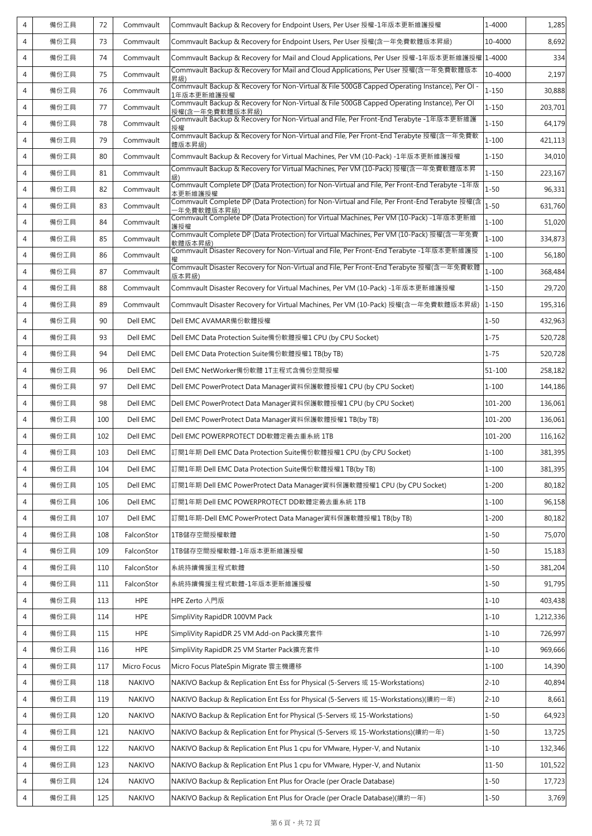| $\overline{4}$ | 備份工具 | 72  | Commvault     | Commvault Backup & Recovery for Endpoint Users, Per User 授權-1年版本更新維護授權                                         | 1-4000     | 1,285     |
|----------------|------|-----|---------------|----------------------------------------------------------------------------------------------------------------|------------|-----------|
| $\overline{4}$ | 備份工具 | 73  | Commvault     | Commvault Backup & Recovery for Endpoint Users, Per User 授權(含一年免費軟體版本昇級)                                       | 10-4000    | 8,692     |
| 4              | 備份工具 | 74  | Commvault     | Commvault Backup & Recovery for Mail and Cloud Applications, Per User 授權-1年版本更新維護授權 1-4000                     |            | 334       |
| 4              | 備份工具 | 75  | Commvault     | Commvault Backup & Recovery for Mail and Cloud Applications, Per User 授權(含一年免費軟體版本<br>昇級)                      | 10-4000    | 2,197     |
| 4              | 備份工具 | 76  | Commvault     | Commvault Backup & Recovery for Non-Virtual & File 500GB Capped Operating Instance), Per OI -<br>1年版本更新維護授權    | $1 - 150$  | 30,888    |
| 4              | 備份工具 | 77  | Commvault     | Commvault Backup & Recovery for Non-Virtual & File 500GB Capped Operating Instance), Per OI<br>授權(含一年免費軟體版本昇級) | $1 - 150$  | 203,701   |
| 4              | 備份工具 | 78  | Commvault     | Commvault Backup & Recovery for Non-Virtual and File, Per Front-End Terabyte -1年版本更新維護<br>授權                   | $1 - 150$  | 64,179    |
| 4              | 備份工具 | 79  | Commvault     | Commvault Backup & Recovery for Non-Virtual and File, Per Front-End Terabyte 授權(含一年免費軟<br>體版本昇級)               | $1 - 100$  | 421,113   |
| 4              | 備份工具 | 80  | Commvault     | Commvault Backup & Recovery for Virtual Machines, Per VM (10-Pack) -1年版本更新維護授權                                 | $1 - 150$  | 34,010    |
| 4              | 備份工具 | 81  | Commvault     | Commvault Backup & Recovery for Virtual Machines, Per VM (10-Pack) 授權(含一年免費軟體版本昇                               | $1 - 150$  | 223,167   |
| $\overline{4}$ | 備份工具 | 82  | Commvault     | Commvault Complete DP (Data Protection) for Non-Virtual and File, Per Front-End Terabyte -1年版<br>本更新維護授權       | $1 - 50$   | 96,331    |
| 4              | 備份工具 | 83  | Commvault     | Commvault Complete DP (Data Protection) for Non-Virtual and File, Per Front-End Terabyte 授權(含<br>年免費軟體版本昇級)    | $1 - 50$   | 631,760   |
| 4              | 備份工具 | 84  | Commvault     | Commvault Complete DP (Data Protection) for Virtual Machines, Per VM (10-Pack) -1年版本更新維<br>護授權                 | $1 - 100$  | 51,020    |
| 4              | 備份工具 | 85  | Commvault     | 軟體版本昇級)                                                                                                        | $1 - 100$  | 334,873   |
| 4              | 備份工具 | 86  | Commvault     | Commvault Disaster Recovery for Non-Virtual and File, Per Front-End Terabyte -1年版本更新維護授                        | $1 - 100$  | 56,180    |
| 4              | 備份工具 | 87  | Commvault     | Commvault Disaster Recovery for Non-Virtual and File, Per Front-End Terabyte 授權(含一年免費軟體<br>版本昇級)               | $1 - 100$  | 368,484   |
| 4              | 備份工具 | 88  | Commvault     | Commvault Disaster Recovery for Virtual Machines, Per VM (10-Pack) -1年版本更新維護授權                                 | $1 - 150$  | 29,720    |
| 4              | 備份工具 | 89  | Commvault     | Commvault Disaster Recovery for Virtual Machines, Per VM (10-Pack) 授權(含一年免費軟體版本昇級)                             | $1 - 150$  | 195,316   |
| 4              | 備份工具 | 90  | Dell EMC      | Dell EMC AVAMAR備份軟體授權                                                                                          | $1 - 50$   | 432,963   |
| 4              | 備份工具 | 93  | Dell EMC      | Dell EMC Data Protection Suite備份軟體授權1 CPU (by CPU Socket)                                                      | $1 - 75$   | 520,728   |
| 4              | 備份工具 | 94  | Dell EMC      | Dell EMC Data Protection Suite備份軟體授權1 TB(by TB)                                                                | $1 - 75$   | 520,728   |
| 4              | 備份工具 | 96  | Dell EMC      | Dell EMC NetWorker備份軟體 1T主程式含備份空間授權                                                                            | $51 - 100$ | 258,182   |
| 4              | 備份工具 | 97  | Dell EMC      | Dell EMC PowerProtect Data Manager資料保護軟體授權1 CPU (by CPU Socket)                                                | $1 - 100$  | 144,186   |
| 4              | 備份工具 | 98  | Dell EMC      | Dell EMC PowerProtect Data Manager資料保護軟體授權1 CPU (by CPU Socket)                                                | 101-200    | 136,061   |
| 4              | 備份工具 | 100 | Dell EMC      | Dell EMC PowerProtect Data Manager資料保護軟體授權1 TB(by TB)                                                          | 101-200    | 136,061   |
| 4              | 備份工具 | 102 | Dell EMC      | Dell EMC POWERPROTECT DD軟體定義去重系統 1TB                                                                           | 101-200    | 116,162   |
| $\overline{4}$ | 備份工具 | 103 | Dell EMC      | 訂閱1年期 Dell EMC Data Protection Suite備份軟體授權1 CPU (by CPU Socket)                                                | $1 - 100$  | 381,395   |
| 4              | 備份工具 | 104 | Dell EMC      | 訂閱1年期 Dell EMC Data Protection Suite備份軟體授權1 TB(by TB)                                                          | $1 - 100$  | 381,395   |
| 4              | 備份工具 | 105 | Dell EMC      | 訂閱1年期 Dell EMC PowerProtect Data Manager資料保護軟體授權1 CPU (by CPU Socket)                                          | $1 - 200$  | 80,182    |
| 4              | 備份工具 | 106 | Dell EMC      | 訂閱1年期 Dell EMC POWERPROTECT DD軟體定義去重系統 1TB                                                                     | $1 - 100$  | 96,158    |
| 4              | 備份工具 | 107 | Dell EMC      | 訂閱1年期-Dell EMC PowerProtect Data Manager資料保護軟體授權1 TB(by TB)                                                    | $1 - 200$  | 80,182    |
| 4              | 備份工具 | 108 | FalconStor    | 1TB儲存空間授權軟體                                                                                                    | $1 - 50$   | 75,070    |
| 4              | 備份工具 | 109 | FalconStor    | 1TB儲存空間授權軟體-1年版本更新維護授權                                                                                         | $1 - 50$   | 15,183    |
| 4              | 備份工具 | 110 | FalconStor    | 系統持續備援主程式軟體                                                                                                    | $1 - 50$   | 381,204   |
| 4              | 備份工具 | 111 | FalconStor    | 系統持續備援主程式軟體-1年版本更新維護授權                                                                                         | $1 - 50$   | 91,795    |
| 4              | 備份工具 | 113 | <b>HPE</b>    | HPE Zerto 入門版                                                                                                  | $1 - 10$   | 403,438   |
| 4              | 備份工具 | 114 | <b>HPE</b>    | SimpliVity RapidDR 100VM Pack                                                                                  | $1 - 10$   | 1,212,336 |
| 4              | 備份工具 | 115 | <b>HPE</b>    | SimpliVity RapidDR 25 VM Add-on Pack擴充套件                                                                       | $1 - 10$   | 726,997   |
| 4              | 備份工具 | 116 | <b>HPE</b>    | SimpliVity RapidDR 25 VM Starter Pack擴充套件                                                                      | $1 - 10$   | 969,666   |
| 4              | 備份工具 | 117 | Micro Focus   | Micro Focus PlateSpin Migrate 雲主機遷移                                                                            | $1 - 100$  | 14,390    |
| 4              | 備份工具 | 118 | <b>NAKIVO</b> | NAKIVO Backup & Replication Ent Ess for Physical (5-Servers 或 15-Workstations)                                 | $2 - 10$   | 40,894    |
| 4              | 備份工具 | 119 | <b>NAKIVO</b> | NAKIVO Backup & Replication Ent Ess for Physical (5-Servers 或 15-Workstations)(續約一年)                           | $2 - 10$   | 8,661     |
| 4              | 備份工具 | 120 | <b>NAKIVO</b> | NAKIVO Backup & Replication Ent for Physical (5-Servers 或 15-Workstations)                                     | $1 - 50$   | 64,923    |
| 4              | 備份工具 | 121 | <b>NAKIVO</b> | NAKIVO Backup & Replication Ent for Physical (5-Servers 或 15-Workstations)(續約一年)                               | $1 - 50$   | 13,725    |
| 4              | 備份工具 | 122 | <b>NAKIVO</b> | NAKIVO Backup & Replication Ent Plus 1 cpu for VMware, Hyper-V, and Nutanix                                    | $1 - 10$   | 132,346   |
| 4              | 備份工具 | 123 | <b>NAKIVO</b> | NAKIVO Backup & Replication Ent Plus 1 cpu for VMware, Hyper-V, and Nutanix                                    | $11 - 50$  | 101,522   |
| 4              | 備份工具 | 124 | <b>NAKIVO</b> | NAKIVO Backup & Replication Ent Plus for Oracle (per Oracle Database)                                          | $1 - 50$   | 17,723    |
| 4              | 備份工具 | 125 | <b>NAKIVO</b> | NAKIVO Backup & Replication Ent Plus for Oracle (per Oracle Database)(續約一年)                                    | $1 - 50$   | 3,769     |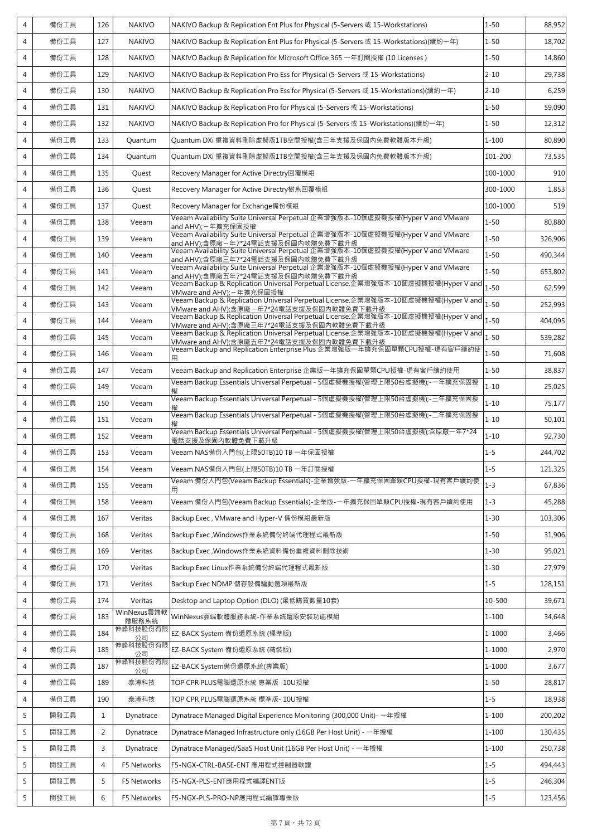| 4              | 備份工具 | 126            | <b>NAKIVO</b>        | NAKIVO Backup & Replication Ent Plus for Physical (5-Servers 或 15-Workstations)                                                 | $1 - 50$  | 88,952  |
|----------------|------|----------------|----------------------|---------------------------------------------------------------------------------------------------------------------------------|-----------|---------|
| 4              | 備份工具 | 127            | <b>NAKIVO</b>        | NAKIVO Backup & Replication Ent Plus for Physical (5-Servers 或 15-Workstations)(續約一年)                                           | $1 - 50$  | 18,702  |
| 4              | 備份工具 | 128            | <b>NAKIVO</b>        | NAKIVO Backup & Replication for Microsoft Office 365 一年訂閱授權 (10 Licenses)                                                       | $1 - 50$  | 14,860  |
| 4              | 備份工具 | 129            | <b>NAKIVO</b>        | NAKIVO Backup & Replication Pro Ess for Physical (5-Servers 或 15-Workstations)                                                  | $2 - 10$  | 29,738  |
| 4              | 備份工具 | 130            | <b>NAKIVO</b>        | NAKIVO Backup & Replication Pro Ess for Physical (5-Servers 或 15-Workstations)(續約一年)                                            | $2 - 10$  | 6,259   |
| 4              | 備份工具 | 131            | <b>NAKIVO</b>        | NAKIVO Backup & Replication Pro for Physical (5-Servers 或 15-Workstations)                                                      | $1 - 50$  | 59,090  |
| 4              | 備份工具 | 132            | <b>NAKIVO</b>        | NAKIVO Backup & Replication Pro for Physical (5-Servers 或 15-Workstations)(續約一年)                                                | $1 - 50$  | 12,312  |
| 4              | 備份工具 | 133            | Quantum              | Quantum DXi 重複資料刪除虛擬版1TB空間授權(含三年支援及保固內免費軟體版本升級)                                                                                 | $1 - 100$ | 80,890  |
| 4              | 備份工具 | 134            | Quantum              | Quantum DXi 重複資料刪除虛擬版1TB空間授權(含三年支援及保固內免費軟體版本升級)                                                                                 | 101-200   | 73,535  |
| 4              | 備份工具 | 135            | Quest                | Recovery Manager for Active Directry回覆模組                                                                                        | 100-1000  | 910     |
| 4              | 備份工具 | 136            | Quest                | Recovery Manager for Active Directry樹系回覆模組                                                                                      | 300-1000  | 1,853   |
| 4              | 備份工具 | 137            | Quest                | Recovery Manager for Exchange備份模組                                                                                               | 100-1000  | 519     |
| 4              | 備份工具 | 138            | Veeam                | Veeam Availability Suite Universal Perpetual 企業增強版本-10個虛擬機授權(Hyper V and VMware<br>and AHV); - 年擴充保固授權                          | $1 - 50$  | 80,880  |
| 4              | 備份工具 | 139            | Veeam                | Veeam Availability Suite Universal Perpetual 企業增強版本-10個虛擬機授權(Hyper V and VMware<br>and AHV);含原廠-年7*24電話支援及保固內軟體免費下載升級           | $1 - 50$  | 326,906 |
| 4              | 備份工具 | 140            | Veeam                | Veeam Availability Suite Universal Perpetual 企業增強版本-10個虛擬機授權(Hyper V and VMware<br>and AHV);含原廠三年7*24電話支援及保固內軟體免費下載升級           | $1 - 50$  | 490.344 |
| 4              | 備份工具 | 141            | Veeam                | Veeam Availability Suite Universal Perpetual 企業增強版本-10個虛擬機授權(Hyper V and VMware<br>and AHV);含原廠五年7*24電話支援及保固內軟體免費下載升級           | $1 - 50$  | 653,802 |
| 4              | 備份工具 | 142            | Veeam                | Veeam Backup & Replication Universal Perpetual License.企業增強版本-10個虛擬機授權(Hyper V and<br>VMware and AHV); - 年擴充保固授權                | $1 - 50$  | 62,599  |
| 4              | 備份工具 | 143            | Veeam                | Veeam Backup & Replication Universal Perpetual License.企業增強版本-10個虛擬機授權(Hyper V and<br>VMware and AHV);含原廠-年7*24電話支援及保固內軟體免費下載升級 | $1 - 50$  | 252,993 |
| $\overline{4}$ | 備份工具 | 144            | Veeam                | Veeam Backup & Replication Universal Perpetual License.企業增強版本-10個虛擬機授權(Hyper V and<br>VMware and AHV);含原廠三年7*24電話支援及保固內軟體免費下載升級 | $1 - 50$  | 404,095 |
| 4              | 備份工具 | 145            | Veeam                | Veeam Backup & Replication Universal Perpetual License.企業增強版本-10個虛擬機授權(Hyper V and<br>VMware and AHV);含原廠五年7*24電話支援及保固內軟體免費下載升級 | $1 - 50$  | 539,282 |
| 4              | 備份工具 | 146            | Veeam                | Veeam Backup and Replication Enterprise Plus 企業增強版一年擴充保固單顆CPU授權-現有客戶續約使                                                         | $1 - 50$  | 71,608  |
| 4              | 備份工具 | 147            | Veeam                | Veeam Backup and Replication Enterprise 企業版一年擴充保固單顆CPU授權-現有客戶續約使用                                                               | $1 - 50$  | 38,837  |
| 4              | 備份工具 | 149            | Veeam                | Veeam Backup Essentials Universal Perpetual - 5個虛擬機授權(管理上限50台虛擬機);-一年擴充保固授                                                      | $1 - 10$  | 25,025  |
| 4              | 備份工具 | 150            | Veeam                | Veeam Backup Essentials Universal Perpetual - 5個虛擬機授權(管理上限50台虛擬機);-三年擴充保固授                                                      | $1 - 10$  | 75,177  |
| 4              | 備份工具 | 151            | Veeam                | Veeam Backup Essentials Universal Perpetual - 5個虛擬機授權(管理上限50台虛擬機);-二年擴充保固授                                                      | $1 - 10$  | 50,101  |
| 4              | 備份工具 | 152            | Veeam                | Veeam Backup Essentials Universal Perpetual - 5個虛擬機授權(管理上限50台虛擬機);含原廠一年7*24<br>電話支援及保固內軟體免費下載升級                                 | $1 - 10$  | 92,730  |
| 4              | 備份工具 | 153            | Veeam                | Veeam NAS備份入門包(上限50TB)10 TB 一年保固授權                                                                                              | $1 - 5$   | 244,702 |
| 4              | 備份工具 | 154            | Veeam                | Veeam NAS備份入門包(上限50TB)10 TB 一年訂閱授權                                                                                              | $1 - 5$   | 121,325 |
| 4              | 備份工具 | 155            | Veeam                | Veeam 備份入門包(Veeam Backup Essentials)-企業增強版-—年擴充保固單顆CPU授權-現有客戶續約使                                                                | $1 - 3$   | 67,836  |
| 4              | 備份工具 | 158            | Veeam                | Veeam 備份入門包(Veeam Backup Essentials)-企業版-—年擴充保固單顆CPU授權-現有客戶續約使用                                                                 | $1 - 3$   | 45,288  |
| 4              | 備份工具 | 167            | Veritas              | Backup Exec, VMware and Hyper-V 備份模組最新版                                                                                         | $1 - 30$  | 103,306 |
| 4              | 備份工具 | 168            | Veritas              | Backup Exec, Windows作業系統備份終端代理程式最新版                                                                                             | $1 - 50$  | 31,906  |
| 4              | 備份工具 | 169            | Veritas              | Backup Exec, Windows作業系統資料備份重複資料刪除技術                                                                                            | $1 - 30$  | 95,021  |
| 4              | 備份工具 | 170            | Veritas              | Backup Exec Linux作業系統備份終端代理程式最新版                                                                                                | $1 - 30$  | 27,979  |
| 4              | 備份工具 | 171            | Veritas              | Backup Exec NDMP 儲存設備驅動選項最新版                                                                                                    | $1 - 5$   | 128,151 |
| 4              | 備份工具 | 174            | Veritas              | Desktop and Laptop Option (DLO) (最低購買數量10套)                                                                                     | 10-500    | 39,671  |
| 4              | 備份工具 | 183            | WinNexus雲端軟<br>體服務系統 | WinNexus雲端軟體服務系統-作業系統還原安裝功能模組                                                                                                   | $1 - 100$ | 34,648  |
| 4              | 備份工具 | 184            | 伸峰科技股份有限<br>公司       | EZ-BACK System 備份還原系統 (標準版)                                                                                                     | 1-1000    | 3,466   |
| 4              | 備份工具 | 185            | 伸峰科技股份有限<br>公司       | EZ-BACK System 備份還原系統 (精裝版)                                                                                                     | 1-1000    | 2,970   |
| 4              | 備份工具 | 187            | 伸峰科技股份有限<br>公司       | EZ-BACK System備份還原系統(專業版)                                                                                                       | 1-1000    | 3,677   |
| 4              | 備份工具 | 189            | 泰溥科技                 | TOP CPR PLUS電腦還原系統 專業版 -10U授權                                                                                                   | $1 - 50$  | 28,817  |
| 4              | 備份工具 | 190            | 泰溥科技                 | TOP CPR PLUS電腦還原系統 標準版- 10U授權                                                                                                   | $1 - 5$   | 18,938  |
| 5              | 開發工具 | $\mathbf{1}$   | Dynatrace            | Dynatrace Managed Digital Experience Monitoring (300,000 Unit) - 一年授權                                                           | $1 - 100$ | 200,202 |
| 5              | 開發工具 | 2              | Dynatrace            | Dynatrace Managed Infrastructure only (16GB Per Host Unit) - 一年授權                                                               | $1 - 100$ | 130,435 |
| 5              | 開發工具 | 3              | Dynatrace            | Dynatrace Managed/SaaS Host Unit (16GB Per Host Unit) - 一年授權                                                                    | $1 - 100$ | 250,738 |
| 5              | 開發工具 | $\overline{4}$ | F5 Networks          | F5-NGX-CTRL-BASE-ENT 應用程式控制器軟體                                                                                                  | $1 - 5$   | 494,443 |
| 5              | 開發工具 | 5              | F5 Networks          | F5-NGX-PLS-ENT應用程式編譯ENT版                                                                                                        | $1 - 5$   | 246,304 |
| 5              | 開發工具 | 6              | F5 Networks          | F5-NGX-PLS-PRO-NP應用程式編譯專業版                                                                                                      | $1 - 5$   | 123,456 |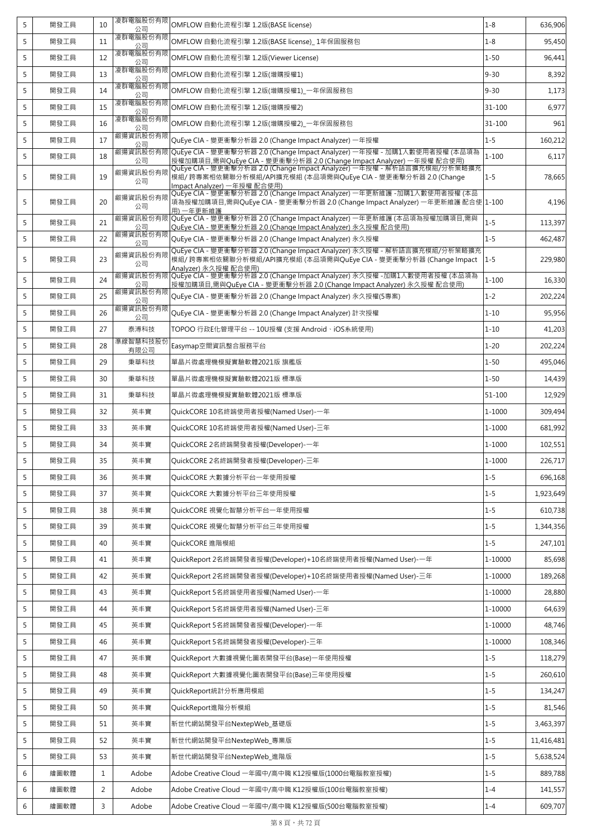| 5 | 開發工具 | 10             | 凌群電腦股份有限<br>公司   | OMFLOW 自動化流程引擎 1.2版(BASE license)                                                                                                                                      | $1 - 8$    | 636,906    |
|---|------|----------------|------------------|------------------------------------------------------------------------------------------------------------------------------------------------------------------------|------------|------------|
| 5 | 開發工具 | 11             | 凌群電腦股份有限<br>公司   | OMFLOW 自動化流程引擎 1.2版(BASE license) 1年保固服務包                                                                                                                              | $1 - 8$    | 95,450     |
| 5 | 開發工具 | 12             | 凌群電腦股份有限<br>公司   | OMFLOW 自動化流程引擎 1.2版(Viewer License)                                                                                                                                    | $1 - 50$   | 96,441     |
| 5 | 開發工具 | 13             | 凌群電腦股份有限<br>公司   | OMFLOW 自動化流程引擎 1.2版(增購授權1)                                                                                                                                             | $9 - 30$   | 8,392      |
| 5 | 開發工具 | 14             | 凌群電腦股份有限<br>公司   | OMFLOW 自動化流程引擎 1.2版(增購授權1)_一年保固服務包                                                                                                                                     | $9 - 30$   | 1,173      |
| 5 | 開發工具 | 15             | 凌群電腦股份有限<br>公司   | OMFLOW 自動化流程引擎 1.2版(增購授權2)                                                                                                                                             | 31-100     | 6,977      |
| 5 | 開發工具 | 16             | 凌群電腦股份有限<br>公司   | OMFLOW 自動化流程引擎 1.2版(增購授權2)_一年保固服務包                                                                                                                                     | 31-100     | 961        |
| 5 | 開發工具 | 17             | 叡揚資訊股份有限<br>公司   | QuEye CIA - 變更衝擊分析器 2.0 (Change Impact Analyzer) 一年授權                                                                                                                  | $1 - 5$    | 160,212    |
| 5 | 開發工具 | 18             | 叡揚資訊股份有限<br>公司   | QuEye CIA - 變更衝擊分析器 2.0 (Change Impact Analyzer) 一年授權 - 加購1人數使用者授權 (本品項為<br>授權加購項目,需與QuEye CIA - 變更衝擊分析器 2.0 (Change Impact Analyzer) 一年授權 配合使用)                       | $1 - 100$  | 6,117      |
| 5 | 開發工具 | 19             | 叡揚資訊股份有限<br>公司   | QuEye CIA - 變更衝擊分析器 2.0 (Change Impact Analyzer) 一年授權 - 解析語言擴充模組/分析策略擴充<br>模組/跨專案相依關聯分析模組/API擴充模組 (本品項需與QuEye CIA - 變更衝擊分析器 2.0 (Change<br>Impact Analyzer) 一年授權 配合使用) | $1 - 5$    | 78,665     |
| 5 | 開發工具 | 20             | 叡揚資訊股份有限<br>公司   | QuEye CIA - 變更衝擊分析器 2.0 (Change Impact Analyzer) 一年更新維護 -加購1人數使用者授權 (本品<br>項為授權加購項目,需與QuEye CIA - 變更衝擊分析器 2.0 (Change Impact Analyzer) 一年更新維護 配合使 1-100<br>用) 一年更新維護   |            | 4,196      |
| 5 | 開發工具 | 21             | 叡揚資訊股份有限<br>公司   | QuEye CIA - 變更衝擊分析器 2.0 (Change Impact Analyzer) 一年更新維護 (本品項為授權加購項目,需與<br>OuEve CIA - 變更衝擊分析器 2.0 (Change Impact Analyzer) 永久授權 配合使用)                                  | $1 - 5$    | 113,397    |
| 5 | 開發工具 | 22             | 叡揚資訊股份有限<br>公司   | QuEye CIA - 變更衝擊分析器 2.0 (Change Impact Analyzer) 永久授權                                                                                                                  | $1 - 5$    | 462,487    |
| 5 | 開發工具 | 23             | 叡揚資訊股份有限<br>公司   | QuEye CIA - 變更衝擊分析器 2.0 (Change Impact Analyzer) 永久授權 - 解析語言擴充模組/分析策略擴充<br>模組/跨專案相依關聯分析模組/API擴充模組 (本品項需與QuEve CIA - 變更衝擊分析器 (Change Impact<br>Analyzer) 永久授權 配合使用)     | $1 - 5$    | 229,980    |
| 5 | 開發工具 | 24             | 叡揚資訊股份有限<br>公司   | QuEye CIA - 變更衝擊分析器 2.0 (Change Impact Analyzer) 永久授權 -加購1人數使用者授權 (本品項為<br>授權加購項目,需與QuEye CIA - 變更衝擊分析器 2.0 (Change Impact Analyzer) 永久授權 配合使用)                        | $1 - 100$  | 16,330     |
| 5 | 開發工具 | 25             | 叡揚資訊股份有限<br>公司   | OuEye CIA - 變更衝擊分析器 2.0 (Change Impact Analyzer) 永久授權(5專案)                                                                                                             | $1 - 2$    | 202,224    |
| 5 | 開發工具 | 26             | 叡揚資訊股份有限<br>公司   | QuEye CIA - 變更衝擊分析器 2.0 (Change Impact Analyzer) 計次授權                                                                                                                  | $1 - 10$   | 95,956     |
| 5 | 開發工具 | 27             | 泰溥科技             | TOPOO 行政E化管理平台 -- 10U授權 (支援 Android、iOS系統使用)                                                                                                                           | $1 - 10$   | 41,203     |
| 5 | 開發工具 | 28             | 準線智慧科技股份<br>有限公司 | Easymap空間資訊整合服務平台                                                                                                                                                      | $1 - 20$   | 202,224    |
| 5 | 開發工具 | 29             | 秉華科技             | 單晶片微處理機模擬實驗軟體2021版 旗艦版                                                                                                                                                 | $1 - 50$   | 495,046    |
| 5 | 開發工具 | 30             | 秉華科技             | 單晶片微處理機模擬實驗軟體2021版 標準版                                                                                                                                                 | $1 - 50$   | 14,439     |
| 5 | 開發工具 | 31             | 秉華科技             | 單晶片微處理機模擬實驗軟體2021版 標準版                                                                                                                                                 | $51 - 100$ | 12,929     |
| 5 | 開發工具 | 32             | 英丰寶              | QuickCORE 10名終端使用者授權(Named User)-一年                                                                                                                                    | 1-1000     | 309,494    |
| 5 | 開發工具 | 33             | 英丰寶              | QuickCORE 10名終端使用者授權(Named User)-三年                                                                                                                                    | 1-1000     | 681,992    |
| 5 | 開發工具 | 34             | 英丰寶              | QuickCORE 2名終端開發者授權(Developer)-一年                                                                                                                                      | 1-1000     | 102,551    |
| э | 開發工具 | 35             | 英丰寶              | QuickCORE 2名終端開發者授權(Developer)-三年                                                                                                                                      | $1 - 1000$ | 226,717    |
| 5 | 開發工具 | 36             | 英丰寶              | QuickCORE 大數據分析平台一年使用授權                                                                                                                                                | $1 - 5$    | 696,168    |
| 5 | 開發工具 | 37             | 英丰寶              | QuickCORE 大數據分析平台三年使用授權                                                                                                                                                | $1 - 5$    | 1,923,649  |
| 5 | 開發工具 | 38             | 英丰寶              | QuickCORE 視覺化智慧分析平台一年使用授權                                                                                                                                              | $1 - 5$    | 610,738    |
| 5 | 開發工具 | 39             | 英丰寶              | QuickCORE 視覺化智慧分析平台三年使用授權                                                                                                                                              | $1 - 5$    | 1,344,356  |
| 5 | 開發工具 | 40             | 英丰寶              | QuickCORE 進階模組                                                                                                                                                         | $1 - 5$    | 247,101    |
| 5 | 開發工具 | 41             | 英丰寶              | QuickReport 2名終端開發者授權(Developer)+10名終端使用者授權(Named User)-一年                                                                                                             | 1-10000    | 85,698     |
| 5 | 開發工具 | 42             | 英丰寶              | OuickReport 2名終端開發者授權(Developer)+10名終端使用者授權(Named User)-三年                                                                                                             | 1-10000    | 189,268    |
| 5 | 開發工具 | 43             | 英丰寶              | QuickReport 5名終端使用者授權(Named User)-一年                                                                                                                                   | 1-10000    | 28,880     |
| 5 | 開發工具 | 44             | 英丰寶              | QuickReport 5名終端使用者授權(Named User)-三年                                                                                                                                   | 1-10000    | 64,639     |
| 5 | 開發工具 | 45             | 英丰寶              | QuickReport 5名終端開發者授權(Developer)-一年                                                                                                                                    | 1-10000    | 48,746     |
| 5 | 開發工具 | 46             | 英丰寶              | QuickReport 5名終端開發者授權(Developer)-三年                                                                                                                                    | 1-10000    | 108,346    |
| 5 | 開發工具 | 47             | 英丰寶              | QuickReport 大數據視覺化圖表開發平台(Base)一年使用授權                                                                                                                                   | $1 - 5$    | 118,279    |
| 5 | 開發工具 | 48             | 英丰寶              | QuickReport 大數據視覺化圖表開發平台(Base)三年使用授權                                                                                                                                   | $1 - 5$    | 260,610    |
| 5 | 開發工具 | 49             | 英丰寶              | QuickReport統計分析應用模組                                                                                                                                                    | $1 - 5$    | 134,247    |
| 5 | 開發工具 | 50             | 英丰寶              | QuickReport進階分析模組                                                                                                                                                      | $1 - 5$    | 81,546     |
| 5 | 開發工具 | 51             | 英丰寶              | 新世代網站開發平台NextepWeb_基礎版                                                                                                                                                 | $1 - 5$    | 3,463,397  |
| 5 | 開發工具 | 52             | 英丰寶              | 新世代網站開發平台NextepWeb_專業版                                                                                                                                                 | $1 - 5$    | 11,416,481 |
| 5 | 開發工具 | 53             | 英丰寶              | 新世代網站開發平台NextepWeb_進階版                                                                                                                                                 | $1 - 5$    | 5,638,524  |
| 6 | 繪圖軟體 | 1              | Adobe            | Adobe Creative Cloud 一年國中/高中職 K12授權版(1000台電腦教室授權)                                                                                                                      | $1 - 5$    | 889,788    |
| 6 | 繪圖軟體 | $\overline{2}$ | Adobe            | Adobe Creative Cloud 一年國中/高中職 K12授權版(100台電腦教室授權)                                                                                                                       | $1 - 4$    | 141,557    |
| 6 | 繪圖軟體 | 3              | Adobe            | Adobe Creative Cloud 一年國中/高中職 K12授權版(500台電腦教室授權)                                                                                                                       | $1 - 4$    | 609,707    |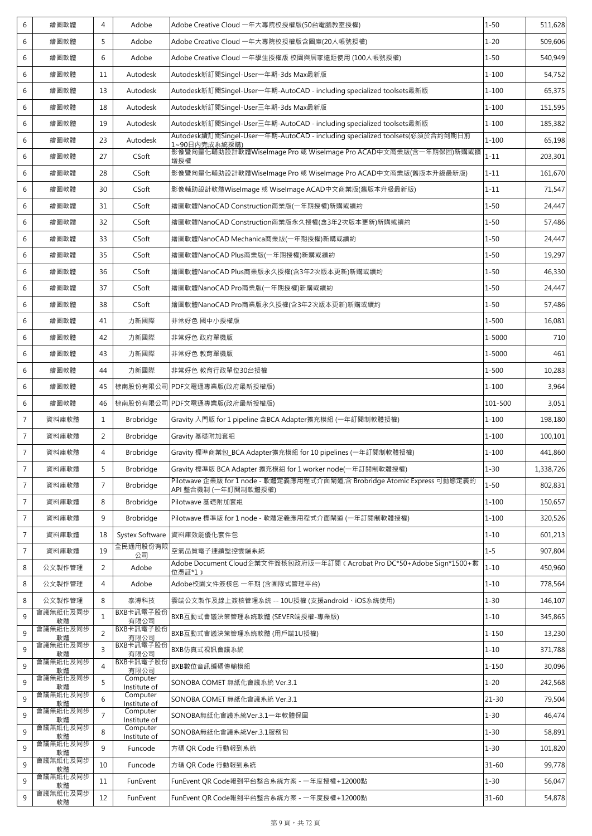| 6              | 繪圖軟體           | $\overline{4}$ | Adobe                    | Adobe Creative Cloud 一年大專院校授權版(50台電腦教室授權)                                                         | $1 - 50$  | 511,628   |
|----------------|----------------|----------------|--------------------------|---------------------------------------------------------------------------------------------------|-----------|-----------|
| 6              | 繪圖軟體           | 5              | Adobe                    | Adobe Creative Cloud 一年大專院校授權版含圖庫(20人帳號授權)                                                        | $1 - 20$  | 509,606   |
| 6              | 繪圖軟體           | 6              | Adobe                    | Adobe Creative Cloud 一年學生授權版 校園與居家遠距使用 (100人帳號授權)                                                 | $1 - 50$  | 540,949   |
| 6              | 繪圖軟體           | 11             | Autodesk                 | Autodesk新訂閱Singel-User一年期-3ds Max最新版                                                              | $1 - 100$ | 54,752    |
| 6              | 繪圖軟體           | 13             | Autodesk                 | Autodesk新訂閱Singel-User一年期-AutoCAD - including specialized toolsets最新版                             | $1 - 100$ | 65,375    |
| 6              | 繪圖軟體           | 18             | Autodesk                 | Autodesk新訂閱Singel-User三年期-3ds Max最新版                                                              | $1 - 100$ | 151,595   |
| 6              | 繪圖軟體           | 19             | Autodesk                 | Autodesk新訂閱Singel-User三年期-AutoCAD - including specialized toolsets最新版                             | $1 - 100$ | 185,382   |
| 6              | 繪圖軟體           | 23             | Autodesk                 | Autodesk續訂閱Singel-User一年期-AutoCAD - including specialized toolsets(必須於合約到期日前<br>1~90日內完成系統採購)     | $1 - 100$ | 65,198    |
| 6              | 繪圖軟體           | 27             | CSoft                    | 影像暨向量化輔助設計軟體WiseImage Pro 或 WiseImage Pro ACAD中文商業版(含一年期保固)新購或擴<br>增授權                            | $1 - 11$  | 203,301   |
| 6              | 繪圖軟體           | 28             | CSoft                    | 影像暨向量化輔助設計軟體WiseImage Pro 或 WiseImage Pro ACAD中文商業版(舊版本升級最新版)                                     | $1 - 11$  | 161,670   |
| 6              | 繪圖軟體           | 30             | CSoft                    | 影像輔助設計軟體WiseImage 或 WiseImage ACAD中文商業版(舊版本升級最新版)                                                 | $1 - 11$  | 71,547    |
| 6              | 繪圖軟體           | 31             | CSoft                    | 繪圖軟體NanoCAD Construction商業版(一年期授權)新購或續約                                                           | $1 - 50$  | 24,447    |
| 6              | 繪圖軟體           | 32             | CSoft                    | 繪圖軟體NanoCAD Construction商業版永久授權(含3年2次版本更新)新購或續約                                                   | $1 - 50$  | 57,486    |
| 6              | 繪圖軟體           | 33             | CSoft                    | 繪圖軟體NanoCAD Mechanica商業版(一年期授權)新購或續約                                                              | $1 - 50$  | 24,447    |
| 6              | 繪圖軟體           | 35             | CSoft                    | 繪圖軟體NanoCAD Plus商業版(一年期授權)新購或續約                                                                   | $1 - 50$  | 19,297    |
| 6              | 繪圖軟體           | 36             | CSoft                    | 繪圖軟體NanoCAD Plus商業版永久授權(含3年2次版本更新)新購或續約                                                           | $1 - 50$  | 46,330    |
| 6              | 繪圖軟體           | 37             | CSoft                    | 繪圖軟體NanoCAD Pro商業版(一年期授權)新購或續約                                                                    | $1 - 50$  | 24,447    |
| 6              | 繪圖軟體           | 38             | CSoft                    | 繪圖軟體NanoCAD Pro商業版永久授權(含3年2次版本更新)新購或續約                                                            | $1 - 50$  | 57,486    |
| 6              | 繪圖軟體           | 41             | 力新國際                     | 非常好色 國中小授權版                                                                                       | $1 - 500$ | 16,081    |
| 6              | 繪圖軟體           | 42             | 力新國際                     | 非常好色 政府單機版                                                                                        | 1-5000    | 710       |
| 6              | 繪圖軟體           | 43             | 力新國際                     | 非常好色 教育單機版                                                                                        | 1-5000    | 461       |
| 6              | 繪圖軟體           | 44             | 力新國際                     | 非常好色 教育行政單位30台授權                                                                                  | $1 - 500$ | 10,283    |
| 6              | 繪圖軟體           | 45             |                          | 棣南股份有限公司  PDF文電通專業版(政府最新授權版)                                                                      | $1 - 100$ | 3,964     |
| 6              | 繪圖軟體           | 46             |                          | 棣南股份有限公司 PDF文電通專業版(政府最新授權版)                                                                       | 101-500   | 3,051     |
| $\overline{7}$ | 資料庫軟體          | $\mathbf{1}$   | <b>Brobridge</b>         | Gravity 入門版 for 1 pipeline 含BCA Adapter擴充模組 (一年訂閱制軟體授權)                                           | $1 - 100$ | 198,180   |
| $\overline{7}$ | 資料庫軟體          | 2              | <b>Brobridge</b>         | Gravity 基礎附加套組                                                                                    | $1 - 100$ | 100,101   |
| $\overline{7}$ | 資料庫軟體          | $\overline{4}$ | <b>Brobridge</b>         | Gravity 標準商業包_BCA Adapter擴充模組 for 10 pipelines (一年訂閱制軟體授權)                                        | $1 - 100$ | 441,860   |
| 7              | 資料庫軟體          | 5              | <b>Brobridge</b>         | Gravity 標準版 BCA Adapter 擴充模組 for 1 worker node(一年訂閱制軟體授權)                                         | $1 - 30$  | 1,338,726 |
| $\overline{7}$ | 資料庫軟體          | $\overline{7}$ | Brobridge                | Pilotwave 企業版 for 1 node - 軟體定義應用程式介面閘道,含 Brobridge Atomic Express 可動態定義的<br>API 整合機制 (一年訂閱制軟體授權) | $1 - 50$  | 802,831   |
| $\overline{7}$ | 資料庫軟體          | 8              | <b>Brobridge</b>         | Pilotwave 基礎附加套組                                                                                  | $1 - 100$ | 150,657   |
| $\overline{7}$ | 資料庫軟體          | 9              | Brobridge                | Pilotwave 標準版 for 1 node - 軟體定義應用程式介面閘道 (一年訂閱制軟體授權)                                               | $1 - 100$ | 320,526   |
| $\overline{7}$ | 資料庫軟體          | 18             | Systex Software          | 資料庫效能優化套件包                                                                                        | $1 - 10$  | 601,213   |
| $\sqrt{7}$     | 資料庫軟體          | 19             | 全民通用股份有限<br>公司           | 空氣品質電子連續監控雲端系統                                                                                    | $1 - 5$   | 907,804   |
| 8              | 公文製作管理         | 2              | Adobe                    | Adobe Document Cloud企業文件簽核包政府版一年訂閱 t Acrobat Pro DC*50+Adobe Sign*1500+數<br>位憑証*1;                | $1 - 10$  | 450,960   |
| 8              | 公文製作管理         | $\overline{4}$ | Adobe                    | Adobe校園文件簽核包 一年期 (含團隊式管理平台)                                                                       | $1 - 10$  | 778,564   |
| 8              | 公文製作管理         | 8              | 泰溥科技                     | 雲端公文製作及線上簽核管理系統 -- 10U授權 (支援android、iOS系統使用)                                                      | $1 - 30$  | 146,107   |
| 9              | 會議無紙化及同步<br>軟體 | $\mathbf{1}$   | BXB卡訊電子股份<br>有限公司        | BXB互動式會議決策管理系統軟體 (SEVER端授權-專業版)                                                                   | $1 - 10$  | 345,865   |
| 9              | 會議無紙化及同步<br>軟體 | 2              | BXB卡訊電子股份<br>有限公司        | BXB互動式會議決策管理系統軟體 (用戶端1U授權)                                                                        | $1 - 150$ | 13,230    |
| 9              | 會議無紙化及同步<br>軟體 | $\overline{3}$ | BXB卡訊電子股份<br>有限公司        | BXB仿真式視訊會議系統                                                                                      | $1 - 10$  | 371,788   |
| 9              | 會議無紙化及同步<br>軟體 | $\overline{A}$ | BXB卡訊電子股份<br>有限公司        | BXB數位音訊編碼傳輸模組                                                                                     | $1 - 150$ | 30,096    |
| 9              | 會議無紙化及同步<br>軟體 | 5              | Computer<br>Institute of | SONOBA COMET 無紙化會議系統 Ver.3.1                                                                      | $1 - 20$  | 242,568   |
| 9              | 會議無紙化及同步<br>軟體 | 6              | Computer<br>Institute of | SONOBA COMET 無紙化會議系統 Ver.3.1                                                                      | $21 - 30$ | 79,504    |
| 9              | 會議無紙化及同步<br>軟體 | $\overline{7}$ | Computer<br>Institute of | SONOBA無紙化會議系統Ver.3.1一年軟體保固                                                                        | $1 - 30$  | 46,474    |
| 9              | 會議無紙化及同步<br>軟體 | 8              | Computer<br>Institute of | SONOBA無紙化會議系統Ver.3.1服務包                                                                           | $1 - 30$  | 58,891    |
| 9              | 會議無紙化及同步<br>軟體 | 9              | Funcode                  | 方碼 QR Code 行動報到系統                                                                                 | $1 - 30$  | 101,820   |
| 9              | 會議無紙化及同步<br>軟體 | 10             | Funcode                  | 方碼 QR Code 行動報到系統                                                                                 | $31 - 60$ | 99,778    |
| 9              | 會議無紙化及同步<br>軟體 | 11             | FunEvent                 | FunEvent QR Code報到平台整合系統方案 - 一年度授權+12000點                                                         | $1 - 30$  | 56,047    |
| 9              | 會議無紙化及同步<br>軟體 | 12             | FunEvent                 | FunEvent QR Code報到平台整合系統方案 - 一年度授權+12000點                                                         | $31 - 60$ | 54,878    |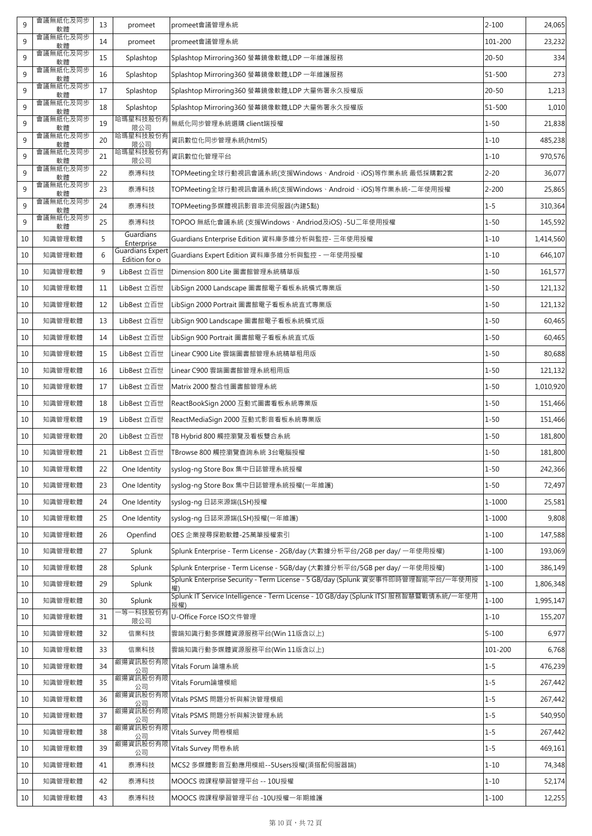| 9  | 會議無紙化及同步<br>軟體 | 13 | promeet                                  | promeet會議管理系統                                                                                | $2 - 100$ | 24,065    |
|----|----------------|----|------------------------------------------|----------------------------------------------------------------------------------------------|-----------|-----------|
| 9  | 會議無紙化及同步<br>軟體 | 14 | promeet                                  | promeet會議管理系統                                                                                | 101-200   | 23,232    |
| 9  | 會議無紙化及同步<br>軟體 | 15 | Splashtop                                | Splashtop Mirroring360 螢幕鏡像軟體,LDP 一年維護服務                                                     | $20 - 50$ | 334       |
| 9  | 會議無紙化及同步<br>軟體 | 16 | Splashtop                                | Splashtop Mirroring360 螢幕鏡像軟體,LDP 一年維護服務                                                     | 51-500    | 273       |
| 9  | 會議無紙化及同步<br>軟體 | 17 | Splashtop                                | Splashtop Mirroring360 螢幕鏡像軟體,LDP 大量佈署永久授權版                                                  | $20 - 50$ | 1,213     |
| 9  | 會議無紙化及同步<br>軟體 | 18 | Splashtop                                | Splashtop Mirroring360 螢幕鏡像軟體,LDP 大量佈署永久授權版                                                  | 51-500    | 1,010     |
| 9  | 會議無紙化及同步<br>軟體 | 19 | 哈瑪星科技股份有<br>限公司                          | 無紙化同步管理系統選購 client端授權                                                                        | $1 - 50$  | 21,838    |
| 9  | 會議無紙化及同步<br>軟體 | 20 | 哈瑪星科技股份有<br>限公司                          | 資訊數位化同步管理系統(html5)                                                                           | $1 - 10$  | 485,238   |
| 9  | 會議無紙化及同步<br>軟體 | 21 | 哈瑪星科技股份有<br>限公司                          | 資訊數位化管理平台                                                                                    | $1 - 10$  | 970,576   |
| 9  | 會議無紙化及同步<br>軟體 | 22 | 泰溥科技                                     | TOPMeeting全球行動視訊會議系統(支援Windows、Android、iOS)等作業系統 最低採購數2套                                     | $2 - 20$  | 36,077    |
| 9  | 會議無紙化及同步<br>軟體 | 23 | 泰溥科技                                     | TOPMeeting全球行動視訊會議系統(支援Windows、Android、iOS)等作業系統-二年使用授權                                      | $2 - 200$ | 25,865    |
| 9  | 會議無紙化及同步<br>軟體 | 24 | 泰溥科技                                     | TOPMeeting多媒體視訊影音串流伺服器(內建5點)                                                                 | $1 - 5$   | 310,364   |
| 9  | 會議無紙化及同步<br>軟體 | 25 | 泰溥科技                                     | TOPOO 無紙化會議系統 (支援Windows、Andriod及iOS) -5U二年使用授權                                              | $1 - 50$  | 145,592   |
| 10 | 知識管理軟體         | 5  | Guardians<br>Enterprise                  | Guardians Enterprise Edition 資料庫多維分析與監控- 三年使用授權                                              | $1 - 10$  | 1,414,560 |
| 10 | 知識管理軟體         | 6  | <b>Guardians Expert</b><br>Edition for o | Guardians Expert Edition 資料庫多維分析與監控 - 一年使用授權                                                 | $1 - 10$  | 646,107   |
| 10 | 知識管理軟體         | 9  | LibBest 立百世                              | Dimension 800 Lite 圖書館管理系統精華版                                                                | $1 - 50$  | 161,577   |
| 10 | 知識管理軟體         | 11 | LibBest 立百世                              | LibSign 2000 Landscape 圖書館電子看板系統橫式專業版                                                        | $1 - 50$  | 121,132   |
| 10 | 知識管理軟體         | 12 | LibBest 立百世                              | LibSign 2000 Portrait 圖書館電子看板系統直式專業版                                                         | $1 - 50$  | 121,132   |
| 10 | 知識管理軟體         | 13 | LibBest 立百世                              | LibSign 900 Landscape 圖書館電子看板系統橫式版                                                           | $1 - 50$  | 60,465    |
| 10 | 知識管理軟體         | 14 | LibBest 立百世                              | LibSign 900 Portrait 圖書館電子看板系統直式版                                                            | $1 - 50$  | 60,465    |
| 10 | 知識管理軟體         | 15 | LibBest 立百世                              | Linear C900 Lite 雲端圖書館管理系統精華租用版                                                              | $1 - 50$  | 80,688    |
| 10 | 知識管理軟體         | 16 | LibBest 立百世                              | Linear C900 雲端圖書館管理系統租用版                                                                     | $1 - 50$  | 121,132   |
| 10 | 知識管理軟體         | 17 | LibBest 立百世                              | Matrix 2000 整合性圖書館管理系統                                                                       | $1 - 50$  | 1,010,920 |
| 10 | 知識管理軟體         | 18 | LibBest 立百世                              | ReactBookSign 2000 互動式圖書看板系統專業版                                                              | $1 - 50$  | 151,466   |
| 10 | 知識管理軟體         | 19 | LibBest 立百世                              | ReactMediaSign 2000 互動式影音看板系統專業版                                                             | $1 - 50$  | 151,466   |
| 10 | 知識管理軟體         | 20 | LibBest 立百世                              | TB Hybrid 800 觸控瀏覽及看板雙合系統                                                                    | $1 - 50$  | 181,800   |
| 10 | 知識管理軟體         | 21 | LibBest 立百世                              | TBrowse 800 觸控瀏覽查詢系統 3台電腦授權                                                                  | $1 - 50$  | 181,800   |
| 10 | 知識管理軟體         | 22 | One Identity                             | syslog-ng Store Box 集中日誌管理系統授權                                                               | $1 - 50$  | 242,366   |
| 10 | 知識管理軟體         | 23 | One Identity                             | syslog-ng Store Box 集中日誌管理系統授權(一年維護)                                                         | $1 - 50$  | 72,497    |
| 10 | 知識管理軟體         | 24 | One Identity                             | syslog-ng 日誌來源端(LSH)授權                                                                       | 1-1000    | 25,581    |
| 10 | 知識管理軟體         | 25 | One Identity                             | syslog-ng 日誌來源端(LSH)授權(一年維護)                                                                 | 1-1000    | 9,808     |
| 10 | 知識管理軟體         | 26 | Openfind                                 | OES 企業搜尋探勘軟體-25萬筆授權索引                                                                        | $1 - 100$ | 147,588   |
| 10 | 知識管理軟體         | 27 | Splunk                                   | Splunk Enterprise - Term License - 2GB/day (大數據分析平台/2GB per day/ 一年使用授權)                     | $1 - 100$ | 193,069   |
| 10 | 知識管理軟體         | 28 | Splunk                                   | Splunk Enterprise - Term License - 5GB/day (大數據分析平台/5GB per day/ 一年使用授權)                     | $1 - 100$ | 386,149   |
| 10 | 知識管理軟體         | 29 | Splunk                                   | Splunk Enterprise Security - Term License - 5 GB/day (Splunk 資安事件即時管理智能平台/一年使用授<br>權)        | $1 - 100$ | 1,806,348 |
| 10 | 知識管理軟體         | 30 | Splunk                                   | Splunk IT Service Intelligence - Term License - 10 GB/day (Splunk ITSI 服務智慧暨戰情系統/一年使用<br>授權) | $1 - 100$ | 1,995,147 |
| 10 | 知識管理軟體         | 31 | -等一科技股份有<br>限公司                          | U-Office Force ISO文件管理                                                                       | $1 - 10$  | 155,207   |
| 10 | 知識管理軟體         | 32 | 信業科技                                     | 雲端知識行動多媒體資源服務平台(Win 11版含以上)                                                                  | $5 - 100$ | 6,977     |
| 10 | 知識管理軟體         | 33 | 信業科技                                     | 雲端知識行動多媒體資源服務平台(Win 11版含以上)                                                                  | 101-200   | 6,768     |
| 10 | 知識管理軟體         | 34 | 叡揚資訊股份有限<br>公司                           | Vitals Forum 論壇系統                                                                            | $1 - 5$   | 476,239   |
| 10 | 知識管理軟體         | 35 | 叡揚資訊股份有限<br>公司                           | Vitals Forum論壇模組                                                                             | $1 - 5$   | 267,442   |
| 10 | 知識管理軟體         | 36 | 叡揚資訊股份有限<br>公司                           | Vitals PSMS 問題分析與解決管理模組                                                                      | $1 - 5$   | 267,442   |
| 10 | 知識管理軟體         | 37 | 叡揚資訊股份有限<br>公司                           | Vitals PSMS 問題分析與解決管理系統                                                                      | $1 - 5$   | 540,950   |
| 10 | 知識管理軟體         | 38 | 叡揚資訊股份有限<br>公司                           | Vitals Survey 問卷模組                                                                           | $1 - 5$   | 267,442   |
| 10 | 知識管理軟體         | 39 | 叡揚資訊股份有限<br>公司                           | Vitals Survey 問卷系統                                                                           | $1 - 5$   | 469,161   |
| 10 | 知識管理軟體         | 41 | 泰溥科技                                     | MCS2 多媒體影音互動應用模組--5Users授權(須搭配伺服器端)                                                          | $1 - 10$  | 74,348    |
| 10 | 知識管理軟體         | 42 | 泰溥科技                                     | MOOCS 微課程學習管理平台 -- 10U授權                                                                     | $1 - 10$  | 52,174    |
| 10 | 知識管理軟體         | 43 | 泰溥科技                                     | MOOCS 微課程學習管理平台 -10U授權一年期維護                                                                  | $1 - 100$ | 12,255    |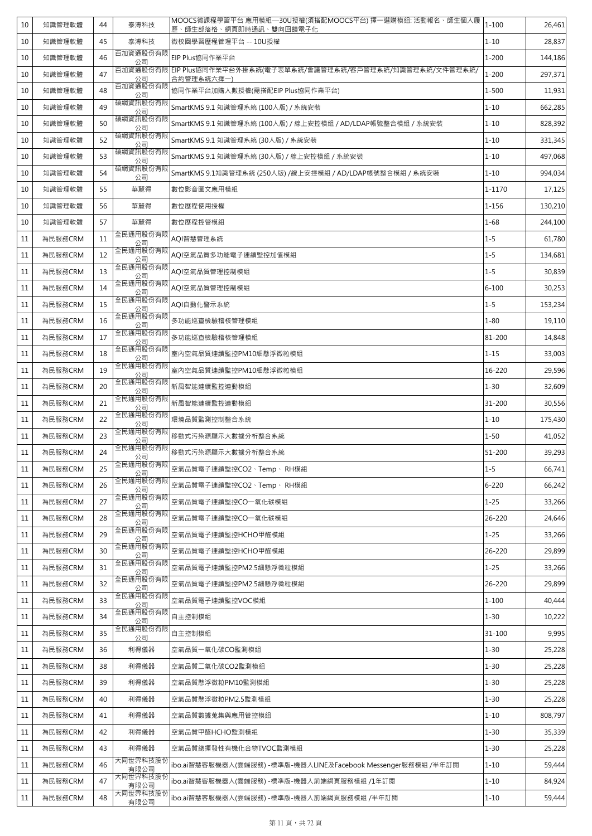| 10 | 知識管理軟體  | 44 | 泰溥科技             | MOOCS微課程學習平台 應用模組—30U授權(須搭配MOOCS平台) 擇一選購模組: 活動報名、師生個人履<br>歷、師生部落格、網頁即時通訊、雙向回饋電子化 | $1 - 100$ | 26,461  |
|----|---------|----|------------------|----------------------------------------------------------------------------------|-----------|---------|
| 10 | 知識管理軟體  | 45 | 泰溥科技             | 微校園學習歷程管理平台 -- 10U授權                                                             | $1 - 10$  | 28,837  |
| 10 | 知識管理軟體  | 46 | 百加資通股份有限<br>公司   | EIP Plus協同作業平台                                                                   | $1 - 200$ | 144,186 |
| 10 | 知識管理軟體  | 47 | 公司               | 百加資通股份有限 EIP Plus協同作業平台外掛系統(電子表單系統/會議管理系統/客戶管理系統/知識管理系統/文件管理系統/<br>合約管理系統六擇一)    | $1 - 200$ | 297,371 |
| 10 | 知識管理軟體  | 48 | 百加資通股份有限<br>公司   | 協同作業平台加購人數授權(需搭配EIP Plus協同作業平台)                                                  | $1 - 500$ | 11,931  |
| 10 | 知識管理軟體  | 49 | 碩網資訊股份有限<br>公司   | SmartKMS 9.1 知識管理系統 (100人版) / 系統安裝                                               | $1 - 10$  | 662,285 |
| 10 | 知識管理軟體  | 50 | 碩網資訊股份有限<br>公司   | SmartKMS 9.1 知識管理系統 (100人版) / 線上安控模組 / AD/LDAP帳號整合模組 / 系統安裝                      | $1 - 10$  | 828,392 |
| 10 | 知識管理軟體  | 52 | 碩網資訊股份有限<br>公司   | SmartKMS 9.1 知識管理系統 (30人版) / 系統安裝                                                | $1 - 10$  | 331,345 |
| 10 | 知識管理軟體  | 53 | 碩網資訊股份有限<br>公司   | SmartKMS 9.1 知識管理系統 (30人版) / 線上安控模組 / 系統安裝                                       | $1 - 10$  | 497,068 |
| 10 | 知識管理軟體  | 54 | 碩網資訊股份有限<br>公司   | SmartKMS 9.1知識管理系統 (250人版) /線上安控模組 / AD/LDAP帳號整合模組 / 系統安裝                        | $1 - 10$  | 994,034 |
| 10 | 知識管理軟體  | 55 | 華麗得              | 數位影音圖文應用模組                                                                       | 1-1170    | 17,125  |
| 10 | 知識管理軟體  | 56 | 華麗得              | 數位歷程使用授權                                                                         | $1 - 156$ | 130,210 |
| 10 | 知識管理軟體  | 57 | 華麗得              | 數位歷程控管模組                                                                         | $1 - 68$  | 244,100 |
| 11 | 為民服務CRM | 11 | 全民通用股份有限<br>公司   | AOI智慧管理系統                                                                        | $1 - 5$   | 61,780  |
| 11 | 為民服務CRM | 12 | 全民通用股份有限<br>公司   | AQI空氣品質多功能電子連續監控加值模組                                                             | $1 - 5$   | 134,681 |
| 11 | 為民服務CRM | 13 | 全民通用股份有限<br>公司   | AQI空氣品質管理控制模組                                                                    | $1 - 5$   | 30,839  |
| 11 | 為民服務CRM | 14 | 全民通用股份有限<br>公司   | AQI空氣品質管理控制模組                                                                    | $6 - 100$ | 30,253  |
| 11 | 為民服務CRM | 15 | 全民通用股份有限<br>公司   | AQI自動化警示系統                                                                       | $1 - 5$   | 153,234 |
| 11 | 為民服務CRM | 16 | 全民通用股份有限<br>公司   | 多功能巡查檢驗稽核管理模組                                                                    | $1 - 80$  | 19,110  |
| 11 | 為民服務CRM | 17 | 全民通用股份有限<br>公司   | 多功能巡查檢驗稽核管理模組                                                                    | 81-200    | 14,848  |
| 11 | 為民服務CRM | 18 | 全民通用股份有限<br>公司   | 室內空氣品質連續監控PM10細懸浮微粒模組                                                            | $1 - 15$  | 33,003  |
| 11 | 為民服務CRM | 19 | 全民通用股份有限<br>公司   | 室内空氣品質連續監控PM10細懸浮微粒模組                                                            | 16-220    | 29,596  |
| 11 | 為民服務CRM | 20 | 全民通用股份有限<br>公司   | 新風智能連續監控連動模組                                                                     | $1 - 30$  | 32,609  |
| 11 | 為民服務CRM | 21 | 全民通用股份有限<br>公司   | 新風智能連續監控連動模組                                                                     | 31-200    | 30,556  |
| 11 | 為民服務CRM | 22 | 全民通用股份有限<br>公司   | 環境品質監測控制整合系統                                                                     | $1 - 10$  | 175,430 |
| 11 | 為民服務CRM | 23 | 全民通用股份有限<br>公司   | 移動式污染源顯示大數據分析整合系統                                                                | $1 - 50$  | 41,052  |
| 11 | 為民服務CRM | 24 | 全民通用股份有限<br>公司   | 移動式污染源顯示大數據分析整合系統                                                                | 51-200    | 39,293  |
| 11 | 為民服務CRM | 25 | 全民通用股份有限<br>公司   | 空氣品質電子連續監控CO2、Temp、 RH模組                                                         | $1 - 5$   | 66,741  |
| 11 | 為民服務CRM | 26 | 全民通用股份有限<br>公司   | 空氣品質電子連續監控CO2、Temp、 RH模組                                                         | $6 - 220$ | 66,242  |
| 11 | 為民服務CRM | 27 | 全民通用股份有限<br>公司   | 空氣品質電子連續監控CO一氧化碳模組                                                               | $1 - 25$  | 33,266  |
| 11 | 為民服務CRM | 28 | 全民通用股份有限<br>公司   | 空氣品質電子連續監控CO一氧化碳模組                                                               | 26-220    | 24,646  |
| 11 | 為民服務CRM | 29 | 全民通用股份有限<br>公司   | 空氣品質電子連續監控HCHO甲醛模組                                                               | $1 - 25$  | 33,266  |
| 11 | 為民服務CRM | 30 | 全民通用股份有限<br>公司   | 空氣品質電子連續監控HCHO甲醛模組                                                               | 26-220    | 29,899  |
| 11 | 為民服務CRM | 31 | 全民通用股份有限<br>公司   | 空氣品質電子連續監控PM2.5細懸浮微粒模組                                                           | $1 - 25$  | 33,266  |
| 11 | 為民服務CRM | 32 | 全民通用股份有限<br>公司   | 空氣品質電子連續監控PM2.5細懸浮微粒模組                                                           | 26-220    | 29,899  |
| 11 | 為民服務CRM | 33 | 全民通用股份有限<br>公司   | 空氣品質電子連續監控VOC模組                                                                  | $1 - 100$ | 40,444  |
| 11 | 為民服務CRM | 34 | 全民通用股份有限<br>公司   | 自主控制模組                                                                           | $1 - 30$  | 10,222  |
| 11 | 為民服務CRM | 35 | 全民通用股份有限<br>公司   | 自主控制模組                                                                           | 31-100    | 9,995   |
| 11 | 為民服務CRM | 36 | 利得儀器             | 空氣品質一氧化碳CO監測模組                                                                   | $1 - 30$  | 25,228  |
| 11 | 為民服務CRM | 38 | 利得儀器             | 空氣品質二氧化碳CO2監測模組                                                                  | $1 - 30$  | 25,228  |
| 11 | 為民服務CRM | 39 | 利得儀器             | 空氣品質懸浮微粒PM10監測模組                                                                 | $1 - 30$  | 25,228  |
| 11 | 為民服務CRM | 40 | 利得儀器             | 空氣品質懸浮微粒PM2.5監測模組                                                                | $1 - 30$  | 25,228  |
| 11 | 為民服務CRM | 41 | 利得儀器             | 空氣品質數據蒐集與應用管控模組                                                                  | $1 - 10$  | 808,797 |
| 11 | 為民服務CRM | 42 | 利得儀器             | 空氣品質甲醛HCHO監測模組                                                                   | $1 - 30$  | 35,339  |
| 11 | 為民服務CRM | 43 | 利得儀器             | 空氣品質總揮發性有機化合物TVOC監測模組                                                            | $1 - 30$  | 25,228  |
| 11 | 為民服務CRM | 46 | 大同世界科技股份<br>有限公司 | ibo.ai智慧客服機器人(雲端服務) -標準版-機器人LINE及Facebook Messenger服務模組 /半年訂閱                    | $1 - 10$  | 59,444  |
| 11 | 為民服務CRM | 47 | 大同世界科技股份<br>有限公司 | ibo.ai智慧客服機器人(雲端服務) -標準版-機器人前端網頁服務模組 /1年訂閱                                       | $1 - 10$  | 84,924  |
| 11 | 為民服務CRM | 48 | 大同世界科技股份<br>有限公司 | ibo.ai智慧客服機器人(雲端服務) -標準版-機器人前端網頁服務模組 /半年訂閱                                       | $1 - 10$  | 59,444  |
|    |         |    |                  |                                                                                  |           |         |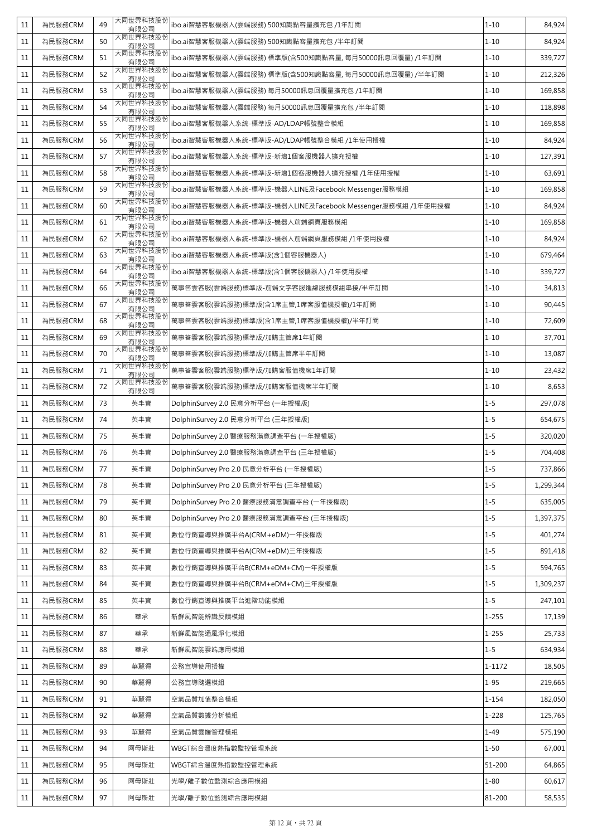| 11     | 為民服務CRM | 49 | 大同世界科技股份<br>有限公司 | ibo.ai智慧客服機器人(雲端服務) 500知識點容量擴充包 /1年訂閱                      | $1 - 10$  | 84,924    |
|--------|---------|----|------------------|------------------------------------------------------------|-----------|-----------|
| 11     | 為民服務CRM | 50 | 大同世界科技股份<br>有限公司 | ibo.ai智慧客服機器人(雲端服務) 500知識點容量擴充包 /半年訂閱                      | $1 - 10$  | 84,924    |
| 11     | 為民服務CRM | 51 | 大同世界科技股份<br>有限公司 | ibo.ai智慧客服機器人(雲端服務) 標準版(含500知識點容量, 每月50000訊息回覆量) /1年訂閱     | $1 - 10$  | 339,727   |
| 11     | 為民服務CRM | 52 | 大同世界科技股份<br>有限公司 | ibo.ai智慧客服機器人(雲端服務) 標準版(含500知識點容量, 每月50000訊息回覆量) /半年訂閱     | $1 - 10$  | 212,326   |
| 11     | 為民服務CRM | 53 | 大同世界科技股份<br>有限公司 | ibo.ai智慧客服機器人(雲端服務) 每月50000訊息回覆量擴充包 /1年訂閱                  | $1 - 10$  | 169,858   |
| 11     | 為民服務CRM | 54 | 大同世界科技股份<br>有限公司 | ibo.ai智慧客服機器人(雲端服務) 每月50000訊息回覆量擴充包 /半年訂閱                  | $1 - 10$  | 118,898   |
| 11     | 為民服務CRM | 55 | 大同世界科技股份<br>有限公司 | ibo.ai智慧客服機器人系統-標準版-AD/LDAP帳號整合模組                          | $1 - 10$  | 169,858   |
| 11     | 為民服務CRM | 56 | 大同世界科技股份<br>有限公司 | ibo.ai智慧客服機器人系統-標準版-AD/LDAP帳號整合模組 /1年使用授權                  | $1 - 10$  | 84,924    |
| 11     | 為民服務CRM | 57 | 大同世界科技股份<br>有限公司 | ibo.ai智慧客服機器人系統-標準版-新增1個客服機器人擴充授權                          | $1 - 10$  | 127,391   |
| 11     | 為民服務CRM | 58 | 大同世界科技股份<br>有限公司 | ibo.ai智慧客服機器人系統-標準版-新增1個客服機器人擴充授權 /1年使用授權                  | $1 - 10$  | 63,691    |
| 11     | 為民服務CRM | 59 | 大同世界科技股份<br>有限公司 | ibo.ai智慧客服機器人系統-標準版-機器人LINE及Facebook Messenger服務模組         | $1 - 10$  | 169,858   |
| 11     | 為民服務CRM | 60 | 大同世界科技股份<br>有限公司 | ibo.ai智慧客服機器人系統-標準版-機器人LINE及Facebook Messenger服務模組 /1年使用授權 | $1 - 10$  | 84,924    |
| 11     | 為民服務CRM | 61 | 大同世界科技股份<br>有限公司 | ibo.ai智慧客服機器人系統-標準版-機器人前端網頁服務模組                            | $1 - 10$  | 169,858   |
| 11     | 為民服務CRM | 62 | 大同世界科技股份<br>有限公司 | ibo.ai智慧客服機器人系統-標準版-機器人前端網頁服務模組 /1年使用授權                    | $1 - 10$  | 84,924    |
| 11     | 為民服務CRM | 63 | 大同世界科技股份<br>有限公司 | ibo.ai智慧客服機器人系統-標準版(含1個客服機器人)                              | $1 - 10$  | 679,464   |
| 11     | 為民服務CRM | 64 | 大同世界科技股份<br>有限公司 | ibo.ai智慧客服機器人系統-標準版(含1個客服機器人) /1年使用授權                      | $1 - 10$  | 339,727   |
| 11     | 為民服務CRM | 66 | 大同世界科技股份<br>有限公司 | 萬事答雲客服(雲端服務)標準版-前端文字客服進線服務模組串接/半年訂閱                        | $1 - 10$  | 34,813    |
| 11     | 為民服務CRM | 67 | 大同世界科技股份<br>有限公司 | 萬事答雲客服(雲端服務)標準版(含1席主管,1席客服值機授權)/1年訂閱                       | $1 - 10$  | 90,445    |
| 11     | 為民服務CRM | 68 | 大同世界科技股份<br>有限公司 | 萬事答雲客服(雲端服務)標準版(含1席主管,1席客服值機授權)/半年訂閱                       | $1 - 10$  | 72,609    |
| 11     | 為民服務CRM | 69 | 大同世界科技股份<br>有限公司 | 萬事答雲客服(雲端服務)標準版/加購主管席1年訂閱                                  | $1 - 10$  | 37,701    |
| 11     | 為民服務CRM | 70 | 大同世界科技股份<br>有限公司 | 萬事答雲客服(雲端服務)標準版/加購主管席半年訂閱                                  | $1 - 10$  | 13,087    |
| 11     | 為民服務CRM | 71 | 大同世界科技股份<br>有限公司 | 萬事答雲客服(雲端服務)標準版/加購客服值機席1年訂閱                                | $1 - 10$  | 23,432    |
| 11     | 為民服務CRM | 72 | 大同世界科技股份<br>有限公司 | 萬事答雲客服(雲端服務)標準版/加購客服值機席半年訂閱                                | $1 - 10$  | 8,653     |
| 11     | 為民服務CRM | 73 | 英丰寶              | DolphinSurvey 2.0 民意分析平台 (一年授權版)                           | $1 - 5$   | 297,078   |
| 11     | 為民服務CRM | 74 | 英丰寶              | DolphinSurvey 2.0 民意分析平台 (三年授權版)                           | $1 - 5$   | 654,675   |
| 11     | 為民服務CRM | 75 | 英丰寶              | DolphinSurvey 2.0 醫療服務滿意調查平台 (一年授權版)                       | $1 - 5$   | 320,020   |
| 11     | 為民服務CRM | 76 | 英丰寶              | DolphinSurvey 2.0 醫療服務滿意調查平台 (三年授權版)                       | $1 - 5$   | 704,408   |
| 11     | 為民服務CRM | 77 | 英丰寶              | DolphinSurvey Pro 2.0 民意分析平台 (一年授權版)                       | $1 - 5$   | 737,866   |
| 11     | 為民服務CRM | 78 | 英丰寶              | DolphinSurvey Pro 2.0 民意分析平台 (三年授權版)                       | $1 - 5$   | 1,299,344 |
| 11     | 為民服務CRM | 79 | 英丰寶              | DolphinSurvey Pro 2.0 醫療服務滿意調查平台 (一年授權版)                   | $1 - 5$   | 635,005   |
| 11     | 為民服務CRM | 80 | 英丰寶              | DolphinSurvey Pro 2.0 醫療服務滿意調查平台 (三年授權版)                   | $1 - 5$   | 1,397,375 |
| 11     | 為民服務CRM | 81 | 英丰寶              | 數位行銷宣導與推廣平台A(CRM+eDM)一年授權版                                 | $1 - 5$   | 401,274   |
| 11     | 為民服務CRM | 82 | 英丰寶              | 數位行銷宣導與推廣平台A(CRM+eDM)三年授權版                                 | $1 - 5$   | 891,418   |
| 11     | 為民服務CRM | 83 | 英丰寶              | 數位行銷宣導與推廣平台B(CRM+eDM+CM)一年授權版                              | $1 - 5$   | 594,765   |
| 11     | 為民服務CRM | 84 | 英丰寶              | 數位行銷宣導與推廣平台B(CRM+eDM+CM)三年授權版                              | $1 - 5$   | 1,309,237 |
| 11     | 為民服務CRM | 85 | 英丰寶              | 數位行銷宣導與推廣平台進階功能模組                                          | $1 - 5$   | 247,101   |
| 11     | 為民服務CRM | 86 | 華承               | 新鮮風智能辨識反饋模組                                                | $1 - 255$ | 17,139    |
| 11     | 為民服務CRM | 87 | 華承               | 新鮮風智能通風淨化模組                                                | $1 - 255$ | 25,733    |
| $11\,$ | 為民服務CRM | 88 | 華承               | 新鮮風智能雲端應用模組                                                | $1 - 5$   | 634,934   |
| 11     | 為民服務CRM | 89 | 華麗得              | 公務宣導使用授權                                                   | 1-1172    | 18,505    |
| 11     | 為民服務CRM | 90 | 華麗得              | 公務宣導隨選模組                                                   | $1 - 95$  | 219,665   |
| 11     | 為民服務CRM | 91 | 華麗得              | 空氣品質加值整合模組                                                 | $1 - 154$ | 182,050   |
| 11     | 為民服務CRM | 92 | 華麗得              | 空氣品質數據分析模組                                                 | $1 - 228$ | 125,765   |
| 11     | 為民服務CRM | 93 | 華麗得              | 空氣品質雲端管理模組                                                 | $1 - 49$  | 575,190   |
| 11     | 為民服務CRM | 94 | 阿母斯壯             | WBGT綜合溫度熱指數監控管理系統                                          | $1 - 50$  | 67,001    |
| 11     | 為民服務CRM | 95 | 阿母斯壯             | WBGT綜合溫度熱指數監控管理系統                                          | 51-200    | 64,865    |
| $11\,$ | 為民服務CRM | 96 | 阿母斯壯             | 光學/離子數位監測綜合應用模組                                            | $1 - 80$  | 60,617    |
| 11     | 為民服務CRM | 97 | 阿母斯壯             | 光學/離子數位監測綜合應用模組                                            | 81-200    | 58,535    |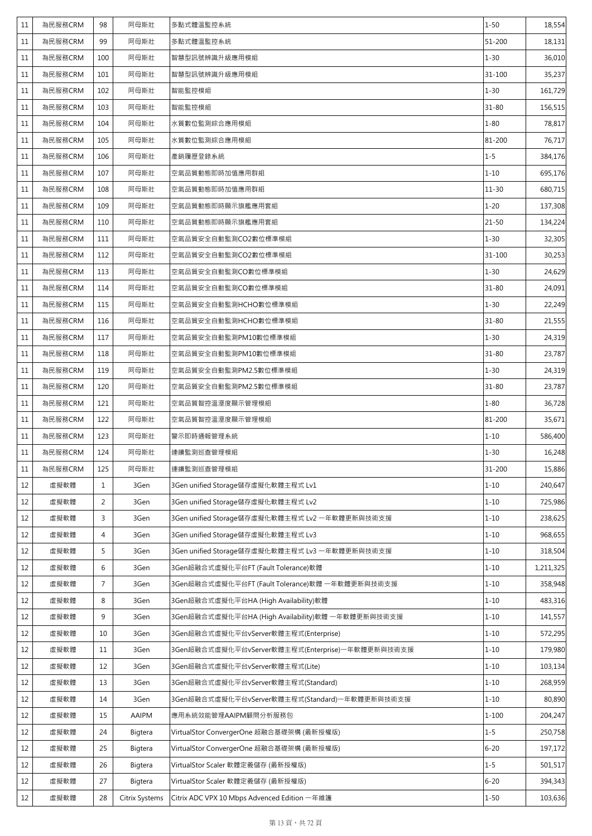| 11 | 為民服務CRM | 98             | 阿母斯壯           | 多點式體溫監控系統                                         | $1 - 50$   | 18,554    |
|----|---------|----------------|----------------|---------------------------------------------------|------------|-----------|
| 11 | 為民服務CRM | 99             | 阿母斯壯           | 多點式體溫監控系統                                         | $51 - 200$ | 18,131    |
| 11 | 為民服務CRM | 100            | 阿母斯壯           | 智慧型訊號辨識升級應用模組                                     | $1 - 30$   | 36,010    |
| 11 | 為民服務CRM | 101            | 阿母斯壯           | 智慧型訊號辨識升級應用模組                                     | $31 - 100$ | 35,237    |
| 11 | 為民服務CRM | 102            | 阿母斯壯           | 智能監控模組                                            | $1 - 30$   | 161,729   |
| 11 | 為民服務CRM | 103            | 阿母斯壯           | 智能監控模組                                            | $31 - 80$  | 156,515   |
| 11 | 為民服務CRM | 104            | 阿母斯壯           | 水質數位監測綜合應用模組                                      | $1 - 80$   | 78,817    |
| 11 | 為民服務CRM | 105            | 阿母斯壯           | 水質數位監測綜合應用模組                                      | 81-200     | 76,717    |
| 11 | 為民服務CRM | 106            | 阿母斯壯           | 產銷履歷登錄系統                                          | $1 - 5$    | 384,176   |
| 11 | 為民服務CRM | 107            | 阿母斯壯           | 空氣品質動態即時加值應用群組                                    | $1 - 10$   | 695,176   |
| 11 | 為民服務CRM | 108            | 阿母斯壯           | 空氣品質動態即時加值應用群組                                    | $11 - 30$  | 680,715   |
| 11 | 為民服務CRM | 109            | 阿母斯壯           | 空氣品質動態即時顯示旗艦應用套組                                  | $1 - 20$   | 137,308   |
| 11 | 為民服務CRM | 110            | 阿母斯壯           | 空氣品質動態即時顯示旗艦應用套組                                  | $21 - 50$  | 134,224   |
| 11 | 為民服務CRM | 111            | 阿母斯壯           | 空氣品質安全自動監測CO2數位標準模組                               | $1 - 30$   | 32,305    |
| 11 | 為民服務CRM | 112            | 阿母斯壯           | 空氣品質安全自動監測CO2數位標準模組                               | 31-100     | 30,253    |
| 11 | 為民服務CRM | 113            | 阿母斯壯           | 空氣品質安全自動監測CO數位標準模組                                | $1 - 30$   | 24,629    |
| 11 | 為民服務CRM | 114            | 阿母斯壯           | 空氣品質安全自動監測CO數位標準模組                                | $31 - 80$  | 24,091    |
| 11 | 為民服務CRM | 115            | 阿母斯壯           | 空氣品質安全自動監測HCHO數位標準模組                              | $1 - 30$   | 22,249    |
| 11 | 為民服務CRM | 116            | 阿母斯壯           | 空氣品質安全自動監測HCHO數位標準模組                              | $31 - 80$  | 21,555    |
| 11 | 為民服務CRM | 117            | 阿母斯壯           | 空氣品質安全自動監測PM10數位標準模組                              | $1 - 30$   | 24,319    |
| 11 | 為民服務CRM | 118            | 阿母斯壯           | 空氣品質安全自動監測PM10數位標準模組                              | $31 - 80$  | 23,787    |
| 11 | 為民服務CRM | 119            | 阿母斯壯           | 空氣品質安全自動監測PM2.5數位標準模組                             | $1 - 30$   | 24,319    |
| 11 | 為民服務CRM | 120            | 阿母斯壯           | 空氣品質安全自動監測PM2.5數位標準模組                             | $31 - 80$  | 23,787    |
| 11 | 為民服務CRM | 121            | 阿母斯壯           | 空氣品質智控溫溼度顯示管理模組                                   | $1 - 80$   | 36,728    |
| 11 | 為民服務CRM | 122            | 阿母斯壯           | 空氣品質智控溫溼度顯示管理模組                                   | 81-200     | 35,671    |
| 11 | 為民服務CRM | 123            | 阿母斯壯           | 警示即時通報管理系統                                        | $1 - 10$   | 586,400   |
| 11 | 為民服務CRM | 124            | 阿母斯壯           | 連續監測巡查管理模組                                        | $1 - 30$   | 16,248    |
| 11 | 為民服務CRM | 125            | 阿母斯壯           | 連續監測巡查管理模組                                        | 31-200     | 15,886    |
| 12 | 虛擬軟體    | $\mathbf{1}$   | 3Gen           | 3Gen unified Storage儲存虛擬化軟體主程式 Lv1                | $1 - 10$   | 240,647   |
| 12 | 虛擬軟體    | 2              | 3Gen           | 3Gen unified Storage儲存虛擬化軟體主程式 Lv2                | $1 - 10$   | 725,986   |
| 12 | 虛擬軟體    | 3              | 3Gen           | 3Gen unified Storage儲存虛擬化軟體主程式 Lv2 一年軟體更新與技術支援    | $1 - 10$   | 238,625   |
| 12 | 虛擬軟體    | $\overline{4}$ | 3Gen           | 3Gen unified Storage儲存虛擬化軟體主程式 Lv3                | $1 - 10$   | 968,655   |
| 12 | 虛擬軟體    | 5              | 3Gen           | 3Gen unified Storage儲存虛擬化軟體主程式 Lv3 一年軟體更新與技術支援    | $1 - 10$   | 318,504   |
| 12 | 虛擬軟體    | 6              | 3Gen           | 3Gen超融合式虛擬化平台FT (Fault Tolerance)軟體               | $1 - 10$   | 1,211,325 |
| 12 | 虛擬軟體    | 7              | 3Gen           | 3Gen超融合式虛擬化平台FT (Fault Tolerance)軟體 一年軟體更新與技術支援   | $1 - 10$   | 358,948   |
| 12 | 虛擬軟體    | 8              | 3Gen           | 3Gen超融合式虛擬化平台HA (High Availability)軟體             | $1 - 10$   | 483,316   |
| 12 | 虛擬軟體    | 9              | 3Gen           | 3Gen超融合式虚擬化平台HA (High Availability)軟體 一年軟體更新與技術支援 | $1 - 10$   | 141,557   |
| 12 | 虛擬軟體    | 10             | 3Gen           | 3Gen超融合式虚擬化平台vServer軟體主程式(Enterprise)             | $1 - 10$   | 572,295   |
| 12 | 虛擬軟體    | 11             | 3Gen           | 3Gen超融合式虛擬化平台vServer軟體主程式(Enterprise)一年軟體更新與技術支援  | $1 - 10$   | 179,980   |
| 12 | 虛擬軟體    | 12             | 3Gen           | 3Gen超融合式虛擬化平台vServer軟體主程式(Lite)                   | $1 - 10$   | 103,134   |
| 12 | 虛擬軟體    | 13             | 3Gen           | 3Gen超融合式虚擬化平台vServer軟體主程式(Standard)               | $1 - 10$   | 268,959   |
| 12 | 虛擬軟體    | 14             | 3Gen           | 3Gen超融合式虛擬化平台vServer軟體主程式(Standard)一年軟體更新與技術支援    | $1 - 10$   | 80,890    |
| 12 | 虛擬軟體    | 15             | AAIPM          | 應用系統效能管理AAIPM顧問分析服務包                              | $1 - 100$  | 204,247   |
| 12 | 虛擬軟體    | 24             | Bigtera        | VirtualStor ConvergerOne 超融合基礎架構 (最新授權版)          | $1 - 5$    | 250,758   |
| 12 | 虛擬軟體    | 25             | Bigtera        | VirtualStor ConvergerOne 超融合基礎架構 (最新授權版)          | $6 - 20$   | 197,172   |
| 12 | 虛擬軟體    | 26             | Bigtera        | VirtualStor Scaler 軟體定義儲存 (最新授權版)                 | $1 - 5$    | 501,517   |
| 12 | 虛擬軟體    | 27             | Bigtera        | VirtualStor Scaler 軟體定義儲存 (最新授權版)                 | $6 - 20$   | 394,343   |
| 12 | 虛擬軟體    | 28             | Citrix Systems | Citrix ADC VPX 10 Mbps Advenced Edition 一年維護      | $1 - 50$   | 103,636   |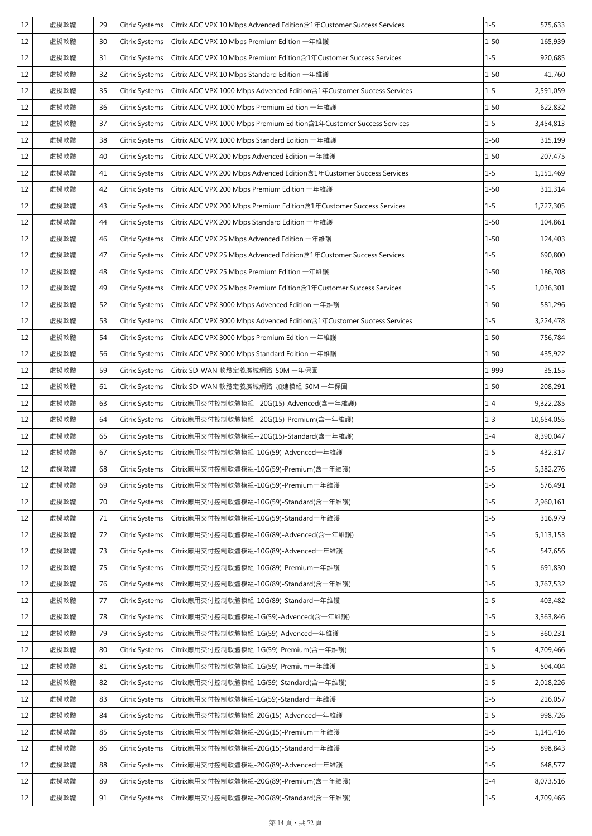| 12 | 虛擬軟體 | 29 | Citrix Systems        | Citrix ADC VPX 10 Mbps Advenced Edition含1年Customer Success Services   | $1 - 5$  | 575,633    |
|----|------|----|-----------------------|-----------------------------------------------------------------------|----------|------------|
| 12 | 虛擬軟體 | 30 | Citrix Systems        | Citrix ADC VPX 10 Mbps Premium Edition 一年維護                           | $1 - 50$ | 165,939    |
| 12 | 虛擬軟體 | 31 | Citrix Systems        | Citrix ADC VPX 10 Mbps Premium Edition含1年Customer Success Services    | $1 - 5$  | 920,685    |
| 12 | 虛擬軟體 | 32 | <b>Citrix Systems</b> | Citrix ADC VPX 10 Mbps Standard Edition 一年維護                          | $1 - 50$ | 41,760     |
| 12 | 虛擬軟體 | 35 | Citrix Systems        | Citrix ADC VPX 1000 Mbps Advenced Edition含1年Customer Success Services | $1 - 5$  | 2,591,059  |
| 12 | 虛擬軟體 | 36 | Citrix Systems        | Citrix ADC VPX 1000 Mbps Premium Edition 一年維護                         | $1 - 50$ | 622,832    |
| 12 | 虛擬軟體 | 37 | Citrix Systems        | Citrix ADC VPX 1000 Mbps Premium Edition含1年Customer Success Services  | $1 - 5$  | 3,454,813  |
| 12 | 虛擬軟體 | 38 | Citrix Systems        | Citrix ADC VPX 1000 Mbps Standard Edition 一年維護                        | $1 - 50$ | 315,199    |
| 12 | 虛擬軟體 | 40 | Citrix Systems        | Citrix ADC VPX 200 Mbps Advenced Edition 一年維護                         | $1 - 50$ | 207,475    |
| 12 | 虛擬軟體 | 41 | Citrix Systems        | Citrix ADC VPX 200 Mbps Advenced Edition含1年Customer Success Services  | $1 - 5$  | 1,151,469  |
| 12 | 虛擬軟體 | 42 | Citrix Systems        | Citrix ADC VPX 200 Mbps Premium Edition 一年維護                          | $1 - 50$ | 311,314    |
| 12 | 虛擬軟體 | 43 | Citrix Systems        | Citrix ADC VPX 200 Mbps Premium Edition含1年Customer Success Services   | $1 - 5$  | 1,727,305  |
| 12 | 虛擬軟體 | 44 | <b>Citrix Systems</b> | Citrix ADC VPX 200 Mbps Standard Edition 一年維護                         | $1 - 50$ | 104,861    |
| 12 | 虛擬軟體 | 46 | Citrix Systems        | Citrix ADC VPX 25 Mbps Advenced Edition 一年維護                          | $1 - 50$ | 124,403    |
| 12 | 虛擬軟體 | 47 | Citrix Systems        | Citrix ADC VPX 25 Mbps Advenced Edition含1年Customer Success Services   | $1 - 5$  | 690,800    |
| 12 | 虛擬軟體 | 48 | Citrix Systems        | Citrix ADC VPX 25 Mbps Premium Edition 一年維護                           | $1 - 50$ | 186,708    |
| 12 | 虛擬軟體 | 49 | Citrix Systems        | Citrix ADC VPX 25 Mbps Premium Edition含1年Customer Success Services    | $1 - 5$  | 1,036,301  |
| 12 | 虛擬軟體 | 52 | Citrix Systems        | Citrix ADC VPX 3000 Mbps Advenced Edition 一年維護                        | $1 - 50$ | 581,296    |
| 12 | 虛擬軟體 | 53 | Citrix Systems        | Citrix ADC VPX 3000 Mbps Advenced Edition含1年Customer Success Services | $1 - 5$  | 3,224,478  |
| 12 | 虛擬軟體 | 54 | Citrix Systems        | Citrix ADC VPX 3000 Mbps Premium Edition 一年維護                         | $1 - 50$ | 756,784    |
| 12 | 虛擬軟體 | 56 | Citrix Systems        | Citrix ADC VPX 3000 Mbps Standard Edition 一年維護                        | $1 - 50$ | 435,922    |
| 12 | 虛擬軟體 | 59 | Citrix Systems        | Citrix SD-WAN 軟體定義廣域網路-50M 一年保固                                       | 1-999    | 35,155     |
| 12 | 虛擬軟體 | 61 | Citrix Systems        | Citrix SD-WAN 軟體定義廣域網路-加速模組-50M 一年保固                                  | $1 - 50$ | 208,291    |
| 12 | 虛擬軟體 | 63 | Citrix Systems        | Citrix應用交付控制軟體模組--20G(15)-Advenced(含一年維護)                             | $1 - 4$  | 9,322,285  |
| 12 | 虛擬軟體 | 64 | Citrix Systems        | Citrix應用交付控制軟體模組--20G(15)-Premium(含一年維護)                              | $1 - 3$  | 10,654,055 |
| 12 | 虚擬軟體 | 65 | Citrix Systems        | Citrix應用交付控制軟體模組--20G(15)-Standard(含一年維護)                             | $1 - 4$  | 8,390,047  |
| 12 | 虛擬軟體 | 67 | Citrix Systems        | Citrix應用交付控制軟體模組-10G(59)-Advenced一年維護                                 | $1 - 5$  | 432,317    |
| 12 | 虛擬軟體 | 68 | Citrix Systems        | Citrix應用交付控制軟體模組-10G(59)-Premium(含一年維護)                               | $1 - 5$  | 5,382,276  |
| 12 | 虛擬軟體 | 69 | Citrix Systems        | Citrix應用交付控制軟體模組-10G(59)-Premium一年維護                                  | $1 - 5$  | 576,491    |
| 12 | 虛擬軟體 | 70 | Citrix Systems        | Citrix應用交付控制軟體模組-10G(59)-Standard(含一年維護)                              | $1 - 5$  | 2,960,161  |
| 12 | 虛擬軟體 | 71 | Citrix Systems        | Citrix應用交付控制軟體模組-10G(59)-Standard一年維護                                 | $1 - 5$  | 316,979    |
| 12 | 虛擬軟體 | 72 | Citrix Systems        | Citrix應用交付控制軟體模組-10G(89)-Advenced(含一年維護)                              | $1 - 5$  | 5,113,153  |
| 12 | 虛擬軟體 | 73 | Citrix Systems        | Citrix應用交付控制軟體模組-10G(89)-Advenced一年維護                                 | $1 - 5$  | 547,656    |
| 12 | 虛擬軟體 | 75 | Citrix Systems        | Citrix應用交付控制軟體模組-10G(89)-Premium一年維護                                  | $1 - 5$  | 691,830    |
| 12 | 虛擬軟體 | 76 | Citrix Systems        | Citrix應用交付控制軟體模組-10G(89)-Standard(含一年維護)                              | $1 - 5$  | 3,767,532  |
| 12 | 虛擬軟體 | 77 | Citrix Systems        | Citrix應用交付控制軟體模組-10G(89)-Standard一年維護                                 | $1 - 5$  | 403,482    |
| 12 | 虛擬軟體 | 78 | Citrix Systems        | Citrix應用交付控制軟體模組-1G(59)-Advenced(含一年維護)                               | $1 - 5$  | 3,363,846  |
| 12 | 虛擬軟體 | 79 | Citrix Systems        | Citrix應用交付控制軟體模組-1G(59)-Advenced一年維護                                  | $1 - 5$  | 360,231    |
| 12 | 虛擬軟體 | 80 | Citrix Systems        | Citrix應用交付控制軟體模組-1G(59)-Premium(含一年維護)                                | $1 - 5$  | 4,709,466  |
| 12 | 虛擬軟體 | 81 | Citrix Systems        | Citrix應用交付控制軟體模組-1G(59)-Premium一年維護                                   | $1 - 5$  | 504,404    |
| 12 | 虛擬軟體 | 82 | Citrix Systems        | Citrix應用交付控制軟體模組-1G(59)-Standard(含一年維護)                               | $1 - 5$  | 2,018,226  |
| 12 | 虛擬軟體 | 83 | Citrix Systems        | Citrix應用交付控制軟體模組-1G(59)-Standard一年維護                                  | $1 - 5$  | 216,057    |
| 12 | 虛擬軟體 | 84 | Citrix Systems        | Citrix應用交付控制軟體模組-20G(15)-Advenced一年維護                                 | $1 - 5$  | 998,726    |
| 12 | 虛擬軟體 | 85 | Citrix Systems        | Citrix應用交付控制軟體模組-20G(15)-Premium一年維護                                  | $1 - 5$  | 1,141,416  |
| 12 | 虛擬軟體 | 86 | Citrix Systems        | Citrix應用交付控制軟體模組-20G(15)-Standard一年維護                                 | $1 - 5$  | 898,843    |
| 12 | 虛擬軟體 | 88 | Citrix Systems        | Citrix應用交付控制軟體模組-20G(89)-Advenced一年維護                                 | $1 - 5$  | 648,577    |
| 12 | 虛擬軟體 | 89 | Citrix Systems        | Citrix應用交付控制軟體模組-20G(89)-Premium(含一年維護)                               | $1 - 4$  | 8,073,516  |
| 12 | 虛擬軟體 | 91 | Citrix Systems        | Citrix應用交付控制軟體模組-20G(89)-Standard(含一年維護)                              | $1 - 5$  | 4,709,466  |
|    |      |    |                       |                                                                       |          |            |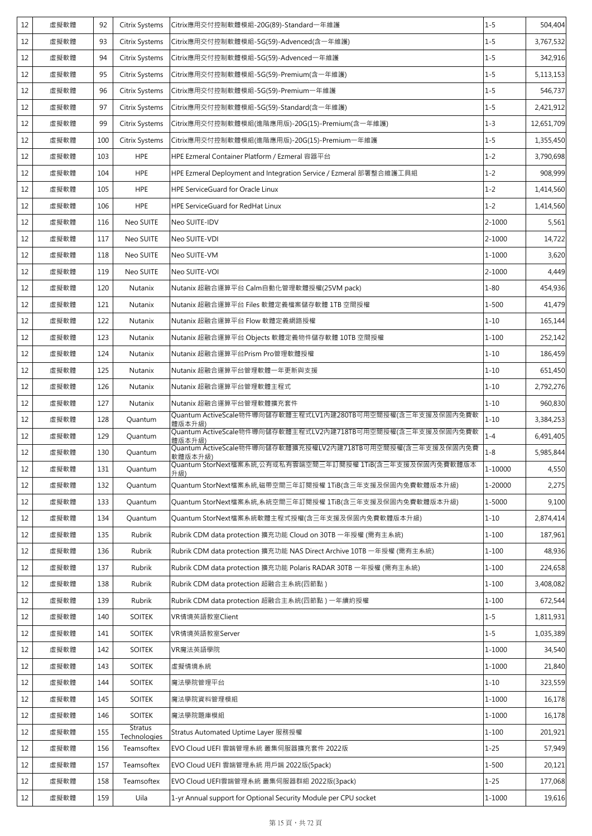| 12 | 虛擬軟體 | 92  | Citrix Systems                 | Citrix應用交付控制軟體模組-20G(89)-Standard一年維護                                  | $1 - 5$    | 504,404    |
|----|------|-----|--------------------------------|------------------------------------------------------------------------|------------|------------|
| 12 | 虛擬軟體 | 93  | Citrix Systems                 | Citrix應用交付控制軟體模組-5G(59)-Advenced(含一年維護)                                | $1 - 5$    | 3,767,532  |
| 12 | 虛擬軟體 | 94  | Citrix Systems                 | Citrix應用交付控制軟體模組-5G(59)-Advenced一年維護                                   | $1 - 5$    | 342,916    |
| 12 | 虛擬軟體 | 95  | <b>Citrix Systems</b>          | Citrix應用交付控制軟體模組-5G(59)-Premium(含一年維護)                                 | $1 - 5$    | 5,113,153  |
| 12 | 虛擬軟體 | 96  | Citrix Systems                 | Citrix應用交付控制軟體模組-5G(59)-Premium一年維護                                    | $1 - 5$    | 546,737    |
| 12 | 虛擬軟體 | 97  | Citrix Systems                 | Citrix應用交付控制軟體模組-5G(59)-Standard(含一年維護)                                | $1 - 5$    | 2,421,912  |
| 12 | 虛擬軟體 | 99  | Citrix Systems                 | Citrix應用交付控制軟體模組(進階應用版)-20G(15)-Premium(含一年維護)                         | $1 - 3$    | 12,651,709 |
| 12 | 虛擬軟體 | 100 | Citrix Systems                 | Citrix應用交付控制軟體模組(進階應用版)-20G(15)-Premium一年維護                            | $1 - 5$    | 1,355,450  |
| 12 | 虛擬軟體 | 103 | <b>HPE</b>                     | HPE Ezmeral Container Platform / Ezmeral 容器平台                          | $1 - 2$    | 3,790,698  |
| 12 | 虛擬軟體 | 104 | <b>HPE</b>                     | HPE Ezmeral Deployment and Integration Service / Ezmeral 部署整合維護工具組     | $1 - 2$    | 908,999    |
| 12 | 虛擬軟體 | 105 | <b>HPE</b>                     | <b>HPE ServiceGuard for Oracle Linux</b>                               | $1 - 2$    | 1,414,560  |
| 12 | 虛擬軟體 | 106 | <b>HPE</b>                     | HPE ServiceGuard for RedHat Linux                                      | $1 - 2$    | 1,414,560  |
| 12 | 虛擬軟體 | 116 | Neo SUITE                      | Neo SUITE-IDV                                                          | $2 - 1000$ | 5,561      |
| 12 | 虛擬軟體 | 117 | Neo SUITE                      | Neo SUITE-VDI                                                          | $2 - 1000$ | 14,722     |
| 12 | 虚擬軟體 | 118 | Neo SUITE                      | Neo SUITE-VM                                                           | 1-1000     | 3,620      |
| 12 | 虛擬軟體 | 119 | Neo SUITE                      | Neo SUITE-VOI                                                          | $2 - 1000$ | 4,449      |
| 12 | 虛擬軟體 | 120 | Nutanix                        | Nutanix 超融合運算平台 Calm自動化管理軟體授權(25VM pack)                               | $1 - 80$   | 454,936    |
| 12 | 虚擬軟體 | 121 | Nutanix                        | Nutanix 超融合運算平台 Files 軟體定義檔案儲存軟體 1TB 空間授權                              | $1 - 500$  | 41,479     |
| 12 | 虛擬軟體 | 122 | Nutanix                        | Nutanix 超融合運算平台 Flow 軟體定義網路授權                                          | $1 - 10$   | 165,144    |
| 12 | 虛擬軟體 | 123 | Nutanix                        | Nutanix 超融合運算平台 Objects 軟體定義物件儲存軟體 10TB 空間授權                           | $1 - 100$  | 252,142    |
| 12 | 虛擬軟體 | 124 | Nutanix                        | Nutanix 超融合運算平台Prism Pro管理軟體授權                                         | $1 - 10$   | 186,459    |
| 12 | 虛擬軟體 | 125 | Nutanix                        | Nutanix 超融合運算平台管理軟體一年更新與支援                                             | $1 - 10$   | 651,450    |
| 12 | 虛擬軟體 | 126 | Nutanix                        | Nutanix 超融合運算平台管理軟體主程式                                                 | $1 - 10$   | 2,792,276  |
| 12 | 虛擬軟體 | 127 | Nutanix                        | Nutanix 超融合運算平台管理軟體擴充套件                                                | $1 - 10$   | 960,830    |
| 12 | 虛擬軟體 | 128 | Quantum                        | Quantum ActiveScale物件導向儲存軟體主程式LV1內建280TB可用空間授權(含三年支援及保固內免費軟<br>體版本升級)  | $1 - 10$   | 3,384,253  |
| 12 | 虛擬軟體 | 129 | Quantum                        | Quantum ActiveScale物件導向儲存軟體主程式LV2內建718TB可用空間授權(含三年支援及保固內免費軟<br>體版本升級)  | $1 - 4$    | 6,491,405  |
| 12 | 虛擬軟體 | 130 | Quantum                        | Ouantum ActiveScale物件導向儲存軟體擴充授權LV2內建718TB可用空間授權(含三年支援及保固內免費<br>軟體版本升級) | $1 - 8$    | 5,985,844  |
| 12 | 虛擬軟體 | 131 | Quantum                        | Quantum StorNext檔案系統,公有或私有雲端空間三年訂閱授權 1TiB(含三年支援及保固內免費軟體版本<br>升級)       | 1-10000    | 4,550      |
| 12 | 虛擬軟體 | 132 | Quantum                        | Quantum StorNext檔案系統,磁帶空間三年訂閱授權 1TiB(含三年支援及保固內免費軟體版本升級)                | 1-20000    | 2,275      |
| 12 | 虛擬軟體 | 133 | Quantum                        | Quantum StorNext檔案系統,系統空間三年訂閱授權 1TiB(含三年支援及保固内免費軟體版本升級)                | 1-5000     | 9,100      |
| 12 | 虛擬軟體 | 134 | Quantum                        | Quantum StorNext檔案系統軟體主程式授權(含三年支援及保固內免費軟體版本升級)                         | $1 - 10$   | 2,874,414  |
| 12 | 虛擬軟體 | 135 | Rubrik                         | Rubrik CDM data protection 擴充功能 Cloud on 30TB 一年授權 (需有主系統)             | $1 - 100$  | 187,961    |
| 12 | 虛擬軟體 | 136 | Rubrik                         | Rubrik CDM data protection 擴充功能 NAS Direct Archive 10TB 一年授權 (需有主系統)   | $1 - 100$  | 48,936     |
| 12 | 虛擬軟體 | 137 | Rubrik                         | Rubrik CDM data protection 擴充功能 Polaris RADAR 30TB 一年授權 (需有主系統)        | $1 - 100$  | 224,658    |
| 12 | 虚擬軟體 | 138 | Rubrik                         | Rubrik CDM data protection 超融合主系統(四節點)                                 | $1 - 100$  | 3,408,082  |
| 12 | 虛擬軟體 | 139 | Rubrik                         | Rubrik CDM data protection 超融合主系統(四節點) 一年續約授權                          | $1 - 100$  | 672,544    |
| 12 | 虛擬軟體 | 140 | <b>SOITEK</b>                  | VR情境英語教室Client                                                         | $1 - 5$    | 1,811,931  |
| 12 | 虛擬軟體 | 141 | <b>SOITEK</b>                  | VR情境英語教室Server                                                         | $1 - 5$    | 1,035,389  |
| 12 | 虛擬軟體 | 142 | <b>SOITEK</b>                  | VR魔法英語學院                                                               | $1 - 1000$ | 34,540     |
| 12 | 虛擬軟體 | 143 | <b>SOITEK</b>                  | 虛擬情境系統                                                                 | 1-1000     | 21,840     |
| 12 | 虛擬軟體 | 144 | <b>SOITEK</b>                  | 魔法學院管理平台                                                               | $1 - 10$   | 323,559    |
| 12 | 虛擬軟體 | 145 | <b>SOITEK</b>                  | 魔法學院資料管理模組                                                             | $1 - 1000$ | 16,178     |
| 12 | 虛擬軟體 | 146 | <b>SOITEK</b>                  | 魔法學院題庫模組                                                               | $1 - 1000$ | 16,178     |
| 12 | 虛擬軟體 | 155 | <b>Stratus</b><br>Technologies | Stratus Automated Uptime Layer 服務授權                                    | $1 - 100$  | 201,921    |
| 12 | 虛擬軟體 | 156 | Teamsoftex                     | EVO Cloud UEFI 雲端管理系統 叢集伺服器擴充套件 2022版                                  | $1 - 25$   | 57,949     |
| 12 | 虛擬軟體 | 157 | Teamsoftex                     | EVO Cloud UEFI 雲端管理系統 用戶端 2022版(5pack)                                 | $1 - 500$  | 20,121     |
| 12 | 虛擬軟體 | 158 | Teamsoftex                     | EVO Cloud UEFI雲端管理系統 叢集伺服器群組 2022版(3pack)                              | $1 - 25$   | 177,068    |
| 12 | 虛擬軟體 | 159 | Uila                           | 1-yr Annual support for Optional Security Module per CPU socket        | 1-1000     | 19,616     |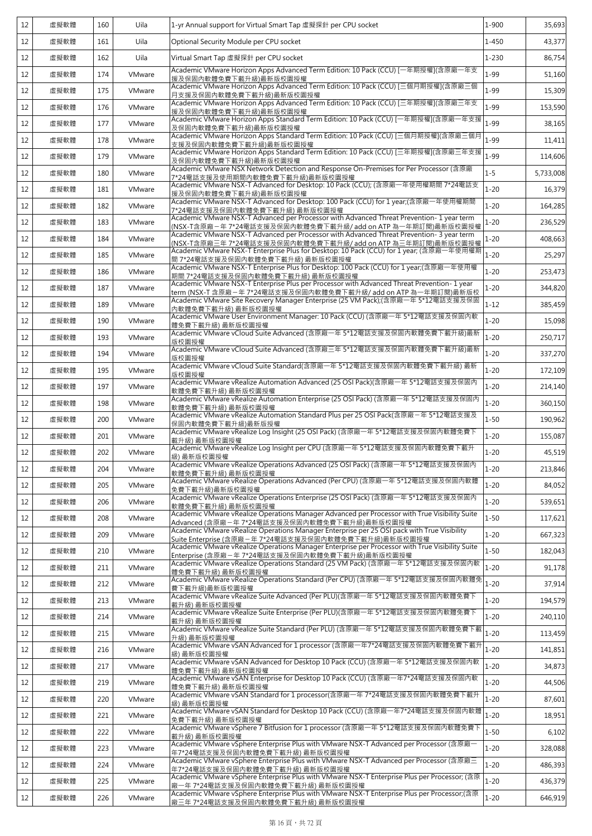| 12 | 虛擬軟體 | 160 | Uila   | 1-yr Annual support for Virtual Smart Tap 虛擬探針 per CPU socket                                                                                                | 1-900     | 35,693    |
|----|------|-----|--------|--------------------------------------------------------------------------------------------------------------------------------------------------------------|-----------|-----------|
| 12 | 虛擬軟體 | 161 | Uila   | Optional Security Module per CPU socket                                                                                                                      | $1 - 450$ | 43,377    |
| 12 | 虛擬軟體 | 162 | Uila   | Virtual Smart Tap 虛擬探針 per CPU socket                                                                                                                        | $1 - 230$ | 86,754    |
| 12 | 虛擬軟體 | 174 | VMware | Academic VMware Horizon Apps Advanced Term Edition: 10 Pack (CCU) [一年期授權](含原廠一年支<br>援及保固內軟體免費下載升級)最新版校園授權                                                    | $1 - 99$  | 51,160    |
| 12 | 虛擬軟體 | 175 | VMware | Academic VMware Horizon Apps Advanced Term Edition: 10 Pack (CCU) [三個月期授權](含原廠三個<br>月支援及保固內軟體免費下載升級)最新版校園授權                                                  | $1 - 99$  | 15,309    |
| 12 | 虛擬軟體 | 176 | VMware | Academic VMware Horizon Apps Advanced Term Edition: 10 Pack (CCU) [三年期授權](含原廠三年支<br>援及保固內軟體免費下載升級)最新版校園授權                                                    | $1 - 99$  | 153,590   |
| 12 | 虛擬軟體 | 177 | VMware | Academic VMware Horizon Apps Standard Term Edition: 10 Pack (CCU) [一年期授權](含原廠一年支援<br>及保固內軟體免費下載升級)最新版校園授權                                                    | $1 - 99$  | 38,165    |
| 12 | 虛擬軟體 | 178 | VMware | Academic VMware Horizon Apps Standard Term Edition: 10 Pack (CCU) [三個月期授權](含原廠三個月<br>支援及保固内軟體免費下載升級)最新版校園授權                                                  | $1 - 99$  | 11,411    |
| 12 | 虛擬軟體 | 179 | VMware | Academic VMware Horizon Apps Standard Term Edition: 10 Pack (CCU) [三年期授權](含原廠三年支援<br>及保固內軟體免費下載升級)最新版校園授權                                                    | $1 - 99$  | 114,606   |
| 12 | 虛擬軟體 | 180 | VMware | Academic VMware NSX Network Detection and Response On-Premises for Per Processor (含原廠<br>7*24電話支援及使用期間內軟體免費下載升級)最新版校園授權                                      | $1 - 5$   | 5,733,008 |
| 12 | 虛擬軟體 | 181 | VMware | Academic VMware NSX-T Advanced for Desktop: 10 Pack (CCU); (含原廠一年使用權期間 7*24電話支<br>援及保固內軟體免費下載升級)最新版校園授權                                                      | $1 - 20$  | 16,379    |
| 12 | 虛擬軟體 | 182 | VMware | Academic VMware NSX-T Advanced for Desktop: 100 Pack (CCU) for 1 year;(含原廠一年使用權期間<br>7*24電話支援及保固內軟體免費下載升級) 最新版校園授權                                           | $1 - 20$  | 164,285   |
| 12 | 虛擬軟體 | 183 | VMware | Academic VMware NSX-T Advanced per Processor with Advanced Threat Prevention-1 year term<br>(NSX-T含原廠-年 7*24電話支援及保固內軟體免費下載升級/ add on ATP 為一年期訂閱)最新版校園授權      | $1 - 20$  | 236,529   |
| 12 | 虛擬軟體 | 184 | VMware | Academic VMware NSX-T Advanced per Processor with Advanced Threat Prevention-3 year term<br>(NSX-T含原廠三年 7*24電話支援及保固內軟體免費下載升級/ add on ATP 為三年期訂閱)最新版校園授權      | $1 - 20$  | 408,663   |
| 12 | 虚擬軟體 | 185 | VMware | Academic VMware NSX-T Enterprise Plus for Desktop: 10 Pack (CCU) for 1 year; (含原廠一年使用權期<br>間 7*24電話支援及保固內軟體免費下載升級) 最新版校園授權                                   | $1 - 20$  | 25,297    |
| 12 | 虛擬軟體 | 186 | VMware | Academic VMware NSX-T Enterprise Plus for Desktop: 100 Pack (CCU) for 1 year;(含原廠一年使用權<br>期間 7*24電話支援及保固內軟體免費下載升級) 最新版校園授權                                   | $1 - 20$  | 253,473   |
| 12 | 虛擬軟體 | 187 | VMware | Academic VMware NSX-T Enterprise Plus per Processor with Advanced Threat Prevention-1 year<br>term (NSX-T 含原廠-年 7*24電話支援及保固內軟體免費下載升級/ add on ATP 為一年期訂閱)最新版校 | $1 - 20$  | 344,820   |
| 12 | 虛擬軟體 | 189 | VMware | Academic VMware Site Recovery Manager Enterprise (25 VM Pack);(含原廠一年 5*12電話支援及保固<br>內軟體免費下載升級) 最新版校園授權                                                       | $1 - 12$  | 385,459   |
| 12 | 虛擬軟體 | 190 | VMware | Academic VMware User Environment Manager: 10 Pack (CCU) (含原廠一年 5*12電話支援及保固內軟<br>體免費下載升級) 最新版校園授權                                                             | $1 - 20$  | 15,098    |
| 12 | 虛擬軟體 | 193 | VMware | Academic VMware vCloud Suite Advanced (含原廠一年 5*12電話支援及保固內軟體免費下載升級)最新<br>版校園授權                                                                                | $1 - 20$  | 250,717   |
| 12 | 虛擬軟體 | 194 | VMware | Academic VMware vCloud Suite Advanced (含原廠三年 5*12電話支援及保固內軟體免費下載升級)最新<br>版校園授權                                                                                | $1 - 20$  | 337,270   |
| 12 | 虛擬軟體 | 195 | VMware | Academic VMware vCloud Suite Standard(含原廠一年 5*12電話支援及保固內軟體免費下載升級) 最新<br>版校園授權                                                                                | $1 - 20$  | 172,109   |
| 12 | 虛擬軟體 | 197 | VMware | Academic VMware vRealize Automation Advanced (25 OSI Pack)(含原廠一年 5*12電話支援及保固內<br>軟體免費下載升級) 最新版校園授權                                                           | $1 - 20$  | 214,140   |
| 12 | 虛擬軟體 | 198 | VMware | Academic VMware vRealize Automation Enterprise (25 OSI Pack) (含原廠一年 5*12電話支援及保固內<br>軟體免費下載升級) 最新版校園授權                                                        | $1 - 20$  | 360,150   |
| 12 | 虛擬軟體 | 200 | VMware | Academic VMware vRealize Automation Standard Plus per 25 OSI Pack(含原廠-年 5*12電話支援及<br>保固內軟體免費下載升級)最新版授權                                                       | $1 - 50$  | 190,962   |
| 12 | 虛擬軟體 | 201 | VMware | Academic VMware vRealize Log Insight (25 OSI Pack) (含原廠一年 5*12電話支援及保固內軟體免費下<br>載升級) 最新版校園授權                                                                  | $1 - 20$  | 155,087   |
| 12 | 虛擬軟體 | 202 | VMware | Academic VMware vRealize Log Insight per CPU (含原廠一年 5*12電話支援及保固內軟體免費下載升<br>級) 最新版校園授權                                                                        | $1 - 20$  | 45,519    |
| 12 | 虛擬軟體 | 204 | VMware | Academic VMware vRealize Operations Advanced (25 OSI Pack) (含原廠一年 5*12電話支援及保固內<br>軟體免費下載升級) 最新版校園授權                                                          | $1 - 20$  | 213,846   |
| 12 | 虛擬軟體 | 205 | VMware | Academic VMware vRealize Operations Advanced (Per CPU) (含原廠一年 5*12電話支援及保固內軟體<br>免費下載升級)最新版校園授權                                                               | $1 - 20$  | 84,052    |
| 12 | 虛擬軟體 | 206 | VMware | Academic VMware vRealize Operations Enterprise (25 OSI Pack) (含原廠一年 5*12電話支援及保固內<br>軟體免費下載升級) 最新版校園授權                                                        | $1 - 20$  | 539,651   |
| 12 | 虛擬軟體 | 208 | VMware | Academic VMware vRealize Operations Manager Advanced per Processor with True Visibility Suite<br>Advanced (含原廠-年 7*24電話支援及保固内軟體免費下載升級)最新版校園授權                | $1 - 50$  | 117,621   |
| 12 | 虛擬軟體 | 209 | VMware | Academic VMware vRealize Operations Manager Enterprise per 25 OSI pack with True Visibility<br>Suite Enterprise (含原廠-年 7*24電話支援及保固內軟體免費下載升級)最新版校園授權          | $1 - 20$  | 667,323   |
| 12 | 虛擬軟體 | 210 | VMware | Academic VMware vRealize Operations Manager Enterprise per Processor with True Visibility Suite<br>Enterprise (含原廠–年7*24電話支援及保固內軟體免費下載升級)最新版校園授權             | $1 - 50$  | 182,043   |
| 12 | 虛擬軟體 | 211 | VMware | Academic VMware vRealize Operations Standard (25 VM Pack) (含原廠一年 5*12電話支援及保固内軟<br>體免費下載升級) 最新版校園授權                                                           | $1 - 20$  | 91,178    |
| 12 | 虚擬軟體 | 212 | VMware | Academic VMware vRealize Operations Standard (Per CPU) (含原廠一年 5*12電話支援及保固内軟體免<br>費下載升級)最新版校園授權                                                               | $1 - 20$  | 37,914    |
| 12 | 虛擬軟體 | 213 | VMware | Academic VMware vRealize Suite Advanced (Per PLU)(含原廠一年 5*12電話支援及保固內軟體免費下<br>載升級) 最新版校園授權                                                                    | $1 - 20$  | 194,579   |
| 12 | 虛擬軟體 | 214 | VMware | Academic VMware vRealize Suite Enterprise (Per PLU)(含原廠一年 5*12電話支援及保固內軟體免費下<br>載升級) 最新版校園授權                                                                  | $1 - 20$  | 240,110   |
| 12 | 虛擬軟體 | 215 | VMware | Academic VMware vRealize Suite Standard (Per PLU) (含原廠一年 5*12電話支援及保固內軟體免費下載<br>升級) 最新版校園授權                                                                   | $1 - 20$  | 113,459   |
| 12 | 虛擬軟體 | 216 | VMware | 級) 最新版校園授權                                                                                                                                                   |           | 141,851   |
| 12 | 虛擬軟體 | 217 | VMware | 體免費下載升級) 最新版校園授權                                                                                                                                             | $1 - 20$  | 34,873    |
| 12 | 虛擬軟體 | 219 | VMware | Academic VMware vSAN Enterprise for Desktop 10 Pack (CCU) (含原廠一年7*24電話支援及保固內軟<br>體免費下載升級) 最新版校園授權                                                            | $1 - 20$  | 44,506    |
| 12 | 虛擬軟體 | 220 | VMware | Academic VMware vSAN Standard for 1 processor(含原廠一年 7*24電話支援及保固內軟體免費下載升<br>級) 最新版校園授權                                                                        | $1 - 20$  | 87,601    |
| 12 | 虛擬軟體 | 221 | VMware | Academic VMware vSAN Standard for Desktop 10 Pack (CCU) (含原廠一年7*24電話支援及保固內軟體<br>免費下載升級) 最新版校園授權                                                              | $1 - 20$  | 18,951    |
| 12 | 虛擬軟體 | 222 | VMware | Academic VMware vSphere 7 Bitfusion for 1 processor (含原廠一年 5*12電話支援及保固內軟體免費下<br>載升級) 最新版校園授權                                                                 | $1 - 50$  | 6,102     |
| 12 | 虛擬軟體 | 223 | VMware | Academic VMware vSphere Enterprise Plus with VMware NSX-T Advanced per Processor (含原廠+<br>年7*24電話支援及保固內軟體免費下載升級) 最新版校園授權                                     | $1 - 20$  | 328,088   |
| 12 | 虛擬軟體 | 224 | VMware | Academic VMware vSphere Enterprise Plus with VMware NSX-T Advanced per Processor (含原廠三<br>年7*24電話支援及保固內軟體免費下載升級) 最新版校園授權                                     | $1 - 20$  | 486,393   |
| 12 | 虛擬軟體 | 225 | VMware | Academic VMware vSphere Enterprise Plus with VMware NSX-T Enterprise Plus per Processor; (含原<br>廠一年 7*24電話支援及保固內軟體免費下載升級) 最新版校園授權                            | $1 - 20$  | 436,379   |
| 12 | 虛擬軟體 | 226 | VMware | Academic VMware vSphere Enterprise Plus with VMware NSX-T Enterprise Plus per Processor;(含原<br>廠三年 7*24電話支援及保固內軟體免費下載升級) 最新版校園授權                             | $1 - 20$  | 646,919   |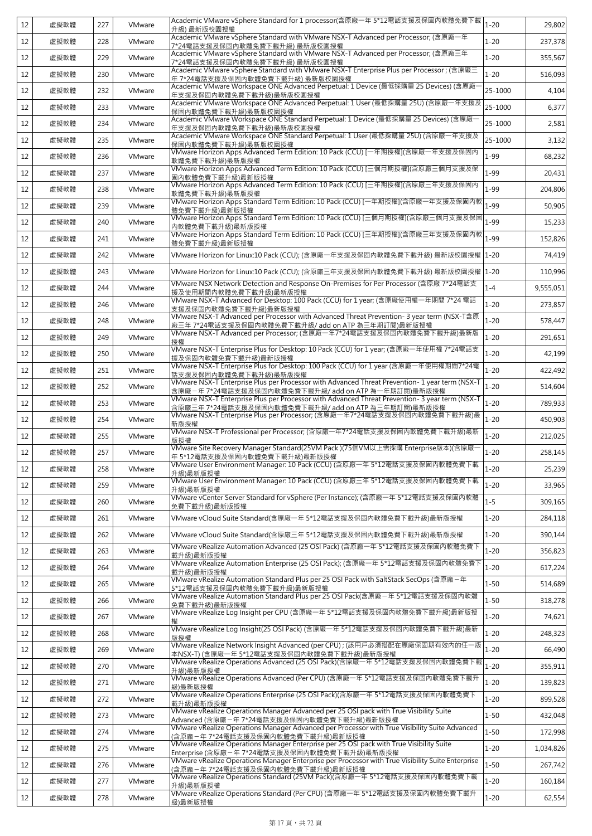| 虛擬軟體<br>228<br>$1 - 20$<br>12<br>VMware<br>7*24電話支援及保固內軟體免費下載升級) 最新版校園授權<br>Academic VMware vSphere Standard with VMware NSX-T Advanced per Processor; (含原廠三年<br>$1 - 20$<br>355,567<br>12<br>虛擬軟體<br>229<br>VMware<br>7*24電話支援及保固内軟體免費下載升級) 最新版校園授權<br>Academic VMware vSphere Standard with VMware NSX-T Enterprise Plus per Processor ; (含原廠三<br>$1 - 20$<br>虛擬軟體<br>VMware<br>12<br>230<br>年 7*24電話支援及保固內軟體免費下載升級) 最新版校園授權<br>Academic VMware Workspace ONE Advanced Perpetual: 1 Device (最低採購量 25 Devices) (含原廠<br>25-1000<br>虛擬軟體<br>232<br>VMware<br>12<br>年支援及保固內軟體免費下載升級)最新版校園授權<br>Academic VMware Workspace ONE Advanced Perpetual: 1 User (最低採購量 25U) (含原廠一年支援及<br>25-1000<br>虛擬軟體<br>233<br>VMware<br>12<br>保固內軟體免費下載升級)最新版校園授權<br>Academic VMware Workspace ONE Standard Perpetual: 1 Device (最低採購量 25 Devices) (含原廠<br>25-1000<br>虛擬軟體<br>234<br>VMware<br>2,581<br>12<br>年支援及保固內軟體免費下載升級)最新版校園授權<br>Academic VMware Workspace ONE Standard Perpetual: 1 User (最低採購量 25U) (含原廠一年支援及<br>25-1000<br>虛擬軟體<br>235<br>12<br>VMware<br>保固内軟體免費下載升級)最新版校園授權<br>VMware Horizon Apps Advanced Term Edition: 10 Pack (CCU) [一年期授權](含原廠一年支援及保固內<br>$1 - 99$<br>虛擬軟體<br>VMware<br>236<br>12<br>軟體免費下載升級)最新版授權<br>VMware Horizon Apps Advanced Term Edition: 10 Pack (CCU) [三個月期授權](含原廠三個月支援及保<br>$1 - 99$<br>虛擬軟體<br>237<br>VMware<br>12<br>固内軟體免費下載升級)最新版授權<br>VMware Horizon Apps Advanced Term Edition: 10 Pack (CCU) [三年期授權](含原廠三年支援及保固內<br>$1 - 99$<br>虛擬軟體<br>238<br>12<br>VMware<br>軟體免費下載升級)最新版授權<br>VMware Horizon Apps Standard Term Edition: 10 Pack (CCU) [一年期授權](含原廠一年支援及保固內軟<br>$1 - 99$<br>虛擬軟體<br>239<br>VMware<br>12<br>體免費下載升級)最新版授權<br>VMware Horizon Apps Standard Term Edition: 10 Pack (CCU) [三個月期授權](含原廠三個月支援及保固<br>$1 - 99$<br>虛擬軟體<br>VMware<br>240<br>12<br>内軟體免費下載升級)最新版授權<br>VMware Horizon Apps Standard Term Edition: 10 Pack (CCU) [三年期授權](含原廠三年支援及保固內軟<br>$1 - 99$<br>虛擬軟體<br>VMware<br>12<br>241<br>體免費下載升級)最新版授權<br>虛擬軟體<br>242<br>VMware Horizon for Linux:10 Pack (CCU); (含原廠一年支援及保固內軟體免費下載升級) 最新版校園授權  1-20<br>12<br>VMware<br>VMware Horizon for Linux:10 Pack (CCU); (含原廠三年支援及保固內軟體免費下載升級) 最新版校園授權  1-20<br>12<br>虛擬軟體<br>243<br>VMware<br>VMware NSX Network Detection and Response On-Premises for Per Processor (含原廠 7*24電話支<br>$1 - 4$<br>虛擬軟體<br>244<br>VMware<br>9,555,051<br>12<br>援及使用期間內軟體免費下載升級)最新版授權<br>VMware NSX-T Advanced for Desktop: 100 Pack (CCU) for 1 year; (含原廠使用權一年期間 7*24 電話<br>$1 - 20$<br>虛擬軟體<br>VMware<br>273,857<br>12<br>246<br>支援及保固內軟體免費下載升級)最新版授權<br>VMware NSX-T Advanced per Processor with Advanced Threat Prevention- 3 year term (NSX-T含原<br>$1 - 20$<br>虛擬軟體<br>578,447<br>12<br>248<br>VMware<br>廠三年 7*24電話支援及保固內軟體免費下載升級/ add on ATP 為三年期訂閱)最新版授權<br>VMware NSX-T Advanced per Processor; (含原廠一年7*24電話支援及保固內軟體免費下載升級)最新版<br>$1 - 20$<br>VMware<br>12<br>虛擬軟體<br>249<br>291,651<br>授權<br>VMware NSX-T Enterprise Plus for Desktop: 10 Pack (CCU) for 1 year; (含原廠一年使用權 7*24電話支<br>$1 - 20$<br>虛擬軟體<br>VMware<br>12<br>250<br>援及保固內軟體免費下載升級)最新版授權<br>VMware NSX-T Enterprise Plus for Desktop: 100 Pack (CCU) for 1 year (含原廠一年使用權期間7*24電<br>$1 - 20$<br>虛擬軟體<br>VMware<br>422,492<br>12<br>251<br>話支援及保固內軟體免費下載升級)最新版授權<br>VMware NSX-T Enterprise Plus per Processor with Advanced Threat Prevention- 1 year term (NSX-T<br>$1 - 20$<br>虛擬軟體<br>252<br>12<br>VMware<br>含原廠–年 7*24電話支援及保固內軟體免費下載升級/ add on ATP 為一年期訂閱)最新版授權<br>VMware NSX-T Enterprise Plus per Processor with Advanced Threat Prevention- 3 year term (NSX-T<br>$1 - 20$<br>12<br>虛擬軟體<br>253<br>VMware<br>含原廠三年 7*24電話支援及保固內軟體免費下載升級/ add on ATP 為三年期訂閱)最新版授權<br>VMware NSX-T Enterprise Plus per Processor; (含原廠一年7*24電話支援及保固內軟體免費下載升級)最<br>$1 - 20$<br>虛擬軟體<br>254<br>VMware<br>12<br>新版授權<br>VMware NSX-T Professional per Processor; (含原廠一年7*24電話支援及保固內軟體免費下載升級)最新<br>$1 - 20$<br>虛擬軟體<br>212,025<br>12<br>255<br>VMware<br>版授權<br>VMware Site Recovery Manager Standard(25VM Pack )(75個VM以上需採購 Enterprise版本)(含原廠<br>$1 - 20$<br>虛擬軟體<br>12<br>257<br>VMware<br>年 5*12電話支援及保固內軟體免費下載升級)最新版授權<br>VMware User Environment Manager: 10 Pack (CCU) (含原廠一年 5*12電話支援及保固內軟體免費下載<br>12<br>虛擬軟體<br>258<br>VMware<br>$1 - 20$<br>升級)最新版授權<br>VMware User Environment Manager: 10 Pack (CCU) (含原廠三年 5*12電話支援及保固內軟體免費下載<br>$1 - 20$<br>12<br>虛擬軟體<br>259<br>VMware<br>升級)最新版授權<br>VMware vCenter Server Standard for vSphere (Per Instance); (含原廠一年 5*12電話支援及保固內軟體<br>$1 - 5$<br>VMware<br>12<br>虛擬軟體<br>260<br>免費下載升級)最新版授權<br>VMware vCloud Suite Standard(含原廠一年 5*12電話支援及保固内軟體免費下載升級)最新版授權<br>$1 - 20$<br>12<br>虛擬軟體<br>261<br>VMware<br>$1 - 20$<br>12<br>虛擬軟體<br>262<br>VMware<br>VMware vCloud Suite Standard(含原廠三年 5*12電話支援及保固內軟體免費下載升級)最新版授權<br>VMware vRealize Automation Advanced (25 OSI Pack) (含原廠一年 5*12電話支援及保固內軟體免費下<br>$1 - 20$<br>12<br>虛擬軟體<br>263<br>VMware<br>載升級)最新版授權<br>VMware vRealize Automation Enterprise (25 OSI Pack); (含原廠一年 5*12電話支援及保固內軟體免費下<br>$1 - 20$<br>虛擬軟體<br>264<br>VMware<br>12<br>載升級)最新版授權<br>VMware vRealize Automation Standard Plus per 25 OSI Pack with SaltStack SecOps (含原廠一年<br>$1 - 50$<br>12<br>虛擬軟體<br>265<br>VMware<br>5*12電話支援及保固內軟體免費下載升級)最新版授權<br>VMware vRealize Automation Standard Plus per 25 OSI Pack(含原廠-年 5*12電話支援及保固內軟體<br>$1 - 50$<br>虛擬軟體<br>VMware<br>12<br>266<br>免費下載升級)最新版授權<br>VMware vRealize Log Insight per CPU (含原廠一年 5*12電話支援及保固內軟體免費下載升級)最新版授<br>$1 - 20$<br>VMware<br>12<br>虛擬軟體<br>267<br>VMware vRealize Log Insight(25 OSI Pack) (含原廠一年 5*12電話支援及保固內軟體免費下載升級)最新<br>$1 - 20$<br>虛擬軟體<br>VMware<br>12<br>268<br>版授權<br>VMware vRealize Network Insight Advanced (per CPU); (該用戶必須搭配在原廠保固期有效內的任一版<br>$1 - 20$<br>12<br>虛擬軟體<br>269<br>VMware<br>本NSX-T) (含原廠一年 5*12電話支援及保固內軟體免費下載升級)最新版授權<br>VMware vRealize Operations Advanced (25 OSI Pack)(含原廠一年 5*12電話支援及保固內軟體免費下載<br>$1 - 20$<br>12<br>虛擬軟體<br>270<br>VMware<br>355,911<br>升級)最新版授權<br>VMware vRealize Operations Advanced (Per CPU) (含原廠一年 5*12電話支援及保固內軟體免費下載升<br>$1 - 20$<br>12<br>虛擬軟體<br>271<br>VMware<br>級)最新版授權<br>VMware vRealize Operations Enterprise (25 OSI Pack)(含原廠一年 5*12電話支援及保固內軟體免費下<br>$1 - 20$<br>虛擬軟體<br>272<br>VMware<br>12<br>載升級)最新版授權<br>VMware vRealize Operations Manager Advanced per 25 OSI pack with True Visibility Suite<br>$1 - 50$<br>虛擬軟體<br>273<br>VMware<br>12<br>Advanced (含原廠-年 7*24電話支援及保固內軟體免費下載升級)最新版授權<br>VMware vRealize Operations Manager Advanced per Processor with True Visibility Suite Advanced<br>$1 - 50$<br>虛擬軟體<br>274<br>VMware<br>12<br>(含原廠一年7*24電話支援及保固內軟體免費下載升級)最新版授權<br>VMware vRealize Operations Manager Enterprise per 25 OSI pack with True Visibility Suite<br>$1 - 20$<br>12<br>虛擬軟體<br>275<br>VMware<br>Enterprise (含原廠–年7*24電話支援及保固內軟體免費下載升級)最新版授權<br>VMware vRealize Operations Manager Enterprise per Processor with True Visibility Suite Enterprise<br>$1 - 50$<br>虛擬軟體<br>12<br>276<br>VMware<br>(含原廠-年 7*24電話支援及保固內軟體免費下載升級)最新版授權<br>VMware vRealize Operations Standard (25VM Pack)(含原廠一年 5*12電話支援及保固內軟體免費下載<br>$1 - 20$<br>虛擬軟體<br>277<br>VMware<br>12<br>升級)最新版授權<br>VMware vRealize Operations Standard (Per CPU) (含原廠一年 5*12電話支援及保固內軟體免費下載升<br>12<br>虛擬軟體<br>278<br>$1 - 20$<br>VMware<br>級)最新版授權 | 12 | 虛擬軟體 | 227 | VMware | Academic VMware vSphere Standard for 1 processor(含原廠一年 5*12電話支援及保固內軟體免費下載<br>升級) 最新版校園授權 | $1 - 20$ | 29,802    |
|----------------------------------------------------------------------------------------------------------------------------------------------------------------------------------------------------------------------------------------------------------------------------------------------------------------------------------------------------------------------------------------------------------------------------------------------------------------------------------------------------------------------------------------------------------------------------------------------------------------------------------------------------------------------------------------------------------------------------------------------------------------------------------------------------------------------------------------------------------------------------------------------------------------------------------------------------------------------------------------------------------------------------------------------------------------------------------------------------------------------------------------------------------------------------------------------------------------------------------------------------------------------------------------------------------------------------------------------------------------------------------------------------------------------------------------------------------------------------------------------------------------------------------------------------------------------------------------------------------------------------------------------------------------------------------------------------------------------------------------------------------------------------------------------------------------------------------------------------------------------------------------------------------------------------------------------------------------------------------------------------------------------------------------------------------------------------------------------------------------------------------------------------------------------------------------------------------------------------------------------------------------------------------------------------------------------------------------------------------------------------------------------------------------------------------------------------------------------------------------------------------------------------------------------------------------------------------------------------------------------------------------------------------------------------------------------------------------------------------------------------------------------------------------------------------------------------------------------------------------------------------------------------------------------------------------------------------------------------------------------------------------------------------------------------------------------------------------------------------------------------------------------------------------------------------------------------------------------------------------------------------------------------------------------------------------------------------------------------------------------------------------------------------------------------------------------------------------------------------------------------------------------------------------------------------------------------------------------------------------------------------------------------------------------------------------------------------------------------------------------------------------------------------------------------------------------------------------------------------------------------------------------------------------------------------------------------------------------------------------------------------------------------------------------------------------------------------------------------------------------------------------------------------------------------------------------------------------------------------------------------------------------------------------------------------------------------------------------------------------------------------------------------------------------------------------------------------------------------------------------------------------------------------------------------------------------------------------------------------------------------------------------------------------------------------------------------------------------------------------------------------------------------------------------------------------------------------------------------------------------------------------------------------------------------------------------------------------------------------------------------------------------------------------------------------------------------------------------------------------------------------------------------------------------------------------------------------------------------------------------------------------------------------------------------------------------------------------------------------------------------------------------------------------------------------------------------------------------------------------------------------------------------------------------------------------------------------------------------------------------------------------------------------------------------------------------------------------------------------------------------------------------------------------------------------------------------------------------------------------------------------------------------------------------------------------------------------------------------------------------------------------------------------------------------------------------------------------------------------------------------------------------------------------------------------------------------------------------------------------------------------------------------------------------------------------------------------------------------------------------------------------------------------------------------------------------------------------------------------------------------------------------------------------------------------------------------------------------------------------------------------------------------------------------------------------------------------------------------------------------------------------------------------------------------------------------------------------------------------------------------------------------------------------------------------------------------------------------------------------------------------------------------------------------------------------------------------------------------------------------------------------------------------------|----|------|-----|--------|------------------------------------------------------------------------------------------|----------|-----------|
|                                                                                                                                                                                                                                                                                                                                                                                                                                                                                                                                                                                                                                                                                                                                                                                                                                                                                                                                                                                                                                                                                                                                                                                                                                                                                                                                                                                                                                                                                                                                                                                                                                                                                                                                                                                                                                                                                                                                                                                                                                                                                                                                                                                                                                                                                                                                                                                                                                                                                                                                                                                                                                                                                                                                                                                                                                                                                                                                                                                                                                                                                                                                                                                                                                                                                                                                                                                                                                                                                                                                                                                                                                                                                                                                                                                                                                                                                                                                                                                                                                                                                                                                                                                                                                                                                                                                                                                                                                                                                                                                                                                                                                                                                                                                                                                                                                                                                                                                                                                                                                                                                                                                                                                                                                                                                                                                                                                                                                                                                                                                                                                                                                                                                                                                                                                                                                                                                                                                                                                                                                                                                                                                                                                                                                                                                                                                                                                                                                                                                                                                                                                                                                                                                                                                                                                                                                                                                                                                                                                                                                                                                                                                                                |    |      |     |        | Academic VMware vSphere Standard with VMware NSX-T Advanced per Processor; (含原廠一年        |          | 237,378   |
|                                                                                                                                                                                                                                                                                                                                                                                                                                                                                                                                                                                                                                                                                                                                                                                                                                                                                                                                                                                                                                                                                                                                                                                                                                                                                                                                                                                                                                                                                                                                                                                                                                                                                                                                                                                                                                                                                                                                                                                                                                                                                                                                                                                                                                                                                                                                                                                                                                                                                                                                                                                                                                                                                                                                                                                                                                                                                                                                                                                                                                                                                                                                                                                                                                                                                                                                                                                                                                                                                                                                                                                                                                                                                                                                                                                                                                                                                                                                                                                                                                                                                                                                                                                                                                                                                                                                                                                                                                                                                                                                                                                                                                                                                                                                                                                                                                                                                                                                                                                                                                                                                                                                                                                                                                                                                                                                                                                                                                                                                                                                                                                                                                                                                                                                                                                                                                                                                                                                                                                                                                                                                                                                                                                                                                                                                                                                                                                                                                                                                                                                                                                                                                                                                                                                                                                                                                                                                                                                                                                                                                                                                                                                                                |    |      |     |        |                                                                                          |          |           |
|                                                                                                                                                                                                                                                                                                                                                                                                                                                                                                                                                                                                                                                                                                                                                                                                                                                                                                                                                                                                                                                                                                                                                                                                                                                                                                                                                                                                                                                                                                                                                                                                                                                                                                                                                                                                                                                                                                                                                                                                                                                                                                                                                                                                                                                                                                                                                                                                                                                                                                                                                                                                                                                                                                                                                                                                                                                                                                                                                                                                                                                                                                                                                                                                                                                                                                                                                                                                                                                                                                                                                                                                                                                                                                                                                                                                                                                                                                                                                                                                                                                                                                                                                                                                                                                                                                                                                                                                                                                                                                                                                                                                                                                                                                                                                                                                                                                                                                                                                                                                                                                                                                                                                                                                                                                                                                                                                                                                                                                                                                                                                                                                                                                                                                                                                                                                                                                                                                                                                                                                                                                                                                                                                                                                                                                                                                                                                                                                                                                                                                                                                                                                                                                                                                                                                                                                                                                                                                                                                                                                                                                                                                                                                                |    |      |     |        |                                                                                          |          | 516.093   |
|                                                                                                                                                                                                                                                                                                                                                                                                                                                                                                                                                                                                                                                                                                                                                                                                                                                                                                                                                                                                                                                                                                                                                                                                                                                                                                                                                                                                                                                                                                                                                                                                                                                                                                                                                                                                                                                                                                                                                                                                                                                                                                                                                                                                                                                                                                                                                                                                                                                                                                                                                                                                                                                                                                                                                                                                                                                                                                                                                                                                                                                                                                                                                                                                                                                                                                                                                                                                                                                                                                                                                                                                                                                                                                                                                                                                                                                                                                                                                                                                                                                                                                                                                                                                                                                                                                                                                                                                                                                                                                                                                                                                                                                                                                                                                                                                                                                                                                                                                                                                                                                                                                                                                                                                                                                                                                                                                                                                                                                                                                                                                                                                                                                                                                                                                                                                                                                                                                                                                                                                                                                                                                                                                                                                                                                                                                                                                                                                                                                                                                                                                                                                                                                                                                                                                                                                                                                                                                                                                                                                                                                                                                                                                                |    |      |     |        |                                                                                          |          | 4,104     |
|                                                                                                                                                                                                                                                                                                                                                                                                                                                                                                                                                                                                                                                                                                                                                                                                                                                                                                                                                                                                                                                                                                                                                                                                                                                                                                                                                                                                                                                                                                                                                                                                                                                                                                                                                                                                                                                                                                                                                                                                                                                                                                                                                                                                                                                                                                                                                                                                                                                                                                                                                                                                                                                                                                                                                                                                                                                                                                                                                                                                                                                                                                                                                                                                                                                                                                                                                                                                                                                                                                                                                                                                                                                                                                                                                                                                                                                                                                                                                                                                                                                                                                                                                                                                                                                                                                                                                                                                                                                                                                                                                                                                                                                                                                                                                                                                                                                                                                                                                                                                                                                                                                                                                                                                                                                                                                                                                                                                                                                                                                                                                                                                                                                                                                                                                                                                                                                                                                                                                                                                                                                                                                                                                                                                                                                                                                                                                                                                                                                                                                                                                                                                                                                                                                                                                                                                                                                                                                                                                                                                                                                                                                                                                                |    |      |     |        |                                                                                          |          | 6,377     |
|                                                                                                                                                                                                                                                                                                                                                                                                                                                                                                                                                                                                                                                                                                                                                                                                                                                                                                                                                                                                                                                                                                                                                                                                                                                                                                                                                                                                                                                                                                                                                                                                                                                                                                                                                                                                                                                                                                                                                                                                                                                                                                                                                                                                                                                                                                                                                                                                                                                                                                                                                                                                                                                                                                                                                                                                                                                                                                                                                                                                                                                                                                                                                                                                                                                                                                                                                                                                                                                                                                                                                                                                                                                                                                                                                                                                                                                                                                                                                                                                                                                                                                                                                                                                                                                                                                                                                                                                                                                                                                                                                                                                                                                                                                                                                                                                                                                                                                                                                                                                                                                                                                                                                                                                                                                                                                                                                                                                                                                                                                                                                                                                                                                                                                                                                                                                                                                                                                                                                                                                                                                                                                                                                                                                                                                                                                                                                                                                                                                                                                                                                                                                                                                                                                                                                                                                                                                                                                                                                                                                                                                                                                                                                                |    |      |     |        |                                                                                          |          |           |
|                                                                                                                                                                                                                                                                                                                                                                                                                                                                                                                                                                                                                                                                                                                                                                                                                                                                                                                                                                                                                                                                                                                                                                                                                                                                                                                                                                                                                                                                                                                                                                                                                                                                                                                                                                                                                                                                                                                                                                                                                                                                                                                                                                                                                                                                                                                                                                                                                                                                                                                                                                                                                                                                                                                                                                                                                                                                                                                                                                                                                                                                                                                                                                                                                                                                                                                                                                                                                                                                                                                                                                                                                                                                                                                                                                                                                                                                                                                                                                                                                                                                                                                                                                                                                                                                                                                                                                                                                                                                                                                                                                                                                                                                                                                                                                                                                                                                                                                                                                                                                                                                                                                                                                                                                                                                                                                                                                                                                                                                                                                                                                                                                                                                                                                                                                                                                                                                                                                                                                                                                                                                                                                                                                                                                                                                                                                                                                                                                                                                                                                                                                                                                                                                                                                                                                                                                                                                                                                                                                                                                                                                                                                                                                |    |      |     |        |                                                                                          |          | 3,132     |
|                                                                                                                                                                                                                                                                                                                                                                                                                                                                                                                                                                                                                                                                                                                                                                                                                                                                                                                                                                                                                                                                                                                                                                                                                                                                                                                                                                                                                                                                                                                                                                                                                                                                                                                                                                                                                                                                                                                                                                                                                                                                                                                                                                                                                                                                                                                                                                                                                                                                                                                                                                                                                                                                                                                                                                                                                                                                                                                                                                                                                                                                                                                                                                                                                                                                                                                                                                                                                                                                                                                                                                                                                                                                                                                                                                                                                                                                                                                                                                                                                                                                                                                                                                                                                                                                                                                                                                                                                                                                                                                                                                                                                                                                                                                                                                                                                                                                                                                                                                                                                                                                                                                                                                                                                                                                                                                                                                                                                                                                                                                                                                                                                                                                                                                                                                                                                                                                                                                                                                                                                                                                                                                                                                                                                                                                                                                                                                                                                                                                                                                                                                                                                                                                                                                                                                                                                                                                                                                                                                                                                                                                                                                                                                |    |      |     |        |                                                                                          |          | 68,232    |
|                                                                                                                                                                                                                                                                                                                                                                                                                                                                                                                                                                                                                                                                                                                                                                                                                                                                                                                                                                                                                                                                                                                                                                                                                                                                                                                                                                                                                                                                                                                                                                                                                                                                                                                                                                                                                                                                                                                                                                                                                                                                                                                                                                                                                                                                                                                                                                                                                                                                                                                                                                                                                                                                                                                                                                                                                                                                                                                                                                                                                                                                                                                                                                                                                                                                                                                                                                                                                                                                                                                                                                                                                                                                                                                                                                                                                                                                                                                                                                                                                                                                                                                                                                                                                                                                                                                                                                                                                                                                                                                                                                                                                                                                                                                                                                                                                                                                                                                                                                                                                                                                                                                                                                                                                                                                                                                                                                                                                                                                                                                                                                                                                                                                                                                                                                                                                                                                                                                                                                                                                                                                                                                                                                                                                                                                                                                                                                                                                                                                                                                                                                                                                                                                                                                                                                                                                                                                                                                                                                                                                                                                                                                                                                |    |      |     |        |                                                                                          |          | 20,431    |
|                                                                                                                                                                                                                                                                                                                                                                                                                                                                                                                                                                                                                                                                                                                                                                                                                                                                                                                                                                                                                                                                                                                                                                                                                                                                                                                                                                                                                                                                                                                                                                                                                                                                                                                                                                                                                                                                                                                                                                                                                                                                                                                                                                                                                                                                                                                                                                                                                                                                                                                                                                                                                                                                                                                                                                                                                                                                                                                                                                                                                                                                                                                                                                                                                                                                                                                                                                                                                                                                                                                                                                                                                                                                                                                                                                                                                                                                                                                                                                                                                                                                                                                                                                                                                                                                                                                                                                                                                                                                                                                                                                                                                                                                                                                                                                                                                                                                                                                                                                                                                                                                                                                                                                                                                                                                                                                                                                                                                                                                                                                                                                                                                                                                                                                                                                                                                                                                                                                                                                                                                                                                                                                                                                                                                                                                                                                                                                                                                                                                                                                                                                                                                                                                                                                                                                                                                                                                                                                                                                                                                                                                                                                                                                |    |      |     |        |                                                                                          |          | 204,806   |
|                                                                                                                                                                                                                                                                                                                                                                                                                                                                                                                                                                                                                                                                                                                                                                                                                                                                                                                                                                                                                                                                                                                                                                                                                                                                                                                                                                                                                                                                                                                                                                                                                                                                                                                                                                                                                                                                                                                                                                                                                                                                                                                                                                                                                                                                                                                                                                                                                                                                                                                                                                                                                                                                                                                                                                                                                                                                                                                                                                                                                                                                                                                                                                                                                                                                                                                                                                                                                                                                                                                                                                                                                                                                                                                                                                                                                                                                                                                                                                                                                                                                                                                                                                                                                                                                                                                                                                                                                                                                                                                                                                                                                                                                                                                                                                                                                                                                                                                                                                                                                                                                                                                                                                                                                                                                                                                                                                                                                                                                                                                                                                                                                                                                                                                                                                                                                                                                                                                                                                                                                                                                                                                                                                                                                                                                                                                                                                                                                                                                                                                                                                                                                                                                                                                                                                                                                                                                                                                                                                                                                                                                                                                                                                |    |      |     |        |                                                                                          |          | 50,905    |
|                                                                                                                                                                                                                                                                                                                                                                                                                                                                                                                                                                                                                                                                                                                                                                                                                                                                                                                                                                                                                                                                                                                                                                                                                                                                                                                                                                                                                                                                                                                                                                                                                                                                                                                                                                                                                                                                                                                                                                                                                                                                                                                                                                                                                                                                                                                                                                                                                                                                                                                                                                                                                                                                                                                                                                                                                                                                                                                                                                                                                                                                                                                                                                                                                                                                                                                                                                                                                                                                                                                                                                                                                                                                                                                                                                                                                                                                                                                                                                                                                                                                                                                                                                                                                                                                                                                                                                                                                                                                                                                                                                                                                                                                                                                                                                                                                                                                                                                                                                                                                                                                                                                                                                                                                                                                                                                                                                                                                                                                                                                                                                                                                                                                                                                                                                                                                                                                                                                                                                                                                                                                                                                                                                                                                                                                                                                                                                                                                                                                                                                                                                                                                                                                                                                                                                                                                                                                                                                                                                                                                                                                                                                                                                |    |      |     |        |                                                                                          |          | 15,233    |
|                                                                                                                                                                                                                                                                                                                                                                                                                                                                                                                                                                                                                                                                                                                                                                                                                                                                                                                                                                                                                                                                                                                                                                                                                                                                                                                                                                                                                                                                                                                                                                                                                                                                                                                                                                                                                                                                                                                                                                                                                                                                                                                                                                                                                                                                                                                                                                                                                                                                                                                                                                                                                                                                                                                                                                                                                                                                                                                                                                                                                                                                                                                                                                                                                                                                                                                                                                                                                                                                                                                                                                                                                                                                                                                                                                                                                                                                                                                                                                                                                                                                                                                                                                                                                                                                                                                                                                                                                                                                                                                                                                                                                                                                                                                                                                                                                                                                                                                                                                                                                                                                                                                                                                                                                                                                                                                                                                                                                                                                                                                                                                                                                                                                                                                                                                                                                                                                                                                                                                                                                                                                                                                                                                                                                                                                                                                                                                                                                                                                                                                                                                                                                                                                                                                                                                                                                                                                                                                                                                                                                                                                                                                                                                |    |      |     |        |                                                                                          |          | 152,826   |
|                                                                                                                                                                                                                                                                                                                                                                                                                                                                                                                                                                                                                                                                                                                                                                                                                                                                                                                                                                                                                                                                                                                                                                                                                                                                                                                                                                                                                                                                                                                                                                                                                                                                                                                                                                                                                                                                                                                                                                                                                                                                                                                                                                                                                                                                                                                                                                                                                                                                                                                                                                                                                                                                                                                                                                                                                                                                                                                                                                                                                                                                                                                                                                                                                                                                                                                                                                                                                                                                                                                                                                                                                                                                                                                                                                                                                                                                                                                                                                                                                                                                                                                                                                                                                                                                                                                                                                                                                                                                                                                                                                                                                                                                                                                                                                                                                                                                                                                                                                                                                                                                                                                                                                                                                                                                                                                                                                                                                                                                                                                                                                                                                                                                                                                                                                                                                                                                                                                                                                                                                                                                                                                                                                                                                                                                                                                                                                                                                                                                                                                                                                                                                                                                                                                                                                                                                                                                                                                                                                                                                                                                                                                                                                |    |      |     |        |                                                                                          |          | 74,419    |
|                                                                                                                                                                                                                                                                                                                                                                                                                                                                                                                                                                                                                                                                                                                                                                                                                                                                                                                                                                                                                                                                                                                                                                                                                                                                                                                                                                                                                                                                                                                                                                                                                                                                                                                                                                                                                                                                                                                                                                                                                                                                                                                                                                                                                                                                                                                                                                                                                                                                                                                                                                                                                                                                                                                                                                                                                                                                                                                                                                                                                                                                                                                                                                                                                                                                                                                                                                                                                                                                                                                                                                                                                                                                                                                                                                                                                                                                                                                                                                                                                                                                                                                                                                                                                                                                                                                                                                                                                                                                                                                                                                                                                                                                                                                                                                                                                                                                                                                                                                                                                                                                                                                                                                                                                                                                                                                                                                                                                                                                                                                                                                                                                                                                                                                                                                                                                                                                                                                                                                                                                                                                                                                                                                                                                                                                                                                                                                                                                                                                                                                                                                                                                                                                                                                                                                                                                                                                                                                                                                                                                                                                                                                                                                |    |      |     |        |                                                                                          |          | 110,996   |
|                                                                                                                                                                                                                                                                                                                                                                                                                                                                                                                                                                                                                                                                                                                                                                                                                                                                                                                                                                                                                                                                                                                                                                                                                                                                                                                                                                                                                                                                                                                                                                                                                                                                                                                                                                                                                                                                                                                                                                                                                                                                                                                                                                                                                                                                                                                                                                                                                                                                                                                                                                                                                                                                                                                                                                                                                                                                                                                                                                                                                                                                                                                                                                                                                                                                                                                                                                                                                                                                                                                                                                                                                                                                                                                                                                                                                                                                                                                                                                                                                                                                                                                                                                                                                                                                                                                                                                                                                                                                                                                                                                                                                                                                                                                                                                                                                                                                                                                                                                                                                                                                                                                                                                                                                                                                                                                                                                                                                                                                                                                                                                                                                                                                                                                                                                                                                                                                                                                                                                                                                                                                                                                                                                                                                                                                                                                                                                                                                                                                                                                                                                                                                                                                                                                                                                                                                                                                                                                                                                                                                                                                                                                                                                |    |      |     |        |                                                                                          |          |           |
|                                                                                                                                                                                                                                                                                                                                                                                                                                                                                                                                                                                                                                                                                                                                                                                                                                                                                                                                                                                                                                                                                                                                                                                                                                                                                                                                                                                                                                                                                                                                                                                                                                                                                                                                                                                                                                                                                                                                                                                                                                                                                                                                                                                                                                                                                                                                                                                                                                                                                                                                                                                                                                                                                                                                                                                                                                                                                                                                                                                                                                                                                                                                                                                                                                                                                                                                                                                                                                                                                                                                                                                                                                                                                                                                                                                                                                                                                                                                                                                                                                                                                                                                                                                                                                                                                                                                                                                                                                                                                                                                                                                                                                                                                                                                                                                                                                                                                                                                                                                                                                                                                                                                                                                                                                                                                                                                                                                                                                                                                                                                                                                                                                                                                                                                                                                                                                                                                                                                                                                                                                                                                                                                                                                                                                                                                                                                                                                                                                                                                                                                                                                                                                                                                                                                                                                                                                                                                                                                                                                                                                                                                                                                                                |    |      |     |        |                                                                                          |          |           |
|                                                                                                                                                                                                                                                                                                                                                                                                                                                                                                                                                                                                                                                                                                                                                                                                                                                                                                                                                                                                                                                                                                                                                                                                                                                                                                                                                                                                                                                                                                                                                                                                                                                                                                                                                                                                                                                                                                                                                                                                                                                                                                                                                                                                                                                                                                                                                                                                                                                                                                                                                                                                                                                                                                                                                                                                                                                                                                                                                                                                                                                                                                                                                                                                                                                                                                                                                                                                                                                                                                                                                                                                                                                                                                                                                                                                                                                                                                                                                                                                                                                                                                                                                                                                                                                                                                                                                                                                                                                                                                                                                                                                                                                                                                                                                                                                                                                                                                                                                                                                                                                                                                                                                                                                                                                                                                                                                                                                                                                                                                                                                                                                                                                                                                                                                                                                                                                                                                                                                                                                                                                                                                                                                                                                                                                                                                                                                                                                                                                                                                                                                                                                                                                                                                                                                                                                                                                                                                                                                                                                                                                                                                                                                                |    |      |     |        |                                                                                          |          |           |
|                                                                                                                                                                                                                                                                                                                                                                                                                                                                                                                                                                                                                                                                                                                                                                                                                                                                                                                                                                                                                                                                                                                                                                                                                                                                                                                                                                                                                                                                                                                                                                                                                                                                                                                                                                                                                                                                                                                                                                                                                                                                                                                                                                                                                                                                                                                                                                                                                                                                                                                                                                                                                                                                                                                                                                                                                                                                                                                                                                                                                                                                                                                                                                                                                                                                                                                                                                                                                                                                                                                                                                                                                                                                                                                                                                                                                                                                                                                                                                                                                                                                                                                                                                                                                                                                                                                                                                                                                                                                                                                                                                                                                                                                                                                                                                                                                                                                                                                                                                                                                                                                                                                                                                                                                                                                                                                                                                                                                                                                                                                                                                                                                                                                                                                                                                                                                                                                                                                                                                                                                                                                                                                                                                                                                                                                                                                                                                                                                                                                                                                                                                                                                                                                                                                                                                                                                                                                                                                                                                                                                                                                                                                                                                |    |      |     |        |                                                                                          |          |           |
|                                                                                                                                                                                                                                                                                                                                                                                                                                                                                                                                                                                                                                                                                                                                                                                                                                                                                                                                                                                                                                                                                                                                                                                                                                                                                                                                                                                                                                                                                                                                                                                                                                                                                                                                                                                                                                                                                                                                                                                                                                                                                                                                                                                                                                                                                                                                                                                                                                                                                                                                                                                                                                                                                                                                                                                                                                                                                                                                                                                                                                                                                                                                                                                                                                                                                                                                                                                                                                                                                                                                                                                                                                                                                                                                                                                                                                                                                                                                                                                                                                                                                                                                                                                                                                                                                                                                                                                                                                                                                                                                                                                                                                                                                                                                                                                                                                                                                                                                                                                                                                                                                                                                                                                                                                                                                                                                                                                                                                                                                                                                                                                                                                                                                                                                                                                                                                                                                                                                                                                                                                                                                                                                                                                                                                                                                                                                                                                                                                                                                                                                                                                                                                                                                                                                                                                                                                                                                                                                                                                                                                                                                                                                                                |    |      |     |        |                                                                                          |          | 42,199    |
|                                                                                                                                                                                                                                                                                                                                                                                                                                                                                                                                                                                                                                                                                                                                                                                                                                                                                                                                                                                                                                                                                                                                                                                                                                                                                                                                                                                                                                                                                                                                                                                                                                                                                                                                                                                                                                                                                                                                                                                                                                                                                                                                                                                                                                                                                                                                                                                                                                                                                                                                                                                                                                                                                                                                                                                                                                                                                                                                                                                                                                                                                                                                                                                                                                                                                                                                                                                                                                                                                                                                                                                                                                                                                                                                                                                                                                                                                                                                                                                                                                                                                                                                                                                                                                                                                                                                                                                                                                                                                                                                                                                                                                                                                                                                                                                                                                                                                                                                                                                                                                                                                                                                                                                                                                                                                                                                                                                                                                                                                                                                                                                                                                                                                                                                                                                                                                                                                                                                                                                                                                                                                                                                                                                                                                                                                                                                                                                                                                                                                                                                                                                                                                                                                                                                                                                                                                                                                                                                                                                                                                                                                                                                                                |    |      |     |        |                                                                                          |          |           |
|                                                                                                                                                                                                                                                                                                                                                                                                                                                                                                                                                                                                                                                                                                                                                                                                                                                                                                                                                                                                                                                                                                                                                                                                                                                                                                                                                                                                                                                                                                                                                                                                                                                                                                                                                                                                                                                                                                                                                                                                                                                                                                                                                                                                                                                                                                                                                                                                                                                                                                                                                                                                                                                                                                                                                                                                                                                                                                                                                                                                                                                                                                                                                                                                                                                                                                                                                                                                                                                                                                                                                                                                                                                                                                                                                                                                                                                                                                                                                                                                                                                                                                                                                                                                                                                                                                                                                                                                                                                                                                                                                                                                                                                                                                                                                                                                                                                                                                                                                                                                                                                                                                                                                                                                                                                                                                                                                                                                                                                                                                                                                                                                                                                                                                                                                                                                                                                                                                                                                                                                                                                                                                                                                                                                                                                                                                                                                                                                                                                                                                                                                                                                                                                                                                                                                                                                                                                                                                                                                                                                                                                                                                                                                                |    |      |     |        |                                                                                          |          | 514,604   |
|                                                                                                                                                                                                                                                                                                                                                                                                                                                                                                                                                                                                                                                                                                                                                                                                                                                                                                                                                                                                                                                                                                                                                                                                                                                                                                                                                                                                                                                                                                                                                                                                                                                                                                                                                                                                                                                                                                                                                                                                                                                                                                                                                                                                                                                                                                                                                                                                                                                                                                                                                                                                                                                                                                                                                                                                                                                                                                                                                                                                                                                                                                                                                                                                                                                                                                                                                                                                                                                                                                                                                                                                                                                                                                                                                                                                                                                                                                                                                                                                                                                                                                                                                                                                                                                                                                                                                                                                                                                                                                                                                                                                                                                                                                                                                                                                                                                                                                                                                                                                                                                                                                                                                                                                                                                                                                                                                                                                                                                                                                                                                                                                                                                                                                                                                                                                                                                                                                                                                                                                                                                                                                                                                                                                                                                                                                                                                                                                                                                                                                                                                                                                                                                                                                                                                                                                                                                                                                                                                                                                                                                                                                                                                                |    |      |     |        |                                                                                          |          | 789,933   |
|                                                                                                                                                                                                                                                                                                                                                                                                                                                                                                                                                                                                                                                                                                                                                                                                                                                                                                                                                                                                                                                                                                                                                                                                                                                                                                                                                                                                                                                                                                                                                                                                                                                                                                                                                                                                                                                                                                                                                                                                                                                                                                                                                                                                                                                                                                                                                                                                                                                                                                                                                                                                                                                                                                                                                                                                                                                                                                                                                                                                                                                                                                                                                                                                                                                                                                                                                                                                                                                                                                                                                                                                                                                                                                                                                                                                                                                                                                                                                                                                                                                                                                                                                                                                                                                                                                                                                                                                                                                                                                                                                                                                                                                                                                                                                                                                                                                                                                                                                                                                                                                                                                                                                                                                                                                                                                                                                                                                                                                                                                                                                                                                                                                                                                                                                                                                                                                                                                                                                                                                                                                                                                                                                                                                                                                                                                                                                                                                                                                                                                                                                                                                                                                                                                                                                                                                                                                                                                                                                                                                                                                                                                                                                                |    |      |     |        |                                                                                          |          | 450,903   |
|                                                                                                                                                                                                                                                                                                                                                                                                                                                                                                                                                                                                                                                                                                                                                                                                                                                                                                                                                                                                                                                                                                                                                                                                                                                                                                                                                                                                                                                                                                                                                                                                                                                                                                                                                                                                                                                                                                                                                                                                                                                                                                                                                                                                                                                                                                                                                                                                                                                                                                                                                                                                                                                                                                                                                                                                                                                                                                                                                                                                                                                                                                                                                                                                                                                                                                                                                                                                                                                                                                                                                                                                                                                                                                                                                                                                                                                                                                                                                                                                                                                                                                                                                                                                                                                                                                                                                                                                                                                                                                                                                                                                                                                                                                                                                                                                                                                                                                                                                                                                                                                                                                                                                                                                                                                                                                                                                                                                                                                                                                                                                                                                                                                                                                                                                                                                                                                                                                                                                                                                                                                                                                                                                                                                                                                                                                                                                                                                                                                                                                                                                                                                                                                                                                                                                                                                                                                                                                                                                                                                                                                                                                                                                                |    |      |     |        |                                                                                          |          |           |
|                                                                                                                                                                                                                                                                                                                                                                                                                                                                                                                                                                                                                                                                                                                                                                                                                                                                                                                                                                                                                                                                                                                                                                                                                                                                                                                                                                                                                                                                                                                                                                                                                                                                                                                                                                                                                                                                                                                                                                                                                                                                                                                                                                                                                                                                                                                                                                                                                                                                                                                                                                                                                                                                                                                                                                                                                                                                                                                                                                                                                                                                                                                                                                                                                                                                                                                                                                                                                                                                                                                                                                                                                                                                                                                                                                                                                                                                                                                                                                                                                                                                                                                                                                                                                                                                                                                                                                                                                                                                                                                                                                                                                                                                                                                                                                                                                                                                                                                                                                                                                                                                                                                                                                                                                                                                                                                                                                                                                                                                                                                                                                                                                                                                                                                                                                                                                                                                                                                                                                                                                                                                                                                                                                                                                                                                                                                                                                                                                                                                                                                                                                                                                                                                                                                                                                                                                                                                                                                                                                                                                                                                                                                                                                |    |      |     |        |                                                                                          |          | 258,145   |
|                                                                                                                                                                                                                                                                                                                                                                                                                                                                                                                                                                                                                                                                                                                                                                                                                                                                                                                                                                                                                                                                                                                                                                                                                                                                                                                                                                                                                                                                                                                                                                                                                                                                                                                                                                                                                                                                                                                                                                                                                                                                                                                                                                                                                                                                                                                                                                                                                                                                                                                                                                                                                                                                                                                                                                                                                                                                                                                                                                                                                                                                                                                                                                                                                                                                                                                                                                                                                                                                                                                                                                                                                                                                                                                                                                                                                                                                                                                                                                                                                                                                                                                                                                                                                                                                                                                                                                                                                                                                                                                                                                                                                                                                                                                                                                                                                                                                                                                                                                                                                                                                                                                                                                                                                                                                                                                                                                                                                                                                                                                                                                                                                                                                                                                                                                                                                                                                                                                                                                                                                                                                                                                                                                                                                                                                                                                                                                                                                                                                                                                                                                                                                                                                                                                                                                                                                                                                                                                                                                                                                                                                                                                                                                |    |      |     |        |                                                                                          |          | 25,239    |
|                                                                                                                                                                                                                                                                                                                                                                                                                                                                                                                                                                                                                                                                                                                                                                                                                                                                                                                                                                                                                                                                                                                                                                                                                                                                                                                                                                                                                                                                                                                                                                                                                                                                                                                                                                                                                                                                                                                                                                                                                                                                                                                                                                                                                                                                                                                                                                                                                                                                                                                                                                                                                                                                                                                                                                                                                                                                                                                                                                                                                                                                                                                                                                                                                                                                                                                                                                                                                                                                                                                                                                                                                                                                                                                                                                                                                                                                                                                                                                                                                                                                                                                                                                                                                                                                                                                                                                                                                                                                                                                                                                                                                                                                                                                                                                                                                                                                                                                                                                                                                                                                                                                                                                                                                                                                                                                                                                                                                                                                                                                                                                                                                                                                                                                                                                                                                                                                                                                                                                                                                                                                                                                                                                                                                                                                                                                                                                                                                                                                                                                                                                                                                                                                                                                                                                                                                                                                                                                                                                                                                                                                                                                                                                |    |      |     |        |                                                                                          |          | 33,965    |
|                                                                                                                                                                                                                                                                                                                                                                                                                                                                                                                                                                                                                                                                                                                                                                                                                                                                                                                                                                                                                                                                                                                                                                                                                                                                                                                                                                                                                                                                                                                                                                                                                                                                                                                                                                                                                                                                                                                                                                                                                                                                                                                                                                                                                                                                                                                                                                                                                                                                                                                                                                                                                                                                                                                                                                                                                                                                                                                                                                                                                                                                                                                                                                                                                                                                                                                                                                                                                                                                                                                                                                                                                                                                                                                                                                                                                                                                                                                                                                                                                                                                                                                                                                                                                                                                                                                                                                                                                                                                                                                                                                                                                                                                                                                                                                                                                                                                                                                                                                                                                                                                                                                                                                                                                                                                                                                                                                                                                                                                                                                                                                                                                                                                                                                                                                                                                                                                                                                                                                                                                                                                                                                                                                                                                                                                                                                                                                                                                                                                                                                                                                                                                                                                                                                                                                                                                                                                                                                                                                                                                                                                                                                                                                |    |      |     |        |                                                                                          |          | 309,165   |
|                                                                                                                                                                                                                                                                                                                                                                                                                                                                                                                                                                                                                                                                                                                                                                                                                                                                                                                                                                                                                                                                                                                                                                                                                                                                                                                                                                                                                                                                                                                                                                                                                                                                                                                                                                                                                                                                                                                                                                                                                                                                                                                                                                                                                                                                                                                                                                                                                                                                                                                                                                                                                                                                                                                                                                                                                                                                                                                                                                                                                                                                                                                                                                                                                                                                                                                                                                                                                                                                                                                                                                                                                                                                                                                                                                                                                                                                                                                                                                                                                                                                                                                                                                                                                                                                                                                                                                                                                                                                                                                                                                                                                                                                                                                                                                                                                                                                                                                                                                                                                                                                                                                                                                                                                                                                                                                                                                                                                                                                                                                                                                                                                                                                                                                                                                                                                                                                                                                                                                                                                                                                                                                                                                                                                                                                                                                                                                                                                                                                                                                                                                                                                                                                                                                                                                                                                                                                                                                                                                                                                                                                                                                                                                |    |      |     |        |                                                                                          |          | 284,118   |
|                                                                                                                                                                                                                                                                                                                                                                                                                                                                                                                                                                                                                                                                                                                                                                                                                                                                                                                                                                                                                                                                                                                                                                                                                                                                                                                                                                                                                                                                                                                                                                                                                                                                                                                                                                                                                                                                                                                                                                                                                                                                                                                                                                                                                                                                                                                                                                                                                                                                                                                                                                                                                                                                                                                                                                                                                                                                                                                                                                                                                                                                                                                                                                                                                                                                                                                                                                                                                                                                                                                                                                                                                                                                                                                                                                                                                                                                                                                                                                                                                                                                                                                                                                                                                                                                                                                                                                                                                                                                                                                                                                                                                                                                                                                                                                                                                                                                                                                                                                                                                                                                                                                                                                                                                                                                                                                                                                                                                                                                                                                                                                                                                                                                                                                                                                                                                                                                                                                                                                                                                                                                                                                                                                                                                                                                                                                                                                                                                                                                                                                                                                                                                                                                                                                                                                                                                                                                                                                                                                                                                                                                                                                                                                |    |      |     |        |                                                                                          |          | 390,144   |
|                                                                                                                                                                                                                                                                                                                                                                                                                                                                                                                                                                                                                                                                                                                                                                                                                                                                                                                                                                                                                                                                                                                                                                                                                                                                                                                                                                                                                                                                                                                                                                                                                                                                                                                                                                                                                                                                                                                                                                                                                                                                                                                                                                                                                                                                                                                                                                                                                                                                                                                                                                                                                                                                                                                                                                                                                                                                                                                                                                                                                                                                                                                                                                                                                                                                                                                                                                                                                                                                                                                                                                                                                                                                                                                                                                                                                                                                                                                                                                                                                                                                                                                                                                                                                                                                                                                                                                                                                                                                                                                                                                                                                                                                                                                                                                                                                                                                                                                                                                                                                                                                                                                                                                                                                                                                                                                                                                                                                                                                                                                                                                                                                                                                                                                                                                                                                                                                                                                                                                                                                                                                                                                                                                                                                                                                                                                                                                                                                                                                                                                                                                                                                                                                                                                                                                                                                                                                                                                                                                                                                                                                                                                                                                |    |      |     |        |                                                                                          |          | 356,823   |
|                                                                                                                                                                                                                                                                                                                                                                                                                                                                                                                                                                                                                                                                                                                                                                                                                                                                                                                                                                                                                                                                                                                                                                                                                                                                                                                                                                                                                                                                                                                                                                                                                                                                                                                                                                                                                                                                                                                                                                                                                                                                                                                                                                                                                                                                                                                                                                                                                                                                                                                                                                                                                                                                                                                                                                                                                                                                                                                                                                                                                                                                                                                                                                                                                                                                                                                                                                                                                                                                                                                                                                                                                                                                                                                                                                                                                                                                                                                                                                                                                                                                                                                                                                                                                                                                                                                                                                                                                                                                                                                                                                                                                                                                                                                                                                                                                                                                                                                                                                                                                                                                                                                                                                                                                                                                                                                                                                                                                                                                                                                                                                                                                                                                                                                                                                                                                                                                                                                                                                                                                                                                                                                                                                                                                                                                                                                                                                                                                                                                                                                                                                                                                                                                                                                                                                                                                                                                                                                                                                                                                                                                                                                                                                |    |      |     |        |                                                                                          |          | 617,224   |
|                                                                                                                                                                                                                                                                                                                                                                                                                                                                                                                                                                                                                                                                                                                                                                                                                                                                                                                                                                                                                                                                                                                                                                                                                                                                                                                                                                                                                                                                                                                                                                                                                                                                                                                                                                                                                                                                                                                                                                                                                                                                                                                                                                                                                                                                                                                                                                                                                                                                                                                                                                                                                                                                                                                                                                                                                                                                                                                                                                                                                                                                                                                                                                                                                                                                                                                                                                                                                                                                                                                                                                                                                                                                                                                                                                                                                                                                                                                                                                                                                                                                                                                                                                                                                                                                                                                                                                                                                                                                                                                                                                                                                                                                                                                                                                                                                                                                                                                                                                                                                                                                                                                                                                                                                                                                                                                                                                                                                                                                                                                                                                                                                                                                                                                                                                                                                                                                                                                                                                                                                                                                                                                                                                                                                                                                                                                                                                                                                                                                                                                                                                                                                                                                                                                                                                                                                                                                                                                                                                                                                                                                                                                                                                |    |      |     |        |                                                                                          |          | 514,689   |
|                                                                                                                                                                                                                                                                                                                                                                                                                                                                                                                                                                                                                                                                                                                                                                                                                                                                                                                                                                                                                                                                                                                                                                                                                                                                                                                                                                                                                                                                                                                                                                                                                                                                                                                                                                                                                                                                                                                                                                                                                                                                                                                                                                                                                                                                                                                                                                                                                                                                                                                                                                                                                                                                                                                                                                                                                                                                                                                                                                                                                                                                                                                                                                                                                                                                                                                                                                                                                                                                                                                                                                                                                                                                                                                                                                                                                                                                                                                                                                                                                                                                                                                                                                                                                                                                                                                                                                                                                                                                                                                                                                                                                                                                                                                                                                                                                                                                                                                                                                                                                                                                                                                                                                                                                                                                                                                                                                                                                                                                                                                                                                                                                                                                                                                                                                                                                                                                                                                                                                                                                                                                                                                                                                                                                                                                                                                                                                                                                                                                                                                                                                                                                                                                                                                                                                                                                                                                                                                                                                                                                                                                                                                                                                |    |      |     |        |                                                                                          |          | 318,278   |
|                                                                                                                                                                                                                                                                                                                                                                                                                                                                                                                                                                                                                                                                                                                                                                                                                                                                                                                                                                                                                                                                                                                                                                                                                                                                                                                                                                                                                                                                                                                                                                                                                                                                                                                                                                                                                                                                                                                                                                                                                                                                                                                                                                                                                                                                                                                                                                                                                                                                                                                                                                                                                                                                                                                                                                                                                                                                                                                                                                                                                                                                                                                                                                                                                                                                                                                                                                                                                                                                                                                                                                                                                                                                                                                                                                                                                                                                                                                                                                                                                                                                                                                                                                                                                                                                                                                                                                                                                                                                                                                                                                                                                                                                                                                                                                                                                                                                                                                                                                                                                                                                                                                                                                                                                                                                                                                                                                                                                                                                                                                                                                                                                                                                                                                                                                                                                                                                                                                                                                                                                                                                                                                                                                                                                                                                                                                                                                                                                                                                                                                                                                                                                                                                                                                                                                                                                                                                                                                                                                                                                                                                                                                                                                |    |      |     |        |                                                                                          |          | 74,621    |
|                                                                                                                                                                                                                                                                                                                                                                                                                                                                                                                                                                                                                                                                                                                                                                                                                                                                                                                                                                                                                                                                                                                                                                                                                                                                                                                                                                                                                                                                                                                                                                                                                                                                                                                                                                                                                                                                                                                                                                                                                                                                                                                                                                                                                                                                                                                                                                                                                                                                                                                                                                                                                                                                                                                                                                                                                                                                                                                                                                                                                                                                                                                                                                                                                                                                                                                                                                                                                                                                                                                                                                                                                                                                                                                                                                                                                                                                                                                                                                                                                                                                                                                                                                                                                                                                                                                                                                                                                                                                                                                                                                                                                                                                                                                                                                                                                                                                                                                                                                                                                                                                                                                                                                                                                                                                                                                                                                                                                                                                                                                                                                                                                                                                                                                                                                                                                                                                                                                                                                                                                                                                                                                                                                                                                                                                                                                                                                                                                                                                                                                                                                                                                                                                                                                                                                                                                                                                                                                                                                                                                                                                                                                                                                |    |      |     |        |                                                                                          |          | 248,323   |
|                                                                                                                                                                                                                                                                                                                                                                                                                                                                                                                                                                                                                                                                                                                                                                                                                                                                                                                                                                                                                                                                                                                                                                                                                                                                                                                                                                                                                                                                                                                                                                                                                                                                                                                                                                                                                                                                                                                                                                                                                                                                                                                                                                                                                                                                                                                                                                                                                                                                                                                                                                                                                                                                                                                                                                                                                                                                                                                                                                                                                                                                                                                                                                                                                                                                                                                                                                                                                                                                                                                                                                                                                                                                                                                                                                                                                                                                                                                                                                                                                                                                                                                                                                                                                                                                                                                                                                                                                                                                                                                                                                                                                                                                                                                                                                                                                                                                                                                                                                                                                                                                                                                                                                                                                                                                                                                                                                                                                                                                                                                                                                                                                                                                                                                                                                                                                                                                                                                                                                                                                                                                                                                                                                                                                                                                                                                                                                                                                                                                                                                                                                                                                                                                                                                                                                                                                                                                                                                                                                                                                                                                                                                                                                |    |      |     |        |                                                                                          |          | 66,490    |
|                                                                                                                                                                                                                                                                                                                                                                                                                                                                                                                                                                                                                                                                                                                                                                                                                                                                                                                                                                                                                                                                                                                                                                                                                                                                                                                                                                                                                                                                                                                                                                                                                                                                                                                                                                                                                                                                                                                                                                                                                                                                                                                                                                                                                                                                                                                                                                                                                                                                                                                                                                                                                                                                                                                                                                                                                                                                                                                                                                                                                                                                                                                                                                                                                                                                                                                                                                                                                                                                                                                                                                                                                                                                                                                                                                                                                                                                                                                                                                                                                                                                                                                                                                                                                                                                                                                                                                                                                                                                                                                                                                                                                                                                                                                                                                                                                                                                                                                                                                                                                                                                                                                                                                                                                                                                                                                                                                                                                                                                                                                                                                                                                                                                                                                                                                                                                                                                                                                                                                                                                                                                                                                                                                                                                                                                                                                                                                                                                                                                                                                                                                                                                                                                                                                                                                                                                                                                                                                                                                                                                                                                                                                                                                |    |      |     |        |                                                                                          |          |           |
|                                                                                                                                                                                                                                                                                                                                                                                                                                                                                                                                                                                                                                                                                                                                                                                                                                                                                                                                                                                                                                                                                                                                                                                                                                                                                                                                                                                                                                                                                                                                                                                                                                                                                                                                                                                                                                                                                                                                                                                                                                                                                                                                                                                                                                                                                                                                                                                                                                                                                                                                                                                                                                                                                                                                                                                                                                                                                                                                                                                                                                                                                                                                                                                                                                                                                                                                                                                                                                                                                                                                                                                                                                                                                                                                                                                                                                                                                                                                                                                                                                                                                                                                                                                                                                                                                                                                                                                                                                                                                                                                                                                                                                                                                                                                                                                                                                                                                                                                                                                                                                                                                                                                                                                                                                                                                                                                                                                                                                                                                                                                                                                                                                                                                                                                                                                                                                                                                                                                                                                                                                                                                                                                                                                                                                                                                                                                                                                                                                                                                                                                                                                                                                                                                                                                                                                                                                                                                                                                                                                                                                                                                                                                                                |    |      |     |        |                                                                                          |          | 139,823   |
|                                                                                                                                                                                                                                                                                                                                                                                                                                                                                                                                                                                                                                                                                                                                                                                                                                                                                                                                                                                                                                                                                                                                                                                                                                                                                                                                                                                                                                                                                                                                                                                                                                                                                                                                                                                                                                                                                                                                                                                                                                                                                                                                                                                                                                                                                                                                                                                                                                                                                                                                                                                                                                                                                                                                                                                                                                                                                                                                                                                                                                                                                                                                                                                                                                                                                                                                                                                                                                                                                                                                                                                                                                                                                                                                                                                                                                                                                                                                                                                                                                                                                                                                                                                                                                                                                                                                                                                                                                                                                                                                                                                                                                                                                                                                                                                                                                                                                                                                                                                                                                                                                                                                                                                                                                                                                                                                                                                                                                                                                                                                                                                                                                                                                                                                                                                                                                                                                                                                                                                                                                                                                                                                                                                                                                                                                                                                                                                                                                                                                                                                                                                                                                                                                                                                                                                                                                                                                                                                                                                                                                                                                                                                                                |    |      |     |        |                                                                                          |          | 899,528   |
|                                                                                                                                                                                                                                                                                                                                                                                                                                                                                                                                                                                                                                                                                                                                                                                                                                                                                                                                                                                                                                                                                                                                                                                                                                                                                                                                                                                                                                                                                                                                                                                                                                                                                                                                                                                                                                                                                                                                                                                                                                                                                                                                                                                                                                                                                                                                                                                                                                                                                                                                                                                                                                                                                                                                                                                                                                                                                                                                                                                                                                                                                                                                                                                                                                                                                                                                                                                                                                                                                                                                                                                                                                                                                                                                                                                                                                                                                                                                                                                                                                                                                                                                                                                                                                                                                                                                                                                                                                                                                                                                                                                                                                                                                                                                                                                                                                                                                                                                                                                                                                                                                                                                                                                                                                                                                                                                                                                                                                                                                                                                                                                                                                                                                                                                                                                                                                                                                                                                                                                                                                                                                                                                                                                                                                                                                                                                                                                                                                                                                                                                                                                                                                                                                                                                                                                                                                                                                                                                                                                                                                                                                                                                                                |    |      |     |        |                                                                                          |          | 432,048   |
|                                                                                                                                                                                                                                                                                                                                                                                                                                                                                                                                                                                                                                                                                                                                                                                                                                                                                                                                                                                                                                                                                                                                                                                                                                                                                                                                                                                                                                                                                                                                                                                                                                                                                                                                                                                                                                                                                                                                                                                                                                                                                                                                                                                                                                                                                                                                                                                                                                                                                                                                                                                                                                                                                                                                                                                                                                                                                                                                                                                                                                                                                                                                                                                                                                                                                                                                                                                                                                                                                                                                                                                                                                                                                                                                                                                                                                                                                                                                                                                                                                                                                                                                                                                                                                                                                                                                                                                                                                                                                                                                                                                                                                                                                                                                                                                                                                                                                                                                                                                                                                                                                                                                                                                                                                                                                                                                                                                                                                                                                                                                                                                                                                                                                                                                                                                                                                                                                                                                                                                                                                                                                                                                                                                                                                                                                                                                                                                                                                                                                                                                                                                                                                                                                                                                                                                                                                                                                                                                                                                                                                                                                                                                                                |    |      |     |        |                                                                                          |          | 172,998   |
|                                                                                                                                                                                                                                                                                                                                                                                                                                                                                                                                                                                                                                                                                                                                                                                                                                                                                                                                                                                                                                                                                                                                                                                                                                                                                                                                                                                                                                                                                                                                                                                                                                                                                                                                                                                                                                                                                                                                                                                                                                                                                                                                                                                                                                                                                                                                                                                                                                                                                                                                                                                                                                                                                                                                                                                                                                                                                                                                                                                                                                                                                                                                                                                                                                                                                                                                                                                                                                                                                                                                                                                                                                                                                                                                                                                                                                                                                                                                                                                                                                                                                                                                                                                                                                                                                                                                                                                                                                                                                                                                                                                                                                                                                                                                                                                                                                                                                                                                                                                                                                                                                                                                                                                                                                                                                                                                                                                                                                                                                                                                                                                                                                                                                                                                                                                                                                                                                                                                                                                                                                                                                                                                                                                                                                                                                                                                                                                                                                                                                                                                                                                                                                                                                                                                                                                                                                                                                                                                                                                                                                                                                                                                                                |    |      |     |        |                                                                                          |          | 1,034,826 |
|                                                                                                                                                                                                                                                                                                                                                                                                                                                                                                                                                                                                                                                                                                                                                                                                                                                                                                                                                                                                                                                                                                                                                                                                                                                                                                                                                                                                                                                                                                                                                                                                                                                                                                                                                                                                                                                                                                                                                                                                                                                                                                                                                                                                                                                                                                                                                                                                                                                                                                                                                                                                                                                                                                                                                                                                                                                                                                                                                                                                                                                                                                                                                                                                                                                                                                                                                                                                                                                                                                                                                                                                                                                                                                                                                                                                                                                                                                                                                                                                                                                                                                                                                                                                                                                                                                                                                                                                                                                                                                                                                                                                                                                                                                                                                                                                                                                                                                                                                                                                                                                                                                                                                                                                                                                                                                                                                                                                                                                                                                                                                                                                                                                                                                                                                                                                                                                                                                                                                                                                                                                                                                                                                                                                                                                                                                                                                                                                                                                                                                                                                                                                                                                                                                                                                                                                                                                                                                                                                                                                                                                                                                                                                                |    |      |     |        |                                                                                          |          | 267,742   |
|                                                                                                                                                                                                                                                                                                                                                                                                                                                                                                                                                                                                                                                                                                                                                                                                                                                                                                                                                                                                                                                                                                                                                                                                                                                                                                                                                                                                                                                                                                                                                                                                                                                                                                                                                                                                                                                                                                                                                                                                                                                                                                                                                                                                                                                                                                                                                                                                                                                                                                                                                                                                                                                                                                                                                                                                                                                                                                                                                                                                                                                                                                                                                                                                                                                                                                                                                                                                                                                                                                                                                                                                                                                                                                                                                                                                                                                                                                                                                                                                                                                                                                                                                                                                                                                                                                                                                                                                                                                                                                                                                                                                                                                                                                                                                                                                                                                                                                                                                                                                                                                                                                                                                                                                                                                                                                                                                                                                                                                                                                                                                                                                                                                                                                                                                                                                                                                                                                                                                                                                                                                                                                                                                                                                                                                                                                                                                                                                                                                                                                                                                                                                                                                                                                                                                                                                                                                                                                                                                                                                                                                                                                                                                                |    |      |     |        |                                                                                          |          | 160,184   |
|                                                                                                                                                                                                                                                                                                                                                                                                                                                                                                                                                                                                                                                                                                                                                                                                                                                                                                                                                                                                                                                                                                                                                                                                                                                                                                                                                                                                                                                                                                                                                                                                                                                                                                                                                                                                                                                                                                                                                                                                                                                                                                                                                                                                                                                                                                                                                                                                                                                                                                                                                                                                                                                                                                                                                                                                                                                                                                                                                                                                                                                                                                                                                                                                                                                                                                                                                                                                                                                                                                                                                                                                                                                                                                                                                                                                                                                                                                                                                                                                                                                                                                                                                                                                                                                                                                                                                                                                                                                                                                                                                                                                                                                                                                                                                                                                                                                                                                                                                                                                                                                                                                                                                                                                                                                                                                                                                                                                                                                                                                                                                                                                                                                                                                                                                                                                                                                                                                                                                                                                                                                                                                                                                                                                                                                                                                                                                                                                                                                                                                                                                                                                                                                                                                                                                                                                                                                                                                                                                                                                                                                                                                                                                                |    |      |     |        |                                                                                          |          | 62,554    |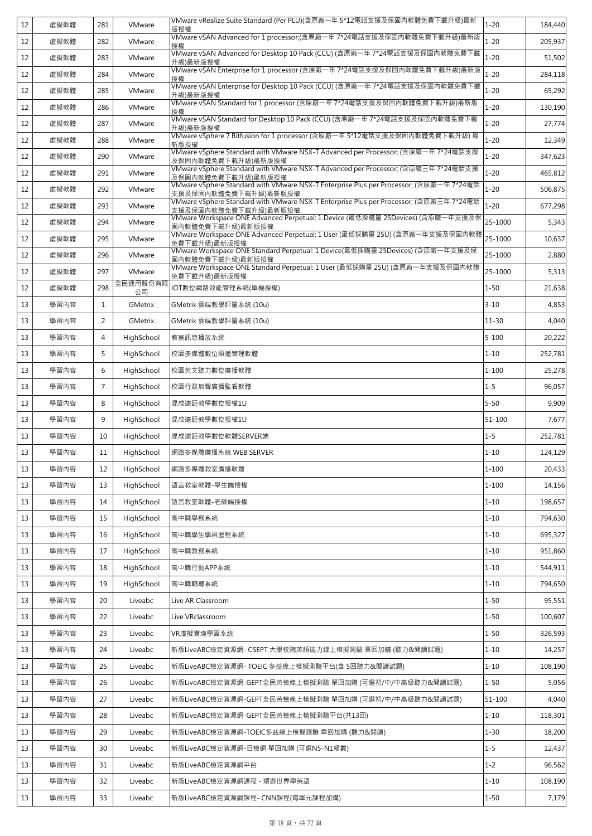| 12 | 虛擬軟體 | 281             | VMware         | VMware vRealize Suite Standard (Per PLU)(含原廠一年 5*12電話支援及保固內軟體免費下載升級)最新<br>版授權                                  | $1 - 20$   | 184,440 |
|----|------|-----------------|----------------|----------------------------------------------------------------------------------------------------------------|------------|---------|
| 12 | 虛擬軟體 | 282             | VMware         | VMware vSAN Advanced for 1 processor;(含原廠一年 7*24電話支援及保固內軟體免費下載升級)最新版<br>授權                                     | $1 - 20$   | 205,937 |
| 12 | 虛擬軟體 | 283             | VMware         | VMware vSAN Advanced for Desktop 10 Pack (CCU) (含原廠一年 7*24電話支援及保固內軟體免費下載<br>升級)最新版授權                           | $1 - 20$   | 51,502  |
| 12 | 虛擬軟體 | 284             | VMware         | VMware vSAN Enterprise for 1 processor (含原廠一年 7*24電話支援及保固內軟體免費下載升級)最新版<br>授權                                   | $1 - 20$   | 284,118 |
| 12 | 虛擬軟體 | 285             | VMware         | VMware vSAN Enterprise for Desktop 10 Pack (CCU) (含原廠一年 7*24電話支援及保固內軟體免費下載<br>升級)最新版授權                         | $1 - 20$   | 65,292  |
| 12 | 虛擬軟體 | 286             | VMware         | VMware vSAN Standard for 1 processor (含原廠一年 7*24電話支援及保固內軟體免費下載升級)最新版<br>授權                                     | $1 - 20$   | 130,190 |
| 12 | 虛擬軟體 | 287             | VMware         | VMware vSAN Standard for Desktop 10 Pack (CCU) (含原廠一年 7*24電話支援及保固內軟體免費下載<br>升級)最新版授權                           | $1 - 20$   | 27,774  |
| 12 | 虚擬軟體 | 288             | VMware         | VMware vSphere 7 Bitfusion for 1 processor (含原廠一年 5*12電話支援及保固內軟體免費下載升級) 最<br>新版授權                              | $1 - 20$   | 12,349  |
| 12 | 虛擬軟體 | 290             | VMware         | VMware vSphere Standard with VMware NSX-T Advanced per Processor; (含原廠一年 7*24電話支援<br>及保固內軟體免費下載升級)最新版授權        | $1 - 20$   | 347,623 |
| 12 | 虛擬軟體 | 291             | VMware         | VMware vSphere Standard with VMware NSX-T Advanced per Processor; (含原廠三年 7*24電話支援<br>及保固內軟體免費下載升級)最新版授權        | $1 - 20$   | 465,812 |
| 12 | 虛擬軟體 | 292             | VMware         | VMware vSphere Standard with VMware NSX-T Enterprise Plus per Processor; (含原廠一年 7*24電話<br>支援及保固内軟體免費下載升級)最新版授權 | $1 - 20$   | 506,875 |
| 12 | 虛擬軟體 | 293             | VMware         | VMware vSphere Standard with VMware NSX-T Enterprise Plus per Processor; (含原廠三年 7*24電話<br>支援及保固內軟體免費下載升級)最新版授權 | $1 - 20$   | 677,298 |
| 12 | 虛擬軟體 | 294             | VMware         | VMware Workspace ONE Advanced Perpetual: 1 Device (最低採購量 25Devices) (含原廠一年支援及保<br>固內軟體免費下載升級)最新版授權             | 25-1000    | 5,343   |
| 12 | 虛擬軟體 | 295             | VMware         | VMware Workspace ONE Advanced Perpetual: 1 User (最低採購量 25U) (含原廠一年支援及保固內軟體<br>免費下載升級)最新版授權                     | 25-1000    | 10,637  |
| 12 | 虛擬軟體 | 296             | VMware         | VMware Workspace ONE Standard Perpetual: 1 Device(最低採購量 25Devices) (含原廠一年支援及保<br>固內軟體免費下載升級)最新版授權              | 25-1000    | 2,880   |
| 12 | 虛擬軟體 | 297             | VMware         | VMware Workspace ONE Standard Perpetual: 1 User (最低採購量 25U) (含原廠一年支援及保固內軟體<br>免費下載升級)最新版授權                     | 25-1000    | 5,313   |
| 12 | 虛擬軟體 | 298             | 全民通用股份有限<br>公司 | IOT數位網路效能管理系統(單機授權)                                                                                            | $1 - 50$   | 21,638  |
| 13 | 學習內容 | 1               | GMetrix        | GMetrix 雲端教學評量系統 (10u)                                                                                         | $3 - 10$   | 4,853   |
| 13 | 學習內容 | 2               | <b>GMetrix</b> | GMetrix 雲端教學評量系統 (10u)                                                                                         | $11 - 30$  | 4,040   |
| 13 | 學習內容 | 4               | HighSchool     | 教室訊息播放系統                                                                                                       | $5 - 100$  | 20,222  |
| 13 | 學習內容 | 5               | HighSchool     | 校園多媒體數位頻道管理軟體                                                                                                  | $1 - 10$   | 252,781 |
| 13 | 學習內容 | 6               | HighSchool     | 校園英文聽力數位廣播軟體                                                                                                   | $1 - 100$  | 25,278  |
| 13 | 學習內容 | $7\overline{ }$ | HighSchool     | 校園行政無聲廣播監看軟體                                                                                                   | $1 - 5$    | 96,057  |
| 13 | 學習內容 | 8               | HighSchool     | 混成遠距教學數位授權1U                                                                                                   | $5 - 50$   | 9,909   |
| 13 | 學習內容 | 9               | HighSchool     | 混成遠距教學數位授權1U                                                                                                   | $51 - 100$ | 7,677   |
| 13 | 學習內容 | 10              | HighSchool     | 混成遠距教學數位軟體SERVER端                                                                                              | $1 - 5$    | 252,781 |
| 13 | 學習內容 | 11              | HighSchool     | 網路多媒體廣播系統 WEB SERVER                                                                                           | $1 - 10$   | 124,129 |
| 13 | 學習內容 | 12              | HighSchool     | 網路多媒體教室廣播軟體                                                                                                    | $1 - 100$  | 20,433  |
| 13 | 學習內容 | 13              | HighSchool     | 語言教室軟體-學生端授權                                                                                                   | $1 - 100$  | 14,156  |
| 13 | 學習內容 | 14              | HighSchool     | 語言教室軟體-老師端授權                                                                                                   | $1 - 10$   | 198,657 |
| 13 | 學習內容 | 15              | HighSchool     | 高中職學務系統                                                                                                        | $1 - 10$   | 794,630 |
| 13 | 學習內容 | 16              | HighSchool     | 高中職學生學習歷程系統                                                                                                    | $1 - 10$   | 695,327 |
| 13 | 學習內容 | 17              | HighSchool     | 高中職教務系統                                                                                                        | $1 - 10$   | 951,860 |
| 13 | 學習內容 | 18              | HighSchool     | 高中職行動APP系統                                                                                                     | $1 - 10$   | 544,911 |
| 13 | 學習內容 | 19              | HighSchool     | 高中職輔導系統                                                                                                        | $1 - 10$   | 794,650 |
| 13 | 學習內容 | 20              | Liveabc        | Live AR Classroom                                                                                              | $1 - 50$   | 95,551  |
| 13 | 學習內容 | 22              | Liveabc        | Live VRclassroom                                                                                               | $1 - 50$   | 100,607 |
| 13 | 學習內容 | 23              | Liveabc        | VR虛擬實境學習系統                                                                                                     | $1 - 50$   | 326,593 |
| 13 | 學習內容 | 24              | Liveabc        | 新版LiveABC檢定資源網- CSEPT 大學校院英語能力線上模擬測驗 單回加購 (聽力&閱讀試題)                                                            | $1 - 10$   | 14,257  |
| 13 | 學習內容 | 25              | Liveabc        | 新版LiveABC檢定資源網- TOEIC 多益線上模擬測驗平台(含 5回聽力&閱讀試題)                                                                  | $1 - 10$   | 108,190 |
| 13 | 學習內容 | 26              | Liveabc        | 新版LiveABC檢定資源網-GEPT全民英檢線上模擬測驗 單回加購 (可選初/中/中高級聽力&閱讀試題)                                                          | $1 - 50$   | 5,056   |
| 13 | 學習內容 | 27              | Liveabc        | 新版LiveABC檢定資源網-GEPT全民英檢線上模擬測驗 單回加購 (可選初/中/中高級聽力&閱讀試題)                                                          | $51 - 100$ | 4,040   |
| 13 | 學習內容 | 28              | Liveabc        | 新版LiveABC檢定資源網-GEPT全民英檢線上模擬測驗平台(共13回)                                                                          | $1 - 10$   | 118,301 |
| 13 | 學習內容 | 29              | Liveabc        | 新版LiveABC檢定資源網-TOEIC多益線上模擬測驗 單回加購 (聽力&閱讀)                                                                      | $1 - 30$   | 18,200  |
| 13 | 學習內容 | 30              | Liveabc        | 新版LiveABC檢定資源網-日檢網 單回加購 (可選N5-N1級數)                                                                            | $1 - 5$    | 12,437  |
| 13 | 學習內容 | 31              | Liveabc        | 新版LiveABC檢定資源網平台                                                                                               | $1 - 2$    | 96,562  |
| 13 | 學習內容 | 32              | Liveabc        | 新版LiveABC檢定資源網課程 - 環遊世界學英語                                                                                     | $1 - 10$   | 108,190 |
| 13 | 學習內容 | 33              | Liveabc        | 新版LiveABC檢定資源網課程- CNN課程(每單元課程加購)                                                                               | $1 - 50$   | 7,179   |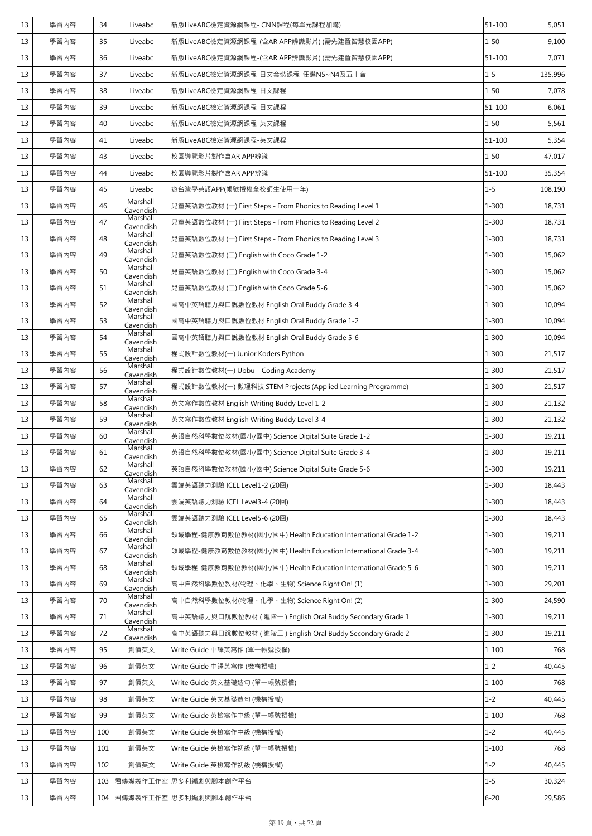| 13 | 學習內容 | 34  | Liveabc               | 新版LiveABC檢定資源網課程- CNN課程(每單元課程加購)                              | $51 - 100$ | 5,051   |
|----|------|-----|-----------------------|---------------------------------------------------------------|------------|---------|
| 13 | 學習內容 | 35  | Liveabc               | 新版LiveABC檢定資源網課程-(含AR APP辨識影片) (需先建置智慧校園APP)                  | $1 - 50$   | 9,100   |
| 13 | 學習內容 | 36  | Liveabc               | 新版LiveABC檢定資源網課程-(含AR APP辨識影片) (需先建置智慧校園APP)                  | $51 - 100$ | 7,071   |
| 13 | 學習內容 | 37  | Liveabc               | 新版LiveABC檢定資源網課程-日文套裝課程-任選N5~N4及五十音                           | $1 - 5$    | 135,996 |
| 13 | 學習內容 | 38  | Liveabc               | 新版LiveABC檢定資源網課程-日文課程                                         | $1 - 50$   | 7,078   |
| 13 | 學習內容 | 39  | Liveabc               | 新版LiveABC檢定資源網課程-日文課程                                         | $51 - 100$ | 6,061   |
| 13 | 學習內容 | 40  | Liveabc               | 新版LiveABC檢定資源網課程-英文課程                                         | $1 - 50$   | 5,561   |
| 13 | 學習內容 | 41  | Liveabc               | 新版LiveABC檢定資源網課程-英文課程                                         | $51 - 100$ | 5,354   |
| 13 | 學習內容 | 43  | Liveabc               | 校園導覽影片製作含AR APP辨識                                             | $1 - 50$   | 47,017  |
| 13 | 學習內容 | 44  | Liveabc               | 校園導覽影片製作含AR APP辨識                                             | 51-100     | 35,354  |
| 13 | 學習內容 | 45  | Liveabc               | 遊台灣學英語APP(帳號授權全校師生使用一年)                                       | $1 - 5$    | 108,190 |
| 13 | 學習內容 | 46  | Marshall<br>Cavendish | 兒童英語數位教材 (一) First Steps - From Phonics to Reading Level 1    | $1 - 300$  | 18,731  |
| 13 | 學習內容 | 47  | Marshall<br>Cavendish | 兒童英語數位教材 (一) First Steps - From Phonics to Reading Level 2    | 1-300      | 18,731  |
| 13 | 學習內容 | 48  | Marshall<br>Cavendish | 兒童英語數位教材 (一) First Steps - From Phonics to Reading Level 3    | $1 - 300$  | 18,731  |
| 13 | 學習內容 | 49  | Marshall<br>Cavendish | 兒童英語數位教材 (二) English with Coco Grade 1-2                      | 1-300      | 15,062  |
| 13 | 學習內容 | 50  | Marshall<br>Cavendish | 兒童英語數位教材 (二) English with Coco Grade 3-4                      | $1 - 300$  | 15,062  |
| 13 | 學習內容 | 51  | Marshall<br>Cavendish | 兒童英語數位教材 (二) English with Coco Grade 5-6                      | $1 - 300$  | 15,062  |
| 13 | 學習內容 | 52  | Marshall<br>Cavendish | 國高中英語聽力與口說數位教材 English Oral Buddy Grade 3-4                   | $1 - 300$  | 10,094  |
| 13 | 學習內容 | 53  | Marshall<br>Cavendish | 國高中英語聽力與口說數位教材 English Oral Buddy Grade 1-2                   | $1 - 300$  | 10,094  |
| 13 | 學習內容 | 54  | Marshall<br>Cavendish | 國高中英語聽力與口說數位教材 English Oral Buddy Grade 5-6                   | $1 - 300$  | 10,094  |
| 13 | 學習內容 | 55  | Marshall<br>Cavendish | 程式設計數位教材(一) Junior Koders Python                              | 1-300      | 21,517  |
| 13 | 學習內容 | 56  | Marshall<br>Cavendish | 程式設計數位教材(一) Ubbu – Coding Academy                             | $1 - 300$  | 21,517  |
| 13 | 學習內容 | 57  | Marshall<br>Cavendish | 程式設計數位教材(一) 數理科技 STEM Projects (Applied Learning Programme)   | 1-300      | 21,517  |
| 13 | 學習內容 | 58  | Marshall<br>Cavendish | 英文寫作數位教材 English Writing Buddy Level 1-2                      | 1-300      | 21,132  |
| 13 | 學習內容 | 59  | Marshall<br>Cavendish | 英文寫作數位教材 English Writing Buddy Level 3-4                      | 1-300      | 21,132  |
| 13 | 學習內容 | 60  | Marshall<br>Cavendish | 英語自然科學數位教材(國小/國中) Science Digital Suite Grade 1-2             | 1-300      | 19,211  |
| 13 | 學習內容 | 61  | Marshall<br>Cavendish | 英語自然科學數位教材(國小/國中) Science Digital Suite Grade 3-4             | $1 - 300$  | 19,211  |
| 13 | 學習內容 | 62  | Marshall<br>Cavendish | 英語自然科學數位教材(國小/國中) Science Digital Suite Grade 5-6             | 1-300      | 19,211  |
| 13 | 學習內容 | 63  | Marshall<br>Cavendish | 雲端英語聽力測驗 ICEL Level1-2 (20回)                                  | 1-300      | 18,443  |
| 13 | 學習內容 | 64  | Marshall<br>Cavendish | 雲端英語聽力測驗 ICEL Level3-4 (20回)                                  | 1-300      | 18,443  |
| 13 | 學習內容 | 65  | Marshall<br>Cavendish | 雲端英語聽力測驗 ICEL Level5-6 (20回)                                  | $1 - 300$  | 18,443  |
| 13 | 學習內容 | 66  | Marshall<br>Cavendish | 領域學程-健康教育數位教材(國小/國中) Health Education International Grade 1-2 | 1-300      | 19,211  |
| 13 | 學習內容 | 67  | Marshall<br>Cavendish | 領域學程-健康教育數位教材(國小/國中) Health Education International Grade 3-4 | $1 - 300$  | 19,211  |
| 13 | 學習內容 | 68  | Marshall<br>Cavendish | 領域學程-健康教育數位教材(國小/國中) Health Education International Grade 5-6 | $1 - 300$  | 19,211  |
| 13 | 學習內容 | 69  | Marshall<br>Cavendish | 高中自然科學數位教材(物理、化學、生物) Science Right On! (1)                    | $1 - 300$  | 29,201  |
| 13 | 學習內容 | 70  | Marshall<br>Cavendish | 高中自然科學數位教材(物理、化學、生物) Science Right On! (2)                    | 1-300      | 24,590  |
| 13 | 學習內容 | 71  | Marshall<br>Cavendish | 高中英語聽力與口說數位教材 (進階一) English Oral Buddy Secondary Grade 1      | $1 - 300$  | 19,211  |
| 13 | 學習內容 | 72  | Marshall<br>Cavendish | 高中英語聽力與口說數位教材 (進階二) English Oral Buddy Secondary Grade 2      | 1-300      | 19,211  |
| 13 | 學習內容 | 95  | 創價英文                  | Write Guide 中譯英寫作 (單一帳號授權)                                    | $1 - 100$  | 768     |
| 13 | 學習內容 | 96  | 創價英文                  | Write Guide 中譯英寫作 (機構授權)                                      | $1 - 2$    | 40,445  |
| 13 | 學習內容 | 97  | 創價英文                  | Write Guide 英文基礎造句 (單一帳號授權)                                   | $1 - 100$  | 768     |
| 13 | 學習內容 | 98  | 創價英文                  | Write Guide 英文基礎造句 (機構授權)                                     | $1 - 2$    | 40,445  |
| 13 | 學習內容 | 99  | 創價英文                  | Write Guide 英檢寫作中級 (單一帳號授權)                                   | $1 - 100$  | 768     |
| 13 | 學習內容 | 100 | 創價英文                  | Write Guide 英檢寫作中級 (機構授權)                                     | $1 - 2$    | 40,445  |
| 13 | 學習內容 | 101 | 創價英文                  | Write Guide 英檢寫作初級 (單一帳號授權)                                   | $1 - 100$  | 768     |
| 13 | 學習內容 | 102 | 創價英文                  | Write Guide 英檢寫作初級 (機構授權)                                     | $1 - 2$    | 40,445  |
| 13 | 學習內容 | 103 |                       | 君傳媒製作工作室 思多利編劇與腳本創作平台                                         | $1 - 5$    | 30,324  |
| 13 | 學習內容 | 104 |                       | 君傳媒製作工作室 思多利編劇與腳本創作平台                                         | $6 - 20$   | 29,586  |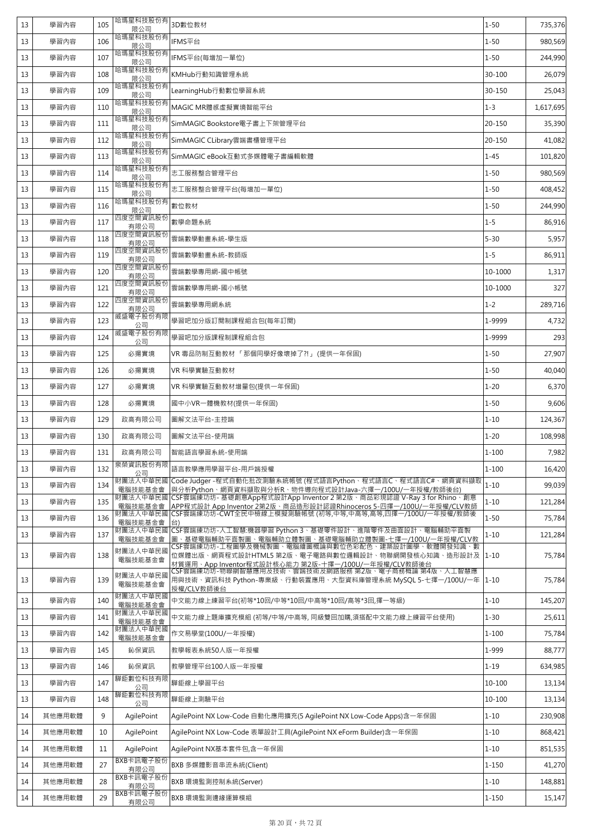| 13 | 學習內容   | 105 | 哈瑪星科技股份有<br>限公司     | 3D數位教材                                                                                                                                                       | $1 - 50$   | 735,376   |
|----|--------|-----|---------------------|--------------------------------------------------------------------------------------------------------------------------------------------------------------|------------|-----------|
| 13 | 學習內容   | 106 | 哈瑪星科技股份有<br>限公司     | IFMS平台                                                                                                                                                       | $1 - 50$   | 980,569   |
| 13 | 學習內容   | 107 | 哈瑪星科技股份有<br>限公司     | IFMS平台(每增加一單位)                                                                                                                                               | $1 - 50$   | 244,990   |
| 13 | 學習內容   | 108 | 哈瑪星科技股份有<br>限公司     | KMHub行動知識管理系統                                                                                                                                                | 30-100     | 26,079    |
| 13 | 學習內容   | 109 | 哈瑪星科技股份有<br>限公司     | LearningHub行動數位學習系統                                                                                                                                          | 30-150     | 25,043    |
| 13 | 學習內容   | 110 | 哈瑪星科技股份有<br>限公司     | MAGIC MR體感虛擬實境智能平台                                                                                                                                           | $1 - 3$    | 1,617,695 |
| 13 | 學習內容   | 111 | 哈瑪星科技股份有<br>限公司     | SimMAGIC Bookstore電子書上下架管理平台                                                                                                                                 | 20-150     | 35,390    |
| 13 | 學習內容   | 112 | 哈瑪星科技股份有<br>限公司     | SimMAGIC CLibrary雲端書櫃管理平台                                                                                                                                    | 20-150     | 41,082    |
| 13 | 學習內容   | 113 | 哈瑪星科技股份有<br>限公司     | SimMAGIC eBook互動式多媒體電子書編輯軟體                                                                                                                                  | $1 - 45$   | 101,820   |
| 13 | 學習內容   | 114 | 哈瑪星科技股份有<br>限公司     | 志工服務整合管理平台                                                                                                                                                   | $1 - 50$   | 980,569   |
| 13 | 學習內容   | 115 | 哈瑪星科技股份有<br>限公司     | 志工服務整合管理平台(每增加一單位)                                                                                                                                           | $1 - 50$   | 408,452   |
| 13 | 學習內容   | 116 | 哈瑪星科技股份有<br>限公司     | 數位教材                                                                                                                                                         | $1 - 50$   | 244,990   |
| 13 | 學習內容   | 117 | 四度空間資訊股份<br>有限公司    | 數學命題系統                                                                                                                                                       | $1 - 5$    | 86,916    |
| 13 | 學習內容   | 118 | 四度空間資訊股份<br>有限公司    | 雲端數學動畫系統-學生版                                                                                                                                                 | $5 - 30$   | 5,957     |
| 13 | 學習內容   | 119 | 四度空間資訊股份<br>有限公司    | 雲端數學動畫系統-教師版                                                                                                                                                 | $1 - 5$    | 86,911    |
| 13 | 學習內容   | 120 | 四度空間資訊股份<br>有限公司    | 雲端數學專用網-國中帳號                                                                                                                                                 | 10-1000    | 1,317     |
| 13 | 學習內容   | 121 | 四度空間資訊股份<br>有限公司    | 雲端數學專用網-國小帳號                                                                                                                                                 | 10-1000    | 327       |
| 13 | 學習內容   | 122 | 四度空間資訊股份<br>有限公司    | 雲端數學專用網系統                                                                                                                                                    | $1 - 2$    | 289,716   |
| 13 | 學習內容   | 123 | 威盛電子股份有限<br>公司      | 學習吧加分版訂閱制課程組合包(每年訂閱)                                                                                                                                         | 1-9999     | 4,732     |
| 13 | 學習內容   | 124 | 威盛電子股份有限<br>公司      | 學習吧加分版課程制課程組合包                                                                                                                                               | 1-9999     | 293       |
| 13 | 學習內容   | 125 | 必揚實境                | VR 毒品防制互動教材 「那個同學好像壞掉了?!」 (提供一年保固)                                                                                                                           | $1 - 50$   | 27,907    |
| 13 | 學習內容   | 126 | 必揚實境                | VR 科學實驗互動教材                                                                                                                                                  | $1 - 50$   | 40,040    |
| 13 | 學習內容   | 127 | 必揚實境                | VR 科學實驗互動教材增量包(提供一年保固)                                                                                                                                       | $1 - 20$   | 6,370     |
| 13 | 學習內容   | 128 | 必揚實境                | 國中小VR一體機教材(提供一年保固)                                                                                                                                           | $1 - 50$   | 9,606     |
| 13 | 學習內容   | 129 | 政高有限公司              | 圖解文法平台-主控端                                                                                                                                                   | $1 - 10$   | 124,367   |
| 13 | 學習內容   | 130 | 政高有限公司              | 圖解文法平台-使用端                                                                                                                                                   | $1 - 20$   | 108,998   |
| 13 | 學習內容   | 131 | 政高有限公司              | 智能語言學習系統-使用端                                                                                                                                                 | $1 - 100$  | 7,982     |
| 13 | 學習內容   | 132 | 泉榮資訊股份有限<br>公司      | 語言教學應用學習平台-用戶端授權                                                                                                                                             | $1 - 100$  | 16,420    |
| 13 | 學習內容   | 134 | 財團法人中華民國<br>電腦技能基金會 | Code Judger -程式自動化批改測驗系統帳號 (程式語言Python、程式語言C、程式語言C#、網頁資料擷取<br>與分析Python、網頁資料擷取與分析R、物件導向程式設計Java-六擇一/100U/一年授權/教師後台)                                          | $1 - 10$   | 99,039    |
| 13 | 學習內容   | 135 | 財團法人中華民國<br>電腦技能基金會 | CSF雲端練功坊-基礎創意App程式設計App Inventor 2 第2版、商品彩現認證 V-Ray 3 for Rhino、創意<br>APP程式設計 App Inventor 2第2版、商品造形設計認證Rhinoceros 5-四擇一/100U/一年授權/CLV教師                     | $1 - 10$   | 121,284   |
| 13 | 學習內容   | 136 | 財團法人中華民國<br>雷腦技能基金會 | CSF雲端練功坊-CWT全民中檢線上模擬測驗帳號 (初等,中等,中高等,高等,四擇一/100U/一年授權/教師後                                                                                                     | $1 - 50$   | 75,784    |
| 13 | 學習內容   | 137 | 財團法人中華民國<br>電腦技能基金會 | CSF雲端練功坊-人工智慧:機器學習 Python 3、基礎零件設計、進階零件及曲面設計、電腦輔助平面製<br>圖、基礎電腦輔助平面製圖、電腦輔助立體製圖、基礎電腦輔助立體製圖-七擇一/100U/一年授權/CLV教                                                  | $1 - 10$   | 121,284   |
| 13 | 學習內容   | 138 | 財團法人中華民國<br>電腦技能基金會 | CSF雲端練功坊-工程圖學及機械製圖、電腦繪圖概論與數位色彩配色、建築設計圖學、軟體開發知識、數<br>位媒體出版、網頁程式設計HTML5 第2版、電子電路與數位邏輯設計、物聯網開發核心知識、造形設計及<br>材質運用、App Inventor程式設計核心能力 第2版-十擇一/100U/一年授權/CLV教師後台 | $1 - 10$   | 75,784    |
| 13 | 學習內容   | 139 | 財團法人中華民國<br>電腦技能基金會 | CSF雲端練功坊-物聯網智慧應用及技術、雲端技術及網路服務 第2版、電子商務概論 第4版、人工智慧應<br>用與技術、資訊科技 Python-專業級、行動裝置應用、大型資料庫管理系統 MySQL 5-七擇一/100U/一年<br>授權/CLV教師後台                                | $1 - 10$   | 75,784    |
| 13 | 學習內容   | 140 | 財團法人中華民國<br>電腦技能基金會 | 中文能力線上練習平台(初等*10回/中等*10回/中高等*10回/高等*3回,擇一等級)                                                                                                                 | $1 - 10$   | 145,207   |
| 13 | 學習內容   | 141 | 財團法人中華民國<br>電腦技能基金會 | 中文能力線上題庫擴充模組 (初等/中等/中高等, 同級雙回加購,須搭配中文能力線上練習平台使用)                                                                                                             | $1 - 30$   | 25,611    |
| 13 | 學習內容   | 142 | 財團法人中華民國<br>電腦技能基金會 | 作文易學堂(100U/一年授權)                                                                                                                                             | $1 - 100$  | 75,784    |
| 13 | 學習內容   | 145 | 鈊保資訊                | 教學報表系統50人版一年授權                                                                                                                                               | 1-999      | 88,777    |
| 13 | 學習內容   | 146 | 鈊保資訊                | 教學管理平台100人版一年授權                                                                                                                                              | $1 - 19$   | 634,985   |
| 13 | 學習內容   | 147 | 驊鉅數位科技有限<br>公司      | 驊鉅線上學習平台                                                                                                                                                     | 10-100     | 13,134    |
| 13 | 學習內容   | 148 | 驊鉅數位科技有限<br>公司      | 驊鉅線上測驗平台                                                                                                                                                     | $10 - 100$ | 13,134    |
| 14 | 其他應用軟體 | 9   | AgilePoint          | AgilePoint NX Low-Code 自動化應用擴充(5 AgilePoint NX Low-Code Apps)含一年保固                                                                                           | $1 - 10$   | 230,908   |
| 14 | 其他應用軟體 | 10  | AgilePoint          | AgilePoint NX Low-Code 表單設計工具(AgilePoint NX eForm Builder)含一年保固                                                                                              | $1 - 10$   | 868,421   |
| 14 | 其他應用軟體 | 11  | AgilePoint          | AgilePoint NX基本套件包,含一年保固                                                                                                                                     | $1 - 10$   | 851,535   |
| 14 | 其他應用軟體 | 27  | BXB卡訊電子股份<br>有限公司   | BXB 多媒體影音串流系統(Client)                                                                                                                                        | $1 - 150$  | 41,270    |
| 14 | 其他應用軟體 | 28  | BXB卡訊電子股份<br>有限公司   | BXB 環境監測控制系統(Server)                                                                                                                                         | $1 - 10$   | 148,881   |
| 14 | 其他應用軟體 | 29  | BXB卡訊電子股份<br>有限公司   | BXB 環境監測邊緣運算模組                                                                                                                                               | $1 - 150$  | 15,147    |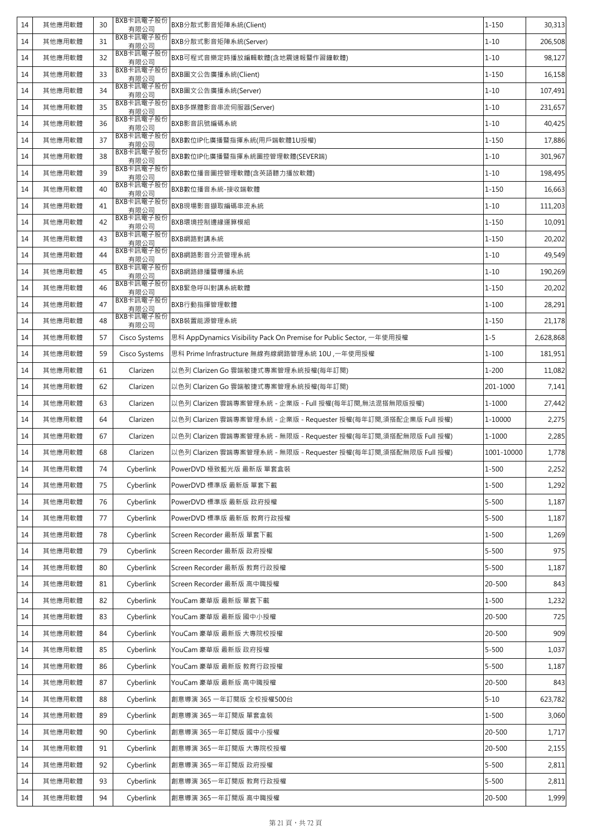| 14 | 其他應用軟體 | 30 | BXB卡訊電子股份<br>有限公司 | BXB分散式影音矩陣系統(Client)                                                | $1 - 150$  | 30,313    |
|----|--------|----|-------------------|---------------------------------------------------------------------|------------|-----------|
| 14 | 其他應用軟體 | 31 | BXB卡訊電子股份<br>有限公司 | BXB分散式影音矩陣系統(Server)                                                | $1 - 10$   | 206,508   |
| 14 | 其他應用軟體 | 32 | BXB卡訊電子股份<br>有限公司 | BXB可程式音樂定時播放編輯軟體(含地震速報暨作習鐘軟體)                                       | $1 - 10$   | 98,127    |
| 14 | 其他應用軟體 | 33 | BXB卡訊電子股份<br>有限公司 | BXB圖文公告廣播系統(Client)                                                 | $1 - 150$  | 16,158    |
| 14 | 其他應用軟體 | 34 | BXB卡訊電子股份<br>有限公司 | BXB圖文公告廣播系統(Server)                                                 | $1 - 10$   | 107,491   |
| 14 | 其他應用軟體 | 35 | BXB卡訊電子股份<br>有限公司 | BXB多媒體影音串流伺服器(Server)                                               | $1 - 10$   | 231,657   |
| 14 | 其他應用軟體 | 36 | BXB卡訊電子股份<br>有限公司 | BXB影音訊號編碼系統                                                         | $1 - 10$   | 40,425    |
| 14 | 其他應用軟體 | 37 | BXB卡訊電子股份<br>有限公司 | BXB數位IP化廣播暨指揮系統(用戶端軟體1U授權)                                          | 1-150      | 17,886    |
| 14 | 其他應用軟體 | 38 | BXB卡訊電子股份<br>有限公司 | BXB數位IP化廣播暨指揮系統圖控管理軟體(SEVER端)                                       | $1 - 10$   | 301,967   |
| 14 | 其他應用軟體 | 39 | BXB卡訊電子股份<br>有限公司 | BXB數位播音圖控管理軟體(含英語聽力播放軟體)                                            | $1 - 10$   | 198,495   |
| 14 | 其他應用軟體 | 40 | BXB卡訊電子股份<br>有限公司 | BXB數位播音系統-接收端軟體                                                     | 1-150      | 16,663    |
| 14 | 其他應用軟體 | 41 | BXB卡訊電子股份<br>有限公司 | BXB現場影音擷取編碼串流系統                                                     | $1 - 10$   | 111,203   |
| 14 | 其他應用軟體 | 42 | BXB卡訊電子股份<br>有限公司 | BXB環境控制邊緣運算模組                                                       | $1 - 150$  | 10,091    |
| 14 | 其他應用軟體 | 43 | BXB卡訊電子股份<br>有限公司 | BXB網路對講系統                                                           | $1 - 150$  | 20,202    |
| 14 | 其他應用軟體 | 44 | BXB卡訊電子股份<br>有限公司 | BXB網路影音分流管理系統                                                       | $1 - 10$   | 49,549    |
| 14 | 其他應用軟體 | 45 | BXB卡訊電子股份<br>有限公司 | BXB網路錄播暨導播系統                                                        | $1 - 10$   | 190,269   |
| 14 | 其他應用軟體 | 46 | BXB卡訊電子股份<br>有限公司 | BXB緊急呼叫對講系統軟體                                                       | $1 - 150$  | 20,202    |
| 14 | 其他應用軟體 | 47 | BXB卡訊電子股份<br>有限公司 | BXB行動指揮管理軟體                                                         | $1 - 100$  | 28,291    |
| 14 | 其他應用軟體 | 48 | BXB卡訊電子股份<br>有限公司 | BXB装置能源管理系統                                                         | $1 - 150$  | 21,178    |
| 14 | 其他應用軟體 | 57 | Cisco Systems     | 思科 AppDynamics Visibility Pack On Premise for Public Sector, 一年使用授權 | $1 - 5$    | 2,628,868 |
| 14 | 其他應用軟體 | 59 | Cisco Systems     | 思科 Prime Infrastructure 無線有線網路管理系統 10U, 一年使用授權                      | $1 - 100$  | 181,951   |
| 14 | 其他應用軟體 | 61 | Clarizen          | 以色列 Clarizen Go 雲端敏捷式專案管理系統授權(每年訂閱)                                 | $1 - 200$  | 11,082    |
| 14 | 其他應用軟體 | 62 | Clarizen          | 以色列 Clarizen Go 雲端敏捷式專案管理系統授權(每年訂閱)                                 | 201-1000   | 7,141     |
| 14 | 其他應用軟體 | 63 | Clarizen          | 以色列 Clarizen 雲端專案管理系統 - 企業版 - Full 授權(每年訂閱,無法混搭無限版授權)               | 1-1000     | 27,442    |
| 14 | 其他應用軟體 | 64 | Clarizen          | 以色列 Clarizen 雲端專案管理系統 - 企業版 - Requester 授權(每年訂閱,須搭配企業版 Full 授權)     | 1-10000    | 2,275     |
| 14 | 其他應用軟體 | 67 | Clarizen          | 以色列 Clarizen 雲端專案管理系統 - 無限版 - Requester 授權(每年訂閱,須搭配無限版 Full 授權)     | 1-1000     | 2,285     |
| 14 | 其他應用軟體 | 68 | Clarizen          | 以色列 Clarizen 雲端專案管理系統 - 無限版 - Requester 授權(每年訂閱,須搭配無限版 Full 授權)     | 1001-10000 | 1,778     |
| 14 | 其他應用軟體 | 74 | Cyberlink         | PowerDVD 極致藍光版 最新版 單套盒裝                                             | $1 - 500$  | 2,252     |
| 14 | 其他應用軟體 | 75 | Cyberlink         | PowerDVD 標準版 最新版 單套下載                                               | $1 - 500$  | 1,292     |
| 14 | 其他應用軟體 | 76 | Cyberlink         | PowerDVD 標準版 最新版 政府授權                                               | $5 - 500$  | 1,187     |
| 14 | 其他應用軟體 | 77 | Cyberlink         | PowerDVD 標準版 最新版 教育行政授權                                             | $5 - 500$  | 1,187     |
| 14 | 其他應用軟體 | 78 | Cyberlink         | Screen Recorder 最新版 單套下載                                            | 1-500      | 1,269     |
| 14 | 其他應用軟體 | 79 | Cyberlink         | Screen Recorder 最新版 政府授權                                            | $5 - 500$  | 975       |
| 14 | 其他應用軟體 | 80 | Cyberlink         | Screen Recorder 最新版 教育行政授權                                          | $5 - 500$  | 1,187     |
| 14 | 其他應用軟體 | 81 | Cyberlink         | Screen Recorder 最新版 高中職授權                                           | 20-500     | 843       |
| 14 | 其他應用軟體 | 82 | Cyberlink         | YouCam 豪華版 最新版 單套下載                                                 | $1 - 500$  | 1,232     |
| 14 | 其他應用軟體 | 83 | Cyberlink         | YouCam 豪華版 最新版 國中小授權                                                | 20-500     | 725       |
| 14 | 其他應用軟體 | 84 | Cyberlink         | YouCam 豪華版 最新版 大專院校授權                                               | 20-500     | 909       |
| 14 | 其他應用軟體 | 85 | Cyberlink         | YouCam 豪華版 最新版 政府授權                                                 | $5 - 500$  | 1,037     |
| 14 |        |    |                   |                                                                     |            |           |
|    | 其他應用軟體 | 86 | Cyberlink         | YouCam 豪華版 最新版 教育行政授權                                               | $5 - 500$  | 1,187     |
| 14 | 其他應用軟體 | 87 | Cyberlink         | YouCam 豪華版 最新版 高中職授權                                                | 20-500     | 843       |
| 14 | 其他應用軟體 | 88 | Cyberlink         | 創意導演 365 一年訂閱版 全校授權500台                                             | $5 - 10$   | 623,782   |
| 14 | 其他應用軟體 | 89 | Cyberlink         | 創意導演 365一年訂閱版 單套盒裝                                                  | $1 - 500$  | 3,060     |
| 14 | 其他應用軟體 | 90 | Cyberlink         | 創意導演 365一年訂閱版 國中小授權                                                 | 20-500     | 1,717     |
| 14 | 其他應用軟體 | 91 | Cyberlink         | 創意導演 365一年訂閱版 大專院校授權                                                | 20-500     | 2,155     |
| 14 | 其他應用軟體 | 92 | Cyberlink         | 創意導演 365一年訂閱版 政府授權                                                  | $5 - 500$  | 2,811     |
| 14 | 其他應用軟體 | 93 | Cyberlink         | 創意導演 365一年訂閱版 教育行政授權                                                | $5 - 500$  | 2,811     |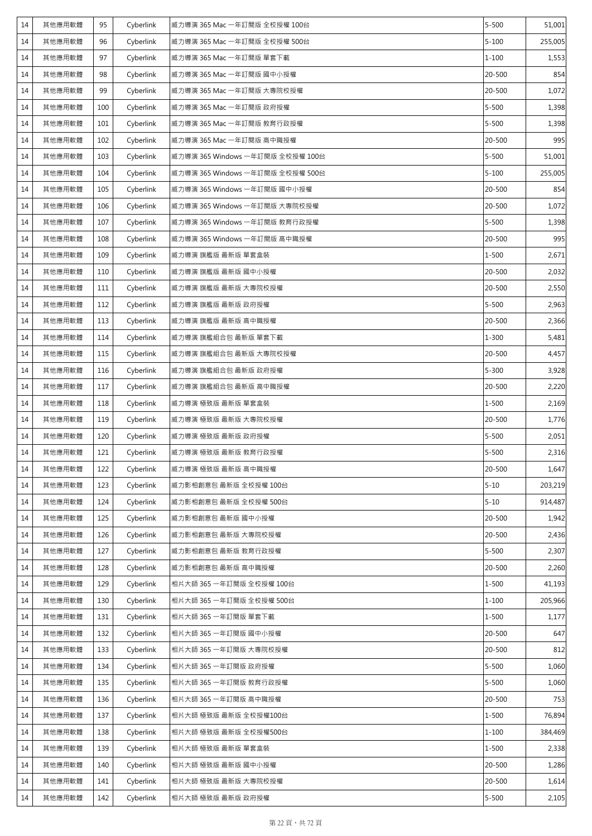| 14 | 其他應用軟體 | 95  | Cyberlink | 威力導演 365 Mac 一年訂閱版 全校授權 100台     | $5 - 500$ | 51,001  |
|----|--------|-----|-----------|----------------------------------|-----------|---------|
| 14 | 其他應用軟體 | 96  | Cyberlink | 威力導演 365 Mac 一年訂閱版 全校授權 500台     | $5 - 100$ | 255,005 |
| 14 | 其他應用軟體 | 97  | Cyberlink | 威力導演 365 Mac 一年訂閱版 單套下載          | $1 - 100$ | 1,553   |
| 14 | 其他應用軟體 | 98  | Cyberlink | 威力導演 365 Mac 一年訂閱版 國中小授權         | 20-500    | 854     |
| 14 | 其他應用軟體 | 99  | Cyberlink | 威力導演 365 Mac 一年訂閱版 大專院校授權        | 20-500    | 1,072   |
| 14 | 其他應用軟體 | 100 | Cyberlink | 威力導演 365 Mac 一年訂閱版 政府授權          | $5 - 500$ | 1,398   |
| 14 | 其他應用軟體 | 101 | Cyberlink | 威力導演 365 Mac 一年訂閱版 教育行政授權        | $5 - 500$ | 1,398   |
| 14 | 其他應用軟體 | 102 | Cyberlink | 威力導演 365 Mac 一年訂閱版 高中職授權         | 20-500    | 995     |
| 14 | 其他應用軟體 | 103 | Cyberlink | 威力導演 365 Windows 一年訂閱版 全校授權 100台 | $5 - 500$ | 51,001  |
| 14 | 其他應用軟體 | 104 | Cyberlink | 威力導演 365 Windows 一年訂閱版 全校授權 500台 | $5 - 100$ | 255,005 |
| 14 | 其他應用軟體 | 105 | Cyberlink | 威力導演 365 Windows 一年訂閱版 國中小授權     | 20-500    | 854     |
| 14 | 其他應用軟體 | 106 | Cyberlink | 威力導演 365 Windows 一年訂閱版 大專院校授權    | 20-500    | 1,072   |
| 14 | 其他應用軟體 | 107 | Cyberlink | 威力導演 365 Windows 一年訂閱版 教育行政授權    | $5 - 500$ | 1,398   |
| 14 | 其他應用軟體 | 108 | Cyberlink | 威力導演 365 Windows 一年訂閱版 高中職授權     | 20-500    | 995     |
| 14 | 其他應用軟體 | 109 | Cyberlink | 威力導演 旗艦版 最新版 單套盒裝                | $1 - 500$ | 2,671   |
| 14 | 其他應用軟體 | 110 | Cyberlink | 威力導演 旗艦版 最新版 國中小授權               | 20-500    | 2,032   |
| 14 | 其他應用軟體 | 111 | Cyberlink | 威力導演 旗艦版 最新版 大專院校授權              | 20-500    | 2,550   |
| 14 | 其他應用軟體 | 112 | Cyberlink | 威力導演 旗艦版 最新版 政府授權                | $5 - 500$ | 2,963   |
| 14 | 其他應用軟體 | 113 | Cyberlink | 威力導演 旗艦版 最新版 高中職授權               | 20-500    | 2,366   |
| 14 | 其他應用軟體 | 114 | Cyberlink | 威力導演 旗艦組合包 最新版 單套下載              | $1 - 300$ | 5,481   |
| 14 | 其他應用軟體 | 115 | Cyberlink | 威力導演 旗艦組合包 最新版 大專院校授權            | 20-500    | 4,457   |
| 14 | 其他應用軟體 | 116 | Cyberlink | 威力導演 旗艦組合包 最新版 政府授權              | $5 - 300$ | 3,928   |
| 14 | 其他應用軟體 | 117 | Cyberlink | 威力導演 旗艦組合包 最新版 高中職授權             | 20-500    | 2,220   |
| 14 | 其他應用軟體 | 118 | Cyberlink | 威力導演 極致版 最新版 單套盒裝                | 1-500     | 2,169   |
| 14 | 其他應用軟體 | 119 | Cyberlink | 威力導演 極致版 最新版 大專院校授權              | 20-500    | 1,776   |
| 14 | 其他應用軟體 | 120 | Cyberlink | 威力導演 極致版 最新版 政府授權                | $5 - 500$ | 2,051   |
| 14 | 其他應用軟體 | 121 | Cyberlink | 威力導演 極致版 最新版 教育行政授權              | $5 - 500$ | 2,316   |
| 14 | 其他應用軟體 | 122 | Cyberlink | 威力導演 極致版 最新版 高中職授權               | 20-500    | 1,647   |
| 14 | 其他應用軟體 | 123 | Cyberlink | 威力影相創意包 最新版 全校授權 100台            | $5 - 10$  | 203,219 |
| 14 | 其他應用軟體 | 124 | Cyberlink | 威力影相創意包 最新版 全校授權 500台            | $5 - 10$  | 914,487 |
| 14 | 其他應用軟體 | 125 | Cyberlink | 威力影相創意包 最新版 國中小授權                | 20-500    | 1,942   |
| 14 | 其他應用軟體 | 126 | Cyberlink | 威力影相創意包 最新版 大專院校授權               | 20-500    | 2,436   |
| 14 | 其他應用軟體 | 127 | Cyberlink | 威力影相創意包 最新版 教育行政授權               | $5 - 500$ | 2,307   |
| 14 | 其他應用軟體 | 128 | Cyberlink | 威力影相創意包 最新版 高中職授權                | 20-500    | 2,260   |
| 14 | 其他應用軟體 | 129 | Cyberlink | 相片大師 365 一年訂閱版 全校授權 100台         | $1 - 500$ | 41,193  |
| 14 | 其他應用軟體 | 130 | Cyberlink | 相片大師 365 一年訂閱版 全校授權 500台         | $1 - 100$ | 205,966 |
| 14 | 其他應用軟體 | 131 | Cyberlink | 相片大師 365 一年訂閱版 單套下載              | $1 - 500$ | 1,177   |
| 14 | 其他應用軟體 | 132 | Cyberlink | 相片大師 365 一年訂閱版 國中小授權             | 20-500    | 647     |
| 14 | 其他應用軟體 | 133 | Cyberlink | 相片大師 365 一年訂閱版 大專院校授權            | 20-500    | 812     |
| 14 | 其他應用軟體 | 134 | Cyberlink | 相片大師 365 一年訂閱版 政府授權              | $5 - 500$ | 1,060   |
| 14 | 其他應用軟體 | 135 | Cyberlink | 相片大師 365 一年訂閱版 教育行政授權            | $5 - 500$ | 1,060   |
| 14 | 其他應用軟體 | 136 | Cyberlink | 相片大師 365 一年訂閱版 高中職授權             | 20-500    | 753     |
| 14 | 其他應用軟體 | 137 | Cyberlink | 相片大師 極致版 最新版 全校授權100台            | $1 - 500$ | 76,894  |
| 14 | 其他應用軟體 | 138 | Cyberlink | 相片大師 極致版 最新版 全校授權500台            | $1 - 100$ | 384,469 |
| 14 | 其他應用軟體 | 139 | Cyberlink | 相片大師 極致版 最新版 單套盒裝                | $1 - 500$ | 2,338   |
| 14 | 其他應用軟體 | 140 | Cyberlink | 相片大師 極致版 最新版 國中小授權               | 20-500    | 1,286   |
| 14 | 其他應用軟體 | 141 | Cyberlink | 相片大師 極致版 最新版 大專院校授權              | 20-500    | 1,614   |
| 14 | 其他應用軟體 | 142 | Cyberlink | 相片大師 極致版 最新版 政府授權                | $5 - 500$ | 2,105   |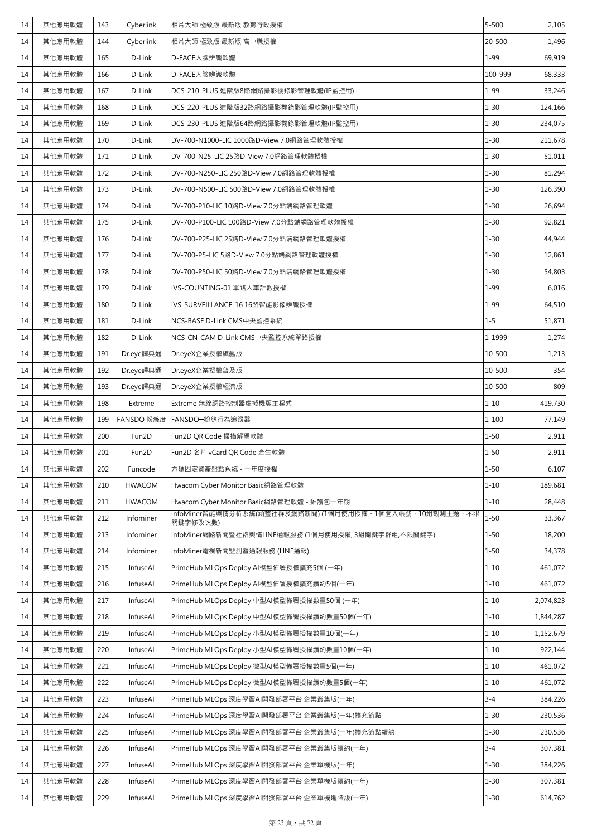| 14 | 其他應用軟體 | 143 | Cyberlink     | 相片大師 極致版 最新版 教育行政授權                                                 | $5 - 500$ | 2,105     |
|----|--------|-----|---------------|---------------------------------------------------------------------|-----------|-----------|
| 14 | 其他應用軟體 | 144 | Cyberlink     | 相片大師 極致版 最新版 高中職授權                                                  | 20-500    | 1,496     |
| 14 | 其他應用軟體 | 165 | D-Link        | D-FACE人臉辨識軟體                                                        | $1 - 99$  | 69,919    |
| 14 | 其他應用軟體 | 166 | D-Link        | D-FACE人臉辨識軟體                                                        | 100-999   | 68,333    |
| 14 | 其他應用軟體 | 167 | D-Link        | DCS-210-PLUS 進階版8路網路攝影機錄影管理軟體(IP監控用)                                | $1 - 99$  | 33,246    |
| 14 | 其他應用軟體 | 168 | D-Link        | DCS-220-PLUS 進階版32路網路攝影機錄影管理軟體(IP監控用)                               | $1 - 30$  | 124,166   |
| 14 | 其他應用軟體 | 169 | D-Link        | DCS-230-PLUS 進階版64路網路攝影機錄影管理軟體(IP監控用)                               | $1 - 30$  | 234,075   |
| 14 | 其他應用軟體 | 170 | D-Link        | DV-700-N1000-LIC 1000路D-View 7.0網路管理軟體授權                            | $1 - 30$  | 211,678   |
| 14 | 其他應用軟體 | 171 | D-Link        | DV-700-N25-LIC 25路D-View 7.0網路管理軟體授權                                | $1 - 30$  | 51,011    |
| 14 | 其他應用軟體 | 172 | D-Link        | DV-700-N250-LIC 250路D-View 7.0網路管理軟體授權                              | $1 - 30$  | 81,294    |
| 14 | 其他應用軟體 | 173 | D-Link        | DV-700-N500-LIC 500路D-View 7.0網路管理軟體授權                              | $1 - 30$  | 126,390   |
| 14 | 其他應用軟體 | 174 | D-Link        | DV-700-P10-LIC 10路D-View 7.0分點端網路管理軟體                               | $1 - 30$  | 26,694    |
| 14 | 其他應用軟體 | 175 | D-Link        | DV-700-P100-LIC 100路D-View 7.0分點端網路管理軟體授權                           | $1 - 30$  | 92,821    |
| 14 | 其他應用軟體 | 176 | D-Link        | DV-700-P25-LIC 25路D-View 7.0分點端網路管理軟體授權                             | $1 - 30$  | 44,944    |
| 14 | 其他應用軟體 | 177 | D-Link        | DV-700-P5-LIC 5路D-View 7.0分點端網路管理軟體授權                               | $1 - 30$  | 12,861    |
| 14 | 其他應用軟體 | 178 | D-Link        | DV-700-P50-LIC 50路D-View 7.0分點端網路管理軟體授權                             | $1 - 30$  | 54,803    |
| 14 | 其他應用軟體 | 179 | D-Link        | IVS-COUNTING-01 單路人車計數授權                                            | $1 - 99$  | 6,016     |
| 14 | 其他應用軟體 | 180 | D-Link        | IVS-SURVEILLANCE-16 16路智能影像辨識授權                                     | $1 - 99$  | 64,510    |
| 14 | 其他應用軟體 | 181 | D-Link        | NCS-BASE D-Link CMS中央監控系統                                           | $1 - 5$   | 51,871    |
| 14 | 其他應用軟體 | 182 | D-Link        | NCS-CN-CAM D-Link CMS中央監控系統單路授權                                     | 1-1999    | 1,274     |
| 14 | 其他應用軟體 | 191 | Dr.eye譯典通     | Dr.eyeX企業授權旗艦版                                                      | 10-500    | 1,213     |
| 14 | 其他應用軟體 | 192 | Dr.eye譯典通     | Dr.eyeX企業授權普及版                                                      | 10-500    | 354       |
| 14 | 其他應用軟體 | 193 | Dr.eye譯典通     | Dr.eyeX企業授權經濟版                                                      | 10-500    | 809       |
| 14 | 其他應用軟體 | 198 | Extreme       | Extreme 無線網路控制器虛擬機版主程式                                              | $1 - 10$  | 419,730   |
| 14 | 其他應用軟體 | 199 | FANSDO 粉絲度    | FANSDO-粉絲行為追蹤器                                                      | $1 - 100$ | 77,149    |
| 14 | 其他應用軟體 | 200 | Fun2D         | Fun2D QR Code 掃描解碼軟體                                                | $1 - 50$  | 2,911     |
| 14 | 其他應用軟體 | 201 | Fun2D         | Fun2D 名片 vCard QR Code 產生軟體                                         | $1 - 50$  | 2,911     |
| 14 | 其他應用軟體 | 202 | Funcode       | 方碼固定資產盤點系統 - 一年度授權                                                  | $1 - 50$  | 6,107     |
| 14 | 其他應用軟體 | 210 | <b>HWACOM</b> | Hwacom Cyber Monitor Basic網路管理軟體                                    | $1 - 10$  | 189,681   |
| 14 | 其他應用軟體 | 211 | <b>HWACOM</b> | Hwacom Cyber Monitor Basic網路管理軟體 - 維護包一年期                           | $1 - 10$  | 28,448    |
| 14 | 其他應用軟體 | 212 | Infominer     | InfoMiner智能輿情分析系統(涵蓋社群及網路新聞) (1個月使用授權、1個登入帳號、10組觀測主題、不限<br>關鍵字修改次數) | $1 - 50$  | 33,367    |
| 14 | 其他應用軟體 | 213 | Infominer     | InfoMiner網路新聞暨社群輿情LINE通報服務 (1個月使用授權, 3組關鍵字群組,不限關鍵字)                 | $1 - 50$  | 18,200    |
| 14 | 其他應用軟體 | 214 | Infominer     | InfoMiner電視新聞監測暨通報服務 (LINE通報)                                       | $1 - 50$  | 34,378    |
| 14 | 其他應用軟體 | 215 | InfuseAl      | PrimeHub MLOps Deploy AI模型佈署授權擴充5個 (一年)                             | $1 - 10$  | 461,072   |
| 14 | 其他應用軟體 | 216 | InfuseAl      | PrimeHub MLOps Deploy AI模型佈署授權擴充續約5個(一年)                            | $1 - 10$  | 461,072   |
| 14 | 其他應用軟體 | 217 | InfuseAl      | PrimeHub MLOps Deploy 中型AI模型佈署授權數量50個 (一年)                          | $1 - 10$  | 2,074,823 |
| 14 | 其他應用軟體 | 218 | InfuseAl      | PrimeHub MLOps Deploy 中型AI模型佈署授權續約數量50個(一年)                         | $1 - 10$  | 1,844,287 |
| 14 | 其他應用軟體 | 219 | InfuseAl      | PrimeHub MLOps Deploy 小型AI模型佈署授權數量10個(一年)                           | $1 - 10$  | 1,152,679 |
| 14 | 其他應用軟體 | 220 | InfuseAl      | PrimeHub MLOps Deploy 小型AI模型佈署授權續約數量10個(一年)                         | $1 - 10$  | 922,144   |
| 14 | 其他應用軟體 | 221 | InfuseAl      | PrimeHub MLOps Deploy 微型AI模型佈署授權數量5個(一年)                            | $1 - 10$  | 461,072   |
| 14 | 其他應用軟體 | 222 | InfuseAl      | PrimeHub MLOps Deploy 微型AI模型佈署授權續約數量5個(一年)                          | $1 - 10$  | 461,072   |
| 14 | 其他應用軟體 | 223 | InfuseAl      | PrimeHub MLOps 深度學習AI開發部署平台 企業叢集版(一年)                               | $3 - 4$   | 384,226   |
| 14 | 其他應用軟體 | 224 | InfuseAl      | PrimeHub MLOps 深度學習AI開發部署平台 企業叢集版(一年)擴充節點                           | $1 - 30$  | 230,536   |
| 14 | 其他應用軟體 | 225 | InfuseAl      | PrimeHub MLOps 深度學習AI開發部署平台 企業叢集版(一年)擴充節點續約                         | $1 - 30$  | 230,536   |
| 14 | 其他應用軟體 | 226 | InfuseAl      | PrimeHub MLOps 深度學習AI開發部署平台 企業叢集版續約(一年)                             | $3 - 4$   | 307,381   |
| 14 | 其他應用軟體 | 227 | InfuseAl      | PrimeHub MLOps 深度學習AI開發部署平台 企業單機版(一年)                               | $1 - 30$  | 384,226   |
| 14 | 其他應用軟體 | 228 | InfuseAl      | PrimeHub MLOps 深度學習AI開發部署平台 企業單機版續約(一年)                             | $1 - 30$  | 307,381   |
| 14 | 其他應用軟體 | 229 | InfuseAl      | PrimeHub MLOps 深度學習AI開發部署平台 企業單機進階版(一年)                             | $1 - 30$  | 614,762   |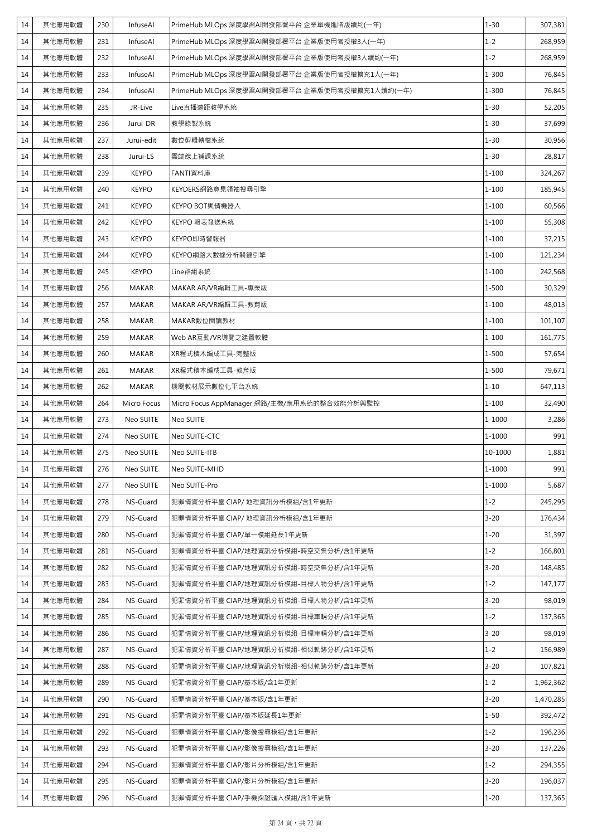| 14 | 其他應用軟體 | 230 | InfuseAl     | PrimeHub MLOps 深度學習AI開發部署平台 企業單機進階版續約(一年)      | $1 - 30$  | 307,381   |
|----|--------|-----|--------------|------------------------------------------------|-----------|-----------|
| 14 | 其他應用軟體 | 231 | InfuseAl     | PrimeHub MLOps 深度學習AI開發部署平台 企業版使用者授權3人(一年)     | $1 - 2$   | 268,959   |
| 14 | 其他應用軟體 | 232 | InfuseAl     | PrimeHub MLOps 深度學習AI開發部署平台 企業版使用者授權3人續約(一年)   | $1 - 2$   | 268,959   |
| 14 | 其他應用軟體 | 233 | InfuseAl     | PrimeHub MLOps 深度學習AI開發部署平台 企業版使用者授權擴充1人(一年)   | $1 - 300$ | 76,845    |
| 14 | 其他應用軟體 | 234 | InfuseAl     | PrimeHub MLOps 深度學習AI開發部署平台 企業版使用者授權擴充1人續約(一年) | $1 - 300$ | 76,845    |
| 14 | 其他應用軟體 | 235 | JR-Live      | Live直播遠距教學系統                                   | $1 - 30$  | 52,205    |
| 14 | 其他應用軟體 | 236 | Jurui-DR     | 教學錄製系統                                         | $1 - 30$  | 37,699    |
| 14 | 其他應用軟體 | 237 | Jurui-edit   | 數位剪輯轉檔系統                                       | $1 - 30$  | 30,956    |
| 14 | 其他應用軟體 | 238 | Jurui-LS     | 雲端線上補課系統                                       | $1 - 30$  | 28,817    |
| 14 | 其他應用軟體 | 239 | <b>KEYPO</b> | FANTI資料庫                                       | $1 - 100$ | 324,267   |
| 14 | 其他應用軟體 | 240 | <b>KEYPO</b> | KEYDERS網路意見領袖搜尋引擎                              | $1 - 100$ | 185,945   |
| 14 | 其他應用軟體 | 241 | <b>KEYPO</b> | KEYPO BOT輿情機器人                                 | $1 - 100$ | 60,566    |
| 14 | 其他應用軟體 | 242 | <b>KEYPO</b> | KEYPO 報表發送系統                                   | $1 - 100$ | 55,308    |
| 14 | 其他應用軟體 | 243 | <b>KEYPO</b> | KEYPO即時警報器                                     | $1 - 100$ | 37,215    |
| 14 | 其他應用軟體 | 244 | <b>KEYPO</b> | KEYPO網路大數據分析關鍵引擎                               | $1 - 100$ | 121,234   |
| 14 | 其他應用軟體 | 245 | <b>KEYPO</b> | Line群組系統                                       | $1 - 100$ | 242,568   |
| 14 | 其他應用軟體 | 256 | <b>MAKAR</b> | MAKAR AR/VR編輯工具-專業版                            | $1 - 500$ | 30,329    |
| 14 | 其他應用軟體 | 257 | <b>MAKAR</b> | MAKAR AR/VR編輯工具-教育版                            | $1 - 100$ | 48,013    |
| 14 | 其他應用軟體 | 258 | <b>MAKAR</b> | MAKAR數位閱讀教材                                    | $1 - 100$ | 101,107   |
| 14 | 其他應用軟體 | 259 | <b>MAKAR</b> | Web AR互動/VR導覽之建置軟體                             | $1 - 100$ | 161,775   |
| 14 | 其他應用軟體 | 260 | <b>MAKAR</b> | XR程式積木編成工具-完整版                                 | $1 - 500$ | 57,654    |
| 14 | 其他應用軟體 | 261 | <b>MAKAR</b> | XR程式積木編成工具-教育版                                 | $1 - 500$ | 79,671    |
| 14 | 其他應用軟體 | 262 | <b>MAKAR</b> | 機關教材展示數位化平台系統                                  | $1 - 10$  | 647,113   |
| 14 | 其他應用軟體 | 264 | Micro Focus  | Micro Focus AppManager 網路/主機/應用系統的整合效能分析與監控    | $1 - 100$ | 32,490    |
| 14 | 其他應用軟體 | 273 | Neo SUITE    | Neo SUITE                                      | 1-1000    | 3,286     |
| 14 | 其他應用軟體 | 274 | Neo SUITE    | Neo SUITE-CTC                                  | 1-1000    | 991       |
| 14 | 其他應用軟體 | 275 | Neo SUITE    | Neo SUITE-ITB                                  | 10-1000   | 1,881     |
| 14 | 其他應用軟體 | 276 | Neo SUITE    | Neo SUITE-MHD                                  | 1-1000    | 991       |
| 14 | 其他應用軟體 | 277 | Neo SUITE    | Neo SUITE-Pro                                  | 1-1000    | 5,687     |
| 14 | 其他應用軟體 | 278 | NS-Guard     | 犯罪情資分析平臺 CIAP/ 地理資訊分析模組/含1年更新                  | $1 - 2$   | 245,295   |
| 14 | 其他應用軟體 | 279 | NS-Guard     | 犯罪情資分析平臺 CIAP/ 地理資訊分析模組/含1年更新                  | $3 - 20$  | 176,434   |
| 14 | 其他應用軟體 | 280 | NS-Guard     | 犯罪情資分析平臺 CIAP/單一模組延長1年更新                       | $1 - 20$  | 31,397    |
| 14 | 其他應用軟體 | 281 | NS-Guard     | 犯罪情資分析平臺 CIAP/地理資訊分析模組-時空交集分析/含1年更新            | $1 - 2$   | 166,801   |
| 14 | 其他應用軟體 | 282 | NS-Guard     | 犯罪情資分析平臺 CIAP/地理資訊分析模組-時空交集分析/含1年更新            | $3 - 20$  | 148,485   |
| 14 | 其他應用軟體 | 283 | NS-Guard     | 犯罪情資分析平臺 CIAP/地理資訊分析模組-目標人物分析/含1年更新            | $1 - 2$   | 147,177   |
| 14 | 其他應用軟體 | 284 | NS-Guard     | 犯罪情資分析平臺 CIAP/地理資訊分析模組-目標人物分析/含1年更新            | $3 - 20$  | 98,019    |
| 14 | 其他應用軟體 | 285 | NS-Guard     | 犯罪情資分析平臺 CIAP/地理資訊分析模組-目標車輛分析/含1年更新            | $1 - 2$   | 137,365   |
| 14 | 其他應用軟體 | 286 | NS-Guard     | 犯罪情資分析平臺 CIAP/地理資訊分析模組-目標車輛分析/含1年更新            | $3 - 20$  | 98,019    |
| 14 | 其他應用軟體 | 287 | NS-Guard     | 犯罪情資分析平臺 CIAP/地理資訊分析模組-相似軌跡分析/含1年更新            | $1 - 2$   | 156,989   |
| 14 | 其他應用軟體 | 288 | NS-Guard     | 犯罪情資分析平臺 CIAP/地理資訊分析模組-相似軌跡分析/含1年更新            | $3 - 20$  | 107,821   |
| 14 | 其他應用軟體 | 289 | NS-Guard     | 犯罪情資分析平臺 CIAP/基本版/含1年更新                        | $1 - 2$   | 1,962,362 |
| 14 | 其他應用軟體 | 290 | NS-Guard     | 犯罪情資分析平臺 CIAP/基本版/含1年更新                        | $3 - 20$  | 1,470,285 |
| 14 | 其他應用軟體 | 291 | NS-Guard     | 犯罪情資分析平臺 CIAP/基本版延長1年更新                        | $1 - 50$  | 392,472   |
| 14 | 其他應用軟體 | 292 | NS-Guard     | 犯罪情資分析平臺 CIAP/影像搜尋模組/含1年更新                     | $1 - 2$   | 196,236   |
| 14 | 其他應用軟體 | 293 | NS-Guard     | 犯罪情資分析平臺 CIAP/影像搜尋模組/含1年更新                     | $3 - 20$  | 137,226   |
| 14 | 其他應用軟體 | 294 | NS-Guard     | 犯罪情資分析平臺 CIAP/影片分析模組/含1年更新                     | $1 - 2$   | 294,355   |
|    |        |     |              |                                                |           |           |
| 14 | 其他應用軟體 | 295 | NS-Guard     | 犯罪情資分析平臺 CIAP/影片分析模組/含1年更新                     | $3 - 20$  | 196,037   |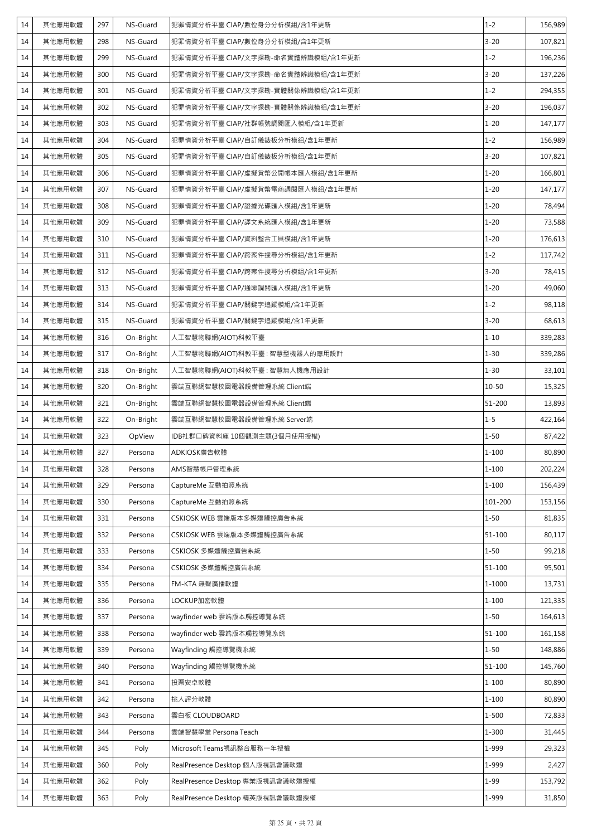| 14 | 其他應用軟體 | 297 | NS-Guard  | 犯罪情資分析平臺 CIAP/數位身分分析模組/含1年更新      | $1 - 2$    | 156,989 |
|----|--------|-----|-----------|-----------------------------------|------------|---------|
| 14 | 其他應用軟體 | 298 | NS-Guard  | 犯罪情資分析平臺 CIAP/數位身分分析模組/含1年更新      | $3 - 20$   | 107,821 |
| 14 | 其他應用軟體 | 299 | NS-Guard  | 犯罪情資分析平臺 CIAP/文字探勘-命名實體辨識模組/含1年更新 | $1 - 2$    | 196,236 |
| 14 | 其他應用軟體 | 300 | NS-Guard  | 犯罪情資分析平臺 CIAP/文字探勘-命名實體辨識模組/含1年更新 | $3 - 20$   | 137,226 |
| 14 | 其他應用軟體 | 301 | NS-Guard  | 犯罪情資分析平臺 CIAP/文字探勘-實體關係辨識模組/含1年更新 | $1 - 2$    | 294,355 |
| 14 | 其他應用軟體 | 302 | NS-Guard  | 犯罪情資分析平臺 CIAP/文字探勘-實體關係辨識模組/含1年更新 | $3 - 20$   | 196,037 |
| 14 | 其他應用軟體 | 303 | NS-Guard  | 犯罪情資分析平臺 CIAP/社群帳號調閱匯入模組/含1年更新    | $1 - 20$   | 147,177 |
| 14 | 其他應用軟體 | 304 | NS-Guard  | 犯罪情資分析平臺 CIAP/自訂儀錶板分析模組/含1年更新     | $1 - 2$    | 156,989 |
| 14 | 其他應用軟體 | 305 | NS-Guard  | 犯罪情資分析平臺 CIAP/自訂儀錶板分析模組/含1年更新     | $3 - 20$   | 107,821 |
| 14 | 其他應用軟體 | 306 | NS-Guard  | 犯罪情資分析平臺 CIAP/虛擬貨幣公開帳本匯入模組/含1年更新  | $1 - 20$   | 166,801 |
| 14 | 其他應用軟體 | 307 | NS-Guard  | 犯罪情資分析平臺 CIAP/虛擬貨幣電商調閱匯入模組/含1年更新  | $1 - 20$   | 147,177 |
| 14 | 其他應用軟體 | 308 | NS-Guard  | 犯罪情資分析平臺 CIAP/證據光碟匯入模組/含1年更新      | $1 - 20$   | 78,494  |
| 14 | 其他應用軟體 | 309 | NS-Guard  | 犯罪情資分析平臺 CIAP/譯文系統匯入模組/含1年更新      | $1 - 20$   | 73,588  |
| 14 | 其他應用軟體 | 310 | NS-Guard  | 犯罪情資分析平臺 CIAP/資料整合工具模組/含1年更新      | $1 - 20$   | 176,613 |
| 14 | 其他應用軟體 | 311 | NS-Guard  | 犯罪情資分析平臺 CIAP/跨案件搜尋分析模組/含1年更新     | $1 - 2$    | 117,742 |
| 14 | 其他應用軟體 | 312 | NS-Guard  | 犯罪情資分析平臺 CIAP/跨案件搜尋分析模組/含1年更新     | $3 - 20$   | 78,415  |
| 14 | 其他應用軟體 | 313 | NS-Guard  | 犯罪情資分析平臺 CIAP/通聯調閱匯入模組/含1年更新      | $1 - 20$   | 49,060  |
| 14 | 其他應用軟體 | 314 | NS-Guard  | 犯罪情資分析平臺 CIAP/關鍵字追蹤模組/含1年更新       | $1 - 2$    | 98,118  |
| 14 | 其他應用軟體 | 315 | NS-Guard  | 犯罪情資分析平臺 CIAP/關鍵字追蹤模組/含1年更新       | $3 - 20$   | 68,613  |
| 14 | 其他應用軟體 | 316 | On-Bright | 人工智慧物聯網(AIOT)科教平臺                 | $1 - 10$   | 339,283 |
| 14 | 其他應用軟體 | 317 | On-Bright | 人工智慧物聯網(AIOT)科教平臺 : 智慧型機器人的應用設計   | $1 - 30$   | 339,286 |
| 14 | 其他應用軟體 | 318 | On-Bright | 人工智慧物聯網(AIOT)科教平臺 : 智慧無人機應用設計     | $1 - 30$   | 33,101  |
| 14 | 其他應用軟體 | 320 | On-Bright | 雲端互聯網智慧校園電器設備管理系統 Client端         | $10 - 50$  | 15,325  |
| 14 | 其他應用軟體 | 321 | On-Bright | 雲端互聯網智慧校園電器設備管理系統 Client端         | 51-200     | 13,893  |
| 14 | 其他應用軟體 | 322 | On-Bright | 雲端互聯網智慧校園電器設備管理系統 Server端         | $1 - 5$    | 422,164 |
| 14 | 其他應用軟體 | 323 | OpView    | IDB社群口碑資料庫 10個觀測主題(3個月使用授權)       | $1 - 50$   | 87,422  |
| 14 | 其他應用軟體 | 327 | Persona   | ADKIOSK廣告軟體                       | $1 - 100$  | 80,890  |
| 14 | 其他應用軟體 | 328 | Persona   | AMS智慧帳戶管理系統                       | $1 - 100$  | 202,224 |
| 14 | 其他應用軟體 | 329 | Persona   | CaptureMe 互動拍照系統                  | $1 - 100$  | 156,439 |
| 14 | 其他應用軟體 | 330 | Persona   | CaptureMe 互動拍照系統                  | 101-200    | 153,156 |
| 14 | 其他應用軟體 | 331 | Persona   | CSKIOSK WEB 雲端版本多媒體觸控廣告系統         | $1 - 50$   | 81,835  |
| 14 | 其他應用軟體 | 332 | Persona   | CSKIOSK WEB 雲端版本多媒體觸控廣告系統         | $51 - 100$ | 80,117  |
| 14 | 其他應用軟體 | 333 | Persona   | CSKIOSK 多媒體觸控廣告系統                 | $1 - 50$   | 99,218  |
| 14 | 其他應用軟體 | 334 | Persona   | CSKIOSK 多媒體觸控廣告系統                 | $51 - 100$ | 95,501  |
| 14 | 其他應用軟體 | 335 | Persona   | FM-KTA 無聲廣播軟體                     | 1-1000     | 13,731  |
| 14 | 其他應用軟體 | 336 | Persona   | LOCKUP加密軟體                        | $1 - 100$  | 121,335 |
| 14 | 其他應用軟體 | 337 | Persona   | wayfinder web 雲端版本觸控導覽系統          | $1 - 50$   | 164,613 |
| 14 | 其他應用軟體 | 338 | Persona   | wayfinder web 雲端版本觸控導覽系統          | $51 - 100$ | 161,158 |
| 14 | 其他應用軟體 | 339 | Persona   | Wayfinding 觸控導覽機系統                | $1 - 50$   | 148,886 |
| 14 | 其他應用軟體 | 340 | Persona   | Wayfinding 觸控導覽機系統                | $51 - 100$ | 145,760 |
| 14 | 其他應用軟體 | 341 | Persona   | 投票安卓軟體                            | $1 - 100$  | 80,890  |
| 14 | 其他應用軟體 | 342 | Persona   | 挑人評分軟體                            | $1 - 100$  | 80,890  |
| 14 | 其他應用軟體 | 343 | Persona   | 雲自板 CLOUDBOARD                    | $1 - 500$  | 72,833  |
| 14 | 其他應用軟體 | 344 | Persona   | 雲端智慧學堂 Persona Teach              | $1 - 300$  | 31,445  |
| 14 | 其他應用軟體 | 345 | Poly      | Microsoft Teams視訊整合服務一年授權         | 1-999      | 29,323  |
| 14 | 其他應用軟體 | 360 | Poly      | RealPresence Desktop 個人版視訊會議軟體    | 1-999      | 2,427   |
| 14 | 其他應用軟體 | 362 | Poly      | RealPresence Desktop 專業版視訊會議軟體授權  | $1 - 99$   | 153,792 |
| 14 | 其他應用軟體 | 363 | Poly      | RealPresence Desktop 精英版視訊會議軟體授權  | 1-999      | 31,850  |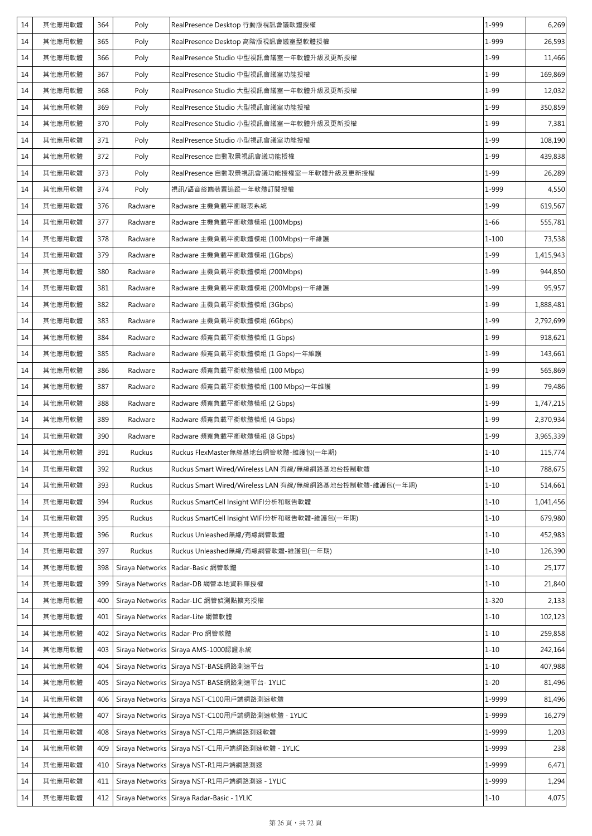| 14 | 其他應用軟體 | 364 | Poly            | RealPresence Desktop 行動版視訊會議軟體授權                        | 1-999     | 6,269     |
|----|--------|-----|-----------------|---------------------------------------------------------|-----------|-----------|
| 14 | 其他應用軟體 | 365 | Poly            | RealPresence Desktop 高階版視訊會議室型軟體授權                      | 1-999     | 26,593    |
| 14 | 其他應用軟體 | 366 | Poly            | RealPresence Studio 中型視訊會議室一年軟體升級及更新授權                  | $1 - 99$  | 11,466    |
| 14 | 其他應用軟體 | 367 | Poly            | RealPresence Studio 中型視訊會議室功能授權                         | $1 - 99$  | 169,869   |
| 14 | 其他應用軟體 | 368 | Poly            | RealPresence Studio 大型視訊會議室一年軟體升級及更新授權                  | $1 - 99$  | 12,032    |
| 14 | 其他應用軟體 | 369 | Poly            | RealPresence Studio 大型視訊會議室功能授權                         | $1 - 99$  | 350,859   |
| 14 | 其他應用軟體 | 370 | Poly            | RealPresence Studio 小型視訊會議室一年軟體升級及更新授權                  | $1 - 99$  | 7,381     |
| 14 | 其他應用軟體 | 371 | Poly            | RealPresence Studio 小型視訊會議室功能授權                         | $1 - 99$  | 108,190   |
| 14 | 其他應用軟體 | 372 | Poly            | RealPresence 自動取景視訊會議功能授權                               | $1 - 99$  | 439,838   |
| 14 | 其他應用軟體 | 373 | Poly            | RealPresence 自動取景視訊會議功能授權室一年軟體升級及更新授權                   | $1 - 99$  | 26,289    |
| 14 | 其他應用軟體 | 374 | Poly            | 視訊/語音終端裝置追蹤一年軟體訂閱授權                                     | 1-999     | 4,550     |
| 14 | 其他應用軟體 | 376 | Radware         | Radware 主機負載平衡報表系統                                      | $1 - 99$  | 619,567   |
| 14 | 其他應用軟體 | 377 | Radware         | Radware 主機負載平衡軟體模組 (100Mbps)                            | $1 - 66$  | 555,781   |
| 14 | 其他應用軟體 | 378 | Radware         | Radware 主機負載平衡軟體模組 (100Mbps)一年維護                        | $1 - 100$ | 73,538    |
| 14 | 其他應用軟體 | 379 | Radware         | Radware 主機負載平衡軟體模組 (1Gbps)                              | $1 - 99$  | 1,415,943 |
| 14 | 其他應用軟體 | 380 | Radware         | Radware 主機負載平衡軟體模組 (200Mbps)                            | $1 - 99$  | 944,850   |
| 14 | 其他應用軟體 | 381 | Radware         | Radware 主機負載平衡軟體模組 (200Mbps)一年維護                        | $1 - 99$  | 95,957    |
| 14 | 其他應用軟體 | 382 | Radware         | Radware 主機負載平衡軟體模組 (3Gbps)                              | $1 - 99$  | 1,888,481 |
| 14 | 其他應用軟體 | 383 | Radware         | Radware 主機負載平衡軟體模組 (6Gbps)                              | $1 - 99$  | 2,792,699 |
| 14 | 其他應用軟體 | 384 | Radware         | Radware 頻寬負載平衡軟體模組 (1 Gbps)                             | $1 - 99$  | 918,621   |
| 14 | 其他應用軟體 | 385 | Radware         | Radware 頻寬負載平衡軟體模組 (1 Gbps)一年維護                         | $1 - 99$  | 143,661   |
| 14 | 其他應用軟體 | 386 | Radware         | Radware 頻寬負載平衡軟體模組 (100 Mbps)                           | $1 - 99$  | 565,869   |
| 14 | 其他應用軟體 | 387 | Radware         | Radware 頻寬負載平衡軟體模組 (100 Mbps)一年維護                       | $1 - 99$  | 79,486    |
| 14 | 其他應用軟體 | 388 | Radware         | Radware 頻寬負載平衡軟體模組 (2 Gbps)                             | $1 - 99$  | 1,747,215 |
| 14 | 其他應用軟體 | 389 | Radware         | Radware 頻寬負載平衡軟體模組 (4 Gbps)                             | $1 - 99$  | 2,370,934 |
| 14 | 其他應用軟體 | 390 | Radware         | Radware 頻寬負載平衡軟體模組 (8 Gbps)                             | $1 - 99$  | 3,965,339 |
| 14 | 其他應用軟體 | 391 | Ruckus          | Ruckus FlexMaster無線基地台網管軟體-維護包(一年期)                     | $1 - 10$  | 115,774   |
| 14 | 其他應用軟體 | 392 | Ruckus          | Ruckus Smart Wired/Wireless LAN 有線/無線網路基地台控制軟體          | $1 - 10$  | 788,675   |
| 14 | 其他應用軟體 | 393 | Ruckus          | Ruckus Smart Wired/Wireless LAN 有線/無線網路基地台控制軟體-維護包(一年期) | $1 - 10$  | 514,661   |
| 14 | 其他應用軟體 | 394 | Ruckus          | Ruckus SmartCell Insight WIFI分析和報告軟體                    | $1 - 10$  | 1,041,456 |
| 14 | 其他應用軟體 | 395 | Ruckus          | Ruckus SmartCell Insight WIFI分析和報告軟體-維護包(一年期)           | $1 - 10$  | 679,980   |
| 14 | 其他應用軟體 | 396 | Ruckus          | Ruckus Unleashed無線/有線網管軟體                               | $1 - 10$  | 452,983   |
| 14 | 其他應用軟體 | 397 | Ruckus          | Ruckus Unleashed無線/有線網管軟體-維護包(一年期)                      | $1 - 10$  | 126,390   |
| 14 | 其他應用軟體 | 398 |                 | Siraya Networks Radar-Basic 網管軟體                        | $1 - 10$  | 25,177    |
| 14 | 其他應用軟體 | 399 |                 | Siraya Networks Radar-DB 網管本地資料庫授權                      | $1 - 10$  | 21,840    |
| 14 | 其他應用軟體 | 400 |                 | Siraya Networks Radar-LIC 網管偵測點擴充授權                     | $1 - 320$ | 2,133     |
| 14 | 其他應用軟體 | 401 |                 | Siraya Networks Radar-Lite 網管軟體                         | $1 - 10$  | 102,123   |
| 14 | 其他應用軟體 | 402 |                 | Siraya Networks Radar-Pro 網管軟體                          | $1 - 10$  | 259,858   |
| 14 | 其他應用軟體 | 403 |                 | Siraya Networks Siraya AMS-1000認證系統                     | $1 - 10$  | 242,164   |
| 14 | 其他應用軟體 | 404 |                 | Siraya Networks Siraya NST-BASE網路測速平台                   | $1 - 10$  | 407,988   |
| 14 | 其他應用軟體 | 405 |                 | Siraya Networks Siraya NST-BASE網路測速平台-1YLIC             | $1 - 20$  | 81,496    |
| 14 | 其他應用軟體 | 406 |                 | Siraya Networks Siraya NST-C100用戶端網路測速軟體                | 1-9999    | 81,496    |
| 14 | 其他應用軟體 | 407 |                 | Siraya Networks Siraya NST-C100用戶端網路測速軟體 - 1YLIC        | 1-9999    | 16,279    |
| 14 | 其他應用軟體 | 408 |                 | Siraya Networks Siraya NST-C1用戶端網路測速軟體                  | 1-9999    | 1,203     |
| 14 | 其他應用軟體 | 409 |                 | Siraya Networks Siraya NST-C1用戶端網路測速軟體 - 1YLIC          | 1-9999    | 238       |
| 14 | 其他應用軟體 | 410 |                 | Siraya Networks Siraya NST-R1用戶端網路測速                    | 1-9999    | 6,471     |
| 14 | 其他應用軟體 | 411 | Siraya Networks | Siraya NST-R1用戶端網路測速 - 1YLIC                            | 1-9999    | 1,294     |
| 14 | 其他應用軟體 | 412 |                 | Siraya Networks Siraya Radar-Basic - 1YLIC              | $1 - 10$  | 4,075     |
|    |        |     |                 |                                                         |           |           |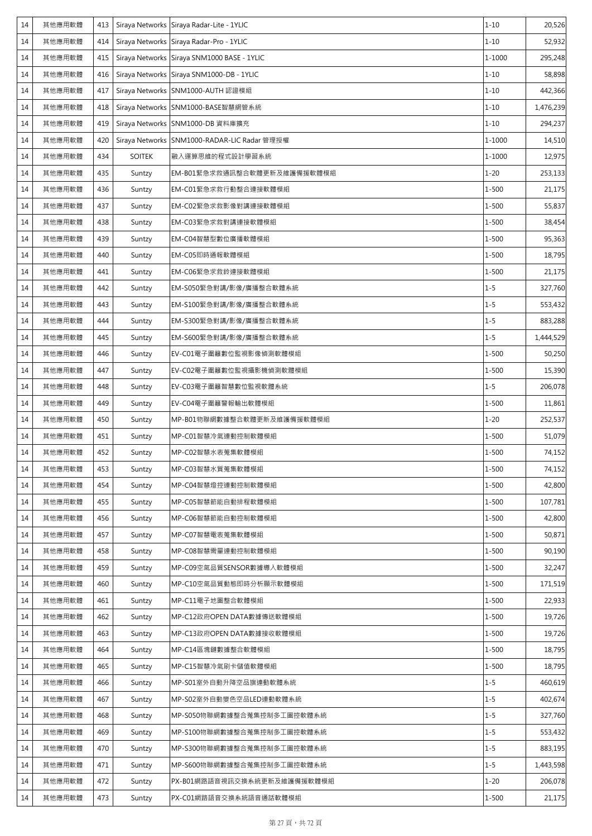| 14 | 其他應用軟體 | 413 |               | Siraya Networks Siraya Radar-Lite - 1YLIC    | $1 - 10$  | 20,526    |
|----|--------|-----|---------------|----------------------------------------------|-----------|-----------|
| 14 | 其他應用軟體 | 414 |               | Siraya Networks Siraya Radar-Pro - 1YLIC     | $1 - 10$  | 52,932    |
| 14 | 其他應用軟體 | 415 |               | Siraya Networks Siraya SNM1000 BASE - 1YLIC  | 1-1000    | 295,248   |
| 14 | 其他應用軟體 | 416 |               | Siraya Networks Siraya SNM1000-DB - 1YLIC    | $1 - 10$  | 58,898    |
| 14 | 其他應用軟體 | 417 |               | Siraya Networks SNM1000-AUTH 認證模組            | $1 - 10$  | 442,366   |
| 14 | 其他應用軟體 | 418 |               | Siraya Networks SNM1000-BASE智慧網管系統           | $1 - 10$  | 1,476,239 |
| 14 | 其他應用軟體 | 419 |               | Siraya Networks SNM1000-DB 資料庫擴充             | $1 - 10$  | 294,237   |
| 14 | 其他應用軟體 | 420 |               | Siraya Networks SNM1000-RADAR-LIC Radar 管理授權 | 1-1000    | 14,510    |
| 14 | 其他應用軟體 | 434 | <b>SOITEK</b> | 融入運算思維的程式設計學習系統                              | 1-1000    | 12,975    |
| 14 | 其他應用軟體 | 435 | Suntzy        | EM-B01緊急求救通訊整合軟體更新及維護備援軟體模組                  | $1 - 20$  | 253,133   |
| 14 | 其他應用軟體 | 436 | Suntzy        | EM-C01緊急求救行動整合連接軟體模組                         | $1 - 500$ | 21,175    |
| 14 | 其他應用軟體 | 437 | Suntzy        | EM-C02緊急求救影像對講連接軟體模組                         | $1 - 500$ | 55,837    |
| 14 | 其他應用軟體 | 438 | Suntzy        | EM-C03緊急求救對講連接軟體模組                           | $1 - 500$ | 38,454    |
| 14 | 其他應用軟體 | 439 | Suntzy        | EM-C04智慧型數位廣播軟體模組                            | $1 - 500$ | 95,363    |
| 14 | 其他應用軟體 | 440 | Suntzy        | EM-C05即時通報軟體模組                               | $1 - 500$ | 18,795    |
| 14 | 其他應用軟體 | 441 | Suntzy        | EM-C06緊急求救鈴連接軟體模組                            | $1 - 500$ | 21,175    |
| 14 | 其他應用軟體 | 442 | Suntzy        | EM-S050緊急對講/影像/廣播整合軟體系統                      | $1 - 5$   | 327,760   |
| 14 | 其他應用軟體 | 443 | Suntzy        | EM-S100緊急對講/影像/廣播整合軟體系統                      | $1 - 5$   | 553,432   |
| 14 | 其他應用軟體 | 444 | Suntzy        | EM-S300緊急對講/影像/廣播整合軟體系統                      | $1 - 5$   | 883,288   |
| 14 | 其他應用軟體 | 445 | Suntzy        | EM-S600緊急對講/影像/廣播整合軟體系統                      | $1 - 5$   | 1,444,529 |
| 14 | 其他應用軟體 | 446 | Suntzy        | EV-C01電子圍籬數位監視影像偵測軟體模組                       | $1 - 500$ | 50,250    |
| 14 | 其他應用軟體 | 447 | Suntzy        | EV-C02電子圍籬數位監視攝影機偵測軟體模組                      | $1 - 500$ | 15,390    |
| 14 | 其他應用軟體 | 448 | Suntzy        | EV-C03電子圍籬智慧數位監視軟體系統                         | $1 - 5$   | 206,078   |
| 14 | 其他應用軟體 | 449 | Suntzy        | EV-C04電子圍籬警報輸出軟體模組                           | $1 - 500$ | 11,861    |
| 14 | 其他應用軟體 | 450 | Suntzy        | MP-B01物聯網數據整合軟體更新及維護備援軟體模組                   | $1 - 20$  | 252,537   |
| 14 | 其他應用軟體 | 451 | Suntzy        | MP-C01智慧冷氣連動控制軟體模組                           | $1 - 500$ | 51,079    |
| 14 | 其他應用軟體 | 452 | Suntzy        | MP-C02智慧水表蒐集軟體模組                             | $1 - 500$ | 74,152    |
| 14 | 其他應用軟體 | 453 | Suntzy        | MP-C03智慧水質蒐集軟體模組                             | $1 - 500$ | 74,152    |
| 14 | 其他應用軟體 | 454 | Suntzy        | MP-C04智慧燈控連動控制軟體模組                           | $1 - 500$ | 42,800    |
| 14 | 其他應用軟體 | 455 | Suntzy        | MP-C05智慧節能自動排程軟體模組                           | $1 - 500$ | 107,781   |
| 14 | 其他應用軟體 | 456 | Suntzy        | MP-C06智慧節能自動控制軟體模組                           | $1 - 500$ | 42,800    |
| 14 | 其他應用軟體 | 457 | Suntzy        | MP-C07智慧電表蒐集軟體模組                             | $1 - 500$ | 50,871    |
| 14 | 其他應用軟體 | 458 | Suntzy        | MP-C08智慧需量連動控制軟體模組                           | $1 - 500$ | 90,190    |
| 14 | 其他應用軟體 | 459 | Suntzy        | MP-C09空氣品質SENSOR數據導入軟體模組                     | $1 - 500$ | 32,247    |
| 14 | 其他應用軟體 | 460 | Suntzy        | MP-C10空氣品質動態即時分析顯示軟體模組                       | $1 - 500$ | 171,519   |
| 14 | 其他應用軟體 | 461 | Suntzy        | MP-C11電子地圖整合軟體模組                             | $1 - 500$ | 22,933    |
| 14 | 其他應用軟體 | 462 | Suntzy        | MP-C12政府OPEN DATA數據傳送軟體模組                    | $1 - 500$ | 19,726    |
| 14 | 其他應用軟體 | 463 | Suntzy        | MP-C13政府OPEN DATA數據接收軟體模組                    | $1 - 500$ | 19,726    |
| 14 | 其他應用軟體 | 464 | Suntzy        | MP-C14區塊鏈數據整合軟體模組                            | $1 - 500$ | 18,795    |
| 14 | 其他應用軟體 | 465 | Suntzy        | MP-C15智慧冷氣刷卡儲值軟體模組                           | $1 - 500$ | 18,795    |
| 14 | 其他應用軟體 | 466 | Suntzy        | MP-S01室外自動升降空品旗連動軟體系統                        | $1 - 5$   | 460,619   |
| 14 | 其他應用軟體 | 467 | Suntzy        | MP-S02室外自動變色空品LED連動軟體系統                      | $1 - 5$   | 402,674   |
| 14 | 其他應用軟體 | 468 | Suntzy        | MP-S050物聯網數據整合蒐集控制多工圖控軟體系統                   | $1 - 5$   | 327,760   |
| 14 | 其他應用軟體 | 469 | Suntzy        | MP-S100物聯網數據整合蒐集控制多工圖控軟體系統                   | $1 - 5$   | 553,432   |
| 14 | 其他應用軟體 | 470 | Suntzy        | MP-S300物聯網數據整合蒐集控制多工圖控軟體系統                   | $1 - 5$   | 883,195   |
| 14 | 其他應用軟體 | 471 | Suntzy        | MP-S600物聯網數據整合蒐集控制多工圖控軟體系統                   | $1 - 5$   | 1,443,598 |
| 14 | 其他應用軟體 | 472 | Suntzy        | PX-B01網路語音視訊交換系統更新及維護備援軟體模組                  | $1 - 20$  | 206,078   |
| 14 | 其他應用軟體 | 473 | Suntzy        | PX-C01網路語音交換系統語音通話軟體模組                       | $1 - 500$ | 21,175    |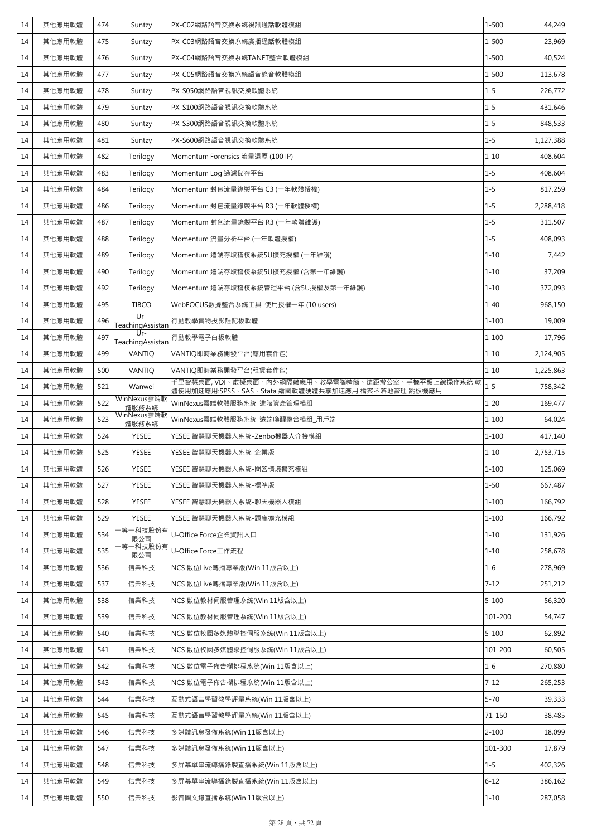| $1 - 500$<br>14<br>其他應用軟體<br>475<br>PX-C03網路語音交換系統廣播通話軟體模組<br>Suntzy<br>$1 - 500$<br>其他應用軟體<br>476<br>PX-C04網路語音交換系統TANET整合軟體模組<br>14<br>Suntzy<br>$1 - 500$<br>其他應用軟體<br>477<br>Suntzy<br>PX-C05網路語音交換系統語音錄音軟體模組<br>14<br>其他應用軟體<br>PX-S050網路語音視訊交換軟體系統<br>$1 - 5$<br>14<br>478<br>Suntzy<br>$1 - 5$<br>14<br>其他應用軟體<br>479<br>PX-S100網路語音視訊交換軟體系統<br>Suntzy<br>$1 - 5$<br>其他應用軟體<br>PX-S300網路語音視訊交換軟體系統<br>14<br>480<br>Suntzy<br>$1 - 5$<br>其他應用軟體<br>481<br>PX-S600網路語音視訊交換軟體系統<br>14<br>Suntzy<br>$1 - 10$<br>其他應用軟體<br>Terilogy<br>14<br>482<br>Momentum Forensics 流量還原 (100 IP)<br>$1 - 5$<br>其他應用軟體<br>483<br>14<br>Terilogy<br>Momentum Log 過濾儲存平台<br>$1 - 5$<br>其他應用軟體<br>484<br>Terilogy<br>Momentum 封包流量錄製平台 C3 (一年軟體授權)<br>14<br>$1 - 5$<br>Momentum 封包流量錄製平台 R3 (一年軟體授權)<br>其他應用軟體<br>486<br>Terilogy<br>14<br>$1 - 5$<br>其他應用軟體<br>Momentum 封包流量錄製平台 R3 (一年軟體維護)<br>14<br>487<br>Terilogy<br>$1 - 5$<br>14<br>其他應用軟體<br>488<br>Terilogy<br>Momentum 流量分析平台 (一年軟體授權)<br>$1 - 10$<br>其他應用軟體<br>14<br>489<br>Terilogy<br>Momentum 遠端存取稽核系統5U擴充授權 (一年維護)<br>$1 - 10$<br>其他應用軟體<br>490<br>Momentum 遠端存取稽核系統5U擴充授權 (含第一年維護)<br>14<br>Terilogy<br>$1 - 10$<br>其他應用軟體<br>Momentum 遠端存取稽核系統管理平台 (含5U授權及第一年維護)<br>14<br>492<br>Terilogy<br>$1 - 40$<br>其他應用軟體<br>495<br><b>TIBCO</b><br>14<br>WebFOCUS數據整合系統工具_使用授權一年 (10 users)<br>$Ur -$<br>$1 - 100$<br>14<br>其他應用軟體<br>496<br>行動教學實物投影註記板軟體<br>Teaching Assistan<br>$Ur-$<br>$1 - 100$<br>497<br>其他應用軟體<br>行動教學電子白板軟體<br>14<br>Teaching Assistan<br>$1 - 10$<br>其他應用軟體<br>14<br>499<br><b>VANTIO</b><br>VANTIQ即時業務開發平台(應用套件包)<br>VANTIQ<br>VANTIQ即時業務開發平台(租賃套件包)<br>$1 - 10$<br>14<br>其他應用軟體<br>500<br>千里智慧桌面, VDI、虚擬桌面、内外網隔離應用、教學電腦精簡、遠距辦公室、手機平板上線操作系統 軟<br>$1 - 5$<br>14<br>其他應用軟體<br>521<br>Wanwei<br>體使用加速應用:SPSS、 <u>SAS、Stata 繪圖軟體硬體共享加速應用 檔案不落地管理 跳板機應用</u><br>WinNexus雲端軟<br>522<br>WinNexus雲端軟體服務系統-進階資產管理模組<br>$1 - 20$<br>其他應用軟體<br>14<br>體服務系統<br>WinNexus雲端軟<br>其他應用軟體<br>523<br>$1 - 100$<br>WinNexus雲端軟體服務系統-遠端喚醒整合模組_用戶端<br>14<br>體服務系統<br>其他應用軟體<br>YESEE 智慧聊天機器人系統-Zenbo機器人介接模組<br>$1 - 100$<br>524<br><b>YESEE</b><br>14<br>14<br>其他應用軟體<br>525<br><b>YESEE</b><br>YESEE 智慧聊天機器人系統-企業版<br>$1 - 10$<br>其他應用軟體<br>YESEE<br>$1 - 100$<br>14<br>526<br>YESEE 智慧聊天機器人系統-問答情境擴充模組<br>$1 - 50$<br>其他應用軟體<br>527<br>YESEE<br>YESEE 智慧聊天機器人系統-標準版<br>14<br>其他應用軟體<br><b>YESEE</b><br>YESEE 智慧聊天機器人系統-聊天機器人模組<br>$1 - 100$<br>14<br>528<br><b>YESEE</b><br>$1 - 100$<br>14<br>其他應用軟體<br>529<br>YESEE 智慧聊天機器人系統-題庫擴充模組<br>-等一科技股份有<br>$1 - 10$<br>其他應用軟體<br>U-Office Force企業資訊入口<br>14<br>534<br>限公司<br>等一科技股份有<br>$1 - 10$<br>其他應用軟體<br>535<br>U-Office Force工作流程<br>14<br>限公司<br>NCS 數位Live轉播專業版(Win 11版含以上)<br>$1 - 6$<br>其他應用軟體<br>信業科技<br>14<br>536<br>NCS 數位Live轉播專業版(Win 11版含以上)<br>$7 - 12$<br>14<br>其他應用軟體<br>537<br>信業科技<br>$5 - 100$<br>其他應用軟體<br>信業科技<br>NCS 數位教材伺服管理系統(Win 11版含以上)<br>14<br>538<br>101-200<br>其他應用軟體<br>539<br>信業科技<br>NCS 數位教材伺服管理系統(Win 11版含以上)<br>14<br>其他應用軟體<br>信業科技<br>NCS 數位校園多媒體聯控伺服系統(Win 11版含以上)<br>$5 - 100$<br>14<br>540<br>101-200<br>14<br>其他應用軟體<br>信業科技<br>NCS 數位校園多媒體聯控伺服系統(Win 11版含以上)<br>541<br>$1 - 6$<br>其他應用軟體<br>14<br>信業科技<br>NCS 數位電子佈告欄排程系統(Win 11版含以上)<br>542<br>$7 - 12$<br>其他應用軟體<br>543<br>信業科技<br>NCS 數位電子佈告欄排程系統(Win 11版含以上)<br>14<br>$5 - 70$<br>14<br>其他應用軟體<br>544<br>信業科技<br>互動式語言學習教學評量系統(Win 11版含以上)<br>互動式語言學習教學評量系統(Win 11版含以上)<br>14<br>其他應用軟體<br>545<br>信業科技<br>71-150<br>14<br>其他應用軟體<br>信業科技<br>多媒體訊息發佈系統(Win 11版含以上)<br>$2 - 100$<br>546<br>101-300<br>其他應用軟體<br>547<br>信業科技<br>多媒體訊息發佈系統(Win 11版含以上)<br>14<br>$1 - 5$<br>其他應用軟體<br>信業科技<br>多屏幕單串流導播錄製直播系統(Win 11版含以上)<br>14<br>548<br>$6 - 12$<br>其他應用軟體<br>549<br>信業科技<br>多屏幕單串流導播錄製直播系統(Win 11版含以上)<br>14<br>$1 - 10$<br>14<br>其他應用軟體<br>550<br>信業科技<br>影音圖文錄直播系統(Win 11版含以上) | 14 | 其他應用軟體 | 474 | Suntzy | PX-C02網路語音交換系統視訊通話軟體模組 | $1 - 500$ | 44,249    |
|-----------------------------------------------------------------------------------------------------------------------------------------------------------------------------------------------------------------------------------------------------------------------------------------------------------------------------------------------------------------------------------------------------------------------------------------------------------------------------------------------------------------------------------------------------------------------------------------------------------------------------------------------------------------------------------------------------------------------------------------------------------------------------------------------------------------------------------------------------------------------------------------------------------------------------------------------------------------------------------------------------------------------------------------------------------------------------------------------------------------------------------------------------------------------------------------------------------------------------------------------------------------------------------------------------------------------------------------------------------------------------------------------------------------------------------------------------------------------------------------------------------------------------------------------------------------------------------------------------------------------------------------------------------------------------------------------------------------------------------------------------------------------------------------------------------------------------------------------------------------------------------------------------------------------------------------------------------------------------------------------------------------------------------------------------------------------------------------------------------------------------------------------------------------------------------------------------------------------------------------------------------------------------------------------------------------------------------------------------------------------------------------------------------------------------------------------------------------------------------------------------------------------------------------------------------------------------------------------------------------------------------------------------------------------------------------------------------------------------------------------------------------------------------------------------------------------------------------------------------------------------------------------------------------------------------------------------------------------------------------------------------------------------------------------------------------------------------------------------------------------------------------------------------------------------------------------------------------------------------------------------------------------------------------------------------------------------------------------------------------------------------------------------------------------------------------------------------------------------------------------------------------------------------------------------------------------------------------------------------------------------------------------------------------------------------------------------------------------------------------------------------------------------|----|--------|-----|--------|------------------------|-----------|-----------|
|                                                                                                                                                                                                                                                                                                                                                                                                                                                                                                                                                                                                                                                                                                                                                                                                                                                                                                                                                                                                                                                                                                                                                                                                                                                                                                                                                                                                                                                                                                                                                                                                                                                                                                                                                                                                                                                                                                                                                                                                                                                                                                                                                                                                                                                                                                                                                                                                                                                                                                                                                                                                                                                                                                                                                                                                                                                                                                                                                                                                                                                                                                                                                                                                                                                                                                                                                                                                                                                                                                                                                                                                                                                                                                                                                                             |    |        |     |        |                        |           | 23,969    |
|                                                                                                                                                                                                                                                                                                                                                                                                                                                                                                                                                                                                                                                                                                                                                                                                                                                                                                                                                                                                                                                                                                                                                                                                                                                                                                                                                                                                                                                                                                                                                                                                                                                                                                                                                                                                                                                                                                                                                                                                                                                                                                                                                                                                                                                                                                                                                                                                                                                                                                                                                                                                                                                                                                                                                                                                                                                                                                                                                                                                                                                                                                                                                                                                                                                                                                                                                                                                                                                                                                                                                                                                                                                                                                                                                                             |    |        |     |        |                        |           | 40,524    |
|                                                                                                                                                                                                                                                                                                                                                                                                                                                                                                                                                                                                                                                                                                                                                                                                                                                                                                                                                                                                                                                                                                                                                                                                                                                                                                                                                                                                                                                                                                                                                                                                                                                                                                                                                                                                                                                                                                                                                                                                                                                                                                                                                                                                                                                                                                                                                                                                                                                                                                                                                                                                                                                                                                                                                                                                                                                                                                                                                                                                                                                                                                                                                                                                                                                                                                                                                                                                                                                                                                                                                                                                                                                                                                                                                                             |    |        |     |        |                        |           | 113,678   |
|                                                                                                                                                                                                                                                                                                                                                                                                                                                                                                                                                                                                                                                                                                                                                                                                                                                                                                                                                                                                                                                                                                                                                                                                                                                                                                                                                                                                                                                                                                                                                                                                                                                                                                                                                                                                                                                                                                                                                                                                                                                                                                                                                                                                                                                                                                                                                                                                                                                                                                                                                                                                                                                                                                                                                                                                                                                                                                                                                                                                                                                                                                                                                                                                                                                                                                                                                                                                                                                                                                                                                                                                                                                                                                                                                                             |    |        |     |        |                        |           | 226,772   |
|                                                                                                                                                                                                                                                                                                                                                                                                                                                                                                                                                                                                                                                                                                                                                                                                                                                                                                                                                                                                                                                                                                                                                                                                                                                                                                                                                                                                                                                                                                                                                                                                                                                                                                                                                                                                                                                                                                                                                                                                                                                                                                                                                                                                                                                                                                                                                                                                                                                                                                                                                                                                                                                                                                                                                                                                                                                                                                                                                                                                                                                                                                                                                                                                                                                                                                                                                                                                                                                                                                                                                                                                                                                                                                                                                                             |    |        |     |        |                        |           | 431,646   |
|                                                                                                                                                                                                                                                                                                                                                                                                                                                                                                                                                                                                                                                                                                                                                                                                                                                                                                                                                                                                                                                                                                                                                                                                                                                                                                                                                                                                                                                                                                                                                                                                                                                                                                                                                                                                                                                                                                                                                                                                                                                                                                                                                                                                                                                                                                                                                                                                                                                                                                                                                                                                                                                                                                                                                                                                                                                                                                                                                                                                                                                                                                                                                                                                                                                                                                                                                                                                                                                                                                                                                                                                                                                                                                                                                                             |    |        |     |        |                        |           | 848,533   |
|                                                                                                                                                                                                                                                                                                                                                                                                                                                                                                                                                                                                                                                                                                                                                                                                                                                                                                                                                                                                                                                                                                                                                                                                                                                                                                                                                                                                                                                                                                                                                                                                                                                                                                                                                                                                                                                                                                                                                                                                                                                                                                                                                                                                                                                                                                                                                                                                                                                                                                                                                                                                                                                                                                                                                                                                                                                                                                                                                                                                                                                                                                                                                                                                                                                                                                                                                                                                                                                                                                                                                                                                                                                                                                                                                                             |    |        |     |        |                        |           | 1,127,388 |
|                                                                                                                                                                                                                                                                                                                                                                                                                                                                                                                                                                                                                                                                                                                                                                                                                                                                                                                                                                                                                                                                                                                                                                                                                                                                                                                                                                                                                                                                                                                                                                                                                                                                                                                                                                                                                                                                                                                                                                                                                                                                                                                                                                                                                                                                                                                                                                                                                                                                                                                                                                                                                                                                                                                                                                                                                                                                                                                                                                                                                                                                                                                                                                                                                                                                                                                                                                                                                                                                                                                                                                                                                                                                                                                                                                             |    |        |     |        |                        |           | 408,604   |
|                                                                                                                                                                                                                                                                                                                                                                                                                                                                                                                                                                                                                                                                                                                                                                                                                                                                                                                                                                                                                                                                                                                                                                                                                                                                                                                                                                                                                                                                                                                                                                                                                                                                                                                                                                                                                                                                                                                                                                                                                                                                                                                                                                                                                                                                                                                                                                                                                                                                                                                                                                                                                                                                                                                                                                                                                                                                                                                                                                                                                                                                                                                                                                                                                                                                                                                                                                                                                                                                                                                                                                                                                                                                                                                                                                             |    |        |     |        |                        |           | 408,604   |
|                                                                                                                                                                                                                                                                                                                                                                                                                                                                                                                                                                                                                                                                                                                                                                                                                                                                                                                                                                                                                                                                                                                                                                                                                                                                                                                                                                                                                                                                                                                                                                                                                                                                                                                                                                                                                                                                                                                                                                                                                                                                                                                                                                                                                                                                                                                                                                                                                                                                                                                                                                                                                                                                                                                                                                                                                                                                                                                                                                                                                                                                                                                                                                                                                                                                                                                                                                                                                                                                                                                                                                                                                                                                                                                                                                             |    |        |     |        |                        |           | 817,259   |
|                                                                                                                                                                                                                                                                                                                                                                                                                                                                                                                                                                                                                                                                                                                                                                                                                                                                                                                                                                                                                                                                                                                                                                                                                                                                                                                                                                                                                                                                                                                                                                                                                                                                                                                                                                                                                                                                                                                                                                                                                                                                                                                                                                                                                                                                                                                                                                                                                                                                                                                                                                                                                                                                                                                                                                                                                                                                                                                                                                                                                                                                                                                                                                                                                                                                                                                                                                                                                                                                                                                                                                                                                                                                                                                                                                             |    |        |     |        |                        |           | 2,288,418 |
|                                                                                                                                                                                                                                                                                                                                                                                                                                                                                                                                                                                                                                                                                                                                                                                                                                                                                                                                                                                                                                                                                                                                                                                                                                                                                                                                                                                                                                                                                                                                                                                                                                                                                                                                                                                                                                                                                                                                                                                                                                                                                                                                                                                                                                                                                                                                                                                                                                                                                                                                                                                                                                                                                                                                                                                                                                                                                                                                                                                                                                                                                                                                                                                                                                                                                                                                                                                                                                                                                                                                                                                                                                                                                                                                                                             |    |        |     |        |                        |           | 311,507   |
|                                                                                                                                                                                                                                                                                                                                                                                                                                                                                                                                                                                                                                                                                                                                                                                                                                                                                                                                                                                                                                                                                                                                                                                                                                                                                                                                                                                                                                                                                                                                                                                                                                                                                                                                                                                                                                                                                                                                                                                                                                                                                                                                                                                                                                                                                                                                                                                                                                                                                                                                                                                                                                                                                                                                                                                                                                                                                                                                                                                                                                                                                                                                                                                                                                                                                                                                                                                                                                                                                                                                                                                                                                                                                                                                                                             |    |        |     |        |                        |           | 408,093   |
|                                                                                                                                                                                                                                                                                                                                                                                                                                                                                                                                                                                                                                                                                                                                                                                                                                                                                                                                                                                                                                                                                                                                                                                                                                                                                                                                                                                                                                                                                                                                                                                                                                                                                                                                                                                                                                                                                                                                                                                                                                                                                                                                                                                                                                                                                                                                                                                                                                                                                                                                                                                                                                                                                                                                                                                                                                                                                                                                                                                                                                                                                                                                                                                                                                                                                                                                                                                                                                                                                                                                                                                                                                                                                                                                                                             |    |        |     |        |                        |           | 7,442     |
|                                                                                                                                                                                                                                                                                                                                                                                                                                                                                                                                                                                                                                                                                                                                                                                                                                                                                                                                                                                                                                                                                                                                                                                                                                                                                                                                                                                                                                                                                                                                                                                                                                                                                                                                                                                                                                                                                                                                                                                                                                                                                                                                                                                                                                                                                                                                                                                                                                                                                                                                                                                                                                                                                                                                                                                                                                                                                                                                                                                                                                                                                                                                                                                                                                                                                                                                                                                                                                                                                                                                                                                                                                                                                                                                                                             |    |        |     |        |                        |           | 37,209    |
|                                                                                                                                                                                                                                                                                                                                                                                                                                                                                                                                                                                                                                                                                                                                                                                                                                                                                                                                                                                                                                                                                                                                                                                                                                                                                                                                                                                                                                                                                                                                                                                                                                                                                                                                                                                                                                                                                                                                                                                                                                                                                                                                                                                                                                                                                                                                                                                                                                                                                                                                                                                                                                                                                                                                                                                                                                                                                                                                                                                                                                                                                                                                                                                                                                                                                                                                                                                                                                                                                                                                                                                                                                                                                                                                                                             |    |        |     |        |                        |           | 372,093   |
|                                                                                                                                                                                                                                                                                                                                                                                                                                                                                                                                                                                                                                                                                                                                                                                                                                                                                                                                                                                                                                                                                                                                                                                                                                                                                                                                                                                                                                                                                                                                                                                                                                                                                                                                                                                                                                                                                                                                                                                                                                                                                                                                                                                                                                                                                                                                                                                                                                                                                                                                                                                                                                                                                                                                                                                                                                                                                                                                                                                                                                                                                                                                                                                                                                                                                                                                                                                                                                                                                                                                                                                                                                                                                                                                                                             |    |        |     |        |                        |           | 968,150   |
|                                                                                                                                                                                                                                                                                                                                                                                                                                                                                                                                                                                                                                                                                                                                                                                                                                                                                                                                                                                                                                                                                                                                                                                                                                                                                                                                                                                                                                                                                                                                                                                                                                                                                                                                                                                                                                                                                                                                                                                                                                                                                                                                                                                                                                                                                                                                                                                                                                                                                                                                                                                                                                                                                                                                                                                                                                                                                                                                                                                                                                                                                                                                                                                                                                                                                                                                                                                                                                                                                                                                                                                                                                                                                                                                                                             |    |        |     |        |                        |           | 19,009    |
|                                                                                                                                                                                                                                                                                                                                                                                                                                                                                                                                                                                                                                                                                                                                                                                                                                                                                                                                                                                                                                                                                                                                                                                                                                                                                                                                                                                                                                                                                                                                                                                                                                                                                                                                                                                                                                                                                                                                                                                                                                                                                                                                                                                                                                                                                                                                                                                                                                                                                                                                                                                                                                                                                                                                                                                                                                                                                                                                                                                                                                                                                                                                                                                                                                                                                                                                                                                                                                                                                                                                                                                                                                                                                                                                                                             |    |        |     |        |                        |           | 17,796    |
|                                                                                                                                                                                                                                                                                                                                                                                                                                                                                                                                                                                                                                                                                                                                                                                                                                                                                                                                                                                                                                                                                                                                                                                                                                                                                                                                                                                                                                                                                                                                                                                                                                                                                                                                                                                                                                                                                                                                                                                                                                                                                                                                                                                                                                                                                                                                                                                                                                                                                                                                                                                                                                                                                                                                                                                                                                                                                                                                                                                                                                                                                                                                                                                                                                                                                                                                                                                                                                                                                                                                                                                                                                                                                                                                                                             |    |        |     |        |                        |           | 2,124,905 |
|                                                                                                                                                                                                                                                                                                                                                                                                                                                                                                                                                                                                                                                                                                                                                                                                                                                                                                                                                                                                                                                                                                                                                                                                                                                                                                                                                                                                                                                                                                                                                                                                                                                                                                                                                                                                                                                                                                                                                                                                                                                                                                                                                                                                                                                                                                                                                                                                                                                                                                                                                                                                                                                                                                                                                                                                                                                                                                                                                                                                                                                                                                                                                                                                                                                                                                                                                                                                                                                                                                                                                                                                                                                                                                                                                                             |    |        |     |        |                        |           | 1,225,863 |
|                                                                                                                                                                                                                                                                                                                                                                                                                                                                                                                                                                                                                                                                                                                                                                                                                                                                                                                                                                                                                                                                                                                                                                                                                                                                                                                                                                                                                                                                                                                                                                                                                                                                                                                                                                                                                                                                                                                                                                                                                                                                                                                                                                                                                                                                                                                                                                                                                                                                                                                                                                                                                                                                                                                                                                                                                                                                                                                                                                                                                                                                                                                                                                                                                                                                                                                                                                                                                                                                                                                                                                                                                                                                                                                                                                             |    |        |     |        |                        |           | 758,342   |
|                                                                                                                                                                                                                                                                                                                                                                                                                                                                                                                                                                                                                                                                                                                                                                                                                                                                                                                                                                                                                                                                                                                                                                                                                                                                                                                                                                                                                                                                                                                                                                                                                                                                                                                                                                                                                                                                                                                                                                                                                                                                                                                                                                                                                                                                                                                                                                                                                                                                                                                                                                                                                                                                                                                                                                                                                                                                                                                                                                                                                                                                                                                                                                                                                                                                                                                                                                                                                                                                                                                                                                                                                                                                                                                                                                             |    |        |     |        |                        |           | 169,477   |
|                                                                                                                                                                                                                                                                                                                                                                                                                                                                                                                                                                                                                                                                                                                                                                                                                                                                                                                                                                                                                                                                                                                                                                                                                                                                                                                                                                                                                                                                                                                                                                                                                                                                                                                                                                                                                                                                                                                                                                                                                                                                                                                                                                                                                                                                                                                                                                                                                                                                                                                                                                                                                                                                                                                                                                                                                                                                                                                                                                                                                                                                                                                                                                                                                                                                                                                                                                                                                                                                                                                                                                                                                                                                                                                                                                             |    |        |     |        |                        |           | 64,024    |
|                                                                                                                                                                                                                                                                                                                                                                                                                                                                                                                                                                                                                                                                                                                                                                                                                                                                                                                                                                                                                                                                                                                                                                                                                                                                                                                                                                                                                                                                                                                                                                                                                                                                                                                                                                                                                                                                                                                                                                                                                                                                                                                                                                                                                                                                                                                                                                                                                                                                                                                                                                                                                                                                                                                                                                                                                                                                                                                                                                                                                                                                                                                                                                                                                                                                                                                                                                                                                                                                                                                                                                                                                                                                                                                                                                             |    |        |     |        |                        |           | 417,140   |
|                                                                                                                                                                                                                                                                                                                                                                                                                                                                                                                                                                                                                                                                                                                                                                                                                                                                                                                                                                                                                                                                                                                                                                                                                                                                                                                                                                                                                                                                                                                                                                                                                                                                                                                                                                                                                                                                                                                                                                                                                                                                                                                                                                                                                                                                                                                                                                                                                                                                                                                                                                                                                                                                                                                                                                                                                                                                                                                                                                                                                                                                                                                                                                                                                                                                                                                                                                                                                                                                                                                                                                                                                                                                                                                                                                             |    |        |     |        |                        |           | 2,753,715 |
|                                                                                                                                                                                                                                                                                                                                                                                                                                                                                                                                                                                                                                                                                                                                                                                                                                                                                                                                                                                                                                                                                                                                                                                                                                                                                                                                                                                                                                                                                                                                                                                                                                                                                                                                                                                                                                                                                                                                                                                                                                                                                                                                                                                                                                                                                                                                                                                                                                                                                                                                                                                                                                                                                                                                                                                                                                                                                                                                                                                                                                                                                                                                                                                                                                                                                                                                                                                                                                                                                                                                                                                                                                                                                                                                                                             |    |        |     |        |                        |           | 125,069   |
|                                                                                                                                                                                                                                                                                                                                                                                                                                                                                                                                                                                                                                                                                                                                                                                                                                                                                                                                                                                                                                                                                                                                                                                                                                                                                                                                                                                                                                                                                                                                                                                                                                                                                                                                                                                                                                                                                                                                                                                                                                                                                                                                                                                                                                                                                                                                                                                                                                                                                                                                                                                                                                                                                                                                                                                                                                                                                                                                                                                                                                                                                                                                                                                                                                                                                                                                                                                                                                                                                                                                                                                                                                                                                                                                                                             |    |        |     |        |                        |           | 667,487   |
|                                                                                                                                                                                                                                                                                                                                                                                                                                                                                                                                                                                                                                                                                                                                                                                                                                                                                                                                                                                                                                                                                                                                                                                                                                                                                                                                                                                                                                                                                                                                                                                                                                                                                                                                                                                                                                                                                                                                                                                                                                                                                                                                                                                                                                                                                                                                                                                                                                                                                                                                                                                                                                                                                                                                                                                                                                                                                                                                                                                                                                                                                                                                                                                                                                                                                                                                                                                                                                                                                                                                                                                                                                                                                                                                                                             |    |        |     |        |                        |           | 166,792   |
|                                                                                                                                                                                                                                                                                                                                                                                                                                                                                                                                                                                                                                                                                                                                                                                                                                                                                                                                                                                                                                                                                                                                                                                                                                                                                                                                                                                                                                                                                                                                                                                                                                                                                                                                                                                                                                                                                                                                                                                                                                                                                                                                                                                                                                                                                                                                                                                                                                                                                                                                                                                                                                                                                                                                                                                                                                                                                                                                                                                                                                                                                                                                                                                                                                                                                                                                                                                                                                                                                                                                                                                                                                                                                                                                                                             |    |        |     |        |                        |           | 166,792   |
|                                                                                                                                                                                                                                                                                                                                                                                                                                                                                                                                                                                                                                                                                                                                                                                                                                                                                                                                                                                                                                                                                                                                                                                                                                                                                                                                                                                                                                                                                                                                                                                                                                                                                                                                                                                                                                                                                                                                                                                                                                                                                                                                                                                                                                                                                                                                                                                                                                                                                                                                                                                                                                                                                                                                                                                                                                                                                                                                                                                                                                                                                                                                                                                                                                                                                                                                                                                                                                                                                                                                                                                                                                                                                                                                                                             |    |        |     |        |                        |           | 131,926   |
|                                                                                                                                                                                                                                                                                                                                                                                                                                                                                                                                                                                                                                                                                                                                                                                                                                                                                                                                                                                                                                                                                                                                                                                                                                                                                                                                                                                                                                                                                                                                                                                                                                                                                                                                                                                                                                                                                                                                                                                                                                                                                                                                                                                                                                                                                                                                                                                                                                                                                                                                                                                                                                                                                                                                                                                                                                                                                                                                                                                                                                                                                                                                                                                                                                                                                                                                                                                                                                                                                                                                                                                                                                                                                                                                                                             |    |        |     |        |                        |           | 258,678   |
|                                                                                                                                                                                                                                                                                                                                                                                                                                                                                                                                                                                                                                                                                                                                                                                                                                                                                                                                                                                                                                                                                                                                                                                                                                                                                                                                                                                                                                                                                                                                                                                                                                                                                                                                                                                                                                                                                                                                                                                                                                                                                                                                                                                                                                                                                                                                                                                                                                                                                                                                                                                                                                                                                                                                                                                                                                                                                                                                                                                                                                                                                                                                                                                                                                                                                                                                                                                                                                                                                                                                                                                                                                                                                                                                                                             |    |        |     |        |                        |           | 278,969   |
|                                                                                                                                                                                                                                                                                                                                                                                                                                                                                                                                                                                                                                                                                                                                                                                                                                                                                                                                                                                                                                                                                                                                                                                                                                                                                                                                                                                                                                                                                                                                                                                                                                                                                                                                                                                                                                                                                                                                                                                                                                                                                                                                                                                                                                                                                                                                                                                                                                                                                                                                                                                                                                                                                                                                                                                                                                                                                                                                                                                                                                                                                                                                                                                                                                                                                                                                                                                                                                                                                                                                                                                                                                                                                                                                                                             |    |        |     |        |                        |           | 251,212   |
|                                                                                                                                                                                                                                                                                                                                                                                                                                                                                                                                                                                                                                                                                                                                                                                                                                                                                                                                                                                                                                                                                                                                                                                                                                                                                                                                                                                                                                                                                                                                                                                                                                                                                                                                                                                                                                                                                                                                                                                                                                                                                                                                                                                                                                                                                                                                                                                                                                                                                                                                                                                                                                                                                                                                                                                                                                                                                                                                                                                                                                                                                                                                                                                                                                                                                                                                                                                                                                                                                                                                                                                                                                                                                                                                                                             |    |        |     |        |                        |           | 56,320    |
|                                                                                                                                                                                                                                                                                                                                                                                                                                                                                                                                                                                                                                                                                                                                                                                                                                                                                                                                                                                                                                                                                                                                                                                                                                                                                                                                                                                                                                                                                                                                                                                                                                                                                                                                                                                                                                                                                                                                                                                                                                                                                                                                                                                                                                                                                                                                                                                                                                                                                                                                                                                                                                                                                                                                                                                                                                                                                                                                                                                                                                                                                                                                                                                                                                                                                                                                                                                                                                                                                                                                                                                                                                                                                                                                                                             |    |        |     |        |                        |           | 54,747    |
|                                                                                                                                                                                                                                                                                                                                                                                                                                                                                                                                                                                                                                                                                                                                                                                                                                                                                                                                                                                                                                                                                                                                                                                                                                                                                                                                                                                                                                                                                                                                                                                                                                                                                                                                                                                                                                                                                                                                                                                                                                                                                                                                                                                                                                                                                                                                                                                                                                                                                                                                                                                                                                                                                                                                                                                                                                                                                                                                                                                                                                                                                                                                                                                                                                                                                                                                                                                                                                                                                                                                                                                                                                                                                                                                                                             |    |        |     |        |                        |           | 62,892    |
|                                                                                                                                                                                                                                                                                                                                                                                                                                                                                                                                                                                                                                                                                                                                                                                                                                                                                                                                                                                                                                                                                                                                                                                                                                                                                                                                                                                                                                                                                                                                                                                                                                                                                                                                                                                                                                                                                                                                                                                                                                                                                                                                                                                                                                                                                                                                                                                                                                                                                                                                                                                                                                                                                                                                                                                                                                                                                                                                                                                                                                                                                                                                                                                                                                                                                                                                                                                                                                                                                                                                                                                                                                                                                                                                                                             |    |        |     |        |                        |           | 60,505    |
|                                                                                                                                                                                                                                                                                                                                                                                                                                                                                                                                                                                                                                                                                                                                                                                                                                                                                                                                                                                                                                                                                                                                                                                                                                                                                                                                                                                                                                                                                                                                                                                                                                                                                                                                                                                                                                                                                                                                                                                                                                                                                                                                                                                                                                                                                                                                                                                                                                                                                                                                                                                                                                                                                                                                                                                                                                                                                                                                                                                                                                                                                                                                                                                                                                                                                                                                                                                                                                                                                                                                                                                                                                                                                                                                                                             |    |        |     |        |                        |           | 270,880   |
|                                                                                                                                                                                                                                                                                                                                                                                                                                                                                                                                                                                                                                                                                                                                                                                                                                                                                                                                                                                                                                                                                                                                                                                                                                                                                                                                                                                                                                                                                                                                                                                                                                                                                                                                                                                                                                                                                                                                                                                                                                                                                                                                                                                                                                                                                                                                                                                                                                                                                                                                                                                                                                                                                                                                                                                                                                                                                                                                                                                                                                                                                                                                                                                                                                                                                                                                                                                                                                                                                                                                                                                                                                                                                                                                                                             |    |        |     |        |                        |           | 265,253   |
|                                                                                                                                                                                                                                                                                                                                                                                                                                                                                                                                                                                                                                                                                                                                                                                                                                                                                                                                                                                                                                                                                                                                                                                                                                                                                                                                                                                                                                                                                                                                                                                                                                                                                                                                                                                                                                                                                                                                                                                                                                                                                                                                                                                                                                                                                                                                                                                                                                                                                                                                                                                                                                                                                                                                                                                                                                                                                                                                                                                                                                                                                                                                                                                                                                                                                                                                                                                                                                                                                                                                                                                                                                                                                                                                                                             |    |        |     |        |                        |           | 39,333    |
|                                                                                                                                                                                                                                                                                                                                                                                                                                                                                                                                                                                                                                                                                                                                                                                                                                                                                                                                                                                                                                                                                                                                                                                                                                                                                                                                                                                                                                                                                                                                                                                                                                                                                                                                                                                                                                                                                                                                                                                                                                                                                                                                                                                                                                                                                                                                                                                                                                                                                                                                                                                                                                                                                                                                                                                                                                                                                                                                                                                                                                                                                                                                                                                                                                                                                                                                                                                                                                                                                                                                                                                                                                                                                                                                                                             |    |        |     |        |                        |           | 38,485    |
|                                                                                                                                                                                                                                                                                                                                                                                                                                                                                                                                                                                                                                                                                                                                                                                                                                                                                                                                                                                                                                                                                                                                                                                                                                                                                                                                                                                                                                                                                                                                                                                                                                                                                                                                                                                                                                                                                                                                                                                                                                                                                                                                                                                                                                                                                                                                                                                                                                                                                                                                                                                                                                                                                                                                                                                                                                                                                                                                                                                                                                                                                                                                                                                                                                                                                                                                                                                                                                                                                                                                                                                                                                                                                                                                                                             |    |        |     |        |                        |           | 18,099    |
|                                                                                                                                                                                                                                                                                                                                                                                                                                                                                                                                                                                                                                                                                                                                                                                                                                                                                                                                                                                                                                                                                                                                                                                                                                                                                                                                                                                                                                                                                                                                                                                                                                                                                                                                                                                                                                                                                                                                                                                                                                                                                                                                                                                                                                                                                                                                                                                                                                                                                                                                                                                                                                                                                                                                                                                                                                                                                                                                                                                                                                                                                                                                                                                                                                                                                                                                                                                                                                                                                                                                                                                                                                                                                                                                                                             |    |        |     |        |                        |           | 17,879    |
|                                                                                                                                                                                                                                                                                                                                                                                                                                                                                                                                                                                                                                                                                                                                                                                                                                                                                                                                                                                                                                                                                                                                                                                                                                                                                                                                                                                                                                                                                                                                                                                                                                                                                                                                                                                                                                                                                                                                                                                                                                                                                                                                                                                                                                                                                                                                                                                                                                                                                                                                                                                                                                                                                                                                                                                                                                                                                                                                                                                                                                                                                                                                                                                                                                                                                                                                                                                                                                                                                                                                                                                                                                                                                                                                                                             |    |        |     |        |                        |           | 402,326   |
|                                                                                                                                                                                                                                                                                                                                                                                                                                                                                                                                                                                                                                                                                                                                                                                                                                                                                                                                                                                                                                                                                                                                                                                                                                                                                                                                                                                                                                                                                                                                                                                                                                                                                                                                                                                                                                                                                                                                                                                                                                                                                                                                                                                                                                                                                                                                                                                                                                                                                                                                                                                                                                                                                                                                                                                                                                                                                                                                                                                                                                                                                                                                                                                                                                                                                                                                                                                                                                                                                                                                                                                                                                                                                                                                                                             |    |        |     |        |                        |           | 386,162   |
|                                                                                                                                                                                                                                                                                                                                                                                                                                                                                                                                                                                                                                                                                                                                                                                                                                                                                                                                                                                                                                                                                                                                                                                                                                                                                                                                                                                                                                                                                                                                                                                                                                                                                                                                                                                                                                                                                                                                                                                                                                                                                                                                                                                                                                                                                                                                                                                                                                                                                                                                                                                                                                                                                                                                                                                                                                                                                                                                                                                                                                                                                                                                                                                                                                                                                                                                                                                                                                                                                                                                                                                                                                                                                                                                                                             |    |        |     |        |                        |           | 287,058   |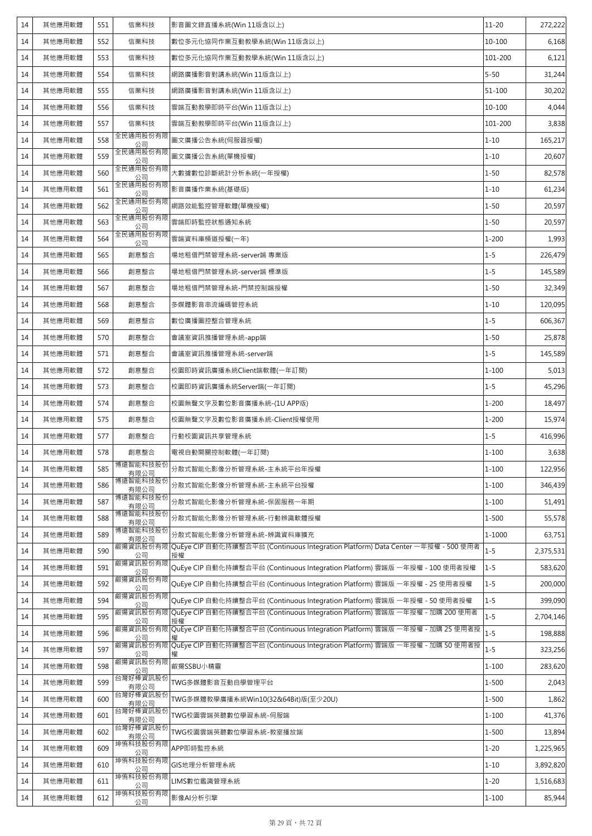| 14 | 其他應用軟體 | 551 | 信業科技                                            | 影音圖文錄直播系統(Win 11版含以上)                                                                       | $11 - 20$ | 272,222   |
|----|--------|-----|-------------------------------------------------|---------------------------------------------------------------------------------------------|-----------|-----------|
| 14 | 其他應用軟體 | 552 | 信業科技                                            | 數位多元化協同作業互動教學系統(Win 11版含以上)                                                                 | 10-100    | 6,168     |
| 14 | 其他應用軟體 | 553 | 信業科技                                            | 數位多元化協同作業互動教學系統(Win 11版含以上)                                                                 | 101-200   | 6,121     |
| 14 | 其他應用軟體 | 554 | 信業科技                                            | 網路廣播影音對講系統(Win 11版含以上)                                                                      | $5 - 50$  | 31,244    |
| 14 | 其他應用軟體 | 555 | 信業科技                                            | 網路廣播影音對講系統(Win 11版含以上)                                                                      | 51-100    | 30,202    |
| 14 | 其他應用軟體 | 556 | 信業科技                                            | 雲端互動教學即時平台(Win 11版含以上)                                                                      | 10-100    | 4,044     |
| 14 | 其他應用軟體 | 557 | 信業科技                                            | 雲端互動教學即時平台(Win 11版含以上)                                                                      | 101-200   | 3,838     |
| 14 | 其他應用軟體 | 558 | 全民通用股份有限<br>公司                                  | 圖文廣播公告系統(伺服器授權)                                                                             | $1 - 10$  | 165,217   |
| 14 | 其他應用軟體 | 559 | 全民通用股份有限<br>公司                                  | 圖文廣播公告系統(單機授權)                                                                              | $1 - 10$  | 20,607    |
| 14 | 其他應用軟體 | 560 | 全民通用股份有限<br>_______公司______________<br>全民通用股份有限 | 大數據數位診斷統計分析系統(一年授權)                                                                         | $1 - 50$  | 82,578    |
| 14 | 其他應用軟體 | 561 | 公司                                              | 影音廣播作業系統(基礎版)                                                                               | $1 - 10$  | 61,234    |
| 14 | 其他應用軟體 | 562 | 全民通用股份有限<br>公司                                  | 網路效能監控管理軟體(單機授權)                                                                            | $1 - 50$  | 20,597    |
| 14 | 其他應用軟體 | 563 | 全民通用股份有限<br>公司                                  | 雲端即時監控狀態通知系統                                                                                | $1 - 50$  | 20,597    |
| 14 | 其他應用軟體 | 564 | 全民通用股份有限<br>公司                                  | 雲端資料庫頻道授權(一年)                                                                               | $1 - 200$ | 1,993     |
| 14 | 其他應用軟體 | 565 | 創意整合                                            | 場地租借門禁管理系統-server端 專業版                                                                      | $1 - 5$   | 226,479   |
| 14 | 其他應用軟體 | 566 | 創意整合                                            | 場地租借門禁管理系統-server端 標準版                                                                      | $1 - 5$   | 145,589   |
| 14 | 其他應用軟體 | 567 | 創意整合                                            | 場地租借門禁管理系統-門禁控制端授權                                                                          | $1 - 50$  | 32,349    |
| 14 | 其他應用軟體 | 568 | 創意整合                                            | 多媒體影音串流編碼管控系統                                                                               | $1 - 10$  | 120,095   |
| 14 | 其他應用軟體 | 569 | 創意整合                                            | 數位廣播圖控整合管理系統                                                                                | $1 - 5$   | 606,367   |
| 14 | 其他應用軟體 | 570 | 創意整合                                            | 會議室資訊推播管理系統-app端                                                                            | $1 - 50$  | 25,878    |
| 14 | 其他應用軟體 | 571 | 創意整合                                            | 會議室資訊推播管理系統-server端                                                                         | $1 - 5$   | 145,589   |
| 14 | 其他應用軟體 | 572 | 創意整合                                            | 校園即時資訊廣播系統Client端軟體(一年訂閱)                                                                   | $1 - 100$ | 5,013     |
| 14 | 其他應用軟體 | 573 | 創意整合                                            | 校園即時資訊廣播系統Server端(一年訂閱)                                                                     | $1 - 5$   | 45,296    |
| 14 | 其他應用軟體 | 574 | 創意整合                                            | 校園無聲文字及數位影音廣播系統-(1U APP版)                                                                   | $1 - 200$ | 18,497    |
| 14 | 其他應用軟體 | 575 | 創意整合                                            | 校園無聲文字及數位影音廣播系統-Client授權使用                                                                  | $1 - 200$ | 15,974    |
| 14 | 其他應用軟體 | 577 | 創意整合                                            | 行動校園資訊共享管理系統                                                                                | $1 - 5$   | 416,996   |
| 14 | 其他應用軟體 | 578 | 創意整合                                            | 電視自動開關控制軟體(一年訂閱)                                                                            | $1 - 100$ | 3,638     |
| 14 | 其他應用軟體 | 585 | 博遠智能科技股份<br>有限公司                                | 分散式智能化影像分析管理系統-主系統平台年授權                                                                     | $1 - 100$ | 122,956   |
| 14 | 其他應用軟體 | 586 | 博遠智能科技股份<br>有限公司                                | 分散式智能化影像分析管理系統-主系統平台授權                                                                      | $1 - 100$ | 346,439   |
| 14 | 其他應用軟體 | 587 | 博遠智能科技股份<br>有限公司                                | 分散式智能化影像分析管理系統-保固服務一年期                                                                      | $1 - 100$ | 51,491    |
| 14 | 其他應用軟體 | 588 | 博遠智能科技股份<br>有限公司                                | 分散式智能化影像分析管理系統-行動辨識軟體授權                                                                     | $1 - 500$ | 55,578    |
| 14 | 其他應用軟體 | 589 | 博遠智能科技股份<br>有限公司                                | 分散式智能化影像分析管理系統-辨識資料庫擴充                                                                      | 1-1000    | 63,751    |
| 14 | 其他應用軟體 | 590 | 叡揚資訊股份有限<br>公司                                  | .<br>QuEye CIP 自動化持續整合平台 (Continuous Integration Platform) Data Center 一年授權 - 500 使用者<br>授權 | $1 - 5$   | 2,375,531 |
| 14 | 其他應用軟體 | 591 | 叡揚資訊股份有限<br>公司                                  | QuEye CIP 自動化持續整合平台 (Continuous Integration Platform) 雲端版 一年授權 - 100 使用者授權                  | $1 - 5$   | 583,620   |
| 14 | 其他應用軟體 | 592 | 叡揚資訊股份有限<br>公司                                  | QuEye CIP 自動化持續整合平台 (Continuous Integration Platform) 雲端版 一年授權 - 25 使用者授權                   | $1 - 5$   | 200,000   |
| 14 | 其他應用軟體 | 594 | 叡揚資訊股份有限<br>公司                                  | QuEye CIP 自動化持續整合平台 (Continuous Integration Platform) 雲端版 一年授權 - 50 使用者授權                   | $1 - 5$   | 399,090   |
| 14 | 其他應用軟體 | 595 | 叡揚資訊股份有限<br>公司                                  | QuEye CIP 自動化持續整合平台 (Continuous Integration Platform) 雲端版 一年授權 - 加購 200 使用者                 | $1 - 5$   | 2,704,146 |
| 14 | 其他應用軟體 | 596 | 叡揚資訊股份有限<br>公司                                  | <br>QuEye CIP 自動化持續整合平台 (Continuous Integration Platform) 雲端版 一年授權 - 加購 25 使用者授             | $1 - 5$   | 198,888   |
| 14 | 其他應用軟體 | 597 | 叡揚資訊股份有限<br>公司                                  | QuEye CIP 自動化持續整合平台 (Continuous Integration Platform) 雲端版 一年授權 - 加購 50 使用者授                 | $1 - 5$   | 323,256   |
| 14 | 其他應用軟體 | 598 | 叡揚資訊股份有限<br>公司                                  | 叡揚SSBU小精靈                                                                                   | $1 - 100$ | 283,620   |
| 14 | 其他應用軟體 | 599 | 台灣好棒資訊股份<br>有限公司                                | TWG多媒體影音互動自學管理平台                                                                            | $1 - 500$ | 2,043     |
| 14 | 其他應用軟體 | 600 | 台灣好棒資訊股份<br>有限公司                                | TWG多媒體教學廣播系統Win10(32&64Bit)版(至少20U)                                                         | $1 - 500$ | 1,862     |
| 14 | 其他應用軟體 | 601 | 台灣好棒資訊股份<br>有限公司                                | TWG校園雲端英聽數位學習系統-伺服端                                                                         | $1 - 100$ | 41,376    |
| 14 | 其他應用軟體 | 602 | 台灣好棒資訊股份<br>有限公司                                | TWG校園雲端英聽數位學習系統-教室播放端                                                                       | $1 - 500$ | 13,894    |
| 14 | 其他應用軟體 | 609 | 坤侑科技股份有限<br>公司                                  | APP即時監控系統                                                                                   | $1 - 20$  | 1,225,965 |
| 14 | 其他應用軟體 | 610 | 坤侑科技股份有限<br>公司                                  | GIS地理分析管理系統                                                                                 | $1 - 10$  | 3,892,820 |
| 14 | 其他應用軟體 | 611 | 坤侑科技股份有限<br>公司                                  | LIMS數位鑑識管理系統                                                                                | $1 - 20$  | 1,516,683 |
| 14 | 其他應用軟體 | 612 | 坤侑科技股份有限<br>公司                                  | 影像AI分析引擎                                                                                    | $1 - 100$ | 85,944    |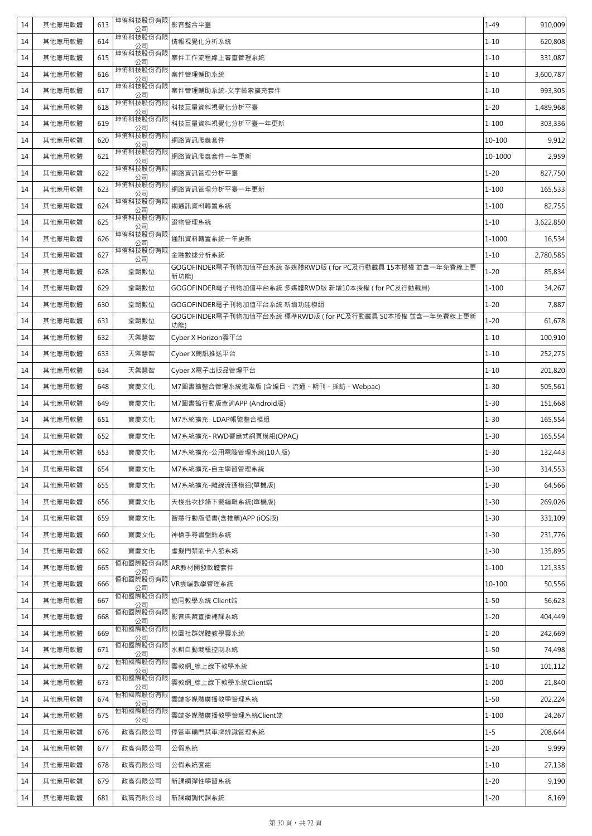| 14 | 其他應用軟體 | 613 | 坤侑科技股份有限<br>公司 | 影音整合平臺                                                            | $1 - 49$   | 910,009   |
|----|--------|-----|----------------|-------------------------------------------------------------------|------------|-----------|
| 14 | 其他應用軟體 | 614 | 坤侑科技股份有限<br>公司 | 情報視覺化分析系統                                                         | $1 - 10$   | 620,808   |
| 14 | 其他應用軟體 | 615 | 坤侑科技股份有限<br>公司 | 案件工作流程線上審查管理系統                                                    | $1 - 10$   | 331,087   |
| 14 | 其他應用軟體 | 616 | 坤侑科技股份有限<br>公司 | 案件管理輔助系統                                                          | $1 - 10$   | 3,600,787 |
| 14 | 其他應用軟體 | 617 | 坤侑科技股份有限<br>公司 | 案件管理輔助系統-文字檢索擴充套件                                                 | $1 - 10$   | 993,305   |
| 14 | 其他應用軟體 | 618 | 坤侑科技股份有限<br>公司 | 科技巨量資料視覺化分析平臺                                                     | $1 - 20$   | 1,489,968 |
| 14 | 其他應用軟體 | 619 | 坤侑科技股份有限<br>公司 | 科技巨量資料視覺化分析平臺一年更新                                                 | $1 - 100$  | 303,336   |
| 14 | 其他應用軟體 | 620 | 坤侑科技股份有限<br>公司 | 網路資訊爬蟲套件                                                          | 10-100     | 9,912     |
| 14 | 其他應用軟體 | 621 | 坤侑科技股份有限<br>公司 | 網路資訊爬蟲套件一年更新                                                      | 10-1000    | 2,959     |
| 14 | 其他應用軟體 | 622 | 坤侑科技股份有限<br>公司 | 網路資訊管理分析平臺                                                        | $1 - 20$   | 827,750   |
| 14 | 其他應用軟體 | 623 | 坤侑科技股份有限<br>公司 | 網路資訊管理分析平臺一年更新                                                    | $1 - 100$  | 165,533   |
| 14 | 其他應用軟體 | 624 | 坤侑科技股份有限<br>公司 | 網通訊資料轉置系統                                                         | $1 - 100$  | 82,755    |
| 14 | 其他應用軟體 | 625 | 坤侑科技股份有限<br>公司 | 證物管理系統                                                            | $1 - 10$   | 3,622,850 |
| 14 | 其他應用軟體 | 626 | 坤侑科技股份有限<br>公司 | 通訊資料轉置系統一年更新                                                      | $1 - 1000$ | 16,534    |
| 14 | 其他應用軟體 | 627 | 坤侑科技股份有限<br>公司 | 金融數據分析系統                                                          | $1 - 10$   | 2,780,585 |
| 14 | 其他應用軟體 | 628 | 堂朝數位           | GOGOFINDER電子刊物加值平台系統 多媒體RWD版 (for PC及行動載具 15本授權 並含一年免費線上更<br>新功能) | $1 - 20$   | 85,834    |
| 14 | 其他應用軟體 | 629 | 堂朝數位           | GOGOFINDER電子刊物加值平台系統 多媒體RWD版 新增10本授權 (for PC及行動載具)                | $1 - 100$  | 34,267    |
| 14 | 其他應用軟體 | 630 | 堂朝數位           | GOGOFINDER電子刊物加值平台系統 新增功能模組                                       | $1 - 20$   | 7,887     |
| 14 | 其他應用軟體 | 631 | 堂朝數位           | GOGOFINDER電子刊物加值平台系統 標準RWD版 (for PC及行動載具 50本授權 並含一年免費線上更新<br>功能)  | $1 - 20$   | 61,678    |
| 14 | 其他應用軟體 | 632 | 天禦慧智           | Cyber X Horizon雲平台                                                | $1 - 10$   | 100,910   |
| 14 | 其他應用軟體 | 633 | 天禦慧智           | Cyber X簡訊推送平台                                                     | $1 - 10$   | 252,275   |
| 14 | 其他應用軟體 | 634 | 天禦慧智           | Cyber X電子出版品管理平台                                                  | $1 - 10$   | 201,820   |
| 14 | 其他應用軟體 | 648 | 寶慶文化           | M7圖書館整合管理系統進階版 (含編目、流通、期刊、採訪、Webpac)                              | $1 - 30$   | 505,561   |
| 14 | 其他應用軟體 | 649 | 寶慶文化           | M7圖書館行動版查詢APP (Android版)                                          | $1 - 30$   | 151,668   |
| 14 | 其他應用軟體 | 651 | 寶慶文化           | M7系統擴充-LDAP帳號整合模組                                                 | $1 - 30$   | 165,554   |
| 14 | 其他應用軟體 | 652 | 寶慶文化           | M7系統擴充-RWD響應式網頁模組(OPAC)                                           | $1 - 30$   | 165,554   |
| 14 | 其他應用軟體 | 653 | 寶慶文化           | M7系統擴充-公用電腦管理系統(10人版)                                             | $1 - 30$   | 132,443   |
| 14 | 其他應用軟體 | 654 | 寶慶文化           | M7系統擴充-自主學習管理系統                                                   | $1 - 30$   | 314,553   |
| 14 | 其他應用軟體 | 655 | 寶慶文化           | M7系統擴充-離線流通模組(單機版)                                                | $1 - 30$   | 64,566    |
| 14 | 其他應用軟體 | 656 | 寶慶文化           | 天梭批次抄錄下載編輯系統(單機版)                                                 | $1 - 30$   | 269,026   |
| 14 | 其他應用軟體 | 659 | 寶慶文化           | 智慧行動版借書(含推薦)APP (iOS版)                                            | $1 - 30$   | 331,109   |
| 14 | 其他應用軟體 | 660 | 寶慶文化           | 神槍手尋書盤點系統                                                         | $1 - 30$   | 231,776   |
| 14 | 其他應用軟體 | 662 | 寶慶文化           | 虛擬門禁刷卡入館系統                                                        | $1 - 30$   | 135,895   |
| 14 | 其他應用軟體 | 665 | 恒和國際股份有限<br>公司 | AR教材開發軟體套件                                                        | $1 - 100$  | 121,335   |
| 14 | 其他應用軟體 | 666 | 恒和國際股份有限<br>公司 | VR雲端教學管理系統                                                        | 10-100     | 50,556    |
| 14 | 其他應用軟體 | 667 | 恒和國際股份有限<br>公司 | 協同教學系統 Client端                                                    | $1 - 50$   | 56,623    |
| 14 | 其他應用軟體 | 668 | 恒和國際股份有限<br>公司 | 影音典藏直播補課系統                                                        | $1 - 20$   | 404,449   |
| 14 | 其他應用軟體 | 669 | 恒和國際股份有限<br>公司 | 校園社群媒體教學雲系統                                                       | $1 - 20$   | 242,669   |
| 14 | 其他應用軟體 | 671 | 恒和國際股份有限<br>公司 | 水耕自動栽種控制系統                                                        | $1 - 50$   | 74,498    |
| 14 | 其他應用軟體 | 672 | 恒和國際股份有限<br>公司 | 雲教網 線上線下教學系統                                                      | $1 - 10$   | 101,112   |
| 14 | 其他應用軟體 | 673 | 恒和國際股份有限<br>公司 | 雲教網 線上線下教學系統Client端                                               | $1 - 200$  | 21,840    |
| 14 | 其他應用軟體 | 674 | 恒和國際股份有限<br>公司 | 雲端多媒體廣播教學管理系統                                                     | $1 - 50$   | 202,224   |
| 14 | 其他應用軟體 | 675 | 恒和國際股份有限<br>公司 | 雲端多媒體廣播教學管理系統Client端                                              | $1 - 100$  | 24,267    |
| 14 | 其他應用軟體 | 676 | 政高有限公司         | 停管車輛門禁車牌辨識管理系統                                                    | $1 - 5$    | 208,644   |
| 14 | 其他應用軟體 | 677 | 政高有限公司         | 公假系統                                                              | $1 - 20$   | 9,999     |
| 14 | 其他應用軟體 | 678 | 政高有限公司         | 公假系統套組                                                            | $1 - 10$   | 27,138    |
| 14 | 其他應用軟體 | 679 | 政高有限公司         | 新課綱彈性學習系統                                                         | $1 - 20$   | 9,190     |
| 14 | 其他應用軟體 | 681 | 政高有限公司         | 新課綱調代課系統                                                          | $1 - 20$   | 8,169     |
|    |        |     |                |                                                                   |            |           |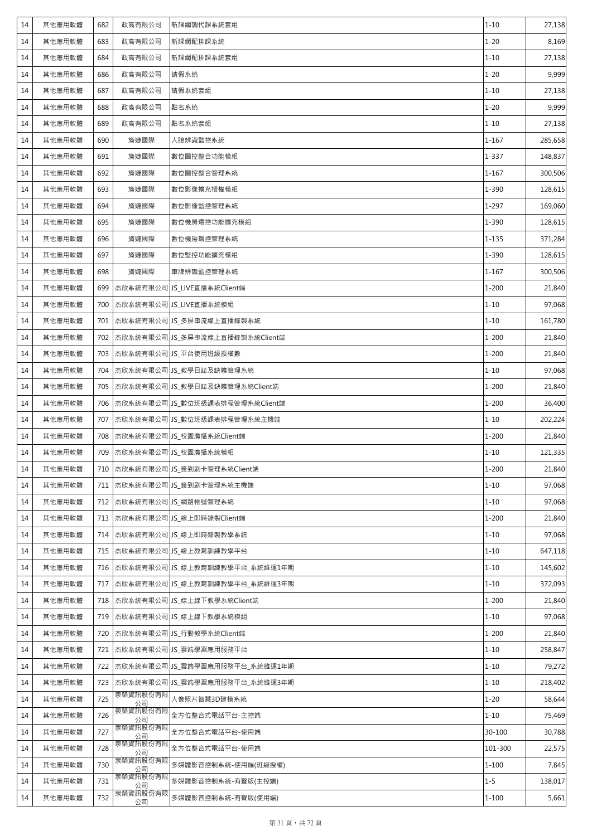| 14 | 其他應用軟體 | 682 | 政高有限公司          | 新課綱調代課系統套組                             | $1 - 10$  | 27,138  |
|----|--------|-----|-----------------|----------------------------------------|-----------|---------|
| 14 | 其他應用軟體 | 683 | 政高有限公司          | 新課綱配排課系統                               | $1 - 20$  | 8,169   |
| 14 | 其他應用軟體 | 684 | 政高有限公司          | 新課綱配排課系統套組                             | $1 - 10$  | 27,138  |
| 14 | 其他應用軟體 | 686 | 政高有限公司          | 請假系統                                   | $1 - 20$  | 9,999   |
| 14 | 其他應用軟體 | 687 | 政高有限公司          | 請假系統套組                                 | $1 - 10$  | 27,138  |
| 14 | 其他應用軟體 | 688 | 政高有限公司          | 點名系統                                   | $1 - 20$  | 9,999   |
| 14 | 其他應用軟體 | 689 | 政高有限公司          | 點名系統套組                                 | $1 - 10$  | 27,138  |
| 14 | 其他應用軟體 | 690 | 旖婕國際            | 人臉辨識監控系統                               | $1 - 167$ | 285,658 |
| 14 | 其他應用軟體 | 691 | 旖婕國際            | 數位圖控整合功能模組                             | $1 - 337$ | 148,837 |
| 14 | 其他應用軟體 | 692 | 旖婕國際            | 數位圖控整合管理系統                             | $1 - 167$ | 300,506 |
| 14 | 其他應用軟體 | 693 | 旖婕國際            | 數位影像擴充授權模組                             | $1 - 390$ | 128,615 |
| 14 | 其他應用軟體 | 694 | 旖婕國際            | 數位影像監控管理系統                             | $1 - 297$ | 169,060 |
| 14 | 其他應用軟體 | 695 | 旖婕國際            | 數位機房環控功能擴充模組                           | $1 - 390$ | 128,615 |
| 14 | 其他應用軟體 | 696 | 旖婕國際            | 數位機房環控管理系統                             | $1 - 135$ | 371,284 |
| 14 | 其他應用軟體 | 697 | 旖婕國際            | 數位監控功能擴充模組                             | $1 - 390$ | 128,615 |
| 14 | 其他應用軟體 | 698 | 旖婕國際            | 車牌辨識監控管理系統                             | $1 - 167$ | 300,506 |
| 14 | 其他應用軟體 |     |                 | 699 杰欣系統有限公司 JS_LIVE直播系統Client端        | $1 - 200$ | 21,840  |
| 14 | 其他應用軟體 |     |                 | 700 杰欣系統有限公司 JS_LIVE直播系統模組             | $1 - 10$  | 97,068  |
| 14 | 其他應用軟體 |     |                 | 701   杰欣系統有限公司 JS_多屏串流線上直播錄製系統         | $1 - 10$  | 161,780 |
| 14 | 其他應用軟體 |     |                 | 702   杰欣系統有限公司 JS_多屏串流線上直播錄製系統Client端  | $1 - 200$ | 21,840  |
| 14 | 其他應用軟體 |     |                 | 703 杰欣系統有限公司 JS_平台使用班級授權數              | $1 - 200$ | 21,840  |
| 14 | 其他應用軟體 |     |                 | 704   杰欣系統有限公司 JS_教學日誌及缺曠管理系統          | $1 - 10$  | 97,068  |
| 14 | 其他應用軟體 |     |                 | 705   杰欣系統有限公司 JS_教學日誌及缺曠管理系統Client端   | $1 - 200$ | 21,840  |
| 14 | 其他應用軟體 |     |                 | 706   杰欣系統有限公司 JS_數位班級課表排程管理系統Client端  | $1 - 200$ | 36,400  |
| 14 | 其他應用軟體 |     |                 | 707   杰欣系統有限公司 JS 數位班級課表排程管理系統主機端      | $1 - 10$  | 202,224 |
| 14 | 其他應用軟體 |     |                 | 708   杰欣系統有限公司 JS_校園廣播系統Client端        | $1 - 200$ | 21,840  |
| 14 | 其他應用軟體 |     |                 | 709 杰欣系統有限公司 JS_校園廣播系統模組               | $1 - 10$  | 121,335 |
| 14 | 其他應用軟體 |     |                 | 710 杰欣系統有限公司 JS_簽到刷卡管理系統Client端        | $1 - 200$ | 21,840  |
| 14 | 其他應用軟體 |     |                 | 711   杰欣系統有限公司   JS_簽到刷卡管理系統主機端        | $1 - 10$  | 97,068  |
| 14 | 其他應用軟體 |     |                 | 712 杰欣系統有限公司 JS_網路帳號管理系統               | $1 - 10$  | 97,068  |
| 14 | 其他應用軟體 |     |                 | 713 杰欣系統有限公司 JS_線上即時錄製Client端          | $1 - 200$ | 21,840  |
| 14 | 其他應用軟體 |     |                 | 714   杰欣系統有限公司 JS_線上即時錄製教學系統           | $1 - 10$  | 97,068  |
| 14 | 其他應用軟體 |     |                 | 715   杰欣系統有限公司 JS 線上教育訓練教學平台           | $1 - 10$  | 647,118 |
| 14 | 其他應用軟體 |     |                 | 716   杰欣系統有限公司   JS_線上教育訓練教學平台_系統維運1年期 | $1 - 10$  | 145,602 |
| 14 | 其他應用軟體 |     |                 | 717   杰欣系統有限公司 JS_線上教育訓練教學平台_系統維運3年期   | $1 - 10$  | 372,093 |
| 14 | 其他應用軟體 |     |                 | 718 杰欣系統有限公司 JS_線上線下教學系統Client端        | $1 - 200$ | 21,840  |
| 14 | 其他應用軟體 |     |                 | 719 杰欣系統有限公司 JS_線上線下教學系統模組             | $1 - 10$  | 97,068  |
| 14 | 其他應用軟體 |     |                 | 720 杰欣系統有限公司 JS_行動教學系統Client端          | $1 - 200$ | 21,840  |
| 14 | 其他應用軟體 |     |                 | 721 杰欣系統有限公司 JS_雲端學習應用服務平台             | $1 - 10$  | 258,847 |
| 14 | 其他應用軟體 |     |                 | 722   杰欣系統有限公司 JS_雲端學習應用服務平台_系統維運1年期   | $1 - 10$  | 79,272  |
| 14 | 其他應用軟體 |     |                 | 723  杰欣系統有限公司 JS_雲端學習應用服務平台_系統維運3年期    | $1 - 10$  | 218,402 |
| 14 | 其他應用軟體 | 725 | 泉榮資訊股份有限 <br>公司 | 人像照片智慧3D建模系統                           | $1 - 20$  | 58,644  |
| 14 | 其他應用軟體 | 726 | 泉榮資訊股份有限<br>公司  | 全方位整合式電話平台-主控端                         | $1 - 10$  | 75,469  |
| 14 | 其他應用軟體 | 727 | 泉榮資訊股份有限<br>公司  | 全方位整合式電話平台-使用端                         | 30-100    | 30,788  |
| 14 | 其他應用軟體 | 728 | 泉榮資訊股份有限<br>公司  | 全方位整合式電話平台-使用端                         | 101-300   | 22,575  |
| 14 | 其他應用軟體 | 730 | 泉榮資訊股份有限<br>公司  | 多媒體影音控制系統-使用端(班級授權)                    | $1 - 100$ | 7,845   |
| 14 | 其他應用軟體 | 731 | 泉榮資訊股份有限<br>公司  | 多媒體影音控制系統-有聲版(主控端)                     | $1 - 5$   | 138,017 |
| 14 | 其他應用軟體 | 732 | 泉榮資訊股份有限<br>公司  | 多媒體影音控制系統-有聲版(使用端)                     | $1 - 100$ | 5,661   |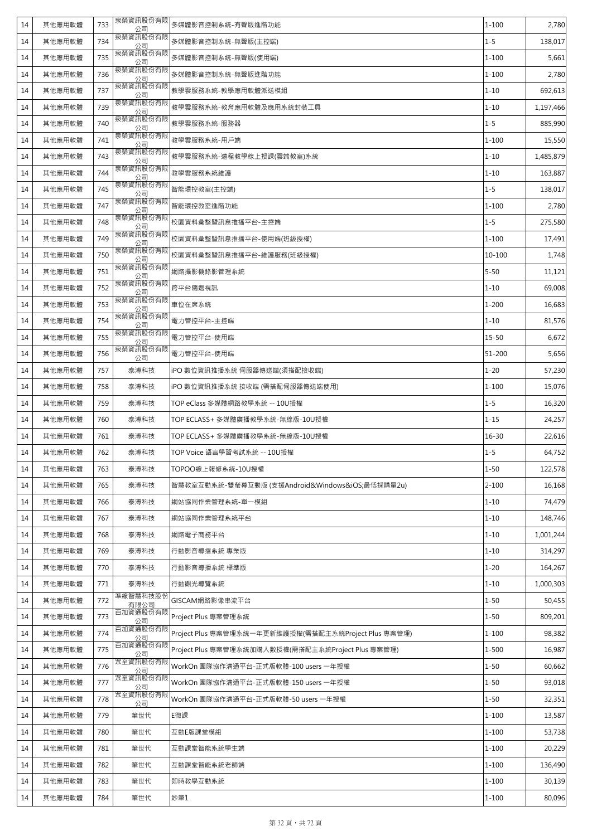| 14 | 其他應用軟體 | 733 | 泉榮資訊股份有限<br>公司                                 | 多媒體影音控制系統-有聲版進階功能                                    | $1 - 100$ | 2,780     |
|----|--------|-----|------------------------------------------------|------------------------------------------------------|-----------|-----------|
| 14 | 其他應用軟體 | 734 | 泉榮資訊股份有限<br>公司                                 | 多媒體影音控制系統-無聲版(主控端)                                   | $1 - 5$   | 138,017   |
| 14 | 其他應用軟體 | 735 | 泉榮資訊股份有限<br>公司                                 | 多媒體影音控制系統-無聲版(使用端)                                   | $1 - 100$ | 5,661     |
| 14 | 其他應用軟體 | 736 | 泉榮資訊股份有限<br>公司                                 | 多媒體影音控制系統-無聲版進階功能                                    | $1 - 100$ | 2,780     |
| 14 | 其他應用軟體 | 737 | 泉榮資訊股份有限<br>公司                                 | 教學雲服務系統-教學應用軟體派送模組                                   | $1 - 10$  | 692,613   |
| 14 | 其他應用軟體 | 739 | 泉榮資訊股份有限<br>公司                                 | 教學雲服務系統-教育應用軟體及應用系統封裝工具                              | $1 - 10$  | 1,197,466 |
| 14 | 其他應用軟體 | 740 | 泉榮資訊股份有限<br>公司                                 | 教學雲服務系統-服務器                                          | $1 - 5$   | 885,990   |
| 14 | 其他應用軟體 | 741 | 泉榮資訊股份有限<br>公司                                 | 教學雲服務系統-用戶端                                          | $1 - 100$ | 15,550    |
| 14 | 其他應用軟體 | 743 | 泉榮資訊股份有限<br>公司                                 | 教學雲服務系統-遠程教學線上授課(雲端教室)系統                             | $1 - 10$  | 1,485,879 |
| 14 | 其他應用軟體 | 744 | 泉榮資訊股份有限<br>公司                                 | 教學雲服務系統維護                                            | $1 - 10$  | 163,887   |
| 14 | 其他應用軟體 | 745 | 泉榮資訊股份有限<br>公司                                 | 智能環控教室(主控端)                                          | $1 - 5$   | 138,017   |
| 14 | 其他應用軟體 | 747 | 泉榮資訊股份有限<br>公司                                 | 智能環控教室進階功能                                           | $1 - 100$ | 2,780     |
| 14 | 其他應用軟體 | 748 | 泉榮資訊股份有限<br>______ <u>公司______</u><br>泉榮資訊股份有限 | 校園資料彙整暨訊息推播平台-主控端                                    | $1 - 5$   | 275,580   |
| 14 | 其他應用軟體 | 749 | 公司                                             | 校園資料彙整暨訊息推播平台-使用端(班級授權)                              | $1 - 100$ | 17,491    |
| 14 | 其他應用軟體 | 750 | 泉榮資訊股份有限<br>公司                                 | 校園資料彙整暨訊息推播平台-維護服務(班級授權)                             | 10-100    | 1,748     |
| 14 | 其他應用軟體 | 751 | 泉榮資訊股份有限<br>公司                                 | 網路攝影機錄影管理系統                                          | $5 - 50$  | 11,121    |
| 14 | 其他應用軟體 | 752 | 泉榮資訊股份有限<br>公司                                 | 跨平台隨選視訊                                              | $1 - 10$  | 69,008    |
| 14 | 其他應用軟體 | 753 | 泉榮資訊股份有限<br>公司                                 | 車位在席系統                                               | $1 - 200$ | 16,683    |
| 14 | 其他應用軟體 | 754 | 泉榮資訊股份有限<br>公司                                 | 電力管控平台-主控端                                           | $1 - 10$  | 81,576    |
| 14 | 其他應用軟體 | 755 | 泉榮資訊股份有限<br>公司                                 | 電力管控平台-使用端                                           | $15 - 50$ | 6,672     |
| 14 | 其他應用軟體 | 756 | 泉榮資訊股份有限<br>公司                                 | 電力管控平台-使用端                                           | 51-200    | 5,656     |
| 14 | 其他應用軟體 | 757 | 泰溥科技                                           | iPO 數位資訊推播系統 伺服器傳送端(須搭配接收端)                          | $1 - 20$  | 57,230    |
| 14 | 其他應用軟體 | 758 | 泰溥科技                                           | iPO 數位資訊推播系統 接收端 (需搭配伺服器傳送端使用)                       | $1 - 100$ | 15,076    |
| 14 | 其他應用軟體 | 759 | 泰溥科技                                           | TOP eClass 多媒體網路教學系統 -- 10U授權                        | $1 - 5$   | 16,320    |
| 14 | 其他應用軟體 | 760 | 泰溥科技                                           | TOP ECLASS+ 多媒體廣播教學系統-無線版-10U授權                      | $1 - 15$  | 24,257    |
| 14 | 其他應用軟體 | 761 | 泰溥科技                                           | TOP ECLASS+ 多媒體廣播教學系統-無線版-10U授權                      | $16 - 30$ | 22,616    |
| 14 | 其他應用軟體 | 762 | 泰溥科技                                           | TOP Voice 語言學習考試系統 -- 10U授權                          | $1 - 5$   | 64,752    |
| 14 | 其他應用軟體 | 763 | 泰溥科技                                           | TOPOO線上報修系統-10U授權                                    | $1 - 50$  | 122,578   |
| 14 | 其他應用軟體 | 765 | 泰溥科技                                           | 智慧教室互動系統-雙螢幕互動版 (支援Android&Windows&iOS最低採購量2u)       | $2 - 100$ | 16,168    |
| 14 | 其他應用軟體 | 766 | 泰溥科技                                           | 網站協同作業管理系統-單一模組                                      | $1 - 10$  | 74,479    |
| 14 | 其他應用軟體 | 767 | 泰溥科技                                           | 網站協同作業管理系統平台                                         | $1 - 10$  | 148,746   |
| 14 | 其他應用軟體 | 768 | 泰溥科技                                           | 網路電子商務平台                                             | $1 - 10$  | 1,001,244 |
| 14 | 其他應用軟體 | 769 | 泰溥科技                                           | 行動影音導播系統 專業版                                         | $1 - 10$  | 314,297   |
| 14 | 其他應用軟體 | 770 | 泰溥科技                                           | 行動影音導播系統 標準版                                         | $1 - 20$  | 164,267   |
| 14 | 其他應用軟體 | 771 | 泰溥科技                                           | 行動觀光導覽系統                                             | $1 - 10$  | 1,000,303 |
| 14 | 其他應用軟體 | 772 | 準線智慧科技股份<br>有限公司                               | GISCAM網路影像串流平台                                       | $1 - 50$  | 50,455    |
| 14 | 其他應用軟體 | 773 | 百加資通股份有限<br>公司                                 | Project Plus 專案管理系統                                  | $1 - 50$  | 809,201   |
| 14 | 其他應用軟體 | 774 | 百加資通股份有限<br>公司                                 | Project Plus 專案管理系統一年更新維護授權(需搭配主系統Project Plus 專案管理) | $1 - 100$ | 98,382    |
| 14 | 其他應用軟體 | 775 | 百加資通股份有限<br>公司                                 | Project Plus 專案管理系統加購人數授權(需搭配主系統Project Plus 專案管理)   | $1 - 500$ | 16,987    |
| 14 | 其他應用軟體 | 776 | 眾至資訊股份有限<br>公司                                 | WorkOn 團隊協作溝通平台-正式版軟體-100 users 一年授權                 | $1 - 50$  | 60,662    |
| 14 | 其他應用軟體 | 777 | 眾至資訊股份有限<br>公司                                 | WorkOn 團隊協作溝通平台-正式版軟體-150 users 一年授權                 | $1 - 50$  | 93,018    |
| 14 | 其他應用軟體 | 778 | 眾至資訊股份有限<br>公司                                 | WorkOn 團隊協作溝通平台-正式版軟體-50 users 一年授權                  | $1 - 50$  | 32,351    |
| 14 | 其他應用軟體 | 779 | 筆世代                                            | E微課                                                  | $1 - 100$ | 13,587    |
| 14 | 其他應用軟體 | 780 | 筆世代                                            | 互動E版課堂模組                                             | $1 - 100$ | 53,738    |
| 14 | 其他應用軟體 | 781 | 筆世代                                            | 互動課堂智能系統學生端                                          | $1 - 100$ | 20,229    |
| 14 | 其他應用軟體 | 782 | 筆世代                                            | 互動課堂智能系統老師端                                          | $1 - 100$ | 136,490   |
| 14 | 其他應用軟體 | 783 | 筆世代                                            | 即時教學互動系統                                             | $1 - 100$ | 30,139    |
| 14 | 其他應用軟體 | 784 | 筆世代                                            | 妙筆1                                                  | $1 - 100$ | 80,096    |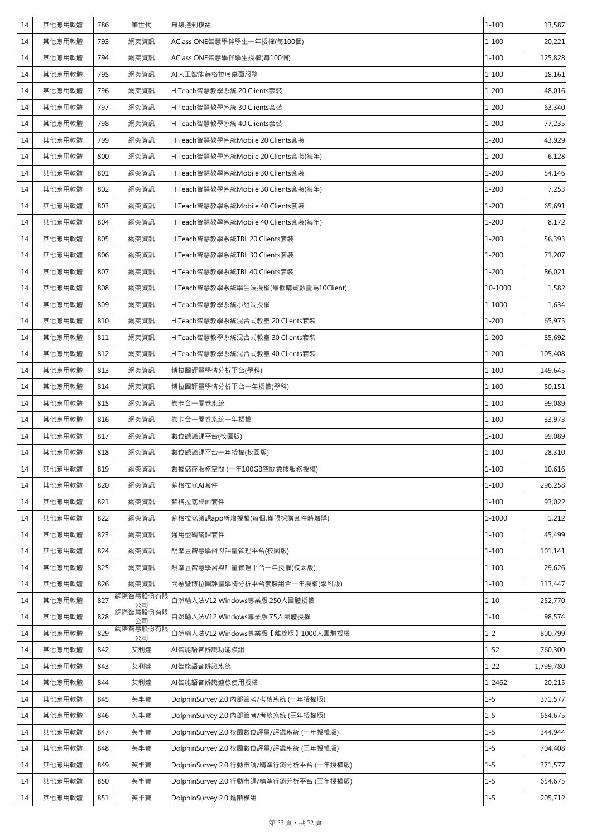| 14 | 其他應用軟體 | 786 | 筆世代            | 無線控制模組                                  | $1 - 100$  | 13,587    |
|----|--------|-----|----------------|-----------------------------------------|------------|-----------|
| 14 | 其他應用軟體 | 793 | 網奕資訊           | AClass ONE智慧學伴學生一年授權(每100個)             | $1 - 100$  | 20,221    |
| 14 | 其他應用軟體 | 794 | 網奕資訊           | AClass ONE智慧學伴學生授權(每100個)               | $1 - 100$  | 125,828   |
| 14 | 其他應用軟體 | 795 | 網奕資訊           | AI人工智能蘇格拉底桌面服務                          | $1 - 100$  | 18,161    |
| 14 | 其他應用軟體 | 796 | 網奕資訊           | HiTeach智慧教學系統 20 Clients套裝              | $1 - 200$  | 48,016    |
| 14 | 其他應用軟體 | 797 | 網奕資訊           | HiTeach智慧教學系統 30 Clients套裝              | $1 - 200$  | 63,340    |
| 14 | 其他應用軟體 | 798 | 網奕資訊           | HiTeach智慧教學系統 40 Clients套裝              | $1 - 200$  | 77,235    |
| 14 | 其他應用軟體 | 799 | 網奕資訊           | HiTeach智慧教學系統Mobile 20 Clients套裝        | $1 - 200$  | 43,929    |
| 14 | 其他應用軟體 | 800 | 網奕資訊           | HiTeach智慧教學系統Mobile 20 Clients套裝(每年)    | $1 - 200$  | 6,128     |
| 14 | 其他應用軟體 | 801 | 網奕資訊           | HiTeach智慧教學系統Mobile 30 Clients套裝        | $1 - 200$  | 54,146    |
| 14 | 其他應用軟體 | 802 | 網奕資訊           | HiTeach智慧教學系統Mobile 30 Clients套裝(每年)    | $1 - 200$  | 7,253     |
| 14 | 其他應用軟體 | 803 | 網奕資訊           | HiTeach智慧教學系統Mobile 40 Clients套裝        | $1 - 200$  | 65,691    |
| 14 | 其他應用軟體 | 804 | 網奕資訊           | HiTeach智慧教學系統Mobile 40 Clients套裝(每年)    | $1 - 200$  | 8,172     |
| 14 | 其他應用軟體 | 805 | 網奕資訊           | HiTeach智慧教學系統TBL 20 Clients套裝           | $1 - 200$  | 56,393    |
| 14 | 其他應用軟體 | 806 | 網奕資訊           | HiTeach智慧教學系統TBL 30 Clients套裝           | $1 - 200$  | 71,207    |
| 14 | 其他應用軟體 | 807 | 網奕資訊           | HiTeach智慧教學系統TBL 40 Clients套裝           | $1 - 200$  | 86,021    |
| 14 | 其他應用軟體 | 808 | 網奕資訊           | HiTeach智慧教學系統學生端授權(最低購買數量為10Client)     | 10-1000    | 1,582     |
| 14 | 其他應用軟體 | 809 | 網奕資訊           | HiTeach智慧教學系統小組端授權                      | 1-1000     | 1,634     |
| 14 | 其他應用軟體 | 810 | 網奕資訊           | HiTeach智慧教學系統混合式教室 20 Clients套裝         | $1 - 200$  | 65,975    |
| 14 | 其他應用軟體 | 811 | 網奕資訊           | HiTeach智慧教學系統混合式教室 30 Clients套裝         | $1 - 200$  | 85,692    |
| 14 | 其他應用軟體 | 812 | 網奕資訊           | HiTeach智慧教學系統混合式教室 40 Clients套裝         | $1 - 200$  | 105,408   |
| 14 | 其他應用軟體 | 813 | 網奕資訊           | 博拉圖評量學情分析平台(學科)                         | $1 - 100$  | 149,645   |
| 14 | 其他應用軟體 | 814 | 網奕資訊           | 博拉圖評量學情分析平台一年授權(學科)                     | $1 - 100$  | 50,151    |
| 14 | 其他應用軟體 | 815 | 網奕資訊           | 卷卡合一閱卷系統                                | $1 - 100$  | 99,089    |
| 14 | 其他應用軟體 | 816 | 網奕資訊           | 卷卡合一閱卷系統一年授權                            | $1 - 100$  | 33,973    |
| 14 | 其他應用軟體 | 817 | 網奕資訊           | 數位觀議課平台(校園版)                            | $1 - 100$  | 99,089    |
| 14 | 其他應用軟體 | 818 | 網奕資訊           | 數位觀議課平台一年授權(校園版)                        | $1 - 100$  | 28,310    |
| 14 | 其他應用軟體 | 819 | 網奕資訊           | 數據儲存服務空間 (一年100GB空間數據服務授權)              | $1 - 100$  | 10,616    |
| 14 | 其他應用軟體 | 820 | 網奕資訊           | 蘇格拉底AI套件                                | $1 - 100$  | 296,258   |
| 14 | 其他應用軟體 | 821 | 網奕資訊           | 蘇格拉底桌面套件                                | $1 - 100$  | 93,022    |
| 14 | 其他應用軟體 | 822 | 網奕資訊           | 蘇格拉底議課app新增授權(每個,僅限採購套件時增購)             | $1 - 1000$ | 1,212     |
| 14 | 其他應用軟體 | 823 | 網奕資訊           | 通用型觀議課套件                                | $1 - 100$  | 45,499    |
| 14 | 其他應用軟體 | 824 | 網奕資訊           | 醍摩豆智慧學習與評量管理平台(校園版)                     | $1 - 100$  | 101,141   |
| 14 | 其他應用軟體 | 825 | 網奕資訊           | 醍摩豆智慧學習與評量管理平台一年授權(校園版)                 | $1 - 100$  | 29,626    |
| 14 | 其他應用軟體 | 826 | 網奕資訊           | 閱卷暨博拉圖評量學情分析平台套裝組合一年授權(學科版)             | $1 - 100$  | 113,447   |
| 14 | 其他應用軟體 | 827 | 網際智慧股份有限<br>公司 | 自然輸入法V12 Windows專業版 250人團體授權            | $1 - 10$   | 252,770   |
| 14 | 其他應用軟體 | 828 | 網際智慧股份有限<br>公司 | 自然輸入法V12 Windows專業版 75人團體授權             | $1 - 10$   | 98,574    |
| 14 | 其他應用軟體 | 829 | 網際智慧股份有限<br>公司 | 自然輸入法V12 Windows專業版【離線版】1000人團體授權       | $1 - 2$    | 800,799   |
| 14 | 其他應用軟體 | 842 | 艾利達            | AI智能語音辨識功能模組                            | $1 - 52$   | 760,300   |
| 14 | 其他應用軟體 | 843 | 艾利達            | AI智能語音辨識系統                              | $1 - 22$   | 1,799,780 |
| 14 | 其他應用軟體 | 844 | 艾利達            | AI智能語音辨識連線使用授權                          | 1-2462     | 20,215    |
| 14 | 其他應用軟體 | 845 | 英丰寶            | DolphinSurvey 2.0 内部管考/考核系統 (一年授權版)     | $1 - 5$    | 371,577   |
| 14 | 其他應用軟體 | 846 | 英丰寶            | DolphinSurvey 2.0 内部管考/考核系統 (三年授權版)     | $1 - 5$    | 654,675   |
| 14 | 其他應用軟體 | 847 | 英丰寶            | DolphinSurvey 2.0 校園數位評量/評鑑系統 (一年授權版)   | $1 - 5$    | 344,944   |
| 14 | 其他應用軟體 | 848 | 英丰寶            | DolphinSurvey 2.0 校園數位評量/評鑑系統 (三年授權版)   | $1 - 5$    | 704,408   |
| 14 | 其他應用軟體 | 849 | 英丰寶            | DolphinSurvey 2.0 行動市調/精準行銷分析平台 (一年授權版) | $1 - 5$    | 371,577   |
| 14 | 其他應用軟體 | 850 | 英丰寶            | DolphinSurvey 2.0 行動市調/精準行銷分析平台 (三年授權版) | $1 - 5$    | 654,675   |
| 14 | 其他應用軟體 | 851 | 英丰寶            | DolphinSurvey 2.0 進階模組                  | $1 - 5$    | 205,712   |
|    |        |     |                |                                         |            |           |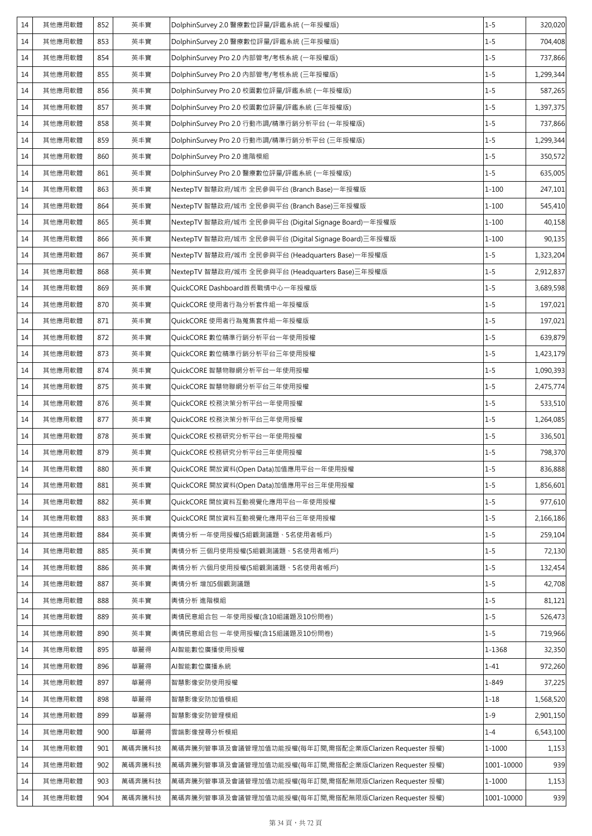| 14 | 其他應用軟體 | 852 | 英丰寶    | DolphinSurvey 2.0 醫療數位評量/評鑑系統 (一年授權版)                 | $1 - 5$    | 320,020   |
|----|--------|-----|--------|-------------------------------------------------------|------------|-----------|
| 14 | 其他應用軟體 | 853 | 英丰寶    | DolphinSurvey 2.0 醫療數位評量/評鑑系統 (三年授權版)                 | $1 - 5$    | 704,408   |
| 14 | 其他應用軟體 | 854 | 英丰寶    | DolphinSurvey Pro 2.0 内部管考/考核系統 (一年授權版)               | $1 - 5$    | 737,866   |
| 14 | 其他應用軟體 | 855 | 英丰寶    | DolphinSurvey Pro 2.0 内部管考/考核系統 (三年授權版)               | $1 - 5$    | 1,299,344 |
| 14 | 其他應用軟體 | 856 | 英丰寶    | DolphinSurvey Pro 2.0 校園數位評量/評鑑系統 (一年授權版)             | $1 - 5$    | 587,265   |
| 14 | 其他應用軟體 | 857 | 英丰寶    | DolphinSurvey Pro 2.0 校園數位評量/評鑑系統 (三年授權版)             | $1 - 5$    | 1,397,375 |
| 14 | 其他應用軟體 | 858 | 英丰寶    | DolphinSurvey Pro 2.0 行動市調/精準行銷分析平台 (一年授權版)           | $1 - 5$    | 737,866   |
| 14 | 其他應用軟體 | 859 | 英丰寶    | DolphinSurvey Pro 2.0 行動市調/精準行銷分析平台 (三年授權版)           | $1 - 5$    | 1,299,344 |
| 14 | 其他應用軟體 | 860 | 英丰寶    | DolphinSurvey Pro 2.0 進階模組                            | $1 - 5$    | 350,572   |
| 14 | 其他應用軟體 | 861 | 英丰寶    | DolphinSurvey Pro 2.0 醫療數位評量/評鑑系統 (一年授權版)             | $1 - 5$    | 635,005   |
| 14 | 其他應用軟體 | 863 | 英丰寶    | NextepTV 智慧政府/城市 全民參與平台 (Branch Base)一年授權版            | $1 - 100$  | 247,101   |
| 14 | 其他應用軟體 | 864 | 英丰寶    | NextepTV 智慧政府/城市 全民參與平台 (Branch Base)三年授權版            | $1 - 100$  | 545,410   |
| 14 | 其他應用軟體 | 865 | 英丰寶    | NextepTV 智慧政府/城市 全民參與平台 (Digital Signage Board)一年授權版  | $1 - 100$  | 40,158    |
| 14 | 其他應用軟體 | 866 | 英丰寶    | NextepTV 智慧政府/城市 全民參與平台 (Digital Signage Board)三年授權版  | $1 - 100$  | 90,135    |
| 14 | 其他應用軟體 | 867 | 英丰寶    | NextepTV 智慧政府/城市 全民參與平台 (Headquarters Base)一年授權版      | $1 - 5$    | 1,323,204 |
| 14 | 其他應用軟體 | 868 | 英丰寶    | NextepTV 智慧政府/城市 全民參與平台 (Headquarters Base)三年授權版      | $1 - 5$    | 2,912,837 |
| 14 | 其他應用軟體 | 869 | 英丰寶    | QuickCORE Dashboard首長戰情中心一年授權版                        | $1 - 5$    | 3,689,598 |
| 14 | 其他應用軟體 | 870 | 英丰寶    | QuickCORE 使用者行為分析套件組一年授權版                             | $1 - 5$    | 197,021   |
| 14 | 其他應用軟體 | 871 | 英丰寶    | QuickCORE 使用者行為蒐集套件組一年授權版                             | $1 - 5$    | 197,021   |
| 14 | 其他應用軟體 | 872 | 英丰寶    | QuickCORE 數位精準行銷分析平台一年使用授權                            | $1 - 5$    | 639,879   |
| 14 | 其他應用軟體 | 873 | 英丰寶    | QuickCORE 數位精準行銷分析平台三年使用授權                            | $1 - 5$    | 1,423,179 |
| 14 | 其他應用軟體 | 874 | 英丰寶    | QuickCORE 智慧物聯網分析平台一年使用授權                             | $1 - 5$    | 1,090,393 |
| 14 | 其他應用軟體 | 875 | 英丰寶    | QuickCORE 智慧物聯網分析平台三年使用授權                             | $1 - 5$    | 2,475,774 |
| 14 | 其他應用軟體 | 876 | 英丰寶    | QuickCORE 校務決策分析平台一年使用授權                              | $1 - 5$    | 533,510   |
| 14 | 其他應用軟體 | 877 | 英丰寶    | QuickCORE 校務決策分析平台三年使用授權                              | $1 - 5$    | 1,264,085 |
| 14 | 其他應用軟體 | 878 | 英丰寶    | QuickCORE 校務研究分析平台一年使用授權                              | $1 - 5$    | 336,501   |
| 14 | 其他應用軟體 | 879 | 英丰寶    | QuickCORE 校務研究分析平台三年使用授權                              | $1 - 5$    | 798,370   |
| 14 | 其他應用軟體 | 880 | 英丰寶    | QuickCORE 開放資料(Open Data)加值應用平台一年使用授權                 | $1 - 5$    | 836,888   |
| 14 | 其他應用軟體 | 881 | 英丰寶    | QuickCORE 開放資料(Open Data)加值應用平台三年使用授權                 | $1 - 5$    | 1,856,601 |
| 14 | 其他應用軟體 | 882 | 英丰寶    | QuickCORE 開放資料互動視覺化應用平台一年使用授權                         | $1 - 5$    | 977,610   |
| 14 | 其他應用軟體 | 883 | 英丰寶    | QuickCORE 開放資料互動視覺化應用平台三年使用授權                         | $1 - 5$    | 2,166,186 |
| 14 | 其他應用軟體 | 884 | 英丰寶    | 輿情分析 一年使用授權(5組觀測議題、5名使用者帳戶)                           | $1 - 5$    | 259,104   |
| 14 | 其他應用軟體 | 885 | 英丰寶    | 輿情分析 三個月使用授權(5組觀測議題、5名使用者帳戶)                          | $1 - 5$    | 72,130    |
| 14 | 其他應用軟體 | 886 | 英丰寶    | 輿情分析 六個月使用授權(5組觀測議題、5名使用者帳戶)                          | $1 - 5$    | 132,454   |
| 14 | 其他應用軟體 | 887 | 英丰寶    | 輿情分析 增加5個觀測議題                                         | $1 - 5$    | 42,708    |
| 14 | 其他應用軟體 | 888 | 英丰寶    | 輿情分析 進階模組                                             | $1 - 5$    | 81,121    |
| 14 | 其他應用軟體 | 889 | 英丰寶    | 輿情民意組合包 一年使用授權(含10組議題及10份問卷)                          | $1 - 5$    | 526,473   |
| 14 | 其他應用軟體 | 890 | 英丰寶    | 輿情民意組合包 一年使用授權(含15組議題及10份問卷)                          | $1 - 5$    | 719,966   |
| 14 | 其他應用軟體 | 895 | 華麗得    | AI智能數位廣播使用授權                                          | 1-1368     | 32,350    |
| 14 | 其他應用軟體 | 896 | 華麗得    | AI智能數位廣播系統                                            | $1 - 41$   | 972,260   |
| 14 | 其他應用軟體 | 897 | 華麗得    | 智慧影像安防使用授權                                            | 1-849      | 37,225    |
| 14 | 其他應用軟體 | 898 | 華麗得    | 智慧影像安防加值模組                                            | $1 - 18$   | 1,568,520 |
| 14 | 其他應用軟體 | 899 | 華麗得    | 智慧影像安防管理模組                                            | $1 - 9$    | 2,901,150 |
| 14 | 其他應用軟體 | 900 | 華麗得    | 雲端影像搜尋分析模組                                            | $1 - 4$    | 6,543,100 |
| 14 | 其他應用軟體 | 901 | 萬碼奔騰科技 | 萬碼奔騰列管事項及會議管理加值功能授權(每年訂閱,需搭配企業版Clarizen Requester 授權) | 1-1000     | 1,153     |
| 14 | 其他應用軟體 | 902 | 萬碼奔騰科技 | 萬碼奔騰列管事項及會議管理加值功能授權(每年訂閱,需搭配企業版Clarizen Requester 授權) | 1001-10000 | 939       |
| 14 | 其他應用軟體 | 903 | 萬碼奔騰科技 | 萬碼奔騰列管事項及會議管理加值功能授權(每年訂閱,需搭配無限版Clarizen Requester 授權) | 1-1000     | 1,153     |
| 14 | 其他應用軟體 | 904 | 萬碼奔騰科技 | 萬碼奔騰列管事項及會議管理加值功能授權(每年訂閱,需搭配無限版Clarizen Requester 授權) | 1001-10000 | 939       |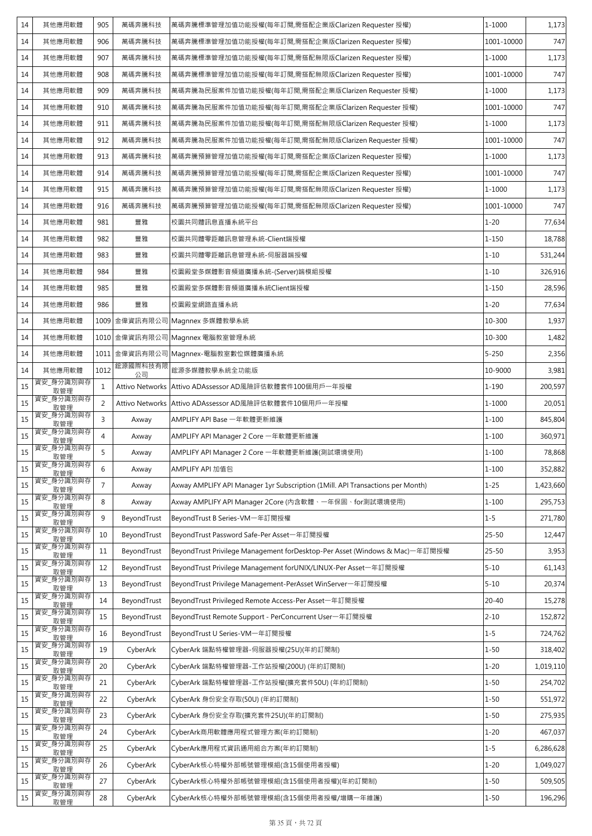| 14 | 其他應用軟體           | 905            | 萬碼奔騰科技                 | 萬碼奔騰標準管理加值功能授權(每年訂閱,需搭配企業版Clarizen Requester 授權)                               | 1-1000     | 1,173     |
|----|------------------|----------------|------------------------|--------------------------------------------------------------------------------|------------|-----------|
| 14 | 其他應用軟體           | 906            | 萬碼奔騰科技                 | 萬碼奔騰標準管理加值功能授權(每年訂閱,需搭配企業版Clarizen Requester 授權)                               | 1001-10000 | 747       |
| 14 | 其他應用軟體           | 907            | 萬碼奔騰科技                 | 萬碼奔騰標準管理加值功能授權(每年訂閱,需搭配無限版Clarizen Requester 授權)                               | 1-1000     | 1,173     |
| 14 | 其他應用軟體           | 908            | 萬碼奔騰科技                 | 萬碼奔騰標準管理加值功能授權(每年訂閱,需搭配無限版Clarizen Requester 授權)                               | 1001-10000 | 747       |
| 14 | 其他應用軟體           | 909            | 萬碼奔騰科技                 | 萬碼奔騰為民服案件加值功能授權(每年訂閱,需搭配企業版Clarizen Requester 授權)                              | 1-1000     | 1,173     |
| 14 | 其他應用軟體           | 910            | 萬碼奔騰科技                 | 萬碼奔騰為民服案件加值功能授權(每年訂閱,需搭配企業版Clarizen Requester 授權)                              | 1001-10000 | 747       |
| 14 | 其他應用軟體           | 911            | 萬碼奔騰科技                 | 萬碼奔騰為民服案件加值功能授權(每年訂閱,需搭配無限版Clarizen Requester 授權)                              | 1-1000     | 1,173     |
| 14 | 其他應用軟體           | 912            | 萬碼奔騰科技                 | 萬碼奔騰為民服案件加值功能授權(每年訂閱,需搭配無限版Clarizen Requester 授權)                              | 1001-10000 | 747       |
| 14 | 其他應用軟體           | 913            | 萬碼奔騰科技                 | 萬碼奔騰預算管理加值功能授權(每年訂閱,需搭配企業版Clarizen Requester 授權)                               | 1-1000     | 1,173     |
| 14 | 其他應用軟體           | 914            | 萬碼奔騰科技                 | 萬碼奔騰預算管理加值功能授權(每年訂閱,需搭配企業版Clarizen Requester 授權)                               | 1001-10000 | 747       |
| 14 | 其他應用軟體           | 915            | 萬碼奔騰科技                 | 萬碼奔騰預算管理加值功能授權(每年訂閱,需搭配無限版Clarizen Requester 授權)                               | 1-1000     | 1,173     |
| 14 | 其他應用軟體           | 916            | 萬碼奔騰科技                 | 萬碼奔騰預算管理加值功能授權(每年訂閱,需搭配無限版Clarizen Requester 授權)                               | 1001-10000 | 747       |
| 14 | 其他應用軟體           | 981            | 豐雅                     | 校園共同體訊息直播系統平台                                                                  | $1 - 20$   | 77,634    |
| 14 | 其他應用軟體           | 982            | 豐雅                     | 校園共同體零距離訊息管理系統-Client端授權                                                       | $1 - 150$  | 18,788    |
| 14 | 其他應用軟體           | 983            | 豐雅                     | 校園共同體零距離訊息管理系統-伺服器端授權                                                          | $1 - 10$   | 531,244   |
| 14 | 其他應用軟體           | 984            | 豐雅                     | 校園殿堂多媒體影音頻道廣播系統-(Server)端模組授權                                                  | $1 - 10$   | 326,916   |
| 14 | 其他應用軟體           | 985            | 豐雅                     | 校園殿堂多媒體影音頻道廣播系統Client端授權                                                       | $1 - 150$  | 28,596    |
| 14 | 其他應用軟體           | 986            | 豐雅                     | 校園殿堂網路直播系統                                                                     | $1 - 20$   | 77,634    |
| 14 | 其他應用軟體           |                | 1009 金偉資訊有限公司          | Magnnex 多媒體教學系統                                                                | 10-300     | 1,937     |
| 14 | 其他應用軟體           |                |                        | 1010 金偉資訊有限公司 Magnnex 電腦教室管理系統                                                 | 10-300     | 1,482     |
| 14 | 其他應用軟體           |                |                        | 1011 金偉資訊有限公司 Magnnex-電腦教室數位媒體廣播系統                                             | $5 - 250$  | 2,356     |
| 14 | 其他應用軟體           | 1012           | 鋐源國際科技有限<br>公司         | 鋐源多媒體教學系統全功能版                                                                  | 10-9000    | 3,981     |
| 15 | 資安_身分識別與存<br>取管理 | $\mathbf{1}$   | <b>Attivo Networks</b> | Attivo ADAssessor AD風險評估軟體套件100個用戶一年授權                                         | $1 - 190$  | 200,597   |
| 15 | 資安_身分識別與存<br>取管理 | $\overline{2}$ | <b>Attivo Networks</b> | Attivo ADAssessor AD風險評估軟體套件10個用戶一年授權                                          | 1-1000     | 20,051    |
| 15 | 資安_身分識別與存<br>取管理 | 3              | Axway                  | AMPLIFY API Base 一年軟體更新維護                                                      | $1 - 100$  | 845,804   |
| 15 | 資安_身分識別與存<br>取管理 | $\overline{4}$ | Axway                  | AMPLIFY API Manager 2 Core 一年軟體更新維護                                            | $1 - 100$  | 360,971   |
| 15 | 資安_身分識別與存<br>取管理 | 5              | Axway                  | AMPLIFY API Manager 2 Core 一年軟體更新維護(測試環境使用)                                    | $1 - 100$  | 78,868    |
| 15 | 資安_身分識別與存<br>取管理 | 6              | Axway                  | AMPLIFY API 加值包                                                                | $1 - 100$  | 352,882   |
| 15 | 資安_身分識別與存<br>取管理 | $\overline{7}$ | Axway                  | Axway AMPLIFY API Manager 1yr Subscription (1Mill. API Transactions per Month) | $1 - 25$   | 1,423,660 |
| 15 | 資安_身分識別與存<br>取管理 | 8              | Axway                  | Axway AMPLIFY API Manager 2Core (內含軟體、一年保固、for測試環境使用)                          | $1 - 100$  | 295,753   |
| 15 | 資安_身分識別與存<br>取管理 | 9              | BeyondTrust            | BeyondTrust B Series-VM一年訂閱授權                                                  | $1 - 5$    | 271,780   |
| 15 | 資安_身分識別與存<br>取管理 | 10             | BeyondTrust            | BeyondTrust Password Safe-Per Asset一年訂閱授權                                      | $25 - 50$  | 12,447    |
| 15 | 資安_身分識別與存<br>取管理 | 11             | BeyondTrust            | BeyondTrust Privilege Management forDesktop-Per Asset (Windows & Mac)一年訂閱授權    | $25 - 50$  | 3,953     |
| 15 | 資安_身分識別與存<br>取管理 | 12             | BeyondTrust            | BeyondTrust Privilege Management forUNIX/LINUX-Per Asset-年訂閱授權                 | $5 - 10$   | 61,143    |
| 15 | 資安_身分識別與存<br>取管理 | 13             | BeyondTrust            | BeyondTrust Privilege Management-PerAsset WinServer一年訂閱授權                      | $5 - 10$   | 20,374    |
| 15 | 資安_身分識別與存<br>取管理 | 14             | BeyondTrust            | BeyondTrust Privileged Remote Access-Per Asset一年訂閱授權                           | $20 - 40$  | 15,278    |
| 15 | 資安_身分識別與存<br>取管理 | 15             | BeyondTrust            | BeyondTrust Remote Support - PerConcurrent User一年訂閱授權                          | $2 - 10$   | 152,872   |
| 15 | 資安_身分識別與存<br>取管理 | 16             | BeyondTrust            | BeyondTrust U Series-VM一年訂閱授權                                                  | $1 - 5$    | 724,762   |
| 15 | 資安_身分識別與存<br>取管理 | 19             | CyberArk               | CyberArk 端點特權管理器-伺服器授權(25U)(年約訂閱制)                                             | $1 - 50$   | 318,402   |
| 15 | 資安_身分識別與存<br>取管理 | 20             | CyberArk               | CyberArk 端點特權管理器-工作站授權(200U) (年約訂閱制)                                           | $1 - 20$   | 1,019,110 |
| 15 | 資安_身分識別與存<br>取管理 | 21             | CyberArk               | CyberArk 端點特權管理器-工作站授權(擴充套件50U) (年約訂閱制)                                        | $1 - 50$   | 254,702   |
| 15 | 資安_身分識別與存<br>取管理 | 22             | CyberArk               | CyberArk 身份安全存取(50U) (年約訂閱制)                                                   | $1 - 50$   | 551,972   |
| 15 | 資安_身分識別與存<br>取管理 | 23             | CyberArk               | CyberArk 身份安全存取(擴充套件25U)(年約訂閱制)                                                | $1 - 50$   | 275,935   |
| 15 | 資安_身分識別與存<br>取管理 | 24             | CyberArk               | CyberArk商用軟體應用程式管理方案(年約訂閱制)                                                    | $1 - 20$   | 467,037   |
| 15 | 資安_身分識別與存<br>取管理 | 25             | CyberArk               | CyberArk應用程式資訊通用組合方案(年約訂閱制)                                                    | $1 - 5$    | 6,286,628 |
| 15 | 資安_身分識別與存<br>取管理 | 26             | CyberArk               | CyberArk核心特權外部帳號管理模組(含15個使用者授權)                                                | $1 - 20$   | 1,049,027 |
| 15 | 資安_身分識別與存<br>取管理 | 27             | CyberArk               | CyberArk核心特權外部帳號管理模組(含15個使用者授權)(年約訂閱制)                                         | $1 - 50$   | 509,505   |
| 15 | 資安_身分識別與存<br>取管理 | 28             | CyberArk               | CyberArk核心特權外部帳號管理模組(含15個使用者授權/增購一年維護)                                         | $1 - 50$   | 196,296   |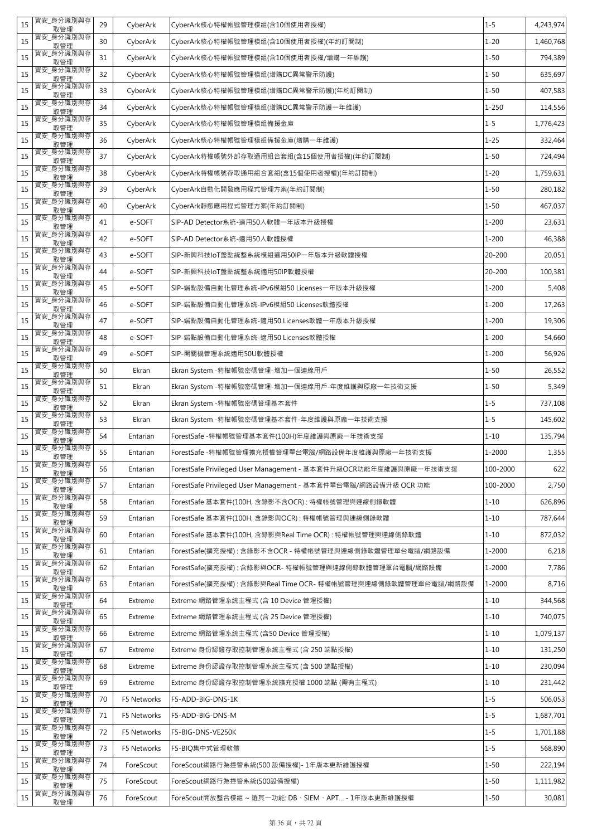| 15 | 資安 身分識別與存<br>取管理 | 29 | CyberArk    | CyberArk核心特權帳號管理模組(含10個使用者授權)                                    | $1 - 5$    | 4,243,974 |
|----|------------------|----|-------------|------------------------------------------------------------------|------------|-----------|
| 15 | 資安_身分識別與存<br>取管理 | 30 | CyberArk    | CyberArk核心特權帳號管理模組(含10個使用者授權)(年約訂閱制)                             | $1 - 20$   | 1,460,768 |
| 15 | 資安_身分識別與存<br>取管理 | 31 | CyberArk    | CyberArk核心特權帳號管理模組(含10個使用者授權/增購一年維護)                             | $1 - 50$   | 794,389   |
| 15 | 資安 身分識別與存<br>取管理 | 32 | CyberArk    | CyberArk核心特權帳號管理模組(增購DC異常警示防護)                                   | $1 - 50$   | 635,697   |
| 15 | 資安_身分識別與存<br>取管理 | 33 | CyberArk    | CyberArk核心特權帳號管理模組(增購DC異常警示防護)(年約訂閱制)                            | $1 - 50$   | 407,583   |
| 15 | 資安_身分識別與存<br>取管理 | 34 | CyberArk    | CyberArk核心特權帳號管理模組(增購DC異常警示防護一年維護)                               | $1 - 250$  | 114,556   |
| 15 | 資安_身分識別與存<br>取管理 | 35 | CyberArk    | CyberArk核心特權帳號管理模組備援金庫                                           | $1 - 5$    | 1,776,423 |
| 15 | 資安 身分識別與存<br>取管理 | 36 | CyberArk    | CyberArk核心特權帳號管理模組備援金庫(增購一年維護)                                   | $1 - 25$   | 332,464   |
| 15 | 資安_身分識別與存<br>取管理 | 37 | CyberArk    | CyberArk特權帳號外部存取通用組合套組(含15個使用者授權)(年約訂閱制)                         | $1 - 50$   | 724,494   |
| 15 | 資安_身分識別與存<br>取管理 | 38 | CyberArk    | CyberArk特權帳號存取通用組合套組(含15個使用者授權)(年約訂閱制)                           | $1 - 20$   | 1,759,631 |
| 15 | 資安_身分識別與存<br>取管理 | 39 | CyberArk    | CyberArk自動化開發應用程式管理方案(年約訂閱制)                                     | $1 - 50$   | 280,182   |
| 15 | 資安_身分識別與存<br>取管理 | 40 | CyberArk    | CyberArk靜態應用程式管理方案(年約訂閱制)                                        | $1 - 50$   | 467,037   |
| 15 | 資安_身分識別與存<br>取管理 | 41 | e-SOFT      | SIP-AD Detector系統-適用50人軟體一年版本升級授權                                | $1 - 200$  | 23,631    |
| 15 | 資安_身分識別與存<br>取管理 | 42 | e-SOFT      | SIP-AD Detector系統-適用50人軟體授權                                      | $1 - 200$  | 46,388    |
| 15 | 資安_身分識別與存<br>取管理 | 43 | e-SOFT      | SIP-新興科技IoT盤點統整系統模組適用50IP一年版本升級軟體授權                              | 20-200     | 20,051    |
| 15 | 資安_身分識別與存<br>取管理 | 44 | e-SOFT      | SIP-新興科技IoT盤點統整系統適用50IP軟體授權                                      | 20-200     | 100,381   |
| 15 | 資安_身分識別與存<br>取管理 | 45 | e-SOFT      | SIP-端點設備自動化管理系統-IPv6模組50 Licenses一年版本升級授權                        | $1 - 200$  | 5,408     |
| 15 | 資安 身分識別與存<br>取管理 | 46 | e-SOFT      | SIP-端點設備自動化管理系統-IPv6模組50 Licenses軟體授權                            | $1 - 200$  | 17,263    |
| 15 | 資安_身分識別與存<br>取管理 | 47 | e-SOFT      | SIP-端點設備自動化管理系統-適用50 Licenses軟體一年版本升級授權                          | $1 - 200$  | 19,306    |
| 15 | 資安_身分識別與存<br>取管理 | 48 | e-SOFT      | SIP-端點設備自動化管理系統-適用50 Licenses軟體授權                                | $1 - 200$  | 54,660    |
| 15 | 資安_身分識別與存<br>取管理 | 49 | e-SOFT      | SIP-開關機管理系統適用50U軟體授權                                             | $1 - 200$  | 56,926    |
| 15 | 資安_身分識別與存<br>取管理 | 50 | Ekran       | Ekran System - 特權帳號密碼管理-增加一個連線用戶                                 | $1 - 50$   | 26,552    |
| 15 | 資安_身分識別與存<br>取管理 | 51 | Ekran       | Ekran System -特權帳號密碼管理-增加一個連線用戶-年度維護與原廠一年技術支援                    | $1 - 50$   | 5,349     |
| 15 | 資安_身分識別與存<br>取管理 | 52 | Ekran       | Ekran System -特權帳號密碼管理基本套件                                       | $1 - 5$    | 737,108   |
| 15 | 資安_身分識別與存<br>取管理 | 53 | Ekran       | Ekran System - 特權帳號密碼管理基本套件-年度維護與原廠一年技術支援                        | $1 - 5$    | 145,602   |
| 15 | 資安_身分識別與存<br>取管理 | 54 | Entarian    | ForestSafe-特權帳號管理基本套件(100H)年度維護與原廠一年技術支援                         | $1 - 10$   | 135,794   |
| 15 | 資安 身分識別與存<br>取管理 | 55 | Entarian    | ForestSafe -特權帳號管理擴充授權管理單台電腦/網路設備年度維護與原廠一年技術支援                   | 1-2000     | 1,355     |
| 15 | 資安_身分識別與存<br>取管理 | 56 | Entarian    | ForestSafe Privileged User Management - 基本套件升級OCR功能年度維護與原廠一年技術支援 | 100-2000   | 622       |
| 15 | 資安_身分識別與存<br>取管理 | 57 | Entarian    | ForestSafe Privileged User Management - 基本套件單台電腦/網路設備升級 OCR 功能   | 100-2000   | 2,750     |
| 15 | 資安_身分識別與存<br>取管理 | 58 | Entarian    | ForestSafe 基本套件(100H, 含錄影不含OCR): 特權帳號管理與連線側錄軟體                   | $1 - 10$   | 626,896   |
| 15 | 資安_身分識別與存<br>取管理 | 59 | Entarian    | ForestSafe 基本套件(100H, 含錄影與OCR) : 特權帳號管理與連線側錄軟體                   | $1 - 10$   | 787,644   |
| 15 | 資安_身分識別與存<br>取管理 | 60 | Entarian    | ForestSafe 基本套件(100H, 含錄影與Real Time OCR) : 特權帳號管理與連線側錄軟體         | $1 - 10$   | 872,032   |
| 15 | 資安_身分識別與存<br>取管理 | 61 | Entarian    | ForestSafe(擴充授權):含錄影不含OCR - 特權帳號管理與連線側錄軟體管理單台電腦/網路設備             | 1-2000     | 6,218     |
| 15 | 資安_身分識別與存<br>取管理 | 62 | Entarian    | ForestSafe(擴充授權) : 含錄影與OCR- 特權帳號管理與連線側錄軟體管理單台電腦/網路設備             | $1 - 2000$ | 7,786     |
| 15 | 資安_身分識別與存<br>取管理 | 63 | Entarian    | ForestSafe(擴充授權) : 含錄影與Real Time OCR- 特權帳號管理與連線側錄軟體管理單台電腦/網路設備   | 1-2000     | 8,716     |
| 15 | 資安_身分識別與存<br>取管理 | 64 | Extreme     | Extreme 網路管理系統主程式 (含 10 Device 管理授權)                             | $1 - 10$   | 344,568   |
| 15 | 資安_身分識別與存<br>取管理 | 65 | Extreme     | Extreme 網路管理系統主程式 (含 25 Device 管理授權)                             | $1 - 10$   | 740,075   |
| 15 | 資安_身分識別與存<br>取管理 | 66 | Extreme     | Extreme 網路管理系統主程式 (含50 Device 管理授權)                              | $1 - 10$   | 1,079,137 |
| 15 | 資安_身分識別與存<br>取管理 | 67 | Extreme     | Extreme 身份認證存取控制管理系統主程式 (含 250 端點授權)                             | $1 - 10$   | 131,250   |
| 15 | 資安_身分識別與存<br>取管理 | 68 | Extreme     | Extreme 身份認證存取控制管理系統主程式 (含 500 端點授權)                             | $1 - 10$   | 230,094   |
| 15 | 資安_身分識別與存<br>取管理 | 69 | Extreme     | Extreme 身份認證存取控制管理系統擴充授權 1000 端點 (需有主程式)                         | $1 - 10$   | 231,442   |
| 15 | 資安_身分識別與存<br>取管理 | 70 | F5 Networks | F5-ADD-BIG-DNS-1K                                                | $1 - 5$    | 506,053   |
| 15 | 資安_身分識別與存<br>取管理 | 71 | F5 Networks | F5-ADD-BIG-DNS-M                                                 | $1 - 5$    | 1,687,701 |
| 15 | 資安_身分識別與存<br>取管理 | 72 | F5 Networks | F5-BIG-DNS-VE250K                                                | $1 - 5$    | 1,701,188 |
| 15 | 資安_身分識別與存<br>取管理 | 73 | F5 Networks | F5-BIQ集中式管理軟體                                                    | $1 - 5$    | 568,890   |
| 15 | 資安_身分識別與存<br>取管理 | 74 | ForeScout   | ForeScout網路行為控管系統(500設備授權)-1年版本更新維護授權                            | $1 - 50$   | 222,194   |
| 15 | 資安_身分識別與存<br>取管理 | 75 | ForeScout   | ForeScout網路行為控管系統(500設備授權)                                       | $1 - 50$   | 1,111,982 |
| 15 | 資安 身分識別與存<br>取管理 | 76 | ForeScout   | ForeScout開放整合模組 ~ 選其一功能: DB、SIEM、APT - 1年版本更新維護授權                | $1 - 50$   | 30,081    |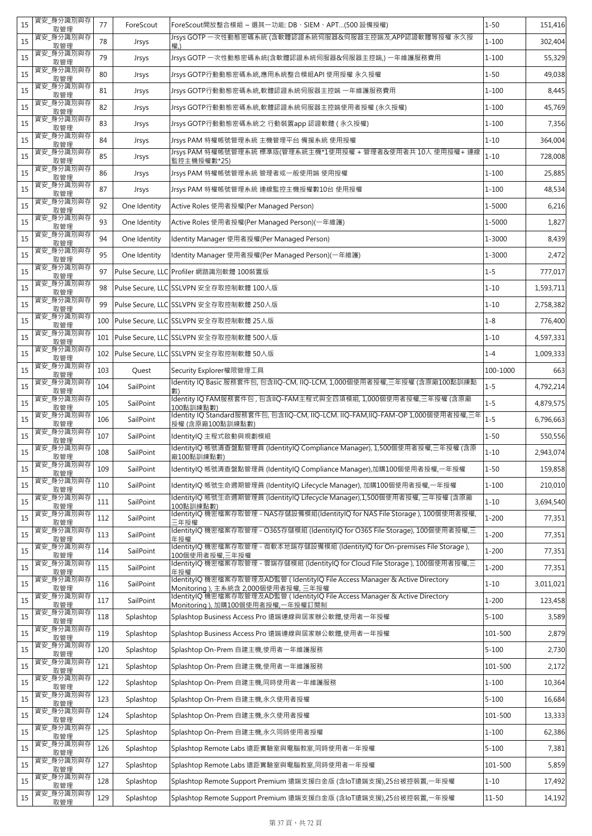| 15 | 資安_身分識別與存<br>取管理 | 77  | ForeScout    | ForeScout開放整合模組 ~ 選其一功能: DB、SIEM、APT(500 設備授權)                                                                       | $1 - 50$  | 151,416   |
|----|------------------|-----|--------------|----------------------------------------------------------------------------------------------------------------------|-----------|-----------|
| 15 | 資安_身分識別與存<br>取管理 | 78  | Jrsys        | Jrsys GOTP 一次性動態密碼系統 (含軟體認證系統伺服器&伺服器主控端及,APP認證軟體等授權 永久授<br>權.)                                                       | $1 - 100$ | 302,404   |
| 15 | 資安 身分識別與存<br>取管理 | 79  | Jrsys        | Jrsys GOTP 一次性動態密碼系統(含軟體認證系統伺服器&伺服器主控端,) 一年維護服務費用                                                                    | $1 - 100$ | 55,329    |
| 15 | 資安_身分識別與存<br>取管理 | 80  | Jrsys        | Jrsys GOTP行動動態密碼系統,應用系統整合模組API 使用授權 永久授權                                                                             | $1 - 50$  | 49,038    |
| 15 | 資安_身分識別與存<br>取管理 | 81  | Jrsys        | Jrsys GOTP行動動態密碼系統,軟體認證系統伺服器主控端 一年維護服務費用                                                                             | $1 - 100$ | 8,445     |
| 15 | 資安_身分識別與存<br>取管理 | 82  | Jrsys        | Jrsys GOTP行動動態密碼系統,軟體認證系統伺服器主控端使用者授權 (永久授權)                                                                          | $1 - 100$ | 45,769    |
| 15 | 資安_身分識別與存<br>取管理 | 83  | Jrsys        | Jrsys GOTP行動動態密碼系統之 行動裝置app 認證軟體 (永久授權)                                                                              | $1 - 100$ | 7,356     |
| 15 | 資安_身分識別與存<br>取管理 | 84  | Jrsys        | Jrsys PAM 特權帳號管理系統 主機管理平台 備援系統 使用授權                                                                                  | $1 - 10$  | 364,004   |
| 15 | 資安_身分識別與存<br>取管理 | 85  | Jrsys        | Jrsys PAM 特權帳號管理系統 標準版(管理系統主機*1使用授權 + 管理者&使用者共 10人 使用授權+ 連線<br>監控主機授權數*25)                                           | $1 - 10$  | 728,008   |
| 15 | 資安_身分識別與存<br>取管理 | 86  | Jrsys        | Jrsys PAM 特權帳號管理系統 管理者或一般使用端 使用授權                                                                                    | $1 - 100$ | 25,885    |
| 15 | 資安_身分識別與存<br>取管理 | 87  | Jrsys        | Jrsys PAM 特權帳號管理系統 連線監控主機授權數10台 使用授權                                                                                 | $1 - 100$ | 48,534    |
| 15 | 資安_身分識別與存<br>取管理 | 92  | One Identity | Active Roles 使用者授權(Per Managed Person)                                                                               | 1-5000    | 6,216     |
| 15 | 資安_身分識別與存<br>取管理 | 93  | One Identity | Active Roles 使用者授權(Per Managed Person)(一年維護)                                                                         | 1-5000    | 1,827     |
| 15 | 資安 身分識別與存<br>取管理 | 94  | One Identity | Identity Manager 使用者授權(Per Managed Person)                                                                           | 1-3000    | 8,439     |
| 15 | 資安 身分識別與存<br>取管理 | 95  | One Identity | Identity Manager 使用者授權(Per Managed Person)(一年維護)                                                                     | 1-3000    | 2,472     |
| 15 | 資安_身分識別與存<br>取管理 | 97  |              | Pulse Secure, LLC Profiler 網路識別軟體 100裝置版                                                                             | $1 - 5$   | 777,017   |
| 15 | 資安_身分識別與存<br>取管理 | 98  |              | Pulse Secure, LLC SSLVPN 安全存取控制軟體 100人版                                                                              | $1 - 10$  | 1,593,711 |
| 15 | 資安_身分識別與存<br>取管理 | 99  |              | Pulse Secure, LLC SSLVPN 安全存取控制軟體 250人版                                                                              | $1 - 10$  | 2,758,382 |
| 15 | 資安_身分識別與存<br>取管理 | 100 |              | Pulse Secure, LLC SSLVPN 安全存取控制軟體 25人版                                                                               | $1 - 8$   | 776,400   |
| 15 | 資安_身分識別與存<br>取管理 | 101 |              | Pulse Secure, LLC SSLVPN 安全存取控制軟體 500人版                                                                              | $1 - 10$  | 4,597,331 |
| 15 | 資安_身分識別與存<br>取管理 | 102 |              | Pulse Secure, LLC SSLVPN 安全存取控制軟體 50人版                                                                               | $1 - 4$   | 1,009,333 |
| 15 | 資安_身分識別與存<br>取管理 | 103 | Quest        | Security Explorer權限管理工具                                                                                              | 100-1000  | 663       |
| 15 | 資安_身分識別與存<br>取管理 | 104 | SailPoint    | Identity IQ Basic 服務套件包, 包含IIQ-CM, IIQ-LCM, 1,000個使用者授權,三年授權 (含原廠100點訓練點<br>數)                                       | $1 - 5$   | 4,792,214 |
| 15 | 資安_身分識別與存<br>取管理 | 105 | SailPoint    | Identity IQ FAM服務套件包 , 包含IIQ-FAM主程式與全四項模組, 1,000個使用者授權,三年授權 (含原廠<br>100點訓練點數)                                        | $1 - 5$   | 4,879,575 |
| 15 | 資安_身分識別與存<br>取管理 | 106 | SailPoint    | Identity IQ Standard服務套件包, 包含IIQ-CM, IIQ-LCM. IIQ-FAM,IIQ-FAM-OP 1,000個使用者授權,三年<br>授權 (含原廠100點訓練點數)                  | $1 - 5$   | 6,796,663 |
| 15 | 資安_身分識別與存<br>取管理 | 107 | SailPoint    | IdentityIQ 主程式啟動與規劃模組                                                                                                | $1 - 50$  | 550,556   |
| 15 | 資安_身分識別與存<br>取管理 | 108 | SailPoint    | ldentitylQ 帳號清查盤點管理員 (IdentitylQ Compliance Manager), 1,500個使用者授權,三年授權 (含原<br>廠100點訓練點數)                             | $1 - 10$  | 2,943,074 |
| 15 | 資安_身分識別與存<br>取管理 | 109 | SailPoint    | ldentitylQ 帳號清查盤點管理員 (IdentitylQ Compliance Manager),加購100個使用者授權,一年授權                                                | $1 - 50$  | 159,858   |
| 15 | 資安_身分識別與存<br>取管理 | 110 | SailPoint    | ldentitylQ 帳號生命週期管理員 (IdentitylQ Lifecycle Manager), 加購100個使用者授權,一年授權                                                | $1 - 100$ | 210,010   |
| 15 | 資安_身分識別與存<br>取管理 | 111 | SailPoint    | ldentitylQ 帳號生命週期管理員 (IdentitylQ Lifecycle Manager),1,500個使用者授權, 三年授權 (含原廠<br>100點訓練點數)                              | $1 - 10$  | 3,694,540 |
| 15 | 資安_身分識別與存<br>取管理 | 112 | SailPoint    | IdentityIQ 機密檔案存取管理 - NAS存儲設備模組(IdentityIQ for NAS File Storage ), 100個使用者授權,<br>三年授權                                | $1 - 200$ | 77,351    |
| 15 | 資安_身分識別與存<br>取管理 | 113 | SailPoint    | IdentityIQ 機密檔案存取管理 - O365存儲模組 (IdentityIQ for O365 File Storage), 100個使用者授權,三<br>年授權                                | $1 - 200$ | 77,351    |
| 15 | 資安_身分識別與存<br>取管理 | 114 | SailPoint    | IdentityIQ 機密檔案存取管理 - 微軟本地端存儲設備模組 (IdentityIQ for On-premises File Storage ),<br>100個使用者授權,三年授權                      | $1 - 200$ | 77,351    |
| 15 | 資安_身分識別與存<br>取管理 | 115 | SailPoint    | ldentitylQ 機密檔案存取管理 - 雲端存儲模組 (IdentitylQ for Cloud File Storage ), 100個使用者授權,三<br>年授權                                | $1 - 200$ | 77,351    |
| 15 | 資安_身分識別與存<br>取管理 | 116 | SailPoint    | IdentityIQ 機密檔案存取管理及AD監管 ( IdentityIQ File Access Manager & Active Directory<br>Monitoring ), 主系統含 2,000個使用者授權, 三年授權 | $1 - 10$  | 3,011,021 |
| 15 | 資安_身分識別與存<br>取管理 | 117 | SailPoint    | IdentityIQ 機密檔案存取管理及AD監管 (IdentityIQ File Access Manager & Active Directory<br>Monitoring ), 加購100個使用者授權,一年授權訂閱制     | $1 - 200$ | 123,458   |
| 15 | 資安_身分識別與存<br>取管理 | 118 | Splashtop    | Splashtop Business Access Pro 遠端連線與居家辦公軟體,使用者一年授權                                                                    | $5 - 100$ | 3,589     |
| 15 | 資安_身分識別與存<br>取管理 | 119 | Splashtop    | Splashtop Business Access Pro 遠端連線與居家辦公軟體,使用者一年授權                                                                    | 101-500   | 2,879     |
| 15 | 資安_身分識別與存<br>取管理 | 120 | Splashtop    | Splashtop On-Prem 自建主機,使用者一年維護服務                                                                                     | $5 - 100$ | 2,730     |
| 15 | 資安_身分識別與存<br>取管理 | 121 | Splashtop    | Splashtop On-Prem 自建主機,使用者一年維護服務                                                                                     | 101-500   | 2,172     |
| 15 | 資安_身分識別與存<br>取管理 | 122 | Splashtop    | Splashtop On-Prem 自建主機,同時使用者一年維護服務                                                                                   | $1 - 100$ | 10,364    |
| 15 | 資安_身分識別與存<br>取管理 | 123 | Splashtop    | Splashtop On-Prem 自建主機,永久使用者授權                                                                                       | $5 - 100$ | 16,684    |
| 15 | 資安_身分識別與存<br>取管理 | 124 | Splashtop    | Splashtop On-Prem 自建主機,永久使用者授權                                                                                       | 101-500   | 13,333    |
| 15 | 資安_身分識別與存<br>取管理 | 125 | Splashtop    | Splashtop On-Prem 自建主機,永久同時使用者授權                                                                                     | $1 - 100$ | 62,386    |
| 15 | 資安_身分識別與存<br>取管理 | 126 | Splashtop    | Splashtop Remote Labs 遠距實驗室與電腦教室,同時使用者一年授權                                                                           | $5 - 100$ | 7,381     |
| 15 | 資安_身分識別與存<br>取管理 | 127 | Splashtop    | Splashtop Remote Labs 遠距實驗室與電腦教室,同時使用者一年授權                                                                           | 101-500   | 5,859     |
| 15 | 資安_身分識別與存<br>取管理 | 128 | Splashtop    | Splashtop Remote Support Premium 遠端支援白金版 (含loT遠端支援),25台被控裝置,一年授權                                                     | $1 - 10$  | 17,492    |
| 15 | 資安_身分識別與存<br>取管理 | 129 | Splashtop    | Splashtop Remote Support Premium 遠端支援白金版 (含loT遠端支援),25台被控裝置,一年授權                                                     | $11 - 50$ | 14,192    |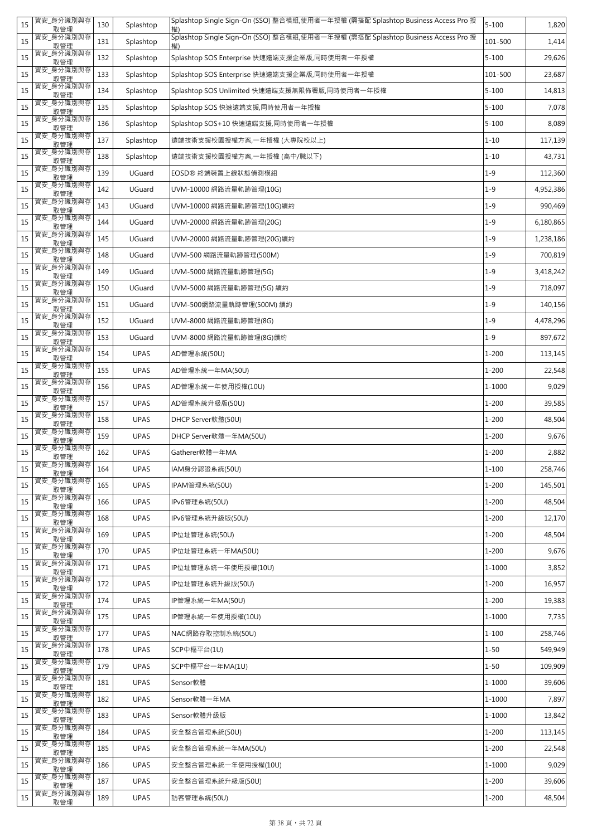| 15 | 資安_身分識別與存<br>取管理              | 130 | Splashtop   | Splashtop Single Sign-On (SSO) 整合模組,使用者一年授權 (需搭配 Splashtop Business Access Pro 授 | $5 - 100$ | 1,820     |
|----|-------------------------------|-----|-------------|----------------------------------------------------------------------------------|-----------|-----------|
| 15 | 資安_身分識別與存<br>取管理              | 131 | Splashtop   | Splashtop Single Sign-On (SSO) 整合模組,使用者一年授權 (需搭配 Splashtop Business Access Pro 授 | 101-500   | 1,414     |
| 15 | 資安_身分識別與存<br>取管理              | 132 | Splashtop   | Splashtop SOS Enterprise 快速遠端支援企業版,同時使用者一年授權                                     | $5 - 100$ | 29,626    |
| 15 | 資安_身分識別與存<br>取管理              | 133 | Splashtop   | Splashtop SOS Enterprise 快速遠端支援企業版,同時使用者一年授權                                     | 101-500   | 23,687    |
| 15 | 資安_身分識別與存<br>取管理              | 134 | Splashtop   | Splashtop SOS Unlimited 快速遠端支援無限佈署版,同時使用者一年授權                                    | $5 - 100$ | 14,813    |
| 15 | 資安_身分識別與存<br>取管理              | 135 | Splashtop   | Splashtop SOS 快速遠端支援,同時使用者一年授權                                                   | $5 - 100$ | 7,078     |
| 15 | 資安_身分識別與存<br>取管理              | 136 | Splashtop   | Splashtop SOS+10 快速遠端支援,同時使用者一年授權                                                | $5 - 100$ | 8,089     |
| 15 | 資安_身分識別與存<br>取管理              | 137 | Splashtop   | 遠端技術支援校園授權方案,一年授權 (大專院校以上)                                                       | $1 - 10$  | 117,139   |
| 15 | 資安_身分識別與存<br>取管理              | 138 | Splashtop   | 遠端技術支援校園授權方案,一年授權(高中/職以下)                                                        | $1 - 10$  | 43,731    |
| 15 | 資安_身分識別與存<br>取管理              | 139 | UGuard      | EOSD® 終端裝置上線狀態偵測模組                                                               | $1 - 9$   | 112,360   |
| 15 | 資安_身分識別與存<br>取管理              | 142 | UGuard      | UVM-10000 網路流量軌跡管理(10G)                                                          | $1 - 9$   | 4,952,386 |
| 15 | 資安_身分識別與存<br>取管理              | 143 | UGuard      | UVM-10000 網路流量軌跡管理(10G)續約                                                        | $1 - 9$   | 990,469   |
| 15 | 資安_身分識別與存<br>取管理              | 144 | UGuard      | UVM-20000 網路流量軌跡管理(20G)                                                          | $1 - 9$   | 6,180,865 |
| 15 | 資安_身分識別與存<br>取管理              | 145 | UGuard      | UVM-20000 網路流量軌跡管理(20G)續約                                                        | $1 - 9$   | 1,238,186 |
| 15 | 資安_身分識別與存<br>取管理              | 148 | UGuard      | UVM-500 網路流量軌跡管理(500M)                                                           | $1 - 9$   | 700,819   |
| 15 | 資安_身分識別與存<br>取管理              | 149 | UGuard      | UVM-5000 網路流量軌跡管理(5G)                                                            | $1 - 9$   | 3,418,242 |
| 15 | 資安_身分識別與存<br>取管理              | 150 | UGuard      | UVM-5000 網路流量軌跡管理(5G) 續約                                                         | $1 - 9$   | 718,097   |
| 15 | 資安_身分識別與存<br>取管理              | 151 | UGuard      | UVM-500網路流量軌跡管理(500M) 續約                                                         | $1 - 9$   | 140,156   |
| 15 | 資安_身分識別與存<br>取管理              | 152 | UGuard      | UVM-8000 網路流量軌跡管理(8G)                                                            | $1 - 9$   | 4,478,296 |
| 15 | 資安」身分識別與存<br>取管理              | 153 | UGuard      | UVM-8000 網路流量軌跡管理(8G)續約                                                          | $1 - 9$   | 897,672   |
| 15 | 資安_身分識別與存<br>取管理              | 154 | <b>UPAS</b> | AD管理系統(50U)                                                                      | $1 - 200$ | 113,145   |
| 15 | 資安_身分識別與存<br>取管理              | 155 | <b>UPAS</b> | AD管理系統一年MA(50U)                                                                  | 1-200     | 22,548    |
| 15 | 資安_身分識別與存<br>取管理              | 156 | <b>UPAS</b> | AD管理系統一年使用授權(10U)                                                                | 1-1000    | 9,029     |
| 15 | 資安_身分識別與存<br>取管理              | 157 | <b>UPAS</b> | AD管理系統升級版(50U)                                                                   | $1 - 200$ | 39,585    |
|    |                               |     |             |                                                                                  |           |           |
| 15 | 資安_身分識別與存<br>取管理              | 158 | <b>UPAS</b> | DHCP Server軟體(50U)                                                               | $1 - 200$ | 48,504    |
| 15 | 資安_身分識別與存<br>取管理              | 159 | <b>UPAS</b> | DHCP Server軟體一年MA(50U)                                                           | $1 - 200$ | 9,676     |
| 15 | 資安_身分識別與存<br>取管理              | 162 | <b>UPAS</b> | Gatherer軟體一年MA                                                                   | $1 - 200$ | 2,882     |
| 15 | 資安_身分識別與存<br>取管理              | 164 | <b>UPAS</b> | IAM身分認證系統(50U)                                                                   | $1 - 100$ | 258,746   |
| 15 | 資安_身分識別與存<br>取管理              | 165 | <b>UPAS</b> | IPAM管理系統(50U)                                                                    | $1 - 200$ | 145,501   |
| 15 | 資安_身分識別與存<br>取管理              | 166 | <b>UPAS</b> | IPv6管理系統(50U)                                                                    | $1 - 200$ | 48,504    |
| 15 | 資安_身分識別與存<br>取管理              | 168 | <b>UPAS</b> | IPv6管理系統升級版(50U)                                                                 | $1 - 200$ | 12,170    |
| 15 | 資安_身分識別與存<br>取管理              | 169 | <b>UPAS</b> | IP位址管理系統(50U)                                                                    | $1 - 200$ | 48,504    |
| 15 | 資安_身分識別與存<br>取管理              | 170 | <b>UPAS</b> | IP位址管理系統一年MA(50U)                                                                | $1 - 200$ | 9,676     |
| 15 | 資安_身分識別與存<br>取管理              | 171 | <b>UPAS</b> | IP位址管理系統一年使用授權(10U)                                                              | 1-1000    | 3,852     |
| 15 | 資安_身分識別與存<br>取管理              | 172 | <b>UPAS</b> | IP位址管理系統升級版(50U)                                                                 | $1 - 200$ | 16,957    |
| 15 | 資安_身分識別與存<br>取管理              | 174 | <b>UPAS</b> | IP管理系統一年MA(50U)                                                                  | $1 - 200$ | 19,383    |
| 15 | 資安_身分識別與存<br>取管理              | 175 | <b>UPAS</b> | IP管理系統一年使用授權(10U)                                                                | 1-1000    | 7,735     |
| 15 | 資安_身分識別與存<br>取管理              | 177 | <b>UPAS</b> | NAC網路存取控制系統(50U)                                                                 | $1 - 100$ | 258,746   |
| 15 | 資安_身分識別與存<br>取管理              | 178 | <b>UPAS</b> | SCP中樞平台(1U)                                                                      | $1 - 50$  | 549,949   |
| 15 | 資安_身分識別與存<br>取管理              | 179 | <b>UPAS</b> | SCP中樞平台一年MA(1U)                                                                  | $1 - 50$  | 109,909   |
| 15 | 資安_身分識別與存<br>取管理              | 181 | <b>UPAS</b> | Sensor軟體                                                                         | 1-1000    | 39,606    |
| 15 | 資安_身分識別與存<br>取管理              | 182 | <b>UPAS</b> | Sensor軟體一年MA                                                                     | 1-1000    | 7,897     |
| 15 | 資安_身分識別與存<br>取管理              | 183 | <b>UPAS</b> | Sensor軟體升級版                                                                      | 1-1000    | 13,842    |
| 15 | 資安_身分識別與存<br>取管理              | 184 | <b>UPAS</b> | 安全整合管理系統(50U)                                                                    | $1 - 200$ | 113,145   |
| 15 | 資安_身分識別與存<br>取管理              | 185 | <b>UPAS</b> | 安全整合管理系統一年MA(50U)                                                                | $1 - 200$ | 22,548    |
| 15 | 資安_身分識別與存<br>取管理              | 186 | <b>UPAS</b> | 安全整合管理系統一年使用授權(10U)                                                              | 1-1000    | 9,029     |
| 15 | 資安_身分識別與存<br>取管理<br>資安_身分識別與存 | 187 | <b>UPAS</b> | 安全整合管理系統升級版(50U)                                                                 | $1 - 200$ | 39,606    |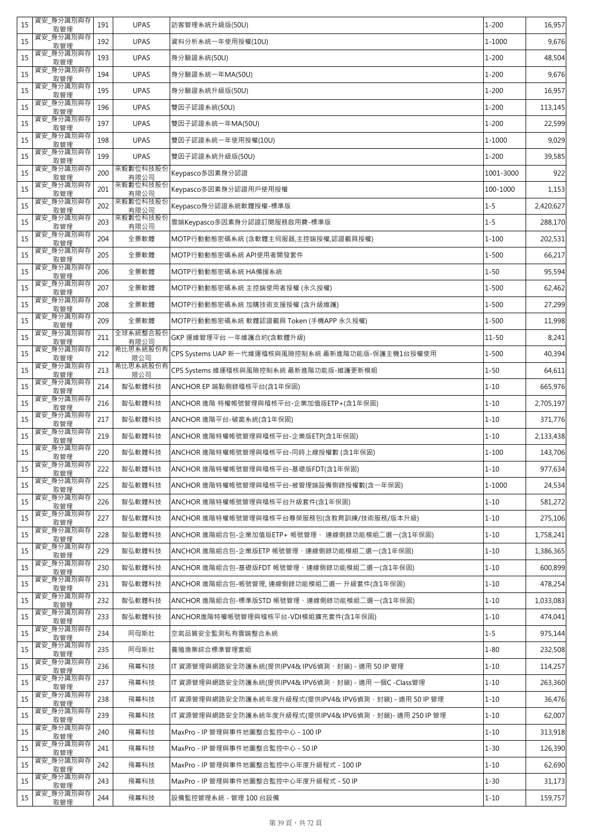| 15 | 資安_身分識別與存<br>取管理 | 191 | <b>UPAS</b>      | 訪客管理系統升級版(50U)                                          | $1 - 200$ | 16,957    |
|----|------------------|-----|------------------|---------------------------------------------------------|-----------|-----------|
| 15 | 資安_身分識別與存<br>取管理 | 192 | <b>UPAS</b>      | 資料分析系統一年使用授權(10U)                                       | 1-1000    | 9,676     |
| 15 | 資安 身分識別與存<br>取管理 | 193 | <b>UPAS</b>      | 身分驗證系統(50U)                                             | $1 - 200$ | 48,504    |
| 15 | 資安_身分識別與存<br>取管理 | 194 | <b>UPAS</b>      | 身分驗證系統一年MA(50U)                                         | $1 - 200$ | 9,676     |
| 15 | 資安_身分識別與存<br>取管理 | 195 | <b>UPAS</b>      | 身分驗證系統升級版(50U)                                          | $1 - 200$ | 16,957    |
| 15 | 資安_身分識別與存<br>取管理 | 196 | <b>UPAS</b>      | 雙因子認證系統(50U)                                            | $1 - 200$ | 113,145   |
| 15 | 資安_身分識別與存<br>取管理 | 197 | <b>UPAS</b>      | 雙因子認證系統一年MA(50U)                                        | $1 - 200$ | 22,599    |
| 15 | 資安_身分識別與存<br>取管理 | 198 | <b>UPAS</b>      | 雙因子認證系統一年使用授權(10U)                                      | 1-1000    | 9,029     |
| 15 | 資安_身分識別與存<br>取管理 | 199 | <b>UPAS</b>      | 雙因子認證系統升級版(50U)                                         | $1 - 200$ | 39,585    |
| 15 | 資安_身分識別與存<br>取管理 | 200 | 來毅數位科技股份<br>有限公司 | Keypasco多因素身分認證                                         | 1001-3000 | 922       |
| 15 | 資安_身分識別與存<br>取管理 | 201 | 來毅數位科技股份<br>有限公司 | Keypasco多因素身分認證用戶使用授權                                   | 100-1000  | 1,153     |
| 15 | 資安_身分識別與存<br>取管理 | 202 | 來毅數位科技股份<br>有限公司 | Keypasco身分認證系統軟體授權-標準版                                  | $1 - 5$   | 2,420,627 |
| 15 | 資安_身分識別與存<br>取管理 | 203 | 來毅數位科技股份<br>有限公司 | 雲端Keypasco多因素身分認證訂閱服務啟用費-標準版                            | $1 - 5$   | 288,170   |
| 15 | 資安_身分識別與存<br>取管理 | 204 | 全景軟體             | MOTP行動動態密碼系統 (含軟體主伺服器,主控端授權,認證載具授權)                     | $1 - 100$ | 202,531   |
| 15 | 資安_身分識別與存<br>取管理 | 205 | 全景軟體             | MOTP行動動態密碼系統 API使用者開發套件                                 | $1 - 500$ | 66,217    |
| 15 | 資安_身分識別與存<br>取管理 | 206 | 全景軟體             | MOTP行動動態密碼系統 HA備援系統                                     | $1 - 50$  | 95,594    |
| 15 | 資安_身分識別與存<br>取管理 | 207 | 全景軟體             | MOTP行動動態密碼系統 主控端使用者授權 (永久授權)                            | $1 - 500$ | 62,462    |
| 15 | 資安_身分識別與存<br>取管理 | 208 | 全景軟體             | MOTP行動動態密碼系統 加購技術支援授權 (含升級維護)                           | $1 - 500$ | 27,299    |
| 15 | 資安_身分識別與存<br>取管理 | 209 | 全景軟體             | MOTP行動動態密碼系統 軟體認證載具 Token (手機APP 永久授權)                  | $1 - 500$ | 11,998    |
| 15 | 資安_身分識別與存<br>取管理 | 211 | 全球系統整合股份<br>有限公司 | GKP 運維管理平台 一年維護合約(含軟體升級)                                | $11 - 50$ | 8,241     |
| 15 | 資安_身分識別與存<br>取管理 | 212 | 希比思系統股份有<br>限公司  | CPS Systems UAP 新一代維運稽核與風險控制系統 最新進階功能版-保護主機1台授權使用       | $1 - 500$ | 40,394    |
| 15 | 資安_身分識別與存<br>取管理 | 213 | 希比思系統股份有<br>限公司  | CPS Systems 維運稽核與風險控制系統 最新進階功能版-維護更新模組                  | $1 - 50$  | 64,611    |
| 15 | 資安_身分識別與存<br>取管理 | 214 | 智弘軟體科技           | ANCHOR EP 端點側錄稽核平台(含1年保固)                               | $1 - 10$  | 665,976   |
| 15 | 資安_身分識別與存<br>取管理 | 216 | 智弘軟體科技           | ANCHOR 進階 特權帳號管理與稽核平台-企業加值版ETP+(含1年保固)                  | $1 - 10$  | 2,705,197 |
| 15 | 資安_身分識別與存<br>取管理 | 217 | 智弘軟體科技           | ANCHOR 進階平台-破窗系統(含1年保固)                                 | $1 - 10$  | 371,776   |
| 15 | 資安_身分識別與存<br>取管理 | 219 | 智弘軟體科技           | ANCHOR 進階特權帳號管理與稽核平台-企業版ETP(含1年保固)                      | $1 - 10$  | 2,133,438 |
| 15 | 資安 身分識別與存<br>取管理 | 220 | 智弘軟體科技           | ANCHOR 進階特權帳號管理與稽核平台-同時上線授權數 (含1年保固)                    | $1 - 100$ | 143,706   |
| 15 | 資安_身分識別與存<br>取管理 | 222 | 智弘軟體科技           | ANCHOR 進階特權帳號管理與稽核平台-基礎版FDT(含1年保固)                      | $1 - 10$  | 977,634   |
| 15 | 資安_身分識別與存<br>取管理 | 225 | 智弘軟體科技           | ANCHOR 進階特權帳號管理與稽核平台-被管理端設備側錄授權數(含一年保固)                 | 1-1000    | 24,534    |
| 15 | 資安_身分識別與存<br>取管理 | 226 | 智弘軟體科技           | ANCHOR 進階特權帳號管理與稽核平台升級套件(含1年保固)                         | $1 - 10$  | 581,272   |
| 15 | 資安_身分識別與存<br>取管理 | 227 | 智弘軟體科技           | ANCHOR 進階特權帳號管理與稽核平台尊榮服務包(含教育訓練/技術服務/版本升級)              | $1 - 10$  | 275,106   |
| 15 | 資安_身分識別與存<br>取管理 | 228 | 智弘軟體科技           | ANCHOR 進階組合包-企業加值版ETP+ 帳號管理、 連線側錄功能模組二選―(含1年保固)         | $1 - 10$  | 1,758,241 |
| 15 | 資安_身分識別與存<br>取管理 | 229 | 智弘軟體科技           | ANCHOR 進階組合包-企業版ETP 帳號管理、連線側錄功能模組二選一(含1年保固)             | $1 - 10$  | 1,386,365 |
| 15 | 資安_身分識別與存<br>取管理 | 230 | 智弘軟體科技           | ANCHOR 進階組合包-基礎版FDT 帳號管理、連線側錄功能模組二選一(含1年保固)             | $1 - 10$  | 600,899   |
| 15 | 資安_身分識別與存<br>取管理 | 231 | 智弘軟體科技           | ANCHOR 進階組合包-帳號管理, 連線側錄功能模組二選一 升級套件(含1年保固)              | $1 - 10$  | 478,254   |
| 15 | 資安_身分識別與存<br>取管理 | 232 | 智弘軟體科技           | ANCHOR 進階組合包-標準版STD 帳號管理、連線側錄功能模組二選一(含1年保固)             | $1 - 10$  | 1,033,083 |
| 15 | 資安_身分識別與存<br>取管理 | 233 | 智弘軟體科技           | ANCHOR進階特權帳號管理與稽核平台-VDI模組擴充套件(含1年保固)                    | $1 - 10$  | 474,041   |
| 15 | 資安_身分識別與存<br>取管理 | 234 | 阿母斯壯             | 空氣品質安全監測私有雲端整合系統                                        | $1 - 5$   | 975,144   |
| 15 | 資安_身分識別與存<br>取管理 | 235 | 阿母斯壯             | 養殖漁業綜合標準管理套組                                            | $1 - 80$  | 232,508   |
| 15 | 資安_身分識別與存<br>取管理 | 236 | 飛幕科技             | IT 資源管理與網路安全防護系統(提供IPV4& IPV6偵測、封鎖) - 適用 50 IP 管理       | $1 - 10$  | 114,257   |
| 15 | 資安_身分識別與存<br>取管理 | 237 | 飛幕科技             | IT 資源管理與網路安全防護系統(提供IPV4& IPV6偵測、封鎖) - 適用 一個C -Class管理   | $1 - 10$  | 263,360   |
| 15 | 資安_身分識別與存<br>取管理 | 238 | 飛幕科技             | IT 資源管理與網路安全防護系統年度升級程式(提供IPV4& IPV6偵測、封鎖) - 適用 50 IP 管理 | $1 - 10$  | 36,476    |
| 15 | 資安_身分識別與存<br>取管理 | 239 | 飛幕科技             | IT 資源管理與網路安全防護系統年度升級程式(提供IPV4& IPV6偵測、封鎖)- 適用 250 IP 管理 | $1 - 10$  | 62,007    |
| 15 | 資安_身分識別與存<br>取管理 | 240 | 飛幕科技             | MaxPro - IP 管理與事件地圖整合監控中心 - 100 IP                      | $1 - 10$  | 313,918   |
| 15 | 資安_身分識別與存<br>取管理 | 241 | 飛幕科技             | MaxPro - IP 管理與事件地圖整合監控中心 - 50 IP                       | $1 - 30$  | 126,390   |
| 15 | 資安_身分識別與存<br>取管理 | 242 | 飛幕科技             | MaxPro - IP 管理與事件地圖整合監控中心年度升級程式 - 100 IP                | $1 - 10$  | 62,690    |
| 15 | 資安_身分識別與存<br>取管理 | 243 | 飛幕科技             | MaxPro - IP 管理與事件地圖整合監控中心年度升級程式 - 50 IP                 | $1 - 30$  | 31,173    |
| 15 | 資安_身分識別與存<br>取管理 | 244 | 飛幕科技             | 設備監控管理系統 - 管理 100 台設備                                   | $1 - 10$  | 159,757   |
|    |                  |     |                  |                                                         |           |           |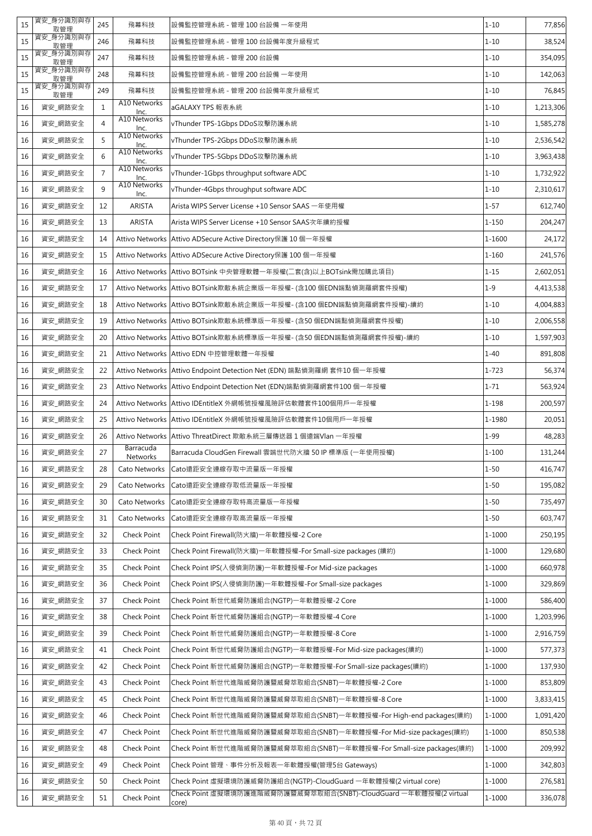| 15 | 資安_身分識別與存<br>取管理 | 245            | 飛幕科技                   | 設備監控管理系統 - 管理 100 台設備 一年使用                                                 | $1 - 10$   | 77,856    |
|----|------------------|----------------|------------------------|----------------------------------------------------------------------------|------------|-----------|
| 15 | 資安_身分識別與存<br>取管理 | 246            | 飛幕科技                   | 設備監控管理系統 - 管理 100 台設備年度升級程式                                                | $1 - 10$   | 38,524    |
| 15 | 資安 身分識別與存<br>取管理 | 247            | 飛幕科技                   | 設備監控管理系統 - 管理 200 台設備                                                      | $1 - 10$   | 354,095   |
| 15 | 資安_身分識別與存<br>取管理 | 248            | 飛幕科技                   | 設備監控管理系統 - 管理 200 台設備 一年使用                                                 | $1 - 10$   | 142,063   |
| 15 | 資安_身分識別與存<br>取管理 | 249            | 飛幕科技                   | 設備監控管理系統 - 管理 200 台設備年度升級程式                                                | $1 - 10$   | 76,845    |
| 16 | 資安_網路安全          | 1              | A10 Networks<br>Inc.   | aGALAXY TPS 報表系統                                                           | $1 - 10$   | 1,213,306 |
| 16 | 資安 網路安全          | 4              | A10 Networks<br>Inc.   | vThunder TPS-1Gbps DDoS攻擊防護系統                                              | $1 - 10$   | 1,585,278 |
| 16 | 資安_網路安全          | 5              | A10 Networks<br>Inc.   | vThunder TPS-2Gbps DDoS攻擊防護系統                                              | $1 - 10$   | 2,536,542 |
| 16 | 資安_網路安全          | 6              | A10 Networks<br>Inc.   | vThunder TPS-5Gbps DDoS攻擊防護系統                                              | $1 - 10$   | 3,963,438 |
| 16 | 資安 網路安全          | $\overline{7}$ | A10 Networks<br>Inc.   | vThunder-1Gbps throughput software ADC                                     | $1 - 10$   | 1,732,922 |
| 16 | 資安_網路安全          | 9              | A10 Networks<br>Inc.   | vThunder-4Gbps throughput software ADC                                     | $1 - 10$   | 2,310,617 |
| 16 | 資安_網路安全          | 12             | <b>ARISTA</b>          | Arista WIPS Server License +10 Sensor SAAS 一年使用權                           | $1 - 57$   | 612,740   |
| 16 | 資安_網路安全          | 13             | <b>ARISTA</b>          | Arista WIPS Server License +10 Sensor SAAS次年續約授權                           | $1 - 150$  | 204,247   |
| 16 | 資安_網路安全          | 14             | <b>Attivo Networks</b> | Attivo ADSecure Active Directory保護 10 個一年授權                                | 1-1600     | 24,172    |
| 16 | 資安_網路安全          | 15             | <b>Attivo Networks</b> | Attivo ADSecure Active Directory保護 100 個一年授權                               | $1 - 160$  | 241,576   |
| 16 | 資安_網路安全          | 16             | <b>Attivo Networks</b> | Attivo BOTsink 中央管理軟體一年授權(二套(含)以上BOTsink需加購此項目)                            | $1 - 15$   | 2,602,051 |
| 16 | 資安_網路安全          | 17             | <b>Attivo Networks</b> | Attivo BOTsink欺敵系統企業版一年授權- (含100 個EDN端點偵測羅網套件授權)                           | $1 - 9$    | 4,413,538 |
| 16 | 資安_網路安全          | 18             | <b>Attivo Networks</b> | Attivo BOTsink欺敵系統企業版一年授權- (含100 個EDN端點偵測羅網套件授權)-續約                        | $1 - 10$   | 4,004,883 |
| 16 | 資安_網路安全          | 19             | <b>Attivo Networks</b> | Attivo BOTsink欺敵系統標準版一年授權- (含50 個EDN端點偵測羅網套件授權)                            | $1 - 10$   | 2,006,558 |
| 16 | 資安_網路安全          | 20             | <b>Attivo Networks</b> | Attivo BOTsink欺敵系統標準版一年授權- (含50 個EDN端點偵測羅網套件授權)-續約                         | $1 - 10$   | 1,597,903 |
| 16 | 資安_網路安全          | 21             | <b>Attivo Networks</b> | Attivo EDN 中控管理軟體一年授權                                                      | $1 - 40$   | 891,808   |
| 16 | 資安_網路安全          | 22             | <b>Attivo Networks</b> | Attivo Endpoint Detection Net (EDN) 端點偵測羅網 套件10 個一年授權                      | $1 - 723$  | 56,374    |
| 16 | 資安_網路安全          | 23             | <b>Attivo Networks</b> | Attivo Endpoint Detection Net (EDN)端點偵測羅網套件100個一年授權                        | $1 - 71$   | 563,924   |
| 16 | 資安_網路安全          | 24             | <b>Attivo Networks</b> | Attivo IDEntitleX 外網帳號授權風險評估軟體套件100個用戶一年授權                                 | 1-198      | 200,597   |
| 16 | 資安_網路安全          | 25             |                        | Attivo Networks   Attivo IDEntitleX 外網帳號授權風險評估軟體套件10個用戶一年授權                | 1-1980     | 20,051    |
| 16 | 資安_網路安全          | 26             | <b>Attivo Networks</b> | Attivo ThreatDirect 欺敵系統三層傳送器 1 個遠端Vlan 一年授權                               | $1 - 99$   | 48,283    |
| 16 | 資安 網路安全          | 27             | Barracuda<br>Networks  | Barracuda CloudGen Firewall 雲端世代防火牆 50 IP 標準版 (一年使用授權)                     | $1 - 100$  | 131,244   |
| 16 | 資安_網路安全          | 28             | Cato Networks          | Cato遠距安全連線存取中流量版一年授權                                                       | $1 - 50$   | 416,747   |
| 16 | 資安_網路安全          | 29             | Cato Networks          | Cato遠距安全連線存取低流量版一年授權                                                       | $1 - 50$   | 195,082   |
| 16 | 資安_網路安全          | 30             | Cato Networks          | Cato遠距安全連線存取特高流量版一年授權                                                      | $1 - 50$   | 735,497   |
| 16 | 資安 網路安全          | 31             | Cato Networks          | Cato遠距安全連線存取高流量版一年授權                                                       | $1 - 50$   | 603,747   |
| 16 | 資安_網路安全          | 32             | Check Point            | Check Point Firewall(防火牆)一年軟體授權-2 Core                                     | 1-1000     | 250,195   |
| 16 | 資安_網路安全          | 33             | Check Point            | Check Point Firewall(防火牆)一年軟體授權-For Small-size packages (續約)               | 1-1000     | 129,680   |
| 16 | 資安 網路安全          | 35             | Check Point            | Check Point IPS(入侵偵測防護)一年軟體授權-For Mid-size packages                        | $1 - 1000$ | 660,978   |
| 16 | 資安 網路安全          | 36             | Check Point            | Check Point IPS(入侵偵測防護)一年軟體授權-For Small-size packages                      | 1-1000     | 329,869   |
| 16 | 資安_網路安全          | 37             | Check Point            | Check Point 新世代威脅防護組合(NGTP)一年軟體授權-2 Core                                   | 1-1000     | 586,400   |
| 16 | 資安_網路安全          | 38             | Check Point            | Check Point 新世代威脅防護組合(NGTP)一年軟體授權-4 Core                                   | $1 - 1000$ | 1,203,996 |
| 16 | 資安_網路安全          | 39             | Check Point            | Check Point 新世代威脅防護組合(NGTP)一年軟體授權-8 Core                                   | 1-1000     | 2,916,759 |
| 16 | 資安_網路安全          | 41             | Check Point            | Check Point 新世代威脅防護組合(NGTP)一年軟體授權-For Mid-size packages(續約)                | 1-1000     | 577,373   |
| 16 | 資安_網路安全          | 42             | Check Point            | Check Point 新世代威脅防護組合(NGTP)一年軟體授權-For Small-size packages(續約)              | 1-1000     | 137,930   |
| 16 | 資安_網路安全          | 43             | Check Point            | Check Point 新世代進階威脅防護暨威脅萃取組合(SNBT)一年軟體授權-2 Core                            | 1-1000     | 853,809   |
| 16 | 資安_網路安全          | 45             | Check Point            | Check Point 新世代進階威脅防護暨威脅萃取組合(SNBT)一年軟體授權-8 Core                            | 1-1000     | 3,833,415 |
| 16 | 資安_網路安全          | 46             | Check Point            | Check Point 新世代進階威脅防護暨威脅萃取組合(SNBT)一年軟體授權-For High-end packages(續約)         | 1-1000     | 1,091,420 |
| 16 | 資安_網路安全          | 47             | Check Point            | Check Point 新世代進階威脅防護暨威脅萃取組合(SNBT)一年軟體授權-For Mid-size packages(續約)         | 1-1000     | 850,538   |
| 16 | 資安_網路安全          | 48             | Check Point            | Check Point 新世代進階威脅防護暨威脅萃取組合(SNBT)一年軟體授權-For Small-size packages(續約)       | 1-1000     | 209,992   |
| 16 | 資安_網路安全          | 49             | Check Point            | Check Point 管理、事件分析及報表一年軟體授權(管理5台 Gateways)                                | $1 - 1000$ | 342,803   |
| 16 | 資安 網路安全          | 50             | Check Point            | Check Point 虛擬環境防護威脅防護組合(NGTP)-CloudGuard 一年軟體授權(2 virtual core)           | $1 - 1000$ | 276,581   |
| 16 | 資安_網路安全          | 51             | Check Point            | Check Point 虚擬環境防護進階威脅防護暨威脅萃取組合(SNBT)-CloudGuard 一年軟體授權(2 virtual<br>core) | 1-1000     | 336,078   |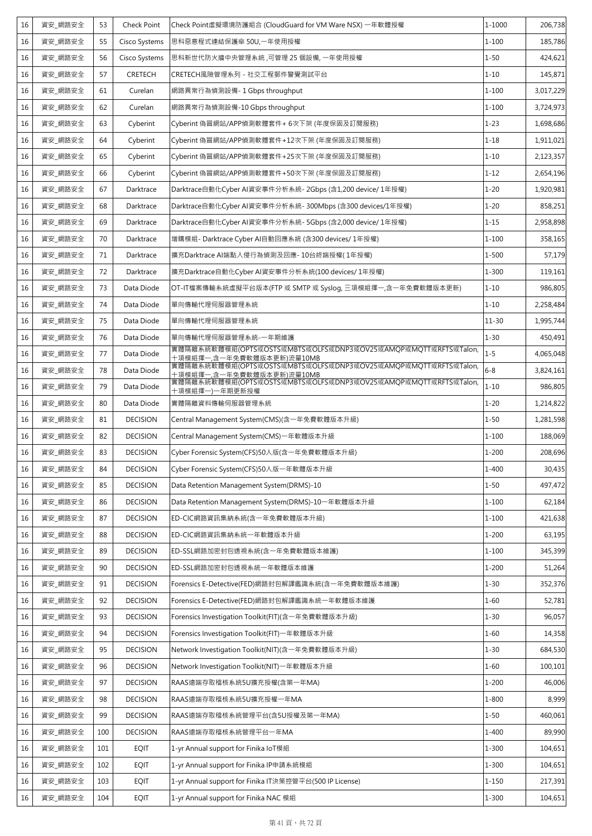| 16 | 資安_網路安全 | 53  | Check Point     | Check Point虚擬環境防護組合 (CloudGuard for VM Ware NSX) 一年軟體授權                                     | 1-1000    | 206,738   |
|----|---------|-----|-----------------|---------------------------------------------------------------------------------------------|-----------|-----------|
| 16 | 資安_網路安全 | 55  | Cisco Systems   | 思科惡意程式連結保護傘 50U,一年使用授權                                                                      | $1 - 100$ | 185,786   |
| 16 | 資安_網路安全 | 56  | Cisco Systems   | 思科新世代防火牆中央管理系統,可管理 25 個設備,一年使用授權                                                            | $1 - 50$  | 424,621   |
| 16 | 資安 網路安全 | 57  | <b>CRETECH</b>  | CRETECH風險管理系列 - 社交工程郵件警覺測試平台                                                                | $1 - 10$  | 145,871   |
| 16 | 資安_網路安全 | 61  | Curelan         | 網路異常行為偵測設備- 1 Gbps throughput                                                               | $1 - 100$ | 3,017,229 |
| 16 | 資安_網路安全 | 62  | Curelan         | 網路異常行為偵測設備-10 Gbps throughput                                                               | $1 - 100$ | 3,724,973 |
| 16 | 資安 網路安全 | 63  | Cyberint        | Cyberint 偽冒網站/APP偵測軟體套件+ 6次下架 (年度保固及訂閱服務)                                                   | $1 - 23$  | 1,698,686 |
| 16 | 資安_網路安全 | 64  | Cyberint        | Cyberint 偽冒網站/APP偵測軟體套件+12次下架 (年度保固及訂閱服務)                                                   | $1 - 18$  | 1,911,021 |
| 16 | 資安_網路安全 | 65  | Cyberint        | Cyberint 偽冒網站/APP偵測軟體套件+25次下架 (年度保固及訂閱服務)                                                   | $1 - 10$  | 2,123,357 |
| 16 | 資安_網路安全 | 66  | Cyberint        | Cyberint 偽冒網站/APP偵測軟體套件+50次下架 (年度保固及訂閱服務)                                                   | $1 - 12$  | 2,654,196 |
| 16 | 資安_網路安全 | 67  | Darktrace       | Darktrace自動化Cyber AI資安事件分析系統- 2Gbps (含1,200 device/ 1年授權)                                   | $1 - 20$  | 1,920,981 |
| 16 | 資安_網路安全 | 68  | Darktrace       | Darktrace自動化Cyber AI資安事件分析系統- 300Mbps (含300 devices/1年授權)                                   | $1 - 20$  | 858,251   |
| 16 | 資安_網路安全 | 69  | Darktrace       | Darktrace自動化Cyber AI資安事件分析系統- 5Gbps (含2,000 device/ 1年授權)                                   | $1 - 15$  | 2,958,898 |
| 16 | 資安_網路安全 | 70  | Darktrace       | 增購模組- Darktrace Cyber AI自動回應系統 (含300 devices/ 1年授權)                                         | $1 - 100$ | 358,165   |
| 16 | 資安_網路安全 | 71  | Darktrace       | 擴充Darktrace AI端點入侵行為偵測及回應- 10台終端授權( 1年授權)                                                   | $1 - 500$ | 57,179    |
| 16 | 資安_網路安全 | 72  | Darktrace       | 擴充Darktrace自動化Cyber AI資安事件分析系統(100 devices/ 1年授權)                                           | $1 - 300$ | 119,161   |
| 16 | 資安_網路安全 | 73  | Data Diode      | OT-IT檔案傳輸系統虛擬平台版本(FTP 或 SMTP 或 Syslog, 三項模組擇一,含一年免費軟體版本更新)                                  | $1 - 10$  | 986,805   |
| 16 | 資安 網路安全 | 74  | Data Diode      | 單向傳輸代理伺服器管理系統                                                                               | $1 - 10$  | 2,258,484 |
| 16 | 資安_網路安全 | 75  | Data Diode      | 單向傳輸代理伺服器管理系統                                                                               | $11 - 30$ | 1,995,744 |
| 16 | 資安_網路安全 | 76  | Data Diode      | 單向傳輸代理伺服器管理系統-一年期維護                                                                         | $1 - 30$  | 450,491   |
| 16 | 資安 網路安全 | 77  | Data Diode      | 實體隔離系統軟體模組(OPTS或OSTS或MBTS或OLFS或DNP3或OV25或AMOP或MOTT或RFTS或Talon,<br>十項模組擇一,含一年免費軟體版本更新)流量10MB | $1 - 5$   | 4,065,048 |
| 16 | 資安_網路安全 | 78  | Data Diode      | 實體隔離系統軟體模組(OPTS或OSTS或MBTS或OLFS或DNP3或OV25或AMQP或MQTT或RFTS或Talon,<br>十項模組擇一,含一年免費軟體版本更新)流量10MB | $6 - 8$   | 3,824,161 |
| 16 | 資安_網路安全 | 79  | Data Diode      | 實體隔離系統軟體模組(OPTS或OSTS或MBTS或OLFS或DNP3或OV25或AMQP或MQTT或RFTS或Talon,<br>十項模組擇一)一年期更新授權            | $1 - 10$  | 986,805   |
| 16 | 資安_網路安全 | 80  | Data Diode      | 實體隔離資料傳輸伺服器管理系統                                                                             | $1 - 20$  | 1,214,822 |
| 16 | 資安 網路安全 | 81  | <b>DECISION</b> | Central Management System(CMS)(含一年免費軟體版本升級)                                                 | $1 - 50$  | 1,281,598 |
| 16 | 資安_網路安全 | 82  | <b>DECISION</b> | Central Management System(CMS)一年軟體版本升級                                                      | $1 - 100$ | 188,069   |
| 16 | 資安_網路安全 | 83  | <b>DECISION</b> | Cyber Forensic System(CFS)50人版(含一年免費軟體版本升級)                                                 | $1 - 200$ | 208,696   |
| 16 | 資安_網路安全 | 84  | <b>DECISION</b> | Cyber Forensic System(CFS)50人版一年軟體版本升級                                                      | $1 - 400$ | 30,435    |
| 16 | 資安_網路安全 | 85  | <b>DECISION</b> | Data Retention Management System(DRMS)-10                                                   | $1 - 50$  | 497,472   |
| 16 | 資安 網路安全 | 86  | <b>DECISION</b> | Data Retention Management System(DRMS)-10一年軟體版本升級                                           | $1 - 100$ | 62,184    |
| 16 | 資安_網路安全 | 87  | <b>DECISION</b> | ED-CIC網路資訊集納系統(含一年免費軟體版本升級)                                                                 | $1 - 100$ | 421,638   |
| 16 | 資安_網路安全 | 88  | <b>DECISION</b> | ED-CIC網路資訊集納系統一年軟體版本升級                                                                      | $1 - 200$ | 63,195    |
| 16 | 資安_網路安全 | 89  | <b>DECISION</b> | ED-SSL網路加密封包透視系統(含一年免費軟體版本維護)                                                               | $1 - 100$ | 345,399   |
| 16 | 資安_網路安全 | 90  | <b>DECISION</b> | ED-SSL網路加密封包透視系統一年軟體版本維護                                                                    | $1 - 200$ | 51,264    |
| 16 | 資安_網路安全 | 91  | <b>DECISION</b> | Forensics E-Detective(FED)網路封包解譯鑑識系統(含一年免費軟體版本維護)                                           | $1 - 30$  | 352,376   |
| 16 | 資安_網路安全 | 92  | <b>DECISION</b> | Forensics E-Detective(FED)網路封包解譯鑑識系統一年軟體版本維護                                                | $1 - 60$  | 52,781    |
| 16 | 資安_網路安全 | 93  | <b>DECISION</b> | Forensics Investigation Toolkit(FIT)(含一年免費軟體版本升級)                                           | $1 - 30$  | 96,057    |
| 16 | 資安_網路安全 | 94  | <b>DECISION</b> | Forensics Investigation Toolkit(FIT)一年軟體版本升級                                                | $1 - 60$  | 14,358    |
| 16 | 資安_網路安全 | 95  | <b>DECISION</b> | Network Investigation Toolkit(NIT)(含一年免費軟體版本升級)                                             | $1 - 30$  | 684,530   |
| 16 | 資安_網路安全 | 96  | <b>DECISION</b> | Network Investigation Toolkit(NIT)一年軟體版本升級                                                  | $1 - 60$  | 100,101   |
| 16 | 資安_網路安全 | 97  | <b>DECISION</b> | RAAS遠端存取稽核系統5U擴充授權(含第一年MA)                                                                  | $1 - 200$ | 46,006    |
| 16 | 資安_網路安全 | 98  | <b>DECISION</b> | RAAS遠端存取稽核系統5U擴充授權一年MA                                                                      | $1 - 800$ | 8,999     |
| 16 | 資安_網路安全 | 99  | <b>DECISION</b> | RAAS遠端存取稽核系統管理平台(含5U授權及第一年MA)                                                               | $1 - 50$  | 460,061   |
| 16 | 資安_網路安全 | 100 | <b>DECISION</b> | RAAS遠端存取稽核系統管理平台一年MA                                                                        | $1 - 400$ | 89,990    |
| 16 | 資安_網路安全 | 101 | <b>EQIT</b>     | 1-yr Annual support for Finika IoT模組                                                        | $1 - 300$ | 104,651   |
| 16 | 資安_網路安全 | 102 | <b>EQIT</b>     | 1-yr Annual support for Finika IP申請系統模組                                                     | $1 - 300$ | 104,651   |
| 16 | 資安_網路安全 | 103 | <b>EQIT</b>     | 1-yr Annual support for Finika IT決策控管平台(500 IP License)                                     | $1 - 150$ | 217,391   |
| 16 | 資安_網路安全 | 104 | <b>EQIT</b>     | 1-yr Annual support for Finika NAC 模組                                                       | $1 - 300$ | 104,651   |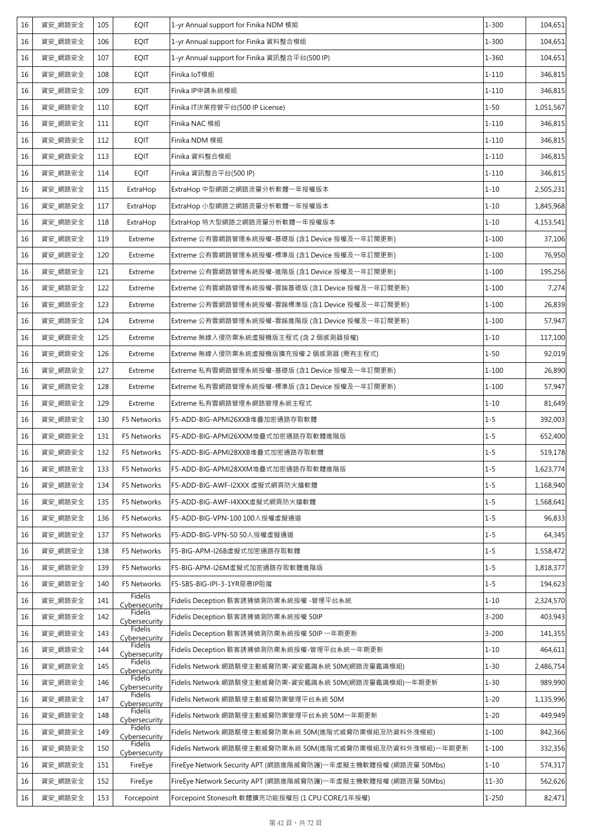| 16 | 資安_網路安全 | 105 | <b>EQIT</b>              | 1-yr Annual support for Finika NDM 模組                          | $1 - 300$ | 104,651   |
|----|---------|-----|--------------------------|----------------------------------------------------------------|-----------|-----------|
| 16 | 資安_網路安全 | 106 | <b>EQIT</b>              | 1-yr Annual support for Finika 資料整合模組                          | $1 - 300$ | 104,651   |
| 16 | 資安_網路安全 | 107 | <b>EQIT</b>              | 1-yr Annual support for Finika 資訊整合平台(500 IP)                  | $1 - 360$ | 104,651   |
| 16 | 資安_網路安全 | 108 | <b>EQIT</b>              | Finika IoT模組                                                   | $1 - 110$ | 346,815   |
| 16 | 資安_網路安全 | 109 | <b>EQIT</b>              | Finika IP申請系統模組                                                | $1 - 110$ | 346,815   |
| 16 | 資安_網路安全 | 110 | <b>EQIT</b>              | Finika IT決策控管平台(500 IP License)                                | $1 - 50$  | 1,051,567 |
| 16 | 資安_網路安全 | 111 | <b>EQIT</b>              | Finika NAC 模組                                                  | $1 - 110$ | 346,815   |
| 16 | 資安 網路安全 | 112 | <b>EQIT</b>              | Finika NDM 模組                                                  | $1 - 110$ | 346,815   |
| 16 | 資安_網路安全 | 113 | <b>EQIT</b>              | Finika 資料整合模組                                                  | $1 - 110$ | 346,815   |
| 16 | 資安 網路安全 | 114 | <b>EQIT</b>              | Finika 資訊整合平台(500 IP)                                          | $1 - 110$ | 346,815   |
| 16 | 資安_網路安全 | 115 | ExtraHop                 | ExtraHop 中型網路之網路流量分析軟體一年授權版本                                   | $1 - 10$  | 2,505,231 |
| 16 | 資安 網路安全 | 117 | ExtraHop                 | ExtraHop 小型網路之網路流量分析軟體一年授權版本                                   | $1 - 10$  | 1,845,968 |
| 16 | 資安_網路安全 | 118 | ExtraHop                 | ExtraHop 特大型網路之網路流量分析軟體一年授權版本                                  | $1 - 10$  | 4,153,541 |
| 16 | 資安_網路安全 | 119 | Extreme                  | Extreme 公有雲網路管理系統授權-基礎版 (含1 Device 授權及一年訂閱更新)                  | $1 - 100$ | 37,106    |
| 16 | 資安_網路安全 | 120 | Extreme                  | Extreme 公有雲網路管理系統授權-標準版 (含1 Device 授權及一年訂閱更新)                  | $1 - 100$ | 76,950    |
| 16 | 資安_網路安全 | 121 | Extreme                  | Extreme 公有雲網路管理系統授權-進階版 (含1 Device 授權及一年訂閱更新)                  | $1 - 100$ | 195,256   |
| 16 | 資安_網路安全 | 122 | Extreme                  | Extreme 公有雲網路管理系統授權-雲端基礎版 (含1 Device 授權及一年訂閱更新)                | $1 - 100$ | 7,274     |
| 16 | 資安_網路安全 | 123 | Extreme                  | Extreme 公有雲網路管理系統授權-雲端標準版 (含1 Device 授權及一年訂閱更新)                | $1 - 100$ | 26,839    |
| 16 | 資安 網路安全 | 124 | Extreme                  | Extreme 公有雲網路管理系統授權-雲端進階版 (含1 Device 授權及一年訂閱更新)                | $1 - 100$ | 57,947    |
| 16 | 資安_網路安全 | 125 | Extreme                  | Extreme 無線入侵防禦系統虛擬機版主程式 (含 2 個感測器授權)                           | $1 - 10$  | 117,100   |
| 16 | 資安_網路安全 | 126 | Extreme                  | Extreme 無線入侵防禦系統虛擬機版擴充授權 2 個感測器 (需有主程式)                        | $1 - 50$  | 92,019    |
| 16 | 資安_網路安全 | 127 | Extreme                  | Extreme 私有雲網路管理系統授權-基礎版 (含1 Device 授權及一年訂閱更新)                  | $1 - 100$ | 26,890    |
| 16 | 資安_網路安全 | 128 | Extreme                  | Extreme 私有雲網路管理系統授權-標準版 (含1 Device 授權及一年訂閱更新)                  | $1 - 100$ | 57,947    |
| 16 | 資安 網路安全 | 129 | Extreme                  | Extreme 私有雲網路管理系網路管理系統主程式                                      | $1 - 10$  | 81,649    |
| 16 | 資安_網路安全 | 130 | F5 Networks              | F5-ADD-BIG-APMI26XXB堆疊加密通路存取軟體                                 | $1 - 5$   | 392,003   |
| 16 | 資安_網路安全 | 131 | F5 Networks              | F5-ADD-BIG-APMI26XXM堆疊式加密通路存取軟體進階版                             | $1 - 5$   | 652,400   |
| 16 | 資安_網路安全 | 132 | F5 Networks              | F5-ADD-BIG-APMI28XXB堆疊式加密通路存取軟體                                | $1 - 5$   | 519,178   |
| 16 | 資安_網路安全 | 133 | F5 Networks              | F5-ADD-BIG-APMI28XXM堆疊式加密通路存取軟體進階版                             | $1 - 5$   | 1,623,774 |
| 16 | 資安_網路安全 | 134 | F5 Networks              | F5-ADD-BIG-AWF-I2XXX 虛擬式網頁防火牆軟體                                | $1 - 5$   | 1,168,940 |
| 16 | 資安_網路安全 | 135 | F5 Networks              | F5-ADD-BIG-AWF-I4XXX虚擬式網頁防火牆軟體                                 | $1 - 5$   | 1,568,641 |
| 16 | 資安 網路安全 | 136 | F5 Networks              | F5-ADD-BIG-VPN-100 100人授權虛擬通道                                  | $1 - 5$   | 96,833    |
| 16 | 資安_網路安全 | 137 | F5 Networks              | F5-ADD-BIG-VPN-50 50人授權虛擬通道                                    | $1 - 5$   | 64,345    |
| 16 | 資安_網路安全 | 138 | F5 Networks              | F5-BIG-APM-I26B虛擬式加密通路存取軟體                                     | $1 - 5$   | 1,558,472 |
| 16 | 資安_網路安全 | 139 | F5 Networks              | F5-BIG-APM-I26M虛擬式加密通路存取軟體進階版                                  | $1 - 5$   | 1,818,377 |
| 16 | 資安_網路安全 | 140 | F5 Networks              | F5-SBS-BIG-IPI-3-1YR惡意IP阻擋                                     | $1 - 5$   | 194,623   |
| 16 | 資安_網路安全 | 141 | Fidelis<br>Cybersecurity | Fidelis Deception 駭客誘捕偵測防禦系統授權 -管理平台系統                         | $1 - 10$  | 2,324,570 |
| 16 | 資安_網路安全 | 142 | Fidelis<br>Cybersecurity | Fidelis Deception 駭客誘捕偵測防禦系統授權 50IP                            | $3 - 200$ | 403,943   |
| 16 | 資安_網路安全 | 143 | Fidelis<br>Cybersecurity | Fidelis Deception 駭客誘捕偵測防禦系統授權 50IP 一年期更新                      | $3 - 200$ | 141,355   |
| 16 | 資安_網路安全 | 144 | Fidelis<br>Cybersecurity | Fidelis Deception 駭客誘捕偵測防禦系統授權-管理平台系統一年期更新                     | $1 - 10$  | 464,611   |
| 16 | 資安_網路安全 | 145 | Fidelis<br>Cybersecurity | Fidelis Network 網路駭侵主動威脅防禦-資安鑑識系統 50M(網路流量鑑識模組)                | $1 - 30$  | 2,486,754 |
| 16 | 資安 網路安全 | 146 | Fidelis<br>Cybersecurity | Fidelis Network 網路駭侵主動威脅防禦-資安鑑識系統 50M(網路流量鑑識模組)一年期更新           | $1 - 30$  | 989,990   |
| 16 | 資安_網路安全 | 147 | Fidelis<br>Cybersecurity | Fidelis Network 網路駭侵主動威脅防禦管理平台系統 50M                           | $1 - 20$  | 1,135,996 |
| 16 | 資安_網路安全 | 148 | Fidelis<br>Cybersecurity | Fidelis Network 網路駭侵主動威脅防禦管理平台系統 50M一年期更新                      | $1 - 20$  | 449,949   |
| 16 | 資安_網路安全 | 149 | Fidelis<br>Cybersecurity | Fidelis Network 網路駭侵主動威脅防禦系統 50M(進階式威脅防禦模組及防資料外洩模組)            | $1 - 100$ | 842,366   |
| 16 | 資安 網路安全 | 150 | Fidelis<br>Cybersecurity | Fidelis Network 網路駭侵主動威脅防禦系統 50M(進階式威脅防禦模組及防資料外洩模組)一年期更新       | $1 - 100$ | 332,356   |
| 16 | 資安_網路安全 | 151 | FireEye                  | FireEye Network Security APT (網路進階威脅防護)一年虛擬主機軟體授權 (網路流量 50Mbs) | $1 - 10$  | 574,317   |
| 16 | 資安_網路安全 | 152 | FireEye                  | FireEye Network Security APT (網路進階威脅防護)一年虛擬主機軟體授權 (網路流量 50Mbs) | $11 - 30$ | 562,626   |
| 16 | 資安_網路安全 | 153 | Forcepoint               | Forcepoint Stonesoft 軟體擴充功能授權包 (1 CPU CORE/1年授權)               | $1 - 250$ | 82,471    |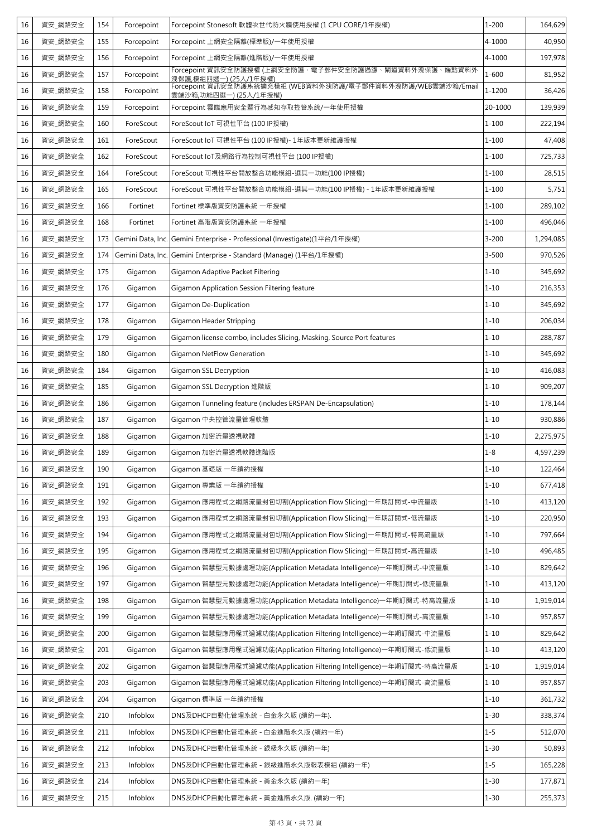| 16 | 資安_網路安全 | 154 | Forcepoint        | Forcepoint Stonesoft 軟體次世代防火牆使用授權 (1 CPU CORE/1年授權)                                   | $1 - 200$ | 164,629   |
|----|---------|-----|-------------------|---------------------------------------------------------------------------------------|-----------|-----------|
| 16 | 資安_網路安全 | 155 | Forcepoint        | Forcepoint 上網安全隔離(標準版)/一年使用授權                                                         | 4-1000    | 40,950    |
| 16 | 資安_網路安全 | 156 | Forcepoint        | Forcepoint 上網安全隔離(進階版)/一年使用授權                                                         | 4-1000    | 197,978   |
| 16 | 資安_網路安全 | 157 | Forcepoint        | Forcepoint 資訊安全防護授權 (上網安全防護、電子郵件安全防護過濾、閘道資料外洩保護、端點資料外<br>洩保護,模組四選一) (25人/1年授權)        | $1 - 600$ | 81,952    |
| 16 | 資安_網路安全 | 158 | Forcepoint        | Forcepoint 資訊安全防護系統擴充模組 (WEB資料外洩防護/電子郵件資料外洩防護/WEB雲端沙箱/Email<br>雲端沙箱,功能四選一) (25人/1年授權) | 1-1200    | 36,426    |
| 16 | 資安_網路安全 | 159 | Forcepoint        | Forcepoint 雲端應用安全暨行為感知存取控管系統/一年使用授權                                                   | 20-1000   | 139,939   |
| 16 | 資安 網路安全 | 160 | ForeScout         | ForeScout IoT 可視性平台 (100 IP授權)                                                        | $1 - 100$ | 222,194   |
| 16 | 資安_網路安全 | 161 | ForeScout         | ForeScout IoT 可視性平台 (100 IP授權)- 1年版本更新維護授權                                            | $1 - 100$ | 47,408    |
| 16 | 資安_網路安全 | 162 | ForeScout         | ForeScout IoT及網路行為控制可視性平台 (100 IP授權)                                                  | $1 - 100$ | 725,733   |
| 16 | 資安_網路安全 | 164 | ForeScout         | ForeScout 可視性平台開放整合功能模組-選其一功能(100 IP授權)                                               | $1 - 100$ | 28,515    |
| 16 | 資安_網路安全 | 165 | ForeScout         | ForeScout 可視性平台開放整合功能模組-選其一功能(100 IP授權) - 1年版本更新維護授權                                  | $1 - 100$ | 5,751     |
| 16 | 資安_網路安全 | 166 | Fortinet          | Fortinet 標準版資安防護系統 一年授權                                                               | $1 - 100$ | 289,102   |
| 16 | 資安_網路安全 | 168 | Fortinet          | Fortinet 高階版資安防護系統 一年授權                                                               | $1 - 100$ | 496,046   |
| 16 | 資安_網路安全 | 173 | Gemini Data, Inc. | Gemini Enterprise - Professional (Investigate)(1平台/1年授權)                              | $3 - 200$ | 1,294,085 |
| 16 | 資安_網路安全 | 174 |                   | Gemini Data, Inc. Gemini Enterprise - Standard (Manage) (1平台/1年授權)                    | $3 - 500$ | 970,526   |
| 16 | 資安_網路安全 | 175 | Gigamon           | Gigamon Adaptive Packet Filtering                                                     | $1 - 10$  | 345,692   |
| 16 | 資安_網路安全 | 176 | Gigamon           | Gigamon Application Session Filtering feature                                         | $1 - 10$  | 216,353   |
| 16 | 資安_網路安全 | 177 | Gigamon           | Gigamon De-Duplication                                                                | $1 - 10$  | 345,692   |
| 16 | 資安_網路安全 | 178 | Gigamon           | Gigamon Header Stripping                                                              | $1 - 10$  | 206,034   |
| 16 | 資安_網路安全 | 179 | Gigamon           | Gigamon license combo, includes Slicing, Masking, Source Port features                | $1 - 10$  | 288,787   |
| 16 | 資安_網路安全 | 180 | Gigamon           | <b>Gigamon NetFlow Generation</b>                                                     | $1 - 10$  | 345,692   |
| 16 | 資安_網路安全 | 184 | Gigamon           | Gigamon SSL Decryption                                                                | $1 - 10$  | 416,083   |
| 16 | 資安_網路安全 | 185 | Gigamon           | Gigamon SSL Decryption 進階版                                                            | $1 - 10$  | 909,207   |
| 16 | 資安_網路安全 | 186 | Gigamon           | Gigamon Tunneling feature (includes ERSPAN De-Encapsulation)                          | $1 - 10$  | 178,144   |
| 16 | 資安_網路安全 | 187 | Gigamon           | Gigamon 中央控管流量管理軟體                                                                    | $1 - 10$  | 930,886   |
| 16 | 資安_網路安全 | 188 | Gigamon           | Gigamon 加密流量透視軟體                                                                      | $1 - 10$  | 2,275,975 |
| 16 | 資安 網路安全 | 189 | Gigamon           | Gigamon 加密流量透視軟體進階版                                                                   | $1 - 8$   | 4,597,239 |
| 16 | 資安_網路安全 | 190 | Gigamon           | Gigamon 基礎版 一年續約授權                                                                    | $1 - 10$  | 122,464   |
| 16 | 資安_網路安全 | 191 | Gigamon           | Gigamon 專業版 一年續約授權                                                                    | $1 - 10$  | 677,418   |
| 16 | 資安_網路安全 | 192 | Gigamon           | Gigamon 應用程式之網路流量封包切割(Application Flow Slicing)一年期訂閱式-中流量版                            | $1 - 10$  | 413,120   |
| 16 | 資安_網路安全 | 193 | Gigamon           | Gigamon 應用程式之網路流量封包切割(Application Flow Slicing)一年期訂閱式-低流量版                            | $1 - 10$  | 220,950   |
| 16 | 資安_網路安全 | 194 | Gigamon           | Gigamon 應用程式之網路流量封包切割(Application Flow Slicing)一年期訂閱式-特高流量版                           | $1 - 10$  | 797,664   |
| 16 | 資安_網路安全 | 195 | Gigamon           | Gigamon 應用程式之網路流量封包切割(Application Flow Slicing)一年期訂閱式-高流量版                            | $1 - 10$  | 496,485   |
| 16 | 資安_網路安全 | 196 | Gigamon           | Gigamon 智慧型元數據處理功能(Application Metadata Intelligence)一年期訂閱式-中流量版                      | $1 - 10$  | 829,642   |
| 16 | 資安_網路安全 | 197 | Gigamon           | Gigamon 智慧型元數據處理功能(Application Metadata Intelligence)一年期訂閱式-低流量版                      | $1 - 10$  | 413,120   |
| 16 | 資安_網路安全 | 198 | Gigamon           | Gigamon 智慧型元數據處理功能(Application Metadata Intelligence)一年期訂閱式-特高流量版                     | $1 - 10$  | 1,919,014 |
| 16 | 資安_網路安全 | 199 | Gigamon           | Gigamon 智慧型元數據處理功能(Application Metadata Intelligence)一年期訂閱式-高流量版                      | $1 - 10$  | 957,857   |
| 16 | 資安_網路安全 | 200 | Gigamon           | Gigamon 智慧型應用程式過濾功能(Application Filtering Intelligence)一年期訂閱式-中流量版                    | $1 - 10$  | 829,642   |
| 16 | 資安_網路安全 | 201 | Gigamon           | Gigamon 智慧型應用程式過濾功能(Application Filtering Intelligence)一年期訂閱式-低流量版                    | $1 - 10$  | 413,120   |
| 16 | 資安_網路安全 | 202 | Gigamon           | Gigamon 智慧型應用程式過濾功能(Application Filtering Intelligence)一年期訂閱式-特高流量版                   | $1 - 10$  | 1,919,014 |
| 16 | 資安_網路安全 | 203 | Gigamon           | Gigamon 智慧型應用程式過濾功能(Application Filtering Intelligence)一年期訂閱式-高流量版                    | $1 - 10$  | 957,857   |
| 16 | 資安_網路安全 | 204 | Gigamon           | Gigamon 標準版 一年續約授權                                                                    | $1 - 10$  | 361,732   |
| 16 | 資安_網路安全 | 210 | Infoblox          | DNS及DHCP自動化管理系統 - 白金永久版 (續約一年).                                                       | $1 - 30$  | 338,374   |
| 16 | 資安_網路安全 | 211 | Infoblox          | DNS及DHCP自動化管理系統 - 白金進階永久版 (續約一年)                                                      | $1 - 5$   | 512,070   |
| 16 | 資安_網路安全 | 212 | Infoblox          | DNS及DHCP自動化管理系統 - 銀級永久版 (續約一年)                                                        | $1 - 30$  | 50,893    |
| 16 | 資安_網路安全 | 213 | Infoblox          | DNS及DHCP自動化管理系統 - 銀級進階永久版報表模組 (續約一年)                                                  | $1 - 5$   | 165,228   |
| 16 | 資安_網路安全 | 214 | Infoblox          | DNS及DHCP自動化管理系統 - 黃金永久版 (續約一年)                                                        | $1 - 30$  | 177,871   |
| 16 | 資安_網路安全 | 215 | Infoblox          | DNS及DHCP自動化管理系統 - 黃金進階永久版. (續約一年)                                                     | $1 - 30$  | 255,373   |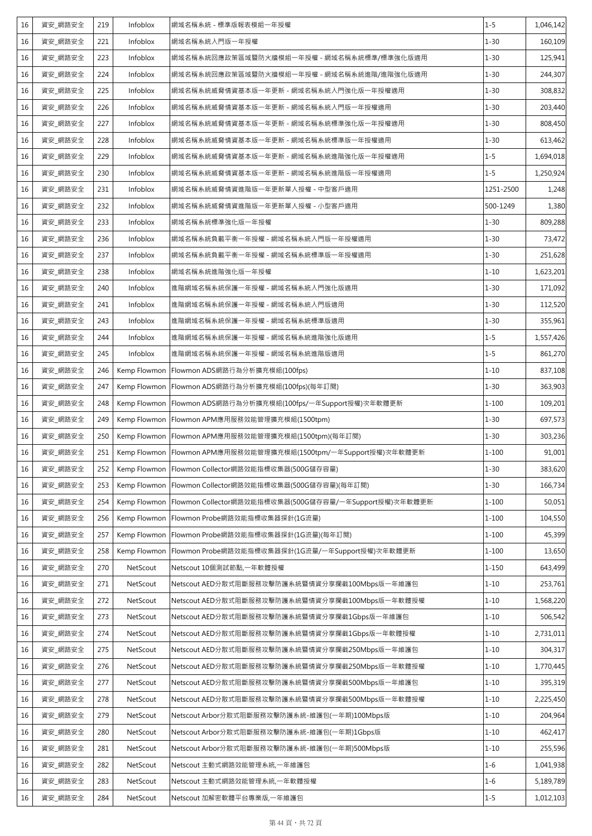| 16 | 資安_網路安全 | 219 | Infoblox     | 網域名稱系統 - 標準版報表模組一年授權                                   | $1 - 5$   | 1,046,142 |
|----|---------|-----|--------------|--------------------------------------------------------|-----------|-----------|
| 16 | 資安_網路安全 | 221 | Infoblox     | 網域名稱系統入門版一年授權                                          | $1 - 30$  | 160,109   |
| 16 | 資安_網路安全 | 223 | Infoblox     | 網域名稱系統回應政策區域暨防火牆模組一年授權 - 網域名稱系統標準/標準強化版適用              | $1 - 30$  | 125,941   |
| 16 | 資安_網路安全 | 224 | Infoblox     | 網域名稱系統回應政策區域暨防火牆模組一年授權 - 網域名稱系統進階/進階強化版適用              | $1 - 30$  | 244,307   |
| 16 | 資安_網路安全 | 225 | Infoblox     | 網域名稱系統威脅情資基本版一年更新 - 網域名稱系統入門強化版一年授權適用                  | $1 - 30$  | 308,832   |
| 16 | 資安_網路安全 | 226 | Infoblox     | 網域名稱系統威脅情資基本版一年更新 - 網域名稱系統入門版一年授權適用                    | $1 - 30$  | 203,440   |
| 16 | 資安_網路安全 | 227 | Infoblox     | 網域名稱系統威脅情資基本版一年更新 - 網域名稱系統標準強化版一年授權適用                  | $1 - 30$  | 808,450   |
| 16 | 資安_網路安全 | 228 | Infoblox     | 網域名稱系統威脅情資基本版一年更新 - 網域名稱系統標準版一年授權適用                    | $1 - 30$  | 613,462   |
| 16 | 資安 網路安全 | 229 | Infoblox     | 網域名稱系統威脅情資基本版一年更新 - 網域名稱系統進階強化版一年授權適用                  | $1 - 5$   | 1,694,018 |
| 16 | 資安_網路安全 | 230 | Infoblox     | 網域名稱系統威脅情資基本版一年更新 - 網域名稱系統進階版一年授權適用                    | $1 - 5$   | 1,250,924 |
| 16 | 資安_網路安全 | 231 | Infoblox     | 網域名稱系統威脅情資進階版一年更新單人授權 - 中型客戶適用                         | 1251-2500 | 1,248     |
| 16 | 資安_網路安全 | 232 | Infoblox     | 網域名稱系統威脅情資進階版一年更新單人授權 - 小型客戶適用                         | 500-1249  | 1,380     |
| 16 | 資安_網路安全 | 233 | Infoblox     | 網域名稱系統標準強化版一年授權                                        | $1 - 30$  | 809,288   |
| 16 | 資安_網路安全 | 236 | Infoblox     | 網域名稱系統負載平衡一年授權 - 網域名稱系統入門版一年授權適用                       | $1 - 30$  | 73,472    |
| 16 | 資安 網路安全 | 237 | Infoblox     | 網域名稱系統負載平衡一年授權 - 網域名稱系統標準版一年授權適用                       | $1 - 30$  | 251,628   |
| 16 | 資安_網路安全 | 238 | Infoblox     | 網域名稱系統進階強化版一年授權                                        | $1 - 10$  | 1,623,201 |
| 16 | 資安_網路安全 | 240 | Infoblox     | 進階網域名稱系統保護一年授權 - 網域名稱系統入門強化版適用                         | $1 - 30$  | 171,092   |
| 16 | 資安_網路安全 | 241 | Infoblox     | 進階網域名稱系統保護一年授權 - 網域名稱系統入門版適用                           | $1 - 30$  | 112,520   |
| 16 | 資安_網路安全 | 243 | Infoblox     | 進階網域名稱系統保護一年授權 - 網域名稱系統標準版適用                           | $1 - 30$  | 355,961   |
| 16 | 資安 網路安全 | 244 | Infoblox     | 進階網域名稱系統保護一年授權 - 網域名稱系統進階強化版適用                         | $1 - 5$   | 1,557,426 |
| 16 | 資安_網路安全 | 245 | Infoblox     | 進階網域名稱系統保護一年授權 - 網域名稱系統進階版適用                           | $1 - 5$   | 861,270   |
| 16 | 資安_網路安全 | 246 | Kemp Flowmon | Flowmon ADS網路行為分析擴充模組(100fps)                          | $1 - 10$  | 837,108   |
| 16 | 資安_網路安全 | 247 | Kemp Flowmon | Flowmon ADS網路行為分析擴充模組(100fps)(每年訂閱)                    | $1 - 30$  | 363,903   |
| 16 | 資安_網路安全 | 248 | Kemp Flowmon | Flowmon ADS網路行為分析擴充模組(100fps/一年Support授權)次年軟體更新        | $1 - 100$ | 109,201   |
| 16 | 資安_網路安全 | 249 | Kemp Flowmon | Flowmon APM應用服務效能管理擴充模組(1500tpm)                       | $1 - 30$  | 697,573   |
| 16 | 資安_網路安全 | 250 | Kemp Flowmon | Flowmon APM應用服務效能管理擴充模組(1500tpm)(每年訂閱)                 | $1 - 30$  | 303,236   |
| 16 | 資安_網路安全 | 251 | Kemp Flowmon | Flowmon APM應用服務效能管理擴充模組(1500tpm/一年Support授權)次年軟體更新     | $1 - 100$ | 91,001    |
| 16 | 資安_網路安全 | 252 | Kemp Flowmon | Flowmon Collector網路效能指標收集器(500G儲存容量)                   | $1 - 30$  | 383,620   |
| 16 | 資安_網路安全 | 253 | Kemp Flowmon | Flowmon Collector網路效能指標收集器(500G儲存容量)(每年訂閱)             | $1 - 30$  | 166,734   |
| 16 | 資安_網路安全 | 254 | Kemp Flowmon | Flowmon Collector網路效能指標收集器(500G儲存容量/一年Support授權)次年軟體更新 | $1 - 100$ | 50,051    |
| 16 | 資安_網路安全 | 256 | Kemp Flowmon | Flowmon Probe網路效能指標收集器探針(1G流量)                         | $1 - 100$ | 104,550   |
| 16 | 資安_網路安全 | 257 | Kemp Flowmon | Flowmon Probe網路效能指標收集器探針(1G流量)(每年訂閱)                   | $1 - 100$ | 45,399    |
| 16 | 資安_網路安全 | 258 | Kemp Flowmon | Flowmon Probe網路效能指標收集器探針(1G流量/一年Support授權)次年軟體更新       | $1 - 100$ | 13,650    |
| 16 | 資安_網路安全 | 270 | NetScout     | Netscout 10個測試節點,一年軟體授權                                | $1 - 150$ | 643,499   |
| 16 | 資安_網路安全 | 271 | NetScout     | Netscout AED分散式阻斷服務攻擊防護系統暨情資分享攔截100Mbps版一年維護包          | $1 - 10$  | 253,761   |
| 16 | 資安_網路安全 | 272 | NetScout     | Netscout AED分散式阻斷服務攻擊防護系統暨情資分享攔截100Mbps版一年軟體授權         | $1 - 10$  | 1,568,220 |
| 16 | 資安_網路安全 | 273 | NetScout     | Netscout AED分散式阻斷服務攻擊防護系統暨情資分享攔截1Gbps版一年維護包            | $1 - 10$  | 506,542   |
| 16 | 資安_網路安全 | 274 | NetScout     | Netscout AED分散式阻斷服務攻擊防護系統暨情資分享攔截1Gbps版一年軟體授權           | $1 - 10$  | 2,731,011 |
| 16 | 資安_網路安全 | 275 | NetScout     | Netscout AED分散式阻斷服務攻擊防護系統暨情資分享攔截250Mbps版一年維護包          | $1 - 10$  | 304,317   |
| 16 | 資安 網路安全 | 276 | NetScout     | Netscout AED分散式阻斷服務攻擊防護系統暨情資分享攔截250Mbps版一年軟體授權         | $1 - 10$  | 1,770,445 |
| 16 | 資安_網路安全 | 277 | NetScout     | Netscout AED分散式阻斷服務攻擊防護系統暨情資分享攔截500Mbps版一年維護包          | $1 - 10$  | 395,319   |
| 16 | 資安 網路安全 | 278 | NetScout     | Netscout AED分散式阻斷服務攻擊防護系統暨情資分享攔截500Mbps版一年軟體授權         | $1 - 10$  | 2,225,450 |
| 16 | 資安 網路安全 | 279 | NetScout     | Netscout Arbor分散式阻斷服務攻擊防護系統-維護包(一年期)100Mbps版           | $1 - 10$  | 204,964   |
| 16 | 資安 網路安全 | 280 | NetScout     | Netscout Arbor分散式阻斷服務攻擊防護系統-維護包(一年期)1Gbps版             | $1 - 10$  | 462,417   |
| 16 | 資安_網路安全 | 281 | NetScout     | Netscout Arbor分散式阻斷服務攻擊防護系統-維護包(一年期)500Mbps版           | $1 - 10$  | 255,596   |
| 16 | 資安_網路安全 | 282 | NetScout     | Netscout 主動式網路效能管理系統,一年維護包                             | $1 - 6$   | 1,041,938 |
| 16 | 資安_網路安全 | 283 | NetScout     | Netscout 主動式網路效能管理系統,一年軟體授權                            | $1 - 6$   | 5,189,789 |
| 16 | 資安_網路安全 | 284 | NetScout     | Netscout 加解密軟體平台專業版,一年維護包                              | $1 - 5$   | 1,012,103 |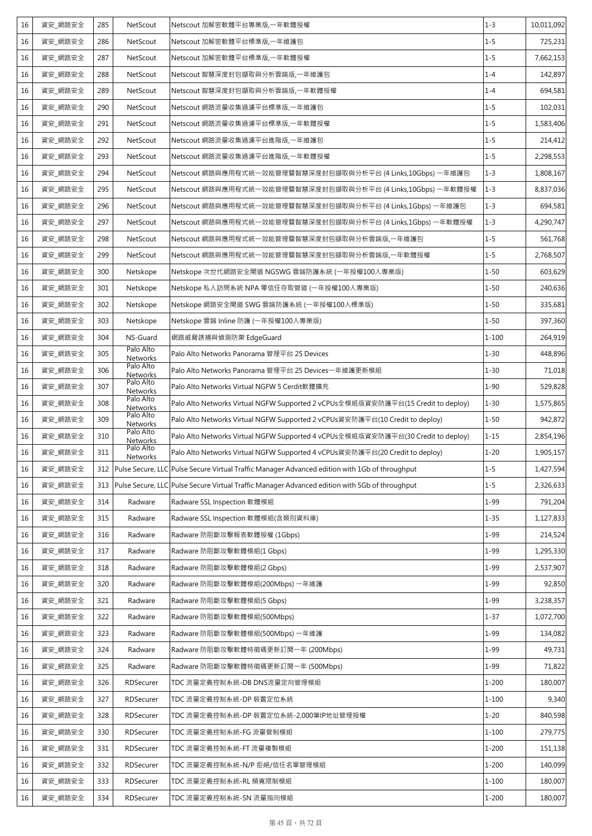| 16 | 資安_網路安全 | 285 | NetScout              | Netscout 加解密軟體平台專業版,一年軟體授權                                                                         | $1 - 3$   | 10,011,092 |
|----|---------|-----|-----------------------|----------------------------------------------------------------------------------------------------|-----------|------------|
| 16 | 資安 網路安全 | 286 | NetScout              | Netscout 加解密軟體平台標準版,一年維護包                                                                          | $1 - 5$   | 725,231    |
| 16 | 資安_網路安全 | 287 | NetScout              | Netscout 加解密軟體平台標準版,一年軟體授權                                                                         | $1 - 5$   | 7,662,153  |
| 16 | 資安_網路安全 | 288 | NetScout              | Netscout 智慧深度封包擷取與分析雲端版,一年維護包                                                                      | $1 - 4$   | 142,897    |
| 16 | 資安_網路安全 | 289 | NetScout              | Netscout 智慧深度封包擷取與分析雲端版,一年軟體授權                                                                     | $1 - 4$   | 694,581    |
| 16 | 資安_網路安全 | 290 | NetScout              | Netscout 網路流量收集過濾平台標準版,一年維護包                                                                       | $1 - 5$   | 102,031    |
| 16 | 資安 網路安全 | 291 | NetScout              | Netscout 網路流量收集過濾平台標準版,一年軟體授權                                                                      | $1 - 5$   | 1,583,406  |
| 16 | 資安_網路安全 | 292 | NetScout              | Netscout 網路流量收集過濾平台進階版,一年維護包                                                                       | $1 - 5$   | 214,412    |
| 16 | 資安_網路安全 | 293 | NetScout              | Netscout 網路流量收集過濾平台進階版,一年軟體授權                                                                      | $1 - 5$   | 2,298,553  |
| 16 | 資安_網路安全 | 294 | NetScout              | Netscout 網路與應用程式統一效能管理暨智慧深度封包擷取與分析平台 (4 Links,10Gbps) 一年維護包                                        | $1 - 3$   | 1,808,167  |
| 16 | 資安_網路安全 | 295 | NetScout              | Netscout 網路與應用程式統一效能管理暨智慧深度封包擷取與分析平台 (4 Links,10Gbps) 一年軟體授權                                       | $1 - 3$   | 8,837,036  |
| 16 | 資安_網路安全 | 296 | NetScout              | Netscout 網路與應用程式統一效能管理暨智慧深度封包擷取與分析平台 (4 Links,1Gbps) 一年維護包                                         | $1 - 3$   | 694,581    |
| 16 | 資安 網路安全 | 297 | NetScout              | Netscout 網路與應用程式統一效能管理暨智慧深度封包擷取與分析平台 (4 Links,1Gbps) 一年軟體授權                                        | $1 - 3$   | 4,290,747  |
| 16 | 資安_網路安全 | 298 | NetScout              | Netscout 網路與應用程式統一效能管理暨智慧深度封包擷取與分析雲端版,一年維護包                                                        | $1 - 5$   | 561,768    |
| 16 | 資安_網路安全 | 299 | NetScout              | Netscout 網路與應用程式統一效能管理暨智慧深度封包擷取與分析雲端版,一年軟體授權                                                       | $1 - 5$   | 2,768,507  |
| 16 | 資安_網路安全 | 300 | Netskope              | Netskope 次世代網路安全閘道 NGSWG 雲端防護系統 (一年授權100人專業版)                                                      | $1 - 50$  | 603,629    |
| 16 | 資安_網路安全 | 301 | Netskope              | Netskope 私人訪問系統 NPA 零信任存取管道 (一年授權100人專業版)                                                          | $1 - 50$  | 240,636    |
| 16 | 資安_網路安全 | 302 | Netskope              | Netskope 網路安全閘道 SWG 雲端防護系統 (一年授權100人標準版)                                                           | $1 - 50$  | 335,681    |
| 16 | 資安_網路安全 | 303 | Netskope              | Netskope 雲端 Inline 防護 (一年授權100人專業版)                                                                | $1 - 50$  | 397,360    |
| 16 | 資安 網路安全 | 304 | NS-Guard              | 網路威脅誘捕與偵測防禦 EdgeGuard                                                                              | $1 - 100$ | 264,919    |
| 16 | 資安_網路安全 | 305 | Palo Alto<br>Networks | Palo Alto Networks Panorama 管理平台 25 Devices                                                        | $1 - 30$  | 448,896    |
| 16 | 資安_網路安全 | 306 | Palo Alto<br>Networks | Palo Alto Networks Panorama 管理平台 25 Devices一年維護更新模組                                                | $1 - 30$  | 71,018     |
| 16 | 資安_網路安全 | 307 | Palo Alto<br>Networks | Palo Alto Networks Virtual NGFW 5 Cerdit軟體擴充                                                       | $1 - 90$  | 529,828    |
| 16 | 資安_網路安全 | 308 | Palo Alto<br>Networks | Palo Alto Networks Virtual NGFW Supported 2 vCPUs全模組版資安防護平台(15 Credit to deploy)                   | $1 - 30$  | 1,575,865  |
| 16 | 資安 網路安全 | 309 | Palo Alto<br>Networks | Palo Alto Networks Virtual NGFW Supported 2 vCPUs資安防護平台(10 Credit to deploy)                       | $1 - 50$  | 942,872    |
| 16 | 資安_網路安全 | 310 | Palo Alto<br>Networks | Palo Alto Networks Virtual NGFW Supported 4 vCPUs全模組版資安防護平台(30 Credit to deploy)                   | $1 - 15$  | 2,854,196  |
| 16 | 資安_網路安全 | 311 | Palo Alto<br>Networks | Palo Alto Networks Virtual NGFW Supported 4 vCPUs資安防護平台(20 Credit to deploy)                       | $1 - 20$  | 1,905,157  |
| 16 | 資安_網路安全 |     |                       | 312 Pulse Secure, LLC Pulse Secure Virtual Traffic Manager Advanced edition with 1Gb of throughput | $1 - 5$   | 1,427,594  |
| 16 | 資安_網路安全 |     |                       | 313 Pulse Secure, LLC Pulse Secure Virtual Traffic Manager Advanced edition with 5Gb of throughput | $1 - 5$   | 2,326,633  |
| 16 | 資安_網路安全 | 314 | Radware               | Radware SSL Inspection 軟體模組                                                                        | $1 - 99$  | 791,204    |
| 16 | 資安_網路安全 | 315 | Radware               | Radware SSL Inspection 軟體模組(含類別資料庫)                                                                | $1 - 35$  | 1,127,833  |
| 16 | 資安_網路安全 | 316 | Radware               | Radware 防阻斷攻擊報表軟體授權 (1Gbps)                                                                        | $1 - 99$  | 214,524    |
| 16 | 資安_網路安全 | 317 | Radware               | Radware 防阻斷攻擊軟體模組(1 Gbps)                                                                          | $1 - 99$  | 1,295,330  |
| 16 | 資安_網路安全 | 318 | Radware               | Radware 防阻斷攻擊軟體模組(2 Gbps)                                                                          | $1 - 99$  | 2,537,907  |
| 16 | 資安_網路安全 | 320 | Radware               | Radware 防阻斷攻擊軟體模組(200Mbps) 一年維護                                                                    | $1 - 99$  | 92,850     |
| 16 | 資安_網路安全 | 321 | Radware               | Radware 防阻斷攻擊軟體模組(5 Gbps)                                                                          | $1 - 99$  | 3,238,357  |
| 16 | 資安_網路安全 | 322 | Radware               | Radware 防阻斷攻擊軟體模組(500Mbps)                                                                         | $1 - 37$  | 1,072,700  |
| 16 | 資安_網路安全 | 323 | Radware               | Radware 防阻斷攻擊軟體模組(500Mbps) 一年維護                                                                    | $1 - 99$  | 134,082    |
| 16 | 資安_網路安全 | 324 | Radware               | Radware 防阻斷攻擊軟體特徵碼更新訂閱一年 (200Mbps)                                                                 | $1 - 99$  | 49,731     |
| 16 | 資安 網路安全 | 325 | Radware               | Radware 防阻斷攻擊軟體特徵碼更新訂閱一年 (500Mbps)                                                                 | $1 - 99$  | 71,822     |
| 16 | 資安_網路安全 | 326 | RDSecurer             | TDC 流量定義控制系統-DB DNS流量定向管理模組                                                                        | $1 - 200$ | 180,007    |
| 16 | 資安_網路安全 | 327 | RDSecurer             | TDC 流量定義控制系統-DP 裝置定位系統                                                                             | $1 - 100$ | 9,340      |
| 16 | 資安_網路安全 | 328 | RDSecurer             | TDC 流量定義控制系統-DP 裝置定位系統-2,000筆IP地址管理授權                                                              | $1 - 20$  | 840,598    |
| 16 | 資安_網路安全 | 330 | RDSecurer             | TDC 流量定義控制系統-FG 流量管制模組                                                                             | $1 - 100$ | 279,775    |
| 16 | 資安_網路安全 | 331 | RDSecurer             | TDC 流量定義控制系統-FT 流量複製模組                                                                             | $1 - 200$ | 151,138    |
| 16 | 資安_網路安全 | 332 | RDSecurer             | TDC 流量定義控制系統-N/P 拒絕/信任名單管理模組                                                                       | $1 - 200$ | 140,099    |
| 16 | 資安_網路安全 | 333 | RDSecurer             | TDC 流量定義控制系統-RL 頻寬限制模組                                                                             | $1 - 100$ | 180,007    |
| 16 | 資安_網路安全 | 334 | RDSecurer             | TDC 流量定義控制系統-SN 流量指向模組                                                                             | $1 - 200$ | 180,007    |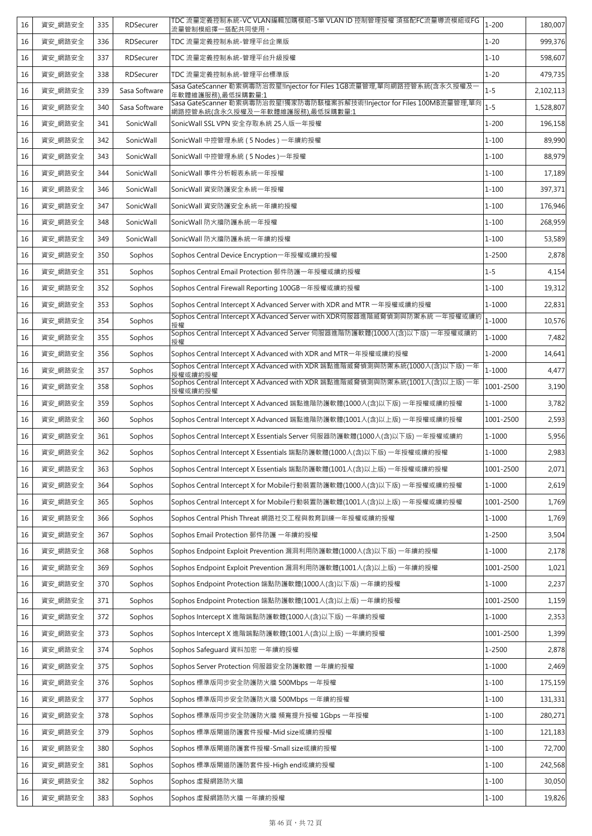| 16 | 資安_網路安全 | 335 | RDSecurer     | TDC 流量定義控制系統-VC VLAN編輯加購模組-5筆 VLAN ID 控制管理授權 須搭配FC流量導流模組或FG<br>流量管制模組擇一搭配共同使用。                            | $1 - 200$  | 180,007   |
|----|---------|-----|---------------|-----------------------------------------------------------------------------------------------------------|------------|-----------|
| 16 | 資安 網路安全 | 336 | RDSecurer     | TDC 流量定義控制系統-管理平台企業版                                                                                      | $1 - 20$   | 999,376   |
| 16 | 資安_網路安全 | 337 | RDSecurer     | TDC 流量定義控制系統-管理平台升級授權                                                                                     | $1 - 10$   | 598,607   |
| 16 | 資安_網路安全 | 338 | RDSecurer     | TDC 流量定義控制系統-管理平台標準版                                                                                      | $1 - 20$   | 479,735   |
| 16 | 資安_網路安全 | 339 | Sasa Software | Sasa GateScanner 勒索病毒防治救星!Injector for Files 1GB流量管理,單向網路控管系統(含永久授權及-<br>年軟體維護服務),最低採購數量:1                | $1 - 5$    | 2,102,113 |
| 16 | 資安_網路安全 | 340 | Sasa Software | Sasa GateScanner 勒索病毒防治救星!獨家防毒防駭檔案拆解技術!Injector for Files 100MB流量管理,單向<br>網路控管系統(含永久授權及一年軟體維護服務),最低採購數量:1 | $1 - 5$    | 1,528,807 |
| 16 | 資安 網路安全 | 341 | SonicWall     | SonicWall SSL VPN 安全存取系統 25人版一年授權                                                                         | $1 - 200$  | 196,158   |
| 16 | 資安_網路安全 | 342 | SonicWall     | SonicWall 中控管理系統 (5 Nodes) 一年續約授權                                                                         | $1 - 100$  | 89,990    |
| 16 | 資安_網路安全 | 343 | SonicWall     | SonicWall 中控管理系統 (5 Nodes)一年授權                                                                            | $1 - 100$  | 88,979    |
| 16 | 資安_網路安全 | 344 | SonicWall     | SonicWall 事件分析報表系統一年授權                                                                                    | $1 - 100$  | 17,189    |
| 16 | 資安_網路安全 | 346 | SonicWall     | SonicWall 資安防護安全系統一年授權                                                                                    | $1 - 100$  | 397,371   |
| 16 | 資安_網路安全 | 347 | SonicWall     | SonicWall 資安防護安全系統一年續約授權                                                                                  | $1 - 100$  | 176,946   |
| 16 | 資安_網路安全 | 348 | SonicWall     | SonicWall 防火牆防護系統一年授權                                                                                     | $1 - 100$  | 268,959   |
| 16 | 資安_網路安全 | 349 | SonicWall     | SonicWall 防火牆防護系統一年續約授權                                                                                   | $1 - 100$  | 53,589    |
| 16 | 資安_網路安全 | 350 | Sophos        | Sophos Central Device Encryption-年授權或續約授權                                                                 | 1-2500     | 2,878     |
| 16 | 資安_網路安全 | 351 | Sophos        | Sophos Central Email Protection 郵件防護一年授權或續約授權                                                             | $1 - 5$    | 4,154     |
| 16 | 資安_網路安全 | 352 | Sophos        | Sophos Central Firewall Reporting 100GB一年授權或續約授權                                                          | $1 - 100$  | 19,312    |
| 16 | 資安_網路安全 | 353 | Sophos        | Sophos Central Intercept X Advanced Server with XDR and MTR 一年授權或續約授權                                     | 1-1000     | 22,831    |
| 16 | 資安_網路安全 | 354 | Sophos        | Sophos Central Intercept X Advanced Server with XDR伺服器進階威脅偵測與防禦系統一年授權或續約<br>授權                            | $1 - 1000$ | 10,576    |
| 16 | 資安_網路安全 | 355 | Sophos        | Sophos Central Intercept X Advanced Server 伺服器進階防護軟體(1000人(含)以下版)一年授權或續約<br>授權                            | 1-1000     | 7,482     |
| 16 | 資安_網路安全 | 356 | Sophos        | Sophos Central Intercept X Advanced with XDR and MTR-年授權或續約授權                                             | 1-2000     | 14,641    |
| 16 | 資安_網路安全 | 357 | Sophos        | Sophos Central Intercept X Advanced with XDR 端點進階威脅偵測與防禦系統(1000人(含)以下版)一年<br>授權或續約授權                      | $1 - 1000$ | 4,477     |
| 16 | 資安 網路安全 | 358 | Sophos        | Sophos Central Intercept X Advanced with XDR 端點進階威脅偵測與防禦系統(1001人(含)以上版) 一年<br>授權或續約授權                     | 1001-2500  | 3,190     |
| 16 | 資安_網路安全 | 359 | Sophos        | Sophos Central Intercept X Advanced 端點進階防護軟體(1000人(含)以下版)一年授權或續約授權                                        | 1-1000     | 3,782     |
| 16 | 資安 網路安全 | 360 | Sophos        | Sophos Central Intercept X Advanced 端點進階防護軟體(1001人(含)以上版) 一年授權或續約授權                                       | 1001-2500  | 2,593     |
| 16 | 資安_網路安全 | 361 | Sophos        | Sophos Central Intercept X Essentials Server 伺服器防護軟體(1000人(含)以下版) 一年授權或續約                                 | 1-1000     | 5,956     |
| 16 | 資安_網路安全 | 362 | Sophos        | Sophos Central Intercept X Essentials 端點防護軟體(1000人(含)以下版) 一年授權或續約授權                                       | 1-1000     | 2,983     |
| 16 | 資安_網路安全 | 363 | Sophos        | Sophos Central Intercept X Essentials 端點防護軟體(1001人(含)以上版) 一年授權或續約授權                                       | 1001-2500  | 2,071     |
| 16 | 資安_網路安全 | 364 | Sophos        | Sophos Central Intercept X for Mobile行動裝置防護軟體(1000人(含)以下版)一年授權或續約授權                                       | 1-1000     | 2,619     |
| 16 | 資安 網路安全 | 365 | Sophos        | Sophos Central Intercept X for Mobile行動裝置防護軟體(1001人(含)以上版)一年授權或續約授權                                       | 1001-2500  | 1,769     |
| 16 | 資安 網路安全 | 366 | Sophos        | Sophos Central Phish Threat 網路社交工程與教育訓練一年授權或續約授權                                                          | $1 - 1000$ | 1,769     |
| 16 | 資安_網路安全 | 367 | Sophos        | Sophos Email Protection 郵件防護 一年續約授權                                                                       | 1-2500     | 3,504     |
| 16 | 資安_網路安全 | 368 | Sophos        | Sophos Endpoint Exploit Prevention 漏洞利用防護軟體(1000人(含)以下版) 一年續約授權                                           | 1-1000     | 2,178     |
| 16 | 資安_網路安全 | 369 | Sophos        | Sophos Endpoint Exploit Prevention 漏洞利用防護軟體(1001人(含)以上版) 一年續約授權                                           | 1001-2500  | 1,021     |
| 16 | 資安_網路安全 | 370 | Sophos        | Sophos Endpoint Protection 端點防護軟體(1000人(含)以下版) 一年續約授權                                                     | $1 - 1000$ | 2,237     |
| 16 | 資安_網路安全 | 371 | Sophos        | Sophos Endpoint Protection 端點防護軟體(1001人(含)以上版) 一年續約授權                                                     | 1001-2500  | 1,159     |
| 16 | 資安_網路安全 | 372 | Sophos        | Sophos Intercept X 進階端點防護軟體(1000人(含)以下版) 一年續約授權                                                           | 1-1000     | 2,353     |
| 16 | 資安_網路安全 | 373 | Sophos        | Sophos Intercept X 進階端點防護軟體(1001人(含)以上版) 一年續約授權                                                           | 1001-2500  | 1,399     |
| 16 | 資安_網路安全 | 374 | Sophos        | Sophos Safeguard 資料加密 一年續約授權                                                                              | 1-2500     | 2,878     |
| 16 | 資安_網路安全 | 375 | Sophos        | Sophos Server Protection 伺服器安全防護軟體 一年續約授權                                                                 | 1-1000     | 2,469     |
| 16 | 資安_網路安全 | 376 | Sophos        | Sophos 標準版同步安全防護防火牆 500Mbps 一年授權                                                                          | $1 - 100$  | 175,159   |
| 16 | 資安_網路安全 | 377 | Sophos        | Sophos 標準版同步安全防護防火牆 500Mbps 一年續約授權                                                                        | $1 - 100$  | 131,331   |
| 16 | 資安_網路安全 | 378 | Sophos        | Sophos 標準版同步安全防護防火牆 頻寬提升授權 1Gbps 一年授權                                                                     | $1 - 100$  | 280,271   |
| 16 | 資安_網路安全 | 379 | Sophos        | Sophos 標準版閘道防護套件授權-Mid size或續約授權                                                                          | $1 - 100$  | 121,183   |
| 16 | 資安_網路安全 | 380 | Sophos        | Sophos 標準版閘道防護套件授權-Small size或續約授權                                                                        | $1 - 100$  | 72,700    |
| 16 | 資安_網路安全 | 381 | Sophos        | Sophos 標準版閘道防護防套件授-High end或續約授權                                                                          | $1 - 100$  | 242,568   |
| 16 | 資安_網路安全 | 382 | Sophos        | Sophos 虛擬網路防火牆                                                                                            | $1 - 100$  | 30,050    |
| 16 | 資安_網路安全 | 383 | Sophos        | Sophos 虛擬網路防火牆 一年續約授權                                                                                     | $1 - 100$  | 19,826    |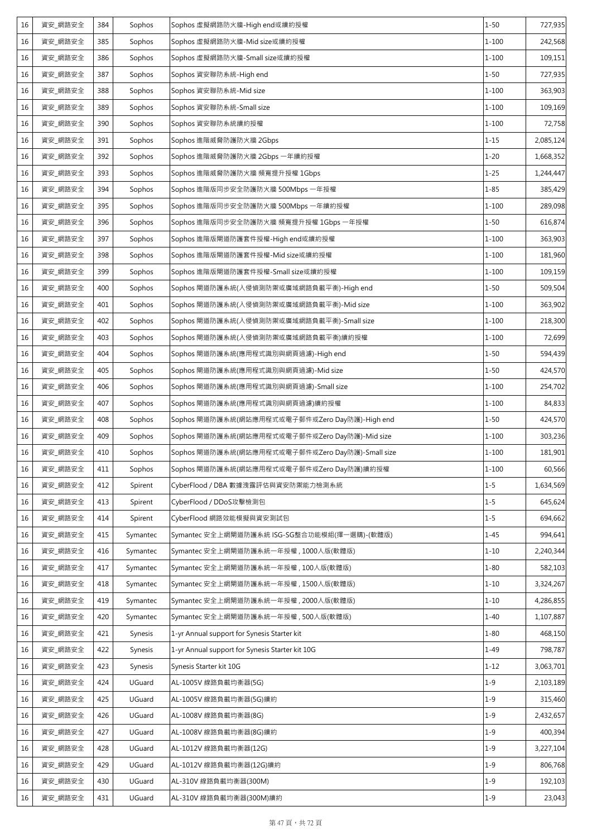| 16<br>資安 網路安全<br>385<br>Sophos<br>Sophos 虛擬網路防火牆-Mid size或續約授權<br>$1 - 100$<br>16<br>資安_網路安全<br>386<br>Sophos<br>Sophos 虛擬網路防火牆-Small size或續約授權<br>$1 - 100$<br>資安_網路安全<br>$1 - 50$<br>387<br>Sophos<br>Sophos 資安聯防系統-High end<br>16<br>資安_網路安全<br>$1 - 100$<br>16<br>388<br>Sophos<br>Sophos 資安聯防系統-Mid size<br>資安_網路安全<br>16<br>389<br>Sophos<br>Sophos 資安聯防系統-Small size<br>$1 - 100$<br>資安_網路安全<br>$1 - 100$<br>16<br>390<br>Sophos<br>Sophos 資安聯防系統續約授權<br>$1 - 15$<br>資安_網路安全<br>16<br>391<br>Sophos<br>Sophos 進階威脅防護防火牆 2Gbps<br>$1 - 20$<br>資安_網路安全<br>392<br>Sophos 進階威脅防護防火牆 2Gbps 一年續約授權<br>16<br>Sophos<br>16<br>$1 - 25$<br>資安_網路安全<br>393<br>Sophos<br>Sophos 進階威脅防護防火牆 頻寬提升授權 1Gbps<br>資安_網路安全<br>Sophos 進階版同步安全防護防火牆 500Mbps 一年授權<br>$1 - 85$<br>16<br>394<br>Sophos<br>$1 - 100$<br>395<br>16<br>資安_網路安全<br>Sophos<br>Sophos 進階版同步安全防護防火牆 500Mbps 一年續約授權<br>$1 - 50$<br>資安_網路安全<br>Sophos 進階版同步安全防護防火牆 頻寬提升授權 1Gbps 一年授權<br>396<br>Sophos<br>16<br>資安_網路安全<br>397<br>$1 - 100$<br>16<br>Sophos<br>Sophos 進階版閘道防護套件授權-High end或續約授權<br>資安_網路安全<br>Sophos 進階版閘道防護套件授權-Mid size或續約授權<br>$1 - 100$<br>16<br>398<br>Sophos<br>$1 - 100$<br>資安_網路安全<br>16<br>399<br>Sophos<br>Sophos 進階版閘道防護套件授權-Small size或續約授權<br>$1 - 50$<br>資安_網路安全<br>16<br>400<br>Sophos<br>Sophos 閘道防護系統(入侵偵測防禦或廣域網路負載平衡)-High end<br>資安_網路安全<br>$1 - 100$<br>16<br>401<br>Sophos<br>Sophos 閘道防護系統(入侵偵測防禦或廣域網路負載平衡)-Mid size<br>資安_網路安全<br>Sophos 閘道防護系統(入侵偵測防禦或廣域網路負載平衡)-Small size<br>16<br>402<br>Sophos<br>$1 - 100$<br>$1 - 100$<br>16<br>資安_網路安全<br>403<br>Sophos<br>Sophos 閘道防護系統(入侵偵測防禦或廣域網路負載平衡)續約授權<br>$1 - 50$<br>資安_網路安全<br>16<br>404<br>Sophos<br>Sophos 閘道防護系統(應用程式識別與網頁過濾)-High end<br>資安_網路安全<br>$1 - 50$<br>16<br>405<br>Sophos<br>Sophos 閘道防護系統(應用程式識別與網頁過濾)-Mid size<br>16<br>資安 網路安全<br>406<br>Sophos 閘道防護系統(應用程式識別與網頁過濾)-Small size<br>$1 - 100$<br>Sophos<br>16<br>資安_網路安全<br>407<br>Sophos<br>Sophos 閘道防護系統(應用程式識別與網頁過濾)續約授權<br>$1 - 100$<br>資安 網路安全<br>$1 - 50$<br>408<br>Sophos<br>Sophos 閘道防護系統(網站應用程式或電子郵件或Zero Day防護)-High end<br>16<br>16<br>資安_網路安全<br>409<br>Sophos<br>Sophos 閘道防護系統(網站應用程式或電子郵件或Zero Day防護)-Mid size<br>$1 - 100$<br>16<br>資安 網路安全<br>410<br>Sophos 閘道防護系統(網站應用程式或電子郵件或Zero Day防護)-Small size<br>$1 - 100$<br>Sophos | 242,568<br>109,151 |
|--------------------------------------------------------------------------------------------------------------------------------------------------------------------------------------------------------------------------------------------------------------------------------------------------------------------------------------------------------------------------------------------------------------------------------------------------------------------------------------------------------------------------------------------------------------------------------------------------------------------------------------------------------------------------------------------------------------------------------------------------------------------------------------------------------------------------------------------------------------------------------------------------------------------------------------------------------------------------------------------------------------------------------------------------------------------------------------------------------------------------------------------------------------------------------------------------------------------------------------------------------------------------------------------------------------------------------------------------------------------------------------------------------------------------------------------------------------------------------------------------------------------------------------------------------------------------------------------------------------------------------------------------------------------------------------------------------------------------------------------------------------------------------------------------------------------------------------------------------------------------------------------------------------------------------------------------------------------------------------------------------------------------------------------------------------------------------------------------------------------------------------------------------------------------------------------------------------------------------------------------------|--------------------|
|                                                                                                                                                                                                                                                                                                                                                                                                                                                                                                                                                                                                                                                                                                                                                                                                                                                                                                                                                                                                                                                                                                                                                                                                                                                                                                                                                                                                                                                                                                                                                                                                                                                                                                                                                                                                                                                                                                                                                                                                                                                                                                                                                                                                                                                        |                    |
|                                                                                                                                                                                                                                                                                                                                                                                                                                                                                                                                                                                                                                                                                                                                                                                                                                                                                                                                                                                                                                                                                                                                                                                                                                                                                                                                                                                                                                                                                                                                                                                                                                                                                                                                                                                                                                                                                                                                                                                                                                                                                                                                                                                                                                                        |                    |
|                                                                                                                                                                                                                                                                                                                                                                                                                                                                                                                                                                                                                                                                                                                                                                                                                                                                                                                                                                                                                                                                                                                                                                                                                                                                                                                                                                                                                                                                                                                                                                                                                                                                                                                                                                                                                                                                                                                                                                                                                                                                                                                                                                                                                                                        | 727,935            |
|                                                                                                                                                                                                                                                                                                                                                                                                                                                                                                                                                                                                                                                                                                                                                                                                                                                                                                                                                                                                                                                                                                                                                                                                                                                                                                                                                                                                                                                                                                                                                                                                                                                                                                                                                                                                                                                                                                                                                                                                                                                                                                                                                                                                                                                        | 363,903            |
|                                                                                                                                                                                                                                                                                                                                                                                                                                                                                                                                                                                                                                                                                                                                                                                                                                                                                                                                                                                                                                                                                                                                                                                                                                                                                                                                                                                                                                                                                                                                                                                                                                                                                                                                                                                                                                                                                                                                                                                                                                                                                                                                                                                                                                                        | 109,169            |
|                                                                                                                                                                                                                                                                                                                                                                                                                                                                                                                                                                                                                                                                                                                                                                                                                                                                                                                                                                                                                                                                                                                                                                                                                                                                                                                                                                                                                                                                                                                                                                                                                                                                                                                                                                                                                                                                                                                                                                                                                                                                                                                                                                                                                                                        | 72,758             |
|                                                                                                                                                                                                                                                                                                                                                                                                                                                                                                                                                                                                                                                                                                                                                                                                                                                                                                                                                                                                                                                                                                                                                                                                                                                                                                                                                                                                                                                                                                                                                                                                                                                                                                                                                                                                                                                                                                                                                                                                                                                                                                                                                                                                                                                        | 2,085,124          |
|                                                                                                                                                                                                                                                                                                                                                                                                                                                                                                                                                                                                                                                                                                                                                                                                                                                                                                                                                                                                                                                                                                                                                                                                                                                                                                                                                                                                                                                                                                                                                                                                                                                                                                                                                                                                                                                                                                                                                                                                                                                                                                                                                                                                                                                        | 1,668,352          |
|                                                                                                                                                                                                                                                                                                                                                                                                                                                                                                                                                                                                                                                                                                                                                                                                                                                                                                                                                                                                                                                                                                                                                                                                                                                                                                                                                                                                                                                                                                                                                                                                                                                                                                                                                                                                                                                                                                                                                                                                                                                                                                                                                                                                                                                        | 1,244,447          |
|                                                                                                                                                                                                                                                                                                                                                                                                                                                                                                                                                                                                                                                                                                                                                                                                                                                                                                                                                                                                                                                                                                                                                                                                                                                                                                                                                                                                                                                                                                                                                                                                                                                                                                                                                                                                                                                                                                                                                                                                                                                                                                                                                                                                                                                        | 385,429            |
|                                                                                                                                                                                                                                                                                                                                                                                                                                                                                                                                                                                                                                                                                                                                                                                                                                                                                                                                                                                                                                                                                                                                                                                                                                                                                                                                                                                                                                                                                                                                                                                                                                                                                                                                                                                                                                                                                                                                                                                                                                                                                                                                                                                                                                                        | 289,098            |
|                                                                                                                                                                                                                                                                                                                                                                                                                                                                                                                                                                                                                                                                                                                                                                                                                                                                                                                                                                                                                                                                                                                                                                                                                                                                                                                                                                                                                                                                                                                                                                                                                                                                                                                                                                                                                                                                                                                                                                                                                                                                                                                                                                                                                                                        | 616,874            |
|                                                                                                                                                                                                                                                                                                                                                                                                                                                                                                                                                                                                                                                                                                                                                                                                                                                                                                                                                                                                                                                                                                                                                                                                                                                                                                                                                                                                                                                                                                                                                                                                                                                                                                                                                                                                                                                                                                                                                                                                                                                                                                                                                                                                                                                        | 363,903            |
|                                                                                                                                                                                                                                                                                                                                                                                                                                                                                                                                                                                                                                                                                                                                                                                                                                                                                                                                                                                                                                                                                                                                                                                                                                                                                                                                                                                                                                                                                                                                                                                                                                                                                                                                                                                                                                                                                                                                                                                                                                                                                                                                                                                                                                                        | 181,960            |
|                                                                                                                                                                                                                                                                                                                                                                                                                                                                                                                                                                                                                                                                                                                                                                                                                                                                                                                                                                                                                                                                                                                                                                                                                                                                                                                                                                                                                                                                                                                                                                                                                                                                                                                                                                                                                                                                                                                                                                                                                                                                                                                                                                                                                                                        | 109,159            |
|                                                                                                                                                                                                                                                                                                                                                                                                                                                                                                                                                                                                                                                                                                                                                                                                                                                                                                                                                                                                                                                                                                                                                                                                                                                                                                                                                                                                                                                                                                                                                                                                                                                                                                                                                                                                                                                                                                                                                                                                                                                                                                                                                                                                                                                        | 509,504            |
|                                                                                                                                                                                                                                                                                                                                                                                                                                                                                                                                                                                                                                                                                                                                                                                                                                                                                                                                                                                                                                                                                                                                                                                                                                                                                                                                                                                                                                                                                                                                                                                                                                                                                                                                                                                                                                                                                                                                                                                                                                                                                                                                                                                                                                                        | 363,902            |
|                                                                                                                                                                                                                                                                                                                                                                                                                                                                                                                                                                                                                                                                                                                                                                                                                                                                                                                                                                                                                                                                                                                                                                                                                                                                                                                                                                                                                                                                                                                                                                                                                                                                                                                                                                                                                                                                                                                                                                                                                                                                                                                                                                                                                                                        | 218,300            |
|                                                                                                                                                                                                                                                                                                                                                                                                                                                                                                                                                                                                                                                                                                                                                                                                                                                                                                                                                                                                                                                                                                                                                                                                                                                                                                                                                                                                                                                                                                                                                                                                                                                                                                                                                                                                                                                                                                                                                                                                                                                                                                                                                                                                                                                        | 72,699             |
|                                                                                                                                                                                                                                                                                                                                                                                                                                                                                                                                                                                                                                                                                                                                                                                                                                                                                                                                                                                                                                                                                                                                                                                                                                                                                                                                                                                                                                                                                                                                                                                                                                                                                                                                                                                                                                                                                                                                                                                                                                                                                                                                                                                                                                                        | 594,439            |
|                                                                                                                                                                                                                                                                                                                                                                                                                                                                                                                                                                                                                                                                                                                                                                                                                                                                                                                                                                                                                                                                                                                                                                                                                                                                                                                                                                                                                                                                                                                                                                                                                                                                                                                                                                                                                                                                                                                                                                                                                                                                                                                                                                                                                                                        | 424,570            |
|                                                                                                                                                                                                                                                                                                                                                                                                                                                                                                                                                                                                                                                                                                                                                                                                                                                                                                                                                                                                                                                                                                                                                                                                                                                                                                                                                                                                                                                                                                                                                                                                                                                                                                                                                                                                                                                                                                                                                                                                                                                                                                                                                                                                                                                        | 254,702            |
|                                                                                                                                                                                                                                                                                                                                                                                                                                                                                                                                                                                                                                                                                                                                                                                                                                                                                                                                                                                                                                                                                                                                                                                                                                                                                                                                                                                                                                                                                                                                                                                                                                                                                                                                                                                                                                                                                                                                                                                                                                                                                                                                                                                                                                                        | 84,833             |
|                                                                                                                                                                                                                                                                                                                                                                                                                                                                                                                                                                                                                                                                                                                                                                                                                                                                                                                                                                                                                                                                                                                                                                                                                                                                                                                                                                                                                                                                                                                                                                                                                                                                                                                                                                                                                                                                                                                                                                                                                                                                                                                                                                                                                                                        | 424,570            |
|                                                                                                                                                                                                                                                                                                                                                                                                                                                                                                                                                                                                                                                                                                                                                                                                                                                                                                                                                                                                                                                                                                                                                                                                                                                                                                                                                                                                                                                                                                                                                                                                                                                                                                                                                                                                                                                                                                                                                                                                                                                                                                                                                                                                                                                        | 303,236            |
|                                                                                                                                                                                                                                                                                                                                                                                                                                                                                                                                                                                                                                                                                                                                                                                                                                                                                                                                                                                                                                                                                                                                                                                                                                                                                                                                                                                                                                                                                                                                                                                                                                                                                                                                                                                                                                                                                                                                                                                                                                                                                                                                                                                                                                                        | 181,901            |
| 資安_網路安全<br>$1 - 100$<br>16<br>411<br>Sophos<br>Sophos 閘道防護系統(網站應用程式或電子郵件或Zero Day防護)續約授權                                                                                                                                                                                                                                                                                                                                                                                                                                                                                                                                                                                                                                                                                                                                                                                                                                                                                                                                                                                                                                                                                                                                                                                                                                                                                                                                                                                                                                                                                                                                                                                                                                                                                                                                                                                                                                                                                                                                                                                                                                                                                                                                                               | 60,566             |
| $1 - 5$<br>16<br>資安_網路安全<br>412<br>Spirent<br>CyberFlood / DBA 數據洩露評估與資安防禦能力檢測系統                                                                                                                                                                                                                                                                                                                                                                                                                                                                                                                                                                                                                                                                                                                                                                                                                                                                                                                                                                                                                                                                                                                                                                                                                                                                                                                                                                                                                                                                                                                                                                                                                                                                                                                                                                                                                                                                                                                                                                                                                                                                                                                                                                       | 1,634,569          |
| 資安_網路安全<br>$1 - 5$<br>16<br>413<br>Spirent<br>CyberFlood / DDoS攻擊檢測包                                                                                                                                                                                                                                                                                                                                                                                                                                                                                                                                                                                                                                                                                                                                                                                                                                                                                                                                                                                                                                                                                                                                                                                                                                                                                                                                                                                                                                                                                                                                                                                                                                                                                                                                                                                                                                                                                                                                                                                                                                                                                                                                                                                   | 645,624            |
| $1 - 5$<br>16<br>資安 網路安全<br>Spirent<br>CyberFlood 網路效能模擬與資安測試包<br>414                                                                                                                                                                                                                                                                                                                                                                                                                                                                                                                                                                                                                                                                                                                                                                                                                                                                                                                                                                                                                                                                                                                                                                                                                                                                                                                                                                                                                                                                                                                                                                                                                                                                                                                                                                                                                                                                                                                                                                                                                                                                                                                                                                                  | 694,662            |
| 資安_網路安全<br>$1 - 45$<br>16<br>415<br>Symantec<br>Symantec 安全上網閘道防護系統 ISG-SG整合功能模組(擇一選購)-(軟體版)                                                                                                                                                                                                                                                                                                                                                                                                                                                                                                                                                                                                                                                                                                                                                                                                                                                                                                                                                                                                                                                                                                                                                                                                                                                                                                                                                                                                                                                                                                                                                                                                                                                                                                                                                                                                                                                                                                                                                                                                                                                                                                                                                           | 994,641            |
| $1 - 10$<br>16<br>資安_網路安全<br>416<br>Symantec<br>Symantec 安全上網閘道防護系統一年授權, 1000人版(軟體版)                                                                                                                                                                                                                                                                                                                                                                                                                                                                                                                                                                                                                                                                                                                                                                                                                                                                                                                                                                                                                                                                                                                                                                                                                                                                                                                                                                                                                                                                                                                                                                                                                                                                                                                                                                                                                                                                                                                                                                                                                                                                                                                                                                   | 2,240,344          |
| 資安_網路安全<br>$1 - 80$<br>417<br>Symantec<br>Symantec 安全上網閘道防護系統一年授權, 100人版(軟體版)<br>16                                                                                                                                                                                                                                                                                                                                                                                                                                                                                                                                                                                                                                                                                                                                                                                                                                                                                                                                                                                                                                                                                                                                                                                                                                                                                                                                                                                                                                                                                                                                                                                                                                                                                                                                                                                                                                                                                                                                                                                                                                                                                                                                                                    | 582,103            |
| $1 - 10$<br>16<br>資安 網路安全<br>418<br>Symantec 安全上網閘道防護系統一年授權, 1500人版(軟體版)<br>Symantec                                                                                                                                                                                                                                                                                                                                                                                                                                                                                                                                                                                                                                                                                                                                                                                                                                                                                                                                                                                                                                                                                                                                                                                                                                                                                                                                                                                                                                                                                                                                                                                                                                                                                                                                                                                                                                                                                                                                                                                                                                                                                                                                                                   | 3,324,267          |
| $1 - 10$<br>16<br>資安_網路安全<br>Symantec<br>Symantec 安全上網閘道防護系統一年授權, 2000人版(軟體版)<br>419                                                                                                                                                                                                                                                                                                                                                                                                                                                                                                                                                                                                                                                                                                                                                                                                                                                                                                                                                                                                                                                                                                                                                                                                                                                                                                                                                                                                                                                                                                                                                                                                                                                                                                                                                                                                                                                                                                                                                                                                                                                                                                                                                                   | 4,286,855          |
| $1 - 40$<br>16<br>資安_網路安全<br>420<br>Symantec 安全上網閘道防護系統一年授權, 500人版(軟體版)<br>Symantec                                                                                                                                                                                                                                                                                                                                                                                                                                                                                                                                                                                                                                                                                                                                                                                                                                                                                                                                                                                                                                                                                                                                                                                                                                                                                                                                                                                                                                                                                                                                                                                                                                                                                                                                                                                                                                                                                                                                                                                                                                                                                                                                                                    | 1,107,887          |
| 資安_網路安全<br>$1 - 80$<br>1-yr Annual support for Synesis Starter kit<br>16<br>421<br>Synesis                                                                                                                                                                                                                                                                                                                                                                                                                                                                                                                                                                                                                                                                                                                                                                                                                                                                                                                                                                                                                                                                                                                                                                                                                                                                                                                                                                                                                                                                                                                                                                                                                                                                                                                                                                                                                                                                                                                                                                                                                                                                                                                                                             | 468,150            |
| $1 - 49$<br>16<br>資安_網路安全<br>422<br>1-yr Annual support for Synesis Starter kit 10G<br>Synesis                                                                                                                                                                                                                                                                                                                                                                                                                                                                                                                                                                                                                                                                                                                                                                                                                                                                                                                                                                                                                                                                                                                                                                                                                                                                                                                                                                                                                                                                                                                                                                                                                                                                                                                                                                                                                                                                                                                                                                                                                                                                                                                                                         | 798,787            |
| $1 - 12$<br>16<br>資安_網路安全<br>Synesis Starter kit 10G<br>423<br>Synesis                                                                                                                                                                                                                                                                                                                                                                                                                                                                                                                                                                                                                                                                                                                                                                                                                                                                                                                                                                                                                                                                                                                                                                                                                                                                                                                                                                                                                                                                                                                                                                                                                                                                                                                                                                                                                                                                                                                                                                                                                                                                                                                                                                                 | 3,063,701          |
| $1 - 9$<br>資安_網路安全<br>16<br>424<br>UGuard<br>AL-1005V 線路負載均衡器(5G)                                                                                                                                                                                                                                                                                                                                                                                                                                                                                                                                                                                                                                                                                                                                                                                                                                                                                                                                                                                                                                                                                                                                                                                                                                                                                                                                                                                                                                                                                                                                                                                                                                                                                                                                                                                                                                                                                                                                                                                                                                                                                                                                                                                      | 2,103,189          |
| 資安_網路安全<br>$1 - 9$<br>425<br>UGuard<br>AL-1005V 線路負載均衡器(5G)續約<br>16                                                                                                                                                                                                                                                                                                                                                                                                                                                                                                                                                                                                                                                                                                                                                                                                                                                                                                                                                                                                                                                                                                                                                                                                                                                                                                                                                                                                                                                                                                                                                                                                                                                                                                                                                                                                                                                                                                                                                                                                                                                                                                                                                                                    | 315,460            |
| $1 - 9$<br>16<br>資安_網路安全<br>UGuard<br>AL-1008V 線路負載均衡器(8G)<br>426                                                                                                                                                                                                                                                                                                                                                                                                                                                                                                                                                                                                                                                                                                                                                                                                                                                                                                                                                                                                                                                                                                                                                                                                                                                                                                                                                                                                                                                                                                                                                                                                                                                                                                                                                                                                                                                                                                                                                                                                                                                                                                                                                                                      | 2,432,657          |
| $1 - 9$<br>16<br>資安_網路安全<br>427<br>UGuard<br>AL-1008V 線路負載均衡器(8G)續約                                                                                                                                                                                                                                                                                                                                                                                                                                                                                                                                                                                                                                                                                                                                                                                                                                                                                                                                                                                                                                                                                                                                                                                                                                                                                                                                                                                                                                                                                                                                                                                                                                                                                                                                                                                                                                                                                                                                                                                                                                                                                                                                                                                    | 400,394            |
| $1 - 9$<br>資安_網路安全<br>UGuard<br>16<br>428<br>AL-1012V 線路負載均衡器(12G)                                                                                                                                                                                                                                                                                                                                                                                                                                                                                                                                                                                                                                                                                                                                                                                                                                                                                                                                                                                                                                                                                                                                                                                                                                                                                                                                                                                                                                                                                                                                                                                                                                                                                                                                                                                                                                                                                                                                                                                                                                                                                                                                                                                     | 3,227,104          |
| 資安_網路安全<br>AL-1012V 線路負載均衡器(12G)續約<br>$1 - 9$<br>16<br>429<br>UGuard                                                                                                                                                                                                                                                                                                                                                                                                                                                                                                                                                                                                                                                                                                                                                                                                                                                                                                                                                                                                                                                                                                                                                                                                                                                                                                                                                                                                                                                                                                                                                                                                                                                                                                                                                                                                                                                                                                                                                                                                                                                                                                                                                                                   | 806,768            |
| $1 - 9$<br>16<br>資安_網路安全<br>430<br>UGuard<br>AL-310V 線路負載均衡器(300M)                                                                                                                                                                                                                                                                                                                                                                                                                                                                                                                                                                                                                                                                                                                                                                                                                                                                                                                                                                                                                                                                                                                                                                                                                                                                                                                                                                                                                                                                                                                                                                                                                                                                                                                                                                                                                                                                                                                                                                                                                                                                                                                                                                                     | 192,103            |
| 資安_網路安全<br>AL-310V 線路負載均衡器(300M)續約<br>$1 - 9$<br>16<br>431<br>UGuard                                                                                                                                                                                                                                                                                                                                                                                                                                                                                                                                                                                                                                                                                                                                                                                                                                                                                                                                                                                                                                                                                                                                                                                                                                                                                                                                                                                                                                                                                                                                                                                                                                                                                                                                                                                                                                                                                                                                                                                                                                                                                                                                                                                   | 23,043             |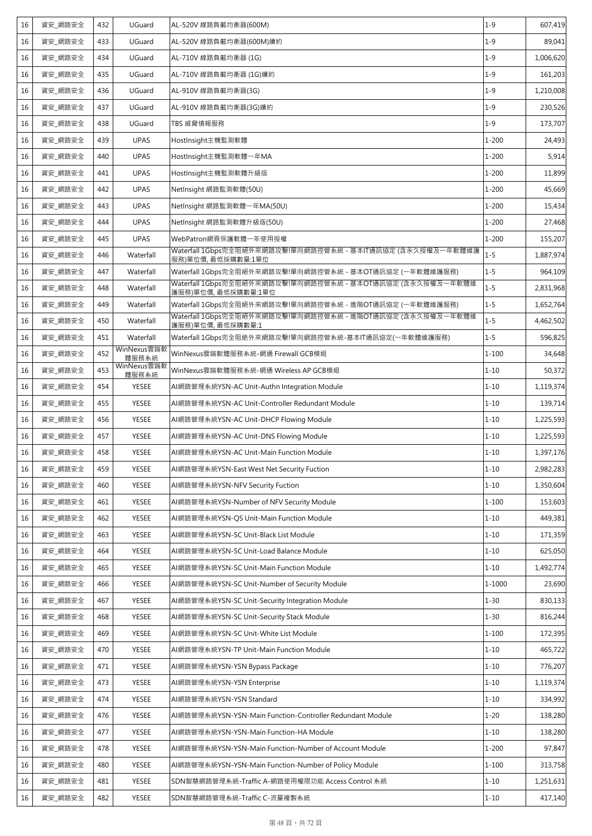| 16 | 資安_網路安全 | 432 | UGuard               | AL-520V 線路負載均衡器(600M)                                                             | $1 - 9$   | 607,419   |
|----|---------|-----|----------------------|-----------------------------------------------------------------------------------|-----------|-----------|
| 16 | 資安_網路安全 | 433 | UGuard               | AL-520V 線路負載均衡器(600M)續約                                                           | $1 - 9$   | 89,041    |
| 16 | 資安_網路安全 | 434 | UGuard               | AL-710V 線路負載均衡器 (1G)                                                              | $1 - 9$   | 1,006,620 |
| 16 | 資安 網路安全 | 435 | UGuard               | AL-710V 線路負載均衡器 (1G)續約                                                            | $1 - 9$   | 161,203   |
| 16 | 資安 網路安全 | 436 | UGuard               | AL-910V 線路負載均衡器(3G)                                                               | $1 - 9$   | 1,210,008 |
| 16 | 資安_網路安全 | 437 | UGuard               | AL-910V 線路負載均衡器(3G)續約                                                             | $1 - 9$   | 230,526   |
| 16 | 資安 網路安全 | 438 | UGuard               | TBS 威脅情報服務                                                                        | $1 - 9$   | 173,707   |
| 16 | 資安_網路安全 | 439 | <b>UPAS</b>          | HostInsight主機監測軟體                                                                 | $1 - 200$ | 24,493    |
| 16 | 資安_網路安全 | 440 | <b>UPAS</b>          | HostInsight主機監測軟體一年MA                                                             | $1 - 200$ | 5,914     |
| 16 | 資安_網路安全 | 441 | <b>UPAS</b>          | HostInsight主機監測軟體升級版                                                              | $1 - 200$ | 11,899    |
| 16 | 資安_網路安全 | 442 | <b>UPAS</b>          | NetInsight 網路監測軟體(50U)                                                            | $1 - 200$ | 45,669    |
| 16 | 資安_網路安全 | 443 | <b>UPAS</b>          | NetInsight 網路監測軟體一年MA(50U)                                                        | $1 - 200$ | 15,434    |
| 16 | 資安 網路安全 | 444 | <b>UPAS</b>          | NetInsight 網路監測軟體升級版(50U)                                                         | $1 - 200$ | 27,468    |
| 16 | 資安 網路安全 | 445 | <b>UPAS</b>          | WebPatron網頁保護軟體一年使用授權                                                             | $1 - 200$ | 155,207   |
| 16 | 資安 網路安全 | 446 | Waterfall            | Waterfall 1Gbps完全阻絕外來網路攻擊!單向網路控管系統 - 基本IT通訊協定 (含永久授權及一年軟體維護<br>服務)單位價,最低採購數量:1單位  | $1 - 5$   | 1,887,974 |
| 16 | 資安_網路安全 | 447 | Waterfall            | Waterfall 1Gbps完全阻絕外來網路攻擊!單向網路控管系統 - 基本OT通訊協定 (一年軟體維護服務)                          | $1 - 5$   | 964,109   |
| 16 | 資安_網路安全 | 448 | Waterfall            | Waterfall 1Gbps完全阻絕外來網路攻擊!單向網路控管系統 - 基本OT通訊協定 (含永久授權及一年軟體維<br>護服務)單位價, 最低採購數量:1單位 | $1 - 5$   | 2,831,968 |
| 16 | 資安_網路安全 | 449 | Waterfall            | Waterfall 1Gbps完全阻絕外來網路攻擊!單向網路控管系統 - 進階OT通訊協定 (一年軟體維護服務)                          | $1 - 5$   | 1,652,764 |
| 16 | 資安_網路安全 | 450 | Waterfall            | Waterfall 1Gbps完全阻絕外來網路攻擊!單向網路控管系統 - 進階OT通訊協定 (含永久授權及一年軟體維<br>護服務)單位價,最低採購數量:1    | $1 - 5$   | 4,462,502 |
| 16 | 資安_網路安全 | 451 | Waterfall            | Waterfall 1Gbps完全阻絶外來網路攻擊!單向網路控管系統-基本IT通訊協定(一年軟體維護服務)                             | $1 - 5$   | 596,825   |
| 16 | 資安_網路安全 | 452 | WinNexus雲端軟<br>體服務系統 | WinNexus雲端軟體服務系統-網通 Firewall GCB模組                                                | $1 - 100$ | 34,648    |
| 16 | 資安 網路安全 | 453 | WinNexus雲端軟<br>體服務系統 | WinNexus雲端軟體服務系統-網通 Wireless AP GCB模組                                             | $1 - 10$  | 50,372    |
| 16 | 資安_網路安全 | 454 | <b>YESEE</b>         | AI網路管理系統YSN-AC Unit-Authn Integration Module                                      | $1 - 10$  | 1,119,374 |
| 16 | 資安_網路安全 | 455 | <b>YESEE</b>         | AI網路管理系統YSN-AC Unit-Controller Redundant Module                                   | $1 - 10$  | 139,714   |
| 16 | 資安_網路安全 | 456 | <b>YESEE</b>         | AI網路管理系統YSN-AC Unit-DHCP Flowing Module                                           | $1 - 10$  | 1,225,593 |
| 16 | 資安 網路安全 | 457 | <b>YESEE</b>         | AI網路管理系統YSN-AC Unit-DNS Flowing Module                                            | $1 - 10$  | 1,225,593 |
| 16 | 資安_網路安全 | 458 | <b>YESEE</b>         | AI網路管理系統YSN-AC Unit-Main Function Module                                          | $1 - 10$  | 1,397,176 |
| 16 | 資安_網路安全 | 459 | YESEE                | AI網路管理系統YSN-East West Net Security Fuction                                        | $1 - 10$  | 2,982,283 |
| 16 | 資安_網路安全 | 460 | YESEE                | AI網路管理系統YSN-NFV Security Fuction                                                  | $1 - 10$  | 1,350,604 |
| 16 | 資安_網路安全 | 461 | YESEE                | AI網路管理系統YSN-Number of NFV Security Module                                         | $1 - 100$ | 153,603   |
| 16 | 資安 網路安全 | 462 | YESEE                | AI網路管理系統YSN-QS Unit-Main Function Module                                          | $1 - 10$  | 449,381   |
| 16 | 資安_網路安全 | 463 | YESEE                | AI網路管理系統YSN-SC Unit-Black List Module                                             | $1 - 10$  | 171,359   |
| 16 | 資安_網路安全 | 464 | YESEE                | AI網路管理系統YSN-SC Unit-Load Balance Module                                           | $1 - 10$  | 625,050   |
| 16 | 資安_網路安全 | 465 | YESEE                | AI網路管理系統YSN-SC Unit-Main Function Module                                          | $1 - 10$  | 1,492,774 |
| 16 | 資安_網路安全 | 466 | YESEE                | AI網路管理系統YSN-SC Unit-Number of Security Module                                     | 1-1000    | 23,690    |
| 16 | 資安 網路安全 | 467 | YESEE                | Al網路管理系統YSN-SC Unit-Security Integration Module                                   | $1 - 30$  | 830,133   |
| 16 | 資安 網路安全 | 468 | YESEE                | AI網路管理系統YSN-SC Unit-Security Stack Module                                         | $1 - 30$  | 816,244   |
| 16 | 資安 網路安全 | 469 | YESEE                | AI網路管理系統YSN-SC Unit-White List Module                                             | $1 - 100$ | 172,395   |
| 16 | 資安 網路安全 | 470 | YESEE                | AI網路管理系統YSN-TP Unit-Main Function Module                                          | $1 - 10$  | 465,722   |
| 16 | 資安_網路安全 | 471 | YESEE                | AI網路管理系統YSN-YSN Bypass Package                                                    | $1 - 10$  | 776,207   |
| 16 | 資安_網路安全 | 473 | YESEE                | AI網路管理系統YSN-YSN Enterprise                                                        | $1 - 10$  | 1,119,374 |
| 16 | 資安_網路安全 | 474 | <b>YESEE</b>         | AI網路管理系統YSN-YSN Standard                                                          | $1 - 10$  | 334,992   |
| 16 | 資安 網路安全 | 476 | <b>YESEE</b>         | AI網路管理系統YSN-YSN-Main Function-Controller Redundant Module                         | $1 - 20$  | 138,280   |
| 16 | 資安_網路安全 | 477 | YESEE                | AI網路管理系統YSN-YSN-Main Function-HA Module                                           | $1 - 10$  | 138,280   |
| 16 | 資安_網路安全 | 478 | YESEE                | AI網路管理系統YSN-YSN-Main Function-Number of Account Module                            | $1 - 200$ | 97,847    |
| 16 | 資安_網路安全 | 480 | YESEE                | AI網路管理系統YSN-YSN-Main Function-Number of Policy Module                             | $1 - 100$ | 313,758   |
| 16 |         |     |                      |                                                                                   |           | 1,251,631 |
|    | 資安_網路安全 | 481 | YESEE                | SDN智慧網路管理系統-Traffic A-網路使用權限功能 Access Control 系統                                  | $1 - 10$  |           |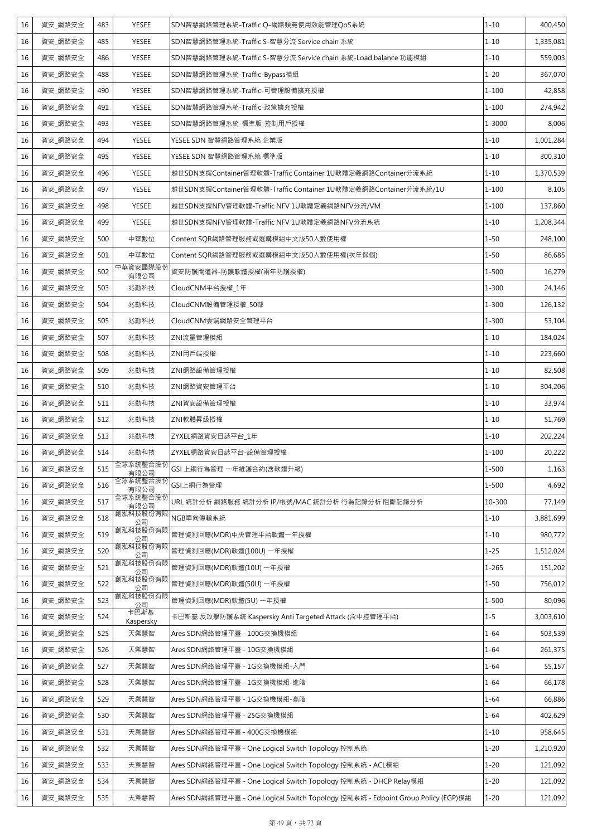| 16 | 資安_網路安全 | 483 | <b>YESEE</b>      | SDN智慧網路管理系統-Traffic Q-網路頻寬使用效能管理QoS系統                                            | $1 - 10$  | 400,450   |
|----|---------|-----|-------------------|----------------------------------------------------------------------------------|-----------|-----------|
| 16 | 資安_網路安全 | 485 | <b>YESEE</b>      | SDN智慧網路管理系統-Traffic S-智慧分流 Service chain 系統                                      | $1 - 10$  | 1,335,081 |
| 16 | 資安_網路安全 | 486 | <b>YESEE</b>      | SDN智慧網路管理系統-Traffic S-智慧分流 Service chain 系統-Load balance 功能模組                    | $1 - 10$  | 559,003   |
| 16 | 資安 網路安全 | 488 | <b>YESEE</b>      | SDN智慧網路管理系統-Traffic-Bypass模組                                                     | $1 - 20$  | 367,070   |
| 16 | 資安_網路安全 | 490 | <b>YESEE</b>      | SDN智慧網路管理系統-Traffic-可管理設備擴充授權                                                    | $1 - 100$ | 42,858    |
| 16 | 資安_網路安全 | 491 | <b>YESEE</b>      | SDN智慧網路管理系統-Traffic-政策擴充授權                                                       | $1 - 100$ | 274,942   |
| 16 | 資安_網路安全 | 493 | <b>YESEE</b>      | SDN智慧網路管理系統-標準版-控制用戶授權                                                           | 1-3000    | 8,006     |
| 16 | 資安 網路安全 | 494 | YESEE             | YESEE SDN 智慧網路管理系統 企業版                                                           | $1 - 10$  | 1,001,284 |
| 16 | 資安_網路安全 | 495 | <b>YESEE</b>      | YESEE SDN 智慧網路管理系統 標準版                                                           | $1 - 10$  | 300,310   |
| 16 | 資安 網路安全 | 496 | <b>YESEE</b>      | 越世SDN支援Container管理軟體-Traffic Container 1U軟體定義網路Container分流系統                     | $1 - 10$  | 1,370,539 |
| 16 | 資安 網路安全 | 497 | YESEE             | 越世SDN支援Container管理軟體-Traffic Container 1U軟體定義網路Container分流系統/1U                  | $1 - 100$ | 8,105     |
| 16 | 資安_網路安全 | 498 | <b>YESEE</b>      | 越世SDN支援NFV管理軟體-Traffic NFV 1U軟體定義網路NFV分流/VM                                      | $1 - 100$ | 137,860   |
| 16 | 資安 網路安全 | 499 | YESEE             | 越世SDN支援NFV管理軟體-Traffic NFV 1U軟體定義網路NFV分流系統                                       | $1 - 10$  | 1,208,344 |
| 16 | 資安 網路安全 | 500 | 中華數位              | Content SQR網路管理服務或選購模組中文版50人數使用權                                                 | $1 - 50$  | 248,100   |
| 16 | 資安_網路安全 | 501 | 中華數位              | Content SQR網路管理服務或選購模組中文版50人數使用權(次年保個)                                           | $1 - 50$  | 86,685    |
| 16 | 資安 網路安全 | 502 | 中華資安國際股份<br>有限公司  | 資安防護閘道器-防護軟體授權(兩年防護授權)                                                           | $1 - 500$ | 16,279    |
| 16 | 資安_網路安全 | 503 | 兆勤科技              | CloudCNM平台授權_1年                                                                  | $1 - 300$ | 24,146    |
| 16 | 資安_網路安全 | 504 | 兆勤科技              | CloudCNM設備管理授權_50部                                                               | $1 - 300$ | 126,132   |
| 16 | 資安_網路安全 | 505 | 兆勤科技              | CloudCNM雲端網路安全管理平台                                                               | $1 - 300$ | 53,104    |
| 16 | 資安_網路安全 | 507 | 兆勤科技              | ZNI流量管理模組                                                                        | $1 - 10$  | 184,024   |
| 16 | 資安_網路安全 | 508 | 兆勤科技              | ZNI用戶端授權                                                                         | $1 - 10$  | 223,660   |
| 16 | 資安_網路安全 | 509 | 兆勤科技              | ZNI網路設備管理授權                                                                      | $1 - 10$  | 82,508    |
| 16 | 資安 網路安全 | 510 | 兆勤科技              | ZNI網路資安管理平台                                                                      | $1 - 10$  | 304,206   |
| 16 | 資安_網路安全 | 511 | 兆勤科技              | ZNI資安設備管理授權                                                                      | $1 - 10$  | 33,974    |
| 16 | 資安 網路安全 | 512 | 兆勤科技              | ZNI軟體昇級授權                                                                        | $1 - 10$  | 51,769    |
| 16 | 資安_網路安全 | 513 | 兆勤科技              | ZYXEL網路資安日誌平台_1年                                                                 | $1 - 10$  | 202,224   |
| 16 | 資安_網路安全 | 514 | 兆勤科技              | ZYXEL網路資安日誌平台-設備管理授權                                                             | $1 - 100$ | 20,222    |
| 16 | 資安_網路安全 | 515 | 全球系統整合股份<br>有限公司  | GSI 上網行為管理 一年維護合約(含軟體升級)                                                         | $1 - 500$ | 1,163     |
| 16 | 資安_網路安全 | 516 | 全球系統整合股份<br>有限公司  | GSI上網行為管理                                                                        | $1 - 500$ | 4,692     |
| 16 | 資安_網路安全 | 517 | 全球系統整合股份<br>有限公司  | URL 統計分析 網路服務 統計分析 IP/帳號/MAC 統計分析 行為記錄分析 阻斷記錄分析                                  | 10-300    | 77,149    |
| 16 | 資安_網路安全 | 518 | 創泓科技股份有限<br>公司    | NGB單向傳輸系統                                                                        | $1 - 10$  | 3,881,699 |
| 16 | 資安 網路安全 | 519 | 創泓科技股份有限<br>公司    | 管理偵測回應(MDR)中央管理平台軟體一年授權                                                          | $1 - 10$  | 980,772   |
| 16 | 資安_網路安全 | 520 | 創泓科技股份有限<br>公司    | 管理偵測回應(MDR)軟體(100U) 一年授權                                                         | $1 - 25$  | 1,512,024 |
| 16 | 資安 網路安全 | 521 | 創泓科技股份有限<br>公司    | 管理偵測回應(MDR)軟體(10U)一年授權                                                           | $1 - 265$ | 151,202   |
| 16 | 資安_網路安全 | 522 | 創泓科技股份有限<br>公司    | 管理偵測回應(MDR)軟體(50U) 一年授權                                                          | $1 - 50$  | 756,012   |
| 16 | 資安_網路安全 | 523 | 創泓科技股份有限<br>公司    | 管理偵測回應(MDR)軟體(5U) 一年授權                                                           | 1-500     | 80,096    |
| 16 | 資安_網路安全 | 524 | 卡巴斯基<br>Kaspersky | 卡巴斯基 反攻擊防護系統 Kaspersky Anti Targeted Attack (含中控管理平台)                            | $1 - 5$   | 3,003,610 |
| 16 | 資安_網路安全 | 525 | 天禦慧智              | Ares SDN網絡管理平臺 - 100G交換機模組                                                       | $1 - 64$  | 503,539   |
| 16 | 資安_網路安全 | 526 | 天禦慧智              | Ares SDN網絡管理平臺 - 10G交換機模組                                                        | $1 - 64$  | 261,375   |
| 16 | 資安_網路安全 | 527 | 天禦慧智              | Ares SDN網絡管理平臺 - 1G交換機模組-入門                                                      | $1 - 64$  | 55,157    |
| 16 | 資安 網路安全 | 528 | 天禦慧智              | Ares SDN網絡管理平臺 - 1G交換機模組-進階                                                      | $1 - 64$  | 66,178    |
| 16 | 資安_網路安全 | 529 | 天禦慧智              | Ares SDN網絡管理平臺 - 1G交換機模組-高階                                                      | $1 - 64$  | 66,886    |
| 16 | 資安_網路安全 | 530 | 天禦慧智              | Ares SDN網絡管理平臺 - 25G交換機模組                                                        | $1 - 64$  | 402,629   |
| 16 | 資安_網路安全 | 531 | 天禦慧智              | Ares SDN網絡管理平臺 - 400G交換機模組                                                       | $1 - 10$  | 958,645   |
| 16 | 資安_網路安全 | 532 | 天禦慧智              | Ares SDN網絡管理平臺 - One Logical Switch Topology 控制系統                                | $1 - 20$  | 1,210,920 |
| 16 | 資安_網路安全 | 533 | 天禦慧智              | Ares SDN網絡管理平臺 - One Logical Switch Topology 控制系統 - ACL模組                        | $1 - 20$  | 121,092   |
| 16 | 資安_網路安全 | 534 | 天禦慧智              | Ares SDN網絡管理平臺 - One Logical Switch Topology 控制系統 - DHCP Relay模組                 | $1 - 20$  | 121,092   |
| 16 | 資安_網路安全 | 535 | 天禦慧智              | Ares SDN網絡管理平臺 - One Logical Switch Topology 控制系統 - Edpoint Group Policy (EGP)模組 | $1 - 20$  | 121,092   |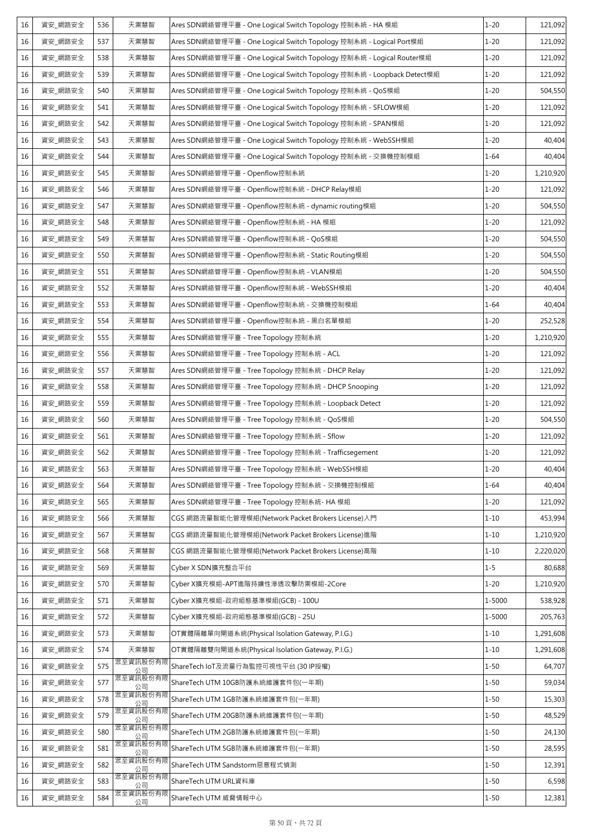| 16 | 資安_網路安全 | 536 | 天禦慧智           | Ares SDN網絡管理平臺 - One Logical Switch Topology 控制系統 - HA 模組             | $1 - 20$ | 121,092   |
|----|---------|-----|----------------|-----------------------------------------------------------------------|----------|-----------|
| 16 | 資安_網路安全 | 537 | 天禦慧智           | Ares SDN網絡管理平臺 - One Logical Switch Topology 控制系統 - Logical Port模組    | $1 - 20$ | 121,092   |
| 16 | 資安_網路安全 | 538 | 天禦慧智           | Ares SDN網絡管理平臺 - One Logical Switch Topology 控制系統 - Logical Router模組  | $1 - 20$ | 121,092   |
| 16 | 資安_網路安全 | 539 | 天禦慧智           | Ares SDN網絡管理平臺 - One Logical Switch Topology 控制系統 - Loopback Detect模組 | $1 - 20$ | 121,092   |
| 16 | 資安_網路安全 | 540 | 天禦慧智           | Ares SDN網絡管理平臺 - One Logical Switch Topology 控制系統 - QoS模組             | $1 - 20$ | 504,550   |
| 16 | 資安_網路安全 | 541 | 天禦慧智           | Ares SDN網絡管理平臺 - One Logical Switch Topology 控制系統 - SFLOW模組           | $1 - 20$ | 121,092   |
| 16 | 資安_網路安全 | 542 | 天禦慧智           | Ares SDN網絡管理平臺 - One Logical Switch Topology 控制系統 - SPAN模組            | $1 - 20$ | 121,092   |
| 16 | 資安_網路安全 | 543 | 天禦慧智           | Ares SDN網絡管理平臺 - One Logical Switch Topology 控制系統 - WebSSH模組          | $1 - 20$ | 40,404    |
| 16 | 資安 網路安全 | 544 | 天禦慧智           | Ares SDN網絡管理平臺 - One Logical Switch Topology 控制系統 - 交換機控制模組           | $1 - 64$ | 40,404    |
| 16 | 資安_網路安全 | 545 | 天禦慧智           | Ares SDN網絡管理平臺 - Openflow控制系統                                         | $1 - 20$ | 1,210,920 |
| 16 | 資安_網路安全 | 546 | 天禦慧智           | Ares SDN網絡管理平臺 - Openflow控制系統 - DHCP Relay模組                          | $1 - 20$ | 121,092   |
| 16 | 資安_網路安全 | 547 | 天禦慧智           | Ares SDN網絡管理平臺 - Openflow控制系統 - dynamic routing模組                     | $1 - 20$ | 504,550   |
| 16 | 資安_網路安全 | 548 | 天禦慧智           | Ares SDN網絡管理平臺 - Openflow控制系統 - HA 模組                                 | $1 - 20$ | 121,092   |
| 16 | 資安_網路安全 | 549 | 天禦慧智           | Ares SDN網絡管理平臺 - Openflow控制系統 - QoS模組                                 | $1 - 20$ | 504,550   |
| 16 | 資安_網路安全 | 550 | 天禦慧智           | Ares SDN網絡管理平臺 - Openflow控制系統 - Static Routing模組                      | $1 - 20$ | 504,550   |
| 16 | 資安_網路安全 | 551 | 天禦慧智           | Ares SDN網絡管理平臺 - Openflow控制系統 - VLAN模組                                | $1 - 20$ | 504,550   |
| 16 | 資安_網路安全 | 552 | 天禦慧智           | Ares SDN網絡管理平臺 - Openflow控制系統 - WebSSH模組                              | $1 - 20$ | 40,404    |
| 16 | 資安_網路安全 | 553 | 天禦慧智           | Ares SDN網絡管理平臺 - Openflow控制系統 - 交換機控制模組                               | $1 - 64$ | 40,404    |
| 16 | 資安_網路安全 | 554 | 天禦慧智           | Ares SDN網絡管理平臺 - Openflow控制系統 - 黑白名單模組                                | $1 - 20$ | 252,528   |
| 16 | 資安_網路安全 | 555 | 天禦慧智           | Ares SDN網絡管理平臺 - Tree Topology 控制系統                                   | $1 - 20$ | 1,210,920 |
| 16 | 資安_網路安全 | 556 | 天禦慧智           | Ares SDN網絡管理平臺 - Tree Topology 控制系統 - ACL                             | $1 - 20$ | 121,092   |
| 16 | 資安_網路安全 | 557 | 天禦慧智           | Ares SDN網絡管理平臺 - Tree Topology 控制系統 - DHCP Relay                      | $1 - 20$ | 121,092   |
| 16 | 資安_網路安全 | 558 | 天禦慧智           | Ares SDN網絡管理平臺 - Tree Topology 控制系統 - DHCP Snooping                   | $1 - 20$ | 121,092   |
| 16 | 資安_網路安全 | 559 | 天禦慧智           | Ares SDN網絡管理平臺 - Tree Topology 控制系統 - Loopback Detect                 | $1 - 20$ | 121,092   |
| 16 | 資安_網路安全 | 560 | 天禦慧智           | Ares SDN網絡管理平臺 - Tree Topology 控制系統 - QoS模組                           | $1 - 20$ | 504,550   |
| 16 | 資安_網路安全 | 561 | 天禦慧智           | Ares SDN網絡管理平臺 - Tree Topology 控制系統 - Sflow                           | $1 - 20$ | 121,092   |
| 16 | 資安_網路安全 | 562 | 天禦慧智           | Ares SDN網絡管理平臺 - Tree Topology 控制系統 - Trafficsegement                 | $1 - 20$ | 121,092   |
| 16 | 資安_網路安全 | 563 | 天禦慧智           | Ares SDN網絡管理平臺 - Tree Topology 控制系統 - WebSSH模組                        | $1 - 20$ | 40,404    |
| 16 | 資安_網路安全 | 564 | 天禦慧智           | Ares SDN網絡管理平臺 - Tree Topology 控制系統 - 交換機控制模組                         | $1 - 64$ | 40,404    |
| 16 | 資安_網路安全 | 565 | 天禦慧智           | Ares SDN網絡管理平臺 - Tree Topology 控制系統- HA 模組                            | $1 - 20$ | 121,092   |
| 16 | 資安_網路安全 | 566 | 天禦慧智           | CGS 網路流量智能化管理模組(Network Packet Brokers License)入門                     | $1 - 10$ | 453,994   |
| 16 | 資安_網路安全 | 567 | 天禦慧智           | CGS 網路流量智能化管理模組(Network Packet Brokers License)進階                     | $1 - 10$ | 1,210,920 |
| 16 | 資安_網路安全 | 568 | 天禦慧智           | CGS 網路流量智能化管理模組(Network Packet Brokers License)高階                     | $1 - 10$ | 2,220,020 |
| 16 | 資安_網路安全 | 569 | 天禦慧智           | Cyber X SDN擴充整合平台                                                     | $1 - 5$  | 80,688    |
| 16 | 資安_網路安全 | 570 | 天禦慧智           | Cyber X擴充模組-APT進階持續性滲透攻擊防禦模組-2Core                                    | $1 - 20$ | 1,210,920 |
| 16 | 資安_網路安全 | 571 | 天禦慧智           | Cyber X擴充模組-政府組態基準模組(GCB) - 100U                                      | 1-5000   | 538,928   |
| 16 | 資安_網路安全 | 572 | 天禦慧智           | Cyber X擴充模組-政府組態基準模組(GCB) - 25U                                       | 1-5000   | 205,763   |
| 16 | 資安_網路安全 | 573 | 天禦慧智           | OT實體隔離單向閘道系統(Physical Isolation Gateway, P.I.G.)                      | $1 - 10$ | 1,291,608 |
| 16 | 資安_網路安全 | 574 | 天禦慧智           | OT實體隔離雙向閘道系統(Physical Isolation Gateway, P.I.G.)                      | $1 - 10$ | 1,291,608 |
| 16 | 資安_網路安全 | 575 | 眾至資訊股份有阳<br>公司 | ShareTech IoT及流量行為監控可視性平台 (30 IP授權)                                   | $1 - 50$ | 64,707    |
| 16 | 資安_網路安全 | 577 | 眾至資訊股份有限<br>公司 | ShareTech UTM 10GB防護系統維護套件包(一年期)                                      | $1 - 50$ | 59,034    |
| 16 | 資安_網路安全 | 578 | 眾至資訊股份有限<br>公司 | ShareTech UTM 1GB防護系統維護套件包(一年期)                                       | $1 - 50$ | 15,303    |
| 16 | 資安_網路安全 | 579 | 眾至資訊股份有限<br>公司 | ShareTech UTM 20GB防護系統維護套件包(一年期)                                      | $1 - 50$ | 48,529    |
| 16 | 資安_網路安全 | 580 | 眾至資訊股份有限<br>公司 | ShareTech UTM 2GB防護系統維護套件包(一年期)                                       | $1 - 50$ | 24,130    |
| 16 | 資安_網路安全 | 581 | 眾至資訊股份有限<br>公司 | ShareTech UTM 5GB防護系統維護套件包(一年期)                                       | $1 - 50$ | 28,595    |
| 16 | 資安_網路安全 | 582 | 眾至資訊股份有附<br>公司 | ShareTech UTM Sandstorm惡意程式偵測                                         | $1 - 50$ | 12,391    |
| 16 | 資安_網路安全 | 583 | 眾至資訊股份有限<br>公司 | ShareTech UTM URL資料庫                                                  | $1 - 50$ | 6,598     |
| 16 | 資安_網路安全 | 584 | 眾至資訊股份有限<br>公司 | ShareTech UTM 威脅情報中心                                                  | $1 - 50$ | 12,381    |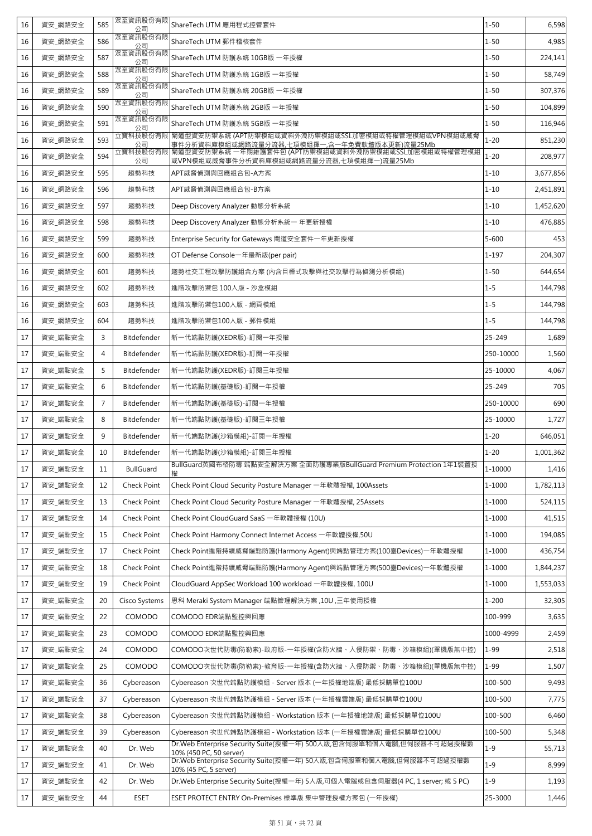| 16 | 資安_網路安全 | 585            | 眾至資訊股份有限<br>公司   | ShareTech UTM 應用程式控管套件                                                                             | $1 - 50$   | 6,598     |
|----|---------|----------------|------------------|----------------------------------------------------------------------------------------------------|------------|-----------|
| 16 | 資安 網路安全 | 586            | 眾至資訊股份有限<br>公司   | ShareTech UTM 郵件稽核套件                                                                               | $1 - 50$   | 4,985     |
| 16 | 資安 網路安全 | 587            | 眾至資訊股份有限<br>公司   | ShareTech UTM 防護系統 10GB版 一年授權                                                                      | $1 - 50$   | 224,141   |
| 16 | 資安 網路安全 | 588            | 眾至資訊股份有限<br>公司   | ShareTech UTM 防護系統 1GB版 一年授權                                                                       | $1 - 50$   | 58,749    |
| 16 | 資安 網路安全 | 589            | 眾至資訊股份有限<br>公司   | ShareTech UTM 防護系統 20GB版 一年授權                                                                      | $1 - 50$   | 307,376   |
| 16 | 資安_網路安全 | 590            | 眾至資訊股份有限<br>公司   | ShareTech UTM 防護系統 2GB版 一年授權                                                                       | $1 - 50$   | 104,899   |
| 16 | 資安 網路安全 | 591            | 眾至資訊股份有限<br>公司   | ShareTech UTM 防護系統 5GB版 一年授權                                                                       | $1 - 50$   | 116,946   |
| 16 | 資安 網路安全 | 593            | 立寶科技股份有限<br>公司   | 閘道型資安防禦系統 (APT防禦模組或資料外洩防禦模組或SSL加密模組或特權管理模組或VPN模組或威脅<br>事件分析資料庫模組或網路流量分流器,七項模組擇一,含一年免費軟體版本更新)流量25Mb | $1 - 20$   | 851,230   |
| 16 | 資安 網路安全 | 594            | 立寶科技股份有限<br>公司   | 閘道型資安防禦系統 一年期維護套件包 (APT防禦模組或資料外洩防禦模組或SSL加密模組或特權管理模組<br>或VPN模組或威脅事件分析資料庫模組或網路流量分流器,七項模組擇一)流量25Mb    | $1 - 20$   | 208,977   |
| 16 | 資安_網路安全 | 595            | 趨勢科技             | APT威脅偵測與回應組合包-A方案                                                                                  | $1 - 10$   | 3,677,856 |
| 16 | 資安 網路安全 | 596            | 趨勢科技             | APT威脅偵測與回應組合包-B方案                                                                                  | $1 - 10$   | 2,451,891 |
| 16 | 資安_網路安全 | 597            | 趨勢科技             | Deep Discovery Analyzer 動態分析系統                                                                     | $1 - 10$   | 1,452,620 |
| 16 | 資安_網路安全 | 598            | 趨勢科技             | Deep Discovery Analyzer 動態分析系統一 年更新授權                                                              | $1 - 10$   | 476,885   |
| 16 | 資安_網路安全 | 599            | 趨勢科技             | Enterprise Security for Gateways 閘道安全套件一年更新授權                                                      | $5 - 600$  | 453       |
| 16 | 資安_網路安全 | 600            | 趨勢科技             | OT Defense Console一年最新版(per pair)                                                                  | $1 - 197$  | 204,307   |
| 16 | 資安_網路安全 | 601            | 趨勢科技             | 趨勢社交工程攻擊防護組合方案 (內含目標式攻擊與社交攻擊行為偵測分析模組)                                                              | $1 - 50$   | 644,654   |
| 16 | 資安 網路安全 | 602            | 趨勢科技             | 進階攻擊防禦包 100人版 - 沙盒模組                                                                               | $1 - 5$    | 144,798   |
| 16 | 資安 網路安全 | 603            | 趨勢科技             | 進階攻擊防禦包100人版 - 網頁模組                                                                                | $1 - 5$    | 144,798   |
| 16 | 資安_網路安全 | 604            | 趨勢科技             | 進階攻擊防禦包100人版 - 郵件模組                                                                                | $1 - 5$    | 144,798   |
| 17 | 資安_端點安全 | 3              | Bitdefender      | 新一代端點防護(XEDR版)-訂閱一年授權                                                                              | 25-249     | 1,689     |
| 17 | 資安_端點安全 | 4              | Bitdefender      | 新一代端點防護(XEDR版)-訂閱一年授權                                                                              | 250-10000  | 1,560     |
| 17 | 資安_端點安全 | 5              | Bitdefender      | 新一代端點防護(XEDR版)-訂閱三年授權                                                                              | 25-10000   | 4,067     |
| 17 | 資安 端點安全 | 6              | Bitdefender      | 新一代端點防護(基礎版)-訂閱一年授權                                                                                | 25-249     | 705       |
| 17 | 資安 端點安全 | $\overline{7}$ | Bitdefender      | 新一代端點防護(基礎版)-訂閱一年授權                                                                                | 250-10000  | 690       |
| 17 | 資安_端點安全 | 8              | Bitdefender      | 新一代端點防護(基礎版)-訂閱三年授權                                                                                | 25-10000   | 1,727     |
| 17 | 資安 端點安全 | 9              | Bitdefender      | 新一代端點防護(沙箱模組)-訂閱一年授權                                                                               | $1 - 20$   | 646,051   |
| 17 | 資安_端點安全 | 10             | Bitdefender      | 新一代端點防護(沙箱模組)-訂閱三年授權                                                                               | $1 - 20$   | 1,001,362 |
| 17 | 資安 端點安全 | 11             | <b>BullGuard</b> | BullGuard英國布格防毒 端點安全解決方案 全面防護專業版BullGuard Premium Protection 1年1裝置授                                | 1-10000    | 1,416     |
| 17 | 資安_端點安全 | 12             | Check Point      | Check Point Cloud Security Posture Manager 一年軟體授權, 100Assets                                       | 1-1000     | 1,782,113 |
| 17 | 資安_端點安全 | 13             | Check Point      | Check Point Cloud Security Posture Manager 一年軟體授權, 25Assets                                        | 1-1000     | 524,115   |
| 17 | 資安_端點安全 | 14             | Check Point      | Check Point CloudGuard SaaS 一年軟體授權 (10U)                                                           | 1-1000     | 41,515    |
| 17 | 資安 端點安全 | 15             | Check Point      | Check Point Harmony Connect Internet Access 一年軟體授權,50U                                             | 1-1000     | 194,085   |
| 17 | 資安_端點安全 | 17             | Check Point      | Check Point進階持續威脅端點防護(Harmony Agent)與端點管理方案(100臺Devices)一年軟體授權                                     | 1-1000     | 436,754   |
| 17 | 資安_端點安全 | 18             | Check Point      | Check Point進階持續威脅端點防護(Harmony Agent)與端點管理方案(500臺Devices)一年軟體授權                                     | $1 - 1000$ | 1,844,237 |
| 17 | 資安_端點安全 | 19             | Check Point      | CloudGuard AppSec Workload 100 workload 一年軟體授權, 100U                                               | $1 - 1000$ | 1,553,033 |
| 17 | 資安_端點安全 | 20             | Cisco Systems    | 思科 Meraki System Manager 端點管理解決方案, 10U, 三年使用授權                                                     | $1 - 200$  | 32,305    |
| 17 | 資安_端點安全 | 22             | COMODO           | COMODO EDR端點監控與回應                                                                                  | 100-999    | 3,635     |
| 17 | 資安_端點安全 | 23             | COMODO           | COMODO EDR端點監控與回應                                                                                  | 1000-4999  | 2,459     |
| 17 | 資安_端點安全 | 24             | COMODO           | COMODO次世代防毒(防勒索)-政府版-一年授權(含防火牆、入侵防禦、防毒、沙箱模組)(單機版無中控)                                               | $1 - 99$   | 2,518     |
| 17 | 資安_端點安全 | 25             | COMODO           | COMODO次世代防毒(防勒索)-教育版-一年授權(含防火牆、入侵防禦、防毒、沙箱模組)(單機版無中控)                                               | $1 - 99$   | 1,507     |
| 17 | 資安_端點安全 | 36             | Cybereason       | Cybereason 次世代端點防護模組 - Server 版本 (一年授權地端版) 最低採購單位100U                                              | 100-500    | 9,493     |
| 17 | 資安_端點安全 | 37             | Cybereason       | Cybereason 次世代端點防護模組 - Server 版本 (一年授權雲端版) 最低採購單位100U                                              | 100-500    | 7,775     |
| 17 | 資安_端點安全 | 38             | Cybereason       | Cybereason 次世代端點防護模組 - Workstation 版本 (一年授權地端版) 最低採購單位100U                                         | 100-500    | 6,460     |
| 17 | 資安_端點安全 | 39             | Cybereason       | Cybereason 次世代端點防護模組 - Workstation 版本 (一年授權雲端版) 最低採購單位100U                                         | 100-500    | 5,348     |
| 17 | 資安_端點安全 | 40             | Dr. Web          | Dr.Web Enterprise Security Suite(授權一年) 500人版,包含伺服單和個人電腦,但伺服器不可超過授權數<br>10% (450 PC, 50 server)     | $1 - 9$    | 55,713    |
| 17 | 資安_端點安全 | 41             | Dr. Web          | Dr.Web Enterprise Security Suite(授權一年) 50人版,包含伺服單和個人電腦,但伺服器不可超過授權數<br>10% (45 PC, 5 server)        | $1 - 9$    | 8,999     |
| 17 | 資安_端點安全 | 42             | Dr. Web          | Dr.Web Enterprise Security Suite(授權一年) 5人版,可個人電腦或包含伺服器(4 PC, 1 server; 或 5 PC)                     | $1 - 9$    | 1,193     |
| 17 | 資安_端點安全 | 44             | <b>ESET</b>      | ESET PROTECT ENTRY On-Premises 標準版 集中管理授權方案包 (一年授權)                                                | 25-3000    | 1,446     |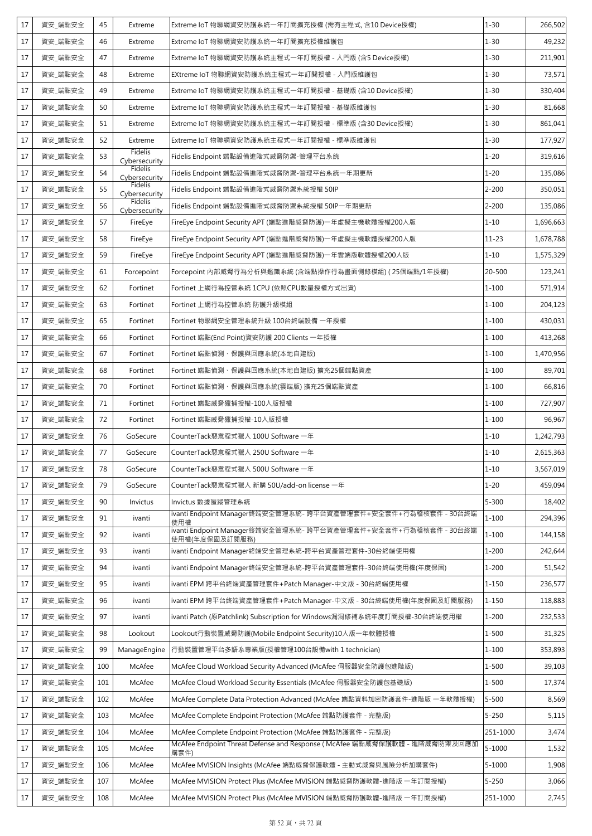| 17 | 資安_端點安全 | 45  | Extreme                  | Extreme IoT 物聯網資安防護系統一年訂閱擴充授權 (需有主程式, 含10 Device授權)                               | $1 - 30$   | 266,502   |
|----|---------|-----|--------------------------|-----------------------------------------------------------------------------------|------------|-----------|
| 17 | 資安_端點安全 | 46  | Extreme                  | Extreme IoT 物聯網資安防護系統一年訂閱擴充授權維護包                                                  | $1 - 30$   | 49,232    |
| 17 | 資安_端點安全 | 47  | Extreme                  | Extreme IoT 物聯網資安防護系統主程式一年訂閱授權 - 入門版 (含5 Device授權)                                | $1 - 30$   | 211,901   |
| 17 | 資安_端點安全 | 48  | Extreme                  | EXtreme IoT 物聯網資安防護系統主程式一年訂閱授權 - 入門版維護包                                           | $1 - 30$   | 73,571    |
| 17 | 資安_端點安全 | 49  | Extreme                  | Extreme IoT 物聯網資安防護系統主程式一年訂閱授權 - 基礎版 (含10 Device授權)                               | $1 - 30$   | 330,404   |
| 17 | 資安_端點安全 | 50  | Extreme                  | Extreme IoT 物聯網資安防護系統主程式一年訂閱授權 - 基礎版維護包                                           | $1 - 30$   | 81,668    |
| 17 | 資安_端點安全 | 51  | Extreme                  | Extreme IoT 物聯網資安防護系統主程式一年訂閱授權 - 標準版 (含30 Device授權)                               | $1 - 30$   | 861,041   |
| 17 | 資安_端點安全 | 52  | Extreme                  | Extreme IoT 物聯網資安防護系統主程式一年訂閱授權 - 標準版維護包                                           | $1 - 30$   | 177,927   |
| 17 | 資安 端點安全 | 53  | Fidelis<br>Cybersecurity | Fidelis Endpoint 端點設備進階式威脅防禦-管理平台系統                                               | $1 - 20$   | 319,616   |
| 17 | 資安_端點安全 | 54  | Fidelis<br>Cybersecurity | Fidelis Endpoint 端點設備進階式威脅防禦-管理平台系統一年期更新                                          | $1 - 20$   | 135,086   |
| 17 | 資安_端點安全 | 55  | Fidelis<br>Cybersecurity | Fidelis Endpoint 端點設備進階式威脅防禦系統授權 50IP                                             | $2 - 200$  | 350,051   |
| 17 | 資安_端點安全 | 56  | Fidelis<br>Cybersecurity | Fidelis Endpoint 端點設備進階式威脅防禦系統授權 50IP一年期更新                                        | $2 - 200$  | 135,086   |
| 17 | 資安_端點安全 | 57  | FireEye                  | FireEye Endpoint Security APT (端點進階威脅防護)一年虛擬主機軟體授權200人版                           | $1 - 10$   | 1,696,663 |
| 17 | 資安 端點安全 | 58  | FireEye                  | FireEye Endpoint Security APT (端點進階威脅防護)一年虛擬主機軟體授權200人版                           | $11 - 23$  | 1,678,788 |
| 17 | 資安 端點安全 | 59  | FireEye                  | FireEye Endpoint Security APT (端點進階威脅防護)一年雲端版軟體授權200人版                            | $1 - 10$   | 1,575,329 |
| 17 | 資安 端點安全 | 61  | Forcepoint               | Forcepoint 內部威脅行為分析與鑑識系統 (含端點操作行為畫面側錄模組) ( 25個端點/1年授權)                            | 20-500     | 123,241   |
| 17 | 資安_端點安全 | 62  | Fortinet                 | Fortinet 上網行為控管系統 1CPU (依照CPU數量授權方式出貨)                                            | $1 - 100$  | 571,914   |
| 17 | 資安 端點安全 | 63  | Fortinet                 | Fortinet 上網行為控管系統 防護升級模組                                                          | $1 - 100$  | 204,123   |
| 17 | 資安_端點安全 | 65  | Fortinet                 | Fortinet 物聯網安全管理系統升級 100台終端設備 一年授權                                                | $1 - 100$  | 430,031   |
| 17 | 資安_端點安全 | 66  | Fortinet                 | Fortinet 端點(End Point)資安防護 200 Clients 一年授權                                       | $1 - 100$  | 413,268   |
| 17 | 資安_端點安全 | 67  | Fortinet                 | Fortinet 端點偵測、保護與回應系統(本地自建版)                                                      | $1 - 100$  | 1,470,956 |
| 17 | 資安_端點安全 | 68  | Fortinet                 | Fortinet 端點偵測、保護與回應系統(本地自建版) 擴充25個端點資產                                            | $1 - 100$  | 89,701    |
| 17 | 資安_端點安全 | 70  | Fortinet                 | Fortinet 端點偵測、保護與回應系統(雲端版) 擴充25個端點資產                                              | $1 - 100$  | 66,816    |
| 17 | 資安 端點安全 | 71  | Fortinet                 | Fortinet 端點威脅獵捕授權-100人版授權                                                         | $1 - 100$  | 727,907   |
| 17 | 資安_端點安全 | 72  | Fortinet                 | Fortinet 端點威脅獵捕授權-10人版授權                                                          | $1 - 100$  | 96,967    |
| 17 | 資安 端點安全 | 76  | GoSecure                 | CounterTack惡意程式獵人 100U Software 一年                                                | $1 - 10$   | 1,242,793 |
| 17 | 資安_端點安全 | 77  | GoSecure                 | CounterTack惡意程式獵人 250U Software 一年                                                | $1 - 10$   | 2,615,363 |
| 17 | 資安_端點安全 | 78  | GoSecure                 | CounterTack惡意程式獵人 500U Software 一年                                                | $1 - 10$   | 3,567,019 |
| 17 | 資安_端點安全 | 79  | GoSecure                 | CounterTack惡意程式獵人 新購 50U/add-on license 一年                                        | $1 - 20$   | 459,094   |
| 17 | 資安 端點安全 | 90  | Invictus                 | Invictus 數據匿蹤管理系統                                                                 | $5 - 300$  | 18,402    |
| 17 | 資安_端點安全 | 91  | ivanti                   | ivanti Endpoint Manager終端安全管理系統- 跨平台資產管理套件+安全套件+行為稽核套件 - 30台終端<br>使用權             | $1 - 100$  | 294,396   |
| 17 | 資安_端點安全 | 92  | ivanti                   | 使用權(年度保固及訂閱服務)                                                                    | $1 - 100$  | 144,158   |
| 17 | 資安_端點安全 | 93  | ivanti                   | ivanti Endpoint Manager終端安全管理系統-跨平台資產管理套件-30台終端使用權                                | $1 - 200$  | 242,644   |
| 17 | 資安_端點安全 | 94  | ivanti                   | ivanti Endpoint Manager終端安全管理系統-跨平台資產管理套件-30台終端使用權(年度保固)                          | $1 - 200$  | 51,542    |
| 17 | 資安 端點安全 | 95  | ivanti                   | ivanti EPM 跨平台終端資產管理套件+Patch Manager-中文版 - 30台終端使用權                               | $1 - 150$  | 236,577   |
| 17 | 資安_端點安全 | 96  | ivanti                   | ivanti EPM 跨平台終端資產管理套件+Patch Manager-中文版 - 30台終端使用權(年度保固及訂閱服務)                    | $1 - 150$  | 118,883   |
| 17 | 資安_端點安全 | 97  | ivanti                   | ivanti Patch (原Patchlink) Subscription for Windows漏洞修補系統年度訂閱授權-30台終端使用權           | $1 - 200$  | 232,533   |
| 17 | 資安_端點安全 | 98  | Lookout                  | Lookout行動裝置威脅防護(Mobile Endpoint Security)10人版一年軟體授權                               | $1 - 500$  | 31,325    |
| 17 | 資安_端點安全 | 99  | ManageEngine             | 行動裝置管理平台多語系專業版(授權管理100台設備with 1 technician)                                       | $1 - 100$  | 353,893   |
| 17 | 資安_端點安全 | 100 | McAfee                   | McAfee Cloud Workload Security Advanced (McAfee 伺服器安全防護包進階版)                      | $1 - 500$  | 39,103    |
| 17 | 資安_端點安全 | 101 | McAfee                   | McAfee Cloud Workload Security Essentials (McAfee 伺服器安全防護包基礎版)                    | 1-500      | 17,374    |
| 17 | 資安_端點安全 | 102 | McAfee                   | McAfee Complete Data Protection Advanced (McAfee 端點資料加密防護套件-進階版 一年軟體授權)           | $5 - 500$  | 8,569     |
| 17 | 資安_端點安全 | 103 | McAfee                   | McAfee Complete Endpoint Protection (McAfee 端點防護套件 - 完整版)                         | $5 - 250$  | 5,115     |
| 17 | 資安_端點安全 | 104 | McAfee                   | McAfee Complete Endpoint Protection (McAfee 端點防護套件 - 完整版)                         | 251-1000   | 3,474     |
| 17 | 資安_端點安全 | 105 | McAfee                   | McAfee Endpoint Threat Defense and Response (McAfee 端點威脅保護軟體 - 進階威脅防禦及回應加<br>購套件) | $5 - 1000$ | 1,532     |
| 17 | 資安_端點安全 | 106 | McAfee                   | McAfee MVISION Insights (McAfee 端點威脅保護軟體 - 主動式威脅與風險分析加購套件)                        | $5 - 1000$ | 1,908     |
| 17 | 資安_端點安全 | 107 | McAfee                   | McAfee MVISION Protect Plus (McAfee MVISION 端點威脅防護軟體-進階版 一年訂閱授權)                  | $5 - 250$  | 3,066     |
| 17 | 資安_端點安全 | 108 | McAfee                   | McAfee MVISION Protect Plus (McAfee MVISION 端點威脅防護軟體-進階版 一年訂閱授權)                  | 251-1000   | 2,745     |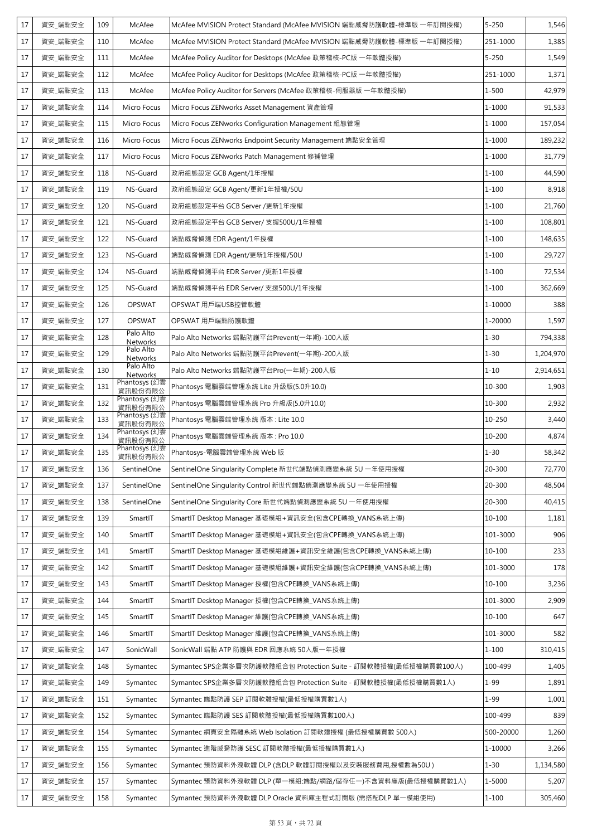| 17 | 資安_端點安全 | 109 | McAfee                   | McAfee MVISION Protect Standard (McAfee MVISION 端點威脅防護軟體-標準版 一年訂閱授權) | $5 - 250$ | 1,546     |
|----|---------|-----|--------------------------|----------------------------------------------------------------------|-----------|-----------|
| 17 | 資安_端點安全 | 110 | McAfee                   | McAfee MVISION Protect Standard (McAfee MVISION 端點威脅防護軟體-標準版 一年訂閱授權) | 251-1000  | 1,385     |
| 17 | 資安_端點安全 | 111 | McAfee                   | McAfee Policy Auditor for Desktops (McAfee 政策稽核-PC版 一年軟體授權)          | $5 - 250$ | 1,549     |
| 17 | 資安_端點安全 | 112 | McAfee                   | McAfee Policy Auditor for Desktops (McAfee 政策稽核-PC版 一年軟體授權)          | 251-1000  | 1,371     |
| 17 | 資安_端點安全 | 113 | McAfee                   | McAfee Policy Auditor for Servers (McAfee 政策稽核-伺服器版 一年軟體授權)          | 1-500     | 42,979    |
| 17 | 資安_端點安全 | 114 | Micro Focus              | Micro Focus ZENworks Asset Management 資產管理                           | 1-1000    | 91,533    |
| 17 | 資安 端點安全 | 115 | Micro Focus              | Micro Focus ZENworks Configuration Management 組態管理                   | 1-1000    | 157,054   |
| 17 | 資安_端點安全 | 116 | Micro Focus              | Micro Focus ZENworks Endpoint Security Management 端點安全管理             | 1-1000    | 189,232   |
| 17 | 資安_端點安全 | 117 | Micro Focus              | Micro Focus ZENworks Patch Management 修補管理                           | 1-1000    | 31,779    |
| 17 | 資安_端點安全 | 118 | NS-Guard                 | 政府組態設定 GCB Agent/1年授權                                                | $1 - 100$ | 44,590    |
| 17 | 資安_端點安全 | 119 | NS-Guard                 | 政府組態設定 GCB Agent/更新1年授權/50U                                          | $1 - 100$ | 8,918     |
| 17 | 資安_端點安全 | 120 | NS-Guard                 | 政府組態設定平台 GCB Server /更新1年授權                                          | $1 - 100$ | 21,760    |
| 17 | 資安_端點安全 | 121 | NS-Guard                 | 政府組態設定平台 GCB Server/ 支援500U/1年授權                                     | $1 - 100$ | 108,801   |
| 17 | 資安_端點安全 | 122 | NS-Guard                 | 端點威脅偵測 EDR Agent/1年授權                                                | $1 - 100$ | 148,635   |
| 17 | 資安 端點安全 | 123 | NS-Guard                 | 端點威脅偵測 EDR Agent/更新1年授權/50U                                          | $1 - 100$ | 29,727    |
| 17 | 資安_端點安全 | 124 | NS-Guard                 | 端點威脅偵測平台 EDR Server /更新1年授權                                          | $1 - 100$ | 72,534    |
| 17 | 資安_端點安全 | 125 | NS-Guard                 | 端點威脅偵測平台 EDR Server/ 支援500U/1年授權                                     | $1 - 100$ | 362,669   |
| 17 | 資安_端點安全 | 126 | <b>OPSWAT</b>            | OPSWAT 用戶端USB控管軟體                                                    | 1-10000   | 388       |
| 17 | 資安_端點安全 | 127 | <b>OPSWAT</b>            | OPSWAT 用戶端點防護軟體                                                      | 1-20000   | 1,597     |
| 17 | 資安_端點安全 | 128 | Palo Alto<br>Networks    | Palo Alto Networks 端點防護平台Prevent(一年期)-100人版                          | $1 - 30$  | 794,338   |
| 17 | 資安_端點安全 | 129 | Palo Alto<br>Networks    | Palo Alto Networks 端點防護平台Prevent(一年期)-200人版                          | $1 - 30$  | 1,204,970 |
| 17 | 資安_端點安全 | 130 | Palo Alto<br>Networks    | Palo Alto Networks 端點防護平台Pro(一年期)-200人版                              | $1 - 10$  | 2,914,651 |
| 17 | 資安_端點安全 | 131 | Phantosys (幻雲<br>資訊股份有限公 | Phantosys 電腦雲端管理系統 Lite 升級版(5.0升10.0)                                | 10-300    | 1,903     |
| 17 | 資安_端點安全 | 132 | Phantosys (幻雲<br>資訊股份有限公 | Phantosys 電腦雲端管理系統 Pro 升級版(5.0升10.0)                                 | 10-300    | 2,932     |
| 17 | 資安_端點安全 | 133 | Phantosys (幻雲<br>資訊股份有限公 | Phantosys 電腦雲端管理系統 版本: Lite 10.0                                     | 10-250    | 3,440     |
| 17 | 資安_端點安全 | 134 | Phantosys (幻雲<br>資訊股份有限公 | Phantosys 電腦雲端管理系統 版本: Pro 10.0                                      | 10-200    | 4,874     |
| 17 | 資安_端點安全 | 135 | Phantosys (幻雲<br>資訊股份有限公 | Phantosys-電腦雲端管理系統 Web 版                                             | $1 - 30$  | 58,342    |
| 17 | 資安_端點安全 | 136 | SentinelOne              | SentinelOne Singularity Complete 新世代端點偵測應變系統 5U 一年使用授權               | 20-300    | 72,770    |
| 17 | 資安_端點安全 | 137 | SentinelOne              | SentinelOne Singularity Control 新世代端點偵測應變系統 5U 一年使用授權                | 20-300    | 48,504    |
| 17 | 資安_端點安全 | 138 | SentinelOne              | SentinelOne Singularity Core 新世代端點偵測應變系統 5U 一年使用授權                   | 20-300    | 40,415    |
| 17 | 資安_端點安全 | 139 | SmartIT                  | SmartIT Desktop Manager 基礎模組+資訊安全(包含CPE轉換_VANS系統上傳)                  | 10-100    | 1,181     |
| 17 | 資安_端點安全 | 140 | SmartIT                  | SmartIT Desktop Manager 基礎模組+資訊安全(包含CPE轉換_VANS系統上傳)                  | 101-3000  | 906       |
| 17 | 資安_端點安全 | 141 | SmartIT                  | SmartIT Desktop Manager 基礎模組維護+資訊安全維護(包含CPE轉換_VANS系統上傳)              | 10-100    | 233       |
| 17 | 資安_端點安全 | 142 | SmartIT                  | SmartIT Desktop Manager 基礎模組維護+資訊安全維護(包含CPE轉換_VANS系統上傳)              | 101-3000  | 178       |
| 17 | 資安_端點安全 | 143 | SmartIT                  | SmartIT Desktop Manager 授權(包含CPE轉換_VANS系統上傳)                         | 10-100    | 3,236     |
| 17 | 資安_端點安全 | 144 | SmartIT                  | SmartIT Desktop Manager 授權(包含CPE轉換_VANS系統上傳)                         | 101-3000  | 2,909     |
| 17 | 資安_端點安全 | 145 | SmartIT                  | SmartIT Desktop Manager 維護(包含CPE轉換_VANS系統上傳)                         | 10-100    | 647       |
| 17 | 資安_端點安全 | 146 | SmartIT                  | SmartIT Desktop Manager 維護(包含CPE轉換_VANS系統上傳)                         | 101-3000  | 582       |
| 17 | 資安_端點安全 | 147 | SonicWall                | SonicWall 端點 ATP 防護與 EDR 回應系統 50人版一年授權                               | $1 - 100$ | 310,415   |
| 17 | 資安_端點安全 | 148 | Symantec                 | Symantec SPS企業多層次防護軟體組合包 Protection Suite - 訂閱軟體授權(最低授權購買數100人)      | 100-499   | 1,405     |
| 17 | 資安_端點安全 | 149 | Symantec                 | Symantec SPS企業多層次防護軟體組合包 Protection Suite - 訂閱軟體授權(最低授權購買數1人)        | $1 - 99$  | 1,891     |
| 17 | 資安_端點安全 | 151 | Symantec                 | Symantec 端點防護 SEP 訂閱軟體授權(最低授權購買數1人)                                  | $1 - 99$  | 1,001     |
| 17 | 資安_端點安全 | 152 | Symantec                 | Symantec 端點防護 SES 訂閱軟體授權(最低授權購買數100人)                                | 100-499   | 839       |
| 17 | 資安_端點安全 | 154 | Symantec                 | Symantec 網頁安全隔離系統 Web Isolation 訂閱軟體授權 (最低授權購買數 500人)                | 500-20000 | 1,260     |
| 17 | 資安_端點安全 | 155 | Symantec                 | Symantec 進階威脅防護 SESC 訂閱軟體授權(最低授權購買數1人)                               | 1-10000   | 3,266     |
| 17 | 資安_端點安全 | 156 | Symantec                 | Symantec 預防資料外洩軟體 DLP (含DLP 軟體訂閱授權以及安裝服務費用,授權數為50U)                  | $1 - 30$  | 1,134,580 |
| 17 | 資安_端點安全 | 157 | Symantec                 | Symantec 預防資料外洩軟體 DLP (單一模組:端點/網路/儲存任一)不含資料庫版(最低授權購買數1人)             | 1-5000    | 5,207     |
| 17 | 資安_端點安全 | 158 | Symantec                 | Symantec 預防資料外洩軟體 DLP Oracle 資料庫主程式訂閱版 (需搭配DLP 單一模組使用)               | $1 - 100$ | 305,460   |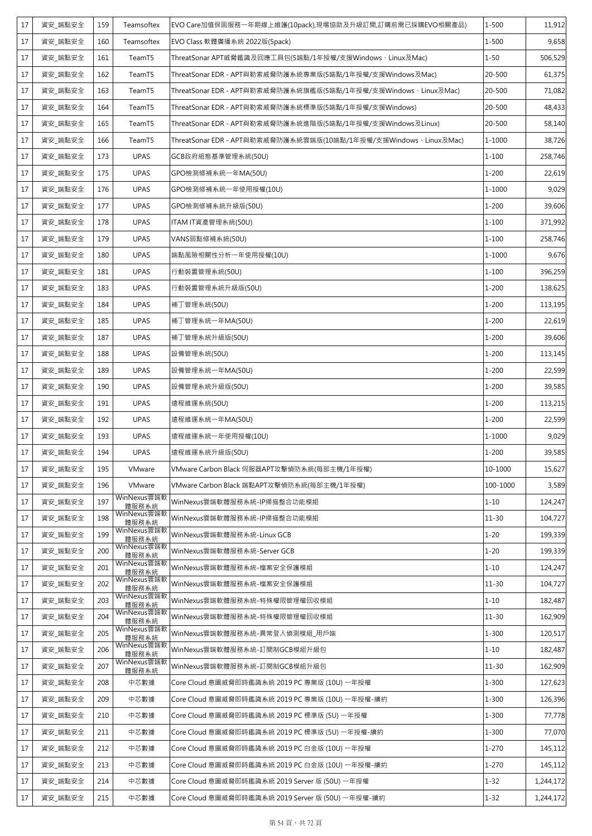| 17 | 資安_端點安全 | 159 | Teamsoftex           | EVO Care加值保固服務一年期線上維護(10pack),現場協助及升級訂閱,訂購前需已採購EVO相關產品)          | $1 - 500$ | 11,912    |
|----|---------|-----|----------------------|------------------------------------------------------------------|-----------|-----------|
| 17 | 資安_端點安全 | 160 | Teamsoftex           | EVO Class 軟體廣播系統 2022版(5pack)                                    | $1 - 500$ | 9,658     |
| 17 | 資安_端點安全 | 161 | TeamT5               | ThreatSonar APT威脅鑑識及回應工具包(5端點/1年授權/支援Windows、Linux及Mac)          | $1 - 50$  | 506,529   |
| 17 | 資安 端點安全 | 162 | TeamT5               | ThreatSonar EDR - APT與勒索威脅防護系統專業版(5端點/1年授權/支援Windows及Mac)        | 20-500    | 61,375    |
| 17 | 資安_端點安全 | 163 | TeamT5               | ThreatSonar EDR - APT與勒索威脅防護系統旗艦版(5端點/1年授權/支援Windows、Linux及Mac)  | 20-500    | 71,082    |
| 17 | 資安_端點安全 | 164 | TeamT5               | ThreatSonar EDR - APT與勒索威脅防護系統標準版(5端點/1年授權/支援Windows)            | 20-500    | 48,433    |
| 17 | 資安_端點安全 | 165 | TeamT5               | ThreatSonar EDR - APT與勒索威脅防護系統進階版(5端點/1年授權/支援Windows及Linux)      | 20-500    | 58,140    |
| 17 | 資安_端點安全 | 166 | TeamT5               | ThreatSonar EDR - APT與勒索威脅防護系統雲端版(10端點/1年授權/支援Windows、Linux及Mac) | 1-1000    | 38,726    |
| 17 | 資安 端點安全 | 173 | <b>UPAS</b>          | GCB政府組態基準管理系統(50U)                                               | $1 - 100$ | 258,746   |
| 17 | 資安_端點安全 | 175 | <b>UPAS</b>          | GPO檢測修補系統一年MA(50U)                                               | $1 - 200$ | 22,619    |
| 17 | 資安_端點安全 | 176 | <b>UPAS</b>          | GPO檢測修補系統一年使用授權(10U)                                             | 1-1000    | 9,029     |
| 17 | 資安_端點安全 | 177 | <b>UPAS</b>          | GPO檢測修補系統升級版(50U)                                                | $1 - 200$ | 39,606    |
| 17 | 資安_端點安全 | 178 | <b>UPAS</b>          | ITAM IT資產管理系統(50U)                                               | $1 - 100$ | 371,992   |
| 17 | 資安_端點安全 | 179 | <b>UPAS</b>          | VANS弱點修補系統(50U)                                                  | $1 - 100$ | 258,746   |
| 17 | 資安_端點安全 | 180 | <b>UPAS</b>          | 端點風險相關性分析一年使用授權(10U)                                             | 1-1000    | 9,676     |
| 17 | 資安 端點安全 | 181 | <b>UPAS</b>          | 行動裝置管理系統(50U)                                                    | $1 - 100$ | 396,259   |
| 17 | 資安_端點安全 | 183 | <b>UPAS</b>          | 行動裝置管理系統升級版(50U)                                                 | $1 - 200$ | 138,625   |
| 17 | 資安_端點安全 | 184 | <b>UPAS</b>          | 補丁管理系統(50U)                                                      | $1 - 200$ | 113,195   |
| 17 | 資安_端點安全 | 185 | <b>UPAS</b>          | 補丁管理系統一年MA(50U)                                                  | $1 - 200$ | 22,619    |
| 17 | 資安_端點安全 | 187 | <b>UPAS</b>          | 補丁管理系統升級版(50U)                                                   | $1 - 200$ | 39,606    |
| 17 | 資安_端點安全 | 188 | <b>UPAS</b>          | 設備管理系統(50U)                                                      | $1 - 200$ | 113,145   |
| 17 | 資安_端點安全 | 189 | <b>UPAS</b>          | 設備管理系統一年MA(50U)                                                  | $1 - 200$ | 22,599    |
| 17 | 資安_端點安全 | 190 | <b>UPAS</b>          | 設備管理系統升級版(50U)                                                   | $1 - 200$ | 39,585    |
| 17 | 資安_端點安全 | 191 | <b>UPAS</b>          | 遠程維運系統(50U)                                                      | $1 - 200$ | 113,215   |
| 17 | 資安_端點安全 | 192 | <b>UPAS</b>          | 遠程維運系統一年MA(50U)                                                  | $1 - 200$ | 22,599    |
| 17 | 資安 端點安全 | 193 | <b>UPAS</b>          | 遠程維運系統一年使用授權(10U)                                                | 1-1000    | 9,029     |
| 17 | 資安_端點安全 | 194 | <b>UPAS</b>          | 遠程維運系統升級版(50U)                                                   | $1 - 200$ | 39,585    |
| 17 | 資安 端點安全 | 195 | VMware               | VMware Carbon Black 伺服器APT攻擊偵防系統(每部主機/1年授權)                      | 10-1000   | 15,627    |
| 17 | 資安 端點安全 | 196 | VMware               | VMware Carbon Black 端點APT攻擊偵防系統(每部主機/1年授權)                       | 100-1000  | 3,589     |
| 17 | 資安_端點安全 | 197 | WinNexus雲端軟<br>體服務系統 | WinNexus雲端軟體服務系統-IP掃描整合功能模組                                      | $1 - 10$  | 124,247   |
| 17 | 資安_端點安全 | 198 | WinNexus雲端軟<br>體服務系統 | WinNexus雲端軟體服務系統-IP掃描整合功能模組                                      | $11 - 30$ | 104,727   |
| 17 | 資安_端點安全 | 199 | WinNexus雲端軟<br>體服務系統 | WinNexus雲端軟體服務系統-Linux GCB                                       | $1 - 20$  | 199,339   |
| 17 | 資安_端點安全 | 200 | WinNexus雲端軟<br>體服務系統 | WinNexus雲端軟體服務系統-Server GCB                                      | $1 - 20$  | 199,339   |
| 17 | 資安_端點安全 | 201 | WinNexus雲端軟<br>體服務系統 | WinNexus雲端軟體服務系統-檔案安全保護模組                                        | $1 - 10$  | 124,247   |
| 17 | 資安_端點安全 | 202 | WinNexus雲端軟<br>體服務系統 | WinNexus雲端軟體服務系統-檔案安全保護模組                                        | $11 - 30$ | 104,727   |
| 17 | 資安_端點安全 | 203 | WinNexus雲端軟<br>體服務系統 | WinNexus雲端軟體服務系統-特殊權限管理權回收模組                                     | $1 - 10$  | 182,487   |
| 17 | 資安_端點安全 | 204 | WinNexus雲端軟<br>體服務系統 | WinNexus雲端軟體服務系統-特殊權限管理權回收模組                                     | $11 - 30$ | 162,909   |
| 17 | 資安_端點安全 | 205 | WinNexus雲端軟<br>體服務系統 | WinNexus雲端軟體服務系統-異常登入偵測模組_用戶端                                    | $1 - 300$ | 120,517   |
| 17 | 資安_端點安全 | 206 | WinNexus雲端軟<br>體服務系統 | WinNexus雲端軟體服務系統-訂閱制GCB模組升級包                                     | $1 - 10$  | 182,487   |
| 17 | 資安_端點安全 | 207 | WinNexus雲端軟<br>體服務系統 | WinNexus雲端軟體服務系統-訂閱制GCB模組升級包                                     | $11 - 30$ | 162,909   |
| 17 | 資安_端點安全 | 208 | 中芯數據                 | Core Cloud 意圖威脅即時鑑識系統 2019 PC 專業版 (10U) 一年授權                     | $1 - 300$ | 127,623   |
| 17 | 資安_端點安全 | 209 | 中芯數據                 | Core Cloud 意圖威脅即時鑑識系統 2019 PC 專業版 (10U) 一年授權-續約                  | $1 - 300$ | 126,396   |
| 17 | 資安_端點安全 | 210 | 中芯數據                 | Core Cloud 意圖威脅即時鑑識系統 2019 PC 標準版 (5U) 一年授權                      | $1 - 300$ | 77,778    |
| 17 | 資安_端點安全 | 211 | 中芯數據                 | Core Cloud 意圖威脅即時鑑識系統 2019 PC 標準版 (5U) 一年授權-續約                   | $1 - 300$ | 77,070    |
| 17 | 資安_端點安全 | 212 | 中芯數據                 | Core Cloud 意圖威脅即時鑑識系統 2019 PC 白金版 (10U) 一年授權                     | 1-270     | 145,112   |
| 17 | 資安_端點安全 | 213 | 中芯數據                 | Core Cloud 意圖威脅即時鑑識系統 2019 PC 白金版 (10U) 一年授權-續約                  | $1 - 270$ | 145,112   |
| 17 | 資安_端點安全 | 214 | 中芯數據                 | Core Cloud 意圖威脅即時鑑識系統 2019 Server 版 (50U) 一年授權                   | $1 - 32$  | 1,244,172 |
| 17 | 資安_端點安全 | 215 | 中芯數據                 | Core Cloud 意圖威脅即時鑑識系統 2019 Server 版 (50U) 一年授權-續約                | $1 - 32$  | 1,244,172 |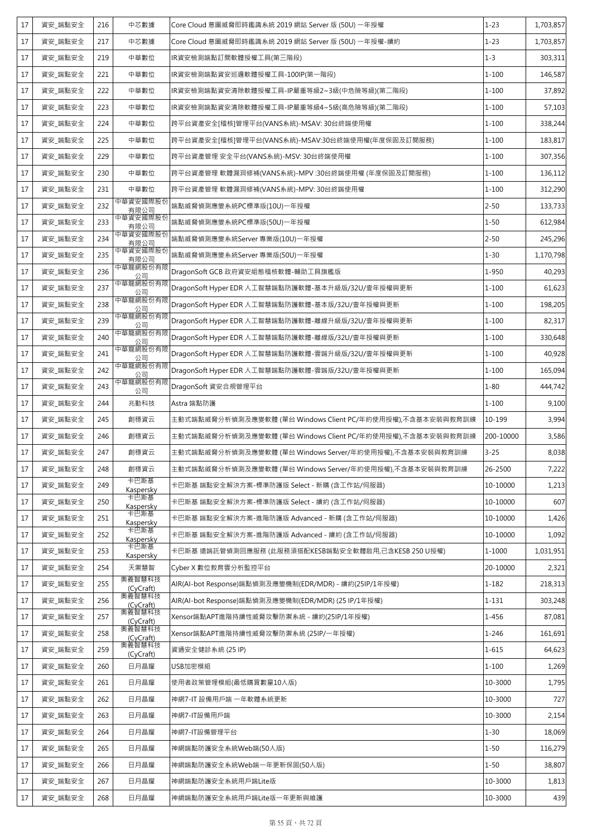| 17 | 資安 端點安全 | 216 | 中芯數據                | Core Cloud 意圖威脅即時鑑識系統 2019 網站 Server 版 (50U) 一年授權          | $1 - 23$  | 1,703,857 |
|----|---------|-----|---------------------|------------------------------------------------------------|-----------|-----------|
| 17 | 資安 端點安全 | 217 | 中芯數據                | Core Cloud 意圖威脅即時鑑識系統 2019 網站 Server 版 (50U) 一年授權-續約       | $1 - 23$  | 1,703,857 |
| 17 | 資安_端點安全 | 219 | 中華數位                | IR資安檢測端點訂閱軟體授權工具(第三階段)                                     | $1 - 3$   | 303,311   |
| 17 | 資安_端點安全 | 221 | 中華數位                | IR資安檢測端點資安巡邏軟體授權工具-100IP(第一階段)                             | $1 - 100$ | 146,587   |
| 17 | 資安_端點安全 | 222 | 中華數位                | IR資安檢測端點資安清除軟體授權工具-IP嚴重等級2~3級(中危險等級)(第二階段)                 | $1 - 100$ | 37,892    |
| 17 | 資安_端點安全 | 223 | 中華數位                | IR資安檢測端點資安清除軟體授權工具-IP嚴重等級4~5級(高危險等級)(第二階段)                 | $1 - 100$ | 57,103    |
| 17 | 資安 端點安全 | 224 | 中華數位                | 跨平台資產安全[稽核]管理平台(VANS系統)-MSAV: 30台終端使用權                     | $1 - 100$ | 338,244   |
| 17 | 資安_端點安全 | 225 | 中華數位                | 跨平台資產安全[稽核]管理平台(VANS系統)-MSAV:30台終端使用權(年度保固及訂閱服務)           | $1 - 100$ | 183,817   |
| 17 | 資安_端點安全 | 229 | 中華數位                | 跨平台資產管理 安全平台(VANS系統)-MSV: 30台終端使用權                         | $1 - 100$ | 307,356   |
| 17 | 資安_端點安全 | 230 | 中華數位                | 跨平台資產管理 軟體漏洞修補(VANS系統)-MPV :30台終端使用權 (年度保固及訂閱服務)           | $1 - 100$ | 136,112   |
| 17 | 資安_端點安全 | 231 | 中華數位                | 跨平台資產管理 軟體漏洞修補(VANS系統)-MPV: 30台終端使用權                       | $1 - 100$ | 312,290   |
| 17 | 資安_端點安全 | 232 | 中華資安國際股份<br>有限公司    | 端點威脅偵測應變系統PC標準版(10U)一年授權                                   | $2 - 50$  | 133,733   |
| 17 | 資安_端點安全 | 233 | 中華資安國際股份<br>有限公司    | 端點威脅偵測應變系統PC標準版(50U)一年授權                                   | $1 - 50$  | 612,984   |
| 17 | 資安_端點安全 | 234 | 中華資安國際股份<br>有限公司    | 端點威脅偵測應變系統Server 專業版(10U)一年授權                              | $2 - 50$  | 245,296   |
| 17 | 資安 端點安全 | 235 | 中華資安國際股份<br>有限公司    | 端點威脅偵測應變系統Server 專業版(50U)一年授權                              | $1 - 30$  | 1,170,798 |
| 17 | 資安_端點安全 | 236 | 中華龍網股份有限<br>公司      | DragonSoft GCB 政府資安組態稽核軟體-輔助工具旗艦版                          | 1-950     | 40,293    |
| 17 | 資安 端點安全 | 237 | 中華龍網股份有限<br>公司      | DragonSoft Hyper EDR 人工智慧端點防護軟體-基本升級版/32U/壹年授權與更新          | $1 - 100$ | 61,623    |
| 17 | 資安_端點安全 | 238 | 中華龍網股份有限<br>公司      | DragonSoft Hyper EDR 人工智慧端點防護軟體-基本版/32U/壹年授權與更新            | $1 - 100$ | 198,205   |
| 17 | 資安_端點安全 | 239 | 中華龍網股份有限<br>公司      | DragonSoft Hyper EDR 人工智慧端點防護軟體-離線升級版/32U/壹年授權與更新          | $1 - 100$ | 82,317    |
| 17 | 資安_端點安全 | 240 | 中華龍網股份有限<br>公司      | DragonSoft Hyper EDR 人工智慧端點防護軟體-離線版/32U/壹年授權與更新            | $1 - 100$ | 330,648   |
| 17 | 資安_端點安全 | 241 | 中華龍網股份有限<br>公司      | DragonSoft Hyper EDR 人工智慧端點防護軟體-雲端升級版/32U/壹年授權與更新          | $1 - 100$ | 40,928    |
| 17 | 資安_端點安全 | 242 | 中華龍網股份有限<br>公司      | DragonSoft Hyper EDR 人工智慧端點防護軟體-雲端版/32U/壹年授權與更新            | $1 - 100$ | 165,094   |
| 17 | 資安_端點安全 | 243 | 中華龍網股份有限<br>公司      | DragonSoft 資安合規管理平台                                        | $1 - 80$  | 444,742   |
| 17 | 資安_端點安全 | 244 | 兆勤科技                | Astra 端點防護                                                 | $1 - 100$ | 9,100     |
| 17 | 資安_端點安全 | 245 | 創穩資云                | 主動式端點威脅分析偵測及應變軟體 (單台 Windows Client PC/年約使用授權),不含基本安裝與教育訓練 | 10-199    | 3,994     |
| 17 | 資安_端點安全 | 246 | 創穩資云                | 主動式端點威脅分析偵測及應變軟體 (單台 Windows Client PC/年約使用授權),不含基本安裝與教育訓練 | 200-10000 | 3,586     |
| 17 | 資安 端點安全 | 247 | 創穩資云                | 主動式端點威脅分析偵測及應變軟體 (單台 Windows Server/年約使用授權),不含基本安裝與教育訓練    | $3 - 25$  | 8,038     |
| 17 | 資安_端點安全 | 248 | 創穩資云                | 主動式端點威脅分析偵測及應變軟體 (單台 Windows Server/年約使用授權),不含基本安裝與教育訓練    | 26-2500   | 7,222     |
| 17 | 資安_端點安全 | 249 | 卡巴斯基<br>Kaspersky   | 卡巴斯基 端點安全解決方案-標準防護版 Select - 新購 (含工作站/伺服器)                 | 10-10000  | 1,213     |
| 17 | 資安_端點安全 | 250 | 卡巴斯基<br>Kaspersky   | 卡巴斯基 端點安全解決方案-標準防護版 Select - 續約 (含工作站/伺服器)                 | 10-10000  | 607       |
| 17 | 資安_端點安全 | 251 | 卡巴斯基<br>Kaspersky   | 卡巴斯基 端點安全解決方案-進階防護版 Advanced - 新購 (含工作站/伺服器)               | 10-10000  | 1,426     |
| 17 | 資安_端點安全 | 252 | 卡巴斯基<br>Kaspersky   | 卡巴斯基 端點安全解決方案-進階防護版 Advanced - 續約 (含工作站/伺服器)               | 10-10000  | 1,092     |
| 17 | 資安_端點安全 | 253 | 卡巴斯基<br>Kaspersky   | 卡巴斯基 遠端託管偵測回應服務 (此服務須搭配KESB端點安全軟體啟用,已含KESB 250 U授權)        | 1-1000    | 1,031,951 |
| 17 | 資安_端點安全 | 254 | 天禦慧智                | Cyber X 數位教育雲分析監控平台                                        | 20-10000  | 2,321     |
| 17 | 資安_端點安全 | 255 | 奧義智慧科技<br>(CyCraft) | AIR(AI-bot Response)端點偵測及應變機制(EDR/MDR) - 續約(25IP/1年授權)     | $1 - 182$ | 218,313   |
| 17 | 資安_端點安全 | 256 | 奧義智慧科技<br>(CyCraft) | AIR(AI-bot Response) 端點偵測及應變機制(EDR/MDR) (25 IP/1年授權)       | $1 - 131$ | 303,248   |
| 17 | 資安_端點安全 | 257 | 奧義智慧科技<br>(CyCraft) | Xensor端點APT進階持續性威脅攻擊防禦系統 - 續約(25IP/1年授權)                   | 1-456     | 87,081    |
| 17 | 資安_端點安全 | 258 | 奧義智慧科技<br>(CyCraft) | Xensor端點APT進階持續性威脅攻擊防禦系統 (25IP/一年授權)                       | $1 - 246$ | 161,691   |
| 17 | 資安_端點安全 | 259 | 奧義智慧科技<br>(CyCraft) | 資通安全健診系統 (25 IP)                                           | $1 - 615$ | 64,623    |
| 17 | 資安_端點安全 | 260 | 日月晶耀                | USB加密模組                                                    | $1 - 100$ | 1,269     |
| 17 | 資安_端點安全 | 261 | 日月晶耀                | 使用者政策管理模組(最低購買數量10人版)                                      | 10-3000   | 1,795     |
| 17 | 資安_端點安全 | 262 | 日月晶耀                | 神網7-IT 設備用戶端 一年軟體系統更新                                      | 10-3000   | 727       |
| 17 | 資安_端點安全 | 263 | 日月晶耀                | 神網7-IT設備用戶端                                                | 10-3000   | 2,154     |
| 17 | 資安_端點安全 | 264 | 日月晶耀                | 神網7-IT設備管理平台                                               | $1 - 30$  | 18,069    |
| 17 | 資安_端點安全 | 265 | 日月晶耀                | 神網端點防護安全系統Web端(50人版)                                       | $1 - 50$  | 116,279   |
| 17 | 資安_端點安全 | 266 | 日月晶耀                | 神網端點防護安全系統Web端一年更新保固(50人版)                                 | $1 - 50$  | 38,807    |
| 17 | 資安_端點安全 | 267 | 日月晶耀                | 神網端點防護安全系統用戶端Lite版                                         | 10-3000   | 1,813     |
| 17 | 資安_端點安全 | 268 | 日月晶耀                | 神網端點防護安全系統用戶端Lite版一年更新與維護                                  | 10-3000   | 439       |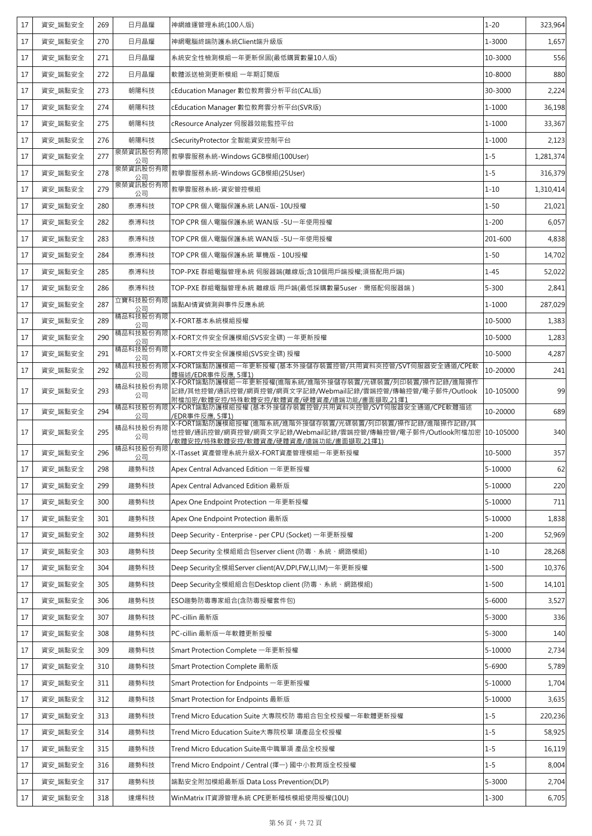| 17 | 資安_端點安全 | 269 | 日月晶耀           | 神網維運管理系統(100人版)                                                                                                                                                         | $1 - 20$   | 323,964   |
|----|---------|-----|----------------|-------------------------------------------------------------------------------------------------------------------------------------------------------------------------|------------|-----------|
| 17 | 資安_端點安全 | 270 | 日月晶耀           | 神網電腦終端防護系統Client端升級版                                                                                                                                                    | 1-3000     | 1,657     |
| 17 | 資安_端點安全 | 271 | 日月晶耀           | 系統安全性檢測模組一年更新保固(最低購買數量10人版)                                                                                                                                             | 10-3000    | 556       |
| 17 | 資安_端點安全 | 272 | 日月晶耀           | 軟體派送檢測更新模組 一年期訂閱版                                                                                                                                                       | 10-8000    | 880       |
| 17 | 資安_端點安全 | 273 | 朝陽科技           | cEducation Manager 數位教育雲分析平台(CAL版)                                                                                                                                      | 30-3000    | 2,224     |
| 17 | 資安_端點安全 | 274 | 朝陽科技           | cEducation Manager 數位教育雲分析平台(SVR版)                                                                                                                                      | 1-1000     | 36,198    |
| 17 | 資安 端點安全 | 275 | 朝陽科技           | cResource Analyzer 伺服器效能監控平台                                                                                                                                            | 1-1000     | 33,367    |
| 17 | 資安 端點安全 | 276 | 朝陽科技           | cSecurityProtector 全智能資安控制平台                                                                                                                                            | 1-1000     | 2,123     |
| 17 | 資安_端點安全 | 277 | 泉榮資訊股份有限<br>公司 | 教學雲服務系統-Windows GCB模組(100User)                                                                                                                                          | $1 - 5$    | 1,281,374 |
| 17 | 資安_端點安全 | 278 | 泉榮資訊股份有限<br>公司 | 教學雲服務系統-Windows GCB模組(25User)                                                                                                                                           | $1 - 5$    | 316,379   |
| 17 | 資安_端點安全 | 279 | 泉榮資訊股份有限<br>公司 | 教學雲服務系統-資安管控模組                                                                                                                                                          | $1 - 10$   | 1,310,414 |
| 17 | 資安_端點安全 | 280 | 泰溥科技           | TOP CPR 個人電腦保護系統 LAN版- 10U授權                                                                                                                                            | $1 - 50$   | 21,021    |
| 17 | 資安_端點安全 | 282 | 泰溥科技           | TOP CPR 個人電腦保護系統 WAN版 -5U一年使用授權                                                                                                                                         | $1 - 200$  | 6,057     |
| 17 | 資安 端點安全 | 283 | 泰溥科技           | TOP CPR 個人電腦保護系統 WAN版 -5U一年使用授權                                                                                                                                         | 201-600    | 4,838     |
| 17 | 資安 端點安全 | 284 | 泰溥科技           | TOP CPR 個人電腦保護系統 單機版 - 10U授權                                                                                                                                            | $1 - 50$   | 14,702    |
| 17 | 資安_端點安全 | 285 | 泰溥科技           | TOP-PXE 群組電腦管理系統 伺服器端(離線版;含10個用戶端授權;須搭配用戶端)                                                                                                                             | $1 - 45$   | 52,022    |
| 17 | 資安_端點安全 | 286 | 泰溥科技           | TOP-PXE 群組電腦管理系統 離線版 用戶端(最低採購數量5user,需搭配伺服器端)                                                                                                                           | $5 - 300$  | 2,841     |
| 17 | 資安_端點安全 | 287 | 立寶科技股份有限<br>公司 | 端點AI情資偵測與事件反應系統                                                                                                                                                         | 1-1000     | 287,029   |
| 17 | 資安_端點安全 | 289 | 精品科技股份有限<br>公司 | X-FORT基本系統模組授權                                                                                                                                                          | 10-5000    | 1,383     |
| 17 | 資安_端點安全 | 290 | 精品科技股份有限<br>公司 | X-FORT文件安全保護模組(SVS安全碟) 一年更新授權                                                                                                                                           | 10-5000    | 1,283     |
| 17 | 資安_端點安全 | 291 | 精品科技股份有限<br>公司 | X-FORT文件安全保護模組(SVS安全碟) 授權                                                                                                                                               | 10-5000    | 4,287     |
| 17 | 資安_端點安全 | 292 | 公司             | 精品科技股份有限  X-FORT端點防護模組一年更新授權 (基本外接儲存裝置控管/共用資料夾控管/SVT伺服器安全通道/CPE軟<br>體描述/EDR事件反應, 5擇1)                                                                                   | 10-20000   | 241       |
| 17 | 資安_端點安全 | 293 | 精品科技股份有限<br>公司 | X-FORT端點防護模組一年更新授權(進階系統/進階外接儲存裝置/光碟裝置/列印裝置/操作記錄/進階操作<br>記錄/其他控管/通訊控管/網頁控管/網頁文字記錄/Webmail記錄/雲端控管/傳輸控管/電子郵件/Outlook<br>附檔加密/軟體安控/特殊軟體安控/軟體資產/硬體資產/遠端功能/畫面擷取,21擇1          | 10-105000  | 99        |
| 17 | 資安 端點安全 | 294 | 精品科技股份有限<br>公司 | X-FORT端點防護模組授權 (基本外接儲存裝置控管/共用資料夾控管/SVT伺服器安全通道/CPE軟體描述<br>/EDR事件反應, 5擇1)                                                                                                 | 10-20000   | 689       |
| 17 | 資安_端點安全 | 295 | 精品科技股份有限<br>公司 | X-FORT端點防護模組授權 (進階系統/進階外接儲存裝置/光碟裝置/列印裝置/操作記錄/進階操作記錄/其<br>他控管/通訊控管/網頁控管/網頁文字記錄/Webmail記錄/雲端控管/傳輸控管/電子郵件/Outlook附檔加密  10-105000<br>/軟體安控/特殊軟體安控/軟體資產/硬體資產/遠端功能/畫面擷取,21擇1) |            | 340       |
| 17 | 資安_端點安全 | 296 | 精品科技股份有限<br>公司 | X-ITasset 資產管理系統升級X-FORT資產管理模組一年更新授權                                                                                                                                    | 10-5000    | 357       |
| 17 | 資安_端點安全 | 298 | 趨勢科技           | Apex Central Advanced Edition 一年更新授權                                                                                                                                    | 5-10000    | 62        |
| 17 | 資安_端點安全 | 299 | 趨勢科技           | Apex Central Advanced Edition 最新版                                                                                                                                       | 5-10000    | 220       |
| 17 | 資安_端點安全 | 300 | 趨勢科技           | Apex One Endpoint Protection 一年更新授權                                                                                                                                     | 5-10000    | 711       |
| 17 | 資安_端點安全 | 301 | 趨勢科技           | Apex One Endpoint Protection 最新版                                                                                                                                        | 5-10000    | 1,838     |
| 17 | 資安_端點安全 | 302 | 趨勢科技           | Deep Security - Enterprise - per CPU (Socket) 一年更新授權                                                                                                                    | $1 - 200$  | 52,969    |
| 17 | 資安_端點安全 | 303 | 趨勢科技           | Deep Security 全模組組合包server client (防毒、系統、網路模組)                                                                                                                          | $1 - 10$   | 28,268    |
| 17 | 資安_端點安全 | 304 | 趨勢科技           | Deep Security全模組Server client(AV,DPI,FW,LI,IM)一年更新授權                                                                                                                    | $1 - 500$  | 10,376    |
| 17 | 資安_端點安全 | 305 | 趨勢科技           | Deep Security全模組組合包Desktop client (防毒、系統、網路模組)                                                                                                                          | $1 - 500$  | 14,101    |
| 17 | 資安_端點安全 | 306 | 趨勢科技           | ESO趨勢防毒專家組合(含防毒授權套件包)                                                                                                                                                   | $5 - 6000$ | 3,527     |
| 17 | 資安_端點安全 | 307 | 趨勢科技           | PC-cillin 最新版                                                                                                                                                           | $5 - 3000$ | 336       |
| 17 | 資安_端點安全 | 308 | 趨勢科技           | PC-cillin 最新版一年軟體更新授權                                                                                                                                                   | $5 - 3000$ | 140       |
| 17 | 資安_端點安全 | 309 | 趨勢科技           | Smart Protection Complete 一年更新授權                                                                                                                                        | 5-10000    | 2,734     |
| 17 | 資安_端點安全 | 310 | 趨勢科技           | Smart Protection Complete 最新版                                                                                                                                           | 5-6900     | 5,789     |
| 17 | 資安_端點安全 | 311 | 趨勢科技           | Smart Protection for Endpoints 一年更新授權                                                                                                                                   | 5-10000    | 1,704     |
| 17 | 資安_端點安全 | 312 | 趨勢科技           | Smart Protection for Endpoints 最新版                                                                                                                                      | 5-10000    | 3,635     |
| 17 | 資安_端點安全 | 313 | 趨勢科技           | Trend Micro Education Suite 大專院校防 毒組合包全校授權一年軟體更新授權                                                                                                                      | $1 - 5$    | 220,236   |
| 17 | 資安_端點安全 | 314 | 趨勢科技           | Trend Micro Education Suite大專院校單 項產品全校授權                                                                                                                                | $1 - 5$    | 58,925    |
| 17 | 資安_端點安全 | 315 | 趨勢科技           | Trend Micro Education Suite高中職單項 產品全校授權                                                                                                                                 | $1 - 5$    | 16,119    |
| 17 | 資安_端點安全 | 316 | 趨勢科技           | Trend Micro Endpoint / Central (擇一) 國中小教育版全校授權                                                                                                                          | $1 - 5$    | 8,004     |
| 17 | 資安_端點安全 | 317 | 趨勢科技           | 端點安全附加模組最新版 Data Loss Prevention(DLP)                                                                                                                                   | 5-3000     | 2,704     |
| 17 | 資安_端點安全 | 318 | 達煬科技           | WinMatrix IT資源管理系統 CPE更新稽核模組使用授權(10U)                                                                                                                                   | $1 - 300$  | 6,705     |
|    |         |     |                |                                                                                                                                                                         |            |           |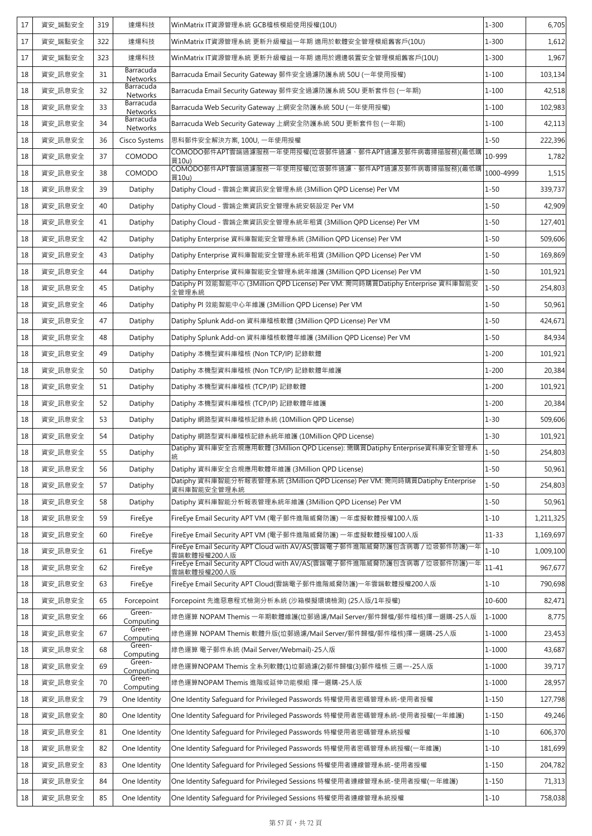| 17 | 資安_端點安全 | 319 | 達煬科技                         | WinMatrix IT資源管理系統 GCB稽核模組使用授權(10U)                                                         | $1 - 300$  | 6,705     |
|----|---------|-----|------------------------------|---------------------------------------------------------------------------------------------|------------|-----------|
| 17 | 資安 端點安全 | 322 | 達煬科技                         | WinMatrix IT資源管理系統 更新升級權益一年期 適用於軟體安全管理模組舊客戶(10U)                                            | $1 - 300$  | 1,612     |
| 17 | 資安_端點安全 | 323 | 達煬科技                         | WinMatrix IT資源管理系統 更新升級權益一年期 適用於週邊裝置安全管理模組舊客戶(10U)                                          | $1 - 300$  | 1,967     |
| 18 | 資安_訊息安全 | 31  | Barracuda<br><b>Networks</b> | Barracuda Email Security Gateway 郵件安全過濾防護系統 50U (一年使用授權)                                    | $1 - 100$  | 103,134   |
| 18 | 資安_訊息安全 | 32  | Barracuda<br>Networks        | Barracuda Email Security Gateway 郵件安全過濾防護系統 50U 更新套件包 (一年期)                                 | $1 - 100$  | 42,518    |
| 18 | 資安_訊息安全 | 33  | Barracuda<br>Networks        | Barracuda Web Security Gateway 上網安全防護系統 50U (一年使用授權)                                        | $1 - 100$  | 102,983   |
| 18 | 資安 訊息安全 | 34  | Barracuda<br>Networks        | Barracuda Web Security Gateway 上網安全防護系統 50U 更新套件包 (一年期)                                     | $1 - 100$  | 42,113    |
| 18 | 資安_訊息安全 | 36  | Cisco Systems                | 思科郵件安全解決方案, 100U, 一年使用授權                                                                    | $1 - 50$   | 222,396   |
| 18 | 資安_訊息安全 | 37  | COMODO                       | COMODO郵件APT雲端過濾服務一年使用授權(垃圾郵件過濾、郵件APT過濾及郵件病毒掃描服務)(最低購<br>買10u)                               | 10-999     | 1,782     |
| 18 | 資安 訊息安全 | 38  | COMODO                       | COMODO郵件APT雲端過濾服務一年使用授權(垃圾郵件過濾、郵件APT過濾及郵件病毒掃描服務)(最低購<br>買10u)                               | 1000-4999  | 1,515     |
| 18 | 資安_訊息安全 | 39  | Datiphy                      | Datiphy Cloud - 雲端企業資訊安全管理系統 (3Million QPD License) Per VM                                  | $1 - 50$   | 339,737   |
| 18 | 資安_訊息安全 | 40  | Datiphy                      | Datiphy Cloud - 雲端企業資訊安全管理系統安裝設定 Per VM                                                     | $1 - 50$   | 42,909    |
| 18 | 資安 訊息安全 | 41  | Datiphy                      | Datiphy Cloud - 雲端企業資訊安全管理系統年租賃 (3Million QPD License) Per VM                               | $1 - 50$   | 127,401   |
| 18 | 資安_訊息安全 | 42  | Datiphy                      | Datiphy Enterprise 資料庫智能安全管理系統 (3Million OPD License) Per VM                                | $1 - 50$   | 509,606   |
| 18 | 資安_訊息安全 | 43  | Datiphy                      | Datiphy Enterprise 資料庫智能安全管理系統年租賃 (3Million QPD License) Per VM                             | $1 - 50$   | 169,869   |
| 18 | 資安_訊息安全 | 44  | Datiphy                      | Datiphy Enterprise 資料庫智能安全管理系統年維護 (3Million QPD License) Per VM                             | $1 - 50$   | 101,921   |
| 18 | 資安_訊息安全 | 45  | Datiphy                      | Datiphy PI 效能智能中心 (3Million QPD License) Per VM: 需同時購買Datiphy Enterprise 資料庫智能安<br>全管理系統    | $1 - 50$   | 254,803   |
| 18 | 資安_訊息安全 | 46  | Datiphy                      | Datiphy PI 效能智能中心年維護 (3Million QPD License) Per VM                                          | $1 - 50$   | 50,961    |
| 18 | 資安_訊息安全 | 47  | Datiphy                      | Datiphy Splunk Add-on 資料庫稽核軟體 (3Million QPD License) Per VM                                 | $1 - 50$   | 424,671   |
| 18 | 資安_訊息安全 | 48  | Datiphy                      | Datiphy Splunk Add-on 資料庫稽核軟體年維護 (3Million QPD License) Per VM                              | $1 - 50$   | 84,934    |
| 18 | 資安_訊息安全 | 49  | Datiphy                      | Datiphy 本機型資料庫稽核 (Non TCP/IP) 記錄軟體                                                          | $1 - 200$  | 101,921   |
| 18 | 資安_訊息安全 | 50  | Datiphy                      | Datiphy 本機型資料庫稽核 (Non TCP/IP) 記錄軟體年維護                                                       | $1 - 200$  | 20,384    |
| 18 | 資安_訊息安全 | 51  | Datiphy                      | Datiphy 本機型資料庫稽核 (TCP/IP) 記錄軟體                                                              | $1 - 200$  | 101,921   |
| 18 | 資安 訊息安全 | 52  | Datiphy                      | Datiphy 本機型資料庫稽核 (TCP/IP) 記錄軟體年維護                                                           | $1 - 200$  | 20,384    |
| 18 | 資安_訊息安全 | 53  | Datiphy                      | Datiphy 網路型資料庫稽核記錄系統 (10Million OPD License)                                                | $1 - 30$   | 509,606   |
| 18 | 資安_訊息安全 | 54  | Datiphy                      | Datiphy 網路型資料庫稽核記錄系統年維護 (10Million QPD License)                                             | $1 - 30$   | 101,921   |
| 18 | 資安_訊息安全 | 55  | Datiphy                      | Datiphy 資料庫安全合規應用軟體 (3Million QPD License): 需購買Datiphy Enterprise資料庫安全管理系<br>統              | $1 - 50$   | 254,803   |
| 18 | 資安_訊息安全 | 56  | Datiphy                      | Datiphy 資料庫安全合規應用軟體年維護 (3Million QPD License)                                               | $1 - 50$   | 50,961    |
| 18 | 資安 訊息安全 | 57  | Datiphy                      | Datiphy 資料庫智能分析報表管理系統 (3Million QPD License) Per VM: 需同時購買Datiphy Enterprise<br>資料庫智能安全管理系統 | $1 - 50$   | 254,803   |
| 18 | 資安 訊息安全 | 58  | Datiphy                      | Datiphy 資料庫智能分析報表管理系統年維護 (3Million QPD License) Per VM                                      | $1 - 50$   | 50,961    |
| 18 | 資安_訊息安全 | 59  | FireEye                      | FireEve Email Security APT VM (電子郵件進階威脅防護) 一年虛擬軟體授權100人版                                    | $1 - 10$   | 1,211,325 |
| 18 | 資安_訊息安全 | 60  | FireEye                      | FireEye Email Security APT VM (電子郵件進階威脅防護) 一年虛擬軟體授權100人版                                    | $11 - 33$  | 1,169,697 |
| 18 | 資安_訊息安全 | 61  | FireEye                      | FireEve Email Security APT Cloud with AV/AS(雲端電子郵件進階威脅防護包含病毒 / 垃圾郵件防護)一年<br>雲端軟體授權200人版     | $1 - 10$   | 1,009,100 |
| 18 | 資安_訊息安全 | 62  | FireEye                      | FireEye Email Security APT Cloud with AV/AS(雲端電子郵件進階威脅防護包含病毒 / 垃圾郵件防護)一年<br>雲端軟體授權200人版     | $11 - 41$  | 967,677   |
| 18 | 資安_訊息安全 | 63  | FireEye                      | FireEye Email Security APT Cloud(雲端電子郵件進階威脅防護)一年雲端軟體授權200人版                                 | $1 - 10$   | 790,698   |
| 18 | 資安_訊息安全 | 65  | Forcepoint                   | Forcepoint 先進惡意程式檢測分析系統 (沙箱模擬環境檢測) (25人版/1年授權)                                              | 10-600     | 82,471    |
| 18 | 資安_訊息安全 | 66  | Green-<br>Computing          | 綠色運算 NOPAM Themis 一年期軟體維護(垃郵過濾/Mail Server/郵件歸檔/郵件稽核)擇一選購-25人版                              | 1-1000     | 8,775     |
| 18 | 資安_訊息安全 | 67  | Green-<br>Computing          | 綠色運算 NOPAM Themis 軟體升版(垃郵過濾/Mail Server/郵件歸檔/郵件稽核)擇一選購-25人版                                 | $1 - 1000$ | 23,453    |
| 18 | 資安_訊息安全 | 68  | Green-<br>Computing          | 綠色運算 電子郵件系統 (Mail Server/Webmail)-25人版                                                      | 1-1000     | 43,687    |
| 18 | 資安_訊息安全 | 69  | Green-<br>Computing          | 綠色運算NOPAM Themis 全系列軟體(1)垃郵過濾(2)郵件歸檔(3)郵件稽核 三選一-25人版                                        | $1 - 1000$ | 39,717    |
| 18 | 資安_訊息安全 | 70  | Green-<br>Computing          | 綠色運算NOPAM Themis 進階或延伸功能模組 擇一選購-25人版                                                        | 1-1000     | 28,957    |
| 18 | 資安_訊息安全 | 79  | One Identity                 | One Identity Safequard for Privileged Passwords 特權使用者密碼管理系統-使用者授權                           | $1 - 150$  | 127,798   |
| 18 | 資安_訊息安全 | 80  | One Identity                 | One Identity Safeguard for Privileged Passwords 特權使用者密碼管理系統-使用者授權(一年維護)                     | $1 - 150$  | 49,246    |
| 18 | 資安_訊息安全 | 81  | One Identity                 | One Identity Safequard for Privileged Passwords 特權使用者密碼管理系統授權                               | $1 - 10$   | 606,370   |
| 18 | 資安_訊息安全 | 82  | One Identity                 | One Identity Safequard for Privileged Passwords 特權使用者密碼管理系統授權(一年維護)                         | $1 - 10$   | 181,699   |
| 18 | 資安_訊息安全 | 83  | One Identity                 | One Identity Safeguard for Privileged Sessions 特權使用者連線管理系統-使用者授權                            | $1 - 150$  | 204,782   |
| 18 | 資安_訊息安全 | 84  | One Identity                 | One Identity Safeguard for Privileged Sessions 特權使用者連線管理系統-使用者授權(一年維護)                      | $1 - 150$  | 71,313    |
| 18 | 資安_訊息安全 | 85  | One Identity                 | One Identity Safeguard for Privileged Sessions 特權使用者連線管理系統授權                                | $1 - 10$   | 758,038   |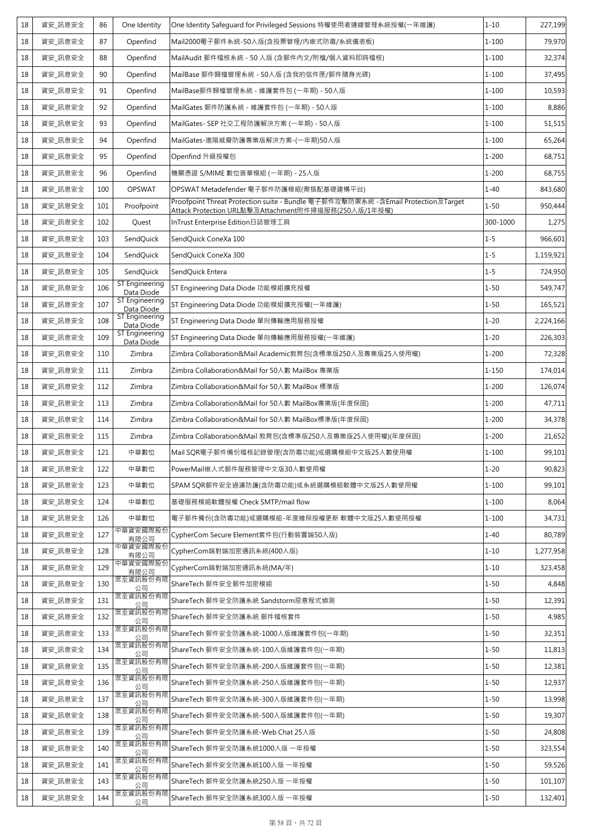| 18 | 資安 訊息安全 | 86  | One Identity                        | One Identity Safeguard for Privileged Sessions 特權使用者連線管理系統授權(一年維護)                                                                       | $1 - 10$  | 227,199   |
|----|---------|-----|-------------------------------------|------------------------------------------------------------------------------------------------------------------------------------------|-----------|-----------|
| 18 | 資安_訊息安全 | 87  | Openfind                            | Mail2000電子郵件系統-50人版(含投票管理/內嵌式防毒/系統儀表板)                                                                                                   | $1 - 100$ | 79,970    |
| 18 | 資安_訊息安全 | 88  | Openfind                            | MailAudit 郵件稽核系統 - 50 人版 (含郵件內文/附檔/個人資料即時稽核)                                                                                             | $1 - 100$ | 32,374    |
| 18 | 資安_訊息安全 | 90  | Openfind                            | MailBase 郵件歸檔管理系統 - 50人版 (含我的信件匣/郵件隨身光碟)                                                                                                 | $1 - 100$ | 37,495    |
| 18 | 資安_訊息安全 | 91  | Openfind                            | MailBase郵件歸檔管理系統 - 維護套件包 (一年期) - 50人版                                                                                                    | $1 - 100$ | 10,593    |
| 18 | 資安_訊息安全 | 92  | Openfind                            | MailGates 郵件防護系統 - 維護套件包 (一年期) - 50人版                                                                                                    | $1 - 100$ | 8,886     |
| 18 | 資安_訊息安全 | 93  | Openfind                            | MailGates- SEP 社交工程防護解決方案 (一年期) - 50人版                                                                                                   | $1 - 100$ | 51,515    |
| 18 | 資安_訊息安全 | 94  | Openfind                            | MailGates-進階威脅防護專業版解決方案-(一年期)50人版                                                                                                        | $1 - 100$ | 65,264    |
| 18 | 資安 訊息安全 | 95  | Openfind                            | Openfind 升級授權包                                                                                                                           | $1 - 200$ | 68,751    |
| 18 | 資安_訊息安全 | 96  | Openfind                            | 機關憑證 S/MIME 數位簽章模組 (一年期) - 25人版                                                                                                          | $1 - 200$ | 68,755    |
| 18 | 資安_訊息安全 | 100 | <b>OPSWAT</b>                       | OPSWAT Metadefender 電子郵件防護模組(需搭配基礎建構平台)                                                                                                  | $1 - 40$  | 843,680   |
| 18 | 資安_訊息安全 | 101 | Proofpoint                          | Proofpoint Threat Protection suite - Bundle 電子郵件攻擊防禦系統 -含Email Protection及Target<br>Attack Protection URL點擊及Attachment附件掃描服務(250人版/1年授權) | $1 - 50$  | 950,444   |
| 18 | 資安_訊息安全 | 102 | Quest                               | InTrust Enterprise Edition日誌管理工具                                                                                                         | 300-1000  | 1,275     |
| 18 | 資安 訊息安全 | 103 | SendQuick                           | SendQuick ConeXa 100                                                                                                                     | $1 - 5$   | 966,601   |
| 18 | 資安_訊息安全 | 104 | SendQuick                           | SendQuick ConeXa 300                                                                                                                     | $1 - 5$   | 1,159,921 |
| 18 | 資安_訊息安全 | 105 | SendQuick                           | SendQuick Entera                                                                                                                         | $1 - 5$   | 724,950   |
| 18 | 資安_訊息安全 | 106 | ST Engineering<br>Data Diode        | ST Engineering Data Diode 功能模組擴充授權                                                                                                       | $1 - 50$  | 549,747   |
| 18 | 資安_訊息安全 | 107 | <b>ST Engineering</b><br>Data Diode | ST Engineering Data Diode 功能模組擴充授權(一年維護)                                                                                                 | $1 - 50$  | 165,521   |
| 18 | 資安_訊息安全 | 108 | <b>ST Engineering</b><br>Data Diode | ST Engineering Data Diode 單向傳輸應用服務授權                                                                                                     | $1 - 20$  | 2,224,166 |
| 18 | 資安_訊息安全 | 109 | <b>ST Engineering</b><br>Data Diode | ST Engineering Data Diode 單向傳輸應用服務授權(一年維護)                                                                                               | $1 - 20$  | 226,303   |
| 18 | 資安_訊息安全 | 110 | Zimbra                              | Zimbra Collaboration&Mail Academic教育包(含標準版250人及專業版25人使用權)                                                                                | $1 - 200$ | 72,328    |
| 18 | 資安_訊息安全 | 111 | Zimbra                              | Zimbra Collaboration&Mail for 50人數 MailBox 專業版                                                                                           | $1 - 150$ | 174,014   |
| 18 | 資安_訊息安全 | 112 | Zimbra                              | Zimbra Collaboration&Mail for 50人數 MailBox 標準版                                                                                           | $1 - 200$ | 126,074   |
| 18 | 資安_訊息安全 | 113 | Zimbra                              | Zimbra Collaboration&Mail for 50人數 MailBox專業版(年度保固)                                                                                      | $1 - 200$ | 47,711    |
| 18 | 資安_訊息安全 | 114 | Zimbra                              | Zimbra Collaboration&Mail for 50人數 MailBox標準版(年度保固)                                                                                      | $1 - 200$ | 34,378    |
| 18 | 資安_訊息安全 | 115 | Zimbra                              | Zimbra Collaboration&Mail 教育包(含標準版250人及專業版25人使用權)(年度保固)                                                                                  | $1 - 200$ | 21,652    |
| 18 | 資安_訊息安全 | 121 | 中華數位                                | Mail SQR電子郵件備份稽核記錄管理(含防毒功能)或選購模組中文版25人數使用權                                                                                               | $1 - 100$ | 99,101    |
| 18 | 資安_訊息安全 | 122 | 中華數位                                | PowerMail嵌入式郵件服務管理中文版30人數使用權                                                                                                             | $1 - 20$  | 90,823    |
| 18 | 資安 訊息安全 | 123 | 中華數位                                | SPAM SQR郵件安全過濾防護(含防毒功能)或系統選購模組軟體中文版25人數使用權                                                                                               | $1 - 100$ | 99,101    |
| 18 | 資安_訊息安全 | 124 | 中華數位                                | 基礎服務模組軟體授權 Check SMTP/mail flow                                                                                                          | $1 - 100$ | 8,064     |
| 18 | 資安_訊息安全 | 126 | 中華數位                                | 電子郵件備份(含防毒功能)或選購模組-年度維保授權更新 軟體中文版25人數使用授權                                                                                                | $1 - 100$ | 34,731    |
| 18 | 資安_訊息安全 | 127 | 中華資安國際股份<br>有限公司                    | CypherCom Secure Element套件包(行動裝置端50人版)                                                                                                   | $1 - 40$  | 80,789    |
| 18 | 資安_訊息安全 | 128 | 中華資安國際股份<br>有限公司                    | CypherCom端對端加密通訊系統(400人版)                                                                                                                | $1 - 10$  | 1,277,958 |
| 18 | 資安_訊息安全 | 129 | 中華資安國際股份<br>有限公司                    | CypherCom端對端加密通訊系統(MA/年)                                                                                                                 | $1 - 10$  | 323,458   |
| 18 | 資安_訊息安全 | 130 | 眾至資訊股份有限<br>公司                      | ShareTech 郵件安全郵件加密模組                                                                                                                     | $1 - 50$  | 4,848     |
| 18 | 資安_訊息安全 | 131 | 眾至資訊股份有限<br>公司                      | ShareTech 郵件安全防護系統 Sandstorm惡意程式偵測                                                                                                       | $1 - 50$  | 12,391    |
| 18 | 資安_訊息安全 | 132 | 眾至資訊股份有限<br>公司                      | ShareTech 郵件安全防護系統 郵件稽核套件                                                                                                                | $1 - 50$  | 4,985     |
| 18 | 資安_訊息安全 | 133 | 眾至資訊股份有限<br>公司                      | ShareTech 郵件安全防護系統-1000人版維護套件包(一年期)                                                                                                      | $1 - 50$  | 32,351    |
| 18 | 資安_訊息安全 | 134 | 眾至資訊股份有限<br>公司                      | ShareTech 郵件安全防護系統-100人版維護套件包(一年期)                                                                                                       | $1 - 50$  | 11,813    |
| 18 | 資安_訊息安全 | 135 | 眾至資訊股份有限<br>公司                      | ShareTech 郵件安全防護系統-200人版維護套件包(一年期)                                                                                                       | $1 - 50$  | 12,381    |
| 18 | 資安_訊息安全 | 136 | 眾至資訊股份有限<br>公司                      | ShareTech 郵件安全防護系統-250人版維護套件包(一年期)                                                                                                       | $1 - 50$  | 12,937    |
| 18 | 資安_訊息安全 | 137 | 眾至資訊股份有限<br>公司                      | ShareTech 郵件安全防護系統-300人版維護套件包(一年期)                                                                                                       | $1 - 50$  | 13,998    |
| 18 | 資安_訊息安全 | 138 | 眾至資訊股份有限<br>公司                      | ShareTech 郵件安全防護系統-500人版維護套件包(一年期)                                                                                                       | $1 - 50$  | 19,307    |
| 18 | 資安_訊息安全 | 139 | 眾至資訊股份有限<br>公司                      | ShareTech 郵件安全防護系統-Web Chat 25人版                                                                                                         | $1 - 50$  | 24,808    |
| 18 | 資安_訊息安全 | 140 | 眾至資訊股份有限<br>公司                      | ShareTech 郵件安全防護系統1000人版 一年授權                                                                                                            | $1 - 50$  | 323,554   |
| 18 | 資安_訊息安全 | 141 | 眾至資訊股份有限<br>公司                      | ShareTech 郵件安全防護系統100人版 一年授權                                                                                                             | $1 - 50$  | 59,526    |
| 18 | 資安_訊息安全 | 143 | 眾至資訊股份有限<br>公司                      | ShareTech 郵件安全防護系統250人版 一年授權                                                                                                             | $1 - 50$  | 101,107   |
| 18 | 資安_訊息安全 | 144 | 眾至資訊股份有限<br>公司                      | ShareTech 郵件安全防護系統300人版 一年授權                                                                                                             | $1 - 50$  | 132,401   |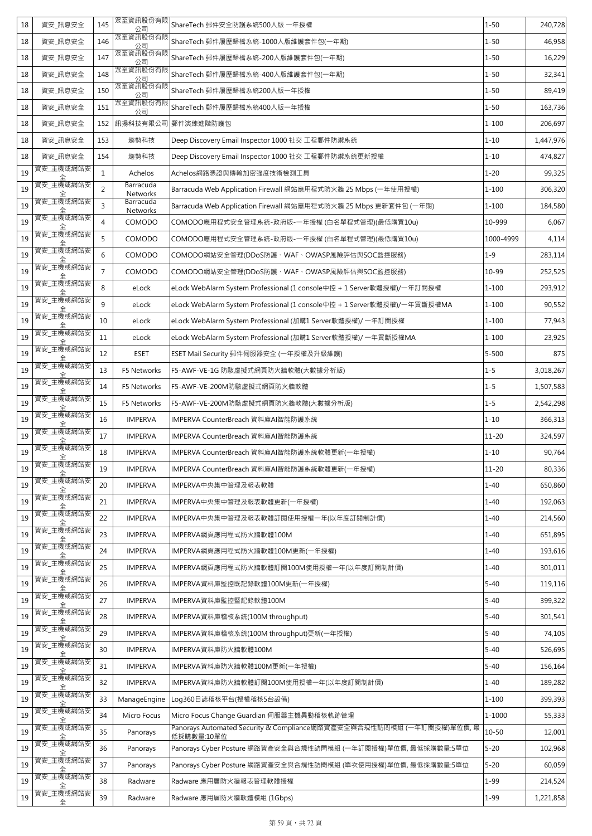| 18 | 資安_訊息安全        | 145            | 眾至資訊股份有限<br>公司        | ShareTech 郵件安全防護系統500人版 一年授權                                                        | $1 - 50$   | 240,728   |
|----|----------------|----------------|-----------------------|-------------------------------------------------------------------------------------|------------|-----------|
| 18 | 資安_訊息安全        | 146            | 眾至資訊股份有限<br>公司        | ShareTech 郵件履歷歸檔系統-1000人版維護套件包(一年期)                                                 | $1 - 50$   | 46,958    |
| 18 | 資安_訊息安全        | 147            | 眾至資訊股份有限<br>公司        | ShareTech 郵件履歷歸檔系統-200人版維護套件包(一年期)                                                  | $1 - 50$   | 16,229    |
| 18 | 資安_訊息安全        | 148            | 眾至資訊股份有限<br>公司        | ShareTech 郵件履歷歸檔系統-400人版維護套件包(一年期)                                                  | $1 - 50$   | 32,341    |
| 18 | 資安_訊息安全        | 150            | 眾至資訊股份有限<br>公司        | ShareTech 郵件履歷歸檔系統200人版一年授權                                                         | $1 - 50$   | 89,419    |
| 18 | 資安_訊息安全        | 151            | 眾至資訊股份有限<br>公司        | ShareTech 郵件履歷歸檔系統400人版一年授權                                                         | $1 - 50$   | 163,736   |
| 18 | 資安 訊息安全        | 152            | 訊揚科技有限公司              | 郵件演練進階防護包                                                                           | $1 - 100$  | 206,697   |
| 18 | 資安_訊息安全        | 153            | 趨勢科技                  | Deep Discovery Email Inspector 1000 社交 工程郵件防禦系統                                     | $1 - 10$   | 1,447,976 |
| 18 | 資安_訊息安全        | 154            | 趨勢科技                  | Deep Discovery Email Inspector 1000 社交 工程郵件防禦系統更新授權                                 | $1 - 10$   | 474,827   |
| 19 | 資安_主機或網站安      | $\mathbf{1}$   | Achelos               | Achelos網路憑證與傳輸加密強度技術檢測工具                                                            | $1 - 20$   | 99,325    |
| 19 | 資安_主機或網站安      | $\overline{2}$ | Barracuda<br>Networks | Barracuda Web Application Firewall 網站應用程式防火牆 25 Mbps (一年使用授權)                       | $1 - 100$  | 306,320   |
| 19 | 資安_主機或網站安      | $\overline{3}$ | Barracuda<br>Networks | Barracuda Web Application Firewall 網站應用程式防火牆 25 Mbps 更新套件包 (一年期)                    | $1 - 100$  | 184,580   |
| 19 | 資安_主機或網站安      | $\overline{4}$ | COMODO                | COMODO應用程式安全管理系統-政府版-一年授權 (白名單程式管理)(最低購買10u)                                        | 10-999     | 6,067     |
| 19 | 資安_主機或網站安      | 5              | COMODO                | COMODO應用程式安全管理系統-政府版-一年授權 (白名單程式管理)(最低購買10u)                                        | 1000-4999  | 4,114     |
| 19 | 資安 主機或網站安      | 6              | COMODO                | COMODO網站安全管理(DDoS防護、WAF、OWASP風險評估與SOC監控服務)                                          | $1 - 9$    | 283,114   |
| 19 | 資安 主機或網站安      | $\overline{7}$ | COMODO                | COMODO網站安全管理(DDoS防護、WAF、OWASP風險評估與SOC監控服務)                                          | 10-99      | 252,525   |
| 19 | 資安 主機或網站安      | 8              | eLock                 | eLock WebAlarm System Professional (1 console中控 + 1 Server軟體授權)/一年訂閱授權              | $1 - 100$  | 293,912   |
| 19 | 資安_主機或網站安      | 9              | eLock                 | eLock WebAlarm System Professional (1 console中控 + 1 Server軟體授權)/一年買斷授權MA            | $1 - 100$  | 90,552    |
| 19 | 資安_主機或網站安      | 10             | eLock                 | eLock WebAlarm System Professional (加購1 Server軟體授權)/ 一年訂閱授權                         | $1 - 100$  | 77,943    |
| 19 | 資安_主機或網站安      | 11             | eLock                 | eLock WebAlarm System Professional (加購1 Server軟體授權)/ 一年買斷授權MA                       | $1 - 100$  | 23,925    |
| 19 | 資安_主機或網站安      | 12             | <b>ESET</b>           | ESET Mail Security 郵件伺服器安全 (一年授權及升級維護)                                              | $5 - 500$  | 875       |
| 19 | 資安_主機或網站安      | 13             | F5 Networks           | F5-AWF-VE-1G 防駭虛擬式網頁防火牆軟體(大數據分析版)                                                   | $1 - 5$    | 3,018,267 |
| 19 | 資安_主機或網站安      | 14             | F5 Networks           | F5-AWF-VE-200M防駭虛擬式網頁防火牆軟體                                                          | $1 - 5$    | 1,507,583 |
| 19 | 資安_主機或網站安      | 15             | F5 Networks           | F5-AWF-VE-200M防駭虛擬式網頁防火牆軟體(大數據分析版)                                                  | $1 - 5$    | 2,542,298 |
| 19 | 資安_主機或網站安      | 16             | <b>IMPERVA</b>        | IMPERVA CounterBreach 資料庫AI智能防護系統                                                   | $1 - 10$   | 366,313   |
| 19 | 資安_主機或網站安      | 17             | <b>IMPERVA</b>        | IMPERVA CounterBreach 資料庫AI智能防護系統                                                   | $11 - 20$  | 324,597   |
| 19 | 資安_主機或網站安<br>全 | 18             | <b>IMPERVA</b>        | IMPERVA CounterBreach 資料庫AI智能防護系統軟體更新(一年授權)                                         | $1 - 10$   | 90,764    |
| 19 | 資安_主機或網站安      | 19             | <b>IMPERVA</b>        | IMPERVA CounterBreach 資料庫AI智能防護系統軟體更新(一年授權)                                         | $11 - 20$  | 80,336    |
| 19 | 資安_主機或網站安      | 20             | <b>IMPERVA</b>        | IMPERVA中央集中管理及報表軟體                                                                  | $1 - 40$   | 650,860   |
| 19 | 資安_主機或網站安      | 21             | <b>IMPERVA</b>        | IMPERVA中央集中管理及報表軟體更新(一年授權)                                                          | $1 - 40$   | 192,063   |
| 19 | 資安_主機或網站安      | 22             | <b>IMPERVA</b>        | IMPERVA中央集中管理及報表軟體訂閱使用授權一年(以年度訂閱制計價)                                                | $1 - 40$   | 214,560   |
| 19 | 資安_主機或網站安      | 23             | <b>IMPERVA</b>        | IMPERVA網頁應用程式防火牆軟體100M                                                              | $1 - 40$   | 651,895   |
| 19 | 資安_主機或網站安      | 24             | <b>IMPERVA</b>        | IMPERVA網頁應用程式防火牆軟體100M更新(一年授權)                                                      | $1 - 40$   | 193,616   |
| 19 | 資安_主機或網站安      | 25             | <b>IMPERVA</b>        | IMPERVA網頁應用程式防火牆軟體訂閱100M使用授權一年(以年度訂閱制計價)                                            | $1 - 40$   | 301,011   |
| 19 | 資安_主機或網站安      | 26             | <b>IMPERVA</b>        | IMPERVA資料庫監控既記錄軟體100M更新(一年授權)                                                       | $5 - 40$   | 119,116   |
| 19 | 資安_主機或網站安      | 27             | <b>IMPERVA</b>        | IMPERVA資料庫監控暨記錄軟體100M                                                               | $5 - 40$   | 399,322   |
| 19 | 資安_主機或網站安      | 28             | <b>IMPERVA</b>        | IMPERVA資料庫稽核系統(100M throughput)                                                     | $5 - 40$   | 301,541   |
| 19 | 資安_主機或網站安      | 29             | <b>IMPERVA</b>        | IMPERVA資料庫稽核系統(100M throughput)更新(一年授權)                                             | $5 - 40$   | 74,105    |
| 19 | 資安_主機或網站安      | 30             | <b>IMPERVA</b>        | IMPERVA資料庫防火牆軟體100M                                                                 | $5 - 40$   | 526,695   |
| 19 | 資安_主機或網站安      | 31             | <b>IMPERVA</b>        | IMPERVA資料庫防火牆軟體100M更新(一年授權)                                                         | $5 - 40$   | 156,164   |
| 19 | 資安_主機或網站安      | 32             | <b>IMPERVA</b>        | IMPERVA資料庫防火牆軟體訂閱100M使用授權一年(以年度訂閱制計價)                                               | $1 - 40$   | 189,282   |
| 19 | 資安_主機或網站安      | 33             | ManageEngine          | Log360日誌稽核平台(授權稽核5台設備)                                                              | $1 - 100$  | 399,393   |
| 19 | 資安_主機或網站安      | 34             | Micro Focus           | Micro Focus Change Guardian 伺服器主機異動稽核軌跡管理                                           | $1 - 1000$ | 55,333    |
| 19 | 資安_主機或網站安      | 35             | Panorays              | Panorays Automated Security & Compliance網路資產安全與合規性訪問模組 (一年訂閱授權)單位價, 最<br>低採購數量:10單位 | $10 - 50$  | 12,001    |
| 19 | 資安_主機或網站安      | 36             | Panorays              | Panorays Cyber Posture 網路資產安全與合規性訪問模組 (一年訂閱授權)單位價, 最低採購數量:5單位                       | $5 - 20$   | 102,968   |
| 19 | 資安_主機或網站安      | 37             | Panorays              | Panorays Cyber Posture 網路資產安全與合規性訪問模組 (單次使用授權)單位價, 最低採購數量:5單位                       | $5 - 20$   | 60,059    |
| 19 | 資安_主機或網站安      | 38             | Radware               | Radware 應用層防火牆報表管理軟體授權                                                              | $1 - 99$   | 214,524   |
| 19 | 資安_主機或網站安<br>全 | 39             | Radware               | Radware 應用層防火牆軟體模組 (1Gbps)                                                          | $1 - 99$   | 1,221,858 |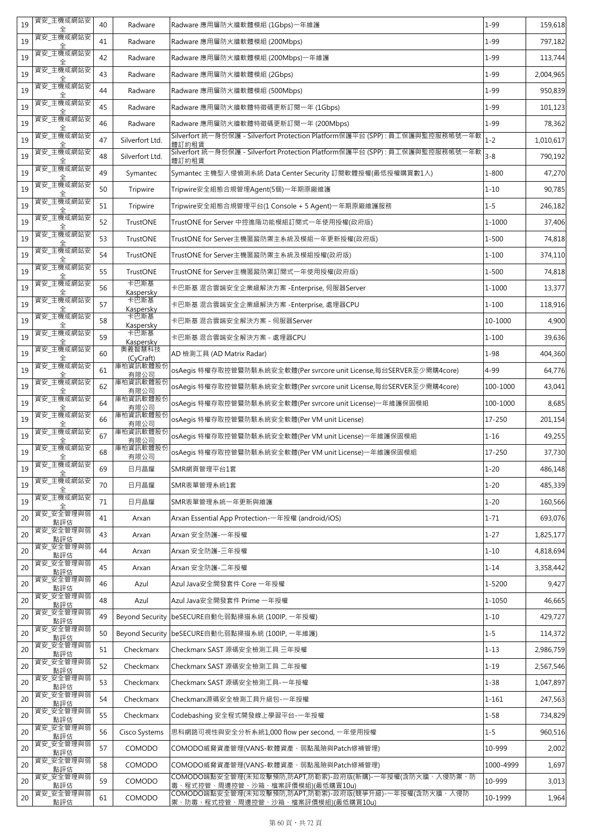| 19 | 資安_主機或網站安        | 40 | Radware                | Radware 應用層防火牆軟體模組 (1Gbps)一年維護                                                                   | $1 - 99$  | 159,618   |
|----|------------------|----|------------------------|--------------------------------------------------------------------------------------------------|-----------|-----------|
| 19 | 資安 主機或網站安        | 41 | Radware                | Radware 應用層防火牆軟體模組 (200Mbps)                                                                     | $1 - 99$  | 797,182   |
| 19 | 資安_主機或網站安        | 42 | Radware                | Radware 應用層防火牆軟體模組 (200Mbps)一年維護                                                                 | $1 - 99$  | 113,744   |
| 19 | 資安 主機或網站安        | 43 | Radware                | Radware 應用層防火牆軟體模組 (2Gbps)                                                                       | $1 - 99$  | 2,004,965 |
| 19 | 資安_主機或網站安        | 44 | Radware                | Radware 應用層防火牆軟體模組 (500Mbps)                                                                     | $1 - 99$  | 950,839   |
| 19 | 資安_主機或網站安<br>全   | 45 | Radware                | Radware 應用層防火牆軟體特徵碼更新訂閱一年 (1Gbps)                                                                | $1 - 99$  | 101,123   |
| 19 | 資安_主機或網站安        | 46 | Radware                | Radware 應用層防火牆軟體特徵碼更新訂閱一年 (200Mbps)                                                              | $1 - 99$  | 78,362    |
| 19 | 資安_主機或網站安        | 47 | Silverfort Ltd.        | Silverfort 統一身份保護 - Silverfort Protection Platform保護平台 (SPP):員工保護與監控服務帳號一年軟<br>體訂約租賃             | $1 - 2$   | 1,010,617 |
| 19 | 資安_主機或網站安        | 48 | Silverfort Ltd.        | Silverfort 統一身份保護 - Silverfort Protection Platform保護平台 (SPP) : 員工保護與監控服務帳號一年軟<br>體訂約租賃           | $3 - 8$   | 790,192   |
| 19 | 資安_主機或網站安        | 49 | Symantec               | Symantec 主機型入侵偵測系統 Data Center Security 訂閱軟體授權(最低授權購買數1人)                                        | $1 - 800$ | 47,270    |
| 19 | 資安_主機或網站安        | 50 | Tripwire               | Tripwire安全組態合規管理Agent(5個)一年期原廠維護                                                                 | $1 - 10$  | 90,785    |
| 19 | 資安_主機或網站安        | 51 | Tripwire               | Tripwire安全組態合規管理平台(1 Console + 5 Agent)一年期原廠維護服務                                                 | $1 - 5$   | 246,182   |
| 19 | 資安_主機或網站安        | 52 | TrustONE               | TrustONE for Server 中控進階功能模組訂閱式一年使用授權(政府版)                                                       | 1-1000    | 37,406    |
| 19 | 資安_主機或網站安        | 53 | TrustONE               | TrustONE for Server主機匿蹤防禦主系統及模組一年更新授權(政府版)                                                       | $1 - 500$ | 74,818    |
| 19 | 資安_主機或網站安        | 54 | TrustONE               | TrustONE for Server主機匿蹤防禦主系統及模組授權(政府版)                                                           | $1 - 100$ | 374,110   |
| 19 | 資安_主機或網站安        | 55 | TrustONE               | TrustONE for Server主機匿蹤防禦訂閱式一年使用授權(政府版)                                                          | $1 - 500$ | 74,818    |
| 19 | 資安_主機或網站安        | 56 | 卡巴斯基<br>Kaspersky      | 卡巴斯基 混合雲端安全企業級解決方案 -Enterprise, 伺服器Server                                                        | 1-1000    | 13,377    |
| 19 | 資安_主機或網站安        | 57 | 卡巴斯基<br>Kaspersky      | 卡巴斯基 混合雲端安全企業級解決方案 -Enterprise, 處理器CPU                                                           | $1 - 100$ | 118,916   |
| 19 | 資安_主機或網站安        | 58 | 卡巴斯基<br>Kaspersky      | 卡巴斯基 混合雲端安全解決方案 - 伺服器Server                                                                      | 10-1000   | 4,900     |
| 19 | 資安_主機或網站安        | 59 | 卡巴斯基<br>Kaspersky      | 卡巴斯基 混合雲端安全解決方案 - 處理器CPU                                                                         | $1 - 100$ | 39,636    |
| 19 | 資安_主機或網站安        | 60 | 奧義智慧科技<br>(CyCraft)    | AD 檢測工具 (AD Matrix Radar)                                                                        | $1 - 98$  | 404,360   |
| 19 | 資安_主機或網站安        | 61 | 庫柏資訊軟體股份<br>有限公司       | osAegis 特權存取控管暨防駭系統安全軟體(Per svrcore unit License,每台SERVER至少需購4core)                              | 4-99      | 64,776    |
| 19 | 資安_主機或網站安        | 62 | 庫柏資訊軟體股份<br>有限公司       | osAegis 特權存取控管暨防駭系統安全軟體(Per svrcore unit License,每台SERVER至少需購4core)                              | 100-1000  | 43,041    |
| 19 | 資安_主機或網站安        | 64 | 庫柏資訊軟體股份<br>有限公司       | osAeqis 特權存取控管暨防駭系統安全軟體(Per svrcore unit License)一年維護保固模組                                        | 100-1000  | 8,685     |
| 19 | 資安_主機或網站安        | 66 | 庫柏資訊軟體股份<br>有限公司       | osAegis 特權存取控管暨防駭系統安全軟體(Per VM unit License)                                                     | 17-250    | 201,154   |
| 19 | 資安_主機或網站安        | 67 | 庫柏資訊軟體股份<br>有限公司       | osAeqis 特權存取控管暨防駭系統安全軟體(Per VM unit License)一年維護保固模組                                             | $1 - 16$  | 49,255    |
| 19 | 資安_主機或網站安<br>全   | 68 | 庫柏資訊軟體股份<br>有限公司       | osAegis 特權存取控管暨防駭系統安全軟體(Per VM unit License)一年維護保固模組                                             | 17-250    | 37,730    |
| 19 | 資安_主機或網站安        | 69 | 日月晶耀                   | SMR網頁管理平台1套                                                                                      | $1 - 20$  | 486,148   |
| 19 | 資安_主機或網站安        | 70 | 日月晶耀                   | SMR表單管理系統1套                                                                                      | $1 - 20$  | 485,339   |
| 19 | 資安 主機或網站安        | 71 | 日月晶耀                   | SMR表單管理系統一年更新與維護                                                                                 | $1 - 20$  | 160,566   |
| 20 | 資安_安全管理與弱<br>點評估 | 41 | Arxan                  | Arxan Essential App Protection-一年授權 (android/iOS)                                                | $1 - 71$  | 693,076   |
| 20 | 資安_安全管理與弱<br>點評估 | 43 | Arxan                  | Arxan 安全防護-一年授權                                                                                  | $1 - 27$  | 1,825,177 |
| 20 | 資安_安全管理與弱<br>點評估 | 44 | Arxan                  | Arxan 安全防護-三年授權                                                                                  | $1 - 10$  | 4,818,694 |
| 20 | 資安_安全管理與弱<br>點評估 | 45 | Arxan                  | Arxan 安全防護-二年授權                                                                                  | $1 - 14$  | 3,358,442 |
| 20 | 資安_安全管理與弱<br>點評估 | 46 | Azul                   | Azul Java安全開發套件 Core 一年授權                                                                        | 1-5200    | 9,427     |
| 20 | 資安_安全管理與弱<br>點評估 | 48 | Azul                   | Azul Java安全開發套件 Prime 一年授權                                                                       | 1-1050    | 46,665    |
| 20 | 資安_安全管理與弱<br>點評估 | 49 | <b>Beyond Security</b> | beSECURE自動化弱點掃描系統 (100IP, 一年授權)                                                                  | $1 - 10$  | 429,727   |
| 20 | 資安_安全管理與弱<br>點評估 | 50 | <b>Beyond Security</b> | beSECURE自動化弱點掃描系統 (100IP, 一年維護)                                                                  | $1 - 5$   | 114,372   |
| 20 | 資安 安全管理與弱<br>點評估 | 51 | Checkmarx              | Checkmarx SAST 源碼安全檢測工具 三年授權                                                                     | $1 - 13$  | 2,986,759 |
| 20 | 資安_安全管理與弱<br>點評估 | 52 | Checkmarx              | Checkmarx SAST 源碼安全檢測工具 二年授權                                                                     | $1 - 19$  | 2,567,546 |
| 20 | 資安_安全管理與弱<br>點評估 | 53 | Checkmarx              | Checkmarx SAST 源碼安全檢測工具-一年授權                                                                     | $1 - 38$  | 1,047,897 |
| 20 | 資安_安全管理與弱<br>點評估 | 54 | Checkmarx              | Checkmarx源碼安全檢測工具升級包-一年授權                                                                        | $1 - 161$ | 247,563   |
| 20 | 資安_安全管理與弱<br>點評估 | 55 | Checkmarx              | Codebashing 安全程式開發線上學習平台-一年授權                                                                    | $1 - 58$  | 734,829   |
| 20 | 資安_安全管理與弱<br>點評估 | 56 | Cisco Systems          | 思科網路可視性與安全分析系統1,000 flow per second, 一年使用授權                                                      | $1 - 5$   | 960,516   |
| 20 | 資安_安全管理與弱<br>點評估 | 57 | COMODO                 | COMODO威脅資產管理(VANS-軟體資產、弱點風險與Patch修補管理)                                                           | 10-999    | 2,002     |
| 20 | 資安_安全管理與弱<br>點評估 | 58 | COMODO                 | COMODO威脅資產管理(VANS-軟體資產、弱點風險與Patch修補管理)                                                           | 1000-4999 | 1,697     |
| 20 | 資安 安全管理與弱<br>點評估 | 59 | COMODO                 | COMODO端點安全管理(未知攻擊預防,防APT,防勒索)-政府版(新購)-一年授權(含防火牆、入侵防禦、防<br><u>毒、程式控管、周邊控管、沙箱、檔案評價模組)(最低購買10u)</u> | 10-999    | 3,013     |
| 20 | 資安_安全管理與弱<br>點評估 | 61 | COMODO                 | COMODO端點安全管理(未知攻擊預防,防APT,防勒索)-政府版(競爭升級)-一年授權(含防火牆、入侵防<br>禦、防毒、程式控管、周邊控管、沙箱、檔案評價模組)(最低購買10u)      | 10-1999   | 1,964     |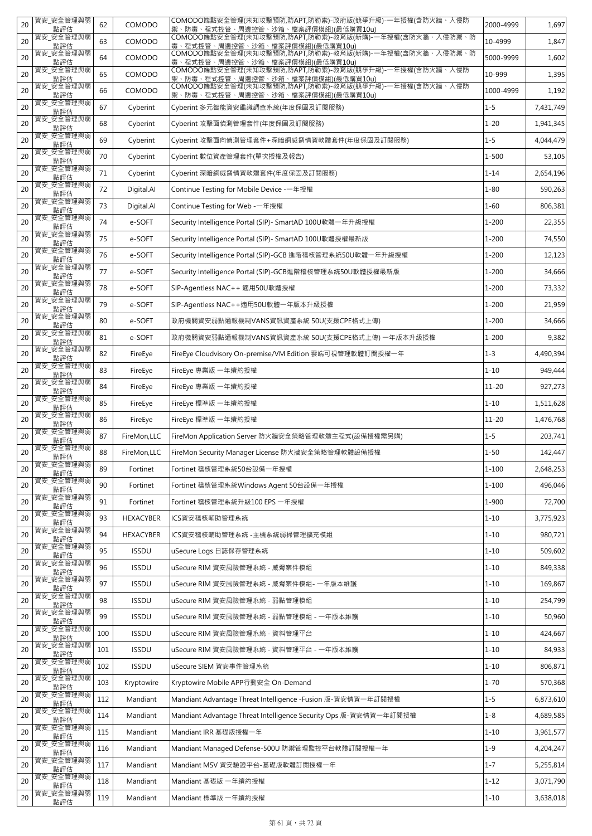| 20 | 資安_安全管理與弱<br>點評估 | 62  | COMODO       | COMODO端點安全管理(未知攻擊預防,防APT,防勒索)-政府版(競爭升級)-一年授權(含防火牆、入侵防<br>禦、防毒、程式控管、周邊控管、沙箱、檔案評價模組)(最低購買10u) | 2000-4999 | 1,697     |
|----|------------------|-----|--------------|---------------------------------------------------------------------------------------------|-----------|-----------|
| 20 | 資安 安全管理與弱<br>點評估 | 63  | COMODO       | COMODO端點安全管理(未知攻擊預防,防APT,防勒索)-教育版(新購)-一年授權(含防火牆、入侵防禦、防<br>毒、程式控管、周邊控管、沙箱、檔案評價模組)(最低購買10u)   | 10-4999   | 1,847     |
| 20 | 資安_安全管理與弱<br>點評估 | 64  | COMODO       | 毒、程式控管、周邊控管、沙箱、檔案評價模組)(最低購買10u)                                                             | 5000-9999 | 1,602     |
| 20 | 資安_安全管理與弱<br>點評估 | 65  | COMODO       | COMODO端點安全管理(未知攻擊預防,防APT,防勒索)-教育版(競爭升級)-一年授權(含防火牆、入侵防<br>禦、防毒、程式控管、周邊控管、沙箱、檔案評價模組)(最低購買10u) | 10-999    | 1,395     |
| 20 | 資安_安全管理與弱<br>點評估 | 66  | COMODO       | COMODO端點安全管理(末知攻擊預防,防APT,防勒索)-教育版(競爭升級)-一年授權(含防火牆、入侵防<br>禦、防毒、程式控管、周邊控管、沙箱、檔案評價模組)(最低購買10u) | 1000-4999 | 1,192     |
| 20 | 資安_安全管理與弱<br>點評估 | 67  | Cyberint     | Cyberint 多元智能資安鑑識調查系統(年度保固及訂閱服務)                                                            | $1 - 5$   | 7,431,749 |
| 20 | 資安_安全管理與弱<br>點評估 | 68  | Cyberint     | Cyberint 攻擊面偵測管理套件(年度保固及訂閱服務)                                                               | $1 - 20$  | 1,941,345 |
| 20 | 資安_安全管理與弱<br>點評估 | 69  | Cyberint     | Cyberint 攻擊面向偵測管理套件+深暗網威脅情資軟體套件(年度保固及訂閱服務)                                                  | $1 - 5$   | 4,044,479 |
| 20 | 資安_安全管理與弱<br>點評估 | 70  | Cyberint     | Cyberint 數位資產管理套件(單次授權及報告)                                                                  | $1 - 500$ | 53,105    |
| 20 | 資安_安全管理與弱<br>點評估 | 71  | Cyberint     | Cyberint 深暗網威脅情資軟體套件(年度保固及訂閱服務)                                                             | $1 - 14$  | 2,654,196 |
| 20 | 資安_安全管理與弱<br>點評估 | 72  | Digital.AI   | Continue Testing for Mobile Device -一年授權                                                    | $1 - 80$  | 590,263   |
| 20 | 資安_安全管理與弱<br>點評估 | 73  | Digital.AI   | Continue Testing for Web - 一年授權                                                             | $1 - 60$  | 806,381   |
| 20 | 資安 安全管理與弱<br>點評估 | 74  | e-SOFT       | Security Intelligence Portal (SIP)- SmartAD 100U軟體一年升級授權                                    | $1 - 200$ | 22,355    |
| 20 | 資安_安全管理與弱<br>點評估 | 75  | e-SOFT       | Security Intelligence Portal (SIP)- SmartAD 100U軟體授權最新版                                     | $1 - 200$ | 74,550    |
| 20 | 資安_安全管理與弱<br>點評估 | 76  | e-SOFT       | Security Intelligence Portal (SIP)-GCB 進階稽核管理系統50U軟體一年升級授權                                  | $1 - 200$ | 12,123    |
| 20 | 資安 安全管理與弱<br>點評估 | 77  | e-SOFT       | Security Intelligence Portal (SIP)-GCB進階稽核管理系統50U軟體授權最新版                                    | $1 - 200$ | 34,666    |
| 20 | 資安_安全管理與弱<br>點評估 | 78  | e-SOFT       | SIP-Agentless NAC++ 適用50U軟體授權                                                               | $1 - 200$ | 73,332    |
| 20 | 資安_安全管理與弱<br>點評估 | 79  | e-SOFT       | SIP-Agentless NAC++適用50U軟體一年版本升級授權                                                          | $1 - 200$ | 21,959    |
| 20 | 資安_安全管理與弱<br>點評估 | 80  | e-SOFT       | 政府機關資安弱點通報機制VANS資訊資產系統 50U(支援CPE格式上傳)                                                       | $1 - 200$ | 34,666    |
| 20 | 資安_安全管理與弱<br>點評估 | 81  | e-SOFT       | 政府機關資安弱點通報機制VANS資訊資產系統 50U(支援CPE格式上傳) 一年版本升級授權                                              | $1 - 200$ | 9,382     |
| 20 | 資安_安全管理與弱<br>點評估 | 82  | FireEye      | FireEye Cloudvisory On-premise/VM Edition 雲端可視管理軟體訂閱授權一年                                    | $1 - 3$   | 4,490,394 |
| 20 | 資安_安全管理與弱<br>點評估 | 83  | FireEye      | FireEye 專業版 一年續約授權                                                                          | $1 - 10$  | 949,444   |
| 20 | 資安_安全管理與弱<br>點評估 | 84  | FireEye      | FireEye 專業版 一年續約授權                                                                          | $11 - 20$ | 927,273   |
| 20 | 資安_安全管理與弱<br>點評估 | 85  | FireEye      | FireEye 標準版 一年續約授權                                                                          | $1 - 10$  | 1,511,628 |
| 20 | 資安_安全管理與弱<br>點評估 | 86  | FireEye      | FireEye 標準版 一年續約授權                                                                          | $11 - 20$ | 1,476,768 |
| 20 | 資安_安全管理與弱<br>點評估 | 87  | FireMon,LLC  | FireMon Application Server 防火牆安全策略管理軟體主程式(設備授權需另購)                                          | $1 - 5$   | 203,741   |
| 20 | 資安 安全管理與弱<br>點評估 | 88  | FireMon,LLC  | FireMon Security Manager License 防火牆安全策略管理軟體設備授權                                            | $1 - 50$  | 142,447   |
| 20 | 資安_安全管理與弱<br>點評估 | 89  | Fortinet     | Fortinet 稽核管理系統50台設備一年授權                                                                    | $1 - 100$ | 2,648,253 |
| 20 | 資安_安全管理與弱<br>點評估 | 90  | Fortinet     | Fortinet 稽核管理系統Windows Agent 50台設備一年授權                                                      | $1 - 100$ | 496,046   |
| 20 | 資安_安全管理與弱<br>點評估 | 91  | Fortinet     | Fortinet 稽核管理系統升級100 EPS 一年授權                                                               | 1-900     | 72,700    |
| 20 | 資安_安全管理與弱<br>點評估 | 93  | HEXACYBER    | ICS資安稽核輔助管理系統                                                                               | $1 - 10$  | 3,775,923 |
| 20 | 資安_安全管理與弱<br>點評估 | 94  | HEXACYBER    | ICS資安稽核輔助管理系統 -主機系統弱掃管理擴充模組                                                                 | $1 - 10$  | 980,721   |
| 20 | 資安_安全管理與弱<br>點評估 | 95  | <b>ISSDU</b> | uSecure Logs 日誌保存管理系統                                                                       | $1 - 10$  | 509,602   |
| 20 | 資安_安全管理與弱<br>點評估 | 96  | <b>ISSDU</b> | uSecure RIM 資安風險管理系統 - 威脅案件模組                                                               | $1 - 10$  | 849,338   |
| 20 | 資安_安全管理與弱<br>點評估 | 97  | <b>ISSDU</b> | uSecure RIM 資安風險管理系統 - 威脅案件模組- 一年版本維護                                                       | $1 - 10$  | 169,867   |
| 20 | 資安_安全管理與弱<br>點評估 | 98  | <b>ISSDU</b> | uSecure RIM 資安風險管理系統 - 弱點管理模組                                                               | $1 - 10$  | 254,799   |
| 20 | 資安_安全管理與弱<br>點評估 | 99  | <b>ISSDU</b> | uSecure RIM 資安風險管理系統 - 弱點管理模組 - 一年版本維護                                                      | $1 - 10$  | 50,960    |
| 20 | 資安_安全管理與弱<br>點評估 | 100 | <b>ISSDU</b> | uSecure RIM 資安風險管理系統 - 資料管理平台                                                               | $1 - 10$  | 424,667   |
| 20 | 資安_安全管理與弱<br>點評估 | 101 | <b>ISSDU</b> | uSecure RIM 資安風險管理系統 - 資料管理平台 - 一年版本維護                                                      | $1 - 10$  | 84,933    |
| 20 | 資安_安全管理與弱<br>點評估 | 102 | <b>ISSDU</b> | uSecure SIEM 資安事件管理系統                                                                       | $1 - 10$  | 806,871   |
| 20 | 資安_安全管理與弱<br>點評估 | 103 | Kryptowire   | Kryptowire Mobile APP行動安全 On-Demand                                                         | $1 - 70$  | 570,368   |
| 20 | 資安_安全管理與弱<br>點評估 | 112 | Mandiant     | Mandiant Advantage Threat Intelligence -Fusion 版-資安情資一年訂閱授權                                 | $1 - 5$   | 6,873,610 |
| 20 | 資安_安全管理與弱<br>點評估 | 114 | Mandiant     | Mandiant Advantage Threat Intelligence Security Ops 版-資安情資一年訂閱授權                            | $1 - 8$   | 4,689,585 |
| 20 | 資安_安全管理與弱<br>點評估 | 115 | Mandiant     | Mandiant IRR 基礎版授權一年                                                                        | $1 - 10$  | 3,961,577 |
| 20 | 資安_安全管理與弱<br>點評估 | 116 | Mandiant     | Mandiant Managed Defense-500U 防禦管理監控平台軟體訂閱授權一年                                              | $1 - 9$   | 4,204,247 |
| 20 | 資安_安全管理與弱<br>點評估 | 117 | Mandiant     | Mandiant MSV 資安驗證平台-基礎版軟體訂閱授權一年                                                             | $1 - 7$   | 5,255,814 |
| 20 | 資安_安全管理與弱<br>點評估 | 118 | Mandiant     | Mandiant 基礎版 一年續約授權                                                                         | $1 - 12$  | 3,071,790 |
| 20 | 資安_安全管理與弱<br>點評估 | 119 | Mandiant     | Mandiant 標準版 一年續約授權                                                                         | $1 - 10$  | 3,638,018 |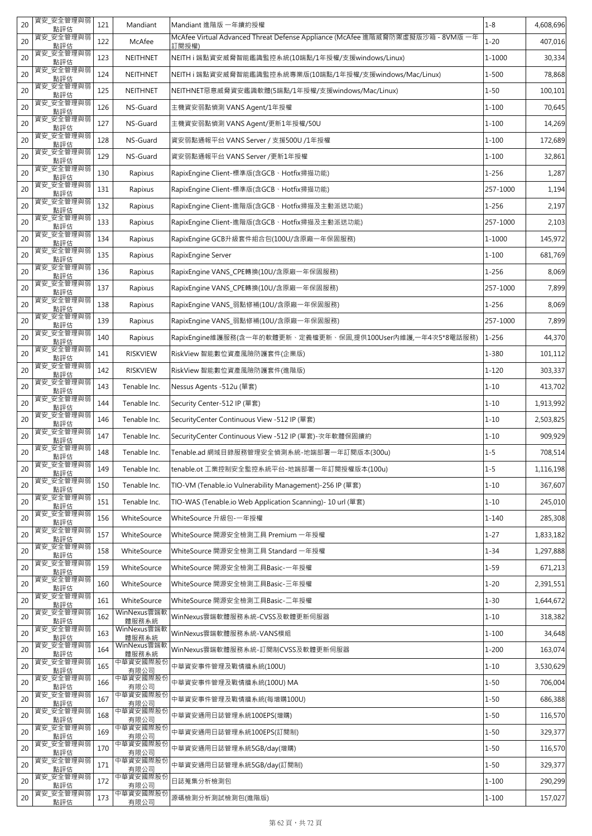| 20 | 資安_安全管理與弱<br>點評估 | 121 | Mandiant             | Mandiant 進階版 一年續約授權                                                                     | $1 - 8$   | 4,608,696 |
|----|------------------|-----|----------------------|-----------------------------------------------------------------------------------------|-----------|-----------|
| 20 | 資安_安全管理與弱<br>點評估 | 122 | McAfee               | McAfee Virtual Advanced Threat Defense Appliance (McAfee 進階威脅防禦虛擬版沙箱 - 8VM版 一年<br>訂閱授權) | $1 - 20$  | 407,016   |
| 20 | 資安_安全管理與弱<br>點評估 | 123 | <b>NEITHNET</b>      | NEITH i 端點資安威脅智能鑑識監控系統(10端點/1年授權/支援windows/Linux)                                       | 1-1000    | 30,334    |
| 20 | 資安_安全管理與弱<br>點評估 | 124 | NEITHNET             | NEITH i 端點資安威脅智能鑑識監控系統專業版(10端點/1年授權/支援windows/Mac/Linux)                                | $1 - 500$ | 78,868    |
| 20 | 資安_安全管理與弱<br>點評估 | 125 | <b>NEITHNET</b>      | NEITHNET惡意威脅資安鑑識軟體(5端點/1年授權/支援windows/Mac/Linux)                                        | $1 - 50$  | 100,101   |
| 20 | 資安_安全管理與弱<br>點評估 | 126 | NS-Guard             | 主機資安弱點偵測 VANS Agent/1年授權                                                                | $1 - 100$ | 70,645    |
| 20 | 資安_安全管理與弱<br>點評估 | 127 | NS-Guard             | 主機資安弱點偵測 VANS Agent/更新1年授權/50U                                                          | $1 - 100$ | 14,269    |
| 20 | 資安 安全管理與弱<br>點評估 | 128 | NS-Guard             | 資安弱點通報平台 VANS Server / 支援500U /1年授權                                                     | $1 - 100$ | 172,689   |
| 20 | 資安 安全管理與弱<br>點評估 | 129 | NS-Guard             | 資安弱點通報平台 VANS Server /更新1年授權                                                            | $1 - 100$ | 32,861    |
| 20 | 資安 安全管理與弱<br>點評估 | 130 | Rapixus              | RapixEngine Client-標準版(含GCB、Hotfix掃描功能)                                                 | $1 - 256$ | 1,287     |
| 20 | 資安_安全管理與弱<br>點評估 | 131 | Rapixus              | RapixEngine Client-標準版(含GCB、Hotfix掃描功能)                                                 | 257-1000  | 1,194     |
| 20 | 資安_安全管理與弱<br>點評估 | 132 | Rapixus              | RapixEngine Client-進階版(含GCB、Hotfix掃描及主動派送功能)                                            | $1 - 256$ | 2,197     |
| 20 | 資安_安全管理與弱<br>點評估 | 133 | Rapixus              | RapixEngine Client-進階版(含GCB、Hotfix掃描及主動派送功能)                                            | 257-1000  | 2,103     |
| 20 | 資安_安全管理與弱<br>點評估 | 134 | Rapixus              | RapixEngine GCB升級套件組合包(100U/含原廠一年保固服務)                                                  | 1-1000    | 145,972   |
| 20 | 資安_安全管理與弱<br>點評估 | 135 | Rapixus              | RapixEngine Server                                                                      | $1 - 100$ | 681,769   |
| 20 | 資安_安全管理與弱<br>點評估 | 136 | Rapixus              | RapixEngine VANS_CPE轉換(10U/含原廠一年保固服務)                                                   | 1-256     | 8,069     |
| 20 | 資安_安全管理與弱<br>點評估 | 137 | Rapixus              | RapixEngine VANS_CPE轉換(10U/含原廠一年保固服務)                                                   | 257-1000  | 7,899     |
| 20 | 資安 安全管理與弱<br>點評估 | 138 | Rapixus              | RapixEngine VANS_弱點修補(10U/含原廠一年保固服務)                                                    | 1-256     | 8,069     |
| 20 | 資安_安全管理與弱<br>點評估 | 139 | Rapixus              | RapixEngine VANS_弱點修補(10U/含原廠一年保固服務)                                                    | 257-1000  | 7,899     |
| 20 | 資安_安全管理與弱<br>點評估 | 140 | Rapixus              | RapixEngine維護服務(含一年的軟體更新、定義檔更新、保固,提供100User內維護,一年4次5*8電話服務)                             | $1 - 256$ | 44,370    |
| 20 | 資安_安全管理與弱<br>點評估 | 141 | <b>RISKVIEW</b>      | RiskView 智能數位資產風險防護套件(企業版)                                                              | 1-380     | 101,112   |
| 20 | 資安_安全管理與弱<br>點評估 | 142 | <b>RISKVIEW</b>      | RiskView 智能數位資產風險防護套件(進階版)                                                              | $1 - 120$ | 303,337   |
| 20 | 資安_安全管理與弱<br>點評估 | 143 | Tenable Inc.         | Nessus Agents -512u (單套)                                                                | $1 - 10$  | 413,702   |
| 20 | 資安_安全管理與弱<br>點評估 | 144 | Tenable Inc.         | Security Center-512 IP (單套)                                                             | $1 - 10$  | 1,913,992 |
| 20 | 資安_安全管理與弱<br>點評估 | 146 | Tenable Inc.         | SecurityCenter Continuous View -512 IP (單套)                                             | $1 - 10$  | 2,503,825 |
| 20 | 資安_安全管理與弱<br>點評估 | 147 | Tenable Inc.         | SecurityCenter Continuous View -512 IP (單套)-次年軟體保固續約                                    | $1 - 10$  | 909,929   |
| 20 | 資安 安全管理與弱<br>點評估 | 148 | Tenable Inc.         | Tenable.ad 網域目錄服務管理安全偵測系統-地端部署一年訂閱版本(300u)                                              | $1 - 5$   | 708,514   |
| 20 | 資安_安全管理與弱<br>點評估 | 149 | Tenable Inc.         | tenable.ot 工業控制安全監控系統平台-地端部署一年訂閱授權版本(100u)                                              | $1 - 5$   | 1,116,198 |
| 20 | 資安_安全管理與弱<br>點評估 | 150 | Tenable Inc.         | TIO-VM (Tenable.io Vulnerability Management)-256 IP (單套)                                | $1 - 10$  | 367,607   |
| 20 | 資安_安全管理與弱<br>點評估 | 151 | Tenable Inc.         | TIO-WAS (Tenable.io Web Application Scanning)- 10 url (單套)                              | $1 - 10$  | 245,010   |
| 20 | 資安_安全管理與弱<br>點評估 | 156 | WhiteSource          | WhiteSource 升級包-一年授權                                                                    | $1 - 140$ | 285,308   |
| 20 | 資安_安全管理與弱<br>點評估 | 157 | WhiteSource          | WhiteSource 開源安全檢測工具 Premium 一年授權                                                       | $1 - 27$  | 1,833,182 |
| 20 | 資安_安全管理與弱<br>點評估 | 158 | WhiteSource          | WhiteSource 開源安全檢測工具 Standard 一年授權                                                      | $1 - 34$  | 1,297,888 |
| 20 | 資安_安全管理與弱<br>點評估 | 159 | WhiteSource          | WhiteSource 開源安全檢測工具Basic-一年授權                                                          | $1 - 59$  | 671,213   |
| 20 | 資安_安全管理與弱<br>點評估 | 160 | WhiteSource          | WhiteSource 開源安全檢測工具Basic-三年授權                                                          | $1 - 20$  | 2,391,551 |
| 20 | 資安_安全管理與弱<br>點評估 | 161 | WhiteSource          | WhiteSource 開源安全檢測工具Basic-二年授權                                                          | $1 - 30$  | 1,644,672 |
| 20 | 資安_安全管理與弱<br>點評估 | 162 | WinNexus雲端軟<br>體服務系統 | WinNexus雲端軟體服務系統-CVSS及軟體更新伺服器                                                           | $1 - 10$  | 318,382   |
| 20 | 資安_安全管理與弱<br>點評估 | 163 | WinNexus雲端軟<br>體服務系統 | WinNexus雲端軟體服務系統-VANS模組                                                                 | $1 - 100$ | 34,648    |
| 20 | 資安 安全管理與弱<br>點評估 | 164 | WinNexus雲端軟<br>體服務系統 | WinNexus雲端軟體服務系統-訂閱制CVSS及軟體更新伺服器                                                        | $1 - 200$ | 163,074   |
| 20 | 資安_安全管理與弱<br>點評估 | 165 | 中華資安國際股份<br>有限公司     | 中華資安事件管理及戰情牆系統(100U)                                                                    | $1 - 10$  | 3,530,629 |
| 20 | 資安_安全管理與弱<br>點評估 | 166 | 中華資安國際股份<br>有限公司     | 中華資安事件管理及戰情牆系統(100U) MA                                                                 | $1 - 50$  | 706,004   |
| 20 | 資安 安全管理與弱<br>點評估 | 167 | 中華資安國際股份<br>有限公司     | 中華資安事件管理及戰情牆系統(每增購100U)                                                                 | $1 - 50$  | 686,388   |
| 20 | 資安_安全管理與弱<br>點評估 | 168 | 中華資安國際股份<br>有限公司     | 中華資安通用日誌管理系統100EPS(增購)                                                                  | $1 - 50$  | 116,570   |
| 20 | 資安 安全管理與弱<br>點評估 | 169 | 中華資安國際股份<br>有限公司     | 中華資安通用日誌管理系統100EPS(訂閱制)                                                                 | $1 - 50$  | 329,377   |
| 20 | 資安_安全管理與弱<br>點評估 | 170 | 中華資安國際股份<br>有限公司     | 中華資安通用日誌管理系統5GB/day(增購)                                                                 | $1 - 50$  | 116,570   |
| 20 | 資安_安全管理與弱<br>點評估 | 171 | 中華資安國際股份<br>有限公司     | 中華資安通用日誌管理系統5GB/day(訂閱制)                                                                | $1 - 50$  | 329,377   |
| 20 | 資安_安全管理與弱<br>點評估 | 172 | 中華資安國際股份<br>有限公司     | 日誌蒐集分析檢測包                                                                               | $1 - 100$ | 290,299   |
| 20 | 資安_安全管理與弱<br>點評估 | 173 | 中華資安國際股份<br>有限公司     | 源碼檢測分析測試檢測包(進階版)                                                                        | $1 - 100$ | 157,027   |
|    |                  |     |                      |                                                                                         |           |           |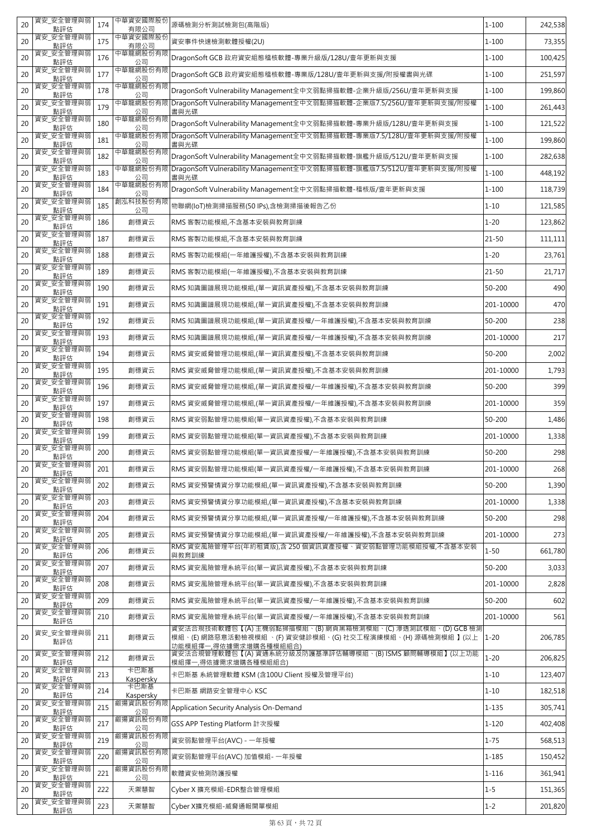| 20 | 資安_安全管理與弱<br>點評估              | 174 | 中華資安國際股份<br>有限公司  | 源碼檢測分析測試檢測包(高階版)                                                                    | $1 - 100$ | 242,538 |
|----|-------------------------------|-----|-------------------|-------------------------------------------------------------------------------------|-----------|---------|
| 20 | 資安_安全管理與弱<br>點評估              | 175 | 中華資安國際股份<br>有限公司  | 資安事件快速檢測軟體授權(2U)                                                                    | $1 - 100$ | 73,355  |
| 20 | 資安_安全管理與弱<br>點評估              | 176 | 中華龍網股份有限<br>公司    | DragonSoft GCB 政府資安組態稽核軟體-專業升級版/128U/壹年更新與支援                                        | 1-100     | 100,425 |
| 20 | 資安_安全管理與弱<br>點評估              | 177 | 中華龍網股份有限<br>公司    | DragonSoft GCB 政府資安組態稽核軟體-專業版/128U/壹年更新與支援/附授權書與光碟                                  | $1 - 100$ | 251,597 |
| 20 | 資安_安全管理與弱<br>點評估              | 178 | 中華龍網股份有限<br>公司    | DragonSoft Vulnerability Management全中文弱點掃描軟體-企業升級版/256U/壹年更新與支援                     | $1 - 100$ | 199,860 |
| 20 | 資安_安全管理與弱<br>點評估              | 179 | 中華龍網股份有限<br>公司    | DragonSoft Vulnerability Management全中文弱點掃描軟體-企業版7.5/256U/壹年更新與支援/附授權<br>書與光碟        | $1 - 100$ | 261,443 |
| 20 | 資安_安全管理與弱<br>點評估              | 180 | 中華龍網股份有限<br>公司    | DragonSoft Vulnerability Management全中文弱點掃描軟體-專業升級版/128U/壹年更新與支援                     | $1 - 100$ | 121,522 |
| 20 | 資安 安全管理與弱<br>點評估              | 181 | 中華龍網股份有限<br>公司    | DragonSoft Vulnerability Management全中文弱點掃描軟體-專業版7.5/128U/壹年更新與支援/附授權<br>書與光碟        | 1-100     | 199,860 |
| 20 | 資安_安全管理與弱<br>點評估              | 182 | 中華龍網股份有限<br>公司    | DragonSoft Vulnerability Management全中文弱點掃描軟體-旗艦升級版/512U/壹年更新與支援                     | $1 - 100$ | 282,638 |
| 20 | 資安_安全管理與弱<br>點評估              | 183 | 中華龍網股份有限<br>公司    | DragonSoft Vulnerability Management全中文弱點掃描軟體-旗艦版7.5/512U/壹年更新與支援/附授權<br>書與光碟        | $1 - 100$ | 448,192 |
| 20 | 資安_安全管理與弱<br>點評估              | 184 | 中華龍網股份有限<br>公司    | DragonSoft Vulnerability Management全中文弱點掃描軟體-稽核版/壹年更新與支援                            | $1 - 100$ | 118,739 |
| 20 | 資安_安全管理與弱<br>點評估              | 185 | 創泓科技股份有限<br>公司    | 物聯網(IoT)檢測掃描服務(50 IPs),含檢測掃描後報告乙份                                                   | $1 - 10$  | 121,585 |
| 20 | 資安 安全管理與弱<br>點評估              | 186 | 創穩資云              | RMS 客製功能模組,不含基本安裝與教育訓練                                                              | $1 - 20$  | 123,862 |
| 20 | 資安 安全管理與弱<br>點評估              | 187 | 創穩資云              | RMS 客製功能模組,不含基本安裝與教育訓練                                                              | $21 - 50$ | 111,111 |
| 20 | 資安 安全管理與弱<br>點評估              | 188 | 創穩資云              | RMS 客製功能模組(一年維護授權),不含基本安裝與教育訓練                                                      | $1 - 20$  | 23,761  |
| 20 | 資安 安全管理與弱<br>點評估              | 189 | 創穩資云              | RMS 客製功能模組(一年維護授權),不含基本安裝與教育訓練                                                      | $21 - 50$ | 21,717  |
| 20 | 資安 安全管理與弱<br>點評估              | 190 | 創穩資云              | RMS 知識圖譜展現功能模組,(單一資訊資產授權),不含基本安裝與教育訓練                                               | 50-200    | 490     |
| 20 | 資安_安全管理與弱<br>點評估              | 191 | 創穩資云              | RMS 知識圖譜展現功能模組,(單一資訊資產授權),不含基本安裝與教育訓練                                               | 201-10000 | 470     |
| 20 | 資安_安全管理與弱<br>點評估              | 192 | 創穩資云              | RMS 知識圖譜展現功能模組,(單一資訊資產授權/一年維護授權),不含基本安裝與教育訓練                                        | 50-200    | 238     |
| 20 | 資安_安全管理與弱<br>點評估              | 193 | 創穩資云              | RMS 知識圖譜展現功能模組,(單一資訊資產授權/一年維護授權),不含基本安裝與教育訓練                                        | 201-10000 | 217     |
| 20 | 資安_安全管理與弱<br>點評估              | 194 | 創穩資云              | RMS 資安威脅管理功能模組,(單一資訊資產授權),不含基本安裝與教育訓練                                               | 50-200    | 2,002   |
| 20 | 資安_安全管理與弱                     | 195 | 創穩資云              | RMS 資安威脅管理功能模組,(單一資訊資產授權),不含基本安裝與教育訓練                                               | 201-10000 | 1,793   |
| 20 | 點評估<br>資安_安全管理與弱              | 196 | 創穩資云              | RMS 資安威脅管理功能模組,(單一資訊資產授權/一年維護授權),不含基本安裝與教育訓練                                        | 50-200    | 399     |
| 20 | 點評估<br>資安_安全管理與弱              | 197 | 創穩資云              | RMS 資安威脅管理功能模組,(單一資訊資產授權/一年維護授權),不含基本安裝與教育訓練                                        | 201-10000 | 359     |
| 20 | 點評估<br>資安_安全管理與弱              | 198 | 創穩資云              | RMS 資安弱點管理功能模組(單一資訊資產授權),不含基本安裝與教育訓練                                                | 50-200    | 1,486   |
| 20 | 點評估<br>資安 安全管理與弱              | 199 | 創穩資云              | RMS 資安弱點管理功能模組(單一資訊資產授權),不含基本安裝與教育訓練                                                | 201-10000 | 1,338   |
| 20 | 點評估<br>資安_安全管理與弱              | 200 | 創穩資云              | RMS 資安弱點管理功能模組(單一資訊資產授權/一年維護授權),不含基本安裝與教育訓練                                         | 50-200    | 298     |
| 20 | 點評估<br>資安_安全管理與弱              | 201 | 創穩資云              | RMS 資安弱點管理功能模組(單一資訊資產授權/一年維護授權),不含基本安裝與教育訓練                                         | 201-10000 | 268     |
| 20 | 點評估<br>資安_安全管理與弱              | 202 | 創穩資云              | RMS 資安預警情資分享功能模組,(單一資訊資產授權),不含基本安裝與教育訓練                                             | 50-200    | 1,390   |
| 20 | 點評估<br>資安_安全管理與弱              | 203 | 創穩資云              | RMS 資安預警情資分享功能模組,(單一資訊資產授權),不含基本安裝與教育訓練                                             | 201-10000 | 1,338   |
| 20 | 點評估<br>資安_安全管理與弱              | 204 | 創穩資云              | RMS 資安預警情資分享功能模組,(單一資訊資產授權/一年維護授權),不含基本安裝與教育訓練                                      | 50-200    | 298     |
| 20 | 點評估<br>資安_安全管理與弱              | 205 | 創穩資云              | RMS 資安預警情資分享功能模組,(單一資訊資產授權/一年維護授權),不含基本安裝與教育訓練                                      | 201-10000 | 273     |
| 20 | 點評估<br>資安_安全管理與弱              | 206 | 創穩資云              | RMS 資安風險管理平台(年約租賃版),含 250 個資訊資產授權、資安弱點管理功能模組授權,不含基本安裝                               | $1 - 50$  | 661,780 |
| 20 | 點評估<br>資安_安全管理與弱              | 207 | 創穩資云              | 與教育訓練<br>RMS 資安風險管理系統平台(單一資訊資產授權),不含基本安裝與教育訓練                                       | 50-200    | 3,033   |
| 20 | 點評估<br>資安_安全管理與弱              | 208 | 創穩資云              | RMS 資安風險管理系統平台(單一資訊資產授權),不含基本安裝與教育訓練                                                | 201-10000 | 2,828   |
| 20 | 點評估<br>資安_安全管理與弱              | 209 | 創穩資云              | RMS 資安風險管理系統平台(單一資訊資產授權/一年維護授權),不含基本安裝與教育訓練                                         | 50-200    | 602     |
| 20 | 點評估<br>資安_安全管理與弱              | 210 | 創穩資云              | RMS 資安風險管理系統平台(單一資訊資產授權/一年維護授權),不含基本安裝與教育訓練                                         | 201-10000 | 561     |
|    | 點評估<br>資安_安全管理與弱              |     |                   | 資安法合規技術軟體包【(A) 主機弱點掃描模組、(B) 網頁黑箱檢測模組、(C) 滲透測試模組、(D) GCB 檢測                          |           |         |
| 20 | 點評估                           | 211 | 創穩資云              | 模組、(E) 網路惡意活動檢視模組 、(F) 資安健診模組、(G) 社交工程演練模組、(H) 源碼檢測模組 】(以上<br>功能模組擇一,得依據需求增購各種模組組合) | $1 - 20$  | 206,785 |
| 20 | 資安_安全管理與弱<br>點評估              | 212 | 創穩資云              | 資安法合規管理軟體包【(A) 資通系統分級及防護基準評估輔導模組、(B) ISMS 顧問輔導模組】(以上功能<br>模組擇一,得依據需求增購各種模組組合)       | $1 - 20$  | 206,825 |
| 20 | 資安_安全管理與弱<br>點評估              | 213 | 卡巴斯基<br>Kaspersky | 卡巴斯基 系統管理軟體 KSM (含100U Client 授權及管理平台)                                              | $1 - 10$  | 123,407 |
| 20 | 資安_安全管理與弱<br>點評估              | 214 | 卡巴斯基<br>Kaspersky | 卡巴斯基 網路安全管理中心 KSC                                                                   | $1 - 10$  | 182,518 |
| 20 | 資安_安全管理與弱<br>點評估              | 215 | 叡揚資訊股份有限<br>公司    | Application Security Analysis On-Demand                                             | $1 - 135$ | 305,741 |
| 20 | 資安_安全管理與弱<br>點評估              | 217 | 叡揚資訊股份有限<br>公司    | GSS APP Testing Platform 計次授權                                                       | $1 - 120$ | 402,408 |
| 20 | 資安_安全管理與弱<br>點評估              | 219 | 叡揚資訊股份有限<br>公司    | 資安弱點管理平台(AVC) - 一年授權                                                                | $1 - 75$  | 568,513 |
| 20 | 資安_安全管理與弱<br>點評估              | 220 | 叡揚資訊股份有限<br>公司    | 資安弱點管理平台(AVC) 加值模組- 一年授權                                                            | 1-185     | 150,452 |
|    |                               |     |                   |                                                                                     |           |         |
| 20 | 資安_安全管理與弱<br>點評估              | 221 | 叡揚資訊股份有限<br>公司    | 軟體資安檢測防護授權                                                                          | 1-116     | 361,941 |
| 20 | 資安_安全管理與弱<br>點評估<br>資安_安全管理與弱 | 222 | 天禦慧智              | Cyber X 擴充模組-EDR整合管理模組                                                              | $1 - 5$   | 151,365 |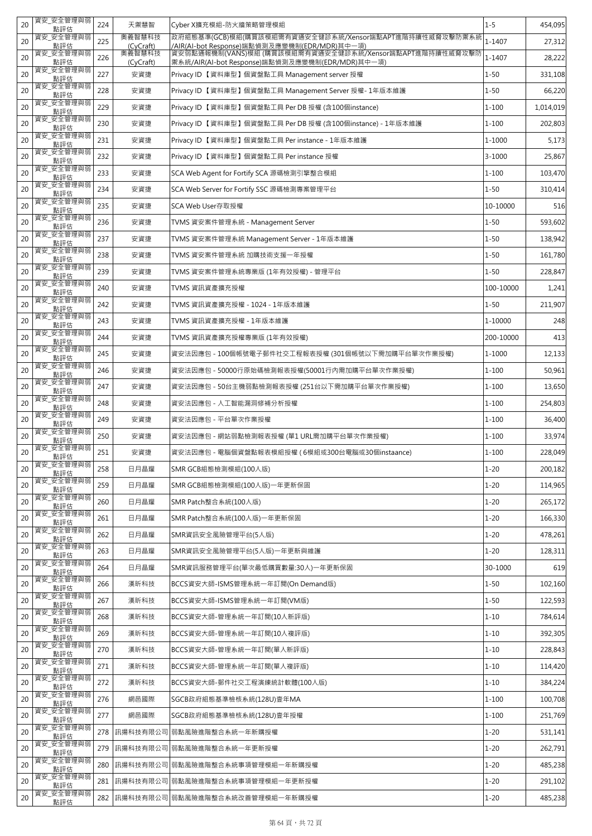| 20 | 資安_安全管理與弱<br>點評估 | 224 | 天禦慧智                | Cyber X擴充模組-防火牆策略管理模組                                                                                                                                                          | $1 - 5$    | 454,095   |
|----|------------------|-----|---------------------|--------------------------------------------------------------------------------------------------------------------------------------------------------------------------------|------------|-----------|
| 20 | 資安_安全管理與弱<br>點評估 | 225 | 奧義智慧科技<br>(CyCraft) | 政府組態基準(GCB)模組(購買該模組需有資通安全健診系統/Xensor端點APT進階持續性威脅攻擊防禦系統<br><mark>/AlR(Al-bot Response)端點偵測及應變機制(EDR/MDR)其中一項)</mark><br>資安弱點通報機制(VANS)模組 (購買該模組需有資通安全健診系統/Xensor端點APT進階持續性威脅攻擊防 | 1-1407     | 27,312    |
| 20 | 資安_安全管理與弱<br>點評估 | 226 | 奧義智慧科技<br>(CyCraft) | 禦系統/AIR(AI-bot Response)端點偵測及應變機制(EDR/MDR)其中一項)                                                                                                                                | 1-1407     | 28,222    |
| 20 | 資安_安全管理與弱<br>點評估 | 227 | 安資捷                 | Privacy ID【資料庫型】個資盤點工具 Management server 授權                                                                                                                                    | $1 - 50$   | 331,108   |
| 20 | 資安_安全管理與弱<br>點評估 | 228 | 安資捷                 | Privacy ID【資料庫型】個資盤點工具 Management Server 授權-1年版本維護                                                                                                                             | $1 - 50$   | 66,220    |
| 20 | 資安_安全管理與弱<br>點評估 | 229 | 安資捷                 | Privacy ID【資料庫型】個資盤點工具 Per DB 授權 (含100個instance)                                                                                                                               | $1 - 100$  | 1,014,019 |
| 20 | 資安_安全管理與弱<br>點評估 | 230 | 安資捷                 | Privacy ID【資料庫型】個資盤點工具 Per DB 授權 (含100個instance) - 1年版本維護                                                                                                                      | $1 - 100$  | 202,803   |
| 20 | 資安_安全管理與弱<br>點評估 | 231 | 安資捷                 | Privacy ID 【資料庫型】個資盤點工具 Per instance - 1年版本維護                                                                                                                                  | 1-1000     | 5,173     |
| 20 | 資安_安全管理與弱<br>點評估 | 232 | 安資捷                 | Privacy ID 【資料庫型】個資盤點工具 Per instance 授權                                                                                                                                        | $3 - 1000$ | 25,867    |
| 20 | 資安_安全管理與弱<br>點評估 | 233 | 安資捷                 | SCA Web Agent for Fortify SCA 源碼檢測引擎整合模組                                                                                                                                       | $1 - 100$  | 103,470   |
| 20 | 資安_安全管理與弱<br>點評估 | 234 | 安資捷                 | SCA Web Server for Fortify SSC 源碼檢測專案管理平台                                                                                                                                      | $1 - 50$   | 310,414   |
| 20 | 資安_安全管理與弱<br>點評估 | 235 | 安資捷                 | SCA Web User存取授權                                                                                                                                                               | 10-10000   | 516       |
| 20 | 資安_安全管理與弱<br>點評估 | 236 | 安資捷                 | TVMS 資安案件管理系統 - Management Server                                                                                                                                              | $1 - 50$   | 593,602   |
| 20 | 資安_安全管理與弱<br>點評估 | 237 | 安資捷                 | TVMS 資安案件管理系統 Management Server - 1年版本維護                                                                                                                                       | $1 - 50$   | 138,942   |
| 20 | 資安_安全管理與弱<br>點評估 | 238 | 安資捷                 | TVMS 資安案件管理系統 加購技術支援一年授權                                                                                                                                                       | $1 - 50$   | 161,780   |
| 20 | 資安 安全管理與弱<br>點評估 | 239 | 安資捷                 | TVMS 資安案件管理系統專業版 (1年有效授權) - 管理平台                                                                                                                                               | $1 - 50$   | 228,847   |
| 20 | 資安_安全管理與弱<br>點評估 | 240 | 安資捷                 | TVMS 資訊資產擴充授權                                                                                                                                                                  | 100-10000  | 1,241     |
| 20 | 資安 安全管理與弱<br>點評估 | 242 | 安資捷                 | TVMS 資訊資產擴充授權 - 1024 - 1年版本維護                                                                                                                                                  | $1 - 50$   | 211,907   |
| 20 | 資安 安全管理與弱<br>點評估 | 243 | 安資捷                 | TVMS 資訊資產擴充授權 - 1年版本維護                                                                                                                                                         | 1-10000    | 248       |
| 20 | 資安_安全管理與弱<br>點評估 | 244 | 安資捷                 | TVMS 資訊資產擴充授權專業版 (1年有效授權)                                                                                                                                                      | 200-10000  | 413       |
| 20 | 資安_安全管理與弱<br>點評估 | 245 | 安資捷                 | 資安法因應包 - 100個帳號電子郵件社交工程報表授權 (301個帳號以下需加購平台單次作業授權)                                                                                                                              | 1-1000     | 12,133    |
| 20 | 資安_安全管理與弱<br>點評估 | 246 | 安資捷                 | 資安法因應包 - 50000行原始碼檢測報表授權(50001行內需加購平台單次作業授權)                                                                                                                                   | $1 - 100$  | 50,961    |
| 20 | 資安_安全管理與弱<br>點評估 | 247 | 安資捷                 | 資安法因應包 - 50台主機弱點檢測報表授權 (251台以下需加購平台單次作業授權)                                                                                                                                     | $1 - 100$  | 13,650    |
| 20 | 資安_安全管理與弱<br>點評估 | 248 | 安資捷                 | 資安法因應包 - 人工智能漏洞修補分析授權                                                                                                                                                          | $1 - 100$  | 254,803   |
| 20 | 資安_安全管理與弱<br>點評估 | 249 | 安資捷                 | 資安法因應包 - 平台單次作業授權                                                                                                                                                              | $1 - 100$  | 36,400    |
| 20 | 資安_安全管理與弱<br>點評估 | 250 | 安資捷                 | 資安法因應包 - 網站弱點檢測報表授權 (單1 URL需加購平台單次作業授權)                                                                                                                                        | $1 - 100$  | 33,974    |
| 20 | 資安_安全管理與弱<br>點評估 | 251 | 安資捷                 | 資安法因應包 - 電腦個資盤點報表模組授權 ( 6模組或300台電腦或30個instaance)                                                                                                                               | $1 - 100$  | 228,049   |
| 20 | 資安_安全管理與弱<br>點評估 | 258 | 日月晶耀                | SMR GCB組態檢測模組(100人版)                                                                                                                                                           | $1 - 20$   | 200,182   |
| 20 | 資安_安全管理與弱<br>點評估 | 259 | 日月晶耀                | SMR GCB組態檢測模組(100人版)一年更新保固                                                                                                                                                     | $1 - 20$   | 114,965   |
| 20 | 資安_安全管理與弱<br>點評估 | 260 | 日月晶耀                | SMR Patch整合系統(100人版)                                                                                                                                                           | $1 - 20$   | 265,172   |
| 20 | 資安_安全管理與弱<br>點評估 | 261 | 日月晶耀                | SMR Patch整合系統(100人版)一年更新保固                                                                                                                                                     | $1 - 20$   | 166,330   |
| 20 | 資安_安全管理與弱<br>點評估 | 262 | 日月晶耀                | SMR資訊安全風險管理平台(5人版)                                                                                                                                                             | $1 - 20$   | 478,261   |
| 20 | 資安 安全管理與弱<br>點評估 | 263 | 日月晶耀                | SMR資訊安全風險管理平台(5人版)一年更新與維護                                                                                                                                                      | $1 - 20$   | 128,311   |
| 20 | 資安_安全管理與弱<br>點評估 | 264 | 日月晶耀                | SMR資訊服務管理平台(單次最低購買數量:30人)一年更新保固                                                                                                                                                | 30-1000    | 619       |
| 20 | 資安_安全管理與弱<br>點評估 | 266 | 漢昕科技                | BCCS資安大師-ISMS管理系統一年訂閱(On Demand版)                                                                                                                                              | $1 - 50$   | 102,160   |
| 20 | 資安_安全管理與弱<br>點評估 | 267 | 漢昕科技                | BCCS資安大師-ISMS管理系統一年訂閱(VM版)                                                                                                                                                     | $1 - 50$   | 122,593   |
| 20 | 資安_安全管理與弱<br>點評估 | 268 | 漢昕科技                | BCCS資安大師-管理系統一年訂閱(10人新評版)                                                                                                                                                      | $1 - 10$   | 784,614   |
| 20 | 資安_安全管理與弱<br>點評估 | 269 | 漢昕科技                | BCCS資安大師-管理系統一年訂閱(10人複評版)                                                                                                                                                      | $1 - 10$   | 392,305   |
| 20 | 資安_安全管理與弱<br>點評估 | 270 | 漢昕科技                | BCCS資安大師-管理系統一年訂閱(單人新評版)                                                                                                                                                       | $1 - 10$   | 228,843   |
| 20 | 資安_安全管理與弱<br>點評估 | 271 | 漢昕科技                | BCCS資安大師-管理系統一年訂閱(單人複評版)                                                                                                                                                       | $1 - 10$   | 114,420   |
| 20 | 資安_安全管理與弱<br>點評估 | 272 | 漢昕科技                | BCCS資安大師-郵件社交工程演練統計軟體(100人版)                                                                                                                                                   | $1 - 10$   | 384,224   |
| 20 | 資安_安全管理與弱<br>點評估 | 276 | 網邑國際                | SGCB政府組態基準檢核系統(128U)壹年MA                                                                                                                                                       | $1 - 100$  | 100,708   |
| 20 | 資安_安全管理與弱<br>點評估 | 277 | 網邑國際                | SGCB政府組態基準檢核系統(128U)壹年授權                                                                                                                                                       | $1 - 100$  | 251,769   |
| 20 | 資安_安全管理與弱<br>點評估 | 278 | 訊揚科技有限公司            | 弱點風險進階整合系統一年新購授權                                                                                                                                                               | $1 - 20$   | 531,141   |
| 20 | 資安_安全管理與弱<br>點評估 | 279 | 訊揚科技有限公司            | 弱點風險進階整合系統一年更新授權                                                                                                                                                               | $1 - 20$   | 262,791   |
| 20 | 資安_安全管理與弱<br>點評估 | 280 |                     | 訊揚科技有限公司 弱點風險進階整合系統事項管理模組一年新購授權                                                                                                                                                | $1 - 20$   | 485,238   |
| 20 | 資安_安全管理與弱<br>點評估 | 281 |                     | 訊揚科技有限公司 弱點風險進階整合系統事項管理模組一年更新授權                                                                                                                                                | $1 - 20$   | 291,102   |
| 20 | 資安_安全管理與弱<br>點評估 | 282 |                     | 訊揚科技有限公司  弱點風險進階整合系統改善管理模組一年新購授權                                                                                                                                               | $1 - 20$   | 485,238   |
|    |                  |     |                     |                                                                                                                                                                                |            |           |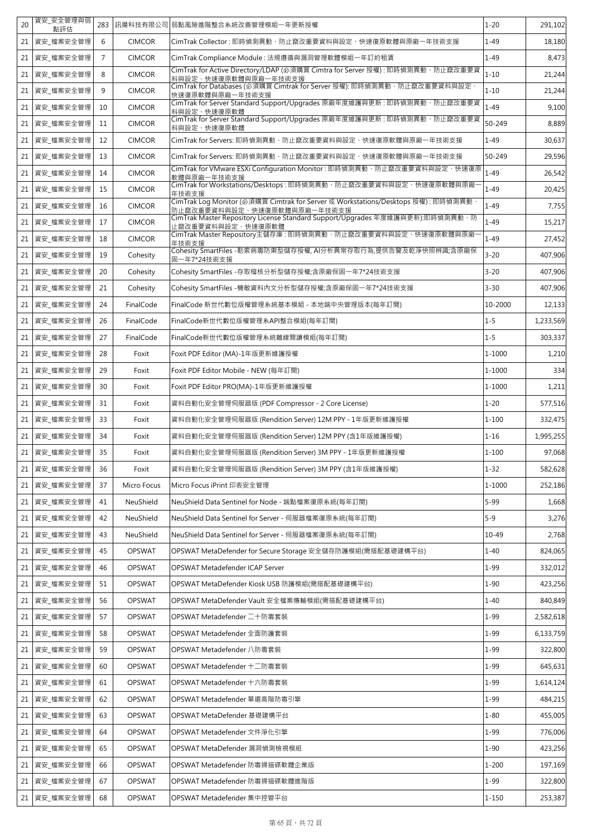| 20              | 資安 安全管理與弱<br>點評估 | 283            | 訊揚科技有限公司      | 弱點風險進階整合系統改善管理模組一年更新授權                                                                                                                                                                                   | $1 - 20$  | 291,102   |
|-----------------|------------------|----------------|---------------|----------------------------------------------------------------------------------------------------------------------------------------------------------------------------------------------------------|-----------|-----------|
| 21              | 資安 檔案安全管理        | 6              | <b>CIMCOR</b> | CimTrak Collector : 即時偵測異動、防止竄改重要資料與設定、快速復原軟體與原廠一年技術支援                                                                                                                                                   | $1 - 49$  | 18,180    |
| 21 <sub>1</sub> | 資安_檔案安全管理        | $\overline{7}$ | <b>CIMCOR</b> | CimTrak Compliance Module : 法規遵循與漏洞管理軟體模組一年訂約租賃                                                                                                                                                          | $1 - 49$  | 8,473     |
| 21              | 資安 檔案安全管理        | 8              | <b>CIMCOR</b> | CimTrak for Active Directory/LDAP (必須購買 Cimtra for Server 授權) : 即時偵測異動、防止竄改重要資<br>料與設定、快速復原軟體與原廠一年技術支援                                                                                                   | $1 - 10$  | 21,244    |
| 21              | 資安_檔案安全管理        | 9              | <b>CIMCOR</b> | 快速復原軟體與原廠一年技術支援                                                                                                                                                                                          | $1 - 10$  | 21,244    |
| 21              | 資安_檔案安全管理        | 10             | <b>CIMCOR</b> | CimTrak for Server Standard Support/Upgrades 原廠年度維護與更新:即時偵測異動、防止竄改重要資<br>料與設定、快速復原軟體                                                                                                                     | $1 - 49$  | 9,100     |
| 21              | 資安 檔案安全管理        | 11             | <b>CIMCOR</b> | 料與設定、快速復原軟體                                                                                                                                                                                              | 50-249    | 8,889     |
| 21              | 資安_檔案安全管理        | 12             | <b>CIMCOR</b> | CimTrak for Servers: 即時偵測異動、防止竄改重要資料與設定、快速復原軟體與原廠一年技術支援                                                                                                                                                  | $1 - 49$  | 30,637    |
| 21              | 資安 檔案安全管理        | 13             | <b>CIMCOR</b> | CimTrak for Servers: 即時偵測異動、防止竄改重要資料與設定、快速復原軟體與原廠一年技術支援                                                                                                                                                  | 50-249    | 29,596    |
| 21              | 資安_檔案安全管理        | 14             | <b>CIMCOR</b> | CimTrak for VMware ESXi Configuration Monitor : 即時偵測異動、防止竄改重要資料與設定、快速復原<br>軟體與原廠一年技術支援                                                                                                                   | $1 - 49$  | 26,542    |
| 21 <sub>1</sub> | 資安_檔案安全管理        | 15             | <b>CIMCOR</b> | CimTrak for Workstations/Desktops: 即時偵測異動、防止竄改重要資料與設定、快速復原軟體與原廠<br>年技術支援                                                                                                                                 | $1 - 49$  | 20,425    |
| 21              | 資安_檔案安全管理        | 16             | <b>CIMCOR</b> | CimTrak Log Monitor (必須購買 Cimtrak for Server 或 Workstations/Desktops 授權): 即時偵測異動、<br><u>防止竄改重要資料與設定、快速復原軟體與原廠一年技術支援</u><br>CimTrak Master Repository License Standard Support/Upgrades 年度維護與更新):即時偵測異動、防 | $1 - 49$  | 7,755     |
| 21              | 資安_檔案安全管理        | 17             | <b>CIMCOR</b> | 止竄改重要資料與設定、快速復原軟體                                                                                                                                                                                        | $1 - 49$  | 15,217    |
| 21              | 資安_檔案安全管理        | 18             | <b>CIMCOR</b> | 年技術支援                                                                                                                                                                                                    | $1 - 49$  | 27,452    |
| 21              | 資安 檔案安全管理        | 19             | Cohesity      | Cohesity SmartFiles -勒索病毒防禦型儲存授權, AI分析異常存取行為,提供告警及乾淨快照辨識;含原廠保<br>固一年7*24技術支援                                                                                                                             | $3 - 20$  | 407,906   |
| 21              | 資安_檔案安全管理        | 20             | Cohesity      | Cohesity SmartFiles -存取稽核分析型儲存授權;含原廠保固一年7*24技術支援                                                                                                                                                         | $3 - 20$  | 407,906   |
| 21              | 資安_檔案安全管理        | 21             | Cohesity      | Cohesity SmartFiles -機敏資料內文分析型儲存授權;含原廠保固一年7*24技術支援                                                                                                                                                       | $3 - 30$  | 407,906   |
| 21              | 資安_檔案安全管理        | 24             | FinalCode     | FinalCode 新世代數位版權管理系統基本模組 - 本地端中央管理版本(每年訂閱)                                                                                                                                                              | 10-2000   | 12,133    |
| 21              | 資安_檔案安全管理        | 26             | FinalCode     | FinalCode新世代數位版權管理系API整合模組(每年訂閱)                                                                                                                                                                         | $1 - 5$   | 1,233,569 |
| 21              | 資安 檔案安全管理        | 27             | FinalCode     | FinalCode新世代數位版權管理系統離線閱讀模組(每年訂閱)                                                                                                                                                                         | $1 - 5$   | 303,337   |
| 21              | 資安_檔案安全管理        | 28             | Foxit         | Foxit PDF Editor (MA)-1年版更新維護授權                                                                                                                                                                          | 1-1000    | 1,210     |
| 21              | 資安_檔案安全管理        | 29             | Foxit         | Foxit PDF Editor Mobile - NEW (每年訂閱)                                                                                                                                                                     | 1-1000    | 334       |
| 21              | 資安_檔案安全管理        | 30             | Foxit         | Foxit PDF Editor PRO(MA)-1年版更新維護授權                                                                                                                                                                       | 1-1000    | 1,211     |
| 21 <sub>1</sub> | 資安_檔案安全管理        | 31             | Foxit         | 資料自動化安全管理伺服器版 (PDF Compressor - 2 Core License)                                                                                                                                                          | $1 - 20$  | 577,516   |
| 21              | 資安_檔案安全管理        | 33             | Foxit         | 資料自動化安全管理伺服器版 (Rendition Server) 12M PPY - 1年版更新維護授權                                                                                                                                                     | $1 - 100$ | 332,475   |
| 21              | 資安_檔案安全管理        | 34             | Foxit         | 資料自動化安全管理伺服器版 (Rendition Server) 12M PPY (含1年版維護授權)                                                                                                                                                      | $1 - 16$  | 1,995,255 |
|                 | 21 資安 檔案安全管理     | 35             | Foxit         | 資料自動化安全管理伺服器版 (Rendition Server) 3M PPY - 1年版更新維護授權                                                                                                                                                      | $1 - 100$ | 97,068    |
|                 | 21   資安_檔案安全管理   | 36             | Foxit         | 資料自動化安全管理伺服器版 (Rendition Server) 3M PPY (含1年版維護授權)                                                                                                                                                       | $1 - 32$  | 582,628   |
| 21              | 資安_檔案安全管理        | 37             | Micro Focus   | Micro Focus iPrint 印表安全管理                                                                                                                                                                                | 1-1000    | 252,186   |
| 21              | 資安_檔案安全管理        | 41             | NeuShield     | NeuShield Data Sentinel for Node - 端點檔案復原系統(每年訂閱)                                                                                                                                                        | $5 - 99$  | 1,668     |
| 21              | 資安 檔案安全管理        | 42             | NeuShield     | NeuShield Data Sentinel for Server - 伺服器檔案復原系統(每年訂閱)                                                                                                                                                     | $5 - 9$   | 3,276     |
|                 | 21   資安_檔案安全管理   | 43             | NeuShield     | NeuShield Data Sentinel for Server - 伺服器檔案復原系統(每年訂閱)                                                                                                                                                     | $10 - 49$ | 2,768     |
| 21              | 資安_檔案安全管理        | 45             | <b>OPSWAT</b> | OPSWAT MetaDefender for Secure Storage 安全儲存防護模組(需搭配基礎建構平台)                                                                                                                                               | $1 - 40$  | 824,065   |
| $21 \mid$       | 資安 檔案安全管理        | 46             | <b>OPSWAT</b> | OPSWAT Metadefender ICAP Server                                                                                                                                                                          | $1 - 99$  | 332,012   |
| 21              | 資安 檔案安全管理        | 51             | OPSWAT        | OPSWAT MetaDefender Kiosk USB 防護模組(需搭配基礎建構平台)                                                                                                                                                            | $1 - 90$  | 423,256   |
| 21              | 資安_檔案安全管理        | 56             | OPSWAT        | OPSWAT MetaDefender Vault 安全檔案傳輸模組(需搭配基礎建構平台)                                                                                                                                                            | $1 - 40$  | 840,849   |
| 21              | 資安_檔案安全管理        | 57             | OPSWAT        | OPSWAT Metadefender 二十防毒套裝                                                                                                                                                                               | $1 - 99$  | 2,582,618 |
| 21              | 資安_檔案安全管理        | 58             | OPSWAT        | OPSWAT Metadefender 全面防護套裝                                                                                                                                                                               | 1-99      | 6,133,759 |
| 21              | 資安_檔案安全管理        | 59             | OPSWAT        | OPSWAT Metadefender 八防毒套裝                                                                                                                                                                                | $1 - 99$  | 322,800   |
| 21              | 資安_檔案安全管理        | 60             | OPSWAT        | OPSWAT Metadefender 十二防毒套裝                                                                                                                                                                               | $1 - 99$  | 645,631   |
| 21              | 資安_檔案安全管理        | 61             | OPSWAT        | OPSWAT Metadefender 十六防毒套裝                                                                                                                                                                               | $1 - 99$  | 1,614,124 |
| 21              | 資安_檔案安全管理        | 62             | OPSWAT        | OPSWAT Metadefender 單選高階防毒引擎                                                                                                                                                                             | $1 - 99$  | 484,215   |
| 21              | 資安_檔案安全管理        | 63             | OPSWAT        | OPSWAT MetaDefender 基礎建構平台                                                                                                                                                                               | $1 - 80$  | 455,005   |
| 21              | 資安_檔案安全管理        | 64             | OPSWAT        | OPSWAT Metadefender 文件淨化引擎                                                                                                                                                                               | $1 - 99$  | 776,006   |
| 21              | 資安_檔案安全管理        | 65             | OPSWAT        | OPSWAT MetaDefender 漏洞偵測檢視模組                                                                                                                                                                             | $1 - 90$  | 423,256   |
| 21              | 資安_檔案安全管理        | 66             | OPSWAT        | OPSWAT Metadefender 防毒掃描碟軟體企業版                                                                                                                                                                           | $1 - 200$ | 197,169   |
|                 | 21 資安_檔案安全管理     | 67             | OPSWAT        | OPSWAT Metadefender 防毒掃描碟軟體進階版                                                                                                                                                                           | $1 - 99$  | 322,800   |
|                 | 21 資安_檔案安全管理     | 68             | OPSWAT        | OPSWAT Metadefender 集中控管平台                                                                                                                                                                               | $1 - 150$ | 253,387   |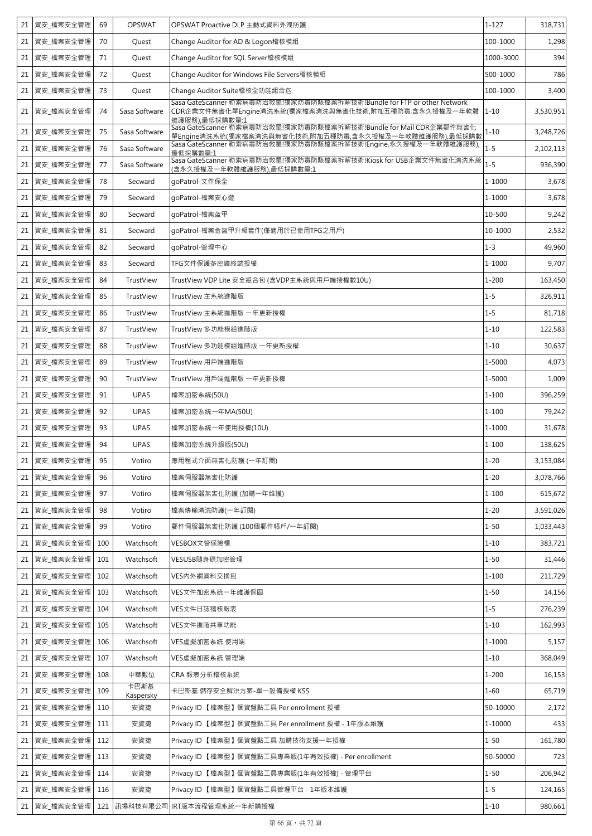| 21 | 資安 檔案安全管理      | 69  | <b>OPSWAT</b>     | OPSWAT Proactive DLP 主動式資料外洩防護                                                                                                                                                                      | $1 - 127$  | 318,731   |
|----|----------------|-----|-------------------|-----------------------------------------------------------------------------------------------------------------------------------------------------------------------------------------------------|------------|-----------|
| 21 | 資安_檔案安全管理      | 70  | Quest             | Change Auditor for AD & Logon稽核模組                                                                                                                                                                   | 100-1000   | 1,298     |
| 21 | 資安_檔案安全管理      | 71  | Quest             | Change Auditor for SQL Server稽核模組                                                                                                                                                                   | 1000-3000  | 394       |
| 21 | 資安_檔案安全管理      | 72  | Quest             | Change Auditor for Windows File Servers稽核模組                                                                                                                                                         | 500-1000   | 786       |
| 21 | 資安_檔案安全管理      | 73  | Quest             | Change Auditor Suite稽核全功能組合包                                                                                                                                                                        | 100-1000   | 3,400     |
| 21 | 資安_檔案安全管理      | 74  | Sasa Software     | Sasa GateScanner 勒索病毒防治救星!獨家防毒防駭檔案拆解技術!Bundle for FTP or other Network<br>CDR企業文件無害化單Engine清洗系統(獨家檔案清洗與無害化技術,附加五種防毒,含永久授權及一年軟體<br>維護服務),最低採購數量:1                                                    | $1 - 10$   | 3,530,951 |
| 21 | 資安_檔案安全管理      | 75  | Sasa Software     | Sasa GateScanner 勒索病毒防治救星!獨家防毒防駭檔案拆解技術!Bundle for Mail CDR企業郵件無害化<br><u>單Engine清洗系統(獨家檔案清洗與無害化技術,附加五種防毒,含永久授權及一年軟體維護服務),最低採購數<br/>Sasa GateScanner 勒索病毒防治救星!獨家防毒防駭檔案拆解技術!Engine,永久授權及一年軟體維護服務),</u> | $1 - 10$   | 3,248,726 |
| 21 | 資安_檔案安全管理      | 76  | Sasa Software     | 最低採購數量·1                                                                                                                                                                                            | $1 - 5$    | 2,102,113 |
| 21 | 資安_檔案安全管理      | 77  | Sasa Software     | Sasa GateScanner 勒索病毒防治救星!獨家防毒防駭檔案拆解技術!Kiosk for USB企業文件無害化清洗系統<br>(含永久授權 <u>及一年軟體維護服務),最低採購數量:1</u>                                                                                                | $1 - 5$    | 936,390   |
| 21 | 資安_檔案安全管理      | 78  | Secward           | goPatrol-文件保全                                                                                                                                                                                       | 1-1000     | 3,678     |
| 21 | 資安_檔案安全管理      | 79  | Secward           | goPatrol-檔案安心遊                                                                                                                                                                                      | $1 - 1000$ | 3,678     |
| 21 | 資安_檔案安全管理      | 80  | Secward           | goPatrol-檔案盔甲                                                                                                                                                                                       | 10-500     | 9,242     |
| 21 | 資安_檔案安全管理      | 81  | Secward           | qoPatrol-檔案金盔甲升級套件(僅適用於已使用TFG之用戶)                                                                                                                                                                   | 10-1000    | 2,532     |
| 21 | 資安_檔案安全管理      | 82  | Secward           | goPatrol-管理中心                                                                                                                                                                                       | $1 - 3$    | 49,960    |
| 21 | 資安_檔案安全管理      | 83  | Secward           | TFG文件保護多密鑰終端授權                                                                                                                                                                                      | 1-1000     | 9,707     |
| 21 | 資安 檔案安全管理      | 84  | TrustView         | TrustView VDP Lite 安全組合包 (含VDP主系統與用戶端授權數10U)                                                                                                                                                        | $1 - 200$  | 163,450   |
| 21 | 資安 檔案安全管理      | 85  | TrustView         | TrustView 主系統進階版                                                                                                                                                                                    | $1 - 5$    | 326,911   |
| 21 | 資安_檔案安全管理      | 86  | TrustView         | TrustView 主系統進階版 一年更新授權                                                                                                                                                                             | $1 - 5$    | 81,718    |
| 21 | 資安_檔案安全管理      | 87  | TrustView         | TrustView 多功能模組進階版                                                                                                                                                                                  | $1 - 10$   | 122,583   |
| 21 | 資安_檔案安全管理      | 88  | TrustView         | TrustView 多功能模組進階版 一年更新授權                                                                                                                                                                           | $1 - 10$   | 30,637    |
| 21 | 資安_檔案安全管理      | 89  | TrustView         | TrustView 用戶端進階版                                                                                                                                                                                    | 1-5000     | 4,073     |
| 21 | 資安_檔案安全管理      | 90  | TrustView         | TrustView 用戶端進階版 一年更新授權                                                                                                                                                                             | 1-5000     | 1,009     |
| 21 | 資安_檔案安全管理      | 91  | <b>UPAS</b>       | 檔案加密系統(50U)                                                                                                                                                                                         | $1 - 100$  | 396,259   |
| 21 | 資安_檔案安全管理      | 92  | <b>UPAS</b>       | 檔案加密系統一年MA(50U)                                                                                                                                                                                     | $1 - 100$  | 79,242    |
| 21 | 資安_檔案安全管理      | 93  | <b>UPAS</b>       | 檔案加密系統一年使用授權(10U)                                                                                                                                                                                   | 1-1000     | 31,678    |
| 21 | 資安_檔案安全管理      | 94  | <b>UPAS</b>       | 檔案加密系統升級版(50U)                                                                                                                                                                                      | $1 - 100$  | 138,625   |
|    | 21 資安_檔案安全管理   | 95  | Votiro            | 應用程式介面無害化防護 (一年訂閱)                                                                                                                                                                                  | $1 - 20$   | 3,153,084 |
|    | 21   資安_檔案安全管理 | 96  | Votiro            | 檔案伺服器無害化防護                                                                                                                                                                                          | $1 - 20$   | 3,078,766 |
| 21 | 資安_檔案安全管理      | 97  | Votiro            | 檔案伺服器無害化防護 (加購一年維護)                                                                                                                                                                                 | $1 - 100$  | 615,672   |
| 21 | 資安_檔案安全管理      | 98  | Votiro            | 檔案傳輸清洗防護(一年訂閱)                                                                                                                                                                                      | $1 - 20$   | 3,591,026 |
| 21 | 資安_檔案安全管理      | 99  | Votiro            | 郵件伺服器無害化防護 (100個郵件帳戶/一年訂閱)                                                                                                                                                                          | $1 - 50$   | 1,033,443 |
| 21 | 資安_檔案安全管理      | 100 | Watchsoft         | VESBOX文管保險櫃                                                                                                                                                                                         | $1 - 10$   | 383,721   |
| 21 | 資安_檔案安全管理      | 101 | Watchsoft         | VESUSB隨身碟加密管理                                                                                                                                                                                       | $1 - 50$   | 31,446    |
| 21 | 資安_檔案安全管理      | 102 | Watchsoft         | VES内外網資料交換包                                                                                                                                                                                         | $1 - 100$  | 211,729   |
| 21 | 資安_檔案安全管理      | 103 | Watchsoft         | VES文件加密系統一年維護保固                                                                                                                                                                                     | $1 - 50$   | 14,156    |
| 21 | 資安_檔案安全管理      | 104 | Watchsoft         | VES文件日誌稽核報表                                                                                                                                                                                         | $1 - 5$    | 276,239   |
| 21 | 資安_檔案安全管理      | 105 | Watchsoft         | VES文件進階共享功能                                                                                                                                                                                         | $1 - 10$   | 162,993   |
| 21 | 資安_檔案安全管理      | 106 | Watchsoft         | VES虛擬加密系統 使用端                                                                                                                                                                                       | $1 - 1000$ | 5,157     |
|    | 21   資安_檔案安全管理 | 107 | Watchsoft         | VES虛擬加密系統 管理端                                                                                                                                                                                       | $1 - 10$   | 368,049   |
| 21 | 資安_檔案安全管理      | 108 | 中華數位              | CRA 報表分析稽核系統                                                                                                                                                                                        | $1 - 200$  | 16,153    |
| 21 | 資安_檔案安全管理  109 |     | 卡巴斯基<br>Kaspersky | 卡巴斯基 儲存安全解決方案-單一設備授權 KSS                                                                                                                                                                            | $1 - 60$   | 65,719    |
| 21 | 資安_檔案安全管理      | 110 | 安資捷               | Privacy ID 【檔案型】個資盤點工具 Per enrollment 授權                                                                                                                                                            | 50-10000   | 2,172     |
| 21 | 資安_檔案安全管理      | 111 | 安資捷               | Privacy ID 【檔案型】個資盤點工具 Per enrollment 授權 - 1年版本維護                                                                                                                                                   | 1-10000    | 433       |
| 21 | 資安_檔案安全管理      | 112 | 安資捷               | Privacy ID 【檔案型】個資盤點工具 加購技術支援一年授權                                                                                                                                                                   | $1 - 50$   | 161,780   |
| 21 | 資安_檔案安全管理      | 113 | 安資捷               | Privacy ID 【檔案型】個資盤點工具專業版(1年有效授權) - Per enrollment                                                                                                                                                  | 50-50000   | 723       |
| 21 | 資安_檔案安全管理      | 114 | 安資捷               | Privacy ID 【檔案型】個資盤點工具專業版(1年有效授權) - 管理平台                                                                                                                                                            | $1 - 50$   | 206,942   |
|    | 21 資安 檔案安全管理   | 116 | 安資捷               | Privacy ID 【檔案型】個資盤點工具管理平台 - 1年版本維護                                                                                                                                                                 | $1 - 5$    | 124,165   |
|    | 21 資安_檔案安全管理   |     |                   | 121 訊揚科技有限公司 IRT版本流程管理系統一年新購授權                                                                                                                                                                      | $1 - 10$   | 980,661   |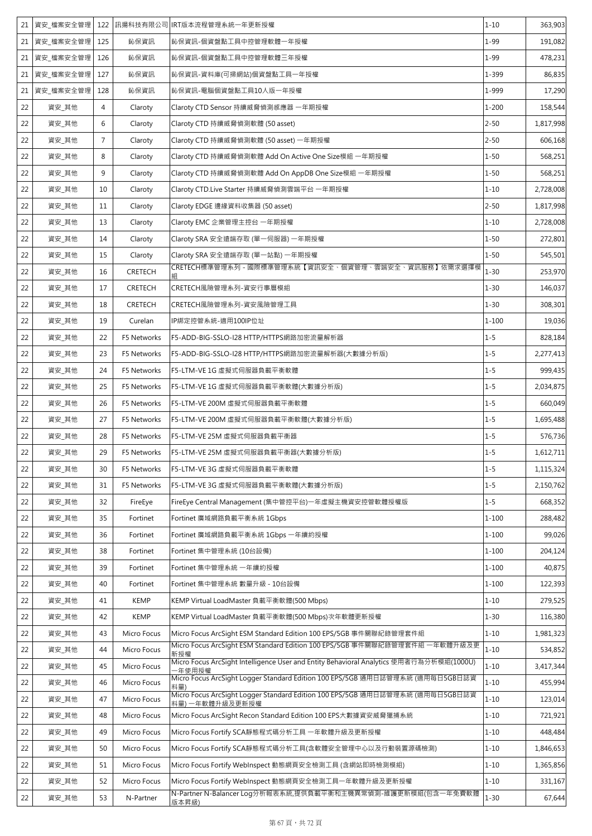| 21 | 資安 檔案安全管理 |                |                | 122 訊揚科技有限公司 IRT版本流程管理系統一年更新授權                                                                   | $1 - 10$  | 363,903   |
|----|-----------|----------------|----------------|--------------------------------------------------------------------------------------------------|-----------|-----------|
| 21 | 資安_檔案安全管理 | 125            | 鈊保資訊           | 鈊保資訊-個資盤點工具中控管理軟體一年授權                                                                            | $1 - 99$  | 191,082   |
| 21 | 資安_檔案安全管理 | 126            | 鈊保資訊           | 鈊保資訊-個資盤點工具中控管理軟體三年授權                                                                            | $1 - 99$  | 478,231   |
| 21 | 資安_檔案安全管理 | 127            | 鈊保資訊           | 鈊保資訊-資料庫(可掃網站)個資盤點工具一年授權                                                                         | 1-399     | 86,835    |
| 21 | 資安_檔案安全管理 | 128            | 鈊保資訊           | 鈊保資訊-電腦個資盤點工具10人版一年授權                                                                            | 1-999     | 17,290    |
| 22 | 資安_其他     | $\overline{4}$ | Claroty        | Claroty CTD Sensor 持續威脅偵測感應器 一年期授權                                                               | $1 - 200$ | 158,544   |
| 22 | 資安_其他     | 6              | Claroty        | Claroty CTD 持續威脅偵測軟體 (50 asset)                                                                  | $2 - 50$  | 1,817,998 |
| 22 | 資安_其他     | $\overline{7}$ | Claroty        | Claroty CTD 持續威脅偵測軟體 (50 asset) 一年期授權                                                            | $2 - 50$  | 606,168   |
| 22 | 資安_其他     | 8              | Claroty        | Claroty CTD 持續威脅偵測軟體 Add On Active One Size模組 一年期授權                                              | $1 - 50$  | 568,251   |
| 22 | 資安_其他     | 9              | Claroty        | Claroty CTD 持續威脅偵測軟體 Add On AppDB One Size模組 一年期授權                                               | $1 - 50$  | 568,251   |
| 22 | 資安_其他     | 10             | Claroty        | Claroty CTD.Live Starter 持續威脅偵測雲端平台 一年期授權                                                        | $1 - 10$  | 2,728,008 |
| 22 | 資安_其他     | 11             | Claroty        | Claroty EDGE 邊緣資料收集器 (50 asset)                                                                  | $2 - 50$  | 1,817,998 |
| 22 | 資安_其他     | 13             | Claroty        | Claroty EMC 企業管理主控台 一年期授權                                                                        | $1 - 10$  | 2,728,008 |
| 22 | 資安 其他     | 14             | Claroty        | Claroty SRA 安全遠端存取 (單一伺服器) 一年期授權                                                                 | $1 - 50$  | 272,801   |
| 22 | 資安_其他     | 15             | Claroty        | Claroty SRA 安全遠端存取 (單一站點) 一年期授權                                                                  | $1 - 50$  | 545,501   |
| 22 | 資安_其他     | 16             | <b>CRETECH</b> | CRETECH標準管理系列 - 國際標準管理系統【資訊安全、個資管理、雲端安全、資訊服務】依需求選擇模                                              | $1 - 30$  | 253,970   |
| 22 | 資安_其他     | 17             | <b>CRETECH</b> | CRETECH風險管理系列-資安行事曆模組                                                                            | $1 - 30$  | 146,037   |
| 22 | 資安_其他     | 18             | CRETECH        | CRETECH風險管理系列-資安風險管理工具                                                                           | $1 - 30$  | 308,301   |
| 22 | 資安_其他     | 19             | Curelan        | IP綁定控管系統-適用100IP位址                                                                               | $1 - 100$ | 19,036    |
| 22 | 資安_其他     | 22             | F5 Networks    | F5-ADD-BIG-SSLO-I28 HTTP/HTTPS網路加密流量解析器                                                          | $1 - 5$   | 828,184   |
| 22 | 資安_其他     | 23             | F5 Networks    | F5-ADD-BIG-SSLO-I28 HTTP/HTTPS網路加密流量解析器(大數據分析版)                                                  | $1 - 5$   | 2,277,413 |
| 22 | 資安_其他     | 24             | F5 Networks    | F5-LTM-VE 1G 虛擬式伺服器負載平衡軟體                                                                        | $1 - 5$   | 999,435   |
| 22 | 資安_其他     | 25             | F5 Networks    | F5-LTM-VE 1G 虛擬式伺服器負載平衡軟體(大數據分析版)                                                                | $1 - 5$   | 2,034,875 |
| 22 | 資安_其他     | 26             | F5 Networks    | F5-LTM-VE 200M 虛擬式伺服器負載平衡軟體                                                                      | $1 - 5$   | 660,049   |
| 22 | 資安_其他     | 27             | F5 Networks    | F5-LTM-VE 200M 虛擬式伺服器負載平衡軟體(大數據分析版)                                                              | $1 - 5$   | 1,695,488 |
| 22 | 資安_其他     | 28             | F5 Networks    | F5-LTM-VE 25M 虚擬式伺服器負載平衡器                                                                        | $1 - 5$   | 576,736   |
| 22 | 資安_其他     | 29             | F5 Networks    | F5-LTM-VE 25M 虚擬式伺服器負載平衡器(大數據分析版)                                                                | $1 - 5$   | 1,612,711 |
| 22 | 資安_其他     | 30             | F5 Networks    | F5-LTM-VE 3G 虛擬式伺服器負載平衡軟體                                                                        | $1 - 5$   | 1,115,324 |
| 22 | 資安_其他     | 31             | F5 Networks    | F5-LTM-VE 3G 虛擬式伺服器負載平衡軟體(大數據分析版)                                                                | $1 - 5$   | 2,150,762 |
| 22 | 資安_其他     | 32             | FireEye        | FireEye Central Management (集中管控平台)一年虛擬主機資安控管軟體授權版                                               | $1 - 5$   | 668,352   |
| 22 | 資安_其他     | 35             | Fortinet       | Fortinet 廣域網路負載平衡系統 1Gbps                                                                        | $1 - 100$ | 288,482   |
| 22 | 資安_其他     | 36             | Fortinet       | Fortinet 廣域網路負載平衡系統 1Gbps 一年續約授權                                                                 | $1 - 100$ | 99,026    |
| 22 | 資安_其他     | 38             | Fortinet       | Fortinet 集中管理系統 (10台設備)                                                                          | $1 - 100$ | 204,124   |
| 22 | 資安_其他     | 39             | Fortinet       | Fortinet 集中管理系統 一年續約授權                                                                           | $1 - 100$ | 40,875    |
| 22 | 資安_其他     | 40             | Fortinet       | Fortinet 集中管理系統 數量升級 - 10台設備                                                                     | $1 - 100$ | 122,393   |
| 22 | 資安_其他     | 41             | <b>KEMP</b>    | KEMP Virtual LoadMaster 負載平衡軟體(500 Mbps)                                                         | $1 - 10$  | 279,525   |
| 22 | 資安_其他     | 42             | <b>KEMP</b>    | KEMP Virtual LoadMaster 負載平衡軟體(500 Mbps)次年軟體更新授權                                                 | $1 - 30$  | 116,380   |
| 22 | 資安_其他     | 43             | Micro Focus    | Micro Focus ArcSight ESM Standard Edition 100 EPS/5GB 事件關聯紀錄管理套件組                                | $1 - 10$  | 1,981,323 |
| 22 | 資安_其他     | 44             | Micro Focus    | Micro Focus ArcSight ESM Standard Edition 100 EPS/5GB 事件關聯紀錄管理套件組 一年軟體升級及更<br>新授權                | $1 - 10$  | 534,852   |
| 22 | 資安_其他     | 45             | Micro Focus    | Micro Focus ArcSight Intelligence User and Entity Behavioral Analytics 使用者行為分析模組(1000U)<br>年使用授權 | $1 - 10$  | 3,417,344 |
| 22 | 資安_其他     | 46             | Micro Focus    | Micro Focus ArcSight Logger Standard Edition 100 EPS/5GB 通用日誌管理系統 (適用每日5GB日誌資                    | $1 - 10$  | 455,994   |
| 22 | 資安_其他     | 47             | Micro Focus    | Micro Focus ArcSight Logger Standard Edition 100 EPS/5GB 通用日誌管理系統 (適用每日5GB日誌資<br>料量)一年軟體升級及更新授權  | $1 - 10$  | 123,014   |
| 22 | 資安_其他     | 48             | Micro Focus    | Micro Focus ArcSight Recon Standard Edition 100 EPS大數據資安威脅獵捕系統                                   | $1 - 10$  | 721,921   |
| 22 | 資安_其他     | 49             | Micro Focus    | Micro Focus Fortify SCA靜態程式碼分析工具 一年軟體升級及更新授權                                                     | $1 - 10$  | 448,484   |
| 22 | 資安_其他     | 50             | Micro Focus    | Micro Focus Fortify SCA靜態程式碼分析工具(含軟體安全管理中心以及行動裝置源碼檢測)                                            | $1 - 10$  | 1,846,653 |
| 22 | 資安_其他     | 51             | Micro Focus    | Micro Focus Fortify WebInspect 動態網頁安全檢測工具 (含網站即時檢測模組)                                            | $1 - 10$  | 1,365,856 |
| 22 | 資安_其他     | 52             | Micro Focus    | Micro Focus Fortify WebInspect 動態網頁安全檢測工具一年軟體升級及更新授權                                             | $1 - 10$  | 331,167   |
| 22 | 資安_其他     | 53             | N-Partner      | N-Partner N-Balancer Log分析報表系統,提供負載平衡和主機異常偵測-維護更新模組(包含一年免費軟體<br>版本昇級)                            | $1 - 30$  | 67,644    |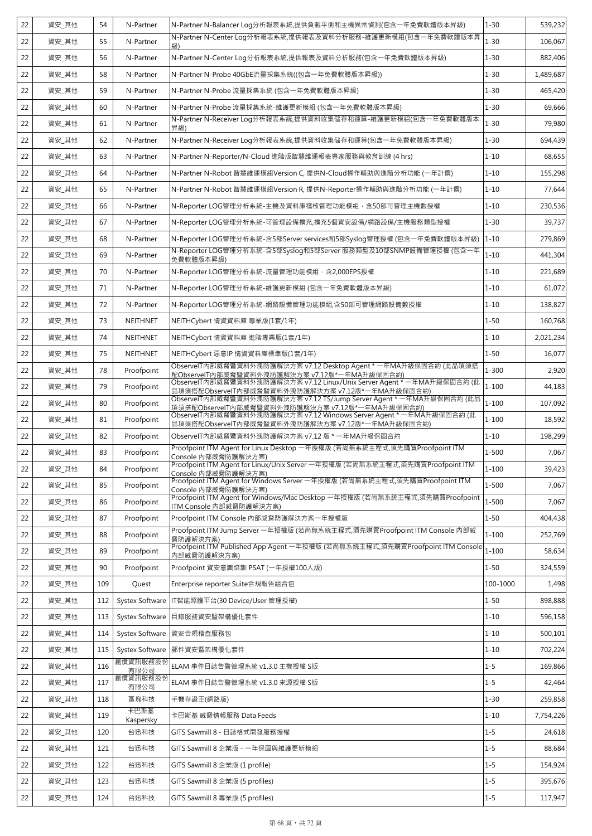| 22 | 資安_其他 | 54  | N-Partner              | N-Partner N-Balancer Log分析報表系統,提供負載平衡和主機異常偵測(包含一年免費軟體版本昇級)                                                                                                                                            | $1 - 30$  | 539,232   |
|----|-------|-----|------------------------|-------------------------------------------------------------------------------------------------------------------------------------------------------------------------------------------------------|-----------|-----------|
| 22 | 資安_其他 | 55  | N-Partner              | N-Partner N-Center Log分析報表系統,提供報表及資料分析服務-維護更新模組(包含一年免費軟體版本昇                                                                                                                                           | $1 - 30$  | 106,067   |
| 22 | 資安_其他 | 56  | N-Partner              | N-Partner N-Center Log分析報表系統,提供報表及資料分析服務(包含一年免費軟體版本昇級)                                                                                                                                                | $1 - 30$  | 882,406   |
| 22 | 資安 其他 | 58  | N-Partner              | N-Partner N-Probe 40GbE流量採集系統((包含一年免費軟體版本昇級))                                                                                                                                                         | $1 - 30$  | 1,489,687 |
| 22 | 資安_其他 | 59  | N-Partner              | N-Partner N-Probe 流量採集系統 (包含一年免費軟體版本昇級)                                                                                                                                                               | $1 - 30$  | 465,420   |
| 22 | 資安_其他 | 60  | N-Partner              | N-Partner N-Probe 流量採集系統-維護更新模組 (包含一年免費軟體版本昇級)                                                                                                                                                        | $1 - 30$  | 69,666    |
| 22 | 資安_其他 | 61  | N-Partner              | N-Partner N-Receiver Log分析報表系統,提供資料收集儲存和運算-維護更新模組(包含一年免費軟體版本<br>昇級)                                                                                                                                   | $1 - 30$  | 79,980    |
| 22 | 資安_其他 | 62  | N-Partner              | N-Partner N-Receiver Log分析報表系統,提供資料收集儲存和運算(包含一年免費軟體版本昇級)                                                                                                                                              | $1 - 30$  | 694,439   |
| 22 | 資安_其他 | 63  | N-Partner              | N-Partner N-Reporter/N-Cloud 進階版智慧維運報表專家服務與教育訓練 (4 hrs)                                                                                                                                               | $1 - 10$  | 68,655    |
| 22 | 資安_其他 | 64  | N-Partner              | N-Partner N-Robot 智慧維運模組Version C, 提供N-Cloud操作輔助與進階分析功能 (一年計價)                                                                                                                                        | $1 - 10$  | 155,298   |
| 22 | 資安_其他 | 65  | N-Partner              | N-Partner N-Robot 智慧維運模組Version R, 提供N-Reporter操作輔助與進階分析功能 (一年計價)                                                                                                                                     | $1 - 10$  | 77,644    |
| 22 | 資安_其他 | 66  | N-Partner              | N-Reporter LOG管理分析系統-主機及資料庫稽核管理功能模組 · 含50部可管理主機數授權                                                                                                                                                    | $1 - 10$  | 230,536   |
| 22 | 資安_其他 | 67  | N-Partner              | N-Reporter LOG管理分析系統-可管理設備擴充,擴充5個資安設備/網路設備/主機服務類型授權                                                                                                                                                   | $1 - 30$  | 39,737    |
| 22 | 資安 其他 | 68  | N-Partner              | N-Reporter LOG管理分析系統-含5部Server services和5部Syslog管理授權 (包含一年免費軟體版本昇級)                                                                                                                                   | $1 - 10$  | 279,869   |
| 22 | 資安_其他 | 69  | N-Partner              | N-Reporter LOG管理分析系統-含5部Syslog和5部Server 服務類型及10部SNMP設備管理授權 (包含一年<br>免費軟體版本昇級)                                                                                                                         | $1 - 10$  | 441.304   |
| 22 | 資安_其他 | 70  | N-Partner              | N-Reporter LOG管理分析系統-流量管理功能模組,含2,000EPS授權                                                                                                                                                             | $1 - 10$  | 221,689   |
| 22 | 資安_其他 | 71  | N-Partner              | N-Reporter LOG管理分析系統-維護更新模組 (包含一年免費軟體版本昇級)                                                                                                                                                            | $1 - 10$  | 61,072    |
| 22 | 資安_其他 | 72  | N-Partner              | N-Reporter LOG管理分析系統-網路設備管理功能模組,含50部可管理網路設備數授權                                                                                                                                                        | $1 - 10$  | 138,827   |
| 22 | 資安_其他 | 73  | <b>NEITHNET</b>        | NEITHCybert 情資資料庫 專業版(1套/1年)                                                                                                                                                                          | $1 - 50$  | 160,768   |
| 22 | 資安_其他 | 74  | <b>NEITHNET</b>        | NEITHCybert 情資資料庫 進階專業版(1套/1年)                                                                                                                                                                        | $1 - 10$  | 2,021,234 |
| 22 | 資安_其他 | 75  | <b>NEITHNET</b>        | NEITHCybert 惡意IP 情資資料庫標準版(1套/1年)                                                                                                                                                                      | $1 - 50$  | 16,077    |
| 22 | 資安_其他 | 78  | Proofpoint             | ObservelT内部威脅暨資料外洩防護解決方案 v7.12 Desktop Agent * 一年MA升級保固合約 (此品項須搭<br>配ObservelT内部威脅暨資料外洩防護解決方案 v7.12版*一年MA升級保固合約)                                                                                      | $1 - 300$ | 2,920     |
| 22 | 資安_其他 | 79  | Proofpoint             | ObservelT内部威脅暨資料外洩防護解決方案 v7.12 Linux/Unix Server Agent * 一年MA升級保固合約 (此<br>品項須搭配ObservelT內部威脅暨資料外洩防護解決方案 v7.12版*一年MA升級保固合約)                                                                            | $1 - 100$ | 44,183    |
| 22 | 資安_其他 | 80  | Proofpoint             | ObservelT内部威脅暨資料外洩防護解決方案 v7.12 TS/Jump Server Agent * 一年MA升級保固合約 (此品<br><u>項須搭配ObservelT内部威脅暨資料外洩防護解決方案 v7.12版*一年MA升級保固合約)</u><br>ObservelT内部威脅暨資料外洩防護解決方案 v7.12 Windows Server Agent * 一年MA升級保固合約 (此 | $1 - 100$ | 107,092   |
| 22 | 資安_其他 | 81  | Proofpoint             | 品項須搭配ObservelT内部威脅暨資料外洩防護解決方案 v7.12版*一年MA升級保固合約)                                                                                                                                                      | $1 - 100$ | 18,592    |
| 22 | 資安_其他 | 82  | Proofpoint             | ObservelT内部威脅暨資料外洩防護解決方案 v7.12 版 * 一年MA升級保固合約                                                                                                                                                         | $1 - 10$  | 198,299   |
| 22 | 資安_其他 | 83  | Proofpoint             | Proofpoint ITM Agent for Linux Desktop 一年授權版 (若尚無系統主程式,須先購買Proofpoint ITM<br>Console 内部威脅防護解決方案)                                                                                                      | $1 - 500$ | 7,067     |
| 22 | 資安 其他 | 84  | Proofpoint             | Proofpoint ITM Agent for Linux/Unix Server 一年授權版 (若尚無系統主程式,須先購買Proofpoint ITM<br>Console 內部威脅防護解決方案)                                                                                                  | $1 - 100$ | 39,423    |
| 22 | 資安_其他 | 85  | Proofpoint             | Proofpoint ITM Agent for Windows Server 一年授權版 (若尚無系統主程式,須先購買Proofpoint ITM<br>Console 內部威脅防護解決方案)                                                                                                     | $1 - 500$ | 7,067     |
| 22 | 資安_其他 | 86  | Proofpoint             | Proofpoint ITM Agent for Windows/Mac Desktop 一年授權版 (若尚無系統主程式,須先購買Proofpoint<br>ITM Console 內部威脅防護解決方案)                                                                                                | $1 - 500$ | 7,067     |
| 22 | 資安 其他 | 87  | Proofpoint             | Proofpoint ITM Console 内部威脅防護解決方案一年授權版                                                                                                                                                                | $1 - 50$  | 404,438   |
| 22 | 資安_其他 | 88  | Proofpoint             | Proofpoint ITM Jump Server 一年授權版 (若尚無系統主程式,須先購買Proofpoint ITM Console 內部威<br>脅防護解決方案)                                                                                                                 | $1 - 100$ | 252,769   |
| 22 | 資安_其他 | 89  | Proofpoint             | Proofpoint ITM Published App Agent 一年授權版 (若尚無系統主程式,須先購買Proofpoint ITM Console<br>內部威脅防護解決方案)                                                                                                          | $1 - 100$ | 58,634    |
| 22 | 資安_其他 | 90  | Proofpoint             | Proofpoint 資安意識培訓 PSAT (一年授權100人版)                                                                                                                                                                    | $1 - 50$  | 324,559   |
| 22 | 資安_其他 | 109 | Quest                  | Enterprise reporter Suite合規報告組合包                                                                                                                                                                      | 100-1000  | 1,498     |
| 22 | 資安_其他 | 112 | <b>Systex Software</b> | IT智能照護平台(30 Device/User 管理授權)                                                                                                                                                                         | $1 - 50$  | 898,888   |
| 22 | 資安_其他 | 113 | Systex Software        | 目錄服務資安暨架構優化套件                                                                                                                                                                                         | $1 - 10$  | 596,158   |
| 22 | 資安_其他 | 114 | Systex Software        | 資安合規稽查服務包                                                                                                                                                                                             | $1 - 10$  | 500,101   |
| 22 | 資安_其他 | 115 | <b>Systex Software</b> | 郵件資安暨架構優化套件                                                                                                                                                                                           | $1 - 10$  | 702,224   |
| 22 | 資安_其他 | 116 | 創價資訊服務股份<br>有限公司       | ELAM 事件日誌告警管理系統 v1.3.0 主機授權 S版                                                                                                                                                                        | $1 - 5$   | 169,866   |
| 22 | 資安_其他 | 117 | 創價資訊服務股份<br>有限公司       | ELAM 事件日誌告警管理系統 v1.3.0 來源授權 S版                                                                                                                                                                        | $1 - 5$   | 42,464    |
| 22 | 資安_其他 | 118 | 區塊科技                   | 手機存證王(網路版)                                                                                                                                                                                            | $1 - 30$  | 259,858   |
| 22 | 資安_其他 | 119 | 卡巴斯基<br>Kaspersky      | 卡巴斯基 威脅情報服務 Data Feeds                                                                                                                                                                                | $1 - 10$  | 7,754,226 |
| 22 | 資安_其他 | 120 | 台迅科技                   | GITS Sawmill 8 - 日誌格式開發服務授權                                                                                                                                                                           | $1 - 5$   | 24,618    |
| 22 | 資安_其他 | 121 | 台迅科技                   | GITS Sawmill 8 企業版 - 一年保固與維護更新模組                                                                                                                                                                      | $1 - 5$   | 88,684    |
| 22 | 資安_其他 | 122 | 台迅科技                   | GITS Sawmill 8 企業版 (1 profile)                                                                                                                                                                        | $1 - 5$   | 154,924   |
| 22 | 資安_其他 | 123 | 台迅科技                   | GITS Sawmill 8 企業版 (5 profiles)                                                                                                                                                                       | $1 - 5$   | 395,676   |
| 22 | 資安_其他 | 124 | 台迅科技                   | GITS Sawmill 8 專業版 (5 profiles)                                                                                                                                                                       | $1 - 5$   | 117,947   |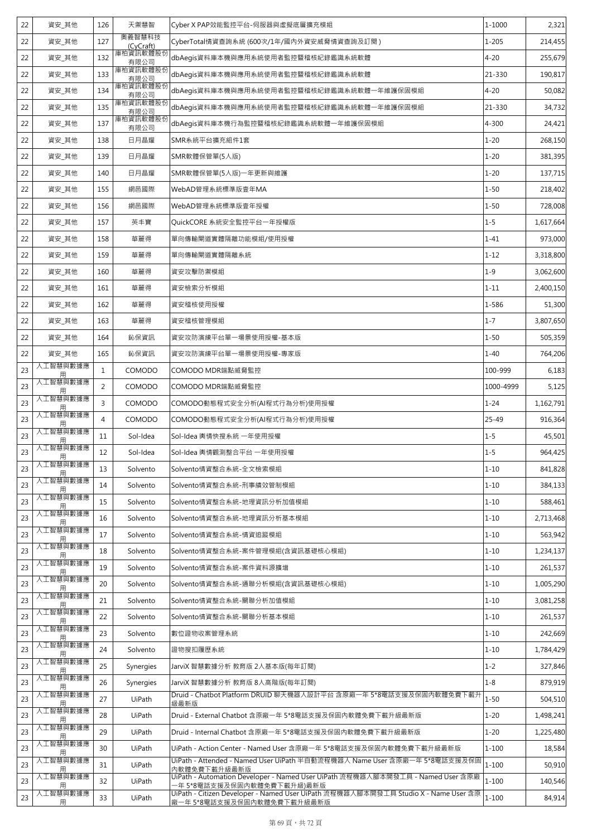| 22 | 資安_其他         | 126            | 天禦慧智                | Cyber X PAP效能監控平台-伺服器與虛擬底層擴充模組                                                                                   | 1-1000    | 2,321     |
|----|---------------|----------------|---------------------|------------------------------------------------------------------------------------------------------------------|-----------|-----------|
| 22 | 資安_其他         | 127            | 奧義智慧科技<br>(CyCraft) | CyberTotal情資查詢系統 (600次/1年/國內外資安威脅情資查詢及訂閱)                                                                        | $1 - 205$ | 214,455   |
| 22 | 資安_其他         | 132            | 庫柏資訊軟體股份<br>有限公司    | dbAegis資料庫本機與應用系統使用者監控暨稽核紀錄鑑識系統軟體                                                                                | $4 - 20$  | 255,679   |
| 22 | 資安_其他         | 133            | 庫柏資訊軟體股份<br>有限公司    | dbAeqis資料庫本機與應用系統使用者監控暨稽核紀錄鑑識系統軟體                                                                                | 21-330    | 190,817   |
| 22 | 資安_其他         | 134            | 庫柏資訊軟體股份<br>有限公司    | dbAegis資料庫本機與應用系統使用者監控暨稽核紀錄鑑識系統軟體一年維護保固模組                                                                        | $4 - 20$  | 50,082    |
| 22 | 資安_其他         | 135            | 庫柏資訊軟體股份<br>有限公司    | dbAegis資料庫本機與應用系統使用者監控暨稽核紀錄鑑識系統軟體一年維護保固模組                                                                        | 21-330    | 34,732    |
| 22 | 資安 其他         | 137            | 庫柏資訊軟體股份<br>有限公司    | dbAegis資料庫本機行為監控暨稽核紀錄鑑識系統軟體一年維護保固模組                                                                              | 4-300     | 24,421    |
| 22 | 資安_其他         | 138            | 日月晶耀                | SMR系統平台擴充組件1套                                                                                                    | $1 - 20$  | 268,150   |
| 22 | 資安_其他         | 139            | 日月晶耀                | SMR軟體保管單(5人版)                                                                                                    | $1 - 20$  | 381,395   |
| 22 | 資安_其他         | 140            | 日月晶耀                | SMR軟體保管單(5人版)一年更新與維護                                                                                             | $1 - 20$  | 137,715   |
| 22 | 資安_其他         | 155            | 網邑國際                | WebAD管理系統標準版壹年MA                                                                                                 | $1 - 50$  | 218,402   |
| 22 | 資安_其他         | 156            | 網邑國際                | WebAD管理系統標準版壹年授權                                                                                                 | $1 - 50$  | 728,008   |
| 22 | 資安_其他         | 157            | 英丰寶                 | QuickCORE 系統安全監控平台一年授權版                                                                                          | $1 - 5$   | 1,617,664 |
| 22 | 資安_其他         | 158            | 華麗得                 | 單向傳輸閘道實體隔離功能模組/使用授權                                                                                              | $1 - 41$  | 973,000   |
| 22 | 資安_其他         | 159            | 華麗得                 | 單向傳輸閘道實體隔離系統                                                                                                     | $1 - 12$  | 3,318,800 |
| 22 | 資安 其他         | 160            | 華麗得                 | 資安攻擊防禦模組                                                                                                         | $1 - 9$   | 3,062,600 |
| 22 | 資安 其他         | 161            | 華麗得                 | 資安檢索分析模組                                                                                                         | $1 - 11$  | 2,400,150 |
| 22 | 資安_其他         | 162            | 華麗得                 | 資安稽核使用授權                                                                                                         | 1-586     | 51,300    |
| 22 | 資安_其他         | 163            | 華麗得                 | 資安稽核管理模組                                                                                                         | $1 - 7$   | 3,807,650 |
| 22 | 資安_其他         | 164            | 鈊保資訊                | 資安攻防演練平台單一場景使用授權-基本版                                                                                             | $1 - 50$  | 505,359   |
| 22 | 資安_其他         | 165            | 鈊保資訊                | 資安攻防演練平台單一場景使用授權-專家版                                                                                             | $1 - 40$  | 764,206   |
| 23 | 人工智慧與數據應<br>用 | $\mathbf{1}$   | COMODO              | COMODO MDR端點威脅監控                                                                                                 | 100-999   | 6,183     |
| 23 | 人工智慧與數據應<br>用 | $\overline{2}$ | COMODO              | COMODO MDR端點威脅監控                                                                                                 | 1000-4999 | 5,125     |
| 23 | 人工智慧與數據應<br>用 | 3              | COMODO              | COMODO動態程式安全分析(AI程式行為分析)使用授權                                                                                     | $1 - 24$  | 1,162,791 |
| 23 | 人工智慧與數據應<br>用 | $\overline{4}$ | COMODO              | COMODO動態程式安全分析(AI程式行為分析)使用授權                                                                                     | 25-49     | 916,364   |
| 23 | 人工智慧與數據應<br>用 | 11             | Sol-Idea            | Sol-Idea 輿情快搜系統 一年使用授權                                                                                           | $1 - 5$   | 45,501    |
| 23 | 人工智慧與數據應<br>用 | 12             | Sol-Idea            | Sol-Idea 輿情觀測整合平台 一年使用授權                                                                                         | $1 - 5$   | 964,425   |
| 23 | 人工智慧與數據應<br>用 | 13             | Solvento            | Solvento情資整合系統-全文檢索模組                                                                                            | $1 - 10$  | 841,828   |
| 23 | 人工智慧與數據應<br>用 | 14             | Solvento            | Solvento情資整合系統-刑事績效管制模組                                                                                          | $1 - 10$  | 384,133   |
| 23 | 人工智慧與數據應<br>用 | 15             | Solvento            | Solvento情資整合系統-地理資訊分析加值模組                                                                                        | $1 - 10$  | 588,461   |
| 23 | 人工智慧與數據應<br>用 | 16             | Solvento            | Solvento情資整合系統-地理資訊分析基本模組                                                                                        | $1 - 10$  | 2,713,468 |
| 23 | 人工智慧與數據應<br>用 | 17             | Solvento            | Solvento情資整合系統-情資追蹤模組                                                                                            | $1 - 10$  | 563,942   |
| 23 | 人工智慧與數據應<br>用 | 18             | Solvento            | Solvento情資整合系統-案件管理模組(含資訊基礎核心模組)                                                                                 | $1 - 10$  | 1,234,137 |
| 23 | 人工智慧與數據應<br>用 | 19             | Solvento            | Solvento情資整合系統-案件資料源擴增                                                                                           | $1 - 10$  | 261,537   |
| 23 | 人工智慧與數據應      | 20             | Solvento            | Solvento情資整合系統-通聯分析模組(含資訊基礎核心模組)                                                                                 | $1 - 10$  | 1,005,290 |
| 23 | 人工智慧與數據應<br>用 | 21             | Solvento            | Solvento情資整合系統-關聯分析加值模組                                                                                          | $1 - 10$  | 3,081,258 |
| 23 | 人工智慧與數據應<br>用 | 22             | Solvento            | Solvento情資整合系統-關聯分析基本模組                                                                                          | $1 - 10$  | 261,537   |
| 23 | 人工智慧與數據應<br>用 | 23             | Solvento            | 數位證物收案管理系統                                                                                                       | $1 - 10$  | 242,669   |
| 23 | 人工智慧與數據應      | 24             | Solvento            | 證物搜扣履歷系統                                                                                                         | $1 - 10$  | 1,784,429 |
| 23 | 人工智慧與數據應<br>用 | 25             | Synergies           | JarviX 智慧數據分析 教育版 2人基本版(每年訂閱)                                                                                    | $1 - 2$   | 327,846   |
| 23 | 人工智慧與數據應<br>用 | 26             | Synergies           | JarviX 智慧數據分析 教育版 8人高階版(每年訂閱)                                                                                    | $1 - 8$   | 879,919   |
| 23 | 人工智慧與數據應<br>用 | 27             | UiPath              | Druid - Chatbot Platform DRUID 聊天機器人設計平台 含原廠一年 5*8電話支援及保固內軟體免費下載升<br>級最新版                                        | $1 - 50$  | 504,510   |
| 23 | 人工智慧與數據應<br>用 | 28             | UiPath              | Druid - External Chatbot 含原廠一年 5*8電話支援及保固內軟體免費下載升級最新版                                                            | $1 - 20$  | 1,498,241 |
| 23 | 人工智慧與數據應      | 29             | UiPath              | Druid - Internal Chatbot 含原廠一年 5*8電話支援及保固內軟體免費下載升級最新版                                                            | $1 - 20$  | 1,225,480 |
| 23 | 人工智慧與數據應<br>用 | 30             | UiPath              | UiPath - Action Center - Named User 含原廠一年 5*8電話支援及保固內軟體免費下載升級最新版                                                 | $1 - 100$ | 18,584    |
| 23 | 人工智慧與數據應<br>用 | 31             | UiPath              | UiPath - Attended - Named User UiPath 半自動流程機器人 Name User 含原廠一年 5*8電話支援及保固<br>內軟體免費下載升級最新版                        | $1 - 100$ | 50,910    |
|    | 人工智慧與數據應      | 32             | UiPath              | UiPath - Automation Developer - Named User UiPath 流程機器人腳本開發工具 - Named User 含原廠                                   | $1 - 100$ | 140,546   |
| 23 | 用<br>人工智慧與數據應 |                |                     | -年 5*8電話支援及保固內軟體免費下載升級)最新版<br>UiPath - Citizen Developer - Named User UiPath 流程機器人腳本開發工具 Studio X - Name User 含原 |           |           |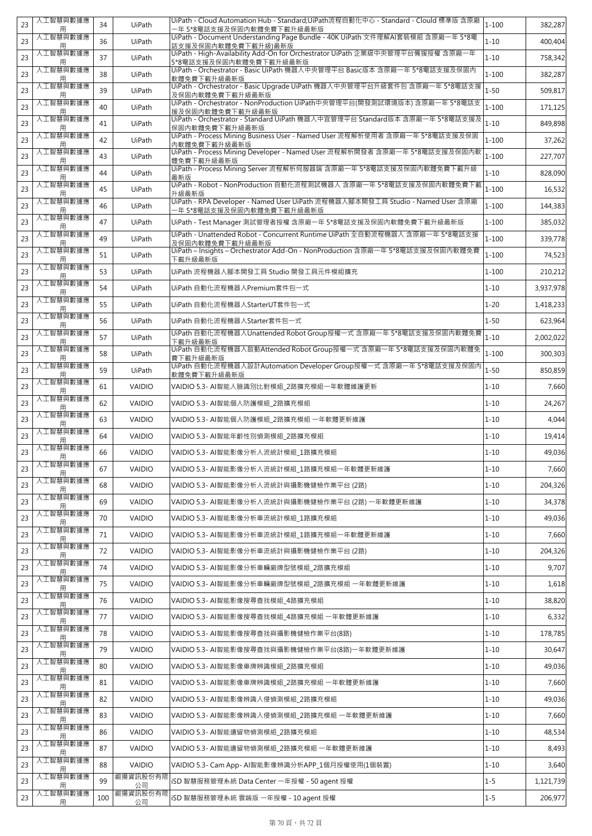| 23 | 人工智慧與數據應<br>用 | 34  | UiPath         | UiPath - Cloud Automation Hub - Standard;UiPath流程自動化中心 - Standard - Clould 標準版 含原廠<br>一年 5*8電話支援及保固內軟體免費下載升級最新版 | $1 - 100$ | 382,287   |
|----|---------------|-----|----------------|-----------------------------------------------------------------------------------------------------------------|-----------|-----------|
| 23 | 人工智慧與數據應<br>用 | 36  | UiPath         | UiPath - Document Understanding Page Bundle - 40K UiPath 文件理解AI套裝模組 含原廠一年 5*8電<br>話支援及保固內軟體免費下載升級)最新版           | $1 - 10$  | 400,404   |
| 23 | 人工智慧與數據應<br>用 | 37  | UiPath         | UiPath - High-Availability Add-On for Orchestrator UiPath 企業級中央管理平台備援授權 含原廠一年<br>5*8電話支援及保固內軟體免費下載升級最新版         | $1 - 10$  | 758,342   |
| 23 | 人工智慧與數據應<br>用 | 38  | UiPath         | UiPath - Orchestrator - Basic UiPath 機器人中央管理平台 Basic版本 含原廠一年 5*8電話支援及保固內<br>軟體免費下載升級最新版                         | $1 - 100$ | 382,287   |
| 23 | 人工智慧與數據應<br>用 | 39  | UiPath         | UiPath - Orchestrator - Basic Upgrade UiPath 機器人中央管理平台升級套件包 含原廠一年 5*8電話支援<br>及保固内軟體免費下載升級最新版                    | $1 - 50$  | 509,817   |
| 23 | 人工智慧與數據應<br>用 | 40  | UiPath         | UiPath - Orchestrator - NonProduction UiPath中央管理平台(開發測試環境版本)含原廠一年 5*8電話支<br>援及保固内軟體免費下載升級最新版                    | $1 - 100$ | 171,125   |
| 23 | 人工智慧與數據應<br>用 | 41  | UiPath         | UiPath - Orchestrator - Standard UiPath 機器人中宜管理平台 Standard版本 含原廠一年 5*8電話支援及<br>保固内軟體免費下載升級最新版                   | $1 - 10$  | 849,898   |
| 23 | 人工智慧與數據應<br>用 | 42  | UiPath         | UiPath - Process Mining Business User - Named User 流程解析使用者 含原廠一年 5*8電話支援及保固<br>內軟體免費下載升級最新版                     | $1 - 100$ | 37,262    |
| 23 | 人工智慧與數據應<br>用 | 43  | UiPath         | UiPath - Process Mining Developer - Named User 流程解析開發者 含原廠一年 5*8電話支援及保固內軟<br>體免費下載升級最新版                         | $1 - 100$ | 227,707   |
| 23 | 人工智慧與數據應<br>用 | 44  | UiPath         | UiPath - Process Mining Server 流程解析伺服器端 含原廠一年 5*8電話支援及保固內軟體免費下載升級<br>最新版                                        | $1 - 10$  | 828,090   |
| 23 | 人工智慧與數據應<br>用 | 45  | UiPath         | UiPath - Robot - NonProduction 自動化流程測試機器人 含原廠一年 5*8電話支援及保固內軟體免費下載<br>升級最新版                                      | $1 - 100$ | 16,532    |
| 23 | 人工智慧與數據應<br>用 | 46  | UiPath         | UiPath - RPA Developer - Named User UiPath 流程機器人腳本開發工具 Studio - Named User 含原廠<br>一年 5*8電話支援及保固內軟體免費下載升級最新版     | $1 - 100$ | 144,383   |
| 23 | 人工智慧與數據應<br>用 | 47  | UiPath         | UiPath - Test Manager 測試管理者授權 含原廠一年 5*8電話支援及保固內軟體免費下載升級最新版                                                      | $1 - 100$ | 385,032   |
| 23 | 人工智慧與數據應      | 49  | UiPath         | UiPath - Unattended Robot - Concurrent Runtime UiPath 全自動流程機器人含原廠一年 5*8電話支援<br>及保固内軟體免費下載升級最新版                  | $1 - 100$ | 339,778   |
| 23 | 人工智慧與數據應<br>用 | 51  | UiPath         | UiPath - Insights - Orchestrator Add-On - NonProduction 含原廠一年 5*8電話支援及保固內軟體免費<br>下載升級最新版                        | $1 - 100$ | 74,523    |
| 23 | 人工智慧與數據應<br>用 | 53  | UiPath         | UiPath 流程機器人腳本開發工具 Studio 開發工具元件模組擴充                                                                            | $1 - 100$ | 210,212   |
| 23 | 人工智慧與數據應<br>用 | 54  | UiPath         | UiPath 自動化流程機器人Premium套件包一式                                                                                     | $1 - 10$  | 3,937,978 |
| 23 | 人工智慧與數據應      | 55  | UiPath         | UiPath 自動化流程機器人StarterUT套件包一式                                                                                   | $1 - 20$  | 1,418,233 |
| 23 | 人工智慧與數據應<br>用 | 56  | UiPath         | UiPath 自動化流程機器人Starter套件包一式                                                                                     | $1 - 50$  | 623,964   |
| 23 | 人工智慧與數據應      | 57  | UiPath         | UiPath 自動化流程機器人Unattended Robot Group授權一式 含原廠一年 5*8電話支援及保固內軟體免費<br>下載升級最新版                                      | $1 - 10$  | 2,002,022 |
| 23 | 人工智慧與數據應<br>用 | 58  | UiPath         | UiPath 自動化流程機器人啟動Attended Robot Group授權一式 含原廠一年 5*8電話支援及保固內軟體免<br>費下載升級最新版                                      | $1 - 100$ | 300,303   |
| 23 | 人工智慧與數據應      | 59  | UiPath         | UiPath 自動化流程機器人設計Automation Developer Group授權一式 含原廠一年 5*8電話支援及保固內<br>軟體免費下載升級最新版                                | $1 - 50$  | 850,859   |
| 23 | 人工智慧與數據應<br>用 | 61  | VAIDIO         | VAIDIO 5.3- AI智能人臉識別比對模組_2路擴充模組一年軟體維護更新                                                                         | $1 - 10$  | 7,660     |
| 23 | 人工智慧與數據應<br>用 | 62  | <b>VAIDIO</b>  | VAIDIO 5.3- AI智能個人防護模組_2路擴充模組                                                                                   | $1 - 10$  | 24,267    |
| 23 | 人工智慧與數據應      | 63  | <b>VAIDIO</b>  | VAIDIO 5.3- AI智能個人防護模組 2路擴充模組 一年軟體更新維護                                                                          | $1 - 10$  | 4,044     |
| 23 | 人工智慧與數據應<br>用 | 64  | <b>VAIDIO</b>  | VAIDIO 5.3- AI智能年齡性別偵測模組 2路擴充模組                                                                                 | $1 - 10$  | 19,414    |
| 23 | 人工智慧與數據應<br>用 | 66  | VAIDIO         | VAIDIO 5.3- AI智能影像分析人流統計模組_1路擴充模組                                                                               | $1 - 10$  | 49,036    |
| 23 | 人工智慧與數據應<br>用 | 67  | <b>VAIDIO</b>  | VAIDIO 5.3- AI智能影像分析人流統計模組_1路擴充模組一年軟體更新維護                                                                       | $1 - 10$  | 7,660     |
| 23 | 人工智慧與數據應<br>用 | 68  | <b>VAIDIO</b>  | VAIDIO 5.3- AI智能影像分析人流統計與攝影機健檢作業平台 (2路)                                                                         | $1 - 10$  | 204,326   |
| 23 | 人工智慧與數據應      | 69  | <b>VAIDIO</b>  | VAIDIO 5.3- AI智能影像分析人流統計與攝影機健檢作業平台 (2路) 一年軟體更新維護                                                                | $1 - 10$  | 34,378    |
| 23 | 人工智慧與數據應      | 70  | <b>VAIDIO</b>  | VAIDIO 5.3- AI智能影像分析車流統計模組_1路擴充模組                                                                               | $1 - 10$  | 49,036    |
| 23 | 人工智慧與數據應<br>用 | 71  | <b>VAIDIO</b>  | VAIDIO 5.3- AI智能影像分析車流統計模組_1路擴充模組一年軟體更新維護                                                                       | $1 - 10$  | 7,660     |
| 23 | 人工智慧與數據應<br>用 | 72  | <b>VAIDIO</b>  | VAIDIO 5.3- AI智能影像分析車流統計與攝影機健檢作業平台 (2路)                                                                         | $1 - 10$  | 204,326   |
| 23 | 人工智慧與數據應      | 74  | <b>VAIDIO</b>  | VAIDIO 5.3- AI智能影像分析車輛廠牌型號模組_2路擴充模組                                                                             | $1 - 10$  | 9,707     |
| 23 | 人工智慧與數據應<br>用 | 75  | <b>VAIDIO</b>  | VAIDIO 5.3- AI智能影像分析車輛廠牌型號模組 2路擴充模組 一年軟體更新維護                                                                    | $1 - 10$  | 1,618     |
| 23 | 人工智慧與數據應<br>用 | 76  | <b>VAIDIO</b>  | VAIDIO 5.3- AI智能影像搜尋查找模組_4路擴充模組                                                                                 | $1 - 10$  | 38,820    |
| 23 | 人工智慧與數據應      | 77  | <b>VAIDIO</b>  | VAIDIO 5.3- AI智能影像搜尋查找模組_4路擴充模組 一年軟體更新維護                                                                        | $1 - 10$  | 6,332     |
| 23 | 人工智慧與數據應<br>用 | 78  | <b>VAIDIO</b>  | VAIDIO 5.3- AI智能影像搜尋查找與攝影機健檢作業平台(8路)                                                                            | $1 - 10$  | 178,785   |
| 23 | 人工智慧與數據應      | 79  | <b>VAIDIO</b>  | VAIDIO 5.3- AI智能影像搜尋查找與攝影機健檢作業平台(8路)一年軟體更新維護                                                                    | $1 - 10$  | 30,647    |
| 23 | 人工智慧與數據應<br>用 | 80  | <b>VAIDIO</b>  | VAIDIO 5.3- AI智能影像車牌辨識模組_2路擴充模組                                                                                 | $1 - 10$  | 49,036    |
| 23 | 人工智慧與數據應<br>用 | 81  | <b>VAIDIO</b>  | VAIDIO 5.3- AI智能影像車牌辨識模組_2路擴充模組 一年軟體更新維護                                                                        | $1 - 10$  | 7,660     |
| 23 | 人工智慧與數據應      | 82  | <b>VAIDIO</b>  | VAIDIO 5.3- AI智能影像辨識入侵偵測模組_2路擴充模組                                                                               | $1 - 10$  | 49,036    |
| 23 | 人工智慧與數據應      | 83  | <b>VAIDIO</b>  | VAIDIO 5.3- AI智能影像辨識入侵偵測模組_2路擴充模組 一年軟體更新維護                                                                      | $1 - 10$  | 7,660     |
| 23 | 人工智慧與數據應      | 86  | <b>VAIDIO</b>  | VAIDIO 5.3- AI智能遺留物偵測模組_2路擴充模組                                                                                  | $1 - 10$  | 48,534    |
| 23 | 人工智慧與數據應<br>用 | 87  | <b>VAIDIO</b>  | VAIDIO 5.3- AI智能遺留物偵測模組_2路擴充模組 一年軟體更新維護                                                                         | $1 - 10$  | 8,493     |
| 23 | 人工智慧與數據應      | 88  | <b>VAIDIO</b>  | VAIDIO 5.3- Cam App- AI智能影像辨識分析APP_1個月授權使用(1個裝置)                                                                | $1 - 10$  | 3,640     |
| 23 | 人工智慧與數據應      | 99  | 叡揚資訊股份有限<br>公司 | iSD 智慧服務管理系統 Data Center 一年授權 - 50 agent 授權                                                                     | $1 - 5$   | 1,121,739 |
| 23 | 人工智慧與數據應<br>用 | 100 | 叡揚資訊股份有限<br>公司 | iSD 智慧服務管理系統 雲端版 一年授權 - 10 agent 授權                                                                             | $1 - 5$   | 206,977   |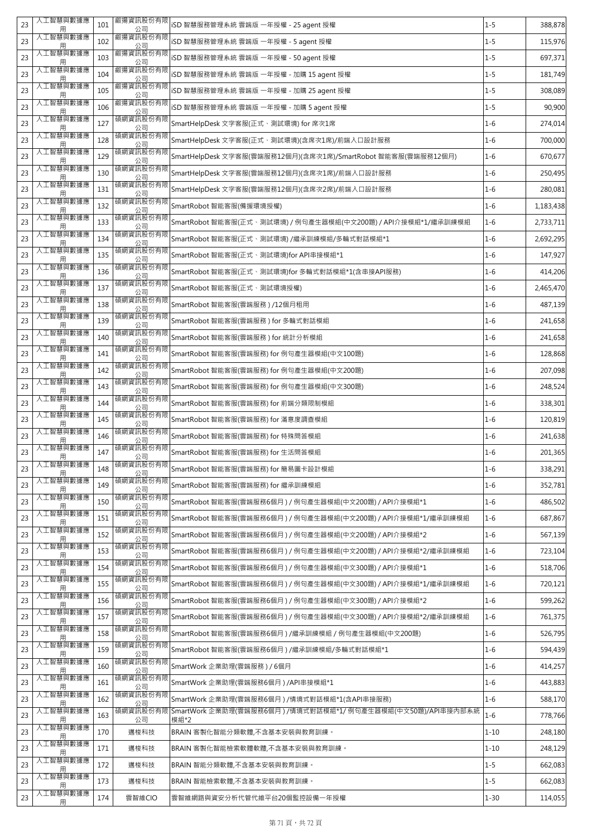| 23 | 人工智慧與數據應<br>用        | 101 | 叡揚資訊股份有限<br>公司 | iSD 智慧服務管理系統 雲端版 一年授權 - 25 agent 授權                                 | $1 - 5$  | 388,878   |
|----|----------------------|-----|----------------|---------------------------------------------------------------------|----------|-----------|
| 23 | 人工智慧與數據應<br>用        | 102 | 叡揚資訊股份有限<br>公司 | iSD 智慧服務管理系統 雲端版 一年授權 - 5 agent 授權                                  | $1 - 5$  | 115,976   |
| 23 | 人工智慧與數據應<br>用        | 103 | 叡揚資訊股份有限<br>公司 | iSD 智慧服務管理系統 雲端版 一年授權 - 50 agent 授權                                 | $1 - 5$  | 697,371   |
| 23 | 人工智慧與數據應<br>用        | 104 | 叡揚資訊股份有限<br>公司 | iSD 智慧服務管理系統 雲端版 一年授權 - 加購 15 agent 授權                              | $1 - 5$  | 181,749   |
| 23 | 人工智慧與數據應<br>用        | 105 | 叡揚資訊股份有限<br>公司 | iSD 智慧服務管理系統 雲端版 一年授權 - 加購 25 agent 授權                              | $1 - 5$  | 308,089   |
| 23 | 人工智慧與數據應<br>用        | 106 | 叡揚資訊股份有限<br>公司 | iSD 智慧服務管理系統 雲端版 一年授權 - 加購 5 agent 授權                               | $1 - 5$  | 90,900    |
| 23 | 人工智慧與數據應<br>用        | 127 | 碩網資訊股份有限<br>公司 | SmartHelpDesk 文字客服(正式、測試環境) for 席次1席                                | $1 - 6$  | 274,014   |
| 23 | 人工智慧與數據應<br>用        | 128 | 碩網資訊股份有限<br>公司 | SmartHelpDesk 文字客服(正式、測試環境)(含席次1席)/前端入口設計服務                         | $1 - 6$  | 700,000   |
| 23 | 人工智慧與數據應<br>用        | 129 | 碩網資訊股份有限<br>公司 | SmartHelpDesk 文字客服(雲端服務12個月)(含席次1席)/SmartRobot 智能客服(雲端服務12個月)       | $1 - 6$  | 670,677   |
| 23 | 人工智慧與數據應<br>用        | 130 | 碩網資訊股份有限<br>公司 | SmartHelpDesk 文字客服(雲端服務12個月)(含席次1席)/前端入口設計服務                        | $1 - 6$  | 250,495   |
| 23 | 人工智慧與數據應<br>用        | 131 | 碩網資訊股份有限<br>公司 | SmartHelpDesk 文字客服(雲端服務12個月)(含席次2席)/前端入口設計服務                        | $1 - 6$  | 280,081   |
| 23 | 人工智慧與數據應<br>用        | 132 | 碩網資訊股份有限<br>公司 | SmartRobot 智能客服(備援環境授權)                                             | $1 - 6$  | 1,183,438 |
| 23 | 人工智慧與數據應<br>用        | 133 | 碩網資訊股份有限<br>公司 | SmartRobot 智能客服(正式、測試環境) / 例句產生器模組(中文200題) / API介接模組*1/繼承訓練模組       | $1 - 6$  | 2,733,711 |
| 23 | 人工智慧與數據應<br>用        | 134 | 碩網資訊股份有限<br>公司 | SmartRobot 智能客服(正式、測試環境) /繼承訓練模組/多輪式對話模組*1                          | $1 - 6$  | 2,692,295 |
| 23 | 人工智慧與數據應<br>用        | 135 | 碩網資訊股份有限<br>公司 | SmartRobot 智能客服(正式、測試環境)for API串接模組*1                               | $1 - 6$  | 147,927   |
| 23 | 人工智慧與數據應<br>用        | 136 | 碩網資訊股份有限<br>公司 | SmartRobot 智能客服(正式、測試環境)for 多輪式對話模組*1(含串接API服務)                     | $1 - 6$  | 414,206   |
| 23 | 人工智慧與數據應<br>用        | 137 | 碩網資訊股份有限<br>公司 | SmartRobot 智能客服(正式、測試環境授權)                                          | $1 - 6$  | 2,465,470 |
| 23 | 人工智慧與數據應<br>用        | 138 | 碩網資訊股份有限<br>公司 | SmartRobot 智能客服(雲端服務)/12個月租用                                        | $1 - 6$  | 487,139   |
| 23 | 人工智慧與數據應<br>用        | 139 | 碩網資訊股份有限<br>公司 | SmartRobot 智能客服(雲端服務) for 多輪式對話模組                                   | $1 - 6$  | 241,658   |
| 23 | 人工智慧與數據應<br>用        | 140 | 碩網資訊股份有限<br>公司 | SmartRobot 智能客服(雲端服務) for 統計分析模組                                    | $1 - 6$  | 241,658   |
| 23 | 人工智慧與數據應<br>用        | 141 | 碩網資訊股份有限<br>公司 | SmartRobot 智能客服(雲端服務) for 例句產生器模組(中文100題)                           | $1 - 6$  | 128,868   |
| 23 | 人工智慧與數據應<br>用        | 142 | 碩網資訊股份有限<br>公司 | SmartRobot 智能客服(雲端服務) for 例句產生器模組(中文200題)                           | $1 - 6$  | 207,098   |
| 23 | 人工智慧與數據應<br>用        | 143 | 碩網資訊股份有限<br>公司 | SmartRobot 智能客服(雲端服務) for 例句產生器模組(中文300題)                           | $1 - 6$  | 248,524   |
| 23 | 人工智慧與數據應<br>用        | 144 | 碩網資訊股份有限<br>公司 | SmartRobot 智能客服(雲端服務) for 前端分類限制模組                                  | $1 - 6$  | 338,301   |
| 23 | 人工智慧與數據應<br>用        | 145 | 碩網資訊股份有限<br>公司 | SmartRobot 智能客服(雲端服務) for 滿意度調查模組                                   | $1 - 6$  | 120,819   |
| 23 | 人工智慧與數據應<br>用        | 146 | 碩網資訊股份有限<br>公司 | SmartRobot 智能客服(雲端服務) for 特殊問答模組                                    | $1 - 6$  | 241,638   |
| 23 | 人工智慧與數據應<br>用        | 147 | 碩網資訊股份有限<br>公司 | SmartRobot 智能客服(雲端服務) for 生活問答模組                                    | $1 - 6$  | 201,365   |
| 23 | 人工智慧與數據應<br>用        | 148 | 碩網資訊股份有限<br>公司 | SmartRobot 智能客服(雲端服務) for 簡易圖卡設計模組                                  | $1 - 6$  | 338,291   |
| 23 | 人工智慧與數據應<br>用        | 149 | 碩網資訊股份有限<br>公司 | SmartRobot 智能客服(雲端服務) for 繼承訓練模組                                    | $1 - 6$  | 352,781   |
| 23 | 人工智慧與數據應             | 150 | 碩網資訊股份有限<br>公司 | SmartRobot 智能客服(雲端服務6個月 ) / 例句產生器模組(中文200題) / API介接模組*1             | $1 - 6$  | 486,502   |
| 23 | 人工智慧與數據應             | 151 | 碩網資訊股份有限<br>公司 | SmartRobot 智能客服(雲端服務6個月) / 例句產生器模組(中文200題) / API介接模組*1/繼承訓練模組       | $1 - 6$  | 687,867   |
| 23 | 人工智慧與數據應             | 152 | 碩網資訊股份有限<br>公司 | SmartRobot 智能客服(雲端服務6個月 ) / 例句產生器模組(中文200題) / API介接模組*2             | $1 - 6$  | 567,139   |
| 23 | 人工智慧與數據應<br>用        | 153 | 碩網資訊股份有限<br>公司 | SmartRobot 智能客服(雲端服務6個月 ) / 例句產生器模組(中文200題) / API介接模組*2/繼承訓練模組      | $1 - 6$  | 723,104   |
| 23 | 人工智慧與數據應             | 154 | 碩網資訊股份有限<br>公司 | SmartRobot 智能客服(雲端服務6個月) / 例句產生器模組(中文300題) / API介接模組*1              | $1 - 6$  | 518,706   |
| 23 | 人工智慧與數據應<br>用        | 155 | 碩網資訊股份有限<br>公司 | SmartRobot 智能客服(雲端服務6個月)/例句產生器模組(中文300題)/API介接模組*1/繼承訓練模組           | $1 - 6$  | 720,121   |
| 23 | 人工智慧與數據應<br>用        | 156 | 碩網資訊股份有限<br>公司 | SmartRobot 智能客服(雲端服務6個月 ) / 例句產生器模組(中文300題) / API介接模組*2             | $1 - 6$  | 599,262   |
| 23 | 人工智慧與數據應             | 157 | 碩網資訊股份有限<br>公司 | SmartRobot 智能客服(雲端服務6個月 ) / 例句產生器模組(中文300題) / API介接模組*2/繼承訓練模組      | $1 - 6$  | 761,375   |
| 23 | 人工智慧與數據應             | 158 | 碩網資訊股份有限<br>公司 | SmartRobot 智能客服(雲端服務6個月)/繼承訓練模組 / 例句產生器模組(中文200題)                   | $1 - 6$  | 526,795   |
| 23 | 人工智慧與數據應<br>用        | 159 | 碩網資訊股份有限<br>公司 | SmartRobot 智能客服(雲端服務6個月)/繼承訓練模組/多輪式對話模組*1                           | $1 - 6$  | 594,439   |
| 23 | 人工智慧與數據應<br>用        | 160 | 碩網資訊股份有限<br>公司 | SmartWork 企業助理(雲端服務)/6個月                                            | $1 - 6$  | 414,257   |
| 23 | 人工智慧與數據應<br>用        | 161 | 碩網資訊股份有限<br>公司 | SmartWork 企業助理(雲端服務6個月)/API串接模組*1                                   | $1 - 6$  | 443,883   |
| 23 | 人工智慧與數據應             | 162 | 碩網資訊股份有限<br>公司 | SmartWork 企業助理(雲端服務6個月 ) /情境式對話模組*1(含API串接服務)                       | $1 - 6$  | 588,170   |
| 23 | 人工智慧與數據應<br>人工智慧與數據應 | 163 | 碩網資訊股份有限<br>公司 | SmartWork 企業助理(雲端服務6個月)/情境式對話模組*1/ 例句產生器模組(中文50題)/API串接內部系統<br>模組*2 | $1 - 6$  | 778,766   |
| 23 | 用<br>人工智慧與數據應        | 170 | 邁梭科技           | BRAIN 客製化智能分類軟體,不含基本安裝與教育訓練。                                        | $1 - 10$ | 248,180   |
| 23 | 用<br>人工智慧與數據應        | 171 | 邁梭科技           | BRAIN 客製化智能檢索軟體軟體,不含基本安裝與教育訓練。                                      | $1 - 10$ | 248,129   |
| 23 | 人工智慧與數據應             | 172 | 邁梭科技           | BRAIN 智能分類軟體,不含基本安裝與教育訓練。                                           | $1 - 5$  | 662,083   |
| 23 |                      | 173 | 邁梭科技           | BRAIN 智能檢索軟體,不含基本安裝與教育訓練。                                           | $1 - 5$  | 662,083   |
| 23 | 人工智慧與數據應<br>用        | 174 | 雲智維CIO         | 雲智維網路與資安分析代管代維平台20個監控設備一年授權                                         | $1 - 30$ | 114,055   |